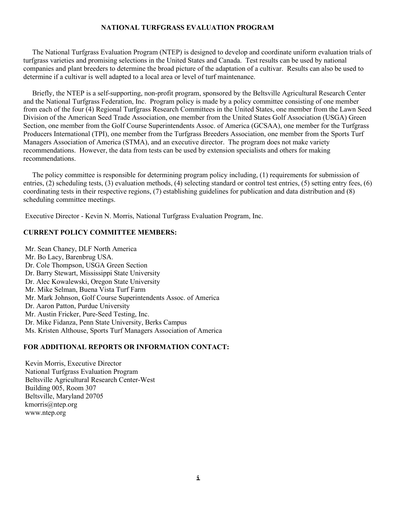### **NATIONAL TURFGRASS EVALUATION PROGRAM**

 The National Turfgrass Evaluation Program (NTEP) is designed to develop and coordinate uniform evaluation trials of turfgrass varieties and promising selections in the United States and Canada. Test results can be used by national companies and plant breeders to determine the broad picture of the adaptation of a cultivar. Results can also be used to determine if a cultivar is well adapted to a local area or level of turf maintenance.

 Briefly, the NTEP is a self-supporting, non-profit program, sponsored by the Beltsville Agricultural Research Center and the National Turfgrass Federation, Inc. Program policy is made by a policy committee consisting of one member from each of the four (4) Regional Turfgrass Research Committees in the United States, one member from the Lawn Seed Division of the American Seed Trade Association, one member from the United States Golf Association (USGA) Green Section, one member from the Golf Course Superintendents Assoc. of America (GCSAA), one member for the Turfgrass Producers International (TPI), one member from the Turfgrass Breeders Association, one member from the Sports Turf Managers Association of America (STMA), and an executive director. The program does not make variety recommendations. However, the data from tests can be used by extension specialists and others for making recommendations.

 The policy committee is responsible for determining program policy including, (1) requirements for submission of entries, (2) scheduling tests, (3) evaluation methods, (4) selecting standard or control test entries, (5) setting entry fees, (6) coordinating tests in their respective regions, (7) establishing guidelines for publication and data distribution and (8) scheduling committee meetings.

Executive Director - Kevin N. Morris, National Turfgrass Evaluation Program, Inc.

#### **CURRENT POLICY COMMITTEE MEMBERS:**

Mr. Sean Chaney, DLF North America Mr. Bo Lacy, Barenbrug USA. Dr. Cole Thompson, USGA Green Section Dr. Barry Stewart, Mississippi State University Dr. Alec Kowalewski, Oregon State University Mr. Mike Selman, Buena Vista Turf Farm Mr. Mark Johnson, Golf Course Superintendents Assoc. of America Dr. Aaron Patton, Purdue University Mr. Austin Fricker, Pure-Seed Testing, Inc. Dr. Mike Fidanza, Penn State University, Berks Campus Ms. Kristen Althouse, Sports Turf Managers Association of America

#### **FOR ADDITIONAL REPORTS OR INFORMATION CONTACT:**

Kevin Morris, Executive Director National Turfgrass Evaluation Program Beltsville Agricultural Research Center-West Building 005, Room 307 Beltsville, Maryland 20705 [kmorris@ntep.org](mailto:kmorris@ntep.org) www.ntep.org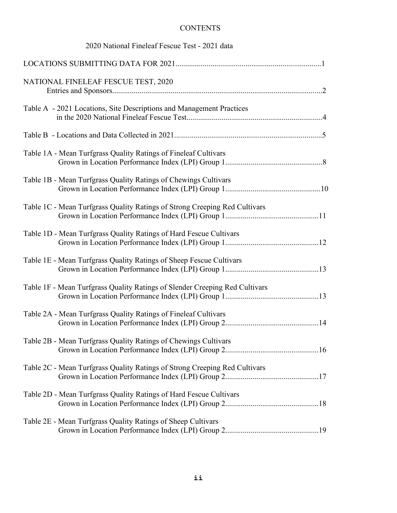### **CONTENTS**

| 2020 National Fineleaf Fescue Test - 2021 data                              |
|-----------------------------------------------------------------------------|
|                                                                             |
| NATIONAL FINELEAF FESCUE TEST, 2020                                         |
| Table A - 2021 Locations, Site Descriptions and Management Practices        |
|                                                                             |
| Table 1A - Mean Turfgrass Quality Ratings of Fineleaf Cultivars             |
| Table 1B - Mean Turfgrass Quality Ratings of Chewings Cultivars             |
| Table 1C - Mean Turfgrass Quality Ratings of Strong Creeping Red Cultivars  |
| Table 1D - Mean Turfgrass Quality Ratings of Hard Fescue Cultivars          |
| Table 1E - Mean Turfgrass Quality Ratings of Sheep Fescue Cultivars         |
| Table 1F - Mean Turfgrass Quality Ratings of Slender Creeping Red Cultivars |
| Table 2A - Mean Turfgrass Quality Ratings of Fineleaf Cultivars             |
| Table 2B - Mean Turfgrass Quality Ratings of Chewings Cultivars             |
| Table 2C - Mean Turfgrass Quality Ratings of Strong Creeping Red Cultivars  |
| Table 2D - Mean Turfgrass Quality Ratings of Hard Fescue Cultivars          |
| Table 2E - Mean Turfgrass Quality Ratings of Sheep Cultivars                |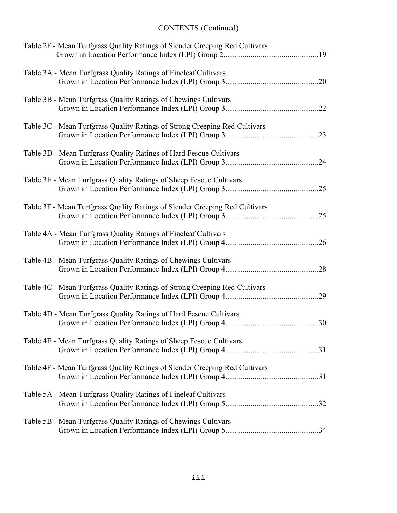| Table 2F - Mean Turfgrass Quality Ratings of Slender Creeping Red Cultivars |  |
|-----------------------------------------------------------------------------|--|
| Table 3A - Mean Turfgrass Quality Ratings of Fineleaf Cultivars             |  |
| Table 3B - Mean Turfgrass Quality Ratings of Chewings Cultivars             |  |
| Table 3C - Mean Turfgrass Quality Ratings of Strong Creeping Red Cultivars  |  |
| Table 3D - Mean Turfgrass Quality Ratings of Hard Fescue Cultivars          |  |
| Table 3E - Mean Turfgrass Quality Ratings of Sheep Fescue Cultivars         |  |
| Table 3F - Mean Turfgrass Quality Ratings of Slender Creeping Red Cultivars |  |
| Table 4A - Mean Turfgrass Quality Ratings of Fineleaf Cultivars             |  |
| Table 4B - Mean Turfgrass Quality Ratings of Chewings Cultivars             |  |
| Table 4C - Mean Turfgrass Quality Ratings of Strong Creeping Red Cultivars  |  |
| Table 4D - Mean Turfgrass Quality Ratings of Hard Fescue Cultivars          |  |
| Table 4E - Mean Turfgrass Quality Ratings of Sheep Fescue Cultivars         |  |
| Table 4F - Mean Turfgrass Quality Ratings of Slender Creeping Red Cultivars |  |
| Table 5A - Mean Turfgrass Quality Ratings of Fineleaf Cultivars             |  |
| Table 5B - Mean Turfgrass Quality Ratings of Chewings Cultivars             |  |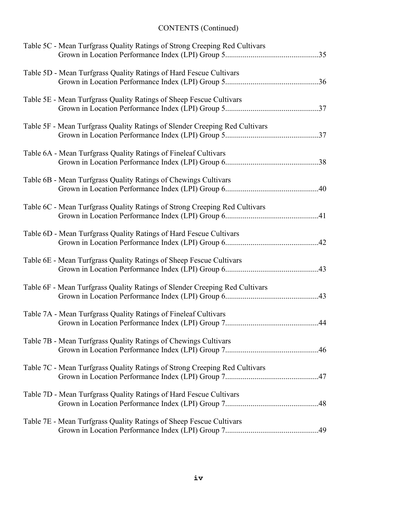| Table 5C - Mean Turfgrass Quality Ratings of Strong Creeping Red Cultivars  |  |
|-----------------------------------------------------------------------------|--|
| Table 5D - Mean Turfgrass Quality Ratings of Hard Fescue Cultivars          |  |
| Table 5E - Mean Turfgrass Quality Ratings of Sheep Fescue Cultivars         |  |
| Table 5F - Mean Turfgrass Quality Ratings of Slender Creeping Red Cultivars |  |
| Table 6A - Mean Turfgrass Quality Ratings of Fineleaf Cultivars             |  |
| Table 6B - Mean Turfgrass Quality Ratings of Chewings Cultivars             |  |
| Table 6C - Mean Turfgrass Quality Ratings of Strong Creeping Red Cultivars  |  |
| Table 6D - Mean Turfgrass Quality Ratings of Hard Fescue Cultivars          |  |
| Table 6E - Mean Turfgrass Quality Ratings of Sheep Fescue Cultivars         |  |
| Table 6F - Mean Turfgrass Quality Ratings of Slender Creeping Red Cultivars |  |
| Table 7A - Mean Turfgrass Quality Ratings of Fineleaf Cultivars             |  |
| Table 7B - Mean Turfgrass Quality Ratings of Chewings Cultivars             |  |
| Table 7C - Mean Turfgrass Quality Ratings of Strong Creeping Red Cultivars  |  |
| Table 7D - Mean Turfgrass Quality Ratings of Hard Fescue Cultivars          |  |
| Table 7E - Mean Turfgrass Quality Ratings of Sheep Fescue Cultivars         |  |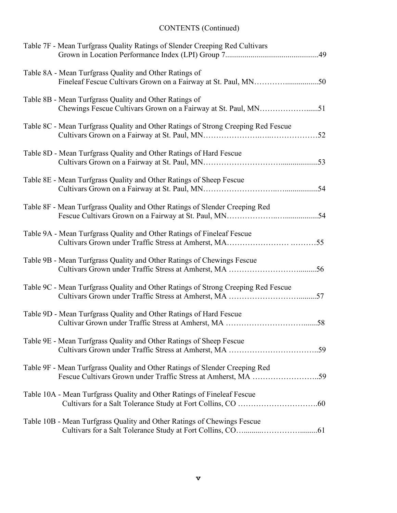| Table 7F - Mean Turfgrass Quality Ratings of Slender Creeping Red Cultivars                                                                  |
|----------------------------------------------------------------------------------------------------------------------------------------------|
| Table 8A - Mean Turfgrass Quality and Other Ratings of                                                                                       |
| Table 8B - Mean Turfgrass Quality and Other Ratings of                                                                                       |
| Table 8C - Mean Turfgrass Quality and Other Ratings of Strong Creeping Red Fescue                                                            |
| Table 8D - Mean Turfgrass Quality and Other Ratings of Hard Fescue                                                                           |
| Table 8E - Mean Turfgrass Quality and Other Ratings of Sheep Fescue                                                                          |
| Table 8F - Mean Turfgrass Quality and Other Ratings of Slender Creeping Red                                                                  |
| Table 9A - Mean Turfgrass Quality and Other Ratings of Fineleaf Fescue                                                                       |
| Table 9B - Mean Turfgrass Quality and Other Ratings of Chewings Fescue                                                                       |
| Table 9C - Mean Turfgrass Quality and Other Ratings of Strong Creeping Red Fescue                                                            |
| Table 9D - Mean Turfgrass Quality and Other Ratings of Hard Fescue                                                                           |
| Table 9E - Mean Turfgrass Quality and Other Ratings of Sheep Fescue                                                                          |
| Table 9F - Mean Turfgrass Quality and Other Ratings of Slender Creeping Red<br>Fescue Cultivars Grown under Traffic Stress at Amherst, MA 59 |
| Table 10A - Mean Turfgrass Quality and Other Ratings of Fineleaf Fescue                                                                      |
| Table 10B - Mean Turfgrass Quality and Other Ratings of Chewings Fescue                                                                      |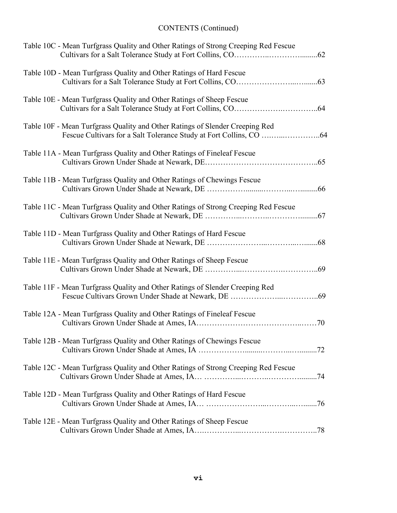| Table 10C - Mean Turfgrass Quality and Other Ratings of Strong Creeping Red Fescue |
|------------------------------------------------------------------------------------|
| Table 10D - Mean Turfgrass Quality and Other Ratings of Hard Fescue                |
| Table 10E - Mean Turfgrass Quality and Other Ratings of Sheep Fescue               |
| Table 10F - Mean Turfgrass Quality and Other Ratings of Slender Creeping Red       |
| Table 11A - Mean Turfgrass Quality and Other Ratings of Fineleaf Fescue            |
| Table 11B - Mean Turfgrass Quality and Other Ratings of Chewings Fescue            |
| Table 11C - Mean Turfgrass Quality and Other Ratings of Strong Creeping Red Fescue |
| Table 11D - Mean Turfgrass Quality and Other Ratings of Hard Fescue                |
| Table 11E - Mean Turfgrass Quality and Other Ratings of Sheep Fescue               |
| Table 11F - Mean Turfgrass Quality and Other Ratings of Slender Creeping Red       |
| Table 12A - Mean Turfgrass Quality and Other Ratings of Fineleaf Fescue            |
| Table 12B - Mean Turfgrass Quality and Other Ratings of Chewings Fescue            |
| Table 12C - Mean Turfgrass Quality and Other Ratings of Strong Creeping Red Fescue |
| Table 12D - Mean Turfgrass Quality and Other Ratings of Hard Fescue                |
| Table 12E - Mean Turfgrass Quality and Other Ratings of Sheep Fescue               |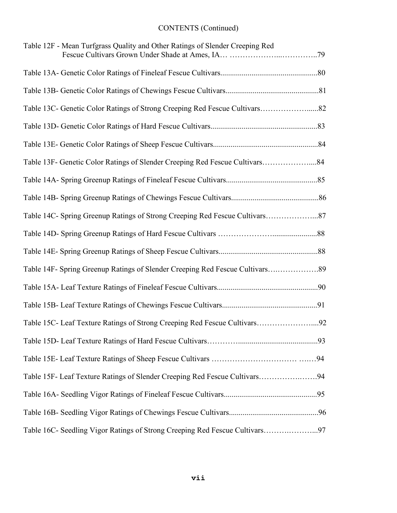| Table 12F - Mean Turfgrass Quality and Other Ratings of Slender Creeping Red  |  |
|-------------------------------------------------------------------------------|--|
|                                                                               |  |
|                                                                               |  |
| Table 13C- Genetic Color Ratings of Strong Creeping Red Fescue Cultivars82    |  |
|                                                                               |  |
|                                                                               |  |
| Table 13F- Genetic Color Ratings of Slender Creeping Red Fescue Cultivars84   |  |
|                                                                               |  |
|                                                                               |  |
| Table 14C- Spring Greenup Ratings of Strong Creeping Red Fescue Cultivars87   |  |
|                                                                               |  |
|                                                                               |  |
| Table 14F- Spring Greenup Ratings of Slender Creeping Red Fescue Cultivars 89 |  |
|                                                                               |  |
|                                                                               |  |
| Table 15C- Leaf Texture Ratings of Strong Creeping Red Fescue Cultivars92     |  |
|                                                                               |  |
|                                                                               |  |
| Table 15F- Leaf Texture Ratings of Slender Creeping Red Fescue Cultivars94    |  |
|                                                                               |  |
|                                                                               |  |
| Table 16C- Seedling Vigor Ratings of Strong Creeping Red Fescue Cultivars97   |  |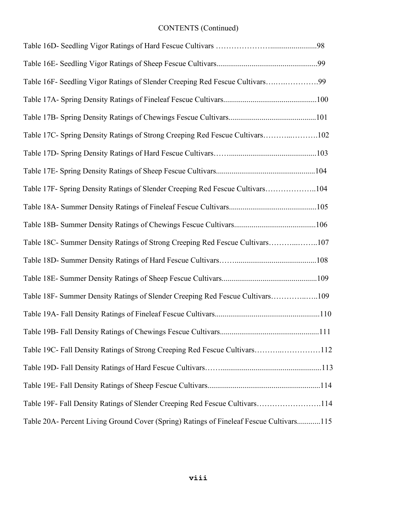| Table 16F- Seedling Vigor Ratings of Slender Creeping Red Fescue Cultivars99            |
|-----------------------------------------------------------------------------------------|
|                                                                                         |
|                                                                                         |
| Table 17C- Spring Density Ratings of Strong Creeping Red Fescue Cultivars102            |
|                                                                                         |
|                                                                                         |
| Table 17F- Spring Density Ratings of Slender Creeping Red Fescue Cultivars104           |
|                                                                                         |
|                                                                                         |
| Table 18C- Summer Density Ratings of Strong Creeping Red Fescue Cultivars107            |
|                                                                                         |
|                                                                                         |
| Table 18F- Summer Density Ratings of Slender Creeping Red Fescue Cultivars109           |
|                                                                                         |
|                                                                                         |
| Table 19C- Fall Density Ratings of Strong Creeping Red Fescue Cultivars112              |
|                                                                                         |
|                                                                                         |
| Table 19F- Fall Density Ratings of Slender Creeping Red Fescue Cultivars114             |
| Table 20A- Percent Living Ground Cover (Spring) Ratings of Fineleaf Fescue Cultivars115 |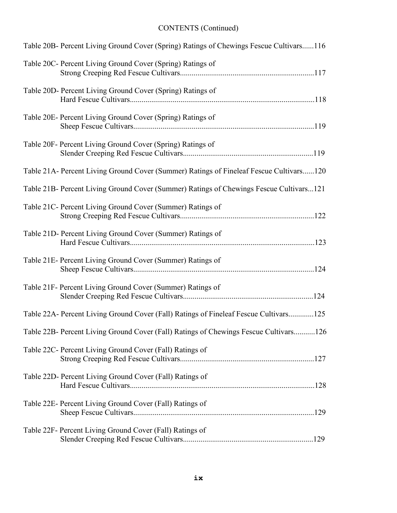| Table 20B- Percent Living Ground Cover (Spring) Ratings of Chewings Fescue Cultivars116 |
|-----------------------------------------------------------------------------------------|
| Table 20C- Percent Living Ground Cover (Spring) Ratings of                              |
| Table 20D- Percent Living Ground Cover (Spring) Ratings of                              |
| Table 20E- Percent Living Ground Cover (Spring) Ratings of                              |
| Table 20F- Percent Living Ground Cover (Spring) Ratings of                              |
| Table 21A- Percent Living Ground Cover (Summer) Ratings of Fineleaf Fescue Cultivars120 |
| Table 21B- Percent Living Ground Cover (Summer) Ratings of Chewings Fescue Cultivars121 |
| Table 21C- Percent Living Ground Cover (Summer) Ratings of                              |
| Table 21D- Percent Living Ground Cover (Summer) Ratings of                              |
| Table 21E- Percent Living Ground Cover (Summer) Ratings of                              |
| Table 21F- Percent Living Ground Cover (Summer) Ratings of                              |
| Table 22A- Percent Living Ground Cover (Fall) Ratings of Fineleaf Fescue Cultivars125   |
| Table 22B- Percent Living Ground Cover (Fall) Ratings of Chewings Fescue Cultivars126   |
| Table 22C- Percent Living Ground Cover (Fall) Ratings of                                |
| Table 22D- Percent Living Ground Cover (Fall) Ratings of                                |
| Table 22E- Percent Living Ground Cover (Fall) Ratings of                                |
| Table 22F- Percent Living Ground Cover (Fall) Ratings of                                |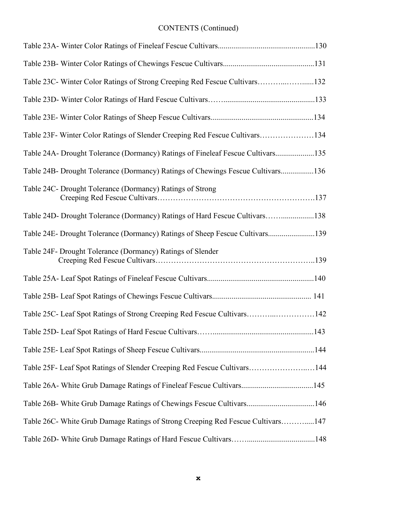| Table 23C- Winter Color Ratings of Strong Creeping Red Fescue Cultivars132      |  |
|---------------------------------------------------------------------------------|--|
|                                                                                 |  |
|                                                                                 |  |
| Table 23F- Winter Color Ratings of Slender Creeping Red Fescue Cultivars134     |  |
| Table 24A- Drought Tolerance (Dormancy) Ratings of Fineleaf Fescue Cultivars135 |  |
| Table 24B- Drought Tolerance (Dormancy) Ratings of Chewings Fescue Cultivars136 |  |
| Table 24C- Drought Tolerance (Dormancy) Ratings of Strong                       |  |
| Table 24D- Drought Tolerance (Dormancy) Ratings of Hard Fescue Cultivars138     |  |
| Table 24E- Drought Tolerance (Dormancy) Ratings of Sheep Fescue Cultivars139    |  |
| Table 24F- Drought Tolerance (Dormancy) Ratings of Slender                      |  |
|                                                                                 |  |
|                                                                                 |  |
| Table 25C- Leaf Spot Ratings of Strong Creeping Red Fescue Cultivars142         |  |
|                                                                                 |  |
|                                                                                 |  |
| Table 25F- Leaf Spot Ratings of Slender Creeping Red Fescue Cultivars144        |  |
| Table 26A- White Grub Damage Ratings of Fineleaf Fescue Cultivars145            |  |
| Table 26B- White Grub Damage Ratings of Chewings Fescue Cultivars146            |  |
| Table 26C- White Grub Damage Ratings of Strong Creeping Red Fescue Cultivars147 |  |
|                                                                                 |  |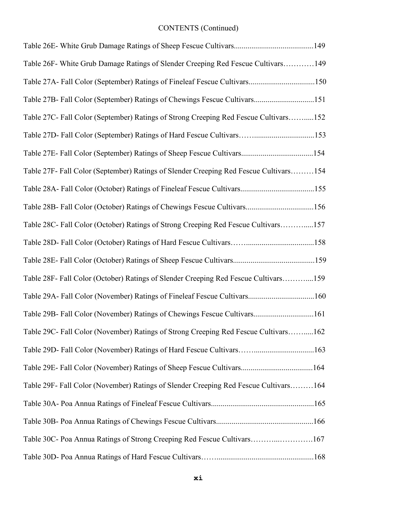| Table 26F- White Grub Damage Ratings of Slender Creeping Red Fescue Cultivars149      |  |
|---------------------------------------------------------------------------------------|--|
| Table 27A- Fall Color (September) Ratings of Fineleaf Fescue Cultivars150             |  |
| Table 27B- Fall Color (September) Ratings of Chewings Fescue Cultivars151             |  |
| Table 27C- Fall Color (September) Ratings of Strong Creeping Red Fescue Cultivars152  |  |
| Table 27D- Fall Color (September) Ratings of Hard Fescue Cultivars153                 |  |
| Table 27E- Fall Color (September) Ratings of Sheep Fescue Cultivars154                |  |
| Table 27F- Fall Color (September) Ratings of Slender Creeping Red Fescue Cultivars154 |  |
|                                                                                       |  |
| Table 28B- Fall Color (October) Ratings of Chewings Fescue Cultivars156               |  |
| Table 28C- Fall Color (October) Ratings of Strong Creeping Red Fescue Cultivars157    |  |
|                                                                                       |  |
|                                                                                       |  |
| Table 28F- Fall Color (October) Ratings of Slender Creeping Red Fescue Cultivars159   |  |
| Table 29A- Fall Color (November) Ratings of Fineleaf Fescue Cultivars160              |  |
| Table 29B- Fall Color (November) Ratings of Chewings Fescue Cultivars161              |  |
| Table 29C- Fall Color (November) Ratings of Strong Creeping Red Fescue Cultivars162   |  |
| Table 29D- Fall Color (November) Ratings of Hard Fescue Cultivars163                  |  |
| Table 29E- Fall Color (November) Ratings of Sheep Fescue Cultivars164                 |  |
| Table 29F- Fall Color (November) Ratings of Slender Creeping Red Fescue Cultivars164  |  |
|                                                                                       |  |
|                                                                                       |  |
| Table 30C- Poa Annua Ratings of Strong Creeping Red Fescue Cultivars167               |  |
|                                                                                       |  |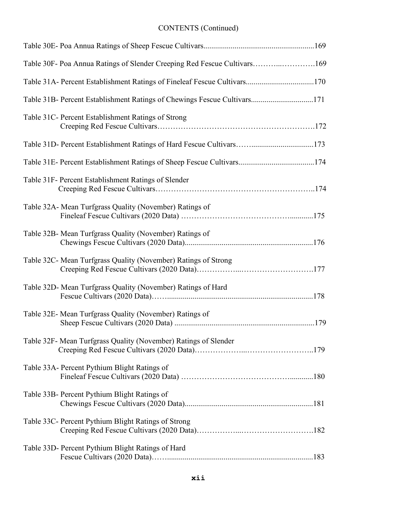| Table 30F- Poa Annua Ratings of Slender Creeping Red Fescue Cultivars169 |  |
|--------------------------------------------------------------------------|--|
| Table 31A- Percent Establishment Ratings of Fineleaf Fescue Cultivars170 |  |
| Table 31B- Percent Establishment Ratings of Chewings Fescue Cultivars171 |  |
| Table 31C- Percent Establishment Ratings of Strong                       |  |
| Table 31D- Percent Establishment Ratings of Hard Fescue Cultivars173     |  |
| Table 31E- Percent Establishment Ratings of Sheep Fescue Cultivars174    |  |
| Table 31F- Percent Establishment Ratings of Slender                      |  |
| Table 32A- Mean Turfgrass Quality (November) Ratings of                  |  |
| Table 32B- Mean Turfgrass Quality (November) Ratings of                  |  |
| Table 32C- Mean Turfgrass Quality (November) Ratings of Strong           |  |
| Table 32D- Mean Turfgrass Quality (November) Ratings of Hard             |  |
| Table 32E- Mean Turfgrass Quality (November) Ratings of                  |  |
| Table 32F- Mean Turfgrass Quality (November) Ratings of Slender          |  |
| Table 33A- Percent Pythium Blight Ratings of                             |  |
| Table 33B- Percent Pythium Blight Ratings of                             |  |
| Table 33C- Percent Pythium Blight Ratings of Strong                      |  |
| Table 33D- Percent Pythium Blight Ratings of Hard                        |  |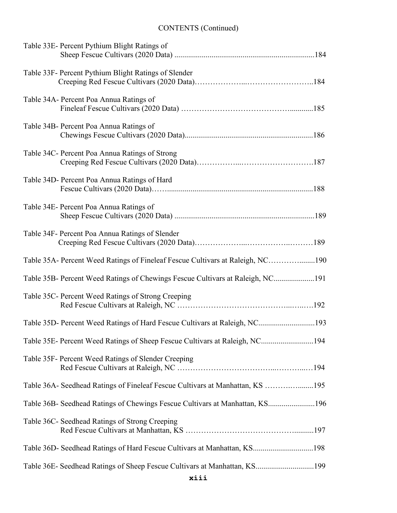| Table 33E- Percent Pythium Blight Ratings of                                   |
|--------------------------------------------------------------------------------|
| Table 33F- Percent Pythium Blight Ratings of Slender                           |
| Table 34A- Percent Poa Annua Ratings of                                        |
| Table 34B- Percent Poa Annua Ratings of                                        |
| Table 34C- Percent Poa Annua Ratings of Strong                                 |
| Table 34D- Percent Poa Annua Ratings of Hard                                   |
| Table 34E- Percent Poa Annua Ratings of                                        |
| Table 34F- Percent Poa Annua Ratings of Slender                                |
| Table 35A- Percent Weed Ratings of Fineleaf Fescue Cultivars at Raleigh, NC190 |
| Table 35B- Percent Weed Ratings of Chewings Fescue Cultivars at Raleigh, NC191 |
| Table 35C- Percent Weed Ratings of Strong Creeping                             |
| Table 35D- Percent Weed Ratings of Hard Fescue Cultivars at Raleigh, NC193     |
| Table 35E- Percent Weed Ratings of Sheep Fescue Cultivars at Raleigh, NC194    |
| Table 35F- Percent Weed Ratings of Slender Creeping                            |
| Table 36A- Seedhead Ratings of Fineleaf Fescue Cultivars at Manhattan, KS 195  |
| Table 36B- Seedhead Ratings of Chewings Fescue Cultivars at Manhattan, KS196   |
| Table 36C- Seedhead Ratings of Strong Creeping                                 |
| Table 36D- Seedhead Ratings of Hard Fescue Cultivars at Manhattan, KS198       |
| Table 36E- Seedhead Ratings of Sheep Fescue Cultivars at Manhattan, KS199      |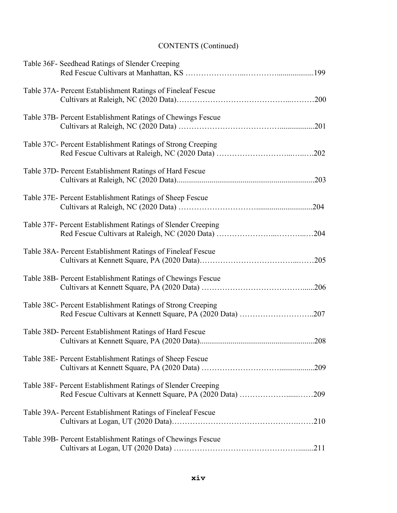| Table 36F- Seedhead Ratings of Slender Creeping                                                                            |
|----------------------------------------------------------------------------------------------------------------------------|
| Table 37A- Percent Establishment Ratings of Fineleaf Fescue                                                                |
| Table 37B- Percent Establishment Ratings of Chewings Fescue                                                                |
| Table 37C- Percent Establishment Ratings of Strong Creeping                                                                |
| Table 37D- Percent Establishment Ratings of Hard Fescue                                                                    |
| Table 37E- Percent Establishment Ratings of Sheep Fescue                                                                   |
| Table 37F- Percent Establishment Ratings of Slender Creeping                                                               |
| Table 38A- Percent Establishment Ratings of Fineleaf Fescue                                                                |
| Table 38B- Percent Establishment Ratings of Chewings Fescue                                                                |
| Table 38C- Percent Establishment Ratings of Strong Creeping<br>Red Fescue Cultivars at Kennett Square, PA (2020 Data) 207  |
| Table 38D- Percent Establishment Ratings of Hard Fescue                                                                    |
| Table 38E- Percent Establishment Ratings of Sheep Fescue                                                                   |
| Table 38F- Percent Establishment Ratings of Slender Creeping<br>Red Fescue Cultivars at Kennett Square, PA (2020 Data) 209 |
| Table 39A- Percent Establishment Ratings of Fineleaf Fescue                                                                |
| Table 39B- Percent Establishment Ratings of Chewings Fescue                                                                |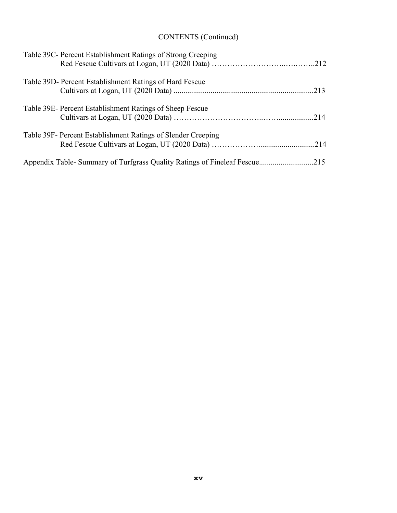| Table 39C- Percent Establishment Ratings of Strong Creeping                |  |
|----------------------------------------------------------------------------|--|
| Table 39D- Percent Establishment Ratings of Hard Fescue                    |  |
| Table 39E- Percent Establishment Ratings of Sheep Fescue                   |  |
| Table 39F- Percent Establishment Ratings of Slender Creeping               |  |
| Appendix Table- Summary of Turfgrass Quality Ratings of Fineleaf Fescue215 |  |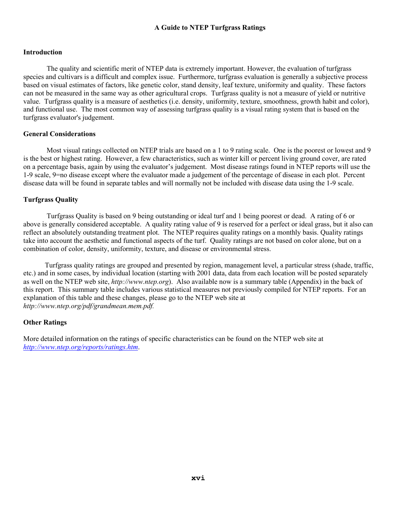### **A Guide to NTEP Turfgrass Ratings**

### **Introduction**

The quality and scientific merit of NTEP data is extremely important. However, the evaluation of turfgrass species and cultivars is a difficult and complex issue. Furthermore, turfgrass evaluation is generally a subjective process based on visual estimates of factors, like genetic color, stand density, leaf texture, uniformity and quality. These factors can not be measured in the same way as other agricultural crops. Turfgrass quality is not a measure of yield or nutritive value. Turfgrass quality is a measure of aesthetics (i.e. density, uniformity, texture, smoothness, growth habit and color), and functional use. The most common way of assessing turfgrass quality is a visual rating system that is based on the turfgrass evaluator's judgement.

#### **General Considerations**

Most visual ratings collected on NTEP trials are based on a 1 to 9 rating scale. One is the poorest or lowest and 9 is the best or highest rating. However, a few characteristics, such as winter kill or percent living ground cover, are rated on a percentage basis, again by using the evaluator's judgement. Most disease ratings found in NTEP reports will use the 1-9 scale, 9=no disease except where the evaluator made a judgement of the percentage of disease in each plot. Percent disease data will be found in separate tables and will normally not be included with disease data using the 1-9 scale.

### **Turfgrass Quality**

 Turfgrass Quality is based on 9 being outstanding or ideal turf and 1 being poorest or dead. A rating of 6 or above is generally considered acceptable. A quality rating value of 9 is reserved for a perfect or ideal grass, but it also can reflect an absolutely outstanding treatment plot. The NTEP requires quality ratings on a monthly basis. Quality ratings take into account the aesthetic and functional aspects of the turf. Quality ratings are not based on color alone, but on a combination of color, density, uniformity, texture, and disease or environmental stress.

 Turfgrass quality ratings are grouped and presented by region, management level, a particular stress (shade, traffic, etc.) and in some cases, by individual location (starting with 2001 data, data from each location will be posted separately as well on the NTEP web site, *http://www.ntep.org*). Also available now is a summary table (Appendix) in the back of this report. This summary table includes various statistical measures not previously compiled for NTEP reports. For an explanation of this table and these changes, please go to the NTEP web site at *http://www.ntep.org/pdf/grandmean.mem.pdf.*

### **Other Ratings**

More detailed information on the ratings of specific characteristics can be found on the NTEP web site at *[http://www.ntep.org/reports/ratings.htm](http://www.ntep.org/reports/ratings.htm.)*.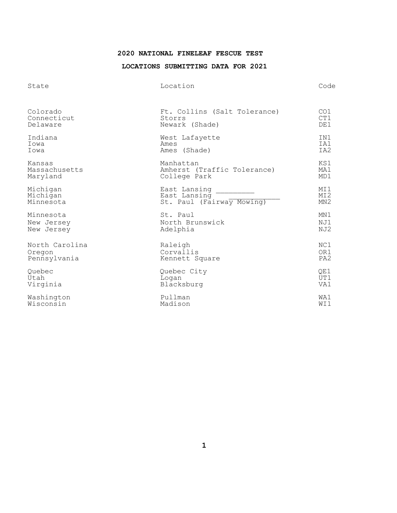### **<sup>2020</sup> NATIONAL FINELEAF FESCUE TEST**

### **LOCATIONS SUBMITTING DATA FOR 2021**

| State          | Location                     | Code            |
|----------------|------------------------------|-----------------|
| Colorado       | Ft. Collins (Salt Tolerance) | CO1             |
| Connecticut    | Storrs                       | CT1             |
| Delaware       | Newark (Shade)               | DE1             |
| Indiana        | West Lafayette               | IN1             |
| Iowa           | Ames                         | IA1             |
| Iowa           | Ames (Shade)                 | IA2             |
| Kansas         | Manhattan                    | KS1             |
| Massachusetts  | Amherst (Traffic Tolerance)  | MA1             |
| Maryland       | College Park                 | MD1             |
| Michigan       | East Lansing                 | MI1             |
| Michigan       | East Lansing                 | MI <sub>2</sub> |
| Minnesota      | St. Paul (Fairway Mowing)    | MN2             |
| Minnesota      | St. Paul                     | MN1             |
| New Jersey     | North Brunswick              | NJ1             |
| New Jersey     | Adelphia                     | NJ2             |
| North Carolina | Raleigh                      | NC1             |
| Oregon         | Corvallis                    | OR1             |
| Pennsylvania   | Kennett Square               | PA <sub>2</sub> |
| Ouebec         | Quebec City                  | OE1             |
| Utah           | Logan                        | UT1             |
| Virginia       | Blacksburg                   | VA1             |
| Washington     | Pullman                      | WA1             |
| Wisconsin      | Madison                      | WI1             |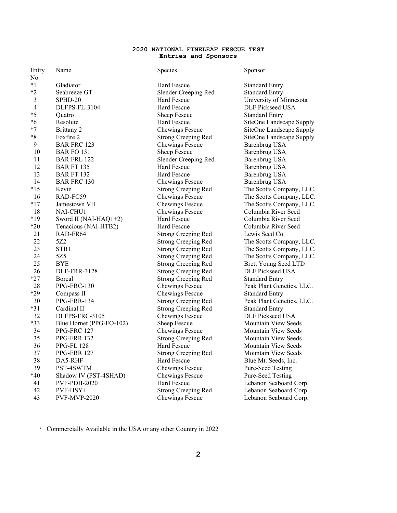#### **2020 NATIONAL FINELEAF FESCUE TEST Entries and Sponsors**

| Entry          | Name                     | Species                    | Sponsor                     |
|----------------|--------------------------|----------------------------|-----------------------------|
| No             |                          |                            |                             |
| $*1$           | Gladiator                | Hard Fescue                | <b>Standard Entry</b>       |
| $*2$           | Seabreeze GT             | Slender Creeping Red       | <b>Standard Entry</b>       |
| $\mathfrak{Z}$ | SPHD-20                  | Hard Fescue                | University of Minnesota     |
| $\overline{4}$ | DLFPS-FL-3104            | Hard Fescue                | DLF Pickseed USA            |
| $*5$           | Quatro                   | Sheep Fescue               | <b>Standard Entry</b>       |
| *6             | Resolute                 | Hard Fescue                | SiteOne Landscape Supply    |
| $*7$           | Brittany 2               | Chewings Fescue            | SiteOne Landscape Supply    |
| $*8$           | Foxfire 2                | <b>Strong Creeping Red</b> | SiteOne Landscape Supply    |
| 9              | <b>BAR FRC 123</b>       | Chewings Fescue            | Barenbrug USA               |
| 10             | <b>BAR FO 131</b>        | Sheep Fescue               | <b>Barenbrug USA</b>        |
| 11             | <b>BAR FRL 122</b>       | Slender Creeping Red       | <b>Barenbrug USA</b>        |
| 12             | <b>BAR FT 135</b>        | Hard Fescue                | <b>Barenbrug USA</b>        |
| 13             | <b>BAR FT 132</b>        | Hard Fescue                | Barenbrug USA               |
| 14             | <b>BAR FRC 130</b>       | Chewings Fescue            | Barenbrug USA               |
| $*15$          | Kevin                    | <b>Strong Creeping Red</b> | The Scotts Company, LLC.    |
| 16             | RAD-FC59                 | Chewings Fescue            | The Scotts Company, LLC.    |
| $*17$          | Jamestown VII            | Chewings Fescue            | The Scotts Company, LLC.    |
| 18             | NAI-CHU1                 | Chewings Fescue            | Columbia River Seed         |
| $*19$          | Sword II (NAI-HAQ1+2)    | Hard Fescue                | Columbia River Seed         |
| $*20$          | Tenacious (NAI-HTB2)     | Hard Fescue                | Columbia River Seed         |
| 21             | RAD-FR64                 | <b>Strong Creeping Red</b> | Lewis Seed Co.              |
| 22             | 5Z2                      | <b>Strong Creeping Red</b> | The Scotts Company, LLC.    |
| 23             | STB1                     | <b>Strong Creeping Red</b> | The Scotts Company, LLC.    |
| 24             | 5Z5                      | <b>Strong Creeping Red</b> | The Scotts Company, LLC.    |
| 25             | <b>BYE</b>               | <b>Strong Creeping Red</b> | <b>Brett Young Seed LTD</b> |
| 26             | <b>DLF-FRR-3128</b>      | <b>Strong Creeping Red</b> | <b>DLF Pickseed USA</b>     |
| $*27$          | Boreal                   | <b>Strong Creeping Red</b> | <b>Standard Entry</b>       |
| 28             | PPG-FRC-130              | Chewings Fescue            | Peak Plant Genetics, LLC.   |
| *29            | Compass II               | Chewings Fescue            | <b>Standard Entry</b>       |
| 30             | PPG-FRR-134              | <b>Strong Creeping Red</b> | Peak Plant Genetics, LLC.   |
| $*31$          | Cardinal II              | <b>Strong Creeping Red</b> | <b>Standard Entry</b>       |
| 32             | DLFPS-FRC-3105           | Chewings Fescue            | <b>DLF Pickseed USA</b>     |
| *33            | Blue Hornet (PPG-FO-102) | Sheep Fescue               | Mountain View Seeds         |
| 34             | PPG-FRC 127              | Chewings Fescue            | Mountain View Seeds         |
| 35             | PPG-FRR 132              | Strong Creeping Red        | Mountain View Seeds         |
| 36             | PPG-FL 128               | Hard Fescue                | Mountain View Seeds         |
| 37             | PPG-FRR 127              | <b>Strong Creeping Red</b> | <b>Mountain View Seeds</b>  |
| 38             | DA5-RHF                  | <b>Hard Fescue</b>         | Blue Mt. Seeds, Inc.        |
| 39             | PST-4SWTM                | Chewings Fescue            | Pure-Seed Testing           |
| $*40$          | Shadow IV (PST-4SHAD)    | Chewings Fescue            | <b>Pure-Seed Testing</b>    |
| 41             | PVF-PDB-2020             | Hard Fescue                | Lebanon Seaboard Corp.      |
| 42             | $PVF-HSY+$               | <b>Strong Creeping Red</b> | Lebanon Seaboard Corp.      |
| 43             | <b>PVF-MVP-2020</b>      | Chewings Fescue            | Lebanon Seaboard Corp.      |

\* Commercially Available in the USA or any other Country in 2022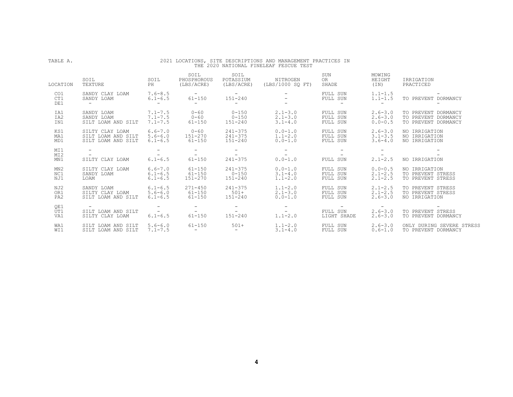| TABLE A.                      | 2021 LOCATIONS, SITE DESCRIPTIONS AND MANAGEMENT PRACTICES IN<br>THE 2020 NATIONAL FINELEAF FESCUE TEST |                                                           |                                                                     |                                                   |                                            |                                   |                                               |                                                                   |  |  |
|-------------------------------|---------------------------------------------------------------------------------------------------------|-----------------------------------------------------------|---------------------------------------------------------------------|---------------------------------------------------|--------------------------------------------|-----------------------------------|-----------------------------------------------|-------------------------------------------------------------------|--|--|
| LOCATION                      | SOIL<br>TEXTURE                                                                                         | SOIL<br>PH                                                | SOIL<br>PHOSPHOROUS<br>(LBS/ACRE)                                   | SOIL<br>POTASSIUM<br>(LBS/ACRE)                   | NITROGEN<br>(LBS/1000 SO FT)               | SUN<br>OR<br>SHADE                | MOWING<br>HEIGHT<br>(TN)                      | IRRIGATION<br>PRACTICED                                           |  |  |
| CO1<br>CT1<br>DE1             | SANDY CLAY LOAM<br>SANDY LOAM<br>$\sim$                                                                 | $7.6 - 8.5$<br>$6.1 - 6.5$<br><b>Service</b>              | <b>Contract Contract Contract</b><br>$61 - 150$<br>$\sim$ 100 $\mu$ | and the company of<br>151-240<br>$\sim$ 100 $\mu$ |                                            | FULL SUN<br>FULL SUN<br>$\sim$    | $1.1 - 1.5$<br>$1.1 - 1.5$<br>$\sim$          | TO PREVENT DORMANCY                                               |  |  |
| IA1<br>IA2<br>IN1             | SANDY LOAM<br>SANDY LOAM<br>SILT LOAM AND SILT                                                          | $7.1 - 7.5$<br>$7.1 - 7.5$<br>$7.1 - 7.5$                 | $0 - 60$<br>$0 - 60$<br>$61 - 150$                                  | $0 - 150$<br>$0 - 150$<br>151-240                 | $2.1 - 3.0$<br>$2.1 - 3.0$<br>$3.1 - 4.0$  | FULL SUN<br>FULL SUN<br>FULL SUN  | $2.6 - 3.0$<br>$2.6 - 3.0$<br>$0.0 - 0.5$     | TO PREVENT DORMANCY<br>TO PREVENT DORMANCY<br>TO PREVENT DORMANCY |  |  |
| KS1<br>MA1<br>MD1             | SILTY CLAY LOAM<br>SILT LOAM AND SILT<br>SILT LOAM AND SILT                                             | $6.6 - 7.0$<br>$5.6 - 6.0$<br>$6.1 - 6.5$                 | $0 - 60$<br>151-270<br>$61 - 150$                                   | $241 - 375$<br>$241 - 375$<br>151-240             | $0.0 - 1.0$<br>$1.1 - 2.0$<br>$0.0 - 1.0$  | FULL SUN<br>FULL SUN<br>FULL SUN  | $2.6 - 3.0$<br>$3.1 - 3.5$<br>$3.6 - 4.0$     | NO IRRIGATION<br>NO IRRIGATION<br>NO IRRIGATION                   |  |  |
| MI1<br>MI <sub>2</sub><br>MN1 | $\overline{\phantom{0}}$<br>$\sim$<br>SILTY CLAY LOAM                                                   | $\overline{\phantom{0}}$<br>the control of<br>$6.1 - 6.5$ | $-$<br>$\sim$ 100 $\sim$<br>$61 - 150$                              | $\sim$ 100 $\mu$<br><b>Service</b><br>$241 - 375$ | $\sim$<br>$\sim$ $-$<br>$0.0 - 1.0$        | $\sim$<br>FULL SUN                | $\overline{\phantom{0}}$<br>$2, 1 - 2, 5$     | NO IRRIGATION                                                     |  |  |
| MN2<br>NC1<br>NJ1             | SILTY CLAY LOAM<br>SANDY LOAM<br>LOAM                                                                   | $6.6 - 7.0$<br>$6.1 - 6.5$<br>$6.1 - 6.5$                 | $61 - 150$<br>$61 - 150$<br>$151 - 270$                             | $241 - 375$<br>$0 - 150$<br>$151 - 240$           | $0.0 - 1.0$<br>$3.1 - 4.0$<br>$1.1 - 2.0$  | FULL SUN<br>FULL SUN<br>FULL SUN  | $0.0 - 0.5$<br>$2, 1 - 2, 5$<br>$2.1 - 2.5$   | NO IRRIGATION<br>TO PREVENT STRESS<br>TO PREVENT STRESS           |  |  |
| NJ2<br>OR1<br>PA <sub>2</sub> | SANDY LOAM<br>SILTY CLAY LOAM<br>SILT LOAM AND SILT                                                     | $6.1 - 6.5$<br>$5.6 - 6.0$<br>$6.1 - 6.5$                 | $271 - 450$<br>$61 - 150$<br>$61 - 150$                             | $241 - 375$<br>$501+$<br>151-240                  | $1.1 - 2.0$<br>$2.1 - 3.0$<br>$0.0 - 1.0$  | FULL SUN<br>FULL SUN<br>FULL SUN  | $2, 1 - 2, 5$<br>$2, 1 - 2, 5$<br>$2.6 - 3.0$ | TO PREVENT STRESS<br>TO PREVENT STRESS<br>NO IRRIGATION           |  |  |
| QE1<br>UT1<br>VA1             | SILT LOAM AND SILT<br>SILTY CLAY LOAM                                                                   | and the state of the<br>$6.1 - 6.5$                       | $-$<br>$\sim$ $-$<br>$61 - 150$                                     | $\sim$<br>$ -$<br>$151 - 240$                     | $\sim$ $\sim$<br>$\sim$ $-$<br>$1.1 - 2.0$ | $\sim$<br>FULL SUN<br>LIGHT SHADE | $-$<br>$2.6 - 3.0$<br>$2.6 - 3.0$             | TO PREVENT STRESS<br>TO PREVENT DORMANCY                          |  |  |
| WA1<br>WI1                    | SILT LOAM AND SILT<br>SILT LOAM AND SILT                                                                | $5.6 - 6.0$<br>$7.1 - 7.5$                                | $61 - 150$<br>and the control of                                    | $501+$<br>$\sim$                                  | $1.1 - 2.0$<br>$3.1 - 4.0$                 | FULL SUN<br>FULL SUN              | $2.6 - 3.0$<br>$0.6 - 1.0$                    | ONLY DURING SEVERE STRESS<br>TO PREVENT DORMANCY                  |  |  |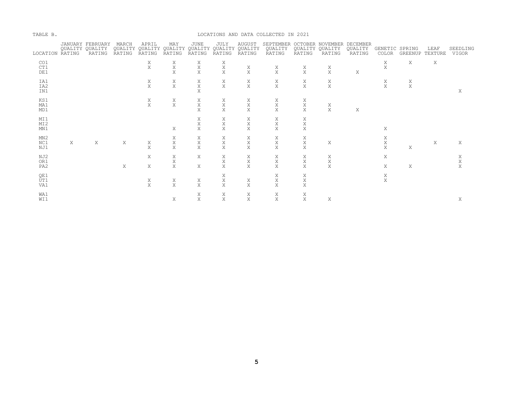| TABLE B.                      |   |                                               |                 |                    |                                          |                                           |                       |                         | LOCATIONS AND DATA COLLECTED IN 2021                     |                                  |                       |                   |                         |                    |      |                       |
|-------------------------------|---|-----------------------------------------------|-----------------|--------------------|------------------------------------------|-------------------------------------------|-----------------------|-------------------------|----------------------------------------------------------|----------------------------------|-----------------------|-------------------|-------------------------|--------------------|------|-----------------------|
| LOCATION RATING               |   | JANUARY FEBRUARY<br>OUALITY OUALITY<br>RATING | MARCH<br>RATING | APRIL<br>RATING    | MAY<br>QUALITY QUALITY QUALITY<br>RATING | JUNE<br>QUALITY QUALITY QUALITY<br>RATING | JULY<br>RATING        | <b>AUGUST</b><br>RATING | SEPTEMBER OCTOBER NOVEMBER DECEMBER<br>QUALITY<br>RATING | <b>OUALITY OUALITY</b><br>RATING | RATING                | QUALITY<br>RATING | GENETIC SPRING<br>COLOR | GREENUP TEXTURE    | LEAF | SEEDLING<br>VIGOR     |
| CO1<br>CT1<br>DE1             |   |                                               |                 | X<br>X             | Χ<br>Χ<br>X                              | X<br>X<br>X                               | Χ<br>Χ<br>X           | Χ<br>X                  | Χ<br>X                                                   | X<br>X                           | Χ<br>X                | X                 | X<br>X                  | X                  | Χ    |                       |
| IA1<br>IA2<br>IN1             |   |                                               |                 | $_{\rm X}^{\rm X}$ | $_{\rm X}^{\rm X}$                       | Χ<br>Χ<br>X                               | $_{\rm X}^{\rm X}$    | $_{\rm X}^{\rm X}$      | X<br>X                                                   | X<br>X                           | X<br>X                |                   | $_{\rm X}^{\rm X}$      | $_{\rm X}^{\rm X}$ |      | X                     |
| KS1<br>MA1<br>MD1             |   |                                               |                 | $_{\rm X}^{\rm X}$ | $_{\rm X}^{\rm X}$                       | Χ<br>X<br>X                               | X<br>$\mathbf X$<br>X | Χ<br>$\mathbf X$<br>X   | Χ<br>$\rm X$<br>X                                        | Χ<br>$\rm X$<br>X                | Χ<br>X                | X                 |                         |                    |      |                       |
| MI1<br>MI2<br>MN1             |   |                                               |                 |                    | X                                        | X<br>Χ<br>Χ                               | Χ<br>X<br>Χ           | Χ<br>X<br>X             | Χ<br>Χ<br>Χ                                              | Χ<br>X<br>Χ                      |                       |                   | Χ                       |                    |      |                       |
| MN2<br>NC1<br>NJ1             | X | $\mathbf X$                                   | X               | Χ<br>X             | Χ<br>$\mathbf X$<br>X                    | X<br>$\mathbf X$<br>X                     | Χ<br>$\mathbf X$<br>X | Χ<br>$\mathbf X$<br>X   | Χ<br>Χ<br>X                                              | Χ<br>X<br>Χ                      | X                     |                   | Χ<br>$\mathbf X$<br>X   | X                  | Χ    | Χ                     |
| NJ2<br>OR1<br>PA <sub>2</sub> |   |                                               | $\mathbf{X}$    | Χ<br>X             | Χ<br>Χ<br>X                              | Χ<br>X                                    | Χ<br>Χ<br>X           | Χ<br>Χ<br>X             | Χ<br>X<br>X                                              | X<br>Χ<br>X                      | Χ<br>$\mathbf X$<br>X |                   | X<br>X                  | Χ                  |      | Χ<br>$\mathbf X$<br>X |
| QE1<br>UT1<br>VA1             |   |                                               |                 | X<br>X             | X<br>X                                   | X<br>X                                    | X<br>Χ<br>X           | X<br>X                  | Χ<br>X<br>X                                              | Χ<br>$\mathbf X$<br>Χ            |                       |                   | Χ<br>$\mathbf X$        |                    |      |                       |
| WA1<br>WI1                    |   |                                               |                 |                    | Χ                                        | Χ<br>Χ                                    | Χ<br>X                | Χ<br>Χ                  | X<br>X                                                   | Χ<br>Χ                           | Χ                     |                   |                         |                    |      | Χ                     |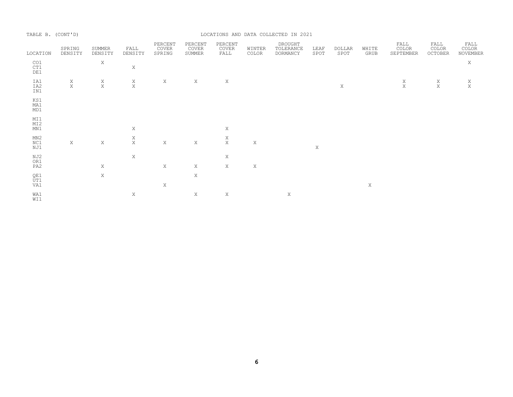| TABLE B. (CONT'D) |                    |                    |                    |                            |                            |                          |                 | LOCATIONS AND DATA COLLECTED IN 2021 |              |                       |               |                            |                          |                           |
|-------------------|--------------------|--------------------|--------------------|----------------------------|----------------------------|--------------------------|-----------------|--------------------------------------|--------------|-----------------------|---------------|----------------------------|--------------------------|---------------------------|
| LOCATION          | SPRING<br>DENSITY  | SUMMER<br>DENSITY  | FALL<br>DENSITY    | PERCENT<br>COVER<br>SPRING | PERCENT<br>COVER<br>SUMMER | PERCENT<br>COVER<br>FALL | WINTER<br>COLOR | DROUGHT<br>TOLERANCE<br>DORMANCY     | LEAF<br>SPOT | <b>DOLLAR</b><br>SPOT | WHITE<br>GRUB | FALL<br>COLOR<br>SEPTEMBER | FALL<br>COLOR<br>OCTOBER | FALL<br>COLOR<br>NOVEMBER |
| CO1<br>CT1<br>DE1 |                    | X                  | $\mathbf X$        |                            |                            |                          |                 |                                      |              |                       |               |                            |                          | $\mathbf X$               |
| IA1<br>IA2<br>IN1 | $_{\rm X}^{\rm X}$ | $_{\rm X}^{\rm X}$ | $_{\rm X}^{\rm X}$ | X                          | X                          | Χ                        |                 |                                      |              | X                     |               | $_{\rm X}^{\rm X}$         | $_{\rm X}^{\rm X}$       | $_{\rm X}^{\rm X}$        |
| KS1<br>MA1<br>MD1 |                    |                    |                    |                            |                            |                          |                 |                                      |              |                       |               |                            |                          |                           |
| MI1<br>MI2<br>MN1 |                    |                    | X                  |                            |                            | Χ                        |                 |                                      |              |                       |               |                            |                          |                           |
| MN2<br>NC1<br>NJ1 | $\mathbf X$        | X                  | $_{\rm X}^{\rm X}$ | $\mathbf X$                | $\mathbf X$                | $_{\rm X}^{\rm X}$       | $\mathbf X$     |                                      | $\mathbf X$  |                       |               |                            |                          |                           |
| NJ2<br>OR1<br>PA2 |                    | X                  | Χ                  | $\mathbf X$                | $\mathbf X$                | $\mathbf X$<br>X         | X               |                                      |              |                       |               |                            |                          |                           |
| QE1<br>ŪT1<br>VA1 |                    | X                  |                    | X                          | $\mathbf X$                |                          |                 |                                      |              |                       | Χ             |                            |                          |                           |
| WA1<br>WI1        |                    |                    | Χ                  |                            | X                          | Χ                        |                 | X                                    |              |                       |               |                            |                          |                           |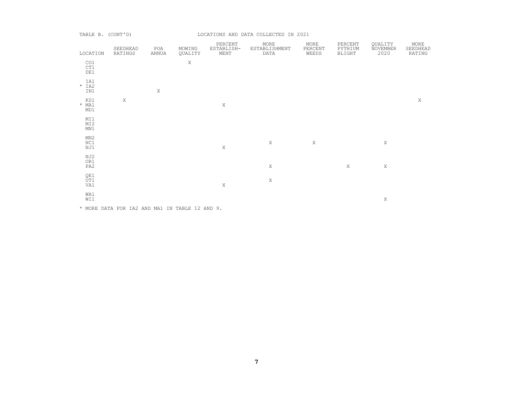#### TABLE B. (CONT'D) **EXECUTE:** LOCATIONS AND DATA COLLECTED IN 2021

| LOCATION              | SEEDHEAD<br>RATINGS                            | POA<br>ANNUA | MOWING<br>QUALITY | PERCENT<br>ESTABLISH-<br>MENT | MORE<br>ESTABLISHMENT<br>DATA | MORE<br>PERCENT<br>WEEDS | PERCENT<br>PYTHIUM<br>BLIGHT | QUALITY<br>NOVEMBER<br>2020 | MORE<br>SEEDHEAD<br>RATING |
|-----------------------|------------------------------------------------|--------------|-------------------|-------------------------------|-------------------------------|--------------------------|------------------------------|-----------------------------|----------------------------|
| CO1<br>CT1<br>DE1     |                                                |              | Χ                 |                               |                               |                          |                              |                             |                            |
| IA1<br>$*$ IA2<br>IN1 |                                                | $\mathbf X$  |                   |                               |                               |                          |                              |                             |                            |
| KS1<br>$*$ MA1<br>MD1 | X                                              |              |                   | $\,$ X                        |                               |                          |                              |                             | X                          |
| MI1<br>MI2<br>MN1     |                                                |              |                   |                               |                               |                          |                              |                             |                            |
| MN2<br>NC1<br>NJ1     |                                                |              |                   | $\mathbf X$                   | $\mathbf X$                   | $\mathbf X$              |                              | $\mathbf X$                 |                            |
| NJ2<br>OR1<br>PA2     |                                                |              |                   |                               | $\mathbf X$                   |                          | $\mathbf X$                  | Χ                           |                            |
| QE1<br>UT1<br>VA1     |                                                |              |                   | $\mathbf X$                   | X                             |                          |                              |                             |                            |
| WA1<br>WI1            |                                                |              |                   |                               |                               |                          |                              | Χ                           |                            |
|                       | * MORE DATA FOR IA2 AND MA1 IN TABLE 12 AND 9. |              |                   |                               |                               |                          |                              |                             |                            |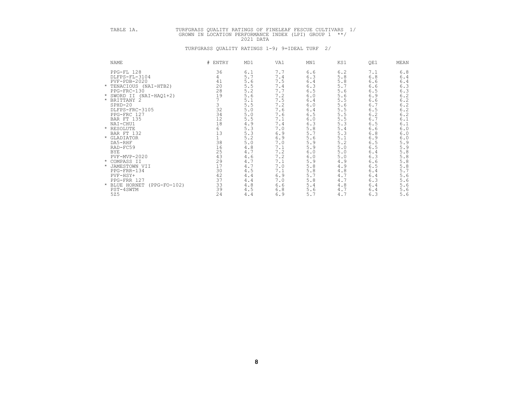# TABLE 1A. TURFGRASS QUALITY RATINGS OF FINELEAF FESCUE CULTIVARS 1/<br>GROWN IN LOCATION PERFORMANCE INDEX (LPI) GROUP 1 \*\*/<br>2021 DATA

| <b>NAME</b>                   | # ENTRY | MD1   | VA1         | MN1 | KS1   | QE1   | MEAN                    |
|-------------------------------|---------|-------|-------------|-----|-------|-------|-------------------------|
| PPG-FL 128                    | 36      | 6.1   | 7.7         | 6.6 | 6.2   | 7.1   | 6.8                     |
| DLFPS-FL-3104                 | 4       | 5.7   | 7.4         | 6.3 | 5.8   | 6.8   | 6.4                     |
| $PVF - PDB - 2020$            | 41      | 5.6   | 7.5         | 6.4 | 5.8   | 6.6   | $6.4$<br>$6.3$          |
| * TENACIOUS (NAI-HTB2)        | 20      | 5.5   | 7.4         | 6.3 | 5.7   | 6.6   |                         |
| PPG-FRC-130                   | 28      | 5.2   | 7.7         | 6.5 | 5.6   | 6.5   | 6.3                     |
| * SWORD II (NAI-HAQ1+2)       | 19      | 5.6   | 7.2         | 6.0 | 5.6   | 6.9   | $6\,.2$                 |
| * BRITTANY 2                  |         | 5.1   | 7.5         | 6.4 | 5.5   | 6.6   | $6.2$<br>$6.2$<br>$6.2$ |
| $SPHD-20$                     | 3       | 5.5   | 7.2         | 6.0 | 5.6   | 6.7   |                         |
| DLFPS-FRC-3105                | 32      | $5.0$ | 7.6         | 6.4 | 5.5   | 6.5   |                         |
| PPG-FRC 127                   | 34      | 5.0   | 7.6         | 6.5 | 5.5   | 6.2   |                         |
| BAR FT 135                    | 12      | 5.5   | 7.1         | 6.0 | 5.5   | 6.7   | 6.1                     |
| NAI-CHU1                      | 18      | 4.9   | $7.4\,$     | 6.3 | 5.3   | 6.5   | 6.1                     |
| * RESOLUTE                    | 6       | 5.3   | 7.0         | 5.8 | 5.4   | 6.6   | 6.0                     |
| BAR FT 132                    | 13      | 5.3   | 6.9         | 5.7 | 5.3   | 6.8   | $6.0$                   |
| * GLADIATOR                   |         | 5.2   | 6.9         | 5.6 | 5.1   | 6.9   | 6.0                     |
| DA5-RHF                       | 38      | $5.0$ | 7.0         | 5.9 | 5.2   | 6.5   | 5.9                     |
| RAD-FC59                      | 16      | 4.8   | 7.1         | 5.9 | $5.0$ | 6.5   | 5.9                     |
| <b>BYE</b>                    | 25      | 4.7   | 7.2         | 6.0 | 5.0   | 6.4   | $5.8\,$                 |
| PVF-MVP-2020                  | 43      | 4.6   | 7.2         | 6.0 | 5.0   | 6.3   | $5.8$                   |
| * COMPASS II                  | 29      | 4.7   | 7.1         | 5.9 | 4.9   | 6.6   | $5.8$                   |
| * JAMESTOWN VII               | 17      | 4.7   | $7 \cdot 0$ | 5.8 | 4.9   | $6.5$ | $5.8$                   |
| PPG-FRR-134                   | 30      | 4.5   | 7.1         | 5.8 | 4.8   | 6.4   | 5.7                     |
| PVF-HSY+                      | 42      | 4.4   | 6.9         | 5.7 | 4.7   | 6.4   | 5.6                     |
| PPG-FRR 127                   | 37      | 4.4   | 7.0         | 5.8 | 4.7   | 6.3   | 5.6                     |
| BLUE HORNET<br>$(PPG-FO-102)$ | 33      | $4.8$ | 6.6         | 5.4 | 4.8   | 6.4   | 5.6                     |
| PST-4SWTM                     | 39      | 4.5   | 6.8         | 5.6 | 4.7   | 6.4   | 5.6                     |
| 525                           | 24      | 4.4   | 6.9         | 5.7 | 4.7   | 6.3   | 5.6                     |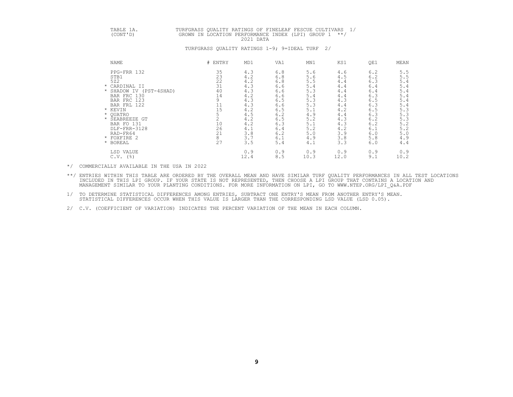# TABLE 1A. TURFGRASS QUALITY RATINGS OF FINELEAF FESCUE CULTIVARS 1/<br>(CONT'D) GROWN IN LOCATION PERFORMANCE INDEX (LPI) GROUP 1 \*\*/<br>2021 DATA

#### TURFGRASS QUALITY RATINGS 1-9; 9=IDEAL TURF 2/

| NAME                    | # ENTRY | MD1  | VA1 | MN1  | KS1  | QE1 | MEAN |
|-------------------------|---------|------|-----|------|------|-----|------|
| PPG-FRR 132             | 35      | 4.3  | 6.8 | 5.6  | 4.6  | 6.2 | 5.5  |
| STB1                    | 23      | 4.2  | 6.8 | 5.6  | 4.5  | 6.2 | 5.5  |
| 522                     | 22      | 4.2  | 6.8 | 5.5  | 4.4  | 6.3 | 5.4  |
| * CARDINAL II           | 31      | 4.3  | 6.6 | 5.4  | 4.4  | 6.4 | 5.4  |
| * SHADOW IV (PST-4SHAD) | 40      | 4.3  | 6.6 | 5.3  | 4.4  | 6.4 | 5.4  |
| BAR FRC 130             | 14      | 4.2  | 6.6 | 5.4  | 4.4  | 6.3 | 5.4  |
| BAR FRC 123             | 9       | 4.3  | 6.5 | 5.3  | 4.3  | 6.5 | 5.4  |
| BAR FRL 122             | 11      | 4.3  | 6.6 | 5.3  | 4.4  | 6.3 | 5.4  |
| * KEVIN                 | 15      | 4.2  | 6.5 | 5.1  | 4.2  | 6.5 | 5.3  |
| * QUATRO                |         | 4.5  | 6.2 | 4.9  | 4.4  | 6.3 | 5.3  |
| * SEABREEZE GT          |         | 4.2  | 6.5 | 5.2  | 4.3  | 6.2 | 5.3  |
| BAR FO 131              | 10      | 4.2  | 6.3 | 5.1  | 4.3  | 6.2 | 5.2  |
| DLF-FRR-3128            | 26      | 4.1  | 6.4 | 5.2  | 4.2  | 6.1 | 5.2  |
| RAD-FR64                | 21      | 3.8  | 6.2 | 5.0  | 3.9  | 6.0 | 5.0  |
| * FOXFIRE 2             | 8       | 3.7  | 6.1 | 4.9  | 3.8  | 5.8 | 4.9  |
| * BOREAL                | 27      | 3.5  | 5.4 | 4.1  | 3.3  | 6.0 | 4.4  |
| LSD VALUE               |         | 0.9  | 0.9 | 0.9  | 0.9  | 0.9 | 0.9  |
| $C.V.$ (%)              |         | 12.4 | 8.5 | 10.3 | 12.0 | 9.1 | 10.2 |

\*/ COMMERCIALLY AVAILABLE IN THE USA IN 2022

\*\*/ ENTRIES WITHIN THIS TABLE ARE ORDERED BY THE OVERALL MEAN AND HAVE SIMILAR TURF QUALITY PERFORMANCES IN ALL TEST LOCATIONS<br>INCLUDED IN THIS LPI GROUP. IF YOUR STATE IS NOT REPRESENTED, THEN CHOOSE A LPI GROUP THAT CONT

- 1/ TO DETERMINE STATISTICAL DIFFERENCES AMONG ENTRIES, SUBTRACT ONE ENTRY'S MEAN FROM ANOTHER ENTRY'S MEAN.<br>STATISTICAL DIFFERENCES OCCUR WHEN THIS VALUE IS LARGER THAN THE CORRESPONDING LSD VALUE (LSD 0.05).
- 2/ C.V. (COEFFICIENT OF VARIATION) INDICATES THE PERCENT VARIATION OF THE MEAN IN EACH COLUMN.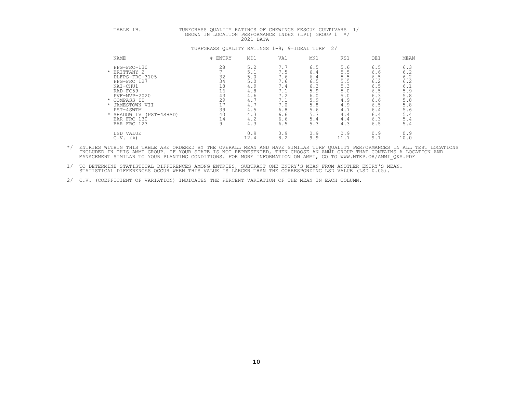|--|--|--|

# TURFGRASS QUALITY RATINGS OF CHEWINGS FESCUE CULTIVARS 1/ GROWN IN LOCATION PERFORMANCE INDEX (LPI) GROUP 1  $*/$  2021 DATA

# NAME # ENTRY MD1 VA1 MN1 KS1 QE1 MEAN PPG-FRC-130 28 5.2 7.7 6.5 5.6 6.5 6.3 \* BRITTANY 2 7 5.1 7.5 6.4 5.5 6.6 6.2 DLFPS-FRC-3105 32 5.0 7.6 6.4 5.5 6.5 6.2 PPG-FRC 127 34 5.0 7.6 6.5 5.5 6.2 6.2 NAI-CHU1 18 4.9 7.4 6.3 5.3 6.5 6.1 RAD-FC59<br>
PUP-MVP-2020<br>  $\star$  COMPRSS II<br>  $\star$  JAMESTOWN VII<br>
PST-4SWTM<br>  $\star$  SARDOWN VII<br>
PST-4SWTM<br>  $\star$  SARDOWN VII<br>
PST-4SWTM<br>  $\star$  SAR FRC 130<br>
BAR FRC 130<br>
BAR FRC 123<br>
BAR FRC 123<br>
PST-4SMAD)<br>  $\star$  SAR FRC 130<br>
BAR F LSD VALUE 0.9 0.9 0.9 0.9 0.9 0.9 C.V. (%) 12.4 8.2 9.9 11.7 9.1 10.0

#### TURFGRASS QUALITY RATINGS 1-9; 9=IDEAL TURF 2/

\*/ ENTRIES WITHIN THIS TABLE ARE ORDERED BY THE OVERALL MEAN AND HAVE SIMILAR TURF QUALITY PERFORMANCES IN ALL TEST LOCATIONS<br>INCLUDED IN THIS AMMI GROUP. IF YOUR STATE IS NOT REPRESENTED, THEN CHOOSE AN AMMI GROUP THAT CO

1/ TO DETERMINE STATISTICAL DIFFERENCES AMONG ENTRIES, SUBTRACT ONE ENTRY'S MEAN FROM ANOTHER ENTRY'S MEAN.<br>STATISTICAL DIFFERENCES OCCUR WHEN THIS VALUE IS LARGER THAN THE CORRESPONDING LSD VALUE (LSD 0.05).

2/ C.V. (COEFFICIENT OF VARIATION) INDICATES THE PERCENT VARIATION OF THE MEAN IN EACH COLUMN.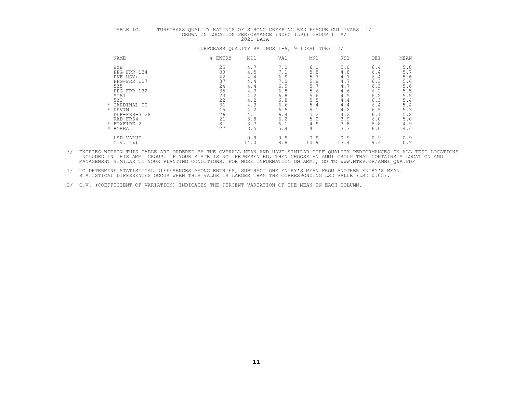# TABLE 1C. TURFGRASS QUALITY RATINGS OF STRONG CREEPING RED FESCUE CULTIVARS 1/<br>GROWN IN LOCATION PERFORMANCE INDEX (LPI) GROUP 1 \*/<br>2021 DATA

| <b>NAME</b>          | # ENTRY | MD1  | VA1 | MN1  | KS1  | QE1 | MEAN |
|----------------------|---------|------|-----|------|------|-----|------|
| <b>BYE</b>           | 25      | 4.7  | 7.2 | 6.0  | 5.0  | 6.4 | 5.8  |
| PPG-FRR-134          | 30      | 4.5  | 7.1 | 5.8  | 4.8  | 6.4 | 5.7  |
| PVF-HSY+             | 42      | 4.4  | 6.9 | 5.7  | 4.7  | 6.4 | 5.6  |
| PPG-FRR 127          | 37      | 4.4  | 7.0 | 5.8  | 4.7  | 6.3 | 5.6  |
| 525                  | 24      | 4.4  | 6.9 | 5.7  | 4.7  | 6.3 | 5.6  |
| PPG-FRR 132          | 35      | 4.3  | 6.8 | 5.6  | 4.6  | 6.2 | 5.5  |
| STB1                 | 23      | 4.2  | 6.8 | 5.6  | 4.5  | 6.2 | 5.5  |
| 522                  | 22      | 4.2  | 6.8 | 5.5  | 4.4  | 6.3 | 5.4  |
| * CARDINAL II        | 31      | 4.3  | 6.6 | 5.4  | 4.4  | 6.4 | 5.4  |
| KEVIN<br>$\star$     | 15      | 4.2  | 6.5 | 5.1  | 4.2  | 6.5 | 5.3  |
| DLF-FRR-3128         | 26      | 4.1  | 6.4 | 5.2  | 4.2  | 6.1 | 5.2  |
| RAD-FR64             | 21      | 3.8  | 6.2 | 5.0  | 3.9  | 6.0 | 5.0  |
| FOXFIRE 2<br>$\star$ | 8       | 3.7  | 6.1 | 4.9  | 3.8  | 5.8 | 4.9  |
| * BOREAL             | 27      | 3.5  | 5.4 | 4.1  | 3.3  | 6.0 | 4.4  |
| LSD VALUE            |         | 0.9  | 0.9 | 0.9  | 0.9  | 0.9 | 0.9  |
| $C.V.$ (%)           |         | 14.0 | 8.8 | 10.9 | 13.4 | 9.4 | 10.9 |

- \*/ ENTRIES WITHIN THIS TABLE ARE ORDERED BY THE OVERALL MEAN AND HAVE SIMILAR TURF QUALITY PERFORMANCES IN ALL TEST LOCATIONS<br>INCLUDED IN THIS AMMI GROUP. IF YOUR STATE IS NOT REPRESENTED, THEN CHOOSE AN AMMI GROUP THAT CO
- 1/ TO DETERMINE STATISTICAL DIFFERENCES AMONG ENTRIES, SUBTRACT ONE ENTRY'S MEAN FROM ANOTHER ENTRY'S MEAN.<br>STATISTICAL DIFFERENCES OCCUR WHEN THIS VALUE IS LARGER THAN THE CORRESPONDING LSD VALUE (LSD 0.05).
- 2/ C.V. (COEFFICIENT OF VARIATION) INDICATES THE PERCENT VARIATION OF THE MEAN IN EACH COLUMN.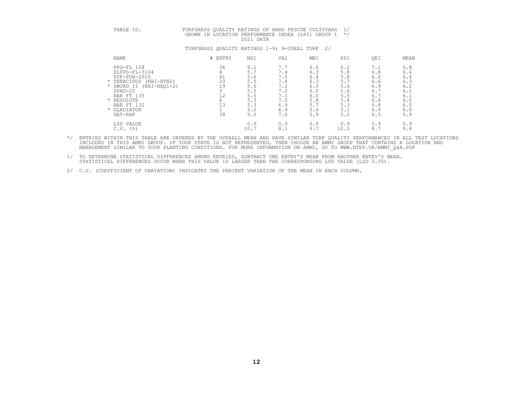# TABLE 1D. TURFGRASS QUALITY RATINGS OF HARD FESCUE CULTIVARS 1/<br>GROWN IN LOCATION PERFORMANCE INDEX (LPI) GROUP 1 \*/

| NAME                                                                                                                                                                              | # ENTRY                          | MD1                                                                      | VA1                                                                       | MN1                                                                       | KS1                                                                       | QE1                                                                       | MEAN                                                                      |
|-----------------------------------------------------------------------------------------------------------------------------------------------------------------------------------|----------------------------------|--------------------------------------------------------------------------|---------------------------------------------------------------------------|---------------------------------------------------------------------------|---------------------------------------------------------------------------|---------------------------------------------------------------------------|---------------------------------------------------------------------------|
| PPG-FL 128<br>DLFPS-FL-3104<br>PVF-PDB-2020<br>* TENACIOUS (NAI-HTB2)<br>* SWORD II (NAI-HAQ1+2)<br>$SPHD-20$<br>BAR FT 135<br>* RESOLUTE<br>BAR FT 132<br>* GLADIATOR<br>DA5-RHF | 36<br>41<br>20<br>19<br>12<br>38 | 6.1<br>5.<br>5.6<br>5.5<br>5.6<br>5.5<br>5.5<br>5.3<br>5.3<br>5.2<br>5.0 | 7.7<br>1.4<br>7.5<br>7.4<br>7.2<br>7.2<br>7.1<br>7.0<br>6.9<br>6.9<br>7.0 | 6.6<br>6.3<br>6.4<br>6.3<br>6.0<br>6.0<br>6.0<br>5.8<br>5.7<br>5.6<br>5.9 | 6.2<br>5.8<br>5.8<br>5.7<br>5.6<br>5.6<br>5.5<br>5.4<br>5.3<br>5.1<br>5.2 | 7.1<br>6.8<br>6.6<br>6.6<br>6.9<br>6.7<br>6.7<br>6.6<br>6.8<br>6.9<br>6.5 | 6.8<br>6.4<br>6.4<br>6.3<br>6.2<br>6.2<br>6.1<br>6.0<br>6.0<br>6.0<br>5.9 |
| VALUE<br>LSD<br>C.V.<br>(%)                                                                                                                                                       |                                  | 0.9<br>10.7                                                              | 0.9<br>8.1                                                                | 0.9<br>9.1                                                                | 0.9<br>10.5                                                               | 0.9<br>8.7                                                                | 0.9<br>9.4                                                                |

#### TURFGRASS QUALITY RATINGS 1-9; 9=IDEAL TURF 2/

\*/ ENTRIES WITHIN THIS TABLE ARE ORDERED BY THE OVERALL MEAN AND HAVE SIMILAR TURF QUALITY PERFORMANCES IN ALL TEST LOCATIONS<br>INCLUDED IN THIS AMMI GROUP. IF YOUR STATE IS NOT REPRESENTED, THEN CHOOSE AN AMMI GROUP THAT CO

1/ TO DETERMINE STATISTICAL DIFFERENCES AMONG ENTRIES, SUBTRACT ONE ENTRY'S MEAN FROM ANOTHER ENTRY'S MEAN.<br>STATISTICAL DIFFERENCES OCCUR WHEN THIS VALUE IS LARGER THAN THE CORRESPONDING LSD VALUE (LSD 0.05).

2/ C.V. (COEFFICIENT OF VARIATION) INDICATES THE PERCENT VARIATION OF THE MEAN IN EACH COLUMN.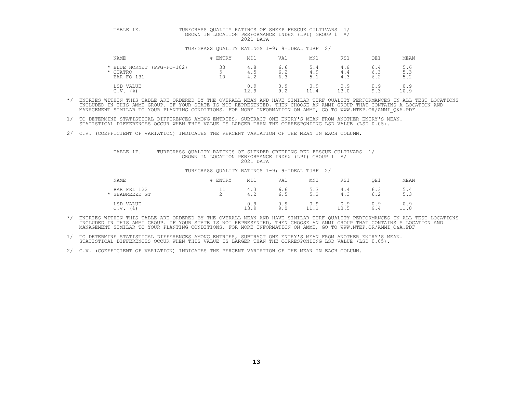# TABLE 1E. TURFGRASS QUALITY RATINGS OF SHEEP FESCUE CULTIVARS 1/<br>GROWN IN LOCATION PERFORMANCE INDEX (LPI) GROUP 1 \*/

#### TURFGRASS QUALITY RATINGS 1-9; 9=IDEAL TURF 2/

| NAME                                             | # ENTRY       | MD1               | VA1               | MN1               | KS1         | QE1               | MEAN              |
|--------------------------------------------------|---------------|-------------------|-------------------|-------------------|-------------|-------------------|-------------------|
| BLUE HORNET (PPG-FO-102)<br>OUATRO<br>BAR FO 131 | ろう<br>ت<br>10 | 4.8<br>4.5<br>4.2 | 6.6<br>6.2<br>6.3 | 5.4<br>4.9<br>5.1 | 4.8<br>4.4  | 6.4<br>6.3<br>6.2 | 5.6<br>5.3<br>5.2 |
| LSD VALUE<br>$($ $\frac{6}{6}$ $)$<br>C.V.       |               | 0.9<br>12.9       | 0.9<br>9.2        | 0.9<br>11.4       | 0.9<br>13.0 | 0.9<br>9.3        | 0.9<br>10.9       |

\*/ ENTRIES WITHIN THIS TABLE ARE ORDERED BY THE OVERALL MEAN AND HAVE SIMILAR TURF QUALITY PERFORMANCES IN ALL TEST LOCATIONS<br>INCLUDED IN THIS AMMI GROUP. IF YOUR STATE IS NOT REPRESENTED, THEN CHOOSE AN AMMI GROUP THAT CO

1/ TO DETERMINE STATISTICAL DIFFERENCES AMONG ENTRIES, SUBTRACT ONE ENTRY'S MEAN FROM ANOTHER ENTRY'S MEAN.<br>STATISTICAL DIFFERENCES OCCUR WHEN THIS VALUE IS LARGER THAN THE CORRESPONDING LSD VALUE (LSD 0.05).

2/ C.V. (COEFFICIENT OF VARIATION) INDICATES THE PERCENT VARIATION OF THE MEAN IN EACH COLUMN.

## TABLE 1F. TURFGRASS QUALITY RATINGS OF SLENDER CREEPING RED FESCUE CULTIVARS 1/<br>GROWN IN LOCATION PERFORMANCE INDEX (LPI) GROUP 1 \*/<br>2021 DATA

| NAME                        | ENTRY   | MD1         | VA1        | MN1                      | KS1                | QE1                         | MEAN                         |
|-----------------------------|---------|-------------|------------|--------------------------|--------------------|-----------------------------|------------------------------|
| BAR FRL 122<br>SEABREEZE GT | ᆂᆂ<br>∼ | 4.J<br>4.2  | 6.6<br>6.5 | 5.3<br>52<br><u>.</u>    | 4.4<br>4.3         | 6.3<br>$\sim$ $\sim$<br>6.2 | 5.4<br>E <sub>2</sub><br>J.J |
| LSD VALUE<br>(응)<br>C.V.    |         | 0.9<br>13.9 | 0.9<br>9.0 | 0.9<br>. .<br><b>+++</b> | 0.9<br>-15<br>10.J | 0.9<br>9.4                  | 0.9<br>11.0                  |

- \*/ ENTRIES WITHIN THIS TABLE ARE ORDERED BY THE OVERALL MEAN AND HAVE SIMILAR TURF QUALITY PERFORMANCES IN ALL TEST LOCATIONS<br>INCLUDED IN THIS AMMI GROUP. IF YOUR STATE IS NOT REPRESENTED, THEN CHOOSE AN AMMI GROUP THAT CO MANAGEMENT SIMILAR TO YOUR PLANTING CONDITIONS. FOR MORE INFORMATION ON AMMI, GO TO WWW.NTEP.OR/AMMI\_Q&A.PDF
- 1/ TO DETERMINE STATISTICAL DIFFERENCES AMONG ENTRIES, SUBTRACT ONE ENTRY'S MEAN FROM ANOTHER ENTRY'S MEAN.<br>STATISTICAL DIFFERENCES OCCUR WHEN THIS VALUE IS LARGER THAN THE CORRESPONDING LSD VALUE (LSD 0.05).
- 2/ C.V. (COEFFICIENT OF VARIATION) INDICATES THE PERCENT VARIATION OF THE MEAN IN EACH COLUMN.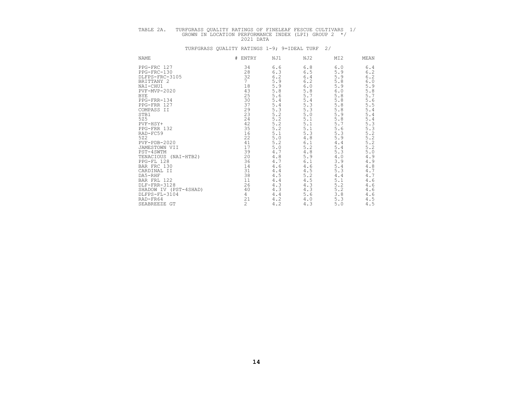# TABLE 2A. TURFGRASS QUALITY RATINGS OF FINELEAF FESCUE CULTIVARS 1/<br>GROWN IN LOCATION PERFORMANCE INDEX (LPI) GROUP 2 \*/<br>2021 DATA

| <b>NAME</b>                                                                                                                                                                                                                                                                                                                                           | #<br>ENTRY                                                                                                                                         | NJ1                                                                                                                                                                                                         | NJ2                                                                                                                                                                                                        | MI <sub>2</sub>                                                                                                                                                                | MEAN                                                                                                                                                                                                     |
|-------------------------------------------------------------------------------------------------------------------------------------------------------------------------------------------------------------------------------------------------------------------------------------------------------------------------------------------------------|----------------------------------------------------------------------------------------------------------------------------------------------------|-------------------------------------------------------------------------------------------------------------------------------------------------------------------------------------------------------------|------------------------------------------------------------------------------------------------------------------------------------------------------------------------------------------------------------|--------------------------------------------------------------------------------------------------------------------------------------------------------------------------------|----------------------------------------------------------------------------------------------------------------------------------------------------------------------------------------------------------|
| PPG-FRC 127<br>PPG-FRC-130<br>DLFPS-FRC-3105<br>BRITTANY 2<br>NAI-CHU1<br>PVF-MVP-2020<br><b>BYE</b><br>PPG-FRR-134<br>PPG-FRR 127<br>COMPASS II<br>STB1<br>525<br>PVF-HSY+<br>PPG-FRR 132<br>RAD-FC59<br>522<br>$PVF - PDB - 2020$<br>JAMESTOWN VII<br>PST-4SWTM<br>TENACIOUS<br>$(NAI-HTB2)$<br>PPG-FL 128<br>BAR FRC 130<br>CARDINAL II<br>DA5-RHF | 34<br>28<br>32<br>7<br>18<br>43<br>25<br>30<br>37<br>29<br>23<br>24<br>42<br>35<br>16<br>22<br>41<br>17<br>39<br>$\frac{20}{36}$<br>14<br>31<br>38 | 6.6<br>6.3<br>$6.2\,$<br>5.9<br>5.9<br>5.8<br>5.6<br>5.4<br>$5.4\,$<br>5.3<br>5.2<br>$\frac{5 \cdot 2}{5 \cdot 2}$<br>5.2<br>5.1<br>$5.0$<br>5.2<br>$5.0$<br>$4.7$<br>$4.8\,$<br>$4.7$<br>4.6<br>4.4<br>4.5 | 6.8<br>6.5<br>$6.4\,$<br>$6.2$<br>$6.0$<br>$5.8\,$<br>5.7<br>$5.4\,$<br>$5.3$<br>5.3<br>$5.0$<br>$5.1$<br>$5.1\,$<br>5.1<br>5.3<br>$4.8\,$<br>$6.1\,$<br>5.2<br>$4\,.8$<br>5.9<br>6.1<br>4.6<br>4.5<br>5.2 | 6.0<br>5.9<br>5.9<br>5.8<br>5.9<br>$6.0$<br>5.8<br>5.8<br>5.8<br>5.8<br>5.9<br>5.8<br>5.7<br>5.6<br>5.3<br>5.9<br>4.4<br>5.4<br>5.3<br>$4\,$ . $0$<br>3.9<br>5.4<br>5.3<br>4.4 | 6.4<br>6.2<br>6.2<br>6.0<br>5.9<br>$\frac{5.8}{5.7}$<br>$\frac{5.6}{5.5}$<br>$5.4$<br>5.4<br>$5.4$<br>5.3<br>5.3<br>$5.2$<br>$5.2$<br>$5.2$<br>5.2<br>$5.0$<br>4.9<br>4.9<br>$4.8$<br>$4.7\,$<br>$4.7\,$ |
| BAR FRL 122<br>DLF-FRR-3128<br>SHADOW IV (PST-4SHAD)<br>DLFPS-FL-3104<br>RAD-FR64<br>SEABREEZE GT                                                                                                                                                                                                                                                     | 11<br>26<br>40<br>4<br>21<br>$\overline{c}$                                                                                                        | 4.4<br>4.3<br>4.3<br>4.4<br>4.2<br>4.2                                                                                                                                                                      | 4.5<br>4.3<br>4.3<br>5.6<br>4.0<br>4.3                                                                                                                                                                     | 5.1<br>5.2<br>5.2<br>3.8<br>5.3<br>5.0                                                                                                                                         | 4.6<br>$4.6$<br>$4\,.6$<br>$4.6\,$<br>4.5<br>4.5                                                                                                                                                         |
|                                                                                                                                                                                                                                                                                                                                                       |                                                                                                                                                    |                                                                                                                                                                                                             |                                                                                                                                                                                                            |                                                                                                                                                                                |                                                                                                                                                                                                          |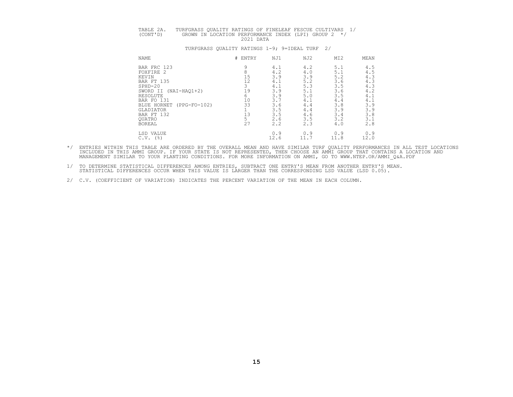# TABLE 2A. TURFGRASS QUALITY RATINGS OF FINELEAF FESCUE CULTIVARS 1/<br>(CONT'D) GROWN IN LOCATION PERFORMANCE INDEX (LPI) GROUP 2 \*/<br>2021 DATA

| <b>NAME</b>                        | #<br>ENTRY | NJ1  | NJ2  | MI <sub>2</sub> | MEAN |
|------------------------------------|------------|------|------|-----------------|------|
| BAR FRC 123                        | Q          | 4.1  | 4.2  | 5.1             | 4.5  |
| FOXFIRE 2                          |            | 4.2  | 4.0  | 5.1             | 4.5  |
| KEVIN                              | 15         | 3.9  | 3.9  | 5.2             | 4.3  |
| BAR FT 135                         | 12         | 4.1  | 5.2  | 3.6             | 4.3  |
| $SPHD-20$                          |            | 4.1  | 5.3  | 3.5             | 4.3  |
| SWORD II<br>$(NAI-HAO1+2)$         | 19         | 3.9  | 5.1  | 3.6             | 4.2  |
| RESOLUTE                           |            | 3.9  | 5.0  | 3.5             | 4.1  |
| BAR FO 131                         | 10         | 3.7  | 4.1  | 4.4             | 4.1  |
| (PPG-FO-102)<br><b>BLUE HORNET</b> | 33         | 3.6  | 4.4  | 3.8             | 3.9  |
| GLADIATOR                          |            | 3.5  | 4.4  | 3.9             | 3.9  |
| BAR FT 132                         | 13         | 3.5  | 4.6  | 3.4             | 3.8  |
| QUATRO                             |            | 2.6  | 3.5  | 3.2             | 3.1  |
| <b>BOREAL</b>                      | 27         | 2.2  | 2.3  | 4.0             | 2.8  |
| LSD VALUE                          |            | 0.9  | 0.9  | 0.9             | 0.9  |
| (응)<br>C.V.                        |            | 12.6 | 11.7 | 11.8            | 12.0 |

- \*/ ENTRIES WITHIN THIS TABLE ARE ORDERED BY THE OVERALL MEAN AND HAVE SIMILAR TURF QUALITY PERFORMANCES IN ALL TEST LOCATIONS<br>INCLUDED IN THIS AMMI GROUP. IF YOUR STATE IS NOT REPRESENTED, THEN CHOOSE AN AMMI GROUP THAT CO
- 1/ TO DETERMINE STATISTICAL DIFFERENCES AMONG ENTRIES, SUBTRACT ONE ENTRY'S MEAN FROM ANOTHER ENTRY'S MEAN.<br>STATISTICAL DIFFERENCES OCCUR WHEN THIS VALUE IS LARGER THAN THE CORRESPONDING LSD VALUE (LSD 0.05).
- 2/ C.V. (COEFFICIENT OF VARIATION) INDICATES THE PERCENT VARIATION OF THE MEAN IN EACH COLUMN.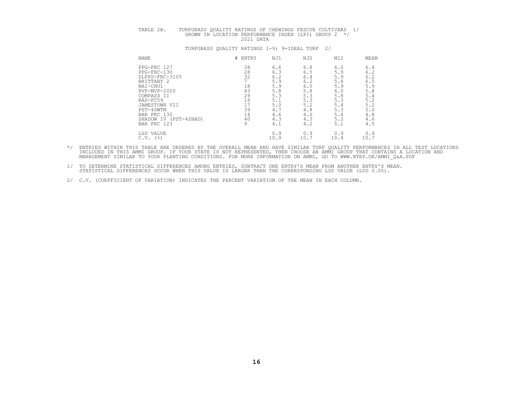# TABLE 2B. TURFGRASS QUALITY RATINGS OF CHEWINGS FESCUE CULTIVARS 1/<br>GROWN IN LOCATION PERFORMANCE INDEX (LPI) GROUP 2 \*/<br>2021 DATA

| NAME                     | ENTRY<br># | NJ1  | NJ2  | MI <sub>2</sub> | MEAN |
|--------------------------|------------|------|------|-----------------|------|
| PPG-FRC 127              | 34         | 6.6  | 6.8  | 6.0             | 6.4  |
| PPG-FRC-130              | 28         | 6.3  | 6.5  | 5.9             | 6.2  |
| DLFPS-FRC-3105           | 32         | 6.2  | 6.4  | 5.9             | 6.2  |
| BRITTANY 2               |            | 5.9  | 6.2  | 5.8             | 6.0  |
| NAI-CHU1                 | 18         | 5.9  | 6.0  | 5.9             | 5.9  |
| PVF-MVP-2020             | 43         | 5.8  | 5.8  | 6.0             | 5.8  |
| COMPASS II               | 29         | 5.3  | 5.3  | 5.8             | 5.4  |
| RAD-FC59                 | 16         | 5.1  | 5.3  | 5.3             | 5.2  |
| JAMESTOWN VII            |            | 5.0  | 5.2  | 5.4             | 5.2  |
| PST-4SWTM                | 39         | 4.7  | 4.8  | 5.3             | 5.0  |
| BAR FRC 130              | 14         | 4.6  | 4.6  | 5.4             | 4.8  |
| (PST-4SHAD)<br>SHADOW IV | 40         | 4.3  | 4.3  | 5.2             | 4.6  |
| BAR FRC 123              |            | 4.1  | 4.2  | 5.1             | 4.5  |
| LSD VALUE                |            | 0.9  | 0.9  | 0.9             | 0.9  |
| (%)<br>C.V.              |            | 10.9 | 10.7 | 10.4            | 10.7 |
|                          |            |      |      |                 |      |

- \*/ ENTRIES WITHIN THIS TABLE ARE ORDERED BY THE OVERALL MEAN AND HAVE SIMILAR TURF QUALITY PERFORMANCES IN ALL TEST LOCATIONS<br>INCLUDED IN THIS AMMI GROUP. IF YOUR STATE IS NOT REPRESENTED, THEN CHOOSE AN AMMI GROUP THAT CO
- 1/ TO DETERMINE STATISTICAL DIFFERENCES AMONG ENTRIES, SUBTRACT ONE ENTRY'S MEAN FROM ANOTHER ENTRY'S MEAN.<br>STATISTICAL DIFFERENCES OCCUR WHEN THIS VALUE IS LARGER THAN THE CORRESPONDING LSD VALUE (LSD 0.05).
- 2/ C.V. (COEFFICIENT OF VARIATION) INDICATES THE PERCENT VARIATION OF THE MEAN IN EACH COLUMN.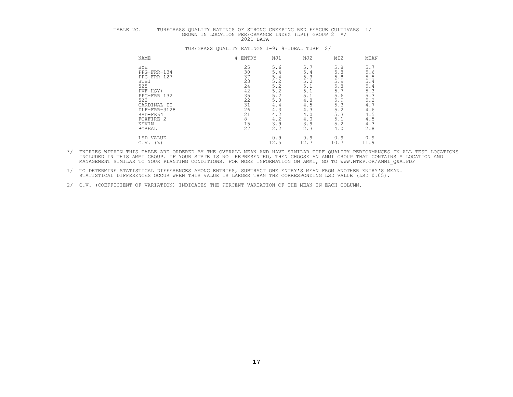# TABLE 2C. TURFGRASS QUALITY RATINGS OF STRONG CREEPING RED FESCUE CULTIVARS 1/<br>GROWN IN LOCATION PERFORMANCE INDEX (LPI) GROUP 2 \*/<br>2021 DATA

| <b>NAME</b>   |              | # ENTRY | NJ1  | NJ2 | MI <sub>2</sub> | MEAN                          |
|---------------|--------------|---------|------|-----|-----------------|-------------------------------|
| <b>BYE</b>    |              | 25      | 5.6  | 5.7 | 5.8             | 5.7                           |
|               | PPG-FRR-134  | 30      | 5.4  | 5.4 | 5.8             | 5.6                           |
|               | PPG-FRR 127  | 37      | 5.4  | 5.3 | 5.8             | 5.5                           |
| STB1          |              | 23      | 5.2  | 5.0 | 5.9             |                               |
| 525           |              | 24      | 5.2  | 5.1 | 5.8             | $\frac{5 \cdot 4}{5 \cdot 4}$ |
| PVF-HSY+      |              | 42      | 5.2  | 5.1 | 5.7             | 5.3                           |
|               | PPG-FRR 132  | 35      | 5.2  | 5.1 | 5.6             | 5.3                           |
| 522           |              | 22      | 5.0  | 4.8 | 5.9             | 5.2                           |
|               | CARDINAL II  | 31      | 4.4  | 4.5 | 5.3             | 4.7                           |
|               | DLF-FRR-3128 | 26      | 4.3  | 4.3 | 5.2             | 4.6                           |
| RAD-FR64      |              | 21      | 4.2  | 4.0 | 5.3             | 4.5                           |
| FOXFIRE 2     |              | 8       | 4.2  | 4.0 | 5.1             | 4.5                           |
| KEVIN         |              | 15      | 3.9  | 3.9 | 5.2             | 4.3                           |
| <b>BOREAL</b> |              | 27      | 2.2  | 2.3 | 4.0             | 2.8                           |
| LSD VALUE     |              |         | 0.9  | 0.9 | 0.9             | 0.9                           |
| C.V.          | (응)          |         | 12.5 | 12. | 10.7            | 11.9                          |

- \*/ ENTRIES WITHIN THIS TABLE ARE ORDERED BY THE OVERALL MEAN AND HAVE SIMILAR TURF QUALITY PERFORMANCES IN ALL TEST LOCATIONS<br>INCLUDED IN THIS AMMI GROUP. IF YOUR STATE IS NOT REPRESENTED, THEN CHOOSE AN AMMI GROUP THAT CO
- 1/ TO DETERMINE STATISTICAL DIFFERENCES AMONG ENTRIES, SUBTRACT ONE ENTRY'S MEAN FROM ANOTHER ENTRY'S MEAN.<br>STATISTICAL DIFFERENCES OCCUR WHEN THIS VALUE IS LARGER THAN THE CORRESPONDING LSD VALUE (LSD 0.05).
- 2/ C.V. (COEFFICIENT OF VARIATION) INDICATES THE PERCENT VARIATION OF THE MEAN IN EACH COLUMN.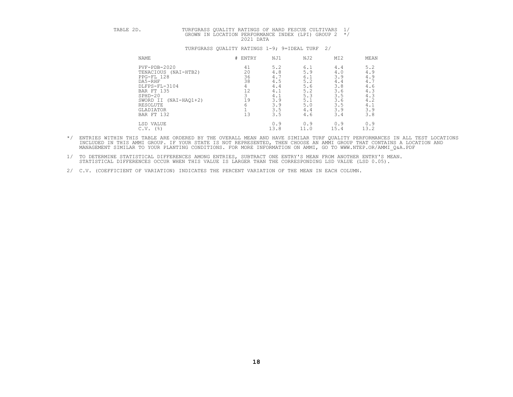# TABLE 2D. TURFGRASS QUALITY RATINGS OF HARD FESCUE CULTIVARS 1/<br>GROWN IN LOCATION PERFORMANCE INDEX (LPI) GROUP 2 \*/<br>2021 DATA

| NAME                                                                                                                                                               | ENTRY<br>#                                                         | NJ1                                                                       | NJ2                                                                       | MI <sub>2</sub>                                                           | MEAN                                                                      |
|--------------------------------------------------------------------------------------------------------------------------------------------------------------------|--------------------------------------------------------------------|---------------------------------------------------------------------------|---------------------------------------------------------------------------|---------------------------------------------------------------------------|---------------------------------------------------------------------------|
| $PVF - PDB - 2020$<br>TENACIOUS (NAI-HTB2)<br>PPG-FL 128<br>DA5-RHF<br>DLFPS-FL-3104<br>BAR FT 135<br>$SPHD-20$<br>SWORD II<br>RESOLUTE<br>GLADIATOR<br>BAR FT 132 | 41<br>20<br>36<br>38<br>12<br>$\sim$<br>19<br>$(NAI-HAQ1+2)$<br>13 | 5.2<br>4.8<br>4.7<br>4.5<br>4.4<br>4.1<br>4.1<br>3.9<br>3.9<br>3.5<br>3.5 | 6.1<br>5.9<br>6.1<br>5.2<br>5.6<br>5.2<br>5.3<br>5.1<br>5.0<br>4.4<br>4.6 | 4.4<br>4.0<br>3.9<br>4.4<br>3.8<br>3.6<br>3.5<br>3.6<br>3.5<br>3.9<br>3.4 | 5.2<br>4.9<br>4.9<br>4.7<br>4.6<br>4.3<br>4.3<br>4.2<br>4.1<br>3.9<br>3.8 |
| LSD VALUE<br>(%)<br>C.V.                                                                                                                                           |                                                                    | 0.9<br>13.8                                                               | 0.9<br>11.0                                                               | 0.9<br>15.4                                                               | 0.9<br>13.2                                                               |

- \*/ ENTRIES WITHIN THIS TABLE ARE ORDERED BY THE OVERALL MEAN AND HAVE SIMILAR TURF QUALITY PERFORMANCES IN ALL TEST LOCATIONS<br>INCLUDED IN THIS AMMI GROUP. IF YOUR STATE IS NOT REPRESENTED, THEN CHOOSE AN AMMI GROUP THAT CO
- 1/ TO DETERMINE STATISTICAL DIFFERENCES AMONG ENTRIES, SUBTRACT ONE ENTRY'S MEAN FROM ANOTHER ENTRY'S MEAN.<br>STATISTICAL DIFFERENCES OCCUR WHEN THIS VALUE IS LARGER THAN THE CORRESPONDING LSD VALUE (LSD 0.05).
- 2/ C.V. (COEFFICIENT OF VARIATION) INDICATES THE PERCENT VARIATION OF THE MEAN IN EACH COLUMN.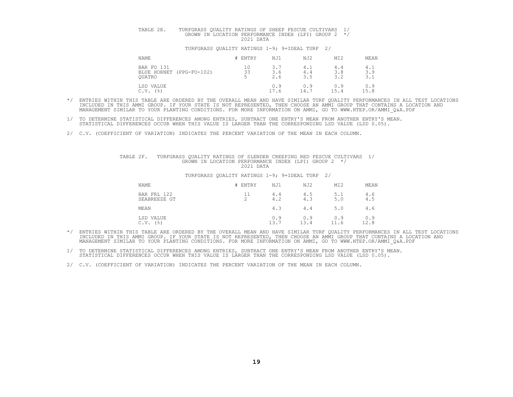# TABLE 2E. TURFGRASS QUALITY RATINGS OF SHEEP FESCUE CULTIVARS 1/<br>GROWN IN LOCATION PERFORMANCE INDEX (LPI) GROUP 2 \*/

#### TURFGRASS QUALITY RATINGS 1-9; 9=IDEAL TURF 2/

| <b>NAME</b>                                                  | # ENTRY                   | NJ1              | NJ2               | MI <sub>2</sub>   | MEAN              |
|--------------------------------------------------------------|---------------------------|------------------|-------------------|-------------------|-------------------|
| BAR FO 131<br>$(PPG-FO-102)$<br>BLUE HORNET<br><b>OUATRO</b> | 10<br>ささ<br>ں ر<br>$\sim$ | з.<br>3.6<br>2.6 | 4.1<br>4.4<br>3.5 | 4.4<br>3.8<br>3.2 | 4.1<br>3.9<br>ہ د |
| LSD VALUE<br>(%)<br>C.V.                                     |                           | 0.9<br>.7.6      | 0.9<br>14.7       | 0.9<br>15.4       | 0.9<br>15.8       |

- \*/ ENTRIES WITHIN THIS TABLE ARE ORDERED BY THE OVERALL MEAN AND HAVE SIMILAR TURF QUALITY PERFORMANCES IN ALL TEST LOCATIONS<br>INCLUDED IN THIS AMMI GROUP. IF YOUR STATE IS NOT REPRESENTED, THEN CHOOSE AN AMMI GROUP THAT CO
- 1/ TO DETERMINE STATISTICAL DIFFERENCES AMONG ENTRIES, SUBTRACT ONE ENTRY'S MEAN FROM ANOTHER ENTRY'S MEAN.<br>STATISTICAL DIFFERENCES OCCUR WHEN THIS VALUE IS LARGER THAN THE CORRESPONDING LSD VALUE (LSD 0.05).
- 2/ C.V. (COEFFICIENT OF VARIATION) INDICATES THE PERCENT VARIATION OF THE MEAN IN EACH COLUMN.

## TABLE 2F. TURFGRASS QUALITY RATINGS OF SLENDER CREEPING RED FESCUE CULTIVARS 1/<br>GROWN IN LOCATION PERFORMANCE INDEX (LPI) GROUP 2 \*/<br>2021 DATA

#### TURFGRASS QUALITY RATINGS 1-9; 9=IDEAL TURF 2/

| NAME                                       | # ENTRY                  | NJ1         | NJ2         | MI <sub>2</sub> | MEAN        |
|--------------------------------------------|--------------------------|-------------|-------------|-----------------|-------------|
| BAR FRL 122<br>SEABREEZE GT                | 11<br>$\mathcal{D}$<br>∠ | 4.4<br>4.2  | 4.5<br>4.3  | 5.1<br>5.0      | 4.6<br>4.5  |
| MEAN                                       |                          | 4.3         | 4.4         | 5.0             | 4.6         |
| LSD VALUE<br>$($ $\frac{6}{6}$ $)$<br>C.V. |                          | 0.9<br>13.7 | 0.9<br>13.4 | 0.9<br>11.6     | 0.9<br>12.8 |

- \*/ ENTRIES WITHIN THIS TABLE ARE ORDERED BY THE OVERALL MEAN AND HAVE SIMILAR TURF QUALITY PERFORMANCES IN ALL TEST LOCATIONS<br>INCLUDED IN THIS AMMI GROUP. IF YOUR STATE IS NOT REPRESENTED, THEN CHOOSE AN AMMI GROUP THAT CO MANAGEMENT SIMILAR TO YOUR PLANTING CONDITIONS. FOR MORE INFORMATION ON AMMI, GO TO WWW.NTEP.OR/AMMI\_Q&A.PDF
- 1/ TO DETERMINE STATISTICAL DIFFERENCES AMONG ENTRIES, SUBTRACT ONE ENTRY'S MEAN FROM ANOTHER ENTRY'S MEAN.<br>STATISTICAL DIFFERENCES OCCUR WHEN THIS VALUE IS LARGER THAN THE CORRESPONDING LSD VALUE (LSD 0.05).

2/ C.V. (COEFFICIENT OF VARIATION) INDICATES THE PERCENT VARIATION OF THE MEAN IN EACH COLUMN.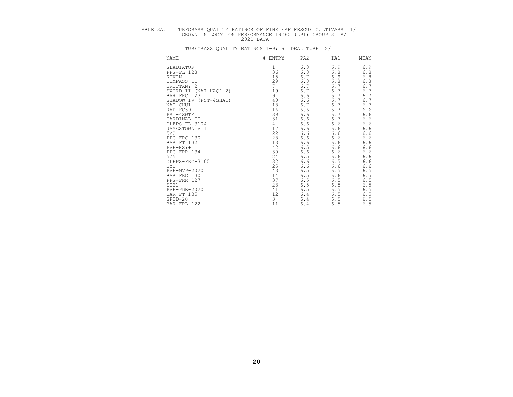# TABLE 3A. TURFGRASS QUALITY RATINGS OF FINELEAF FESCUE CULTIVARS 1/<br>GROWN IN LOCATION PERFORMANCE INDEX (LPI) GROUP 3 \*/<br>2021 DATA

| NAME                  | #<br>ENTRY      | PA <sub>2</sub> | IA1   | MEAN  |
|-----------------------|-----------------|-----------------|-------|-------|
| GLADIATOR             |                 | 6.8             | 6.9   | 6.9   |
| PPG-FL 128            | 36              | 6.8             | 6.8   | 6.8   |
| KEVIN                 | 15              | $6.7$           | 6.9   | $6.8$ |
| COMPASS II            | 29              | 6.8             | $6.8$ | 6.8   |
| BRITTANY 2            | $7\phantom{.0}$ | 6.7             | 6.7   | 6.7   |
| SWORD II (NAI-HAQ1+2) | 19              | 6.7             | 6.7   | 6.7   |
| BAR FRC 123           | 9               | 6.6             | 6.7   | 6.7   |
| SHADOW IV (PST-4SHAD) | 40              | $6.6$           | 6.7   | 6.7   |
| NAI-CHU1              | 18              | 6.7             | 6.7   | 6.7   |
| RAD-FC59              | 16              | 6.6             | 6.7   | 6.6   |
| PST-4SWTM             | 39              | 6.6             | 6.7   | 6.6   |
| CARDINAL II           | 31              | 6.6             | 6.7   | 6.6   |
| DLFPS-FL-3104         | 4               | 6.6             | 6.6   | 6.6   |
| JAMESTOWN VII         | 17              | 6.6             | $6.6$ | 6.6   |
| 522                   | 22              | $6.6$           | $6.6$ | 6.6   |
| PPG-FRC-130           | 28              | 6.6             | 6.6   | 6.6   |
| BAR FT 132            | 13              | 6.6             | $6.6$ | 6.6   |
| PVF-HSY+              | 42              | 6.5             | $6.6$ | 6.6   |
| PPG-FRR-134           | 30              | 6.6             | $6.6$ | 6.6   |
| 525                   |                 | 6.5             | 6.6   | 6.6   |
| DLFPS-FRC-3105        | $\frac{24}{32}$ | 6.6             | 6.5   | 6.6   |
| BYE                   | 25              | 6.6             | $6.6$ | 6.6   |
| PVF-MVP-2020          | 43              | 6.5             | $6.5$ | 6.5   |
| BAR FRC 130           | 14              | 6.5             | $6.6$ | 6.5   |
| PPG-FRR 127           | 37              | 6.5             | 6.5   | 6.5   |
| STB1                  | 23              | $6.5$           | 6.5   | 6.5   |
| $PVF - PDB - 2020$    | 41              | 6.5             | 6.5   | 6.5   |
| BAR FT 135            | 12              | 6.4             | 6.5   | 6.5   |
| $SPHD-20$             | 3               | 6.4             | $6.5$ | 6.5   |
| BAR FRL 122           | 11              | 6.4             | 6.5   | 6.5   |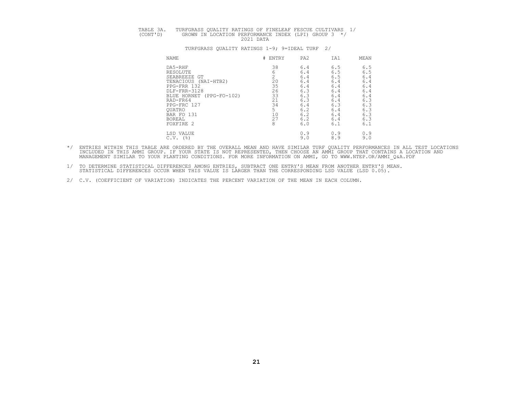| TABLE 3A. | TURFGRASS OUALITY RATINGS OF FINELEAF FESCUE CULTIVARS 1/         |
|-----------|-------------------------------------------------------------------|
| (CONT'D)  | GROWN IN LOCATION PERFORMANCE INDEX (LPI) GROUP 3 */<br>2021 DATA |
|           |                                                                   |

| NAME                        | # ENTRY | PA <sub>2</sub> | IA1 | MEAN |
|-----------------------------|---------|-----------------|-----|------|
| DA5-RHF                     | 38      | 6.4             | 6.5 | 6.5  |
| RESOLUTE                    |         | 6.4             | 6.5 | 6.5  |
| SEABREEZE GT                |         | 6.4             | 6.5 | 6.4  |
| TENACIOUS<br>(NAI-HTB2)     | 20      | 6.4             | 6.4 | 6.4  |
| PPG-FRR 132                 | 35      | 6.4             | 6.4 | 6.4  |
| DLF-FRR-3128                | 26      | 6.3             | 6.4 | 6.4  |
| BLUE HORNET<br>(PPG-FO-102) | 33      | 6.3             | 6.4 | 6.4  |
| RAD-FR64                    | 21      | 6.3             | 6.4 | 6.3  |
| PPG-FRC 127                 | 34      | 6.4             | 6.3 | 6.3  |
| <b>OUATRO</b>               |         | 6.2             | 6.4 | 6.3  |
| BAR FO 131                  | 10      | 6.2             | 6.4 | 6.3  |
| <b>BOREAL</b>               | 27      | 6.2             | 6.4 | 6.3  |
| FOXFIRE 2                   | 8       | 6.0             | 6.1 | 6.1  |
| LSD VALUE                   |         | 0.9             | 0.9 | 0.9  |
| (%)<br>C.V.                 |         | 9.0             | 8.9 | 9.0  |

- \*/ ENTRIES WITHIN THIS TABLE ARE ORDERED BY THE OVERALL MEAN AND HAVE SIMILAR TURF QUALITY PERFORMANCES IN ALL TEST LOCATIONS<br>INCLUDED IN THIS AMMI GROUP. IF YOUR STATE IS NOT REPRESENTED, THEN CHOOSE AN AMMI GROUP THAT CO MANAGEMENT SIMILAR TO YOUR PLANTING CONDITIONS. FOR MORE INFORMATION ON AMMI, GO TO WWW.NTEP.OR/AMMI\_Q&A.PDF
- 1/ TO DETERMINE STATISTICAL DIFFERENCES AMONG ENTRIES, SUBTRACT ONE ENTRY'S MEAN FROM ANOTHER ENTRY'S MEAN.<br>STATISTICAL DIFFERENCES OCCUR WHEN THIS VALUE IS LARGER THAN THE CORRESPONDING LSD VALUE (LSD 0.05).
- 2/ C.V. (COEFFICIENT OF VARIATION) INDICATES THE PERCENT VARIATION OF THE MEAN IN EACH COLUMN.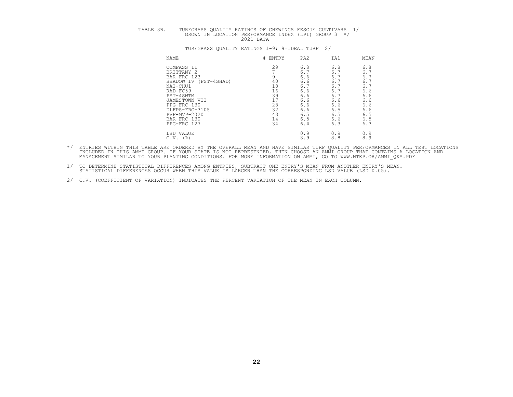| TABLE<br>$\sim$ $\sim$ | TURFGRASS<br><b>FESCUE</b><br>CHEWINGS<br>IVARS<br>OF<br>RATINGS<br>OTTA T.<br>TERV<br>$\sim$<br>$\sim$ $\sim$ $\sim$ $\sim$ $\sim$ $\sim$ |
|------------------------|--------------------------------------------------------------------------------------------------------------------------------------------|
|                        | GROUP<br>T.PT<br><b>TNDEY</b><br>GROWN<br>PERFORMANCE<br>⊤ ∖⊺<br>LOCATION<br>クハク<br>DATZ<br>-----                                          |

| <b>NAME</b>              | # ENTRY | PA <sub>2</sub> | IA1 | MEAN |
|--------------------------|---------|-----------------|-----|------|
| COMPASS II               | 29      | 6.8             | 6.8 | 6.8  |
| BRITTANY 2               |         | 6.7             | 6.7 | 6.7  |
| BAR FRC 123              |         | 6.6             | 6.  | 6.7  |
| (PST-4SHAD)<br>SHADOW IV | 40      | 6.6             | 6.  | 6.7  |
| NAI-CHU1                 | 18      | 6.7             | 6.  | 6.7  |
| RAD-FC59                 | 16      | 6.6             | 6.7 | 6.6  |
| PST-4SWTM                | 39      | 6.6             | 6:  | 6.6  |
| JAMESTOWN VII            | 17      | 6.6             | 6.6 | 6.6  |
| PPG-FRC-130              | 28      | 6.6             | 6.6 | 6.6  |
| DLFPS-FRC-3105           | 32      | 6.6             | 6.5 | 6.6  |
| PVF-MVP-2020             | 43      | 6.5             | 6.5 | 6.5  |
| BAR FRC 130              | 14      | 6.5             | 6.6 | 6.5  |
| PPG-FRC 127              | 34      | 6.4             | 6.3 | 6.3  |
| LSD VALUE                |         | 0.9             | 0.9 | 0.9  |
| (%)<br>C.V.              |         | 8.9             | 8.8 | 8.9  |

- \*/ ENTRIES WITHIN THIS TABLE ARE ORDERED BY THE OVERALL MEAN AND HAVE SIMILAR TURF QUALITY PERFORMANCES IN ALL TEST LOCATIONS<br>INCLUDED IN THIS AMMI GROUP. IF YOUR STATE IS NOT REPRESENTED, THEN CHOOSE AN AMMI GROUP THAT CO
- 1/ TO DETERMINE STATISTICAL DIFFERENCES AMONG ENTRIES, SUBTRACT ONE ENTRY'S MEAN FROM ANOTHER ENTRY'S MEAN.<br>STATISTICAL DIFFERENCES OCCUR WHEN THIS VALUE IS LARGER THAN THE CORRESPONDING LSD VALUE (LSD 0.05).
- 2/ C.V. (COEFFICIENT OF VARIATION) INDICATES THE PERCENT VARIATION OF THE MEAN IN EACH COLUMN.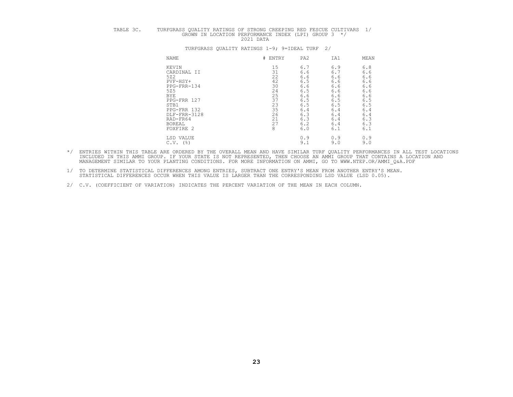# TABLE 3C. TURFGRASS QUALITY RATINGS OF STRONG CREEPING RED FESCUE CULTIVARS 1/<br>GROWN IN LOCATION PERFORMANCE INDEX (LPI) GROUP 3 \*/<br>2021 DATA

| NAME          | # ENTRY | PA <sub>2</sub> | IA1 | MEAN |
|---------------|---------|-----------------|-----|------|
| KEVIN         | 15      | 6.7             | 6.9 | 6.8  |
| CARDINAL II   | 31      | 6.6             | 6.7 | 6.6  |
| 522           | 22      | 6.6             | 6.6 | 6.6  |
| PVF-HSY+      | 42      | 6.5             | 6.6 | 6.6  |
| PPG-FRR-134   | 30      | 6.6             | 6.6 | 6.6  |
| 525           | 24      | 6.5             | 6.6 | 6.6  |
| <b>BYE</b>    | 25      | 6.6             | 6.6 | 6.6  |
| PPG-FRR 127   | 37      | 6.5             | 6.5 | 6.5  |
| STB1          | 23      | 6.5             | 6.5 | 6.5  |
| PPG-FRR 132   | 35      | 6.4             | 6.4 | 6.4  |
| DLF-FRR-3128  | 26      | 6.3             | 6.4 | 6.4  |
| RAD-FR64      | 21      | 6.3             | 6.4 | 6.3  |
| <b>BOREAL</b> | 27      | 6.2             | 6.4 | 6.3  |
| FOXFIRE 2     | 8       | 6.0             | 6.1 | 6.1  |
| LSD VALUE     |         | 0.9             | 0.9 | 0.9  |
| (%)<br>C.V.   |         | 9.1             | 9.0 | 9.0  |

- \*/ ENTRIES WITHIN THIS TABLE ARE ORDERED BY THE OVERALL MEAN AND HAVE SIMILAR TURF QUALITY PERFORMANCES IN ALL TEST LOCATIONS<br>INCLUDED IN THIS AMMI GROUP. IF YOUR STATE IS NOT REPRESENTED, THEN CHOOSE AN AMMI GROUP THAT CO
- 1/ TO DETERMINE STATISTICAL DIFFERENCES AMONG ENTRIES, SUBTRACT ONE ENTRY'S MEAN FROM ANOTHER ENTRY'S MEAN.<br>STATISTICAL DIFFERENCES OCCUR WHEN THIS VALUE IS LARGER THAN THE CORRESPONDING LSD VALUE (LSD 0.05).
- 2/ C.V. (COEFFICIENT OF VARIATION) INDICATES THE PERCENT VARIATION OF THE MEAN IN EACH COLUMN.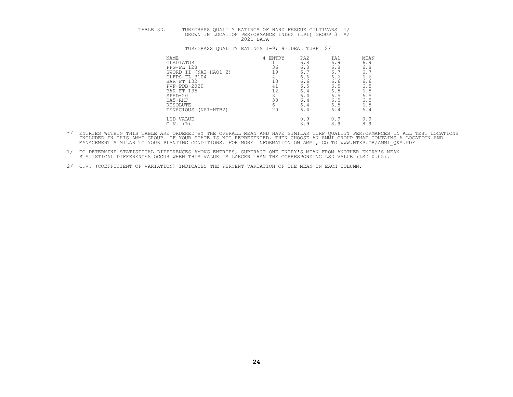# TABLE 3D. TURFGRASS QUALITY RATINGS OF HARD FESCUE CULTIVARS 1/<br>GROWN IN LOCATION PERFORMANCE INDEX (LPI) GROUP 3 \*/<br>2021 DATA

| NAME                      | ENTRY<br>#⊢ | PA <sub>2</sub> | IA1 | MEAN |
|---------------------------|-------------|-----------------|-----|------|
| GLADIATOR                 |             | 6.8             | 6.9 | 6.9  |
| PPG-FL 128                | 36          | 6.8             | 6.8 | 6.8  |
| SWORD II (NAI-HAO1+2)     | 19          | 6.1             | 6.7 | 6.7  |
| DLFPS-FL-3104             |             | 6.6             | 6.6 | 6.6  |
| BAR FT 132                | 1 २<br>ᅩ⊃   | 6.6             | 6.6 | 6.6  |
| PVF-PDB-2020              | 41          | 6.5             | 6.5 | 6.5  |
| BAR FT 135                | 12<br>∸∸    | 6.4             | 6.5 | 6.5  |
| $SPHD-20$                 |             | 6.4             | 6.5 | 6.5  |
| DA5-RHF                   | 38          | 6.4             | 6.5 | 6.5  |
| RESOLUTE                  | 6           | 6.4             | 6.5 | 6.5  |
| TENACIOUS<br>(NAI-HTB2)   | 20          | 6.4             | 6.4 | 6.4  |
| LSD VALUE                 |             | 0.9             | 0.9 | 0.9  |
| $($ $\frac{6}{3}$<br>C.V. |             | 8.9             | 8.9 | 8.9  |
|                           |             |                 |     |      |

- \*/ ENTRIES WITHIN THIS TABLE ARE ORDERED BY THE OVERALL MEAN AND HAVE SIMILAR TURF QUALITY PERFORMANCES IN ALL TEST LOCATIONS<br>INCLUDED IN THIS AMMI GROUP. IF YOUR STATE IS NOT REPRESENTED, THEN CHOOSE AN AMMI GROUP THAT CO MANAGEMENT SIMILAR TO YOUR PLANTING CONDITIONS. FOR MORE INFORMATION ON AMMI, GO TO WWW.NTEP.OR/AMMI\_Q&A.PDF
- 1/ TO DETERMINE STATISTICAL DIFFERENCES AMONG ENTRIES, SUBTRACT ONE ENTRY'S MEAN FROM ANOTHER ENTRY'S MEAN.<br>STATISTICAL DIFFERENCES OCCUR WHEN THIS VALUE IS LARGER THAN THE CORRESPONDING LSD VALUE (LSD 0.05).
- 2/ C.V. (COEFFICIENT OF VARIATION) INDICATES THE PERCENT VARIATION OF THE MEAN IN EACH COLUMN.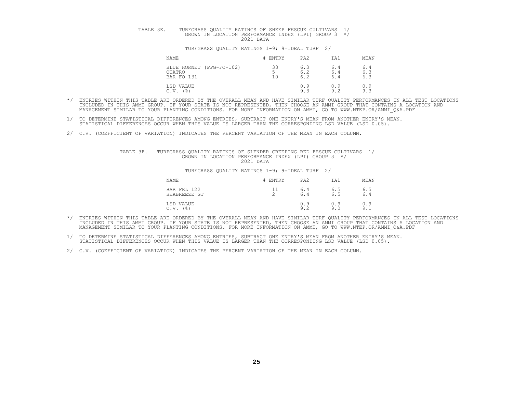# TABLE 3E. TURFGRASS QUALITY RATINGS OF SHEEP FESCUE CULTIVARS 1/<br>GROWN IN LOCATION PERFORMANCE INDEX (LPI) GROUP 3 \*/<br>2021 DATA

#### TURFGRASS QUALITY RATINGS 1-9; 9=IDEAL TURF 2/

| <b>NAME</b>                                      | ENTRY                     | PA <sub>2</sub>   | IA1               | MEAN              |
|--------------------------------------------------|---------------------------|-------------------|-------------------|-------------------|
| BLUE HORNET (PPG-FO-102)<br>OUATRO<br>BAR FO 131 | ささ<br>ں ں<br>$\sim$<br>10 | 6.3<br>6.2<br>6.2 | 6.4<br>6.4<br>6.4 | 6.4<br>6.3<br>6.3 |
| LSD VALUE<br>(%)<br>C.V.                         |                           | 0.9<br>9.3        | N.9<br>9.2        | 0.9<br>9.3        |

- \*/ ENTRIES WITHIN THIS TABLE ARE ORDERED BY THE OVERALL MEAN AND HAVE SIMILAR TURF QUALITY PERFORMANCES IN ALL TEST LOCATIONS<br>INCLUDED IN THIS AMMI GROUP. IF YOUR STATE IS NOT REPRESENTED, THEN CHOOSE AN AMMI GROUP THAT CO
- 1/ TO DETERMINE STATISTICAL DIFFERENCES AMONG ENTRIES, SUBTRACT ONE ENTRY'S MEAN FROM ANOTHER ENTRY'S MEAN.<br>STATISTICAL DIFFERENCES OCCUR WHEN THIS VALUE IS LARGER THAN THE CORRESPONDING LSD VALUE (LSD 0.05).
- 2/ C.V. (COEFFICIENT OF VARIATION) INDICATES THE PERCENT VARIATION OF THE MEAN IN EACH COLUMN.

## TABLE 3F. TURFGRASS QUALITY RATINGS OF SLENDER CREEPING RED FESCUE CULTIVARS 1/<br>GROWN IN LOCATION PERFORMANCE INDEX (LPI) GROUP 3 \*/<br>2021 DATA

| NAME                        | ENTRY               | PA <sub>2</sub> | IA1        | MEAN                        |
|-----------------------------|---------------------|-----------------|------------|-----------------------------|
| BAR FRL 122<br>SEABREEZE GT | <b>__</b><br>∽<br>∼ | 6.4<br>6.4      | 6.5<br>6.5 | 6.5<br>6.4                  |
| LSD VALUE<br>(%)<br>C.V.    |                     | 0.9<br>9.2      | 0.9<br>9.0 | 0.9<br>$\alpha$<br><u>.</u> |

- \*/ ENTRIES WITHIN THIS TABLE ARE ORDERED BY THE OVERALL MEAN AND HAVE SIMILAR TURF QUALITY PERFORMANCES IN ALL TEST LOCATIONS<br>INCLUDED IN THIS AMMI GROUP. IF YOUR STATE IS NOT REPRESENTED, THEN CHOOSE AN AMMI GROUP THAT CO
- 1/ TO DETERMINE STATISTICAL DIFFERENCES AMONG ENTRIES, SUBTRACT ONE ENTRY'S MEAN FROM ANOTHER ENTRY'S MEAN.<br>STATISTICAL DIFFERENCES OCCUR WHEN THIS VALUE IS LARGER THAN THE CORRESPONDING LSD VALUE (LSD 0.05).
- 2/ C.V. (COEFFICIENT OF VARIATION) INDICATES THE PERCENT VARIATION OF THE MEAN IN EACH COLUMN.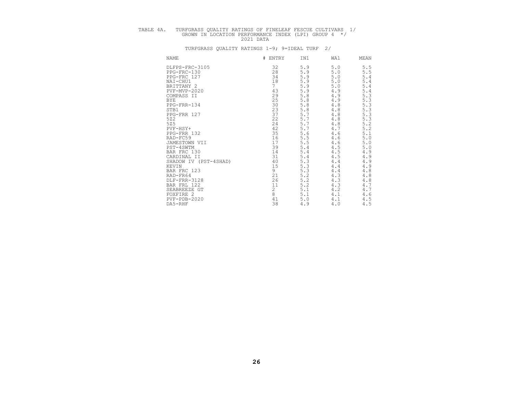# TABLE 4A. TURFGRASS QUALITY RATINGS OF FINELEAF FESCUE CULTIVARS 1/<br>GROWN IN LOCATION PERFORMANCE INDEX (LPI) GROUP 4 \*/<br>2021 DATA

| NAME       |                       | #<br>ENTRY      | IN1     | WA1     | MEAN                          |
|------------|-----------------------|-----------------|---------|---------|-------------------------------|
|            | DLFPS-FRC-3105        | 32              | 5.9     | 5.0     | 5.5                           |
|            | PPG-FRC-130           | 28              | 5.9     | 5.0     | 5.5                           |
|            | PPG-FRC 127           | 34              | 5.9     | $5.0$   | 5.4                           |
|            | NAI-CHU1              |                 | 5.9     | 5.0     |                               |
|            | BRITTANY 2            | $\frac{1}{7}$ 8 | 5.9     | $5.0$   | $\frac{5 \cdot 4}{5 \cdot 4}$ |
|            | PVF-MVP-2020          | 43              | 5.9     | 4.9     |                               |
|            | COMPASS II            | 29              | 5.8     | 4.9     | $\frac{5.4}{5.3}$             |
| <b>BYE</b> |                       | 25              | 5.8     | 4.9     |                               |
|            | PPG-FRR-134           | 30              | 5.8     | 4.8     | $\frac{5 \cdot 3}{5 \cdot 3}$ |
| STB1       |                       | 23              | 5.8     | $4.8$   |                               |
|            | PPG-FRR 127           | 37              | 5.7     | $4.8$   | $\frac{5}{5}$ . 3             |
| 522        |                       | 22              | 5.7     | $4.8$   | 5.3                           |
| 525        |                       | 24              | 5.7     | $4.8$   | 5.2                           |
|            | $PVF-HSY+$            | 42              | 5.7     | 4.7     | $\overline{5.2}$              |
|            | PPG-FRR 132           | 35              | 5.6     | 4.6     | $5.1$                         |
|            | RAD-FC59              | 16              | 5.5     | 4.6     | $5.0$                         |
|            | JAMESTOWN VII         | 17              | 5.5     | 4.6     | $5.0$                         |
|            | PST-4SWTM             | 39              | 5.4     | 4.5     | $5.0$                         |
|            | BAR FRC 130           | 14              | 5.4     | 4.5     | 4.9                           |
|            | CARDINAL II           | 31              | 5.4     | 4.5     | 4.9                           |
|            | SHADOW IV (PST-4SHAD) | 40              | 5.3     | 4.4     | 4.9                           |
| KEVIN      |                       | 15              | 5.3     | 4.4     | 4.9                           |
|            | BAR FRC 123           | 9               | 5.3     | $4.4$   | 4.8                           |
|            | RAD-FR64              | 21              | 5.2     | 4.3     | $4\,.8$                       |
|            | DLF-FRR-3128          | 26              | $5.2\,$ | 4.3     | 4.8                           |
|            | BAR FRL 122           | 11              | 5.2     | 4.3     | 4.7                           |
|            | SEABREEZE GT          |                 | 5.1     | 4.2     | 4.7                           |
|            | FOXFIRE 2             | $_8^2$          | 5.1     | 4.1     | 4.6                           |
|            | $PVF - PDB - 2020$    | 41              | 5.0     | $4.1\,$ | 4.5                           |
|            | DA5-RHF               | 38              | 4.9     | 4.0     | $4.5\,$                       |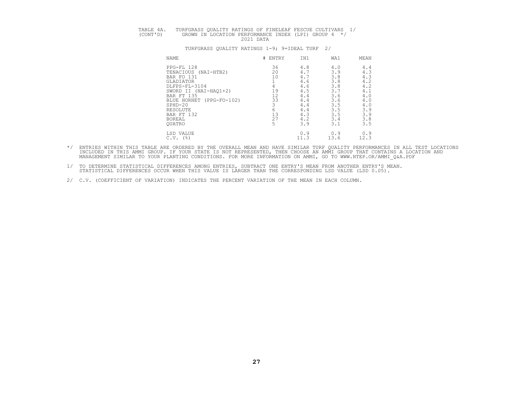# TABLE 4A. TURFGRASS QUALITY RATINGS OF FINELEAF FESCUE CULTIVARS 1/<br>(CONT'D) GROWN IN LOCATION PERFORMANCE INDEX (LPI) GROUP 4 \*/<br>2021 DATA

| NAME                          | #<br>ENTRY | IN1  | WA1  | MEAN |
|-------------------------------|------------|------|------|------|
| PPG-FL 128                    | 36         | 4.8  | 4.0  | 4.4  |
| TENACIOUS<br>(NAI-HTB2)       | 20         | 4.7  | 3.9  | 4.3  |
| BAR FO 131                    | 10         | 4.7  | 3.8  | 4.3  |
| GLADIATOR                     |            | 4.6  | 3.8  | 4.2  |
| DLFPS-FL-3104                 |            | 4.6  | 3.8  | 4.2  |
| SWORD II (NAI-HAQ1+2)         | 19         | 4.5  | 3.7  | 4.1  |
| BAR FT 135                    | 12         | 4.4  | 3.6  | 4.0  |
| $(PPG-FO-102)$<br>BLUE HORNET | 33         | 4.4  | 3.6  | 4.0  |
| $SPHD-20$                     |            | 4.4  | 3.5  | 4.0  |
| RESOLUTE                      | 6          | 4.4  | 3.5  | 3.9  |
| BAR FT 132                    | 13         | 4.3  | 3.5  | 3.9  |
| <b>BOREAL</b>                 | 27         | 4.2  | 3.4  | 3.8  |
| <b>OUATRO</b>                 | 5          | 3.9  | 3.1  | 3.5  |
| LSD VALUE                     |            | 0.9  | 0.9  | 0.9  |
| $C.V.$ (%)                    |            | 11.3 | 13.6 | 12.3 |

- \*/ ENTRIES WITHIN THIS TABLE ARE ORDERED BY THE OVERALL MEAN AND HAVE SIMILAR TURF QUALITY PERFORMANCES IN ALL TEST LOCATIONS<br>INCLUDED IN THIS AMMI GROUP. IF YOUR STATE IS NOT REPRESENTED, THEN CHOOSE AN AMMI GROUP THAT CO
- 1/ TO DETERMINE STATISTICAL DIFFERENCES AMONG ENTRIES, SUBTRACT ONE ENTRY'S MEAN FROM ANOTHER ENTRY'S MEAN.<br>STATISTICAL DIFFERENCES OCCUR WHEN THIS VALUE IS LARGER THAN THE CORRESPONDING LSD VALUE (LSD 0.05).
- 2/ C.V. (COEFFICIENT OF VARIATION) INDICATES THE PERCENT VARIATION OF THE MEAN IN EACH COLUMN.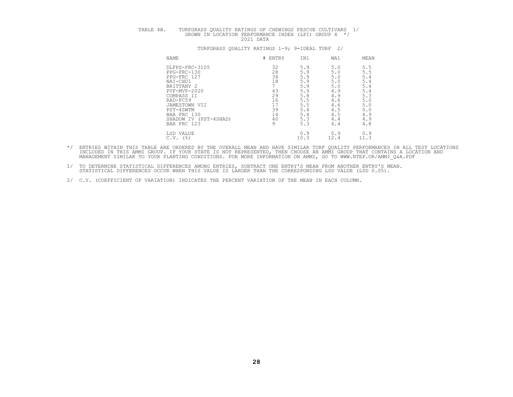| $\sim$ 1 | IR FILR V G G<br>T ATLE ATLAND<br>$\sim$ $\sim$ $\sim$ $\sim$ $\sim$ | OTTA T.<br>гmv<br>$\sim$ | RATINGS                          | ™⊂ S<br>CHEW.<br>∩F        | FESCUE  | IVARS<br>$\cap$ TIL.   |  |
|----------|----------------------------------------------------------------------|--------------------------|----------------------------------|----------------------------|---------|------------------------|--|
|          | GROWN<br>TNL.                                                        | ACATION                  | PERFORMANCE<br>へへへ<br>$\sqrt{2}$ | "NDEX"<br><b>DATZ</b><br>. | (T.P.T) | GROUP<br>∣ ⊢<br>17an t |  |

|  | TURFGRASS OUALITY RATINGS 1-9; 9=IDEAL TURF 2/ |  |  |  |  |  |
|--|------------------------------------------------|--|--|--|--|--|
|--|------------------------------------------------|--|--|--|--|--|

| <b>NAME</b>              | # ENTRY | IN1  | WA1  | MEAN |
|--------------------------|---------|------|------|------|
| DLFPS-FRC-3105           | 32      | 5.9  | 5.0  | 5.5  |
| PPG-FRC-130              | 28      | 5.9  | 5.0  | 5.5  |
| PPG-FRC 127              | 34      | 5.9  | 5.0  | 5.4  |
| NAI-CHU1                 | 18      | 5.9  | 5.0  | 5.4  |
| BRITTANY 2               |         | 5.9  | 5.0  | 5.4  |
| $PVF-MVP-2020$           | 43      | 5.9  | 4.9  | 5.4  |
| COMPASS II               | 29      | 5.8  | 4.9  | 5.3  |
| RAD-FC59                 | 16      | 5.5  | 4.6  | 5.0  |
| JAMESTOWN VII            | 17      | 5.5  | 4.6  | 5.0  |
| PST-4SWTM                | 39      | 5.4  | 4.5  | 5.0  |
| BAR FRC 130              | 14      | 5.4  | 4.5  | 4.9  |
| SHADOW IV<br>(PST-4SHAD) | 40      | 5.3  | 4.4  | 4.9  |
| BAR FRC 123              | 9       | 5.3  | 4.4  | 4.8  |
| LSD VALUE                |         | 0.9  | 0.9  | 0.9  |
| (%)<br>C.V.              |         | 10.3 | 12.4 | 11.3 |

- \*/ ENTRIES WITHIN THIS TABLE ARE ORDERED BY THE OVERALL MEAN AND HAVE SIMILAR TURF QUALITY PERFORMANCES IN ALL TEST LOCATIONS<br>INCLUDED IN THIS AMMI GROUP. IF YOUR STATE IS NOT REPRESENTED, THEN CHOOSE AN AMMI GROUP THAT CO
- 1/ TO DETERMINE STATISTICAL DIFFERENCES AMONG ENTRIES, SUBTRACT ONE ENTRY'S MEAN FROM ANOTHER ENTRY'S MEAN.<br>STATISTICAL DIFFERENCES OCCUR WHEN THIS VALUE IS LARGER THAN THE CORRESPONDING LSD VALUE (LSD 0.05).
- 2/ C.V. (COEFFICIENT OF VARIATION) INDICATES THE PERCENT VARIATION OF THE MEAN IN EACH COLUMN.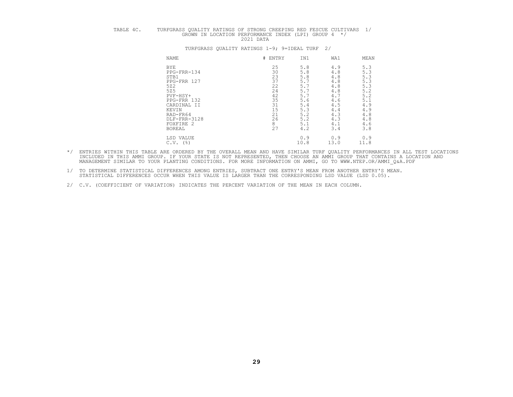# TABLE 4C. TURFGRASS QUALITY RATINGS OF STRONG CREEPING RED FESCUE CULTIVARS 1/<br>GROWN IN LOCATION PERFORMANCE INDEX (LPI) GROUP 4 \*/<br>2021 DATA

# NAME NERVET HENTRY IN1 WA1 MEAN BYE 25 5.8 4.9 5.3<br>
PPG-FRR-134 30 5.8 4.8 5.3<br>
PPG-FRR 127 37 5.7 4.8 5.3<br>
525 22 5.7 4.8 5.3<br>
PVF-HSY+ 42 5.7 4.8 5.3<br>
PVF-HSY+ 42 5.7 4.7 5.2 PPG-FRR 132 35 5.6 4.6 5.1<br>CARDINAL II 31 5.4 4.5 4.9 KEVIN 15 5.3 4.4 4.9<br>
RAD-FR64 21 5.2 4.3 4.8<br>
DLF-FRR-3128 26 5.2 4.3 4.8<br>
FOXFIRE 2 8 5.1 4.1 4.6<br>
BOREAL 27 4.2 3.4 3.8 LSD VALUE 0.9 0.9 0.9 C.V. (%) 10.8 13.0 11.8

- \*/ ENTRIES WITHIN THIS TABLE ARE ORDERED BY THE OVERALL MEAN AND HAVE SIMILAR TURF QUALITY PERFORMANCES IN ALL TEST LOCATIONS<br>INCLUDED IN THIS AMMI GROUP. IF YOUR STATE IS NOT REPRESENTED, THEN CHOOSE AN AMMI GROUP THAT CO
- 1/ TO DETERMINE STATISTICAL DIFFERENCES AMONG ENTRIES, SUBTRACT ONE ENTRY'S MEAN FROM ANOTHER ENTRY'S MEAN. STATISTICAL DIFFERENCES OCCUR WHEN THIS VALUE IS LARGER THAN THE CORRESPONDING LSD VALUE (LSD 0.05).
	- 2/ C.V. (COEFFICIENT OF VARIATION) INDICATES THE PERCENT VARIATION OF THE MEAN IN EACH COLUMN.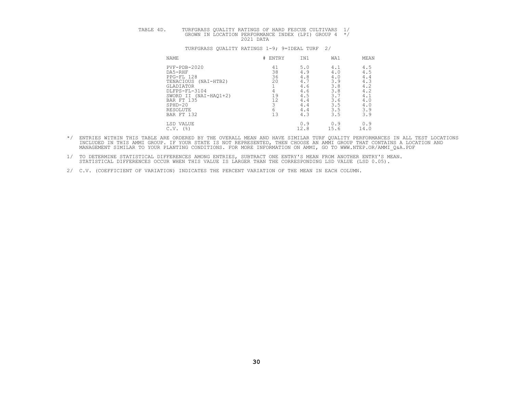# TABLE 4D. TURFGRASS QUALITY RATINGS OF HARD FESCUE CULTIVARS 1/<br>GROWN IN LOCATION PERFORMANCE INDEX (LPI) GROUP 4 \*/<br>2021 DATA

|            |                                                                                                                                                                                                 | IN1                       | WA1                                                   | MEAN                                                  |
|------------|-------------------------------------------------------------------------------------------------------------------------------------------------------------------------------------------------|---------------------------|-------------------------------------------------------|-------------------------------------------------------|
|            | 41                                                                                                                                                                                              | 5.0                       | 4.1                                                   | 4.5                                                   |
|            |                                                                                                                                                                                                 |                           |                                                       | 4.5                                                   |
|            | 36                                                                                                                                                                                              | 4.8                       | 4.0                                                   | 4.4                                                   |
| (NAI-HTB2) | 20                                                                                                                                                                                              | 4.7                       | 3.9                                                   | 4.3                                                   |
|            |                                                                                                                                                                                                 | 4.6                       | 3.8                                                   | 4.2                                                   |
|            |                                                                                                                                                                                                 |                           |                                                       | 4.2                                                   |
|            |                                                                                                                                                                                                 |                           |                                                       | 4.1                                                   |
|            |                                                                                                                                                                                                 |                           |                                                       | 4.0                                                   |
|            |                                                                                                                                                                                                 |                           |                                                       | 4.0                                                   |
|            |                                                                                                                                                                                                 |                           |                                                       |                                                       |
|            | 13                                                                                                                                                                                              | 4.3                       | 3.5                                                   | $3.9$<br>$3.9$                                        |
|            |                                                                                                                                                                                                 |                           |                                                       | 0.9                                                   |
| (%)        |                                                                                                                                                                                                 |                           |                                                       | 14.0                                                  |
|            | NAME<br>$PVF - PDB - 2020$<br>DA5-RHF<br>PPG-FL 128<br>TENACIOUS<br>GLADIATOR<br>DLFPS-FL-3104<br>SWORD II (NAI-HAQ1+2)<br>BAR FT 135<br>SPHD-20<br>RESOLUTE<br>BAR FT 132<br>LSD VALUE<br>C.V. | # ENTRY<br>38<br>19<br>12 | 4.9<br>4.6<br>4.5<br>4.4<br>4.4<br>4.4<br>0.9<br>12.8 | 4.0<br>3.8<br>3.7<br>3.6<br>3.5<br>3.5<br>0.9<br>15.6 |

- \*/ ENTRIES WITHIN THIS TABLE ARE ORDERED BY THE OVERALL MEAN AND HAVE SIMILAR TURF QUALITY PERFORMANCES IN ALL TEST LOCATIONS<br>INCLUDED IN THIS AMMI GROUP. IF YOUR STATE IS NOT REPRESENTED, THEN CHOOSE AN AMMI GROUP THAT CO
- 1/ TO DETERMINE STATISTICAL DIFFERENCES AMONG ENTRIES, SUBTRACT ONE ENTRY'S MEAN FROM ANOTHER ENTRY'S MEAN.<br>STATISTICAL DIFFERENCES OCCUR WHEN THIS VALUE IS LARGER THAN THE CORRESPONDING LSD VALUE (LSD 0.05).
- 2/ C.V. (COEFFICIENT OF VARIATION) INDICATES THE PERCENT VARIATION OF THE MEAN IN EACH COLUMN.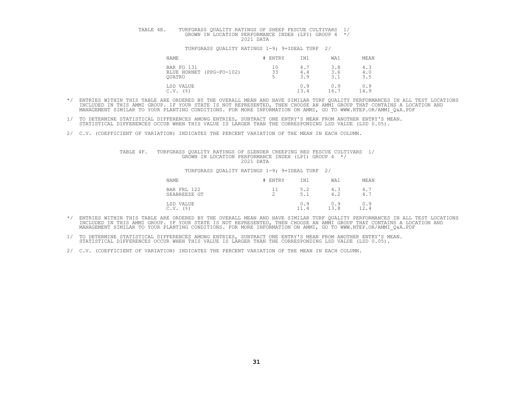# TABLE 4E. TURFGRASS QUALITY RATINGS OF SHEEP FESCUE CULTIVARS 1/<br>GROWN IN LOCATION PERFORMANCE INDEX (LPI) GROUP 4 \*/

#### TURFGRASS QUALITY RATINGS 1-9; 9=IDEAL TURF 2/

| NAME                                                    | # ENTRY  | IN1               | WA1               | MEAN              |
|---------------------------------------------------------|----------|-------------------|-------------------|-------------------|
| BAR FO 131<br>BLUE HORNET (PPG-FO-102)<br><b>OUATRO</b> | 10<br>33 | 4.1<br>4.4<br>3.9 | 3.8<br>3.6<br>3.1 | 4.3<br>4.0<br>3.5 |
| LSD VALUE<br>(%)<br>C.V.                                |          | 0.9<br>13.4       | 0.9<br>16.1       | 0.9<br>14.9       |

- \*/ ENTRIES WITHIN THIS TABLE ARE ORDERED BY THE OVERALL MEAN AND HAVE SIMILAR TURF QUALITY PERFORMANCES IN ALL TEST LOCATIONS<br>INCLUDED IN THIS AMMI GROUP. IF YOUR STATE IS NOT REPRESENTED, THEN CHOOSE AN AMMI GROUP THAT CO MANAGEMENT SIMILAR TO YOUR PLANTING CONDITIONS. FOR MORE INFORMATION ON AMMI, GO TO WWW.NTEP.OR/AMMI\_Q&A.PDF
- 1/ TO DETERMINE STATISTICAL DIFFERENCES AMONG ENTRIES, SUBTRACT ONE ENTRY'S MEAN FROM ANOTHER ENTRY'S MEAN.<br>STATISTICAL DIFFERENCES OCCUR WHEN THIS VALUE IS LARGER THAN THE CORRESPONDING LSD VALUE (LSD 0.05).
- 2/ C.V. (COEFFICIENT OF VARIATION) INDICATES THE PERCENT VARIATION OF THE MEAN IN EACH COLUMN.

## TABLE 4F. TURFGRASS QUALITY RATINGS OF SLENDER CREEPING RED FESCUE CULTIVARS 1/<br>GROWN IN LOCATION PERFORMANCE INDEX (LPI) GROUP 4 \*/<br>2021 DATA

| NAME                                       | ENTRY          | IN1                   | WA1         | MEAN                |
|--------------------------------------------|----------------|-----------------------|-------------|---------------------|
| 122<br>BAR FRL<br>SEABREEZE GT             | <b>__</b><br>∼ | 5.2<br>$-$<br>5.1     | 4.3<br>4.2  | 4.7<br>$\sim$<br>4. |
| LSD VALUE<br>$($ $\frac{6}{3}$ $)$<br>C.V. |                | 0.9<br>$\sim$<br>11.4 | 0.9<br>12 Q | 0.9<br>ົາ<br>12.4   |

- \*/ ENTRIES WITHIN THIS TABLE ARE ORDERED BY THE OVERALL MEAN AND HAVE SIMILAR TURF QUALITY PERFORMANCES IN ALL TEST LOCATIONS<br>INCLUDED IN THIS AMMI GROUP. IF YOUR STATE IS NOT REPRESENTED, THEN CHOOSE AN AMMI GROUP THAT CO
- 1/ TO DETERMINE STATISTICAL DIFFERENCES AMONG ENTRIES, SUBTRACT ONE ENTRY'S MEAN FROM ANOTHER ENTRY'S MEAN.<br>STATISTICAL DIFFERENCES OCCUR WHEN THIS VALUE IS LARGER THAN THE CORRESPONDING LSD VALUE (LSD 0.05).
- 2/ C.V. (COEFFICIENT OF VARIATION) INDICATES THE PERCENT VARIATION OF THE MEAN IN EACH COLUMN.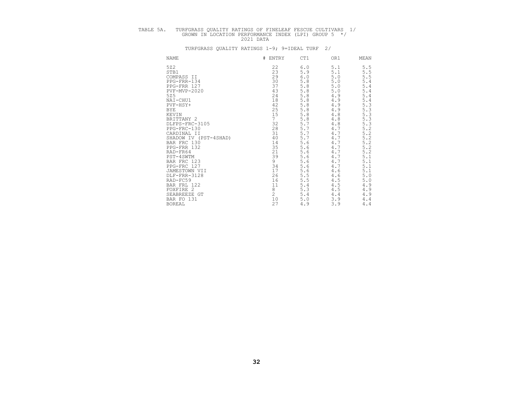# TABLE 5A. TURFGRASS QUALITY RATINGS OF FINELEAF FESCUE CULTIVARS 1/<br>GROWN IN LOCATION PERFORMANCE INDEX (LPI) GROUP 5 \*/<br>2021 DATA

| NAME                  | #<br>ENTRY     | CT1   | OR1     | MEAN       |
|-----------------------|----------------|-------|---------|------------|
| 522                   | 22             | 6.0   | 5.1     | 5.5        |
| STB1                  | 23             | 5.9   | 5.1     | 5.<br>5    |
| COMPASS II            | 29             | 6.0   | 5.0     | 5.<br>5    |
| PPG-FRR-134           | 30             | 5.8   | 5.0     | 5.4        |
| PPG-FRR 127           | 37             | 5.8   | 5.0     | 5.4        |
| PVF-MVP-2020          | 43             | 5.8   | 5.0     | 5.4        |
| 525                   | 24             | 5.8   | 4.9     | 5.4        |
| NAI-CHU1              | 18             | 5.8   | 4.9     | $5$ .<br>4 |
| PVF-HSY+              | 42             | 5.8   | 4.9     | 5.3        |
| BYE                   | 25             | 5.8   | 4.9     | $5$ .<br>3 |
| KEVIN                 | 15             | 5.8   | $4\,.8$ | 5.<br>3    |
| BRITTANY 2            | $\overline{7}$ | 5.8   | $4\,.8$ | 5.3        |
| DLFPS-FRC-3105        | 32             | 5.7   | $4\,.8$ | 5.3        |
| PPG-FRC-130           | 28             | 5.7   | 4.7     | 5.2        |
| CARDINAL II           | 31             | 5.7   | 4.7     | 5.2        |
| SHADOW IV (PST-4SHAD) | 40             | 5.7   | 4.7     | 5.2        |
| BAR FRC 130           | 14             | 5.6   | 4.7     | 5.2        |
| PPG-FRR 132           | 35             | 5.6   | 4.7     | 5.2        |
| RAD-FR64              | 21             | 5.6   | 4.7     | 5.2        |
| PST-4SWTM             | 39             | 5.6   | 4.7     | 5.1        |
| BAR FRC 123           | 9              | 5.6   | 4.7     | 5.1        |
| PPG-FRC 127           | 34             | 5.6   | 4.7     | 5.1        |
| JAMESTOWN VII         | 17             | 5.6   | 4.6     | 5.1        |
| DLF-FRR-3128          | 26             | 5.5   | 4.6     | 5.0        |
| RAD-FC59              | 16             | 5.5   | 4.5     | 5.0        |
| BAR FRL 122           | 11             | 5.4   | 4.5     | 4.9        |
| FOXFIRE 2             | 8              | 5.3   | 4.5     | 4.9        |
| SEABREEZE GT          | $\overline{c}$ | 5.4   | 4.4     | 4.9        |
| BAR FO 131            | 10             | $5.0$ | 3.9     | 4.4        |
| <b>BOREAL</b>         | 27             | 4.9   | 3.9     | 4.4        |
|                       |                |       |         |            |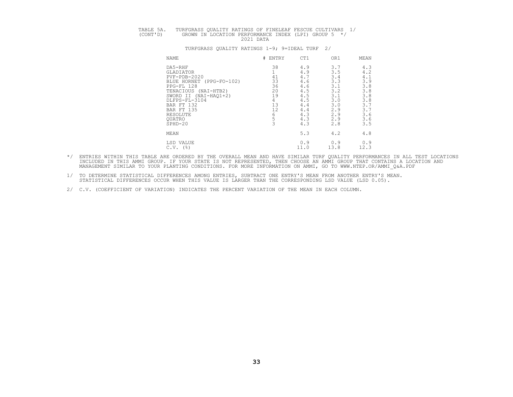# TABLE 5A. TURFGRASS QUALITY RATINGS OF FINELEAF FESCUE CULTIVARS 1/<br>(CONT'D) GROWN IN LOCATION PERFORMANCE INDEX (LPI) GROUP 5 \*/<br>2021 DATA

| NAME                                                                                                                                                                                                                                   | #<br>ENTRY                                             | CT1                                                                                     | OR1                                                                                     | MEAN                                                                                      |
|----------------------------------------------------------------------------------------------------------------------------------------------------------------------------------------------------------------------------------------|--------------------------------------------------------|-----------------------------------------------------------------------------------------|-----------------------------------------------------------------------------------------|-------------------------------------------------------------------------------------------|
| DA5-RHF<br>GLADIATOR<br>$PVF - PDB - 2020$<br>BLUE HORNET<br>$(PPG-FO-102)$<br>PPG-FL 128<br>TENACIOUS<br>$(NAI-HTB2)$<br>SWORD II (NAI-HAQ1+2)<br>DLFPS-FL-3104<br>BAR FT 132<br>BAR FT 135<br>RESOLUTE<br><b>OUATRO</b><br>$SPHD-20$ | 38<br>41<br>33<br>36<br>20<br>19<br>4<br>13<br>12<br>h | 4.9<br>4.9<br>4.7<br>4.6<br>4.6<br>4.5<br>4.5<br>4.5<br>4.4<br>4.4<br>4.3<br>4.3<br>4.3 | 3.7<br>3.5<br>3.4<br>3.3<br>3.1<br>3.2<br>3.1<br>3.0<br>3.0<br>2.9<br>2.9<br>2.9<br>2.8 | 4.3<br>4.2<br>4.1<br>3.9<br>3.8<br>3.8<br>3.8<br>$3.8$<br>3.7<br>3.7<br>3.6<br>3.6<br>3.5 |
| MEAN                                                                                                                                                                                                                                   |                                                        | 5.3                                                                                     | 4.2                                                                                     | 4.8                                                                                       |
| LSD VALUE<br>(응)<br>C.V.                                                                                                                                                                                                               |                                                        | 0.9<br>11.0                                                                             | 0.9<br>13.8                                                                             | 0.9<br>12.3                                                                               |

- \*/ ENTRIES WITHIN THIS TABLE ARE ORDERED BY THE OVERALL MEAN AND HAVE SIMILAR TURF QUALITY PERFORMANCES IN ALL TEST LOCATIONS<br>INCLUDED IN THIS AMMI GROUP. IF YOUR STATE IS NOT REPRESENTED, THEN CHOOSE AN AMMI GROUP THAT CO
- 1/ TO DETERMINE STATISTICAL DIFFERENCES AMONG ENTRIES, SUBTRACT ONE ENTRY'S MEAN FROM ANOTHER ENTRY'S MEAN.<br>STATISTICAL DIFFERENCES OCCUR WHEN THIS VALUE IS LARGER THAN THE CORRESPONDING LSD VALUE (LSD 0.05).
- 2/ C.V. (COEFFICIENT OF VARIATION) INDICATES THE PERCENT VARIATION OF THE MEAN IN EACH COLUMN.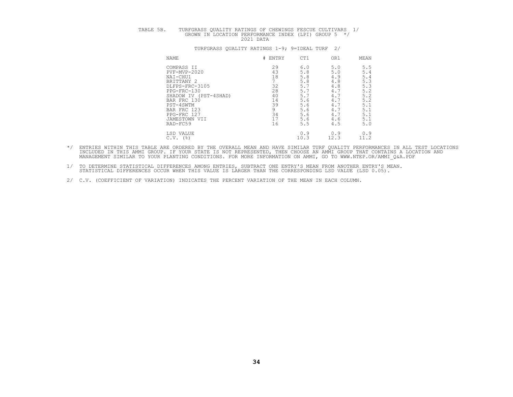| ™ ⊷ !<br>. ABLE<br>ັ<br>$\sim$ $\sim$ | TURFGRASS<br>FFSCIIF.<br>OHEM.<br>∩UALITY<br>RATINGS<br>OF<br>NGS.<br>. RATI'<br>IVARS<br>$\sim$<br>$\sim$ $\sim$ $\sim$ $\sim$ $\sim$                                                        |
|---------------------------------------|-----------------------------------------------------------------------------------------------------------------------------------------------------------------------------------------------|
|                                       | $ -$<br>GROUP<br><b>TNDEX</b><br>GROWN<br>PERFORMANCE<br>⊤∩ங<br>$\cdot$ . $\mapsto$ $\cdot$<br>÷д.,<br>the contract of the contract of the contract of<br>$\cap$ $\cap$<br>)ATA<br>$\sqrt{2}$ |

| <b>NAME</b>               | # ENTRY   | CT1  | OR1  | MEAN |
|---------------------------|-----------|------|------|------|
| COMPASS II                | 29        | 6.0  | 5.0  | 5.5  |
| PVF-MVP-2020              | 43        | 5.8  | 5.0  | 5.4  |
| NAI-CHU1                  | 18        | 5.8  | 4.9  | 5.4  |
| BRITTANY 2                |           | 5.8  | 4.8  | 5.3  |
| DLFPS-FRC-3105            | 32        | 5.7  | 4.8  | 5.3  |
| PPG-FRC-130               | 28        | 5.7  | 4.7  | 5.2  |
| SHADOW IV (PST-4SHAD)     | 40        | 5.7  | 4.7  | 5.2  |
| BAR FRC 130               | 14        | 5.6  | 4.1  | 5.2  |
| PST-4SWTM                 | 39        | 5.6  | 4.   | 5.1  |
| BAR FRC 123               |           | 5.6  | 4.   | 5.1  |
| PPG-FRC 127               | 34        | 5.6  | 4.1  | 5.1  |
| JAMESTOWN VII             | $-1$<br>∸ | 5.6  | 4.6  | 5.1  |
| RAD-FC59                  | 16        | 5.5  | 4.5  | 5.0  |
| LSD VALUE                 |           | 0.9  | 0.9  | 0.9  |
| $($ $\frac{6}{6}$<br>C.V. |           | 10.3 | 12.3 | 11.2 |

- \*/ ENTRIES WITHIN THIS TABLE ARE ORDERED BY THE OVERALL MEAN AND HAVE SIMILAR TURF QUALITY PERFORMANCES IN ALL TEST LOCATIONS<br>INCLUDED IN THIS AMMI GROUP. IF YOUR STATE IS NOT REPRESENTED, THEN CHOOSE AN AMMI GROUP THAT CO
- 1/ TO DETERMINE STATISTICAL DIFFERENCES AMONG ENTRIES, SUBTRACT ONE ENTRY'S MEAN FROM ANOTHER ENTRY'S MEAN.<br>STATISTICAL DIFFERENCES OCCUR WHEN THIS VALUE IS LARGER THAN THE CORRESPONDING LSD VALUE (LSD 0.05).
- 2/ C.V. (COEFFICIENT OF VARIATION) INDICATES THE PERCENT VARIATION OF THE MEAN IN EACH COLUMN.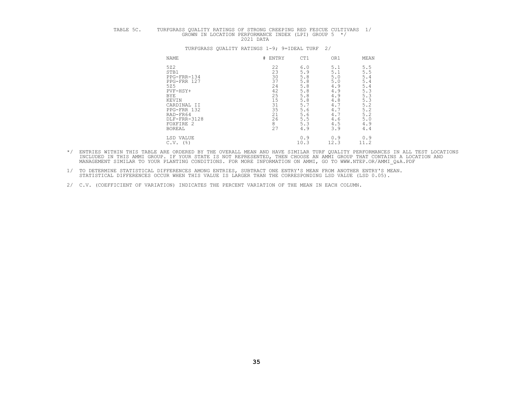# TABLE 5C. TURFGRASS QUALITY RATINGS OF STRONG CREEPING RED FESCUE CULTIVARS 1/<br>GROWN IN LOCATION PERFORMANCE INDEX (LPI) GROUP 5 \*/<br>2021 DATA

# NAME NERVET FRAME THE SERVICE THE SERVICE OR MEAN 5721<br>
STB1<br>
PEG-FRR-134<br>
PEG-FRR 127<br>
PEG-FRR 127<br>
ST5<br>
ST5.8<br>
ST5.8<br>
ST6.8<br>
ST6.8<br>
ST6.8<br>
ST6.8<br>
ST6.8<br>
ST6.8<br>
4.9<br>
ST6.8<br>
4.9<br>
ST6.8<br>
4.9<br>
5.3<br>
ST6.8<br>
4.9<br>
5.3<br>
4.9<br>
5.3<br>
4.9<br>
5.3<br>
AND-FRR 132<br>
RAD-FR64<br>
RAD-FR64<br>
PEG-FR LSD VALUE 0.9 0.9 0.9 C.V. (%) 10.3 12.3 11.2

- \*/ ENTRIES WITHIN THIS TABLE ARE ORDERED BY THE OVERALL MEAN AND HAVE SIMILAR TURF QUALITY PERFORMANCES IN ALL TEST LOCATIONS<br>INCLUDED IN THIS AMMI GROUP. IF YOUR STATE IS NOT REPRESENTED, THEN CHOOSE AN AMMI GROUP THAT CO
- 1/ TO DETERMINE STATISTICAL DIFFERENCES AMONG ENTRIES, SUBTRACT ONE ENTRY'S MEAN FROM ANOTHER ENTRY'S MEAN.<br>STATISTICAL DIFFERENCES OCCUR WHEN THIS VALUE IS LARGER THAN THE CORRESPONDING LSD VALUE (LSD 0.05).
- 2/ C.V. (COEFFICIENT OF VARIATION) INDICATES THE PERCENT VARIATION OF THE MEAN IN EACH COLUMN.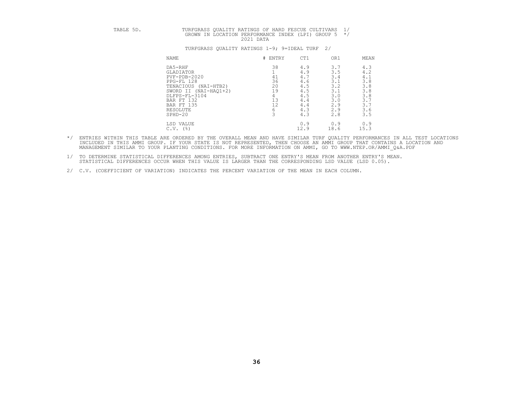# TABLE 5D. TURFGRASS QUALITY RATINGS OF HARD FESCUE CULTIVARS 1/<br>GROWN IN LOCATION PERFORMANCE INDEX (LPI) GROUP 5 \*/<br>2021 DATA

| NAME                      | # ENTRY | CT1  | OR1  | MEAN |
|---------------------------|---------|------|------|------|
| DA5-RHF                   | 38      | 4.9  | 3.7  | 4.3  |
| GLADIATOR                 |         | 4.9  | 3.5  | 4.2  |
| PVF-PDB-2020              | 41      | 4.7  | 3.4  | 4.1  |
| PPG-FL 128                | 36      | 4.6  | 3.1  | 3.8  |
| $(NAI-HTB2)$<br>TENACIOUS | 20      | 4.5  | 3.2  | 3.8  |
| SWORD II (NAI-HAQ1+2)     | 19      | 4.5  | 3.1  | 3.8  |
| DLFPS-FL-3104             |         | 4.5  | 3.0  | 3.8  |
| BAR FT 132                | 13      | 4.4  | 3.0  | 3.1  |
| BAR FT 135                | 12      | 4.4  | 2.9  | 3.1  |
| RESOLUTE                  |         | 4.3  | 2.9  | 3.6  |
| $SPHD-20$                 |         | 4.3  | 2.8  | 3.5  |
| LSD VALUE                 |         | 0.9  | 0.9  | 0.9  |
| (%)<br>C.V.               |         | 12.9 | 18.6 | 15.3 |

- \*/ ENTRIES WITHIN THIS TABLE ARE ORDERED BY THE OVERALL MEAN AND HAVE SIMILAR TURF QUALITY PERFORMANCES IN ALL TEST LOCATIONS<br>INCLUDED IN THIS AMMI GROUP. IF YOUR STATE IS NOT REPRESENTED, THEN CHOOSE AN AMMI GROUP THAT CO
- 1/ TO DETERMINE STATISTICAL DIFFERENCES AMONG ENTRIES, SUBTRACT ONE ENTRY'S MEAN FROM ANOTHER ENTRY'S MEAN.<br>STATISTICAL DIFFERENCES OCCUR WHEN THIS VALUE IS LARGER THAN THE CORRESPONDING LSD VALUE (LSD 0.05).
- 2/ C.V. (COEFFICIENT OF VARIATION) INDICATES THE PERCENT VARIATION OF THE MEAN IN EACH COLUMN.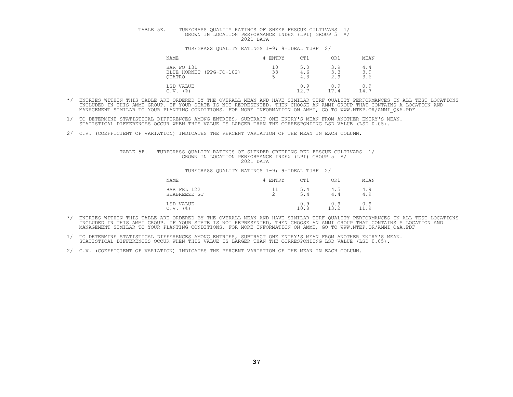# TABLE 5E. TURFGRASS QUALITY RATINGS OF SHEEP FESCUE CULTIVARS 1/<br>GROWN IN LOCATION PERFORMANCE INDEX (LPI) GROUP 5 \*/

#### TURFGRASS QUALITY RATINGS 1-9; 9=IDEAL TURF 2/

| NAME                                                    | # ENTRY  | CT1               | OR1               | MEAN              |
|---------------------------------------------------------|----------|-------------------|-------------------|-------------------|
| BAR FO 131<br>BLUE HORNET (PPG-FO-102)<br><b>OUATRO</b> | 10<br>33 | 5.0<br>4.6<br>4.3 | 3.9<br>3.3<br>2.9 | 4.4<br>3.9<br>3.6 |
| LSD VALUE<br>(%)<br>C.V.                                |          | 0.9<br>12.7       | 0.9<br>17.4       | 0.9<br>14.7       |

- \*/ ENTRIES WITHIN THIS TABLE ARE ORDERED BY THE OVERALL MEAN AND HAVE SIMILAR TURF QUALITY PERFORMANCES IN ALL TEST LOCATIONS<br>INCLUDED IN THIS AMMI GROUP. IF YOUR STATE IS NOT REPRESENTED, THEN CHOOSE AN AMMI GROUP THAT CO
- 1/ TO DETERMINE STATISTICAL DIFFERENCES AMONG ENTRIES, SUBTRACT ONE ENTRY'S MEAN FROM ANOTHER ENTRY'S MEAN.<br>STATISTICAL DIFFERENCES OCCUR WHEN THIS VALUE IS LARGER THAN THE CORRESPONDING LSD VALUE (LSD 0.05).
- 2/ C.V. (COEFFICIENT OF VARIATION) INDICATES THE PERCENT VARIATION OF THE MEAN IN EACH COLUMN.

## TABLE 5F. TURFGRASS QUALITY RATINGS OF SLENDER CREEPING RED FESCUE CULTIVARS 1/<br>GROWN IN LOCATION PERFORMANCE INDEX (LPI) GROUP 5 \*/<br>2021 DATA

| NAME                        | ENTRY               | CT1         | OR1         | MEAN        |
|-----------------------------|---------------------|-------------|-------------|-------------|
| BAR FRL 122<br>SEABREEZE GT | <b>__</b><br>⌒<br>∼ | 5.4<br>5.4  | 4.5<br>4.4  | 4.9<br>4.9  |
| LSD VALUE<br>(%)<br>C.V.    |                     | 0.9<br>10.8 | 0.9<br>13.2 | 0.9<br>11.9 |

- \*/ ENTRIES WITHIN THIS TABLE ARE ORDERED BY THE OVERALL MEAN AND HAVE SIMILAR TURF QUALITY PERFORMANCES IN ALL TEST LOCATIONS<br>INCLUDED IN THIS AMMI GROUP. IF YOUR STATE IS NOT REPRESENTED, THEN CHOOSE AN AMMI GROUP THAT CO
- 1/ TO DETERMINE STATISTICAL DIFFERENCES AMONG ENTRIES, SUBTRACT ONE ENTRY'S MEAN FROM ANOTHER ENTRY'S MEAN.<br>STATISTICAL DIFFERENCES OCCUR WHEN THIS VALUE IS LARGER THAN THE CORRESPONDING LSD VALUE (LSD 0.05).
- 2/ C.V. (COEFFICIENT OF VARIATION) INDICATES THE PERCENT VARIATION OF THE MEAN IN EACH COLUMN.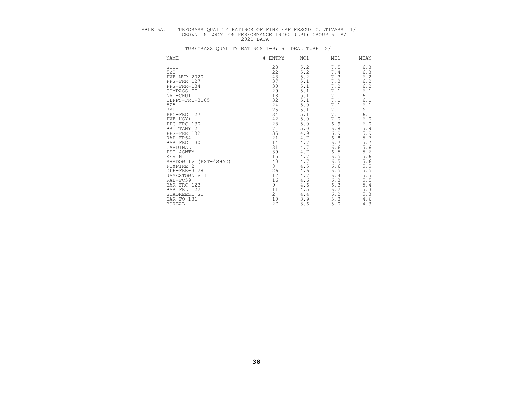# TABLE 6A. TURFGRASS QUALITY RATINGS OF FINELEAF FESCUE CULTIVARS 1/<br>GROWN IN LOCATION PERFORMANCE INDEX (LPI) GROUP 6 \*/<br>2021 DATA

| NAME                     | #<br>ENTRY                              | NC1   | MI1   | MEAN                   |
|--------------------------|-----------------------------------------|-------|-------|------------------------|
| STB1                     | 23                                      | 5.2   | 7.5   | 6.3                    |
| 522                      | 22                                      | 5.2   | 7.4   | 6.3                    |
| PVF-MVP-2020             | 43                                      | 5.2   | 7.3   |                        |
| PPG-FRR 127              | 37                                      | $5.1$ | 7.3   | $6.2$<br>$6.2$         |
| PPG-FRR-134              | 30                                      | 5.1   | 7.2   | 6.2                    |
| COMPASS II               | 29                                      | 5.1   | 7.1   | 6.1                    |
| NAI-CHU1                 | 18                                      | 5.1   | 7.1   | 6.1                    |
| DLFPS-FRC-3105           | $32$<br>$24$<br>$25$                    | 5.1   | 7.1   | 6.1                    |
| 525                      |                                         | $5.0$ | 7.1   | 6.1                    |
| <b>BYE</b>               |                                         | 5.1   | 7.1   | 6.1                    |
| PPG-FRC 127              | 34                                      | 5.1   | 7.1   | 6.1                    |
| $PVF-HSY+$               | 42                                      | $5.0$ | $7.0$ | $6.0\,$                |
| PPG-FRC-130              | 28                                      | $5.0$ | 6.9   | 6.0                    |
| BRITTANY 2               | 7                                       | $5.0$ | $6.8$ | 5.9                    |
| PPG-FRR 132              | $\begin{array}{c} 35 \\ 21 \end{array}$ | 4.9   | 6.9   | 5.9                    |
| RAD-FR64                 |                                         | 4.7   | $6.8$ | $5.7$<br>$5.7$         |
| BAR FRC 130              | 14                                      | 4.7   | $6.7$ |                        |
| CARDINAL II              | 31                                      | 4.7   | $6.6$ | 5.6                    |
| PST-4SWTM                | 39                                      | 4.7   | 6.5   | 5.6                    |
| KEVIN                    | 15                                      | 4.7   | 6.5   | 5.6                    |
| SHADOW IV<br>(PST-4SHAD) | 40                                      | 4.7   | 6.5   | 5.6                    |
| FOXFIRE 2                | 8                                       | 4.5   | $6.6$ | 5<br>$\frac{5.5}{5.5}$ |
| DLF-FRR-3128             | 26                                      | 4.6   | 6.5   |                        |
| JAMESTOWN VII            | 17                                      | 4.7   | $6.4$ | 5.5                    |
| RAD-FC59                 | 16                                      | 4.6   | 6.3   | 5.5                    |
| BAR FRC 123              | 9                                       | 4.6   | 6.3   | 5.4                    |
| BAR FRL 122              | 11                                      | 4.5   | 6.2   | 5.<br>. 3              |
| SEABREEZE GT             | $\overline{c}$                          | 4.4   | 6.2   | 5.3                    |
| BAR FO 131               | 10                                      | 3.9   | 5.3   | 4.6                    |
| <b>BOREAL</b>            | 27                                      | 3.6   | $5.0$ | 4.3                    |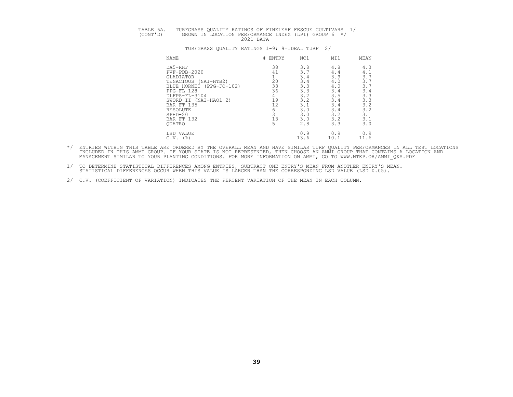# TABLE 6A. TURFGRASS QUALITY RATINGS OF FINELEAF FESCUE CULTIVARS 1/<br>(CONT'D) GROWN IN LOCATION PERFORMANCE INDEX (LPI) GROUP 6 \*/<br>2021 DATA

| NAME                     | #<br>ENTRY | NC1  | MI1  | MEAN |
|--------------------------|------------|------|------|------|
| DA5-RHF                  | 38         | 3.8  | 4.8  | 4.3  |
| $PVF - PDB - 2020$       | 41         | 3.7  | 4.4  | 4.1  |
| GLADIATOR                |            | 3.4  | 3.9  | 3.1  |
| (NAI-HTB2)<br>TENACIOUS  | 20         | 3.4  | 4.0  | 3.   |
| BLUE HORNET (PPG-FO-102) | 33         | 3.3  | 4.0  | 3.   |
| PPG-FL 128               | 36         | 3.3  | 3.4  | 3.4  |
| DLFPS-FL-3104            | 4          | 3.2  | 3.5  | 3.3  |
| SWORD II (NAI-HAO1+2)    | 19         | 3.2  | 3.4  | 3.3  |
| BAR FT 135               | 12         | 3.1  | 3.4  | 3.2  |
| RESOLUTE                 |            | 3.0  | 3.4  | 3.2  |
| $SPHD-20$                |            | 3.0  | 3.2  | 3.1  |
| BAR FT 132               | 13         | 3.0  | 3.2  | 3.1  |
| <b>OUATRO</b>            | 5          | 2.8  | 3.3  | 3.0  |
| LSD VALUE                |            | 0.9  | 0.9  | 0.9  |
| (%)<br>C.V.              |            | 13.6 | 10.1 | 11.6 |

- \*/ ENTRIES WITHIN THIS TABLE ARE ORDERED BY THE OVERALL MEAN AND HAVE SIMILAR TURF QUALITY PERFORMANCES IN ALL TEST LOCATIONS<br>INCLUDED IN THIS AMMI GROUP. IF YOUR STATE IS NOT REPRESENTED, THEN CHOOSE AN AMMI GROUP THAT CO
- 1/ TO DETERMINE STATISTICAL DIFFERENCES AMONG ENTRIES, SUBTRACT ONE ENTRY'S MEAN FROM ANOTHER ENTRY'S MEAN.<br>STATISTICAL DIFFERENCES OCCUR WHEN THIS VALUE IS LARGER THAN THE CORRESPONDING LSD VALUE (LSD 0.05).
- 2/ C.V. (COEFFICIENT OF VARIATION) INDICATES THE PERCENT VARIATION OF THE MEAN IN EACH COLUMN.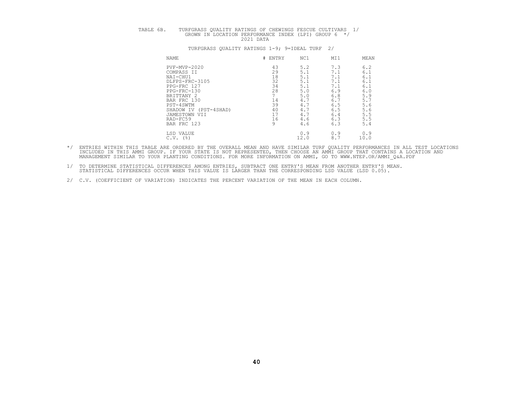# TABLE 6B. TURFGRASS QUALITY RATINGS OF CHEWINGS FESCUE CULTIVARS 1/<br>GROWN IN LOCATION PERFORMANCE INDEX (LPI) GROUP 6 \*/<br>2021 DATA

| <b>NAME</b>              | # ENTRY | NC1  | MI1 | MEAN |
|--------------------------|---------|------|-----|------|
| PVF-MVP-2020             | 43      | 5.2  | 7.3 | 6.2  |
| COMPASS II               | 29      | 5.1  | 7.1 | 6.1  |
| NAI-CHU1                 | 18      | 5.1  | 7.1 | 6.1  |
| DLFPS-FRC-3105           | 32      | 5.1  | 7.1 | 6.1  |
| PPG-FRC 127              | 34      | 5.1  | 7.1 | 6.1  |
| PPG-FRC-130              | 28      | 5.0  | 6.9 | 6.0  |
| BRITTANY 2               |         | 5.0  | 6.8 | 5.9  |
| BAR FRC 130              | 14      | 4.7  | 6.7 | 5.7  |
| PST-4SWTM                | 39      | 4.   | 6.5 | 5.6  |
| (PST-4SHAD)<br>SHADOW IV | 40      | 4.1  | 6.5 | 5.6  |
| JAMESTOWN VII            | 17      | 4.7  | 6.4 | 5.5  |
| RAD-FC59                 | 16      | 4.6  | 6.3 | 5.5  |
| BAR FRC 123              | 9       | 4.6  | 6.3 | 5.4  |
| LSD VALUE                |         | 0.9  | 0.9 | 0.9  |
| $C.V.$ (%)               |         | 12.0 | 8.1 | 10.0 |

- \*/ ENTRIES WITHIN THIS TABLE ARE ORDERED BY THE OVERALL MEAN AND HAVE SIMILAR TURF QUALITY PERFORMANCES IN ALL TEST LOCATIONS<br>INCLUDED IN THIS AMMI GROUP. IF YOUR STATE IS NOT REPRESENTED, THEN CHOOSE AN AMMI GROUP THAT CO MANAGEMENT SIMILAR TO YOUR PLANTING CONDITIONS. FOR MORE INFORMATION ON AMMI, GO TO WWW.NTEP.OR/AMMI\_Q&A.PDF
- 1/ TO DETERMINE STATISTICAL DIFFERENCES AMONG ENTRIES, SUBTRACT ONE ENTRY'S MEAN FROM ANOTHER ENTRY'S MEAN.<br>STATISTICAL DIFFERENCES OCCUR WHEN THIS VALUE IS LARGER THAN THE CORRESPONDING LSD VALUE (LSD 0.05).
- 2/ C.V. (COEFFICIENT OF VARIATION) INDICATES THE PERCENT VARIATION OF THE MEAN IN EACH COLUMN.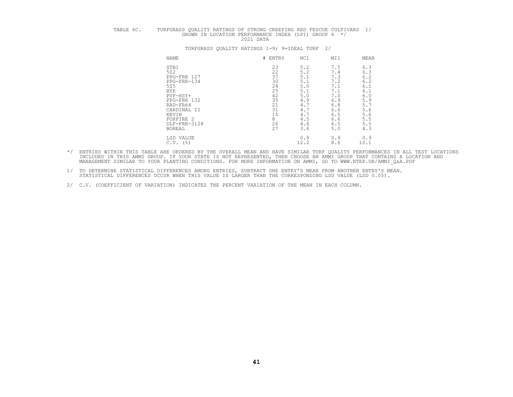# TABLE 6C. TURFGRASS QUALITY RATINGS OF STRONG CREEPING RED FESCUE CULTIVARS 1/<br>GROWN IN LOCATION PERFORMANCE INDEX (LPI) GROUP 6 \*/<br>2021 DATA

# NAME NERVET HENTRY NC1 MI1 MEAN STB1 23 5.2 7.5 6.3<br>
5Z2 7.5 6.3<br>
PPG-FRR 127<br>
PPG-FRR-134 30 5.1 7.3 6.2<br>
5Z5 24 5.0 7.1 6.1<br>
SZ5 5.1 7.1 6.1<br>
PVF-HSY+ 22 5.0 7.0 6.0 PPG-FRR 132 35 4.9 6.9 5.9<br>
RAD-FR64 11 CARDINAL II 31 4.7 6.6 5.7.6<br>
KEVIN 15 4.7 6.5 5.5<br>
FOXFIRE 2 8 4.5 6.6 5.5.6<br>
DLF-FRR-3128 26 4.6 6.5 5.5<br>
BOREAL 27 3.6 5.0 4.3 LSD VALUE 0.9 0.9 0.9 C.V. (%) 12.2 8.6 10.1

- \*/ ENTRIES WITHIN THIS TABLE ARE ORDERED BY THE OVERALL MEAN AND HAVE SIMILAR TURF QUALITY PERFORMANCES IN ALL TEST LOCATIONS<br>INCLUDED IN THIS AMMI GROUP. IF YOUR STATE IS NOT REPRESENTED, THEN CHOOSE AN AMMI GROUP THAT CO
	- 1/ TO DETERMINE STATISTICAL DIFFERENCES AMONG ENTRIES, SUBTRACT ONE ENTRY'S MEAN FROM ANOTHER ENTRY'S MEAN.<br>STATISTICAL DIFFERENCES OCCUR WHEN THIS VALUE IS LARGER THAN THE CORRESPONDING LSD VALUE (LSD 0.05).
	- 2/ C.V. (COEFFICIENT OF VARIATION) INDICATES THE PERCENT VARIATION OF THE MEAN IN EACH COLUMN.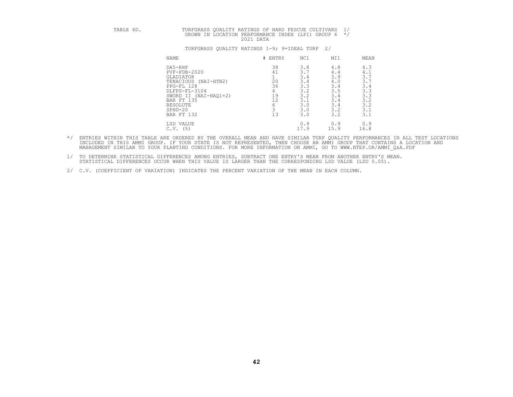# TABLE 6D. TURFGRASS QUALITY RATINGS OF HARD FESCUE CULTIVARS 1/<br>GROWN IN LOCATION PERFORMANCE INDEX (LPI) GROUP 6 \*/

| <b>NAME</b>                | #<br>ENTRY | NC1  | MI1  | MEAN |
|----------------------------|------------|------|------|------|
| DA5-RHF                    | 38         | 3.8  | 4.8  | 4.3  |
| $PVF - PDB - 2020$         | 41         | 3.7  | 4.4  | 4.1  |
| GLADIATOR                  |            | 3.4  | 3.9  | 3.7  |
| TENACIOUS<br>$(NAI-HTB2)$  | 20         | 3.4  | 4.0  | 3.7  |
| PPG-FL 128                 | 36         | 3.3  | 3.4  | 3.4  |
| DLFPS-FL-3104              |            | 3.2  | 3.5  | 3.3  |
| $(NAI-HAQ1+2)$<br>SWORD II | 19         | 3.2  | 3.4  | 3.3  |
| BAR FT 135                 | 12         | 3.1  | 3.4  | 3.2  |
| RESOLUTE                   |            | 3.0  | 3.4  | 3.2  |
| $SPHD-20$                  |            | 3.0  | 3.2  | 3.1  |
| BAR FT 132                 | 13         | 3.0  | 3.2  | 3.1  |
| LSD VALUE                  |            | 0.9  | 0.9  | 0.9  |
| C.V.<br>(%)                |            | 17.9 | 15.9 | 16.8 |

- \*/ ENTRIES WITHIN THIS TABLE ARE ORDERED BY THE OVERALL MEAN AND HAVE SIMILAR TURF QUALITY PERFORMANCES IN ALL TEST LOCATIONS<br>INCLUDED IN THIS AMMI GROUP. IF YOUR STATE IS NOT REPRESENTED, THEN CHOOSE AN AMMI GROUP THAT CO
	- 1/ TO DETERMINE STATISTICAL DIFFERENCES AMONG ENTRIES, SUBTRACT ONE ENTRY'S MEAN FROM ANOTHER ENTRY'S MEAN.<br>STATISTICAL DIFFERENCES OCCUR WHEN THIS VALUE IS LARGER THAN THE CORRESPONDING LSD VALUE (LSD 0.05).
	- 2/ C.V. (COEFFICIENT OF VARIATION) INDICATES THE PERCENT VARIATION OF THE MEAN IN EACH COLUMN.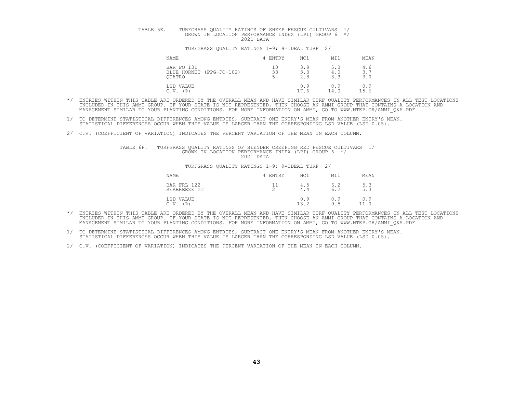# TABLE 6E. TURFGRASS QUALITY RATINGS OF SHEEP FESCUE CULTIVARS 1/<br>GROWN IN LOCATION PERFORMANCE INDEX (LPI) GROUP 6 \*/

#### TURFGRASS QUALITY RATINGS 1-9; 9=IDEAL TURF 2/

| NAME                                                    | # ENTRY  | NC1               | MI1               | MEAN                                     |
|---------------------------------------------------------|----------|-------------------|-------------------|------------------------------------------|
| BAR FO 131<br>BLUE HORNET (PPG-FO-102)<br><b>OUATRO</b> | 10<br>33 | 3.9<br>3.3<br>2.8 | 5.3<br>4.0<br>3.3 | 4.6<br>3 <sub>7</sub><br><u>.</u><br>3.0 |
| LSD VALUE<br>(%)<br>C.V.                                |          | 0.9<br>17.6       | 0.9<br>14.0       | 0.9<br>15.6                              |

- \*/ ENTRIES WITHIN THIS TABLE ARE ORDERED BY THE OVERALL MEAN AND HAVE SIMILAR TURF QUALITY PERFORMANCES IN ALL TEST LOCATIONS<br>INCLUDED IN THIS AMMI GROUP. IF YOUR STATE IS NOT REPRESENTED, THEN CHOOSE AN AMMI GROUP THAT CO
- 1/ TO DETERMINE STATISTICAL DIFFERENCES AMONG ENTRIES, SUBTRACT ONE ENTRY'S MEAN FROM ANOTHER ENTRY'S MEAN.<br>STATISTICAL DIFFERENCES OCCUR WHEN THIS VALUE IS LARGER THAN THE CORRESPONDING LSD VALUE (LSD 0.05).
- 2/ C.V. (COEFFICIENT OF VARIATION) INDICATES THE PERCENT VARIATION OF THE MEAN IN EACH COLUMN.

TABLE 6F. TURFGRASS QUALITY RATINGS OF SLENDER CREEPING RED FESCUE CULTIVARS 1/<br>GROWN IN LOCATION PERFORMANCE INDEX (LPI) GROUP 6 \*/<br>2021 DATA

| NAME                                       | # ENTRY       | NC1                | MI1        | MEAN              |
|--------------------------------------------|---------------|--------------------|------------|-------------------|
| BAR FRL 122<br>SEABREEZE GT                | <u>_</u><br>∼ | 4.5<br>4.4         | 6.2<br>6.2 | $\frac{5.3}{5.3}$ |
| LSD VALUE<br>C.V.<br>$($ $\frac{6}{6}$ $)$ |               | 0.9<br>122<br>10.Z | 0.9<br>9.5 | 0.9<br>11.0       |

- \*/ ENTRIES WITHIN THIS TABLE ARE ORDERED BY THE OVERALL MEAN AND HAVE SIMILAR TURF QUALITY PERFORMANCES IN ALL TEST LOCATIONS<br>INCLUDED IN THIS AMMI GROUP. IF YOUR STATE IS NOT REPRESENTED, THEN CHOOSE AN AMMI GROUP THAT CO
- 1/ TO DETERMINE STATISTICAL DIFFERENCES AMONG ENTRIES, SUBTRACT ONE ENTRY'S MEAN FROM ANOTHER ENTRY'S MEAN.<br>STATISTICAL DIFFERENCES OCCUR WHEN THIS VALUE IS LARGER THAN THE CORRESPONDING LSD VALUE (LSD 0.05).
- 2/ C.V. (COEFFICIENT OF VARIATION) INDICATES THE PERCENT VARIATION OF THE MEAN IN EACH COLUMN.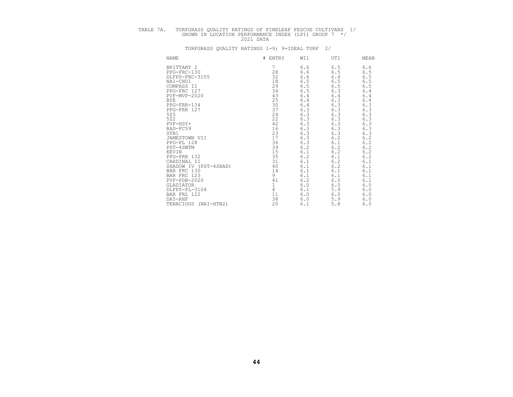# TABLE 7A. TURFGRASS QUALITY RATINGS OF FINELEAF FESCUE CULTIVARS 1/<br>GROWN IN LOCATION PERFORMANCE INDEX (LPI) GROUP 7 \*/<br>2021 DATA

| <b>NAME</b>               | # ENTRY | WI1            | UT1   | MEAN           |
|---------------------------|---------|----------------|-------|----------------|
| BRITTANY 2                |         | 6.6            | 6.5   | 6.6            |
| PPG-FRC-130               | 28      | 6.6            | 6.5   | 6.5            |
| DLFPS-FRC-3105            | 32      | 6.6            | 6.4   | 6.5            |
| NAI-CHU1                  | 18      |                | 6.5   | 6.5            |
| COMPASS II                | 29      | $6.5$<br>$6.5$ | $6.5$ | 6.5            |
| PPG-FRC 127               | 34      | 6.5            | 6.3   | $6.4$          |
| PVF-MVP-2020              | 43      | 6.4            | $6.4$ | 6.4            |
| <b>BYE</b>                | 25      | $6.4$          | 6.3   | 6.4            |
| PPG-FRR-134               | 30      | $6.4$          | 6.3   | 6.3            |
| PPG-FRR 127               | 37      | 6.3            | 6.3   | 6.3            |
| 525                       | 24      | 6.3            | 6.3   | 6.3            |
| 522                       | 22      | 6.3            | 6.3   | $6.3$<br>$6.3$ |
| PVF-HSY+                  | 42      | $6.3$          | 6.3   |                |
| RAD-FC59                  | 16      | 6.3            | 6.3   | 6.3            |
| STB1                      | 23      | 6.3            | 6.3   | 6.3            |
| JAMESTOWN VII             | 17      | 6.3            | 6.2   | $6.2$<br>$6.2$ |
| PPG-FL 128                | 36      | 6.3            | 6.1   |                |
| PST-4SWTM                 | 39      | $6.2\,$        | 6.2   | $6.2$<br>$6.2$ |
| KEVIN                     | 15      | 6.1            | $6.2$ |                |
| PPG-FRR 132               | 35      | $6.2$          | 6.1   | $6.2$<br>$6.1$ |
| CARDINAL II               | 31      | 6.1            | 6.2   |                |
| SHADOW IV (PST-4SHAD)     | 40      | 6.1            | $6.2$ | $6.1\,$        |
| BAR FRC 130               | 14      | 6.1            | 6.1   | $6.1$          |
| BAR FRC 123               | 9       | 6.1            | 6.1   | $6.1$          |
| $PVF - PDB - 2020$        | 41      | $6.2\,$        | 6.0   | $6.1$<br>$6.0$ |
| GLADIATOR                 |         | 6.0            | $6.0$ |                |
| DLFPS-FL-3104             | 4       | 6.1            | 5.9   | $6.0$          |
| BAR FRL 122               | 11      | 6.0            | $6.0$ | 6.0            |
| DA5-RHF                   | 38      | 6.0            | 5.9   | $6.0$          |
| TENACIOUS<br>$(NAI-HTB2)$ | 20      | 6.1            | 5.8   | $6.0$          |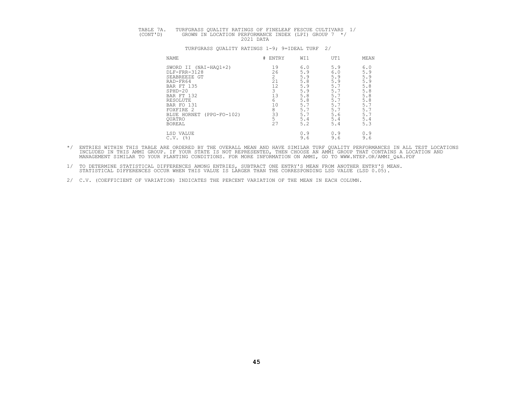| TABLE 7A. | TURFGRASS OUALITY RATINGS OF FINELEAF FESCUE CULTIVARS 1/         |
|-----------|-------------------------------------------------------------------|
| (CONT'D)  | GROWN IN LOCATION PERFORMANCE INDEX (LPI) GROUP 7 */<br>2021 DATA |

| NAME                          | # ENTRY | WI1 | UT1 | MEAN |
|-------------------------------|---------|-----|-----|------|
| SWORD II (NAI-HAQ1+2)         | 19      | 6.0 | 5.9 | 6.0  |
| DLF-FRR-3128                  | 26      | 5.9 | 6.0 | 5.9  |
| SEABREEZE GT                  |         | 5.9 | 5.9 | 5.9  |
| RAD-FR64                      | 21      | 5.8 | 5.9 | 5.9  |
| BAR FT 135                    | 12      | 5.9 | 5.7 | 5.8  |
| SPHD-20                       |         | 5.9 | 5.  | 5.8  |
| BAR FT 132                    | 13      | 5.8 | 5.  | 5.8  |
| RESOLUTE                      | 'n      | 5.8 | 5.7 | 5.8  |
| BAR FO 131                    | 10      | 5.  | 5.7 | 5.7  |
| FOXFIRE 2                     | 8       | 5.1 | 5.7 | 5.7  |
| BLUE HORNET<br>$(PPG-FO-102)$ | 33      | 5.1 | 5.6 | 5.7  |
| <b>OUATRO</b>                 |         | 5.4 | 5.4 | 5.4  |
| <b>BOREAL</b>                 | 27      | 5.2 | 5.4 | 5.3  |
| LSD VALUE                     |         | 0.9 | 0.9 | 0.9  |
| $C.V.$ (%)                    |         | 9.6 | 9.6 | 9.6  |

- \*/ ENTRIES WITHIN THIS TABLE ARE ORDERED BY THE OVERALL MEAN AND HAVE SIMILAR TURF QUALITY PERFORMANCES IN ALL TEST LOCATIONS<br>INCLUDED IN THIS AMMI GROUP. IF YOUR STATE IS NOT REPRESENTED, THEN CHOOSE AN AMMI GROUP THAT CO MANAGEMENT SIMILAR TO YOUR PLANTING CONDITIONS. FOR MORE INFORMATION ON AMMI, GO TO WWW.NTEP.OR/AMMI\_Q&A.PDF
- 1/ TO DETERMINE STATISTICAL DIFFERENCES AMONG ENTRIES, SUBTRACT ONE ENTRY'S MEAN FROM ANOTHER ENTRY'S MEAN.<br>STATISTICAL DIFFERENCES OCCUR WHEN THIS VALUE IS LARGER THAN THE CORRESPONDING LSD VALUE (LSD 0.05).
- 2/ C.V. (COEFFICIENT OF VARIATION) INDICATES THE PERCENT VARIATION OF THE MEAN IN EACH COLUMN.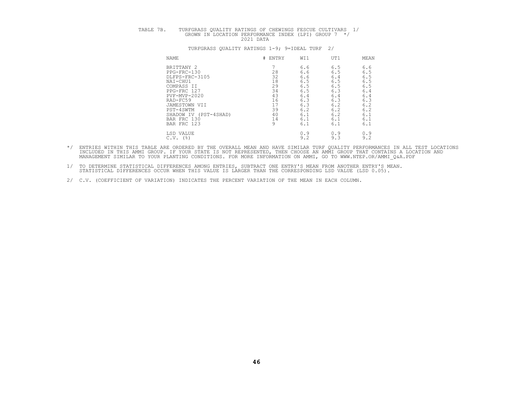# TABLE 7B. TURFGRASS QUALITY RATINGS OF CHEWINGS FESCUE CULTIVARS 1/<br>GROWN IN LOCATION PERFORMANCE INDEX (LPI) GROUP 7 \*/<br>2021 DATA

| <b>NAME</b>              | # ENTRY | WI1 | UT1 | MEAN |
|--------------------------|---------|-----|-----|------|
| BRITTANY 2               |         | 6.6 | 6.5 | 6.6  |
| PPG-FRC-130              | 28      | 6.6 | 6.5 | 6.5  |
| DLFPS-FRC-3105           | 32      | 6.6 | 6.4 | 6.5  |
| NAI-CHU1                 | 18      | 6.5 | 6.5 | 6.5  |
| COMPASS II               | 29      | 6.5 | 6.5 | 6.5  |
| PPG-FRC 127              | 34      | 6.5 | 6.3 | 6.4  |
| PVF-MVP-2020             | 43      | 6.4 | 6.4 | 6.4  |
| RAD-FC59                 | 16      | 6.3 | 6.3 | 6.3  |
| JAMESTOWN VII            | 17      | 6.3 | 6.2 | 6.2  |
| PST-4SWTM                | 39      | 6.2 | 6.2 | 6.2  |
| (PST-4SHAD)<br>SHADOW IV | 40      | 6.1 | 6.2 | 6.1  |
| BAR FRC 130              | 14      | 6.1 | 6.1 | 6.1  |
| BAR FRC 123              | 9       | 6.1 | 6.1 | 6.1  |
| LSD VALUE                |         | 0.9 | 0.9 | 0.9  |
| $C.V.$ (%)               |         | 9.2 | 9.3 | 9.2  |

- \*/ ENTRIES WITHIN THIS TABLE ARE ORDERED BY THE OVERALL MEAN AND HAVE SIMILAR TURF QUALITY PERFORMANCES IN ALL TEST LOCATIONS<br>INCLUDED IN THIS AMMI GROUP. IF YOUR STATE IS NOT REPRESENTED, THEN CHOOSE AN AMMI GROUP THAT CO
- 1/ TO DETERMINE STATISTICAL DIFFERENCES AMONG ENTRIES, SUBTRACT ONE ENTRY'S MEAN FROM ANOTHER ENTRY'S MEAN.<br>STATISTICAL DIFFERENCES OCCUR WHEN THIS VALUE IS LARGER THAN THE CORRESPONDING LSD VALUE (LSD 0.05).
- 2/ C.V. (COEFFICIENT OF VARIATION) INDICATES THE PERCENT VARIATION OF THE MEAN IN EACH COLUMN.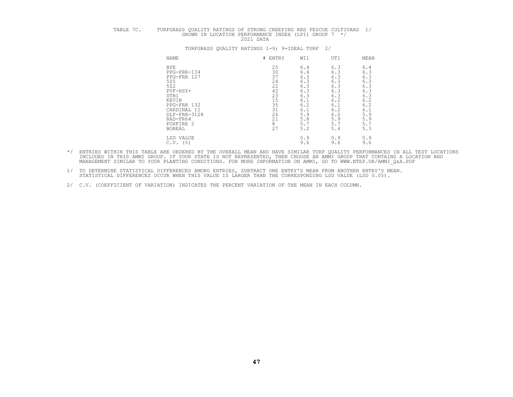# TABLE 7C. TURFGRASS QUALITY RATINGS OF STRONG CREEPING RED FESCUE CULTIVARS 1/<br>GROWN IN LOCATION PERFORMANCE INDEX (LPI) GROUP 7 \*/<br>2021 DATA

# NAME NERVET FRAME A LIGATION OF THE MEAN WALL TO MEAN BYE 25 6.4 6.3 6.4 PPG-FRR-134 30 6.4 6.3 6.3 PPG-FRR 127 37 6.3 6.3 6.3 5Z5 24 6.3 6.3 6.3 5Z2 22 6.3 6.3 6.3 PVF-HSY+ 42 6.3 6.3 6.3 STB1 23 6.3 6.3 6.3 KEVIN 15 6.1 6.2 6.2 PPG-FRR 132 35 6.2 6.1 6.2 CARDINAL II 31 6.1 6.2 6.1 DLF-FRR-3128 26 5.9 6.0 5.9 RAD-FR64 21 5.8 5.9 5.9 FOXFIRE 2 8 5.7 5.7 5.7 BOREAL 27 5.2 5.4 5.3 LSD VALUE 0.9 0.9 0.9 C.V. (%) 9.6 9.6 9.6

- \*/ ENTRIES WITHIN THIS TABLE ARE ORDERED BY THE OVERALL MEAN AND HAVE SIMILAR TURF QUALITY PERFORMANCES IN ALL TEST LOCATIONS<br>INCLUDED IN THIS AMMI GROUP. IF YOUR STATE IS NOT REPRESENTED, THEN CHOOSE AN AMMI GROUP THAT CO
	- 1/ TO DETERMINE STATISTICAL DIFFERENCES AMONG ENTRIES, SUBTRACT ONE ENTRY'S MEAN FROM ANOTHER ENTRY'S MEAN.<br>STATISTICAL DIFFERENCES OCCUR WHEN THIS VALUE IS LARGER THAN THE CORRESPONDING LSD VALUE (LSD 0.05).
	- 2/ C.V. (COEFFICIENT OF VARIATION) INDICATES THE PERCENT VARIATION OF THE MEAN IN EACH COLUMN.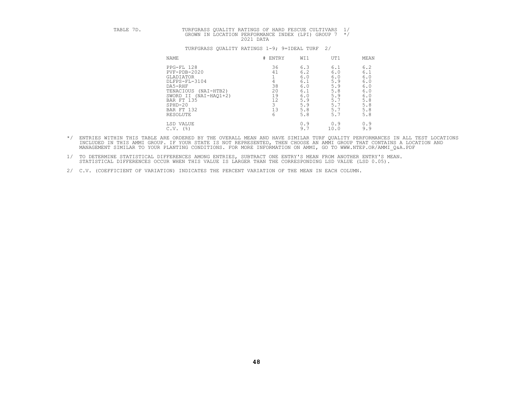# TABLE 7D. TURFGRASS QUALITY RATINGS OF HARD FESCUE CULTIVARS 1/<br>GROWN IN LOCATION PERFORMANCE INDEX (LPI) GROUP 7 \*/

| <b>NAME</b>                                                                                                                                                                    | # ENTRY                                | WI1                                                                       | UT1                                                                      | MEAN                                                                      |
|--------------------------------------------------------------------------------------------------------------------------------------------------------------------------------|----------------------------------------|---------------------------------------------------------------------------|--------------------------------------------------------------------------|---------------------------------------------------------------------------|
| PPG-FL 128<br>PVF-PDB-2020<br>GLADIATOR<br>DLFPS-FL-3104<br>DA5-RHF<br>TENACIOUS<br>$(NAI-HTB2)$<br>SWORD II (NAI-HAQ1+2)<br>BAR FT 135<br>$SPHD-20$<br>BAR FT 132<br>RESOLUTE | 36<br>41<br>38<br>20<br>19<br>12<br>13 | 6.3<br>6.2<br>6.0<br>6.1<br>6.0<br>6.1<br>6.0<br>5.9<br>5.9<br>5.8<br>5.8 | 6.1<br>6.0<br>6.0<br>5.9<br>5.9<br>5.8<br>5.9<br>5.7<br>5.<br>5.7<br>5.7 | 6.2<br>6.1<br>6.0<br>6.0<br>6.0<br>6.0<br>6.0<br>5.8<br>5.8<br>5.8<br>5.8 |
| LSD VALUE                                                                                                                                                                      | b                                      | 0.9<br>9.7                                                                | 0.9                                                                      | 0.9<br>9.9                                                                |
| (응)<br>C.V.                                                                                                                                                                    |                                        |                                                                           | 10.0                                                                     |                                                                           |

- \*/ ENTRIES WITHIN THIS TABLE ARE ORDERED BY THE OVERALL MEAN AND HAVE SIMILAR TURF QUALITY PERFORMANCES IN ALL TEST LOCATIONS<br>INCLUDED IN THIS AMMI GROUP. IF YOUR STATE IS NOT REPRESENTED, THEN CHOOSE AN AMMI GROUP THAT CO
- 1/ TO DETERMINE STATISTICAL DIFFERENCES AMONG ENTRIES, SUBTRACT ONE ENTRY'S MEAN FROM ANOTHER ENTRY'S MEAN.<br>STATISTICAL DIFFERENCES OCCUR WHEN THIS VALUE IS LARGER THAN THE CORRESPONDING LSD VALUE (LSD 0.05).
- 2/ C.V. (COEFFICIENT OF VARIATION) INDICATES THE PERCENT VARIATION OF THE MEAN IN EACH COLUMN.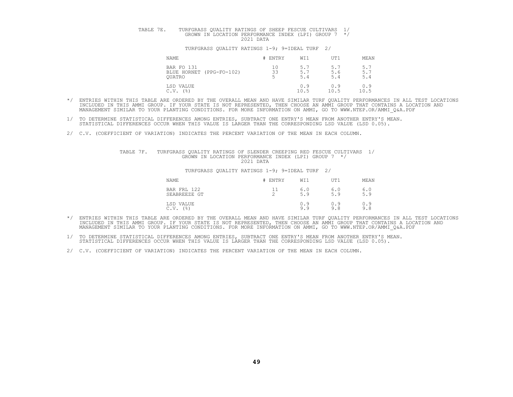## TABLE 7E. TURFGRASS QUALITY RATINGS OF SHEEP FESCUE CULTIVARS 1/<br>GROWN IN LOCATION PERFORMANCE INDEX (LPI) GROUP 7 \*/

#### TURFGRASS QUALITY RATINGS 1-9; 9=IDEAL TURF 2/

| NAME                                                    | # ENTRY  | WI1             | UT1              | MEAN                                           |
|---------------------------------------------------------|----------|-----------------|------------------|------------------------------------------------|
| BAR FO 131<br>BLUE HORNET (PPG-FO-102)<br><b>OUATRO</b> | 10<br>33 | 5.<br>5.<br>5.4 | 5.<br>5.6<br>5.4 | Б.<br>$\overline{\phantom{a}}$ .<br>5.7<br>5.4 |
| LSD VALUE<br>(%)<br>C.V.                                |          | 0.9<br>10.5     | 0.9<br>10.5      | 0.9<br>10.5                                    |

- \*/ ENTRIES WITHIN THIS TABLE ARE ORDERED BY THE OVERALL MEAN AND HAVE SIMILAR TURF QUALITY PERFORMANCES IN ALL TEST LOCATIONS<br>INCLUDED IN THIS AMMI GROUP. IF YOUR STATE IS NOT REPRESENTED, THEN CHOOSE AN AMMI GROUP THAT CO
- 1/ TO DETERMINE STATISTICAL DIFFERENCES AMONG ENTRIES, SUBTRACT ONE ENTRY'S MEAN FROM ANOTHER ENTRY'S MEAN.<br>STATISTICAL DIFFERENCES OCCUR WHEN THIS VALUE IS LARGER THAN THE CORRESPONDING LSD VALUE (LSD 0.05).
- 2/ C.V. (COEFFICIENT OF VARIATION) INDICATES THE PERCENT VARIATION OF THE MEAN IN EACH COLUMN.

## TABLE 7F. TURFGRASS QUALITY RATINGS OF SLENDER CREEPING RED FESCUE CULTIVARS 1/<br>GROWN IN LOCATION PERFORMANCE INDEX (LPI) GROUP 7 \*/<br>2021 DATA

| NAME                                       | ENTRY                | WI1        | UT1        | MEAN         |
|--------------------------------------------|----------------------|------------|------------|--------------|
| BAR FRL 122<br>SEABREEZE GT                | <u>_</u><br><u>_</u> | 6.0<br>5.9 | 6.0<br>5.9 | $6.0$<br>5.9 |
| LSD VALUE<br>$($ $\frac{6}{3}$ $)$<br>C.V. |                      | 0.9<br>9.9 | 0.9<br>9.8 | 0.9<br>9.8   |

- \*/ ENTRIES WITHIN THIS TABLE ARE ORDERED BY THE OVERALL MEAN AND HAVE SIMILAR TURF QUALITY PERFORMANCES IN ALL TEST LOCATIONS<br>INCLUDED IN THIS AMMI GROUP. IF YOUR STATE IS NOT REPRESENTED, THEN CHOOSE AN AMMI GROUP THAT CO
- 1/ TO DETERMINE STATISTICAL DIFFERENCES AMONG ENTRIES, SUBTRACT ONE ENTRY'S MEAN FROM ANOTHER ENTRY'S MEAN.<br>STATISTICAL DIFFERENCES OCCUR WHEN THIS VALUE IS LARGER THAN THE CORRESPONDING LSD VALUE (LSD 0.05).
- 2/ C.V. (COEFFICIENT OF VARIATION) INDICATES THE PERCENT VARIATION OF THE MEAN IN EACH COLUMN.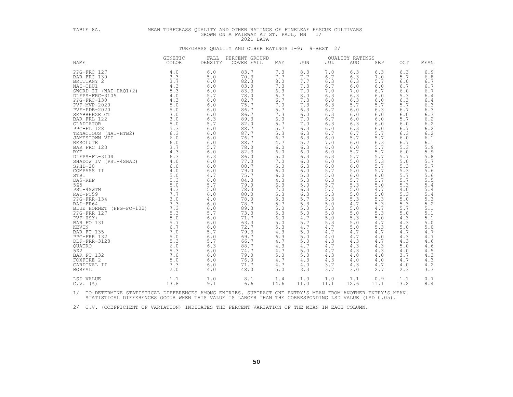# TABLE 8A. MEAN TURFGRASS QUALITY AND OTHER RATINGS OF FINELEAF FESCUE CULTIVARS GROWN ON A FAIRWAY AT ST. PAUL, MN 1/<br>2021 DATA TURFGRASS QUALITY AND OTHER RATINGS 1-9; 9=BEST 2/

|                                                                                                                                                                                                                                                                                                       | GENETIC        | FALL    | PERCENT GROUND |      |      |            | QUALITY RATINGS |      |       |                                                                    |
|-------------------------------------------------------------------------------------------------------------------------------------------------------------------------------------------------------------------------------------------------------------------------------------------------------|----------------|---------|----------------|------|------|------------|-----------------|------|-------|--------------------------------------------------------------------|
| <b>NAME</b>                                                                                                                                                                                                                                                                                           | COLOR          | DENSITY | COVER FALL     | MAY  | JUN  | <b>JUL</b> | AUG             | SEP  | OCT   | MEAN                                                               |
| PPG-FRC 127<br>PPG-FRC 127<br>BAR FRC 130<br>SINTTANY 2<br>NAI-CHU1<br>SWORD II (NAI-HAQ1+2)<br>4.3<br>DLFPS-FRC-3105<br>PDG-FRC-130<br>PPG-FRC-130<br>PPG-FRC-130<br>PPG-FRC-130<br>SEABREEZE GT<br>5.0<br>DRR FRL 122<br>3.0<br>GLADIATOR<br>BAR FRL 128<br>5.0<br>SEABREEZE GT                     | 4.0            | 6.0     | 83.7           | 7.3  | 8.3  | 7.0        | 6.3             | 6.3  | 6.3   | 6.9                                                                |
|                                                                                                                                                                                                                                                                                                       |                | 5.0     | 70.3           | 7.7  | 7.7  | 6.7        | 6.3             | 7.0  | 5.7   | 6.8                                                                |
|                                                                                                                                                                                                                                                                                                       |                | 6.0     | 82.3           | 8.0  | 7.7  | 6.3        | 6.3             | 5.7  | 6.0   | 6.7                                                                |
|                                                                                                                                                                                                                                                                                                       |                | 6.0     | 83.0           | 7.3  | 7.3  | 6.7        | 6.0             | 6.0  | 6.7   | 6.7                                                                |
|                                                                                                                                                                                                                                                                                                       |                | 6.0     | 83.3           | 6.3  | 7.0  | 7.0        | 7.0             | 6.7  | 6.0   | 6.7                                                                |
|                                                                                                                                                                                                                                                                                                       |                | 5.7     | 78.0           | 6.7  | 8.0  | 6.3        | 6.3             | 6.0  | 5.3   | 6.4                                                                |
|                                                                                                                                                                                                                                                                                                       |                | 6.0     | 82.7           | 6.7  | 7.3  | 6.0        | 6.3             | 6.0  | 6.3   | $6.4$                                                              |
|                                                                                                                                                                                                                                                                                                       |                | 6.0     | 75.7           | 7.0  | 7.3  | 6.3        | 5.7             | 5.7  | $5.7$ |                                                                    |
|                                                                                                                                                                                                                                                                                                       |                | 6.0     | 86.7           | 5.7  | 6.3  | 6.7        | 6.0             | 6.3  | 6.7   | $6.3$<br>$6.3$<br>$6.3$                                            |
|                                                                                                                                                                                                                                                                                                       |                | 6.0     | 86.7           | 7.3  | 6.0  | 6.3        | 6.0             | 6.0  | 6.0   |                                                                    |
|                                                                                                                                                                                                                                                                                                       |                | 6.3     | 89.3           | 6.0  | 7.0  | 6.7        | 6.0             | 6.0  | 5.7   |                                                                    |
|                                                                                                                                                                                                                                                                                                       |                | 5.7     | 82.0           | 5.7  | 7.0  | 6.3        | 6.3             | 6.0  | 6.0   | $6.2$<br>$6.2$<br>$6.2$<br>$6.2$                                   |
|                                                                                                                                                                                                                                                                                                       |                | 6.0     | 88.7           | 5.7  | 6.3  | 6.0        | 6.3             | 6.0  | 6.7   |                                                                    |
|                                                                                                                                                                                                                                                                                                       |                | 6.0     | 87.7           | 5.3  | 6.3  | 6.7        | 6.7             | 5.7  | 6.3   |                                                                    |
|                                                                                                                                                                                                                                                                                                       |                | 6.0     | 76.7           | 6.7  | 6.3  | 6.0        | 5.7             | 5.7  | 6.0   | $6.1$                                                              |
|                                                                                                                                                                                                                                                                                                       |                | 6.0     | 88.7           | 4.7  | 5.7  | 7.0        | 6.0             | 6.3  | 6.7   | $6.1$                                                              |
|                                                                                                                                                                                                                                                                                                       |                | 5.7     | 78.0           | 6.0  | 6.3  | 6.0        | 6.0             | 5.7  | 5.3   |                                                                    |
|                                                                                                                                                                                                                                                                                                       |                | 6.0     | 82.3           | 6.0  | 6.0  | 6.0        | 5.7             | 5.7  | 6.0   |                                                                    |
|                                                                                                                                                                                                                                                                                                       |                | 6.3     | 86.0           | 5.0  | 6.3  | 6.3        | 5.7             | 5.7  | 5.7   | $5.9$<br>$5.9$<br>$5.8$<br>$5.7$                                   |
|                                                                                                                                                                                                                                                                                                       |                | 6.0     | 77.0           | 7.0  | 6.0  | 6.0        | 5.0             | 5.3  | 5.0   |                                                                    |
|                                                                                                                                                                                                                                                                                                       |                | 6.0     | 88.7           | 5.0  | 6.3  | 6.0        | 6.0             | 5.7  | 5.3   | $5.7\,$                                                            |
|                                                                                                                                                                                                                                                                                                       |                | 6.0     | 79.0           | 6.0  | 6.0  | 5.7        | 5.0             | 5.7  | 5.3   | 5.6                                                                |
|                                                                                                                                                                                                                                                                                                       |                | 4.7     | 75.7           | 6.0  | 5.0  | 5.0        | 6.0             | 6.0  | 5.7   |                                                                    |
|                                                                                                                                                                                                                                                                                                       |                | 6.0     | 84.3           | 4.3  | 5.3  | 6.3        | 5.7             | 5.7  | 5.7   | $\frac{5.6}{5.5}$<br>5.4                                           |
|                                                                                                                                                                                                                                                                                                       |                | 5.7     | 79.0           | 6.3  | 5.0  | 5.7        | 5.3             | 5.0  | 5.3   |                                                                    |
|                                                                                                                                                                                                                                                                                                       |                | 5.0     | 78.3           | 7.0  | 6.3  | 5.7        | 5.0             | 4.7  | 4.0   | 5.4                                                                |
|                                                                                                                                                                                                                                                                                                       |                | 6.0     | 80.0           | 5.3  | 6.3  | 5.3        | 5.0             | 5.0  | 5.3   | 5.4                                                                |
|                                                                                                                                                                                                                                                                                                       |                | 4.0     | 78.0           | 5.3  | 5.7  | 5.3        | 5.3             | 5.3  | 5.0   | 5.3                                                                |
|                                                                                                                                                                                                                                                                                                       |                | 6.0     | 78.7           | 5.7  | 5.3  | 5.0        | 4.7             | 5.3  | 5.3   | 5.2                                                                |
|                                                                                                                                                                                                                                                                                                       |                | 6.0     | 89.3           | 5.0  | 5.0  | 5.3        | 5.0             | 4.7  | 5.7   | 5.1                                                                |
|                                                                                                                                                                                                                                                                                                       |                | 5.7     | 73.3           | 5.3  | 5.0  | 5.0        | 5.0             | 5.3  | 5.0   |                                                                    |
|                                                                                                                                                                                                                                                                                                       |                | 6.0     | 71.7           | 6.0  | 4.7  | 5.0        | 5.3             | 5.0  | 4.3   |                                                                    |
|                                                                                                                                                                                                                                                                                                       |                | 6.0     | 63.3           | 5.0  | 5.7  | 5.3        | 5.0             | 4.7  | 4.3   | $\begin{array}{c} 5 \cdot 1 \\ 5 \cdot 1 \\ 5 \cdot 0 \end{array}$ |
|                                                                                                                                                                                                                                                                                                       |                | 6.0     | 72.7           | 5.3  | 4.7  | 4.7        | 5.0             | 5.3  | 5.0   | 5.0                                                                |
| 525 5.0<br>PST-4SWTM 4.3<br>RAD-FC59 4.3<br>PPG-FRR-134 7.7<br>PPG-FRR-134 7.3<br>BLUE HORNET (PPG-FO-102) 7.3<br>DPG-FRR 127 5.3<br>PVF-HSY+ 5.0<br>BAR FO 131 5.7<br>ERR FO 131 5.7<br>FRR FT 135 6.7<br>PPG-FRR 132 5.0<br>PPG-FRR 132 5.0<br>DLF-FRR<br>$6.7$<br>$7.0$<br>$5.0$<br>$5.3$<br>$6.3$ |                | 5.7     | 79.3           | 4.3  | 5.0  | 4.7        | 4.7             | 4.7  | 4.7   | 4.7                                                                |
|                                                                                                                                                                                                                                                                                                       |                | 6.0     | 69.7           | 6.3  | 5.0  | 4.0        | 4.7             | 4.0  | 4.3   | 4.7                                                                |
|                                                                                                                                                                                                                                                                                                       |                | 5.7     | 66.7           | 4.7  | 5.0  | 4.3        | 4.3             | 4.7  | 4.3   | 4.6                                                                |
| QUATRO                                                                                                                                                                                                                                                                                                |                | 6.3     | 88.7           | 4.3  | 4.7  | 4.7        | 4.3             | 4.3  | 5.0   |                                                                    |
| 522                                                                                                                                                                                                                                                                                                   | $6.0$<br>$5.3$ | 6.0     | 74.7           | 4.7  | 5.0  | 4.7        | 4.3             | 4.3  | 4.0   | $\frac{4.6}{4.5}$                                                  |
| BAR FT 132                                                                                                                                                                                                                                                                                            | $5.3$<br>7.0   | 6.0     | 79.0           | 5.0  | 5.0  | 4.3        | 4.0             | 4.0  | 3.7   | 4.3                                                                |
| FOXFIRE 2                                                                                                                                                                                                                                                                                             | 5.0            | 6.0     | 76.0           | 4.7  | 4.3  | 4.3        | 4.0             | 4.0  | 4.7   |                                                                    |
| CARDINAL II                                                                                                                                                                                                                                                                                           | 7.3            | 6.0     | 71.7           | 4.7  | 4.0  | 3.7        | 4.3             | 4.7  | 4.0   | $\frac{4 \cdot 3}{4 \cdot 2}$                                      |
| <b>BOREAL</b>                                                                                                                                                                                                                                                                                         | 2.0            | 4.0     | 48.0           | 5.0  | 3.3  | 3.7        | 3.0             | 2.7  | 2.3   | 3.3                                                                |
|                                                                                                                                                                                                                                                                                                       |                |         |                |      |      |            |                 |      |       |                                                                    |
| LSD VALUE                                                                                                                                                                                                                                                                                             | 1.1            | 1.0     | 8.1            | 1.4  | 1.0  | 1.0        | 1.1             | 0.9  | 1.1   | 0.7                                                                |
| $C.V.$ (%)                                                                                                                                                                                                                                                                                            | 13.8           | 9.1     | 6.6            | 14.6 | 11.0 | 11.1       | 12.6            | 11.1 | 13.2  | 8.4                                                                |

1/ TO DETERMINE STATISTICAL DIFFERENCES AMONG ENTRIES, SUBTRACT ONE ENTRY'S MEAN FROM ANOTHER ENTRY'S MEAN.<br>STATISTICAL DIFFERENCES OCCUR WHEN THIS VALUE IS LARGER THAN THE CORRESPONDING LSD VALUE (LSD 0.05).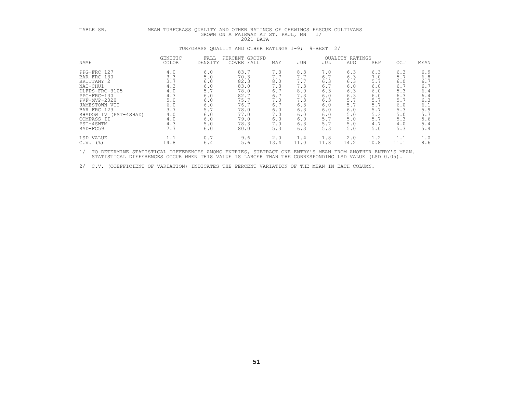| TABLE 8B.                                                                                                                                                                                             | MEAN TURFGRASS QUALITY AND OTHER RATINGS OF CHEWINGS FESCUE CULTIVARS                   |                                                                                             | GROWN ON A FAIRWAY AT ST. PAUL, MN<br>2021 DATA                                                      |                                                                                         |                                                                                         | 1/                                                                                      |                                                                                         |                                                                                         |                                                                                         |                                                                                           |
|-------------------------------------------------------------------------------------------------------------------------------------------------------------------------------------------------------|-----------------------------------------------------------------------------------------|---------------------------------------------------------------------------------------------|------------------------------------------------------------------------------------------------------|-----------------------------------------------------------------------------------------|-----------------------------------------------------------------------------------------|-----------------------------------------------------------------------------------------|-----------------------------------------------------------------------------------------|-----------------------------------------------------------------------------------------|-----------------------------------------------------------------------------------------|-------------------------------------------------------------------------------------------|
|                                                                                                                                                                                                       |                                                                                         |                                                                                             | TURFGRASS QUALITY AND OTHER RATINGS 1-9;                                                             |                                                                                         |                                                                                         | 9=BEST<br>2/                                                                            |                                                                                         |                                                                                         |                                                                                         |                                                                                           |
|                                                                                                                                                                                                       | GENETIC                                                                                 | FALL                                                                                        | PERCENT GROUND                                                                                       |                                                                                         |                                                                                         |                                                                                         | <b>OUALITY RATINGS</b>                                                                  |                                                                                         |                                                                                         |                                                                                           |
| NAME                                                                                                                                                                                                  | <b>COLOR</b>                                                                            | DENSITY                                                                                     | COVER FALL                                                                                           | MAY                                                                                     | JUN                                                                                     | JUL                                                                                     | AUG                                                                                     | SEP                                                                                     | OCT                                                                                     | MEAN                                                                                      |
| PPG-FRC 127<br>BAR FRC 130<br>BRITTANY 2<br>NAI-CHU1<br>DLFPS-FRC-3105<br>PPG-FRC-130<br>PVF-MVP-2020<br>JAMESTOWN VII<br>BAR FRC 123<br>SHADOW IV (PST-4SHAD)<br>COMPASS II<br>PST-4SWTM<br>RAD-FC59 | 4.0<br>3.3<br>3.7<br>4.3<br>4.0<br>4.3<br>5.0<br>6.0<br>3.7<br>4.0<br>4.0<br>4.3<br>7.7 | 6.0<br>5.0<br>$6.0$<br>6.0<br>5.7<br>6.0<br>6.0<br>$6.0$<br>5.7<br>6.0<br>6.0<br>5.0<br>6.0 | 83.7<br>70.3<br>82.3<br>83.0<br>78.0<br>82.7<br>75.7<br>76.7<br>78.0<br>77.0<br>79.0<br>78.3<br>80.0 | 7.3<br>7.7<br>8.0<br>7.3<br>6.7<br>6.7<br>7.0<br>6.7<br>6.0<br>7.0<br>6.0<br>7.0<br>5.3 | 8.3<br>7.7<br>7.7<br>7.3<br>8.0<br>7.3<br>7.3<br>6.3<br>6.3<br>6.0<br>6.0<br>6.3<br>6.3 | 7.0<br>6.7<br>6.3<br>6.7<br>6.3<br>6.0<br>6.3<br>6.0<br>6.0<br>6.0<br>5.7<br>5.7<br>5.3 | 6.3<br>6.3<br>6.3<br>6.0<br>6.3<br>6.3<br>5.7<br>5.7<br>6.0<br>5.0<br>5.0<br>5.0<br>5.0 | 6.3<br>7.0<br>5.7<br>6.0<br>6.0<br>6.0<br>5.7<br>5.7<br>5.7<br>5.3<br>5.7<br>4.7<br>5.0 | 6.3<br>5.7<br>6.0<br>6.7<br>5.3<br>6.3<br>5.7<br>6.0<br>5.3<br>5.0<br>5.3<br>4.0<br>5.3 | 6.9<br>$6.8$<br>6.7<br>6.7<br>6.4<br>6.4<br>6.3<br>6.1<br>5.9<br>5.7<br>5.6<br>5.4<br>5.4 |
| LSD VALUE<br>$C.V.$ (%)                                                                                                                                                                               | 1.1<br>14.8                                                                             | 0.7<br>6.4                                                                                  | 9.6<br>5.6                                                                                           | 2.0<br>13.4                                                                             | 1.4<br>11.0                                                                             | 1.8<br>11.8                                                                             | 2.0<br>14.2                                                                             | 1.2<br>10.8                                                                             | 1.1<br>11.1                                                                             | 1.0<br>8.6                                                                                |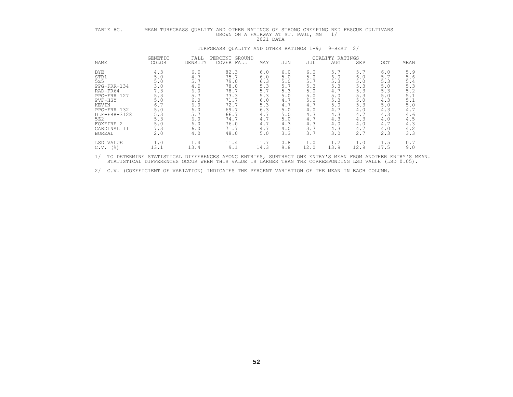| TABLE 8C.                                                                                                                                                                   | MEAN TURFGRASS QUALITY AND OTHER RATINGS OF STRONG CREEPING RED FESCUE CULTIVARS<br>GROWN ON A FAIRWAY AT ST. PAUL, MN<br>1/<br>2021 DATA |                                                                                                |                                                                                                              |                                                                                                |                                                                                                |                                                                                                |                                                                                                |                                                                                                |                                                                                                |                                                                                                      |  |  |
|-----------------------------------------------------------------------------------------------------------------------------------------------------------------------------|-------------------------------------------------------------------------------------------------------------------------------------------|------------------------------------------------------------------------------------------------|--------------------------------------------------------------------------------------------------------------|------------------------------------------------------------------------------------------------|------------------------------------------------------------------------------------------------|------------------------------------------------------------------------------------------------|------------------------------------------------------------------------------------------------|------------------------------------------------------------------------------------------------|------------------------------------------------------------------------------------------------|------------------------------------------------------------------------------------------------------|--|--|
|                                                                                                                                                                             | TURFGRASS QUALITY AND OTHER RATINGS 1-9;<br>9=BEST<br>2/                                                                                  |                                                                                                |                                                                                                              |                                                                                                |                                                                                                |                                                                                                |                                                                                                |                                                                                                |                                                                                                |                                                                                                      |  |  |
| NAME                                                                                                                                                                        | GENETIC<br><b>COLOR</b>                                                                                                                   | FALL<br>DENSITY                                                                                | PERCENT GROUND<br>COVER FALL                                                                                 | MAY                                                                                            | JUN                                                                                            | JUL                                                                                            | QUALITY RATINGS<br><b>AUG</b>                                                                  | SEP                                                                                            | OCT                                                                                            | MEAN                                                                                                 |  |  |
| <b>BYE</b><br>STB1<br>525<br>PPG-FRR-134<br>RAD-FR64<br>PPG-FRR 127<br>PVF-HSY+<br>KEVIN<br>PPG-FRR 132<br>DLF-FRR-3128<br>522<br>FOXFIRE 2<br>CARDINAL II<br><b>BOREAL</b> | 4.3<br>5.0<br>5.0<br>3.0<br>7.3<br>5.3<br>5.0<br>6.7<br>5.0<br>5.3<br>5.3<br>5.0<br>7.3<br>2.0                                            | 6.0<br>4.7<br>5.7<br>4.0<br>6.0<br>5.7<br>6.0<br>6.0<br>6.0<br>5.7<br>6.0<br>6.0<br>6.0<br>4.0 | 82.3<br>75.7<br>79.0<br>78.0<br>78.7<br>73.3<br>71.7<br>72.7<br>69.7<br>66.7<br>74.7<br>76.0<br>71.7<br>48.0 | 6.0<br>6.0<br>6.3<br>5.3<br>5.7<br>5.3<br>6.0<br>5.3<br>6.3<br>4.7<br>4.7<br>4.7<br>4.7<br>5.0 | 6.0<br>5.0<br>5.0<br>5.7<br>5.3<br>5.0<br>4.7<br>4.7<br>5.0<br>5.0<br>5.0<br>4.3<br>4.0<br>3.3 | 6.0<br>5.0<br>5.7<br>5.3<br>5.0<br>5.0<br>5.0<br>4.7<br>4.0<br>4.3<br>4.7<br>4.3<br>3.7<br>3.7 | 5.7<br>6.0<br>5.3<br>5.3<br>4.7<br>5.0<br>5.3<br>5.0<br>4.7<br>4.3<br>4.3<br>4.0<br>4.3<br>3.0 | 5.7<br>6.0<br>5.0<br>5.3<br>5.3<br>5.3<br>5.0<br>5.3<br>4.0<br>4.7<br>4.3<br>4.0<br>4.7<br>2.7 | 6.0<br>5.7<br>5.3<br>5.0<br>5.3<br>5.0<br>4.3<br>5.0<br>4.3<br>4.3<br>4.0<br>4.7<br>4.0<br>2.3 | 5.9<br>5.6<br>5.4<br>5.3<br>5.2<br>5.1<br>5.1<br>$5.0$<br>4.7<br>4.6<br>$4.5\,$<br>4.3<br>4.2<br>3.3 |  |  |
| LSD VALUE<br>$C.V.$ (%)                                                                                                                                                     | 1.0<br>13.1                                                                                                                               | 1.4<br>13.4                                                                                    | 11.4<br>9.1                                                                                                  | 1.7<br>14.3                                                                                    | 0.8<br>9.8                                                                                     | 1.0<br>12.0                                                                                    | 1.2<br>13.9                                                                                    | 1.0<br>12.9                                                                                    | 1.5<br>17.5                                                                                    | 0.7<br>9.0                                                                                           |  |  |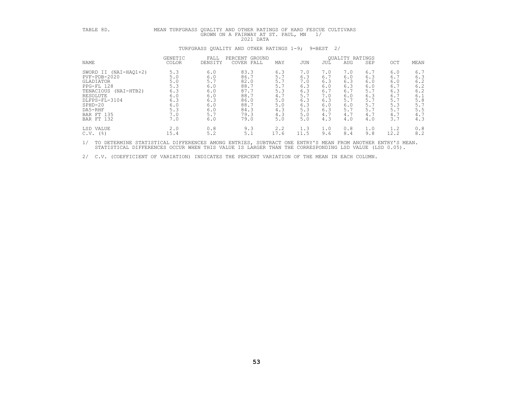| TABLE 8D.                                                                                                                                                                              | MEAN TURFGRASS QUALITY AND OTHER RATINGS OF HARD FESCUE CULTIVARS<br>GROWN ON A FAIRWAY AT ST. PAUL, MN<br>1/<br>2021 DATA |                                                                           |                                                                                      |                                                                             |                                                                           |                                                                           |                                                                           |                                                                           |                                                                           |                                                                           |  |  |  |  |
|----------------------------------------------------------------------------------------------------------------------------------------------------------------------------------------|----------------------------------------------------------------------------------------------------------------------------|---------------------------------------------------------------------------|--------------------------------------------------------------------------------------|-----------------------------------------------------------------------------|---------------------------------------------------------------------------|---------------------------------------------------------------------------|---------------------------------------------------------------------------|---------------------------------------------------------------------------|---------------------------------------------------------------------------|---------------------------------------------------------------------------|--|--|--|--|
|                                                                                                                                                                                        | TURFGRASS QUALITY AND OTHER RATINGS 1-9; 9=BEST 2/                                                                         |                                                                           |                                                                                      |                                                                             |                                                                           |                                                                           |                                                                           |                                                                           |                                                                           |                                                                           |  |  |  |  |
| NAME                                                                                                                                                                                   | GENETIC<br>COLOR                                                                                                           | FALL<br>DENSITY                                                           | PERCENT GROUND<br>COVER FALL                                                         | MAY                                                                         | JUN                                                                       | JUL                                                                       | <b>OUALITY RATINGS</b><br><b>AUG</b>                                      | SEP                                                                       | OCT                                                                       | MEAN                                                                      |  |  |  |  |
| SWORD II (NAI-HAQ1+2)<br>$PVF - PDB - 2020$<br>GLADIATOR<br>PPG-FL 128<br>TENACIOUS (NAI-HTB2)<br>RESOLUTE<br>DLFPS-FL-3104<br>$SPHD-20$<br>DA5-RHF<br><b>BAR FT 135</b><br>BAR FT 132 | 5.3<br>5.0<br>5.0<br>5.3<br>6.3<br>6.0<br>6.3<br>6.0<br>5.3<br>7.0<br>7.0                                                  | 6.0<br>6.0<br>5.7<br>6.0<br>6.0<br>6.0<br>6.3<br>6.0<br>6.0<br>5.7<br>6.0 | 83.3<br>86.7<br>82.0<br>88.7<br>87.7<br>88.7<br>86.0<br>88.7<br>84.3<br>79.3<br>79.0 | 6.3<br>$5.7$<br>5.7<br>5.7<br>5.3<br>4.7<br>5.0<br>5.0<br>4.3<br>4.3<br>5.0 | 7.0<br>6.3<br>7.0<br>6.3<br>6.3<br>5.7<br>6.3<br>6.3<br>5.3<br>5.0<br>5.0 | 7.0<br>6.7<br>6.3<br>6.0<br>6.7<br>7.0<br>6.3<br>6.0<br>6.3<br>4.7<br>4.3 | 7.0<br>6.0<br>6.3<br>6.3<br>6.7<br>6.0<br>5.7<br>6.0<br>5.7<br>4.7<br>4.0 | 6.7<br>6.3<br>6.0<br>6.0<br>5.7<br>6.3<br>5.7<br>5.7<br>5.7<br>4.7<br>4.0 | 6.0<br>6.7<br>6.0<br>6.7<br>6.3<br>6.7<br>5.7<br>5.3<br>5.7<br>4.7<br>3.7 | 6.7<br>6.3<br>6.2<br>6.2<br>6.2<br>6.1<br>5.8<br>5.7<br>5.5<br>4.7<br>4.3 |  |  |  |  |
| LSD VALUE<br>$C.V.$ (%)                                                                                                                                                                | 2.0<br>15.4                                                                                                                | 0.8<br>5.2                                                                | 9.3<br>5.1                                                                           | 2, 2<br>17.6                                                                | 1.3<br>11.5                                                               | 1.0<br>9.6                                                                | 0.8<br>8.4                                                                | 1.0<br>9.8                                                                | 1.2<br>12.2                                                               | 0.8<br>8.2                                                                |  |  |  |  |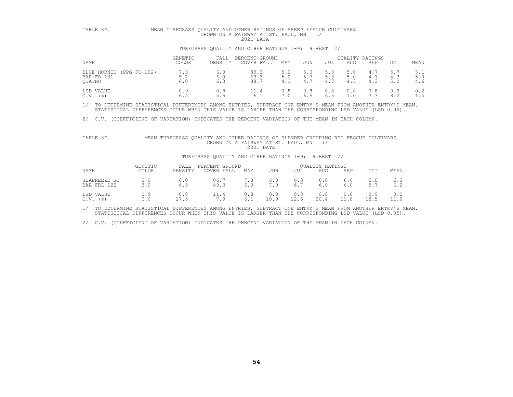| TABLE 8E.                                        | MEAN TURFGRASS OUALITY AND OTHER RATINGS OF SHEEP FESCUE CULTIVARS<br>GROWN ON A FAIRWAY AT ST. PAUL, MN<br>2021 DATA |                   |                                                    |                   |                   |                   |                   |                               |                   |                   |  |  |  |
|--------------------------------------------------|-----------------------------------------------------------------------------------------------------------------------|-------------------|----------------------------------------------------|-------------------|-------------------|-------------------|-------------------|-------------------------------|-------------------|-------------------|--|--|--|
|                                                  |                                                                                                                       |                   | TURFGRASS QUALITY AND OTHER RATINGS 1-9; 9=BEST 2/ |                   |                   |                   |                   |                               |                   |                   |  |  |  |
| NAME                                             | <b>GENETIC</b><br>COLOR                                                                                               | FALL<br>DENSITY   | PERCENT GROUND<br>COVER FALL                       | MAY               | JUN               | JUL               | AUG               | <b>OUALITY RATINGS</b><br>SEP | OCT               | MEAN              |  |  |  |
| BLUE HORNET (PPG-FO-102)<br>BAR FO 131<br>OUATRO | 7.3<br>5.7<br>6.0                                                                                                     | 6.0<br>6.0<br>6.3 | 89.3<br>63.3<br>88.7                               | 5.0<br>5.0<br>4.3 | 5.0<br>5.7<br>4.7 | 5.3<br>5.3<br>4.7 | 5.0<br>5.0<br>4.3 | 4.7<br>4.7<br>4.3             | 5.7<br>4.3<br>5.0 | 5.1<br>5.0<br>4.6 |  |  |  |
| LSD VALUE<br>$($ $\frac{6}{6}$                   | 0.9<br>6.4                                                                                                            | 0.8               | 11.4<br>6.1                                        | 0.8               | 0.8<br>6.5        | 0.8<br>6.5        | 0.8<br>7.0        | 0.8<br>7.3                    | 0.9<br>8.2        | 0.2<br>1.4        |  |  |  |

2/ C.V. (COEFFICIENT OF VARIATION) INDICATES THE PERCENT VARIATION OF THE MEAN IN EACH COLUMN.

# TABLE 8F. MEAN TURFGRASS QUALITY AND OTHER RATINGS OF SLENDER CREEPING RED FESCUE CULTIVARS<br>GROWN ON A FAIRWAY AT ST. PAUL, MN 1/<br>2021 DATA

#### TURFGRASS QUALITY AND OTHER RATINGS 1-9; 9=BEST 2/

| NAME                           | <b>GENETIC</b><br>COLOR | FALL<br>DENSITY   | PERCENT GROUND<br>COVER FALL | MAY | JUN         | JUL         | <b>OUALITY RATINGS</b><br>AUG | SEP         | OCT         | MEAN       |
|--------------------------------|-------------------------|-------------------|------------------------------|-----|-------------|-------------|-------------------------------|-------------|-------------|------------|
| SEABREEZE GT<br>122<br>BAR FRL | 3.0<br>3.0              | 6.0<br>6.3        | 86.7<br>89.3                 | 6.0 | 6.0<br>7.0  | 6.3<br>6.7  | 6.0<br>6.0                    | 6.0<br>6.0  | 6.0<br>5.7  | 6.3<br>6.2 |
| LSD VALUE<br>$($ % )<br>C.V.   | 0.9                     | 0.8<br>- -<br>7.5 | 7.9                          | 6.1 | 0.8<br>10.9 | 0.8<br>12.6 | 0.8<br>20.4                   | 0.8<br>11.8 | 0.9<br>18.5 | 0.2        |

1/ TO DETERMINE STATISTICAL DIFFERENCES AMONG ENTRIES, SUBTRACT ONE ENTRY'S MEAN FROM ANOTHER ENTRY'S MEAN.<br>STATISTICAL DIFFERENCES OCCUR WHEN THIS VALUE IS LARGER THAN THE CORRESPONDING LSD VALUE (LSD 0.05).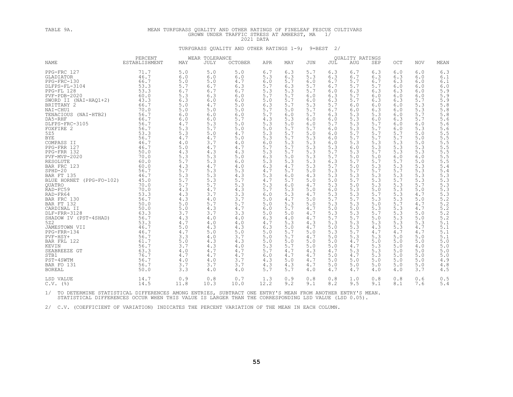# TABLE 9A. MEAN TURFGRASS QUALITY AND OTHER RATINGS OF FINELEAF FESCUE CULTIVARS GROWN UNDER TRAFFIC STRESS AT AMHERST, MA 1/<br>2021 DATA 2021 DATA TURFGRASS QUALITY AND OTHER RATINGS 1-9; 9=BEST 2/

|                          | PERCENT       | WEAR TOLERANCE |             |                | QUALITY RATINGS |     |            |     |            |     |     |            |                         |
|--------------------------|---------------|----------------|-------------|----------------|-----------------|-----|------------|-----|------------|-----|-----|------------|-------------------------|
| <b>NAME</b>              | ESTABLISHMENT | MAY            | <b>JULY</b> | <b>OCTOBER</b> | APR             | MAY | <b>JUN</b> | JUL | <b>AUG</b> | SEP | OCT | <b>NOV</b> | MEAN                    |
| PPG-FRC 127              | 71.7          | 5.0            | 5.0         | 5.0            | 6.7             | 6.3 | 5.7        | 6.3 | 6.7        | 6.3 | 6.0 | 6.0        | 6.3                     |
| GLADIATOR                | 46.7          | 6.0            | 6.0         | 6.0            | 5.3             | 6.3 | 5.3        | 6.3 | 6.7        | 6.3 | 6.3 | 6.0        | 6.1                     |
| PPG-FRC-130              | 66.7          | 5.0            | 5.0         | 4.7            | 6.0             | 5.7 | 6.0        | 6.7 | 5.7        | 6.7 | 6.3 | 6.0        | 6.1                     |
| DLFPS-FL-3104            | 53.3          | 5.7            | 6.7         | 6.3            | 5.7             | 6.3 | 5.7        | 6.7 | 5.7        | 5.7 | 6.0 | 6.0        | 6.0                     |
| PPG-FL 128               | 53.3          | 6.7            | 6.7         | 6.7            | 5.3             | 5.3 | 5.7        | 6.0 | 6.3        | 6.3 | 6.3 | 6.0        | 5.9                     |
| PVF-PDB-2020             | 60.0          | 5.3            | 6.3         | 6.0            | 5.7             | 5.7 | 6.0        | 6.3 | 5.7        | 6.0 | 6.0 | 6.0        | 5.9                     |
| SWORD II (NAI-HAQ1+2)    | 43.3          | 6.3            | 6.0         | 6.0            | 5.0             | 5.7 | 6.0        | 6.3 | 5.7        | 6.3 | 6.3 | 5.7        | 5.9                     |
| BRITTANY 2               | 66.7          | 5.0            | 4.7         | 5.0            | 6.3             | 5.7 | 5.3        | 5.7 | 6.0        | 6.0 | 6.0 | 5.3        | $5.8\,$                 |
| NAI-CHU1                 | 70.0          | 5.0            | 5.0         | 5.0            | 5.7             | 5.0 | 5.7        | 6.7 | 6.0        | 6.3 | 6.0 | 5.3        | $5.8$                   |
| TENACIOUS (NAI-HTB2)     | 56.7          | 6.0            | 6.0         | 6.0            | 5.7             | 6.0 | 5.7        | 6.3 | 5.3        | 5.3 | 6.0 | 5.7        | 5.8                     |
| DA5-RHF                  | 66.7          | 6.0            | 6.0         | 5.7            | 4.3             | 5.3 | 6.0        | 6.0 | 5.3        | 6.0 | 6.3 | 5.7        | 5.6                     |
| DLFPS-FRC-3105           | 56.7          | 4.7            | 5.3         | 5.0            | 5.3             | 5.0 | 6.0        | 5.7 | 5.3        | 5.7 | 6.0 | 6.0        | 5.6                     |
| FOXFIRE 2                | 56.7          | 5.3            | 5.7         | 5.0            | 5.0             | 5.7 | 5.7        | 6.0 | 5.3        | 5.7 | 6.0 | 5.3        | 5.6                     |
| 525                      | 53.3          | 5.3            | 5.0         | 4.7            | 5.3             | 5.7 | 5.0        | 6.0 | 5.7        | 5.7 | 5.7 | 5.0        |                         |
| <b>BYE</b>               | 56.7          | 4.7            | 4.7         | 5.0            | 5.3             | 5.7 | 5.3        | 6.0 | 5.7        | 5.7 | 5.7 | 5.0        |                         |
| COMPASS II               | 46.7          | 4.0            | 3.7         | 4.0            | 6.0             | 5.3 | 5.3        | 6.0 | 5.3        | 5.3 | 5.3 | 5.0        | $5.5$<br>$5.5$<br>$5.5$ |
| PPG-FRR 127              | 46.7          | 5.0            | 4.7         | 4.7            | 5.7             | 5.7 | 5.3        | 5.3 | 6.0        | 5.3 | 5.3 | 5.3        | $\frac{5}{5}$ . 5       |
| PPG-FRR 132              | 50.0          | 4.3            | 4.3         | 4.3            | 5.3             | 5.7 | 5.3        | 5.7 | 5.3        | 5.7 | 5.3 | 5.3        |                         |
| PVF-MVP-2020             | 70.0          | 5.3            | 5.3         | 5.0            | 6.3             | 5.0 | 5.3        | 5.7 | 5.0        | 5.0 | 6.0 | 6.0        |                         |
| RESOLUTE                 | 60.0          | 5.7            | 5.3         | 6.0            | 5.3             | 5.3 | 5.3        | 6.3 | 5.7        | 5.7 | 5.7 | 5.0        | $\frac{5.5}{5.5}$       |
| BAR FRC 123              | 60.0          | 4.3            | 4.7         | 4.0            | 6.3             | 4.7 | 5.3        | 5.7 | 5.0        | 5.3 | 5.3 | 5.3        | 5.4                     |
| $SPHD-20$                | 56.7          | 5.7            | 5.3         | 5.3            | 4.7             | 5.7 | 5.0        | 5.3 | 5.7        | 5.7 | 5.7 | 5.3        | 5.4                     |
| BAR FT 135               | 46.7          | 5.3            | 5.3         | 4.3            | 5.3             | 6.0 | 4.3        | 5.3 | 5.3        | 5.3 | 5.3 | 5.3        | 5.3                     |
| BLUE HORNET (PPG-FO-102) | 45.0          | 5.7            | 5.3         | 5.7            | 4.7             | 5.7 | 5.0        | 5.0 | 5.7        | 5.3 | 5.7 | 5.3        | 5.3                     |
| <b>OUATRO</b>            | 70.0          | 5.7            | 5.7         | 5.3            | 5.3             | 6.0 | 4.7        | 5.3 | 5.0        | 5.3 | 5.3 | 5.7        | 5.3                     |
| RAD-FC59                 | 70.0          | 4.3            | 4.7         | 4.3            | 5.7             | 5.3 | 5.0        | 6.0 | 5.3        | 5.0 | 5.3 | 5.0        | 5.3                     |
| RAD-FR64                 | 53.3          | 4.3            | 3.7         | 3.3            | 6.0             | 5.3 | 4.7        | 5.3 | 5.3        | 5.7 | 5.3 | 4.7        | 5.3                     |
| BAR FRC 130              | 56.7          | 4.3            | 4.0         | 3.7            | 5.0             | 4.7 | 5.0        | 5.7 | 5.7        | 5.3 | 5.3 | 5.0        | 5.2                     |
| BAR FT 132               | 50.0          | 5.0            | 5.7         | 5.7            | 5.0             | 5.3 | 5.0        | 5.3 | 5.3        | 5.0 | 5.7 | 4.7        | $\frac{5.2}{5.2}$       |
| CARDINAL II              | 50.0          | 5.0            | 4.3         | 4.7            | 6.0             | 5.7 | 4.7        | 5.0 | 5.0        | 5.3 | 5.3 | 4.7        |                         |
| DLF-FRR-3128             | 63.3          | 3.7            | 3.7         | 3.3            | 5.0             | 5.0 | 4.7        | 5.3 | 5.3        | 5.7 | 5.3 | 5.0        | $\frac{5}{5}$ . 2       |
| SHADOW IV (PST-4SHAD)    | 56.7          | 4.3            | 4.0         | 4.0            | 6.3             | 4.0 | 4.7        | 5.7 | 5.7        | 5.0 | 5.3 | 5.0        |                         |
| 522                      | 53.3          | 4.7            | 4.0         | 4.0            | 4.7             | 5.3 | 4.3        | 5.3 | 5.3        | 5.3 | 5.3 | 5.3        | 5.1                     |
| JAMESTOWN VII            | 46.7          | 5.0            | 4.3         | 4.3            | 6.3             | 5.0 | 4.7        | 5.0 | 5.3        | 4.3 | 5.3 | 4.7        | 5.1                     |
| PPG-FRR-134              | 46.7          | 4.7            | 5.0         | 5.0            | 5.0             | 5.7 | 5.0        | 5.3 | 5.7        | 4.7 | 4.7 | 4.7        | 5.1                     |
| PVF-HSY+                 | 56.7          | 3.3            | 4.0         | 3.7            | 5.0             | 5.7 | 4.7        | 5.0 | 5.3        | 5.3 | 5.0 | 5.0        | 5.1                     |
| BAR FRL 122              | 61.7          | 5.0            | 4.3         | 4.3            | 5.0             | 5.0 | 5.0        | 5.0 | 4.7        | 5.0 | 5.0 | 5.0        | 5.0                     |
| KEVIN                    | 56.7          | 3.7            | 4.3         | 4.0            | 5.3             | 5.7 | 5.0        | 5.0 | 4.7        | 5.3 | 5.0 | 4.0        | 5.0                     |
| SEABREEZE GT             | 63.3<br>76.7  | 4.0            | 4.7         | 4.7            | 5.7             | 4.7 | 4.3        | 4.7 | 5.3        | 5.3 | 5.0 | 5.0        | 5.0                     |
| STB1                     |               | 4.7            | 4.7         | 4.7            | 6.0             | 4.7 | 4.7        | 5.0 | 4.7        | 5.3 | 5.0 | 5.0        | 5.0                     |
| PST-4SWTM                | 56.7          | 4.0            | 4.0         | 3.7            | 4.3             | 5.0 | 4.7        | 5.0 | 5.0        | 5.0 | 5.0 | 5.0        | 4.9                     |
| BAR FO 131               | 56.7          | 3.7            | 3.7         | 3.7            | 4.3             | 4.3 | 4.7        | 5.0 | 5.0        | 5.0 | 5.0 | 5.0        | 4.8                     |
| <b>BOREAL</b>            | 50.0          | 3.3            | 4.0         | 4.0            | 5.7             | 5.7 | 4.0        | 4.7 | 4.7        | 4.0 | 4.0 | 3.7        | 4.5                     |
| LSD VALUE                | 14.7          | 0.9            | 0.8         | 0.7            | 1.3             | 0.9 | 0.8        | 0.8 | 1.0        | 0.8 | 0.8 | 0.6        | 0.5                     |
| $C.V.$ (%)               | 14.5          | 11.8           | 10.3        | 10.0           | 12.2            | 9.2 | 9.1        | 8.2 | 9.5        | 9.1 | 8.1 | 7.6        | 5.4                     |

1/ TO DETERMINE STATISTICAL DIFFERENCES AMONG ENTRIES, SUBTRACT ONE ENTRY'S MEAN FROM ANOTHER ENTRY'S MEAN.<br>STATISTICAL DIFFERENCES OCCUR WHEN THIS VALUE IS LARGER THAN THE CORRESPONDING LSD VALUE (LSD 0.05).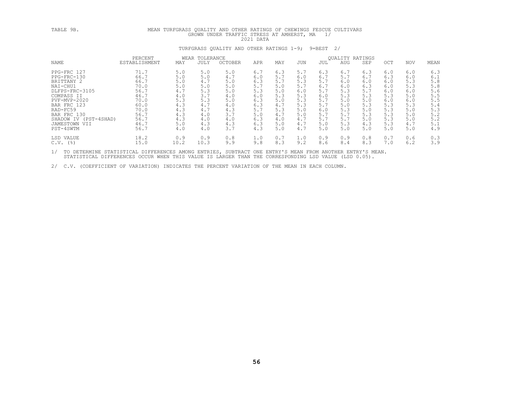# TABLE 9B. MEAN TURFGRASS QUALITY AND OTHER RATINGS OF CHEWINGS FESCUE CULTIVARS GROWN UNDER TRAFFIC STRESS AT AMHERST, MA 1/<br>2021 DATA 2021 DATA 2021 DATA TURFGRASS OUALITY AND OTHER RATINGS 1-9; 9=BEST 2/

|                       | PERCENT       |      | WEAR TOLERANCE |                | <b>OUALITY RATINGS</b> |     |     |     |            |            |     |            |      |
|-----------------------|---------------|------|----------------|----------------|------------------------|-----|-----|-----|------------|------------|-----|------------|------|
| <b>NAME</b>           | ESTABLISHMENT | MAY  | JULY           | <b>OCTOBER</b> | APR                    | MAY | JUN | JUL | <b>AUG</b> | <b>SEP</b> | OCT | <b>NOV</b> | MEAN |
| PPG-FRC 127           | 71.7          | 5.0  | 5.0            | 5.0            | 6.7                    | 6.3 | 5.7 | 6.3 | 6.7        | 6.3        | 6.0 | 6.0        | 6.3  |
| PPG-FRC-130           | 66.7          | 5.0  | 5.0            | 4.7            | 6.0                    | 5.7 | 6.0 | 6.7 | 5.7        | 6.7        | 6.3 | 6.0        | 6.1  |
| BRITTANY 2            | 66.7          | 5.0  | 4.7            | 5.0            | 6.3                    | 5.7 | 5.3 | 5.7 | 6.0        | 6.0        | 6.0 | 5.3        | 5.8  |
| NAI-CHU1              | 70.0          | 5.0  | 5.0            | 5.0            | 5.7                    | 5.0 | 5.7 | 6.7 | 6.0        | 6.3        | 6.0 | 5.3        | 5.8  |
| DLFPS-FRC-3105        | 56.7          | 4.7  | 5.3            | 5.0            | 5.3                    | 5.0 | 6.0 | 5.7 | 5.3        | 5.7        | 6.0 | 6.0        | 5.6  |
| COMPASS II            | 46.7          | 4.0  | 3.7            | 4.0            | 6.0                    | 5.3 | 5.3 | 6.0 | 5.3        | 5.3        | 5.3 | 5.0        | 5.5  |
| $PVF-MVP-2020$        | 70.0          | 5.3  | 5.3            | 5.0            | 6.3                    | 5.0 | 5.3 | 5.7 | 5.0        | 5.0        | 6.0 | 6.0        | 5.5  |
| BAR FRC 123           | 60.0          | 4.3  | 4.7            | 4.0            | 6.3                    | 4.7 | 5.3 | 5.7 | 5.0        | 5.3        | 5.3 | 5.3        | 5.4  |
| RAD-FC59              | 70.0          | 4.3  | 4.7            | 4.3            | 5.7                    | 5.3 | 5.0 | 6.0 | 5.3        | 5.0        | 5.3 | 5.0        | 5.3  |
| BAR FRC 130           | 56.7          | 4.3  | 4.0            | 3.7            | 5.0                    | 4.7 | 5.0 | 5.7 | 5.7        | 5.3        | 5.3 | 5.0        | 5.2  |
| SHADOW IV (PST-4SHAD) | 56.7          | 4.3  | 4.0            | 4.0            | 6.3                    | 4.0 | 4.7 | 5.7 |            | 5.0        | 5.3 | 5.0        | 5.2  |
| JAMESTOWN VII         | 46.7          | 5.0  | 4.3            | 4.3            | 6.3                    | 5.0 | 4.7 | 5.0 | 5.3        | 4.3        | 5.3 | 4.7        | 5.1  |
| PST-4SWTM             | 56.7          | 4.0  | 4.0            | 3.7            | 4.3                    | 5.0 | 4.7 | 5.0 | 5.0        | 5.0        | 5.0 | 5.0        | 4.9  |
| LSD VALUE             | 18.2          | 0.9  | 0.9            | 0.8            | 1.0                    | 0.7 | 1.0 | 0.9 | 0.9        | 0.8        | 0.7 | 0.6        | 0.3  |
| C.V.<br>(응)           | 15.0          | 10.2 | 10.3           | 9.9            | 9.8                    | 8.3 | 9.2 | 8.6 | 8.4        | 8.3        | 7.0 | 6.2        | 3.9  |
|                       |               |      |                |                |                        |     |     |     |            |            |     |            |      |

1/ TO DETERMINE STATISTICAL DIFFERENCES AMONG ENTRIES, SUBTRACT ONE ENTRY'S MEAN FROM ANOTHER ENTRY'S MEAN.<br>STATISTICAL DIFFERENCES OCCUR WHEN THIS VALUE IS LARGER THAN THE CORRESPONDING LSD VALUE (LSD 0.05).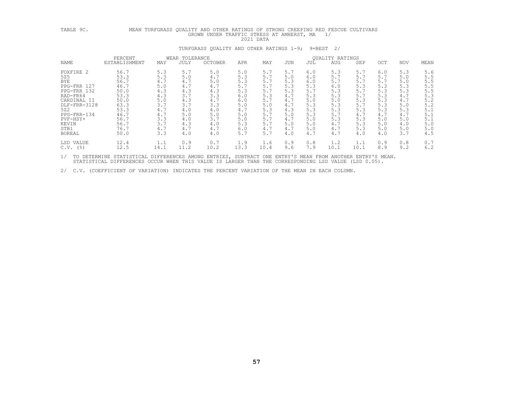# TABLE 9C. MEAN TURFGRASS QUALITY AND OTHER RATINGS OF STRONG CREEPING RED FESCUE CULTIVARS GROWN UNDER TRAFFIC STRESS AT AMHERST, MA 1/<br>2021 DATA<br>TURFGRASS OUALITY AND OTHER RATINGS 1-9; 9=BEST 2/

|                                                                                                                                                                             | PERCENT                                                                                                      |                                                                                                | WEAR TOLERANCE                                                                                 |                                                                                                | <b>OUALITY RATINGS</b>                                                                         |                                                                                                |                                                                                                |                                                                                                |                                                                                                |                                                                                                |                                                                                                |                                                                                                |                                                                                                |
|-----------------------------------------------------------------------------------------------------------------------------------------------------------------------------|--------------------------------------------------------------------------------------------------------------|------------------------------------------------------------------------------------------------|------------------------------------------------------------------------------------------------|------------------------------------------------------------------------------------------------|------------------------------------------------------------------------------------------------|------------------------------------------------------------------------------------------------|------------------------------------------------------------------------------------------------|------------------------------------------------------------------------------------------------|------------------------------------------------------------------------------------------------|------------------------------------------------------------------------------------------------|------------------------------------------------------------------------------------------------|------------------------------------------------------------------------------------------------|------------------------------------------------------------------------------------------------|
| NAME                                                                                                                                                                        | ESTABLISHMENT                                                                                                | MAY                                                                                            | JULY                                                                                           | <b>OCTOBER</b>                                                                                 | APR                                                                                            | MAY                                                                                            | <b>JUN</b>                                                                                     | JUL                                                                                            | <b>AUG</b>                                                                                     | SEP                                                                                            | OCT                                                                                            | <b>NOV</b>                                                                                     | MEAN                                                                                           |
| FOXFIRE 2<br>525<br><b>BYE</b><br>PPG-FRR 127<br>PPG-FRR 132<br>RAD-FR64<br>CARDINAL II<br>DLF-FRR-3128<br>522<br>PPG-FRR-134<br>PVF-HSY+<br>KEVIN<br>STB1<br><b>BOREAL</b> | 56.7<br>53.3<br>56.7<br>46.7<br>50.0<br>53.3<br>50.0<br>63.3<br>53.3<br>46.7<br>56.7<br>56.7<br>76.7<br>50.0 | 5.3<br>5.3<br>4.7<br>5.0<br>4.3<br>4.3<br>5.0<br>3.7<br>4.7<br>4.7<br>3.3<br>3.7<br>4.7<br>3.3 | 5.7<br>5.0<br>4.7<br>4.7<br>4.3<br>3.7<br>4.3<br>3.7<br>4.0<br>5.0<br>4.0<br>4.3<br>4.7<br>4.0 | 5.0<br>4.7<br>5.0<br>4.7<br>4.3<br>3.3<br>4.7<br>3.3<br>4.0<br>5.0<br>3.7<br>4.0<br>4.7<br>4.0 | 5.0<br>5.3<br>5.3<br>5.7<br>5.3<br>6.0<br>6.0<br>5.0<br>4.7<br>5.0<br>5.0<br>5.3<br>6.0<br>5.7 | 5.7<br>5.7<br>5.7<br>5.7<br>5.7<br>5.3<br>5.7<br>5.0<br>5.3<br>5.7<br>5.7<br>5.7<br>4.7<br>5.7 | 5.7<br>5.0<br>5.3<br>5.3<br>5.3<br>4.7<br>4.7<br>4.7<br>4.3<br>5.0<br>4.7<br>5.0<br>4.7<br>4.0 | 6.0<br>6.0<br>6.0<br>5.3<br>5.7<br>5.3<br>5.0<br>5.3<br>5.3<br>5.3<br>5.0<br>5.0<br>5.0<br>4.7 | 5.3<br>5.7<br>5.7<br>6.0<br>5.3<br>5.3<br>5.0<br>5.3<br>5.3<br>5.7<br>5.3<br>4.7<br>4.7<br>4.7 | 5.7<br>5.7<br>5.7<br>5.3<br>5.7<br>5.7<br>5.3<br>5.7<br>5.3<br>4.7<br>5.3<br>5.3<br>5.3<br>4.0 | 6.0<br>5.7<br>5.7<br>5.3<br>5.3<br>5.3<br>5.3<br>5.3<br>5.3<br>4.7<br>5.0<br>5.0<br>5.0<br>4.0 | 5.3<br>5.0<br>5.0<br>5.3<br>5.3<br>4.7<br>4.7<br>5.0<br>5.3<br>4.7<br>5.0<br>4.0<br>5.0<br>3.7 | 5.6<br>5.5<br>5.5<br>5.5<br>5.5<br>5.3<br>5.2<br>5.2<br>5.1<br>5.1<br>5.1<br>5.0<br>5.0<br>4.5 |
| VALUE<br>LSD<br>C.V.<br>(응)                                                                                                                                                 | 12.4<br>12.5                                                                                                 | 1.1<br>14.1                                                                                    | 0.9<br>11.2                                                                                    | 0.7<br>10.2                                                                                    | 1.9<br>13.3                                                                                    | 1.6<br>10.4                                                                                    | 0.9<br>9.6                                                                                     | 0.8<br>7.9                                                                                     | 1.2<br>10.1                                                                                    | 1.1<br>10.1                                                                                    | 0.9<br>8.9                                                                                     | 0.8<br>9.2                                                                                     | 0.7<br>6.2                                                                                     |
|                                                                                                                                                                             |                                                                                                              |                                                                                                |                                                                                                |                                                                                                |                                                                                                |                                                                                                |                                                                                                |                                                                                                |                                                                                                |                                                                                                |                                                                                                |                                                                                                |                                                                                                |

1/ TO DETERMINE STATISTICAL DIFFERENCES AMONG ENTRIES, SUBTRACT ONE ENTRY'S MEAN FROM ANOTHER ENTRY'S MEAN.<br>STATISTICAL DIFFERENCES OCCUR WHEN THIS VALUE IS LARGER THAN THE CORRESPONDING LSD VALUE (LSD 0.05).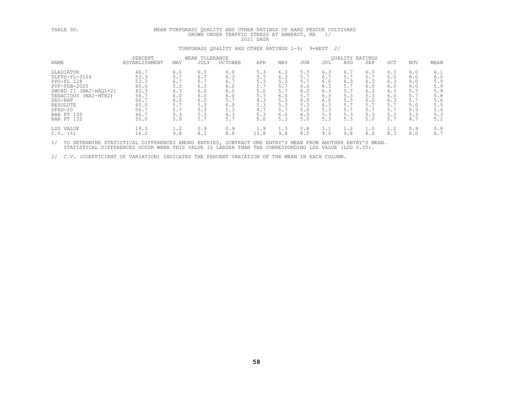# TABLE 9D. MEAN TURFGRASS QUALITY AND OTHER RATINGS OF HARD FESCUE CULTIVARS GROWN UNDER TRAFFIC STRESS AT AMHERST, MA 1/<br>2021 DATA 2021 DATA TURFGRASS OUALITY AND OTHER RATINGS 1-9; 9=BEST 2/

|                                                                                                                                                                              | PERCENT                                                                              |                                                                           | WEAR TOLERANCE                                                            |                                                                           |                                                                           |                                                                           |                                                                           |                                                                           | QUALITY RATINGS                                                           |                                                                    |                                                                    |                                                                    |                                                                           |
|------------------------------------------------------------------------------------------------------------------------------------------------------------------------------|--------------------------------------------------------------------------------------|---------------------------------------------------------------------------|---------------------------------------------------------------------------|---------------------------------------------------------------------------|---------------------------------------------------------------------------|---------------------------------------------------------------------------|---------------------------------------------------------------------------|---------------------------------------------------------------------------|---------------------------------------------------------------------------|--------------------------------------------------------------------|--------------------------------------------------------------------|--------------------------------------------------------------------|---------------------------------------------------------------------------|
| <b>NAME</b>                                                                                                                                                                  | ESTABLISHMENT                                                                        | MAY                                                                       | <b>JULY</b>                                                               | <b>OCTOBER</b>                                                            | APR                                                                       | MAY                                                                       | JUN                                                                       | JUL                                                                       | <b>AUG</b>                                                                | SEP                                                                | OCT.                                                               | <b>NOV</b>                                                         | MEAN                                                                      |
| GLADIATOR<br>DLFPS-FL-3104<br>PPG-FL 128<br>PVF-PDB-2020<br>SWORD II (NAI-HAO1+2)<br>TENACIOUS<br>(NAI-HTB2)<br>DA5-RHF<br>RESOLUTE<br>$SPHD-20$<br>BAR FT 135<br>BAR FT 132 | 46.7<br>53.3<br>53.3<br>60.0<br>43.3<br>56.7<br>66.7<br>60.0<br>56.7<br>46.7<br>50.0 | 6.0<br>5.7<br>6.7<br>5.3<br>6.3<br>6.0<br>6.0<br>5.7<br>5.7<br>5.3<br>5.0 | 6.0<br>6.7<br>6.7<br>6.3<br>6.0<br>6.0<br>6.0<br>5.3<br>5.3<br>5.3<br>5.7 | 6.0<br>6.3<br>6.7<br>6.0<br>6.0<br>6.0<br>5.7<br>6.0<br>5.3<br>4.3<br>5.7 | 5.3<br>5.7<br>5.3<br>5.7<br>5.0<br>5.7<br>4.3<br>5.3<br>4.7<br>5.3<br>5.0 | 6.3<br>6.3<br>5.3<br>5.7<br>5.7<br>6.0<br>5.3<br>5.3<br>5.7<br>6.0<br>5.3 | 5.3<br>5.7<br>5.7<br>6.0<br>6.0<br>5.7<br>6.0<br>5.3<br>5.0<br>4.3<br>5.0 | 6.3<br>6.7<br>6.0<br>6.3<br>6.3<br>6.3<br>6.0<br>6.3<br>5.3<br>5.3<br>5.3 | 6.7<br>5.7<br>6.3<br>5.7<br>5.7<br>5.3<br>5.3<br>5.7<br>5.7<br>5.3<br>5.3 | 6.3<br>5.7<br>6.3<br>6.0<br>6.3<br>5.3<br>6.0<br>5.7<br>5.3<br>5.0 | 6.3<br>6.0<br>6.3<br>6.0<br>6.3<br>6.0<br>6.3<br>5.7<br>5.3<br>5.7 | 6.0<br>6.0<br>6.0<br>6.0<br>5.7<br>5.7<br>5.7<br>5.0<br>5.3<br>4.7 | 6.1<br>6.0<br>5.9<br>5.9<br>5.9<br>5.8<br>5.6<br>5.5<br>5.4<br>5.3<br>5.2 |
| LSD VALUE<br>$C.V.$ (%)                                                                                                                                                      | 19.3<br>16.2                                                                         | 1.2<br>9.8                                                                | 0.9<br>8.1                                                                | 0.9<br>8.8                                                                | 1.9<br>13.8                                                               | 1.3<br>9.4                                                                | 0.8<br>8.0                                                                | 1.1<br>9.0                                                                | 1.2<br>9.8                                                                | 1.0<br>8.6                                                         | 1.2<br>8.3                                                         | 0.9<br>8.0                                                         | 0.8<br>6.7                                                                |

1/ TO DETERMINE STATISTICAL DIFFERENCES AMONG ENTRIES, SUBTRACT ONE ENTRY'S MEAN FROM ANOTHER ENTRY'S MEAN.<br>STATISTICAL DIFFERENCES OCCUR WHEN THIS VALUE IS LARGER THAN THE CORRESPONDING LSD VALUE (LSD 0.05).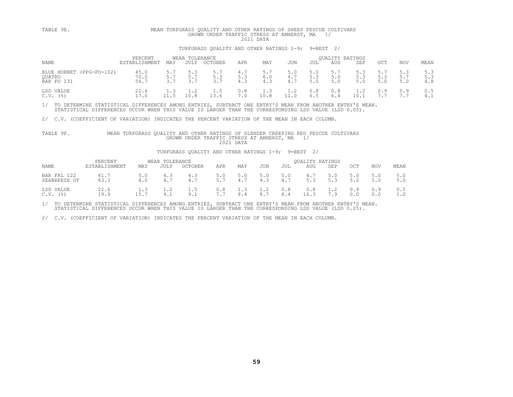| TABLE 9E.                                           |                          |     |                        | MEAN TURFGRASS QUALITY AND OTHER RATINGS OF SHEEP FESCUE CULTIVARS<br>GROWN UNDER TRAFFIC STRESS AT AMHERST, MA |                   | 2021 DATA         |                   |                   |                                      |                   |                   |                   |                   |
|-----------------------------------------------------|--------------------------|-----|------------------------|-----------------------------------------------------------------------------------------------------------------|-------------------|-------------------|-------------------|-------------------|--------------------------------------|-------------------|-------------------|-------------------|-------------------|
|                                                     |                          |     |                        | TURFGRASS OUALITY AND OTHER RATINGS 1-9;                                                                        |                   |                   |                   | $9 = BEST$ 2/     |                                      |                   |                   |                   |                   |
| NAME                                                | PERCENT<br>ESTABLISHMENT | MAY | WEAR TOLERANCE<br>JULY | OCTOBER                                                                                                         | APR               | MAY               | JUN               | JUL               | <b>OUALITY RATINGS</b><br><b>AUG</b> | SEP               | OCT               | <b>NOV</b>        | MEAN              |
| (PPG-FO-102)<br>BLUE HORNET<br>OUATRO<br>BAR FO 131 | 45.0<br>70.0<br>56.7     | 3.7 | 5.3<br>5.7<br>3.7      | 5.7<br>5.3<br>3.7                                                                                               | 4.7<br>5.3<br>4.3 | 5.7<br>6.0<br>4.3 | 5.0<br>4.7<br>4.7 | 5.0<br>5.3<br>5.0 | 5.7<br>5.0<br>5.0                    | 5.3<br>5.3<br>5.0 | 5.7<br>5.3<br>5.0 | 5.3<br>5.7<br>5.0 | 5.3<br>5.3<br>4.8 |
| LSD VALUE<br>$C.V.$ (%)                             | 22.6<br>17.0             | l.3 | $\cdot$ 2<br>10.8      | 1.5<br>13.6                                                                                                     | 0.8<br>7.0        | 1.3<br>10.8       | 1.2               | 0.8<br>6.5        | 0.8<br>6.4                           | 1.2<br>10.        | 0.9               | 0.9               | 0.5<br>4.1        |

# 2/ C.V. (COEFFICIENT OF VARIATION) INDICATES THE PERCENT VARIATION OF THE MEAN IN EACH COLUMN.<br>TABLE 9F. MEAN TURFGRASS QUALITY AND OTHER RATINGS OF SLENDER CREEPING RED FESCUE CULTIVARS<br>GROWN UNDER TRAFFIC STRESS AT AMHE

### TURFGRASS QUALITY AND OTHER RATINGS 1-9; 9=BEST 2/

| <b>NAME</b>                 | PERCENT<br>ESTABLISHMENT | MAY        | WEAR TOLERANCE<br>JULY | <b>OCTOBER</b> | APR         | MAY                                         | JUN        | JUL        | <b>OUALITY RATINGS</b><br>AUG | SEP        | OCT        | NOV        | MEAN       |
|-----------------------------|--------------------------|------------|------------------------|----------------|-------------|---------------------------------------------|------------|------------|-------------------------------|------------|------------|------------|------------|
| BAR FRL 122<br>SEABREEZE GT | 61.7<br>63.3             | 5.0<br>4.0 |                        | 4.3<br>4.7     | - -         | $\sim$ $\sim$                               | 5.0<br>4.3 | 5.0<br>4.7 | 4.7<br>5.3                    | 5.0<br>5.3 | 5.0<br>5.0 | 5 0        | 5.0<br>5.0 |
| LSD VALUE<br>' 응 )<br>C.V.  | 22.6<br>19.9             | 15.7       | 1 . Z<br>a<br><u>.</u> | 9.1            | 0.8<br>$ -$ | 1.3<br>$\begin{matrix} 8 \\ 4 \end{matrix}$ | 1.2<br>8.7 | 0.8<br>8.4 | 0.8<br>16.3                   | 1.2<br>7.9 | 0.9<br>0.0 | 0.9<br>0.0 | 0.5        |

1/ TO DETERMINE STATISTICAL DIFFERENCES AMONG ENTRIES, SUBTRACT ONE ENTRY'S MEAN FROM ANOTHER ENTRY'S MEAN.<br>STATISTICAL DIFFERENCES OCCUR WHEN THIS VALUE IS LARGER THAN THE CORRESPONDING LSD VALUE (LSD 0.05).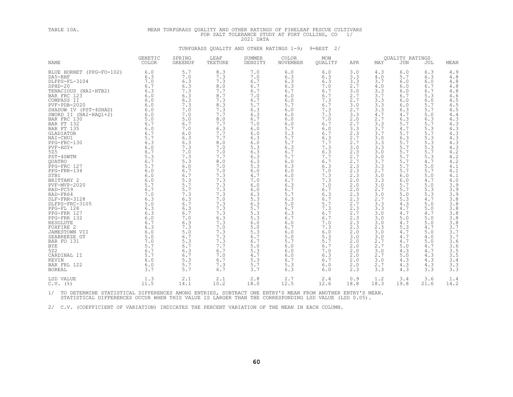# TABLE 10A. MEAN TURFGRASS QUALITY AND OTHER RATINGS OF FINELEAF FESCUE CULTIVARS FOR SALT TOLERANCE STUDY AT FORT COLLINS, CO 1/<br>2021 DATA TURFGRASS QUALITY AND OTHER RATINGS 1-9; 9=BEST 2/

|                          | <b>GENETIC</b> | SPRING         | LEAF    | SUMMER  | COLOR           | MOW     |      |      | QUALITY RATINGS |      |                               |
|--------------------------|----------------|----------------|---------|---------|-----------------|---------|------|------|-----------------|------|-------------------------------|
| <b>NAME</b>              | COLOR          | <b>GREENUP</b> | TEXTURE | DENSITY | <b>NOVEMBER</b> | OUALITY | APR  | MAY  | <b>JUN</b>      | JUL  | MEAN                          |
| BLUE HORNET (PPG-FO-102) | 6.0            | 5.7            | 8.3     | 7.0     | 6.0             | 6.0     | 3.0  | 4.3  | 6.0             | 6.3  | 4.9                           |
| DA5-RHF                  | 6.3            | 7.0            | 7.3     | 7.0     | 6.3             | 6.3     | 3.3  | 4.0  | 5.7             | 6.3  | 4.8                           |
| DLFPS-FL-3104            | 7.0            | 6.3            | 7.3     | 6.7     | 6.3             | 6.3     | 3.3  | 3.7  | 6.0             | 6.0  | $4.8$                         |
| $SPHD-20$                | 6.7            | 6.3            | 8.0     | 6.7     | 6.3             | 7.0     | 2.7  | 4.0  | 6.0             | 6.7  | $4\ .\ 8$                     |
| TENACIOUS (NAI-HTB2)     | 6.3            | 7.3            | 7.7     | 6.7     | 6.7             | 6.7     | 3.0  | 3.3  | 6.0             | 6.7  | $\frac{4}{4}$ . $\frac{8}{6}$ |
| BAR FRC 123              | 6.0            | 6.3            | 8.7     | 7.0     | 6.0             | 6.7     | 2.7  | 3.7  | 6.7             | 5.3  |                               |
| COMPASS II               | 6.0            | 6.3            | 7.3     | 6.7     | 6.0             | 7.3     | 2.7  | 3.3  | 6.0             | 6.0  | $4\,.5$                       |
| $PVF - PDB - 2020$       | 6.0            | 7.3            | 8.3     | 5.7     | 5.7             | 6.7     | 3.0  | 3.3  | 6.0             | 5.7  | $4\,.5$                       |
| SHADOW IV (PST-4SHAD)    | 6.0            | 7.0            | 7.3     | 6.3     | 6.0             | 7.3     | 2.7  | 3.3  | 6.3             | 5.7  | $4.5\,$                       |
| SWORD II (NAI-HAQ1+2)    | 6.0            | 7.0            | 7.7     | 6.3     | 6.0             | 7.3     | 3.3  | 4.7  | 4.7             | 5.0  | 4.4                           |
| BAR FRC 130              | 5.0            | 5.0            | $8.0$   | $6.7$   | 6.0             | 7.0     | 2.0  | 2.7  | 6.3             | 6.3  | $4\,.3$                       |
| BAR FT 132               | 6.7            | 6.7            | 7.7     | 7.0     | 6.0             | 6.7     | 2.7  | 3.3  | 5.7             | 5.7  | 4.3                           |
| BAR FT 135               | 6.0            | 7.0            | 6.3     | 6.0     | 5.7             | 6.0     | 3.3  | 3.7  | 4.7             | 5.3  | 4.3                           |
| GLADIATOR                | 6.7            | 6.0            | 7.7     | 6.0     | 5.3             | 6.7     | 2.3  | 3.7  | 5.7             | 5.7  | 4.3                           |
| NAI-CHU1                 | 5.7            | 6.3            | 7.7     | 6.3     | 5.7             | 6.3     | 2.7  | 3.0  | 6.3             | 5.3  | $\frac{4.3}{4.3}$             |
| PPG-FRC-130              | 6.3            | 6.3            | 8.0     | 6.0     | 5.7             | 7.7     | 2.7  | 3.3  | 5.7             | 5.3  |                               |
| PVF-HSY+                 | 6.0            | 7.3            | 7.0     | 5.3     | 6.3             | 7.3     | 3.0  | 3.3  | 5.7             | 5.3  | $\frac{4 \cdot 3}{4 \cdot 2}$ |
| 525                      | 6.7            | 7.0            | 7.0     | 6.3     | 6.7             | 6.3     | 2.3  | 3.0  | 5.7             | 5.7  |                               |
| PST-4SWTM                | 5.3            | 7.3            | 7.7     | 6.3     | 5.7             | 7.7     | 2.7  | 3.0  | 5.7             | 5.3  | 4.2                           |
| QUATRO                   | 6.7            | 5.3            | 8.0     | 6.3     | 6.0             | 6.7     | 2.7  | 3.7  | 5.7             | 4.7  | 4.2                           |
| PPG-FRC 127              | 5.7            | 6.0            | 7.0     | 5.3     | 6.3             | 6.3     | 2.3  | 3.3  | 5.7             | 5.0  | 4.1                           |
| $PPG-FRR-134$            | 6.0            | 6.7            | 7.0     | 6.0     | 6.0             | 7.0     | 2.3  | 2.7  | 5.7             | 5.7  | 4.1                           |
| STB1                     | 6.0            | 6.7            | 7.3     | 4.7     | 6.0             | 7.3     | 2.3  | 3.0  | 6.0             | 5.0  | 4.1                           |
| BRITTANY 2               | 6.0            | 5.3            | 7.3     | 7.0     | 6.7             | 7.3     | 2.0  | 3.3  | 6.0             | 4.7  | $4.0$                         |
| PVF-MVP-2020             | 5.7            | 5.7            | 7.3     | 6.0     | 6.3             | 7.0     | 2.0  | 3.0  | 5.7             | 5.0  | 3.9                           |
| RAD-FC59                 | 6.7            | 5.7            | 7.3     | 6.0     | 6.7             | 6.7     | 2.0  | 2.7  | 5.7             | 5.3  | 3.9                           |
| RAD-FR64                 | 7.0            | 7.3            | 7.3     | 6.3     | 5.7             | 6.3     | 2.3  | 3.0  | 5.0             | 5.3  | 3.9                           |
| DLF-FRR-3128             | 6.3            | 6.3            | 7.0     | 5.3     | 6.3             | 6.7     | 2.3  | 2.7  | 5.3             | 4.7  | 3.8                           |
| DLFPS-FRC-3105           | 5.0            | 6.7            | 7.3     | 6.3     | 5.0             | 5.7     | 2.7  | 3.3  | 4.3             | 5.0  | 3.8                           |
| PPG-FL 128               | 6.3            | 6.3            | 7.3     | 5.7     | 6.7             | 7.3     | 2.3  | 3.3  | 4.7             | 5.0  | 3.8                           |
| PPG-FRR 127              | 6.3            | 6.7            | 7.3     | 5.3     | 6.3             | 6.7     | 2.7  | 3.0  | 4.7             | 4.7  | $3.8\,$                       |
| PPG-FRR 132              | 6.0            | 7.0            | 6.3     | 5.3     | 6.7             | 6.7     | 2.3  | 3.0  | 5.0             | 5.0  | $3.8\,$                       |
| <b>RESOLUTE</b>          | 6.7            | 6.3            | 7.3     | 6.0     | 6.0             | 7.0     | 2.3  | 3.0  | 4.7             | 5.0  | 3.8                           |
| FOXFIRE 2                | 6.3            | 7.3            | 7.0     | 5.0     | 6.7             | 7.3     | 2.3  | 2.3  | 5.3             | 4.7  | 3.7                           |
| JAMESTOWN VII            | 6.0            | 5.0            | 7.3     | 5.3     | 6.0             | 6.0     | 2.0  | 3.0  | 4.7             | 5.0  | 3.7                           |
| SEABREEZE GT             | 5.0            | 6.7            | 7.3     | 6.7     | 5.0             | 5.3     | 3.0  | 3.0  | 4.7             | 4.0  | 3.7                           |
| BAR FO 131               | 7.0            | 5.3            | 7.3     | 6.7     | 5.7             | 5.7     | 2.0  | 2.7  | 4.7             | 5.0  | 3.6                           |
| <b>BYE</b>               | 5.7            | 6.7            | 7.7     | 5.0     | 6.0             | 6.7     | 2.0  | 2.7  | 5.0             | 4.7  | 3.6                           |
| 522                      | 6.7            | 6.3            | 6.7     | 5.3     | 6.0             | 7.0     | 2.0  | 3.0  | 4.3             | 4.7  | $\frac{3.5}{3.5}$             |
| CARDINAL II              | 5.7            | 6.7            | 7.0     | 4.7     | 6.0             | 6.3     | 2.0  | 2.7  | 5.0             | 4.3  |                               |
| KEVIN                    | 6.0            | 5.3            | 6.7     | 5.3     | 6.7             | 6.7     | 2.0  | 3.0  | 4.3             | 4.3  | 3.4                           |
| BAR FRL 122              | 6.0            | 5.7            | 7.3     | 5.7     | 5.3             | 6.0     | 2.0  | 2.7  | 4.3             | 4.3  | 3.3                           |
| <b>BOREAL</b>            | 3.7            | 5.7            | 6.7     | 3.7     | 6.3             | 6.0     | 2.3  | 3.3  | 4.3             | 3.3  | 3.3                           |
| LSD VALUE                | 1.3            | 2.1            | 2.1     | 2.8     | 2.7             | 2.4     | 0.9  | 1.2  | 3.4             | 3.6  | 1.4                           |
| $C.V.$ (%)               | 11.5           | 14.1           | 10.2    | 18.0    | 12.5            | 12.6    | 18.8 | 18.3 | 19.8            | 21.6 | 14.2                          |
|                          |                |                |         |         |                 |         |      |      |                 |      |                               |

1/ TO DETERMINE STATISTICAL DIFFERENCES AMONG ENTRIES, SUBTRACT ONE ENTRY'S MEAN FROM ANOTHER ENTRY'S MEAN.<br>STATISTICAL DIFFERENCES OCCUR WHEN THIS VALUE IS LARGER THAN THE CORRESPONDING LSD VALUE (LSD 0.05).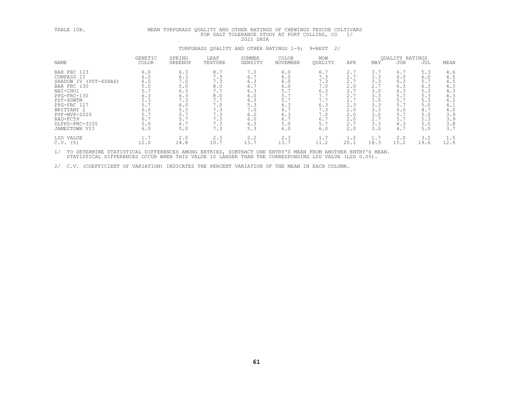# TABLE 10B.<br>
MEAN TURFGRASS QUALITY AND OTHER NOTES STUDY AT FORT COLLINS, CO 1/<br>
TURFGRASS QUALITY AND TOLES SULTIVE TO STUDY AT FORT COLLINS, CO 1/<br>
TURFGRASS IS<br>
NAME COLLOR GREENUP TEXTURE DENSITY NOVEMBER QUALITY AFT M LSD VALUE 1.7 2.0 2.3 2.2 2.3 1.7 1.2 1.7 2.0 3.2 1.5 C.V. (%) 12.0 14.8 10.7 13.7 13.7 11.2 20.1 18.3 15.2 19.6 12.6

1/ TO DETERMINE STATISTICAL DIFFERENCES AMONG ENTRIES, SUBTRACT ONE ENTRY'S MEAN FROM ANOTHER ENTRY'S MEAN.<br>STATISTICAL DIFFERENCES OCCUR WHEN THIS VALUE IS LARGER THAN THE CORRESPONDING LSD VALUE (LSD 0.05).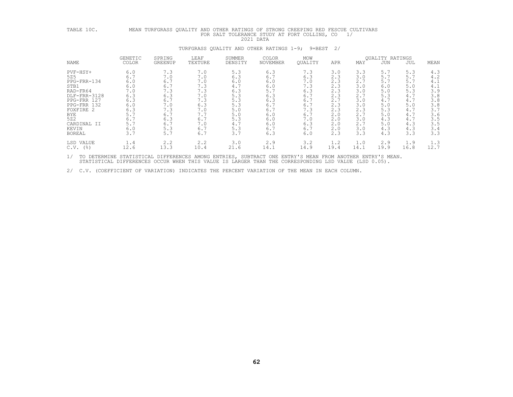| TABLE 10C.                                                                                                                                                                                             |                                                                                                               |                                                                                                               |                                                                                                               |                                                                                                                 | MEAN TURFGRASS QUALITY AND OTHER RATINGS OF STRONG CREEPING RED FESCUE CULTIVARS<br>FOR SALT TOLERANCE STUDY AT FORT COLLINS, CO<br>2021 DATA |                                                                                                                 |                                                                                                               | 1/                                                                                                            |                                                                                                               |                                                                                                               |                                                                                                                 |
|--------------------------------------------------------------------------------------------------------------------------------------------------------------------------------------------------------|---------------------------------------------------------------------------------------------------------------|---------------------------------------------------------------------------------------------------------------|---------------------------------------------------------------------------------------------------------------|-----------------------------------------------------------------------------------------------------------------|-----------------------------------------------------------------------------------------------------------------------------------------------|-----------------------------------------------------------------------------------------------------------------|---------------------------------------------------------------------------------------------------------------|---------------------------------------------------------------------------------------------------------------|---------------------------------------------------------------------------------------------------------------|---------------------------------------------------------------------------------------------------------------|-----------------------------------------------------------------------------------------------------------------|
|                                                                                                                                                                                                        |                                                                                                               |                                                                                                               |                                                                                                               |                                                                                                                 | TURFGRASS QUALITY AND OTHER RATINGS 1-9; 9=BEST                                                                                               |                                                                                                                 | 2/                                                                                                            |                                                                                                               |                                                                                                               |                                                                                                               |                                                                                                                 |
| NAME                                                                                                                                                                                                   | GENETIC<br>COLOR                                                                                              | SPRING<br>GREENUP                                                                                             | LEAF<br>TEXTURE                                                                                               | SUMMER<br>DENSITY                                                                                               | COLOR<br>NOVEMBER                                                                                                                             | MOW<br><b>OUALITY</b>                                                                                           | APR                                                                                                           | MAY                                                                                                           | QUALITY RATINGS<br>JUN                                                                                        | JUL                                                                                                           | MEAN                                                                                                            |
| PVF-HSY+<br>525<br>PPG-FRR-134<br>STB1<br>RAD-FR64<br>DLF-FRR-3128<br>PPG-FRR 127<br>PPG-FRR 132<br>FOXFIRE 2<br><b>BYE</b><br>522<br>CARDINAL II<br>KEVIN<br><b>BOREAL</b><br>LSD VALUE<br>$C.V.$ (%) | 6.0<br>6.7<br>6.0<br>6.0<br>7.0<br>6.3<br>6.3<br>6.0<br>6.3<br>5.7<br>6.7<br>5.7<br>6.0<br>3.7<br>1.4<br>12.6 | 7.3<br>7.0<br>6.7<br>6.7<br>7.3<br>6.3<br>6.7<br>7.0<br>7.3<br>6.7<br>6.3<br>6.7<br>5.3<br>5.7<br>2.2<br>13.3 | 7.0<br>7.0<br>7.0<br>7.3<br>7.3<br>7.0<br>7.3<br>6.3<br>7.0<br>7.7<br>6.7<br>7.0<br>6.7<br>6.7<br>2.2<br>10.4 | 5.3<br>6.3<br>6.0<br>4.7<br>6.3<br>5.3<br>5.3<br>5.3<br>$5.0$<br>5.0<br>5.3<br>4.7<br>5.3<br>3.7<br>3.0<br>21.6 | 6.3<br>6.7<br>$6.0$<br>6.0<br>5.7<br>6.3<br>6.3<br>6.7<br>6.7<br>$6.0$<br>6.0<br>6.0<br>6.7<br>6.3<br>2.9<br>14.1                             | 7.3<br>6.3<br>$7.0$<br>7.3<br>6.3<br>6.7<br>6.7<br>6.7<br>7.3<br>6.7<br>7.0<br>6.3<br>6.7<br>6.0<br>3.2<br>14.9 | 3.0<br>2.3<br>2.3<br>2.3<br>2.3<br>2.3<br>2.7<br>2.3<br>2.3<br>2.0<br>2.0<br>2.0<br>2.0<br>2.3<br>1.2<br>19.4 | 3.3<br>3.0<br>2.7<br>3.0<br>3.0<br>2.7<br>3.0<br>3.0<br>2.3<br>2.7<br>3.0<br>2.7<br>3.0<br>3.3<br>1.0<br>14.1 | 5.7<br>5.7<br>5.7<br>6.0<br>5.0<br>5.3<br>4.7<br>5.0<br>5.3<br>5.0<br>4.3<br>5.0<br>4.3<br>4.3<br>2.9<br>19.9 | 5.3<br>5.7<br>5.7<br>5.0<br>5.3<br>4.7<br>4.7<br>5.0<br>4.7<br>4.7<br>4.7<br>4.3<br>4.3<br>3.3<br>1.9<br>16.8 | 4.3<br>4.2<br>4.1<br>4.1<br>3.9<br>3.8<br>3.8<br>$3.8$<br>3.7<br>3.6<br>3.5<br>3.5<br>3.4<br>3.3<br>1.3<br>12.7 |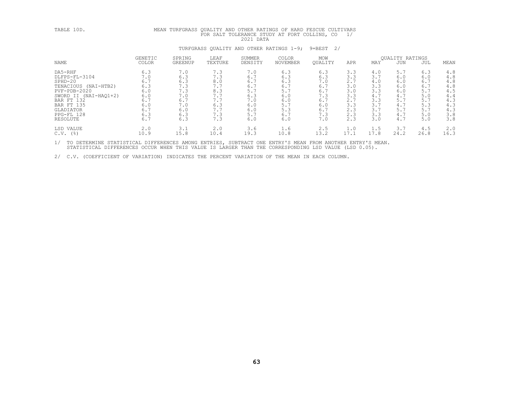| TABLE 10D.                                                                                                                                                                       |                                                                           | MEAN TURFGRASS QUALITY AND OTHER RATINGS OF HARD FESCUE CULTIVARS<br>FOR SALT TOLERANCE STUDY AT FORT COLLINS, CO<br>1/<br>2021 DATA |                                                                           |                                                                           |                                                                           |                                                                           |                                                                           |                                                                           |                                                                           |                                                                           |                                                                             |  |  |  |  |
|----------------------------------------------------------------------------------------------------------------------------------------------------------------------------------|---------------------------------------------------------------------------|--------------------------------------------------------------------------------------------------------------------------------------|---------------------------------------------------------------------------|---------------------------------------------------------------------------|---------------------------------------------------------------------------|---------------------------------------------------------------------------|---------------------------------------------------------------------------|---------------------------------------------------------------------------|---------------------------------------------------------------------------|---------------------------------------------------------------------------|-----------------------------------------------------------------------------|--|--|--|--|
|                                                                                                                                                                                  |                                                                           |                                                                                                                                      |                                                                           |                                                                           | TURFGRASS OUALITY AND OTHER RATINGS 1-9;                                  | 2/<br>9=BEST                                                              |                                                                           |                                                                           |                                                                           |                                                                           |                                                                             |  |  |  |  |
| NAME                                                                                                                                                                             | GENETIC<br>COLOR                                                          | SPRING<br>GREENUP                                                                                                                    | LEAF<br>TEXTURE                                                           | SUMMER<br>DENSITY                                                         | <b>COLOR</b><br>NOVEMBER                                                  | MOW<br>OUALITY                                                            | APR                                                                       | MAY                                                                       | <b>OUALITY RATINGS</b><br>JUN                                             | JUL                                                                       | MEAN                                                                        |  |  |  |  |
| DA5-RHF<br>DLFPS-FL-3104<br>$SPHD-20$<br>TENACIOUS (NAI-HTB2)<br>PVF-PDB-2020<br>SWORD II (NAI-HAO1+2)<br>BAR FT 132<br><b>BAR FT 135</b><br>GLADIATOR<br>PPG-FL 128<br>RESOLUTE | 6.3<br>7.0<br>6.7<br>6.3<br>6.0<br>6.0<br>6.7<br>6.0<br>6.7<br>6.3<br>6.7 | 7.0<br>6.3<br>6.3<br>7.3<br>7.3<br>7.0<br>6.7<br>7.0<br>6.0<br>6.3<br>6.3                                                            | 7.3<br>7.3<br>8.0<br>7.7<br>8.3<br>7.7<br>7.7<br>6.3<br>7.7<br>7.3<br>7.3 | 7.0<br>6.7<br>6.7<br>6.7<br>5.7<br>6.3<br>7.0<br>6.0<br>6.0<br>5.7<br>6.0 | 6.3<br>6.3<br>6.3<br>6.7<br>5.7<br>6.0<br>6.0<br>5.7<br>5.3<br>6.7<br>6.0 | 6.3<br>6.3<br>7.0<br>6.7<br>6.7<br>7.3<br>6.7<br>6.0<br>6.7<br>7.3<br>7.0 | 3.3<br>3.3<br>2.7<br>3.0<br>3.0<br>3.3<br>2.7<br>3.3<br>2.3<br>2.3<br>2.3 | 4.0<br>3.7<br>4.0<br>3.3<br>3.3<br>4.7<br>3.3<br>3.7<br>3.7<br>3.3<br>3.0 | 5.7<br>6.0<br>6.0<br>6.0<br>6.0<br>4.7<br>5.7<br>4.7<br>5.7<br>4.7<br>4.7 | 6.3<br>6.0<br>6.7<br>6.7<br>5.7<br>5.0<br>5.7<br>5.3<br>5.7<br>5.0<br>5.0 | 4.8<br>4.8<br>4.8<br>$4.8$<br>4.5<br>4.4<br>4.3<br>4.3<br>4.3<br>3.8<br>3.8 |  |  |  |  |
| LSD VALUE<br>$C.V.$ (%)                                                                                                                                                          | 2.0<br>10.9                                                               | 3.1<br>15.8                                                                                                                          | 2.0<br>10.4                                                               | 3.6<br>19.3                                                               | 1.6<br>10.8                                                               | 2.5<br>13.2                                                               | 1.0<br>17.1                                                               | 1.5<br>17.8                                                               | 3.7<br>24.2                                                               | 4.5<br>26.8                                                               | 2.0<br>16.3                                                                 |  |  |  |  |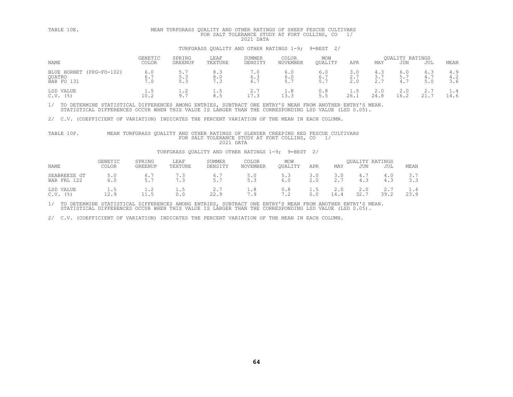| TABLE 10E.                                       | MEAN TURFGRASS OUALITY AND OTHER RATINGS OF SHEEP FESCUE CULTIVARS<br>FOR SALT TOLERANCE STUDY AT FORT COLLINS, CO<br>1/<br>2021 DATA |                   |                   |                                                    |                                 |                   |                   |                   |                               |                   |                   |  |  |
|--------------------------------------------------|---------------------------------------------------------------------------------------------------------------------------------------|-------------------|-------------------|----------------------------------------------------|---------------------------------|-------------------|-------------------|-------------------|-------------------------------|-------------------|-------------------|--|--|
|                                                  |                                                                                                                                       |                   |                   | TURFGRASS OUALITY AND OTHER RATINGS 1-9; 9=BEST 2/ |                                 |                   |                   |                   |                               |                   |                   |  |  |
| NAME                                             | <b>GENETIC</b><br><b>COLOR</b>                                                                                                        | SPRING<br>GREENUP | LEAF<br>TEXTURE   | SUMMER<br>DENSITY                                  | <b>COLOR</b><br><b>NOVEMBER</b> | MOW<br>OUALITY    | APR               | MAY               | <b>OUALITY RATINGS</b><br>JUN | JUL               | MEAN              |  |  |
| BLUE HORNET (PPG-FO-102)<br>OUATRO<br>BAR FO 131 | 6.0<br>6.7<br>7.0                                                                                                                     | 5.7<br>5.3<br>5.3 | 8.3<br>8.0<br>7.3 | 1.0<br>6.3<br>6.7                                  | 6.0<br>6.0<br>5.7               | 6.0<br>6.7<br>5.7 | 3.0<br>2.7<br>2.0 | 4.3<br>3.7<br>2.7 | 6.0<br>4.7                    | 6.3<br>4.7<br>5.0 | 4.9<br>4.2<br>3.6 |  |  |
| LSD VALUE<br>$C.V.$ ( $\frac{8}{6}$ )            | 1.5<br>10.2                                                                                                                           | 1.2<br>9.7        | 1.5<br>8.5        | 2.7<br>17.3                                        | 1.8<br>13.3                     | 0.8               | 1.5<br>26.1       | 2.0<br>24.8       | 2.0<br>16.2                   | 2.7<br>21.7       | 1.4<br>14.6       |  |  |

2/ C.V. (COEFFICIENT OF VARIATION) INDICATES THE PERCENT VARIATION OF THE MEAN IN EACH COLUMN.

### TABLE 10F. MEAN TURFGRASS QUALITY AND OTHER RATINGS OF SLENDER CREEPING RED FESCUE CULTIVARS<br>FOR SALT TOLERANCE STUDY AT FORT COLLINS, CO 1/<br>2021 DATA

### TURFGRASS QUALITY AND OTHER RATINGS 1-9; 9=BEST 2/

| NAME |                                | GENETIC<br><b>COLOR</b> | SPRING<br>GREENUP | LEAF<br>TEXTURE | <b>SUMMER</b><br>DENSITY | COLOR<br>NOVEMBER | MOW<br>OUALITY | APR                   | MAY         | <b>OUALITY RATINGS</b><br>JUN | JUL  | MEAN        |
|------|--------------------------------|-------------------------|-------------------|-----------------|--------------------------|-------------------|----------------|-----------------------|-------------|-------------------------------|------|-------------|
|      | SEABREEZE GT<br>122<br>BAR FRL | 5.0<br>6.0              | 6.<br>$\sim$      | 7.3             | 6.<br>- -<br>5.7         | 5.0<br>- -<br>5.3 | 5.3<br>6.0     | 3.0<br>2 <sub>0</sub> | 3 U<br>2.7  | 4.1<br>4.3                    | 4.3  | 3.7<br>3.3  |
| C.V  | LSD VALUE<br>$($ %)            | t.5<br>12.9             | 11.5              | l.5<br>0.0      | 22.9                     | 1.8<br>7.9        | 0.8<br>7.2     | t.5                   | 2.0<br>14.4 | 2.0<br>32.7                   | 39.2 | 1.4<br>23.9 |

1/ TO DETERMINE STATISTICAL DIFFERENCES AMONG ENTRIES, SUBTRACT ONE ENTRY'S MEAN FROM ANOTHER ENTRY'S MEAN.<br>STATISTICAL DIFFERENCES OCCUR WHEN THIS VALUE IS LARGER THAN THE CORRESPONDING LSD VALUE (LSD 0.05).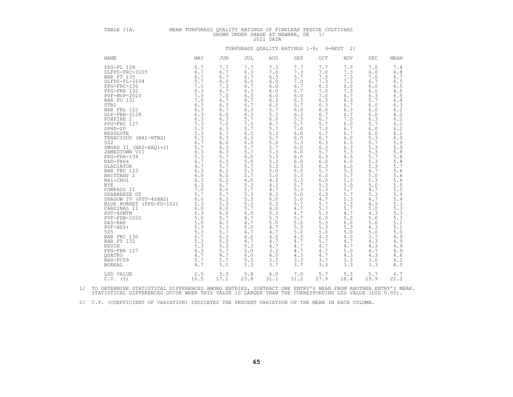| TABLE 11A.                                                                                                                                                                                                                                                                                     | MEAN TURFGRASS QUALITY RATINGS OF FINELEAF FESCUE CULTIVARS |                                                                                                                                   |                                                                                                                                                                                                                                                                                                           | GROWN UNDER SHADE AT NEWARK, DE<br>2021 DATA                                                                                                                                                                                                                                                              |                                                                                                                                                                                                                                                                                                           | 1/                                                                                                                                                                                                                                                                                                        |                                                                                                                                                                                                                                                                                                           |                                                                                                                                                                                                                                                                                                                          |                                                                                                                                                                                                                                                                                                                 |
|------------------------------------------------------------------------------------------------------------------------------------------------------------------------------------------------------------------------------------------------------------------------------------------------|-------------------------------------------------------------|-----------------------------------------------------------------------------------------------------------------------------------|-----------------------------------------------------------------------------------------------------------------------------------------------------------------------------------------------------------------------------------------------------------------------------------------------------------|-----------------------------------------------------------------------------------------------------------------------------------------------------------------------------------------------------------------------------------------------------------------------------------------------------------|-----------------------------------------------------------------------------------------------------------------------------------------------------------------------------------------------------------------------------------------------------------------------------------------------------------|-----------------------------------------------------------------------------------------------------------------------------------------------------------------------------------------------------------------------------------------------------------------------------------------------------------|-----------------------------------------------------------------------------------------------------------------------------------------------------------------------------------------------------------------------------------------------------------------------------------------------------------|--------------------------------------------------------------------------------------------------------------------------------------------------------------------------------------------------------------------------------------------------------------------------------------------------------------------------|-----------------------------------------------------------------------------------------------------------------------------------------------------------------------------------------------------------------------------------------------------------------------------------------------------------------|
|                                                                                                                                                                                                                                                                                                |                                                             |                                                                                                                                   |                                                                                                                                                                                                                                                                                                           |                                                                                                                                                                                                                                                                                                           |                                                                                                                                                                                                                                                                                                           | TURFGRASS OUALITY RATINGS 1-9; 9=BEST 2/                                                                                                                                                                                                                                                                  |                                                                                                                                                                                                                                                                                                           |                                                                                                                                                                                                                                                                                                                          |                                                                                                                                                                                                                                                                                                                 |
| NAME                                                                                                                                                                                                                                                                                           | MAY                                                         | JUN                                                                                                                               | JUL                                                                                                                                                                                                                                                                                                       | AUG                                                                                                                                                                                                                                                                                                       | SEP                                                                                                                                                                                                                                                                                                       | OCT                                                                                                                                                                                                                                                                                                       | <b>NOV</b>                                                                                                                                                                                                                                                                                                | DEC                                                                                                                                                                                                                                                                                                                      | MEAN                                                                                                                                                                                                                                                                                                            |
| PPG-FL 128<br>PPG-FL 128 6.7<br>DLFPS-FRC-3105 6.7<br>BAR FT 135<br>PEG-FRC-130 5.7<br>PPG-FRC-130 5.7<br>PPG-FRC-130 6.3<br>PPG-FRR 132 6.3<br>PVF-MVP-2020 6.3<br>BAR FO 131 7.0<br>STB1 7.0<br>STB1 6.3<br>BAR FRL 122 6.3<br>POKFIRE 2 6.3<br>POKFIRE 2 6.3<br>PRG-F<br>RAD-FC59<br>BOREAL | 6.7<br>5.7<br>4.7                                           | 7.7<br>6.7<br>6.7<br>6.0<br>7.3<br>6.7<br>7.0<br>6.7<br>6.3<br>6.7<br>6.0<br>6.3<br>7.0<br>6.3<br>6.7<br>6.3<br>6.0<br>5.7<br>5.0 | 7.7<br>6.3<br>6.7<br>6.0<br>6.7<br>6.3<br>6.3<br>6.7<br>6.7<br>6.3<br>6.3<br>5.7<br>7.3<br>5.7<br>6.0<br>6.3<br>6.0<br>5.7<br>5.7<br>6.0<br>5.0<br>5.7<br>5.3<br>5.7<br>6.0<br>5.3<br>5.7<br>5.3<br>5.3<br>5.3<br>5.7<br>6.0<br>4.7<br>4.7<br>5.0<br>4.7<br>6.0<br>4.7<br>5.3<br>5.0<br>6.0<br>5.3<br>5.3 | 7.3<br>7.0<br>6.3<br>6.0<br>6.0<br>6.0<br>6.0<br>6.3<br>6.0<br>5.7<br>5.3<br>6.0<br>4.7<br>5.7<br>5.3<br>5.7<br>5.0<br>5.7<br>5.3<br>5.3<br>5.3<br>5.3<br>5.0<br>5.0<br>4.3<br>4.3<br>4.7<br>4.3<br>6.0<br>5.3<br>4.0<br>5.3<br>5.3<br>5.0<br>4.7<br>4.7<br>4.0<br>4.7<br>4.7<br>3.3<br>4.0<br>3.3<br>3.7 | 7.7<br>7.3<br>5.7<br>7.0<br>6.7<br>6.7<br>6.0<br>6.3<br>5.7<br>6.0<br>6.3<br>5.3<br>5.7<br>7.0<br>6.0<br>6.0<br>5.3<br>6.0<br>6.0<br>6.0<br>6.0<br>6.3<br>6.0<br>5.3<br>5.3<br>5.7<br>5.3<br>5.0<br>5.0<br>5.7<br>4.7<br>4.7<br>5.7<br>5.0<br>5.3<br>5.0<br>4.3<br>4.7<br>4.7<br>4.7<br>4.3<br>3.3<br>3.7 | 7.7<br>7.0<br>7.3<br>7.3<br>6.3<br>7.0<br>7.0<br>6.3<br>6.3<br>6.0<br>6.7<br>6.7<br>5.7<br>7.0<br>6.7<br>6.7<br>6.3<br>6.3<br>5.7<br>6.3<br>6.0<br>6.3<br>5.7<br>6.0<br>6.0<br>5.3<br>5.3<br>6.3<br>4.7<br>5.7<br>5.7<br>5.3<br>6.0<br>5.3<br>5.3<br>5.0<br>4.3<br>5.7<br>4.7<br>4.7<br>4.7<br>3.7<br>3.3 | 7.3<br>7.3<br>7.3<br>7.3<br>6.0<br>7.3<br>6.7<br>6.3<br>6.7<br>6.3<br>6.7<br>7.0<br>6.0<br>6.7<br>6.7<br>6.0<br>6.3<br>6.3<br>5.3<br>6.3<br>6.0<br>6.0<br>5.3<br>5.7<br>5.3<br>5.0<br>5.7<br>5.7<br>5.3<br>5.3<br>5.7<br>4.7<br>5.3<br>6.0<br>5.3<br>5.0<br>4.0<br>4.7<br>4.7<br>5.0<br>4.3<br>3.3<br>3.3 | 7.0<br>6.0<br>7.0<br>6.7<br>6.0<br>6.0<br>6.3<br>5.7<br>6.0<br>6.0<br>6.0<br>6.3<br>5.7<br>6.0<br>6.0<br>5.3<br>$\overline{5}$ . 7<br>5.3<br>5.3<br>5.7<br>5.3<br>5.3<br>4.7<br>5.0<br>5.3<br>5.0<br>4.7<br>5.3<br>4.7<br>4.3<br>5.0<br>4.3<br>5.0<br>5.0<br>4.3<br>5.0<br>3.7<br>4.3<br>4.3<br>4.7<br>4.3<br>3.0<br>3.3 | 7.4<br>6.8<br>$6\,.7$<br>$6.5$<br>$6.5$<br>$6.5$<br>$6.5$<br>$6.3$<br>$6.3$<br>$6.2$<br>$6.2$<br>$6.2$<br>$6.1$<br>5.7<br>$\frac{5.6}{5.6}$<br>$5.65$<br>$5.5$<br>$5.4$<br>$5.4\,$<br>$5.3$<br>$5.3$<br>$5.3$<br>$5.1$<br>$5.1$<br>$5.1\,$<br>$5.0$<br>4.9<br>4.9<br>$\frac{4.9}{4.9}$<br>$4.6\,$<br>4.2<br>4.0 |
| LSD VALUE<br>$C.V.$ ( $\S$ )                                                                                                                                                                                                                                                                   | 2.5<br>16.5                                                 | 3.3<br>17.1                                                                                                                       | 5.8<br>23.8                                                                                                                                                                                                                                                                                               | 6.0<br>31.1                                                                                                                                                                                                                                                                                               | 7.0<br>31.2                                                                                                                                                                                                                                                                                               | 5.7<br>27.9                                                                                                                                                                                                                                                                                               | 5.3<br>28.4                                                                                                                                                                                                                                                                                               | 5.7<br>29.9                                                                                                                                                                                                                                                                                                              | 4.7<br>22.2                                                                                                                                                                                                                                                                                                     |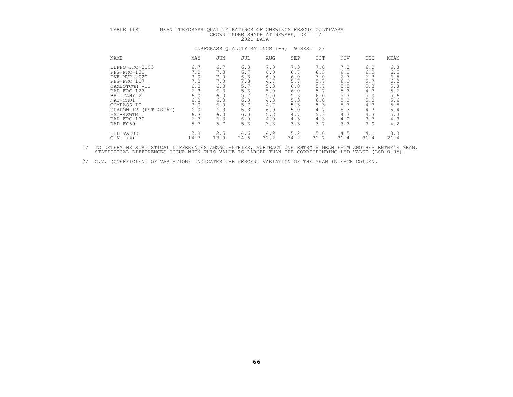| TABLE 11B.                                                                                                                                                                                                 | MEAN TURFGRASS QUALITY RATINGS OF CHEWINGS FESCUE CULTIVARS                             | TURFGRASS QUALITY RATINGS 1-9;                                                          | 2021 DATA                                                                               |                                                                                         | GROWN UNDER SHADE AT NEWARK, DE                                                         | 1/<br>$9 = BEST$ 2/                                                                     |                                                                                         |                                                                                           |                                                                                         |
|------------------------------------------------------------------------------------------------------------------------------------------------------------------------------------------------------------|-----------------------------------------------------------------------------------------|-----------------------------------------------------------------------------------------|-----------------------------------------------------------------------------------------|-----------------------------------------------------------------------------------------|-----------------------------------------------------------------------------------------|-----------------------------------------------------------------------------------------|-----------------------------------------------------------------------------------------|-------------------------------------------------------------------------------------------|-----------------------------------------------------------------------------------------|
| NAME                                                                                                                                                                                                       | MAY                                                                                     | JUN                                                                                     | JUL                                                                                     | AUG                                                                                     | SEP                                                                                     | OCT                                                                                     | <b>NOV</b>                                                                              | DEC                                                                                       | MEAN                                                                                    |
| DLFPS-FRC-3105<br>$PPG-FRC-130$<br>PVF-MVP-2020<br>PPG-FRC 127<br>JAMESTOWN VII<br>BAR FRC 123<br>BRITTANY 2<br>NAI-CHU1<br>COMPASS II<br>SHADOW IV<br>(PST-4SHAD)<br>PST-4SWTM<br>BAR FRC 130<br>RAD-FC59 | 6.7<br>7.0<br>7.0<br>7.3<br>6.3<br>6.3<br>6.0<br>6.3<br>7.0<br>6.0<br>6.3<br>6.7<br>5.7 | 6.7<br>7.3<br>7.0<br>7.0<br>6.3<br>6.3<br>6.0<br>6.3<br>6.0<br>6.3<br>6.0<br>6.3<br>5.7 | 6.3<br>6.7<br>6.3<br>7.3<br>5.7<br>5.3<br>5.7<br>6.0<br>5.7<br>5.3<br>6.0<br>6.0<br>5.3 | 7.0<br>6.0<br>6.0<br>4.7<br>5.3<br>5.0<br>5.0<br>4.3<br>4.7<br>6.0<br>5.3<br>4.0<br>3.3 | 7.3<br>6.7<br>6.0<br>5.7<br>6.0<br>6.0<br>5.3<br>5.3<br>5.3<br>5.0<br>4.7<br>4.3<br>3.3 | 7.0<br>6.3<br>7.0<br>5.7<br>5.7<br>5.7<br>6.0<br>6.0<br>5.3<br>4.7<br>5.3<br>4.3<br>3.7 | 7.3<br>6.0<br>6.7<br>6.0<br>5.3<br>5.3<br>5.7<br>5.3<br>5.7<br>5.3<br>4.7<br>4.0<br>3.3 | 6.0<br>6.0<br>6.3<br>$5.7$<br>5.3<br>4.7<br>5.0<br>5.3<br>4.7<br>4.7<br>4.3<br>3.7<br>3.0 | 6.8<br>6.5<br>6.5<br>6.2<br>5.8<br>5.6<br>5.6<br>5.6<br>5.5<br>5.4<br>5.3<br>4.9<br>4.2 |
| LSD VALUE<br>$C.V.$ (%)                                                                                                                                                                                    | 2.8<br>14.7                                                                             | 2.5<br>13.9                                                                             | 4.6<br>24.5                                                                             | 4.2<br>31.2                                                                             | 5.2<br>34.2                                                                             | 5.0<br>31.7                                                                             | 4.5<br>31.4                                                                             | 4.1<br>31.4                                                                               | 3.3<br>21.4                                                                             |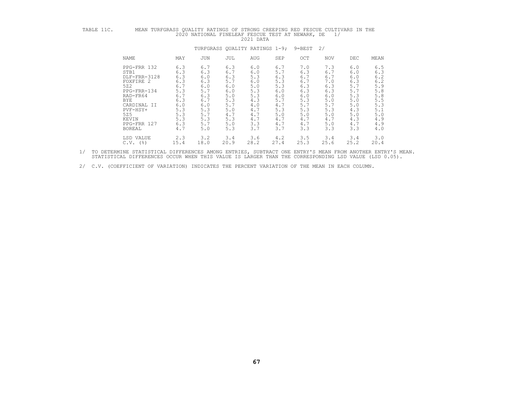| TABLE 11C. | MEAN TURFGRASS QUALITY RATINGS OF STRONG CREEPING RED FESCUE CULTIVARS IN THE                                                                                               |                                                                                                | 2020 NATIONAL FINELEAF FESCUE TEST AT NEWARK, DE                                                 |                                                                                                | 2021 DATA                                                                                      |                                                                                                |                                                                                                | 1/                                                                                             |                                                                                                |                                                                                                |
|------------|-----------------------------------------------------------------------------------------------------------------------------------------------------------------------------|------------------------------------------------------------------------------------------------|--------------------------------------------------------------------------------------------------|------------------------------------------------------------------------------------------------|------------------------------------------------------------------------------------------------|------------------------------------------------------------------------------------------------|------------------------------------------------------------------------------------------------|------------------------------------------------------------------------------------------------|------------------------------------------------------------------------------------------------|------------------------------------------------------------------------------------------------|
|            |                                                                                                                                                                             |                                                                                                | TURFGRASS QUALITY RATINGS 1-9;                                                                   |                                                                                                |                                                                                                |                                                                                                | 9=BEST                                                                                         | 2/                                                                                             |                                                                                                |                                                                                                |
|            | NAME                                                                                                                                                                        | MAY                                                                                            | <b>JUN</b>                                                                                       | JUL                                                                                            | AUG                                                                                            | SEP                                                                                            | OCT                                                                                            | <b>NOV</b>                                                                                     | <b>DEC</b>                                                                                     | MEAN                                                                                           |
|            | PPG-FRR 132<br>STB1<br>DLF-FRR-3128<br>FOXFIRE 2<br>522<br>PPG-FRR-134<br>RAD-FR64<br><b>BYE</b><br>CARDINAL II<br>PVF-HSY+<br>525<br>KEVIN<br>PPG-FRR 127<br><b>BOREAL</b> | 6.3<br>6.3<br>6.3<br>6.3<br>6.7<br>5.3<br>6.7<br>6.3<br>6.0<br>5.3<br>5.3<br>5.3<br>6.3<br>4.7 | 6.7<br>6.3<br>6.0<br>6.3<br>6.0<br>5.7<br>6.3<br>6.7<br>6.0<br>5.3<br>$5.7$<br>5.3<br>5.7<br>5.0 | 6.3<br>6.7<br>6.3<br>5.7<br>6.0<br>6.0<br>5.0<br>5.3<br>5.7<br>5.0<br>4.7<br>5.3<br>5.0<br>5.3 | 6.0<br>6.0<br>5.3<br>6.0<br>5.0<br>5.3<br>5.3<br>4.3<br>4.0<br>4.7<br>4.7<br>4.7<br>3.3<br>3.7 | 6.7<br>5.7<br>6.3<br>5.3<br>5.3<br>6.0<br>6.0<br>5.7<br>4.7<br>5.3<br>5.0<br>4.7<br>4.7<br>3.7 | 7.0<br>6.3<br>6.7<br>6.7<br>6.3<br>6.3<br>6.0<br>5.3<br>5.7<br>5.3<br>5.0<br>4.7<br>4.7<br>3.3 | 7.3<br>6.7<br>6.7<br>7.0<br>6.3<br>6.3<br>6.0<br>5.0<br>5.7<br>5.3<br>5.0<br>4.7<br>5.0<br>3.3 | 6.0<br>6.0<br>6.0<br>6.3<br>5.7<br>5.7<br>5.3<br>5.0<br>5.0<br>4.3<br>5.0<br>4.3<br>4.7<br>3.3 | 6.5<br>6.3<br>6.2<br>6.2<br>5.9<br>5.8<br>5.8<br>5.5<br>5.3<br>5.1<br>5.0<br>4.9<br>4.9<br>4.0 |
|            | LSD VALUE<br>$C.V.$ (%)                                                                                                                                                     | 2.3<br>15.4                                                                                    | 3.2<br>18.0                                                                                      | 3.4<br>20.9                                                                                    | 3.6<br>28.2                                                                                    | 4.2<br>27.4                                                                                    | 3.5<br>25.3                                                                                    | 3.4<br>25.6                                                                                    | 3.4<br>25.2                                                                                    | 3.0<br>20.4                                                                                    |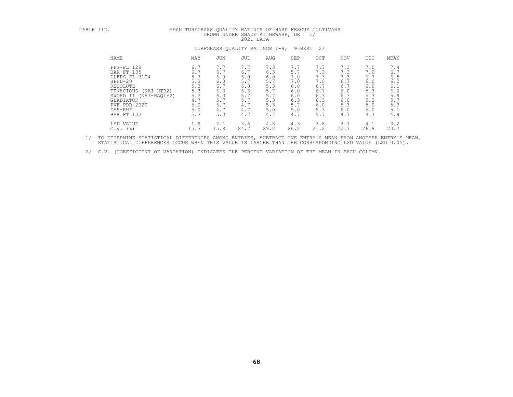| TABLE 11D.                                                                                                                                  | MEAN TURFGRASS QUALITY RATINGS OF HARD FESCUE CULTIVARS                                                            | GROWN UNDER SHADE AT NEWARK, DE                                           | 2021 DATA                                                                 |                                                                           |                                                                           | 1/                                                                        |                                                                           |                                                                           |                                                                           |
|---------------------------------------------------------------------------------------------------------------------------------------------|--------------------------------------------------------------------------------------------------------------------|---------------------------------------------------------------------------|---------------------------------------------------------------------------|---------------------------------------------------------------------------|---------------------------------------------------------------------------|---------------------------------------------------------------------------|---------------------------------------------------------------------------|---------------------------------------------------------------------------|---------------------------------------------------------------------------|
|                                                                                                                                             |                                                                                                                    | TURFGRASS OUALITY RATINGS 1-9;                                            |                                                                           |                                                                           |                                                                           | $9 = BEST$ 2/                                                             |                                                                           |                                                                           |                                                                           |
| NAME                                                                                                                                        | MAY                                                                                                                | <b>JUN</b>                                                                | JUL                                                                       | AUG                                                                       | SEP                                                                       | OCT                                                                       | NOV                                                                       | DEC                                                                       | MEAN                                                                      |
| PPG-FL 128<br>BAR FT 135<br>DLFPS-FL-3104<br>$SPHD-20$<br>RESOLUTE<br>TENACIOUS<br>GLADIATOR<br>$PVF - PDB - 2020$<br>DA5-RHF<br>BAR FT 132 | 6.7<br>6.7<br>5.7<br>5.3<br>5.3<br>5.3<br>$(NAI-HTB2)$<br>5.7<br>SWORD II (NAI-HAO1+2)<br>4.7<br>5.0<br>5.0<br>5.3 | 7.7<br>6.7<br>6.0<br>6.3<br>6.7<br>6.3<br>6.3<br>5.7<br>5.7<br>4.7<br>5.3 | 7.7<br>6.7<br>6.0<br>5.7<br>6.0<br>6.3<br>5.7<br>5.7<br>4.7<br>4.7<br>4.7 | 7.3<br>6.3<br>6.0<br>5.7<br>5.3<br>5.7<br>5.7<br>5.3<br>5.3<br>5.0<br>4.7 | 7.7<br>5.7<br>7.0<br>7.0<br>6.0<br>6.0<br>6.0<br>6.3<br>5.7<br>5.0<br>4.7 | 7.7<br>7.3<br>7.3<br>7.0<br>6.7<br>6.7<br>6.3<br>6.3<br>6.0<br>5.3<br>5.7 | 7.3<br>7.3<br>7.3<br>6.7<br>6.7<br>6.0<br>6.3<br>6.0<br>5.3<br>6.0<br>4.7 | 7.0<br>7.0<br>6.7<br>6.0<br>6.0<br>5.3<br>5.3<br>5.3<br>5.0<br>5.0<br>4.3 | 7.4<br>6.7<br>6.5<br>6.2<br>6.1<br>6.0<br>5.9<br>5.7<br>5.3<br>5.1<br>4.9 |
| LSD VALUE<br>$C.V.$ (%)                                                                                                                     | 1.9<br>15.3                                                                                                        | 2.1<br>15.8                                                               | 3.6<br>24.7                                                               | 4.8<br>29.2                                                               | 4.3<br>26.2                                                               | 3.8<br>21.2                                                               | 3.7<br>22.7                                                               | 4.1<br>26.9                                                               | 3.2<br>20.7                                                               |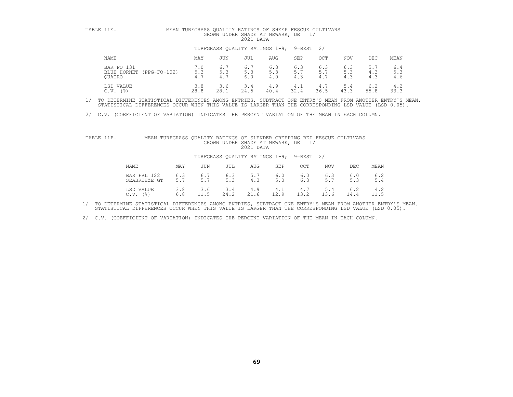| TABLE 11E. |                                                       | MEAN TURFGRASS QUALITY RATINGS OF SHEEP FESCUE CULTIVARS<br>GROWN UNDER SHADE AT NEWARK, DE<br>$\frac{1}{2}$<br>2021 DATA |                   |                                          |                   |                   |                   |                   |                   |                   |
|------------|-------------------------------------------------------|---------------------------------------------------------------------------------------------------------------------------|-------------------|------------------------------------------|-------------------|-------------------|-------------------|-------------------|-------------------|-------------------|
|            |                                                       |                                                                                                                           |                   | TURFGRASS OUALITY RATINGS 1-9; 9=BEST 2/ |                   |                   |                   |                   |                   |                   |
|            | NAME                                                  | MAY                                                                                                                       | JUN               | JUL                                      | AUG               | SEP               | OCT               | <b>NOV</b>        | DEC.              | MEAN              |
|            | BAR FO 131<br>$(PPG-FO-102)$<br>BLUE HORNET<br>OUATRO | 7.0<br>5.3<br>4.7                                                                                                         | 6.7<br>5.3<br>4.7 | 6.7<br>5.3<br>6.0                        | 6.3<br>5.3<br>4.0 | 6.3<br>5.7<br>4.3 | 6.3<br>5.7<br>4.7 | 6.3<br>5.3<br>4.3 | 5.7<br>4.3<br>4.3 | 6.4<br>5.3<br>4.6 |
|            | LSD VALUE<br>C.V.<br>(응)                              | 3.8<br>28.8                                                                                                               | 3.6<br>28.1       | 3.4<br>24.5                              | 4.9<br>40.4       | 4.1<br>32.4       | 4.7<br>36.5       | 5.4<br>43.3       | 6.2<br>55.8       | 4.2<br>33.3       |

2/ C.V. (COEFFICIENT OF VARIATION) INDICATES THE PERCENT VARIATION OF THE MEAN IN EACH COLUMN.

| TABLE 11F. |                                           | MEAN TURFGRASS QUALITY RATINGS OF SLENDER CREEPING RED FESCUE CULTIVARS | GROWN UNDER SHADE AT NEWARK, DE | 2021 DATA   |              | 1/             |              |             |             |
|------------|-------------------------------------------|-------------------------------------------------------------------------|---------------------------------|-------------|--------------|----------------|--------------|-------------|-------------|
|            |                                           | TURFGRASS OUALITY RATINGS 1-9; 9=BEST 2/                                |                                 |             |              |                |              |             |             |
|            | NAME<br>MAY                               | JUN                                                                     | JUL                             | AUG         | SEP          | OCT            | NOV          | DEC.        | MEAN        |
|            | BAR FRL 122<br>6.3<br>5.7<br>SEABREEZE GT | 6.7                                                                     | $6.3$<br>$5.3$                  | 5.7<br>4.3  | $6.0$<br>5.0 | $6.0$<br>$6.3$ | $6.3$<br>5.7 | 6.0         | 6.2<br>5.4  |
|            | 3.8<br>LSD VALUE<br>6.8<br>$C.V.$ (%)     | 3.6<br>11.5                                                             | 3.4<br>24.2                     | 4.9<br>21.6 | 4.1<br>12.9  | 4.7<br>13.2    | 5.4<br>13.6  | 6.2<br>14.4 | 4.2<br>11.5 |

1/ TO DETERMINE STATISTICAL DIFFERENCES AMONG ENTRIES, SUBTRACT ONE ENTRY'S MEAN FROM ANOTHER ENTRY'S MEAN.<br>STATISTICAL DIFFERENCES OCCUR WHEN THIS VALUE IS LARGER THAN THE CORRESPONDING LSD VALUE (LSD 0.05).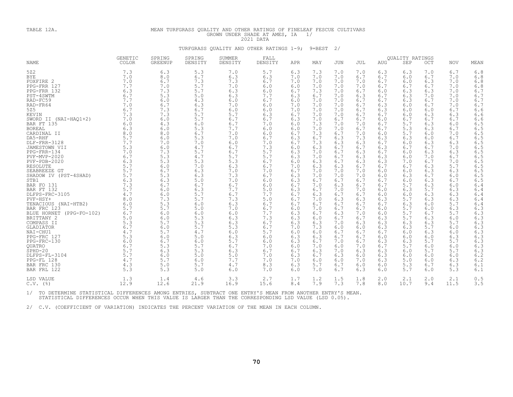# TABLE 12A. MEAN TURFGRASS QUALITY AND OTHER RATINGS OF FINELEAF FESCUE CULTIVARS GROWN UNDER SHADE AT AMES, IA 1/<br>2021 DATA TURFGRASS QUALITY AND OTHER RATINGS 1-9; 9=BEST 2/

|                                                                                                                                                                                                                                                                                                                                                                                                                                                                                                                                                                                                                                                                                       | <b>GENETIC</b>                                                                                                                                                                                                                                                                                                   | SPRING                                                                                                                                                                                                                                                                                                           | SPRING                                                                                                                                                                                                                                                                                                           | <b>SUMMER</b>                                                                                                                                                                                                                                                                                                    | FALL                                                                                                                                                                                                                                                                                                             |                                                                                                                                                                                                                                                                                                                  |                                                                                                                                                                                                                                                                                                                  |                                                                                                                                                                                                                                                                                                                  |                                                                                                                                                                                                                                                                                                                  |                                                                                                                                                                                                                                                                                                                  | <b>OUALITY RATINGS</b>                                                                                                                                                                                                                                                                                           |                                                                                                                                                                                                                                                                                                                  |                                                                                                                                                                                                                                                                                                                  |                                                                                                                                                                                                                                                                                                                  |
|---------------------------------------------------------------------------------------------------------------------------------------------------------------------------------------------------------------------------------------------------------------------------------------------------------------------------------------------------------------------------------------------------------------------------------------------------------------------------------------------------------------------------------------------------------------------------------------------------------------------------------------------------------------------------------------|------------------------------------------------------------------------------------------------------------------------------------------------------------------------------------------------------------------------------------------------------------------------------------------------------------------|------------------------------------------------------------------------------------------------------------------------------------------------------------------------------------------------------------------------------------------------------------------------------------------------------------------|------------------------------------------------------------------------------------------------------------------------------------------------------------------------------------------------------------------------------------------------------------------------------------------------------------------|------------------------------------------------------------------------------------------------------------------------------------------------------------------------------------------------------------------------------------------------------------------------------------------------------------------|------------------------------------------------------------------------------------------------------------------------------------------------------------------------------------------------------------------------------------------------------------------------------------------------------------------|------------------------------------------------------------------------------------------------------------------------------------------------------------------------------------------------------------------------------------------------------------------------------------------------------------------|------------------------------------------------------------------------------------------------------------------------------------------------------------------------------------------------------------------------------------------------------------------------------------------------------------------|------------------------------------------------------------------------------------------------------------------------------------------------------------------------------------------------------------------------------------------------------------------------------------------------------------------|------------------------------------------------------------------------------------------------------------------------------------------------------------------------------------------------------------------------------------------------------------------------------------------------------------------|------------------------------------------------------------------------------------------------------------------------------------------------------------------------------------------------------------------------------------------------------------------------------------------------------------------|------------------------------------------------------------------------------------------------------------------------------------------------------------------------------------------------------------------------------------------------------------------------------------------------------------------|------------------------------------------------------------------------------------------------------------------------------------------------------------------------------------------------------------------------------------------------------------------------------------------------------------------|------------------------------------------------------------------------------------------------------------------------------------------------------------------------------------------------------------------------------------------------------------------------------------------------------------------|------------------------------------------------------------------------------------------------------------------------------------------------------------------------------------------------------------------------------------------------------------------------------------------------------------------|
| <b>NAME</b>                                                                                                                                                                                                                                                                                                                                                                                                                                                                                                                                                                                                                                                                           | COLOR                                                                                                                                                                                                                                                                                                            | <b>GREENUP</b>                                                                                                                                                                                                                                                                                                   | DENSITY                                                                                                                                                                                                                                                                                                          | DENSITY                                                                                                                                                                                                                                                                                                          | DENSITY                                                                                                                                                                                                                                                                                                          | APR                                                                                                                                                                                                                                                                                                              | MAY                                                                                                                                                                                                                                                                                                              | <b>JUN</b>                                                                                                                                                                                                                                                                                                       | JUL                                                                                                                                                                                                                                                                                                              | AUG                                                                                                                                                                                                                                                                                                              | SEP                                                                                                                                                                                                                                                                                                              | OCT                                                                                                                                                                                                                                                                                                              | <b>NOV</b>                                                                                                                                                                                                                                                                                                       | MEAN                                                                                                                                                                                                                                                                                                             |
| 522<br><b>BYE</b><br>FOXFIRE 2<br>PPG-FRR 127<br>PPG-FRR 132<br>PST-4SWTM<br>RAD-FC59<br>RAD-FR64<br>525<br>KEVIN<br>SWORD II (NAI-HAO1+2)<br>BAR FT 135<br><b>BOREAL</b><br>CARDINAL II<br>DA5-RHF<br>DLF-FRR-3128<br>JAMESTOWN VII<br>PPG-FRR-134<br>PVF-MVP-2020<br>$PVF - PDB - 2020$<br><b>RESOLUTE</b><br>SEABREEZE GT<br>SHADOW IV (PST-4SHAD)<br>STB1<br>BAR FO 131<br>BAR FT 132<br>DLFPS-FRC-3105<br>PVF-HSY+<br>TENACIOUS (NAI-HTB2)<br>BAR FRC 123<br>BLUE HORNET (PPG-FO-102)<br>BRITTANY 2<br>COMPASS II<br>GLADIATOR<br>NAI-CHU1<br>PPG-FRC 127<br>PPG-FRC-130<br><b>OUATRO</b><br>$SPHD-20$<br>DLFPS-FL-3104<br>PPG-FL 128<br>BAR FRC 130<br>BAR FRL 122<br>LSD VALUE | 7.3<br>7.0<br>7.0<br>7.7<br>6.3<br>6.7<br>7.7<br>7.0<br>6.7<br>7.3<br>7.0<br>6.0<br>6.3<br>8.0<br>5.7<br>7.7<br>5.3<br>7.0<br>6.7<br>6.3<br>5.7<br>5.7<br>5.7<br>6.3<br>7.3<br>5.7<br>4.7<br>8.0<br>6.0<br>5.7<br>6.7<br>5.0<br>5.3<br>6.7<br>4.7<br>5.3<br>6.0<br>6.7<br>5.7<br>5.7<br>4.7<br>4.3<br>5.3<br>1.3 | 6.3<br>8.0<br>6.7<br>7.0<br>7.3<br>5.3<br>6.0<br>6.7<br>7.3<br>7.3<br>6.0<br>4.3<br>6.0<br>8.0<br>6.0<br>7.0<br>6.0<br>7.3<br>5.3<br>5.3<br>6.0<br>6.7<br>5.3<br>6.3<br>6.7<br>6.0<br>6.0<br>7.3<br>5.3<br>5.7<br>6.0<br>6.0<br>5.7<br>6.0<br>5.7<br>6.0<br>6.7<br>5.3<br>6.3<br>6.0<br>5.7<br>5.0<br>5.3<br>1.4 | 5.3<br>6.7<br>7.3<br>5.7<br>5.7<br>5.0<br>4.3<br>6.3<br>6.7<br>5.7<br>5.7<br>6.0<br>5.3<br>6.7<br>5.3<br>7.0<br>4.7<br>5.7<br>4.7<br>5.3<br>7.0<br>6.3<br>6.3<br>5.0<br>6.7<br>6.3<br>5.7<br>5.7<br>6.0<br>5.0<br>6.0<br>5.3<br>5.3<br>5.7<br>4.7<br>5.0<br>6.0<br>5.7<br>5.3<br>5.0<br>6.0<br>5.7<br>5.0<br>4.6 | 7.0<br>6.3<br>7.3<br>7.0<br>6.3<br>6.3<br>6.0<br>7.0<br>6.0<br>5.7<br>6.7<br>6.7<br>7.7<br>7.0<br>7.0<br>6.0<br>6.7<br>6.7<br>5.7<br>5.3<br>6.3<br>7.0<br>7.3<br>7.0<br>6.7<br>7.7<br>6.7<br>7.3<br>6.3<br>7.0<br>6.0<br>6.3<br>6.3<br>5.3<br>6.0<br>6.3<br>5.7<br>6.7<br>6.3<br>5.0<br>7.7<br>4.7<br>6.0<br>3.3 | 5.7<br>6.3<br>6.7<br>6.0<br>6.0<br>7.7<br>6.7<br>6.0<br>6.0<br>6.3<br>6.7<br>7.0<br>6.0<br>6.0<br>6.7<br>7.0<br>7.3<br>5.7<br>5.7<br>6.7<br>6.7<br>7.0<br>6.7<br>6.0<br>6.0<br>5.0<br>7.7<br>5.0<br>6.7<br>6.7<br>7.7<br>7.3<br>6.7<br>6.7<br>5.7<br>6.0<br>6.0<br>7.0<br>6.7<br>7.0<br>7.0<br>8.3<br>7.0<br>2.7 | 6.3<br>7.0<br>7.0<br>6.0<br>6.7<br>6.3<br>6.0<br>7.0<br>7.0<br>6.7<br>6.3<br>6.0<br>6.0<br>6.7<br>6.3<br>6.7<br>6.0<br>6.3<br>6.3<br>6.0<br>7.0<br>6.7<br>6.3<br>6.3<br>6.7<br>6.3<br>6.7<br>6.7<br>6.7<br>6.0<br>6.3<br>6.3<br>6.3<br>7.0<br>6.0<br>6.3<br>6.3<br>6.0<br>6.7<br>6.3<br>7.0<br>6.3<br>6.0<br>1.7 | 7.3<br>7.0<br>7.0<br>7.0<br>7.3<br>6.7<br>7.0<br>7.0<br>7.0<br>7.0<br>7.0<br>7.3<br>7.0<br>7.3<br>6.7<br>7.3<br>6.3<br>7.0<br>7.0<br>6.3<br>6.3<br>7.0<br>7.0<br>6.7<br>7.0<br>6.7<br>6.3<br>7.0<br>6.7<br>7.0<br>6.7<br>6.0<br>6.3<br>7.3<br>6.0<br>6.3<br>6.7<br>7.0<br>6.3<br>6.7<br>6.0<br>5.7<br>7.0<br>1.2 | 7.0<br>7.0<br>7.0<br>7.0<br>7.0<br>7.0<br>7.0<br>7.0<br>7.0<br>7.0<br>6.7<br>7.0<br>7.0<br>6.7<br>6.3<br>6.3<br>6.7<br>6.7<br>6.7<br>6.7<br>6.3<br>7.0<br>7.0<br>6.7<br>6.3<br>7.0<br>6.7<br>6.3<br>6.7<br>6.7<br>6.3<br>6.7<br>7.0<br>6.0<br>6.7<br>6.7<br>7.0<br>6.0<br>7.0<br>6.3<br>6.0<br>6.7<br>6.7<br>1.5 | 7.0<br>6.7<br>7.0<br>7.0<br>6.7<br>6.3<br>6.7<br>6.7<br>6.7<br>6.7<br>6.7<br>7.0<br>6.7<br>7.0<br>7.3<br>6.3<br>6.7<br>6.3<br>6.3<br>6.3<br>6.7<br>7.0<br>7.0<br>6.7<br>6.7<br>7.0<br>6.7<br>6.3<br>6.7<br>6.7<br>7.0<br>6.7<br>6.3<br>6.0<br>6.7<br>6.7<br>6.7<br>7.0<br>6.3<br>6.0<br>7.0<br>6.0<br>6.3<br>1.8 | 6.3<br>6.7<br>6.7<br>6.7<br>6.0<br>6.7<br>6.7<br>6.3<br>6.3<br>6.7<br>6.0<br>6.7<br>6.7<br>6.0<br>6.3<br>6.7<br>6.3<br>6.7<br>6.3<br>6.3<br>6.7<br>6.0<br>6.0<br>6.7<br>6.7<br>6.0<br>6.0<br>6.3<br>6.7<br>6.0<br>6.0<br>6.3<br>6.3<br>6.3<br>6.7<br>6.0<br>6.3<br>6.7<br>6.3<br>6.3<br>6.3<br>6.0<br>6.0<br>2.0 | 6.3<br>6.0<br>6.0<br>6.7<br>6.3<br>6.3<br>6.3<br>6.0<br>6.0<br>6.0<br>6.7<br>5.7<br>5.3<br>5.7<br>6.3<br>6.0<br>6.7<br>6.0<br>6.0<br>7.0<br>6.7<br>6.0<br>6.3<br>6.0<br>5.7<br>6.3<br>6.0<br>5.7<br>6.3<br>5.7<br>5.7<br>5.7<br>6.3<br>6.3<br>6.0<br>6.0<br>6.3<br>5.7<br>6.0<br>6.0<br>5.0<br>5.3<br>5.7<br>2.1 | 7.0<br>6.7<br>6.3<br>6.7<br>6.3<br>7.0<br>6.7<br>6.7<br>6.0<br>6.3<br>6.7<br>6.3<br>6.3<br>6.0<br>6.0<br>6.3<br>6.7<br>6.3<br>7.0<br>6.7<br>6.3<br>6.3<br>6.7<br>6.3<br>6.3<br>5.7<br>6.3<br>6.3<br>6.0<br>6.0<br>6.7<br>6.3<br>6.3<br>5.7<br>6.3<br>6.0<br>5.7<br>6.0<br>5.7<br>6.0<br>6.0<br>6.7<br>6.0<br>2.0 | 6.7<br>7.0<br>7.0<br>7.0<br>7.0<br>7.0<br>7.0<br>7.0<br>6.7<br>6.3<br>6.7<br>6.0<br>6.7<br>7.0<br>6.7<br>6.3<br>7.0<br>6.3<br>6.7<br>7.0<br>5.7<br>6.3<br>6.0<br>6.7<br>6.0<br>6.3<br>6.3<br>6.3<br>5.7<br>6.3<br>5.7<br>6.0<br>5.7<br>6.0<br>6.0<br>6.3<br>5.7<br>6.0<br>5.7<br>6.0<br>6.3<br>6.3<br>5.3<br>2.1 | 6.8<br>6.8<br>6.8<br>6.8<br>6.7<br>6.7<br>6.7<br>6.7<br>6.6<br>6.6<br>6.6<br>6.5<br>6.5<br>6.5<br>6.5<br>6.5<br>6.5<br>6.5<br>6.5<br>6.5<br>6.5<br>6.5<br>6.5<br>6.5<br>6.4<br>6.4<br>6.4<br>6.4<br>6.4<br>6.3<br>6.3<br>6.3<br>6.3<br>6.3<br>6.3<br>6.3<br>6.3<br>6.3<br>6.3<br>6.2<br>6.2<br>6.1<br>6.1<br>0.5 |
| $C.V.$ (%)                                                                                                                                                                                                                                                                                                                                                                                                                                                                                                                                                                                                                                                                            | 12.9                                                                                                                                                                                                                                                                                                             | 12.6                                                                                                                                                                                                                                                                                                             | 21.9                                                                                                                                                                                                                                                                                                             | 16.9                                                                                                                                                                                                                                                                                                             | 15.6                                                                                                                                                                                                                                                                                                             | 8.4                                                                                                                                                                                                                                                                                                              | 7.9                                                                                                                                                                                                                                                                                                              | 7.3                                                                                                                                                                                                                                                                                                              | 7.8                                                                                                                                                                                                                                                                                                              | 8.0                                                                                                                                                                                                                                                                                                              | 10.7                                                                                                                                                                                                                                                                                                             | 9.4                                                                                                                                                                                                                                                                                                              | 11.5                                                                                                                                                                                                                                                                                                             | 3.5                                                                                                                                                                                                                                                                                                              |

1/ TO DETERMINE STATISTICAL DIFFERENCES AMONG ENTRIES, SUBTRACT ONE ENTRY'S MEAN FROM ANOTHER ENTRY'S MEAN.<br>STATISTICAL DIFFERENCES OCCUR WHEN THIS VALUE IS LARGER THAN THE CORRESPONDING LSD VALUE (LSD 0.05).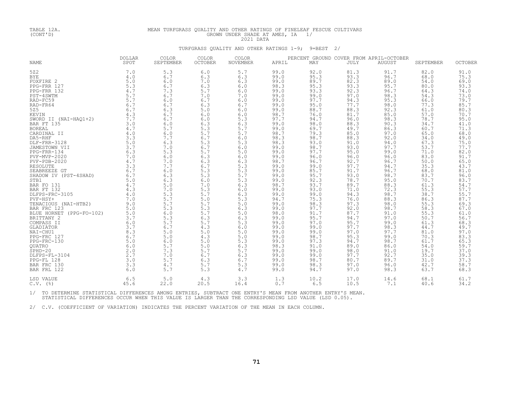### TABLE 12A. MEAN TURFGRASS QUALITY AND OTHER RATINGS OF FINELEAF FESCUE CULTIVARS (CONT'D)<br>(CONT'D) GROWN UNDER SHADE AT AMES, IA 1/<br>TURFGRASS QUALITY AND OTHER RATINGS 1-9; 9=BEST 2/

| <b>NAME</b>                                                                                                                                                                                                                                                                                                                                                                                                                                                                                                                                                                                                                                                     | <b>DOLLAR</b><br>SPOT                                                                                                                                                                                                                                                                              | COLOR<br>SEPTEMBER                                                                                                                                                                                                                                                                                                   | COLOR<br><b>OCTOBER</b>                                                                                                                                                                                                                                                                                    | <b>COLOR</b><br><b>NOVEMBER</b>                                                                                                                                                                                                                                                                            | APRIL                                                                                                                                                                                                                                                                                                                                                                      | MAY                                                                                                                                                                                                                                                                                                                                                                         | <b>JULY</b>                                                                                                                                                                                                                                                                                                                                                                                         | PERCENT GROUND COVER FROM APRIL-OCTOBER<br><b>AUGUST</b>                                                                                                                                                                                                                                                                                                             | SEPTEMBER                                                                                                                                                                                                                                                                                                                                                   | <b>OCTOBER</b>                                                                                                                                                                                                                                                                                                                                 |
|-----------------------------------------------------------------------------------------------------------------------------------------------------------------------------------------------------------------------------------------------------------------------------------------------------------------------------------------------------------------------------------------------------------------------------------------------------------------------------------------------------------------------------------------------------------------------------------------------------------------------------------------------------------------|----------------------------------------------------------------------------------------------------------------------------------------------------------------------------------------------------------------------------------------------------------------------------------------------------|----------------------------------------------------------------------------------------------------------------------------------------------------------------------------------------------------------------------------------------------------------------------------------------------------------------------|------------------------------------------------------------------------------------------------------------------------------------------------------------------------------------------------------------------------------------------------------------------------------------------------------------|------------------------------------------------------------------------------------------------------------------------------------------------------------------------------------------------------------------------------------------------------------------------------------------------------------|----------------------------------------------------------------------------------------------------------------------------------------------------------------------------------------------------------------------------------------------------------------------------------------------------------------------------------------------------------------------------|-----------------------------------------------------------------------------------------------------------------------------------------------------------------------------------------------------------------------------------------------------------------------------------------------------------------------------------------------------------------------------|-----------------------------------------------------------------------------------------------------------------------------------------------------------------------------------------------------------------------------------------------------------------------------------------------------------------------------------------------------------------------------------------------------|----------------------------------------------------------------------------------------------------------------------------------------------------------------------------------------------------------------------------------------------------------------------------------------------------------------------------------------------------------------------|-------------------------------------------------------------------------------------------------------------------------------------------------------------------------------------------------------------------------------------------------------------------------------------------------------------------------------------------------------------|------------------------------------------------------------------------------------------------------------------------------------------------------------------------------------------------------------------------------------------------------------------------------------------------------------------------------------------------|
| 522<br><b>BYE</b><br>FOXFIRE 2<br>PPG-FRR 127<br>PPG-FRR 132<br>PST-4SWTM<br>RAD-FC59<br>RAD-FR64<br>525<br>KEVIN<br>SWORD II (NAI-HAQ1+2)<br>BAR FT 135<br><b>BOREAL</b><br>CARDINAL II<br>DA5-RHF<br>DLF-FRR-3128<br>JAMESTOWN VII<br>PPG-FRR-134<br>PVF-MVP-2020<br>$PVF - PDB - 2020$<br>RESOLUTE<br>SEABREEZE GT<br>SHADOW IV (PST-4SHAD)<br>STB1<br>BAR FO 131<br>BAR FT 132<br>DLFPS-FRC-3105<br>PVF-HSY+<br>TENACIOUS (NAI-HTB2)<br>BAR FRC 123<br>BLUE HORNET (PPG-FO-102)<br>BRITTANY 2<br>COMPASS II<br><b>GLADIATOR</b><br>NAI-CHU1<br>PPG-FRC 127<br>PPG-FRC-130<br>QUATRO<br>$\overline{SPHD} - 20$<br>DLFPS-FL-3104<br>PPG-FL 128<br>BAR FRC 130 | 7.0<br>4.0<br>5.0<br>5.3<br>4.7<br>5.7<br>5.7<br>6.7<br>6.7<br>4.3<br>7.7<br>3.0<br>4.7<br>4.0<br>3.3<br>5.0<br>3.7<br>6.3<br>7.0<br>4.7<br>3.3<br>6.7<br>6.7<br>5.0<br>4.7<br>4.3<br>4.0<br>7.0<br>9.0<br>5.0<br>5.0<br>3.7<br>6.0<br>3.7<br>8.3<br>6.7<br>5.0<br>6.0<br>2.0<br>2.7<br>3.0<br>3.3 | 5.3<br>6.7<br>6.0<br>6.7<br>7.3<br>6.7<br>6.0<br>6.7<br>6.3<br>6.7<br>6.7<br>6.0<br>5.7<br>6.0<br>7.7<br>6.3<br>7.0<br>5.3<br>$6.0$<br>7.0<br>7.7<br>6.0<br>6.3<br>6.3<br>$\overline{5}$ .0<br>7.0<br>5.3<br>5.7<br>$5.7$<br>5.3<br>6.0<br>5.3<br>5.7<br>6.7<br>5.0<br>5.0<br>6.0<br>5.7<br>7.3<br>7.0<br>5.7<br>4.7 | 6.0<br>6.3<br>7.0<br>6.3<br>5.7<br>7.0<br>6.7<br>6.3<br>5.0<br>$6.0$<br>$6.0$<br>6.3<br>5.3<br>5.7<br>6.7<br>5.3<br>6.7<br>5.7<br>$6.3$<br>$6.3$<br>6.7<br>5.3<br>5.3<br>6.0<br>7.0<br>5.3<br>5.7<br>5.0<br>5.7<br>5.3<br>5.7<br>6.3<br>5.7<br>4.3<br>5.0<br>4.3<br>5.0<br>5.0<br>5.7<br>6.7<br>6.3<br>5.7 | 5.7<br>6.3<br>6.3<br>6.0<br>6.0<br>7.0<br>6.0<br>6.7<br>6.0<br>$6.0$<br>5.3<br>6.3<br>5.7<br>5.7<br>6.0<br>5.3<br>$6.0$<br>5.0<br>$6.0$<br>6.3<br>5.3<br>5.3<br>5.7<br>5.3<br>6.3<br>6.0<br>6.3<br>5.3<br>$5.0$<br>6.3<br>5.0<br>6.3<br>5.3<br>6.0<br>5.0<br>5.0<br>5.3<br>6.3<br>5.7<br>6.3<br>6.7<br>5.3 | 99.0<br>$99.0$<br>99.0<br>98.3<br>$99.0$<br>99.0<br>$99.0$<br>99.0<br>99.0<br>98.7<br>97.7<br>99.0<br>99.0<br>$98.7$<br>$98.3$<br>$98.3$<br>99.0<br>99.0<br>$99.0$<br>98.7<br>99.0<br>99.0<br>$99.0$<br>99.0<br>98.7<br>$99.0$<br>$99.0$<br>$94.7$<br>99.0<br>99.0<br>$98.0$<br>99.0<br>99.0<br>$99.0$<br>$99.0$<br>$99.0$<br>99.0<br>98.3<br>99.0<br>99.0<br>99.0<br>99.0 | 92.0<br>$\frac{95.3}{89.7}$<br>95.3<br>93.3<br>99.0<br>97.7<br>95.0<br>88.7<br>76.0<br>94.7<br>98.0<br>69.7<br>$79.3$<br>98.7<br>$93.0$<br>98.7<br>97.7<br>$96.0$<br>$96.7$<br>$99.0$<br>85.7<br>$95.7$<br>92.3<br>93.7<br>$93.0$<br>99.0<br>75.3<br>98.3<br>97.7<br>$91.7$<br>95.7<br>97.0<br>$99.0$<br>$99.0$<br>$98.7$<br>97.3<br>91.0<br>$99.0$<br>99.0<br>98.7<br>98.3 | 81.3<br>$\frac{93.3}{82.3}$<br>93.3<br>$\frac{92.3}{97.0}$<br>$\frac{94.3}{77.7}$<br>88.3<br>81.7<br>96.0<br>88.3<br>49.7<br>$85.0$<br>$88.3$<br>91.0<br>93.0<br>95.0<br>$\frac{96.0}{92.7}$<br>97.7<br>91.7<br>$\frac{93.0}{78.7}$<br>89.7<br>71.0<br>$\frac{94.3}{76.0}$<br>97.3<br>92.0<br>87.7<br>94.7<br>95.7<br>97.7<br>$\frac{97.0}{95.3}$<br>94.7<br>89.0<br>$98.0$<br>97.7<br>80.7<br>97.0 | 91.7<br>$\frac{96.7}{89.0}$<br>95.7<br>96.7<br>98.3<br>95.3<br>$\frac{98.0}{92.3}$<br>85.0<br>$98.3$<br>90.3<br>86.3<br>97.0<br>92.0<br>94.0<br>97.7<br>$99.0$<br>$96.0$<br>$96.7$<br>94.7<br>96.7<br>98.7<br>95.0<br>88.3<br>72.3<br>98.7<br>88.3<br>98.0<br>98.7<br>91.0<br>97.0<br>99.0<br>98.3<br>97.7<br>$99.0$<br>98.7<br>86.0<br>91.0<br>92.7<br>89.7<br>96.0 | 82.0<br>$^{68.0}_{54.0}$<br>80.0<br>64.3<br>54.3<br>$66.0$<br>77.3<br>61.0<br>57.0<br>78.7<br>34.7<br>60.7<br>$65.0$<br>34.0<br>67.3<br>53.7<br>71.0<br>83.0<br>50.0<br>35.3<br>68.0<br>83.7<br>70.7<br>61.3<br>55.3<br>38.7<br>86.3<br>55.3<br>58.3<br>55.3<br>50.7<br>61.3<br>44.7<br>$\frac{81.0}{70.3}$<br>61.7<br>54.0<br>19.7<br>35.0<br>31.0<br>42.7 | 91.0<br>$75.3$<br>69.0<br>93.3<br>74.0<br>73.0<br>79.7<br>85.7<br>80.3<br>70.7<br>95.0<br>41.0<br>71.3<br>68.0<br>49.0<br>75.0<br>77.7<br>82.0<br>91.7<br>65.0<br>43.7<br>81.0<br>96.0<br>83.7<br>54.7<br>57.7<br>55.7<br>87.7<br>69.3<br>67.0<br>61.0<br>56.7<br>68.3<br>49.7<br>97.0<br>83.3<br>65.3<br>59.7<br>37.0<br>39.3<br>37.3<br>58.7 |
| BAR FRL 122<br>LSD VALUE<br>$C.V.$ (%)                                                                                                                                                                                                                                                                                                                                                                                                                                                                                                                                                                                                                          | 6.0<br>6.5<br>45.6                                                                                                                                                                                                                                                                                 | 5.7<br>5.0<br>22.0                                                                                                                                                                                                                                                                                                   | 5.3<br>4.3<br>20.5                                                                                                                                                                                                                                                                                         | 4.7<br>3.3<br>16.4                                                                                                                                                                                                                                                                                         | 99.0<br>1.3<br>0.7                                                                                                                                                                                                                                                                                                                                                         | 94.7<br>10.2<br>6.5                                                                                                                                                                                                                                                                                                                                                         | 97.0<br>17.0<br>10.5                                                                                                                                                                                                                                                                                                                                                                                | 98.3<br>14.6<br>7.1                                                                                                                                                                                                                                                                                                                                                  | 63.7<br>68.1<br>40.6                                                                                                                                                                                                                                                                                                                                        | 68.3<br>61.7<br>34.2                                                                                                                                                                                                                                                                                                                           |
|                                                                                                                                                                                                                                                                                                                                                                                                                                                                                                                                                                                                                                                                 |                                                                                                                                                                                                                                                                                                    |                                                                                                                                                                                                                                                                                                                      |                                                                                                                                                                                                                                                                                                            |                                                                                                                                                                                                                                                                                                            |                                                                                                                                                                                                                                                                                                                                                                            |                                                                                                                                                                                                                                                                                                                                                                             |                                                                                                                                                                                                                                                                                                                                                                                                     |                                                                                                                                                                                                                                                                                                                                                                      |                                                                                                                                                                                                                                                                                                                                                             |                                                                                                                                                                                                                                                                                                                                                |

1/ TO DETERMINE STATISTICAL DIFFERENCES AMONG ENTRIES, SUBTRACT ONE ENTRY'S MEAN FROM ANOTHER ENTRY'S MEAN.<br>STATISTICAL DIFFERENCES OCCUR WHEN THIS VALUE IS LARGER THAN THE CORRESPONDING LSD VALUE (LSD 0.05).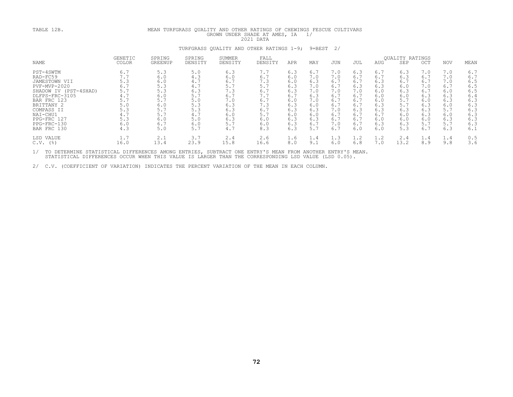| TABLE 12B.                                                                                                                                                                                            |                                                                                         |                                                                                         |                                                                                         | MEAN TURFGRASS QUALITY AND OTHER RATINGS OF CHEWINGS FESCUE CULTIVARS<br>GROWN UNDER SHADE AT AMES, IA<br>1/ |                                                                                         |                                                                                         |                                                                                         |                                                                                         |                                                                                         |                                                                                         |                                                                                         |                                                                                         |                                                                                         |                                                                                         |
|-------------------------------------------------------------------------------------------------------------------------------------------------------------------------------------------------------|-----------------------------------------------------------------------------------------|-----------------------------------------------------------------------------------------|-----------------------------------------------------------------------------------------|--------------------------------------------------------------------------------------------------------------|-----------------------------------------------------------------------------------------|-----------------------------------------------------------------------------------------|-----------------------------------------------------------------------------------------|-----------------------------------------------------------------------------------------|-----------------------------------------------------------------------------------------|-----------------------------------------------------------------------------------------|-----------------------------------------------------------------------------------------|-----------------------------------------------------------------------------------------|-----------------------------------------------------------------------------------------|-----------------------------------------------------------------------------------------|
|                                                                                                                                                                                                       |                                                                                         |                                                                                         |                                                                                         | TURFGRASS OUALITY AND OTHER RATINGS 1-9;                                                                     |                                                                                         |                                                                                         |                                                                                         | $9 = BEST$ 2/                                                                           |                                                                                         |                                                                                         |                                                                                         |                                                                                         |                                                                                         |                                                                                         |
| NAME                                                                                                                                                                                                  | <b>GENETIC</b><br><b>COLOR</b>                                                          | SPRING<br>GREENUP                                                                       | SPRING<br>DENSITY                                                                       | SUMMER<br>DENSITY                                                                                            | FALL<br>DENSITY                                                                         | APR                                                                                     | MAY                                                                                     | JUN                                                                                     | JUL                                                                                     | AUG                                                                                     | QUALITY RATINGS<br><b>SEP</b>                                                           | OCT                                                                                     | <b>NOV</b>                                                                              | MEAN                                                                                    |
| PST-4SWTM<br>RAD-FC59<br>JAMESTOWN VII<br>PVF-MVP-2020<br>SHADOW IV (PST-4SHAD)<br>DLFPS-FRC-3105<br>BAR FRC 123<br>BRITTANY 2<br>COMPASS II<br>NAI-CHU1<br>PPG-FRC 127<br>PPG-FRC-130<br>BAR FRC 130 | 6.7<br>7.7<br>5.3<br>6.7<br>5.7<br>4.7<br>5.7<br>5.0<br>5.3<br>4.7<br>5.3<br>6.0<br>4.3 | 5.3<br>6.0<br>6.0<br>5.3<br>5.3<br>6.0<br>5.7<br>6.0<br>5.7<br>5.7<br>6.0<br>6.7<br>5.0 | 5.0<br>4.3<br>4.7<br>4.7<br>6.3<br>5.7<br>5.0<br>5.3<br>5.3<br>4.7<br>5.0<br>6.0<br>5.7 | 6.3<br>6.0<br>6.7<br>5.7<br>7.3<br>6.7<br>7.0<br>6.3<br>6.3<br>6.0<br>6.3<br>5.7<br>4.7                      | 7.7<br>6.7<br>7.3<br>5.7<br>6.7<br>7.7<br>6.7<br>7.3<br>6.7<br>5.7<br>6.0<br>6.0<br>8.3 | 6.3<br>6.0<br>6.0<br>6.3<br>6.3<br>6.7<br>6.0<br>6.3<br>6.3<br>6.0<br>6.3<br>6.3<br>6.3 | 6.7<br>7.0<br>6.3<br>7.0<br>7.0<br>6.3<br>7.0<br>6.0<br>6.3<br>6.0<br>6.3<br>6.7<br>5.7 | 7.0<br>7.0<br>6.7<br>6.7<br>7.0<br>6.7<br>6.7<br>6.7<br>7.0<br>6.7<br>6.7<br>7.0<br>6.7 | 6.3<br>6.7<br>6.7<br>6.3<br>7.0<br>6.7<br>6.7<br>6.7<br>6.3<br>6.7<br>6.7<br>6.7<br>6.0 | 6.7<br>6.7<br>6.3<br>6.3<br>6.0<br>6.0<br>6.0<br>6.3<br>6.3<br>6.7<br>6.0<br>6.3<br>6.0 | 6.3<br>6.3<br>6.7<br>6.0<br>6.3<br>6.0<br>5.7<br>5.7<br>6.3<br>6.0<br>6.0<br>6.3<br>5.3 | 7.0<br>6.7<br>6.7<br>7.0<br>6.7<br>6.3<br>6.0<br>6.3<br>6.3<br>6.3<br>6.0<br>5.7<br>6.7 | 7.0<br>7.0<br>7.0<br>6.7<br>6.0<br>6.3<br>6.3<br>6.0<br>5.7<br>6.0<br>6.3<br>5.7<br>6.3 | 6.7<br>6.7<br>6.5<br>6.5<br>6.5<br>6.4<br>6.3<br>6.3<br>6.3<br>6.3<br>6.3<br>6.3<br>6.1 |
| LSD VALUE<br>$C.V.$ (%)                                                                                                                                                                               | 1.7<br>16.0                                                                             | 2.1<br>13.4                                                                             | 3.7<br>23.9                                                                             | 2.4<br>15.8                                                                                                  | 2.6<br>16.6                                                                             | 1.6<br>8.0                                                                              | 1.4<br>9.1                                                                              | 1.3<br>6.0                                                                              | 1.2<br>6.8                                                                              | 1.2<br>7.0                                                                              | 2.4<br>13.2                                                                             | 1.4<br>8.9                                                                              | 1.4<br>9.8                                                                              | 0.5<br>3.6                                                                              |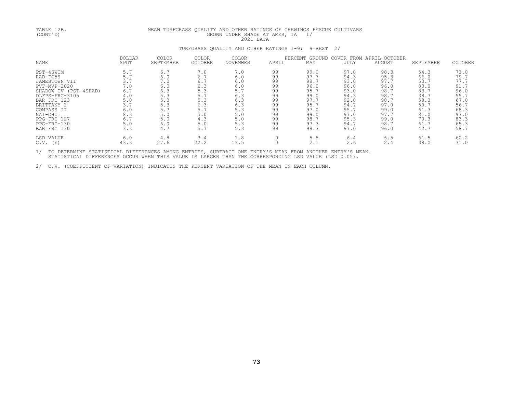| TABLE 12B.<br>(CONT' D)                                                                                                                                                                                 | MEAN TURFGRASS QUALITY AND OTHER RATINGS OF CHEWINGS FESCUE CULTIVARS<br>1/<br>GROWN UNDER SHADE AT AMES, IA<br>2021 DATA |                                                                                         |                                                                                         |                                                                                         |                                                                            |                                                                                                      |                                                                                                      |                                                                                                      |                                                                                                      |                                                                                                             |
|---------------------------------------------------------------------------------------------------------------------------------------------------------------------------------------------------------|---------------------------------------------------------------------------------------------------------------------------|-----------------------------------------------------------------------------------------|-----------------------------------------------------------------------------------------|-----------------------------------------------------------------------------------------|----------------------------------------------------------------------------|------------------------------------------------------------------------------------------------------|------------------------------------------------------------------------------------------------------|------------------------------------------------------------------------------------------------------|------------------------------------------------------------------------------------------------------|-------------------------------------------------------------------------------------------------------------|
|                                                                                                                                                                                                         |                                                                                                                           |                                                                                         |                                                                                         | TURFGRASS QUALITY AND OTHER RATINGS 1-9;                                                |                                                                            | 9=BEST                                                                                               | 2/                                                                                                   |                                                                                                      |                                                                                                      |                                                                                                             |
| NAME                                                                                                                                                                                                    | <b>DOLLAR</b><br>SPOT                                                                                                     | <b>COLOR</b><br>SEPTEMBER                                                               | COLOR<br><b>OCTOBER</b>                                                                 | <b>COLOR</b><br>NOVEMBER                                                                | APRIL                                                                      | PERCENT<br>GROUND<br>MAY                                                                             | <b>JULY</b>                                                                                          | COVER FROM APRIL-OCTOBER<br>AUGUST                                                                   | SEPTEMBER                                                                                            | <b>OCTOBER</b>                                                                                              |
| PST-4SWTM<br>RAD-FC59<br>JAMESTOWN VII<br>PVF-MVP-2020<br>SHADOW IV (PST-4SHAD)<br>DLFPS-FRC-3105<br>BAR FRC 123<br>BRITTANY 2<br>COMPASS II<br>NAI-CHU1<br>PPG-FRC 127<br>$PPG-FRC-130$<br>BAR FRC 130 | 5.7<br>5.7<br>3.7<br>7.0<br>6.7<br>4.0<br>5.0<br>3.7<br>6.0<br>8.3<br>6.7<br>5.0<br>3.3                                   | 6.7<br>6.0<br>7.0<br>6.0<br>6.3<br>5.3<br>5.3<br>5.3<br>5.7<br>5.0<br>5.0<br>6.0<br>4.7 | 7.0<br>6.7<br>6.7<br>6.3<br>5.3<br>5.7<br>5.3<br>6.3<br>5.7<br>5.0<br>4.3<br>5.0<br>5.7 | 7.0<br>6.0<br>6.0<br>6.0<br>5.7<br>6.3<br>6.3<br>6.3<br>5.3<br>5.0<br>5.0<br>5.3<br>5.3 | 99<br>99<br>99<br>99<br>99<br>99<br>99<br>99<br>99<br>99<br>99<br>99<br>99 | 99.0<br>97.7<br>98.7<br>96.0<br>95.7<br>99.0<br>97.7<br>95.7<br>97.0<br>99.0<br>98.7<br>97.3<br>98.3 | 97.0<br>94.3<br>93.0<br>96.0<br>93.0<br>94.3<br>92.0<br>94.7<br>95.7<br>97.0<br>95.3<br>94.7<br>97.0 | 98.3<br>95.3<br>97.7<br>96.0<br>98.7<br>98.7<br>98.7<br>97.0<br>99.0<br>97.7<br>99.0<br>98.7<br>96.0 | 54.3<br>66.0<br>53.7<br>83.0<br>83.7<br>38.7<br>58.3<br>50.7<br>61.3<br>81.0<br>70.3<br>61.7<br>42.7 | 73.0<br>79.7<br>77.7<br>91.7<br>96.0<br>55.7<br>67.0<br>$\frac{56.7}{68.3}$<br>97.0<br>83.3<br>65.3<br>58.7 |
| LSD VALUE<br>$C.V.$ (%)                                                                                                                                                                                 | 6.0<br>43.3                                                                                                               | 4.8<br>27.6                                                                             | 3.4<br>22.2                                                                             | 1.8<br>13.5                                                                             |                                                                            | 5.5<br>2.1                                                                                           | 6.4<br>2.6                                                                                           | 6.5<br>2.4                                                                                           | 61.5<br>38.0                                                                                         | 60.2<br>31.0                                                                                                |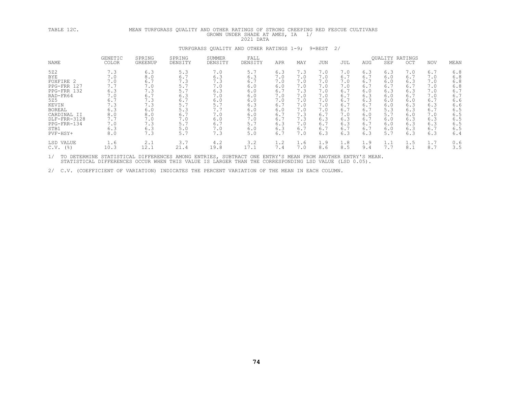| TABLE 12C.                                                                                                                                                                  | TURFGRASS QUALITY AND OTHER RATINGS OF STRONG CREEPING RED FESCUE CULTIVARS<br>MEAN<br>GROWN UNDER SHADE AT AMES, IA<br>1/<br>2021 DATA |                                                                                                  |                                                                                                |                                                                                                |                                                                                                |                                                                                                |                                                                                                |                                                                                                |                                                                                                |                                                                                                |                                                                                                |                                                                                                |                                                                                                |                                                                                                |
|-----------------------------------------------------------------------------------------------------------------------------------------------------------------------------|-----------------------------------------------------------------------------------------------------------------------------------------|--------------------------------------------------------------------------------------------------|------------------------------------------------------------------------------------------------|------------------------------------------------------------------------------------------------|------------------------------------------------------------------------------------------------|------------------------------------------------------------------------------------------------|------------------------------------------------------------------------------------------------|------------------------------------------------------------------------------------------------|------------------------------------------------------------------------------------------------|------------------------------------------------------------------------------------------------|------------------------------------------------------------------------------------------------|------------------------------------------------------------------------------------------------|------------------------------------------------------------------------------------------------|------------------------------------------------------------------------------------------------|
|                                                                                                                                                                             |                                                                                                                                         |                                                                                                  |                                                                                                | TURFGRASS QUALITY AND OTHER RATINGS 1-9;                                                       |                                                                                                |                                                                                                |                                                                                                | 9=BEST                                                                                         | 2/                                                                                             |                                                                                                |                                                                                                |                                                                                                |                                                                                                |                                                                                                |
| NAME                                                                                                                                                                        | GENETIC<br>COLOR                                                                                                                        | SPRING<br>GREENUP                                                                                | SPRING<br>DENSITY                                                                              | SUMMER<br>DENSITY                                                                              | FALL<br>DENSITY                                                                                | APR                                                                                            | MAY                                                                                            | JUN                                                                                            | JUL                                                                                            | AUG                                                                                            | QUALITY RATINGS<br>SEP                                                                         | OCT                                                                                            | NOV                                                                                            | MEAN                                                                                           |
| 522<br><b>BYE</b><br>FOXFIRE 2<br>PPG-FRR 127<br>PPG-FRR 132<br>RAD-FR64<br>525<br>KEVIN<br><b>BOREAL</b><br>CARDINAL II<br>DLF-FRR-3128<br>PPG-FRR-134<br>STB1<br>PVF-HSY+ | 7.3<br>7.0<br>7.0<br>7.7<br>6.3<br>7.0<br>6.7<br>7.3<br>6.3<br>8.0<br>7.7<br>7.0<br>6.3<br>8.0                                          | 6.3<br>8.0<br>6.7<br>7.0<br>7.3<br>6.7<br>7.3<br>7.3<br>6.0<br>$8.0$<br>7.0<br>7.3<br>6.3<br>7.3 | 5.3<br>6.7<br>7.3<br>5.7<br>5.7<br>6.3<br>6.7<br>5.7<br>5.3<br>6.7<br>7.0<br>5.7<br>5.0<br>5.7 | 7.0<br>6.3<br>7.3<br>7.0<br>6.3<br>7.0<br>6.0<br>5.7<br>7.7<br>7.0<br>6.0<br>6.7<br>7.0<br>7.3 | 5.7<br>6.3<br>6.7<br>6.0<br>6.0<br>6.0<br>6.0<br>6.3<br>6.0<br>6.0<br>7.0<br>5.7<br>6.0<br>5.0 | 6.3<br>7.0<br>7.0<br>6.0<br>6.7<br>7.0<br>7.0<br>6.7<br>6.0<br>6.7<br>6.7<br>6.3<br>6.3<br>6.7 | 7.3<br>7.0<br>7.0<br>7.0<br>7.3<br>7.0<br>7.0<br>7.0<br>7.0<br>7.3<br>7.3<br>7.0<br>6.7<br>7.0 | 7.0<br>7.0<br>7.0<br>7.0<br>7.0<br>7.0<br>7.0<br>7.0<br>7.0<br>6.7<br>6.3<br>6.7<br>6.7<br>6.3 | 7.0<br>6.7<br>7.0<br>7.0<br>6.7<br>6.7<br>6.7<br>6.7<br>6.7<br>7.0<br>6.3<br>6.3<br>6.7<br>6.3 | 6.3<br>6.7<br>6.7<br>6.7<br>6.0<br>6.3<br>6.3<br>6.7<br>6.7<br>6.0<br>6.7<br>6.7<br>6.7<br>6.3 | 6.3<br>6.0<br>6.0<br>6.7<br>6.3<br>6.0<br>6.0<br>6.0<br>5.3<br>5.7<br>6.0<br>6.0<br>6.0<br>5.7 | 7.0<br>6.7<br>6.3<br>6.7<br>6.3<br>6.7<br>6.0<br>6.3<br>6.3<br>6.0<br>6.3<br>6.3<br>6.3<br>6.3 | 6.7<br>7.0<br>7.0<br>7.0<br>7.0<br>7.0<br>6.7<br>6.3<br>6.7<br>7.0<br>6.3<br>6.3<br>6.7<br>6.3 | 6.8<br>6.8<br>6.8<br>6.8<br>6.7<br>6.7<br>6.6<br>6.6<br>6.5<br>6.5<br>6.5<br>6.5<br>6.5<br>6.4 |
| LSD VALUE<br>$C.V.$ (%)                                                                                                                                                     | 1.6<br>10.3                                                                                                                             | 2.1<br>12.1                                                                                      | 3.7<br>21.4                                                                                    | 4.2<br>19.8                                                                                    | 3.2<br>17.1                                                                                    | 1.2<br>7.4                                                                                     | 1.6<br>7.0                                                                                     | 1.9<br>8.6                                                                                     | 1.8<br>8.5                                                                                     | 1.9<br>9.4                                                                                     | 1.1<br>7.7                                                                                     | 1.5<br>8.1                                                                                     | 1.7<br>8.7                                                                                     | 0.6<br>3.5                                                                                     |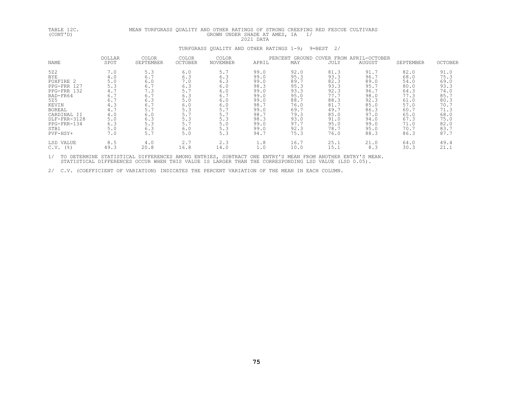| TABLE 12C.<br>(CONT' D)                                                                                                                                       |                                                                                                    | MEAN TURFGRASS QUALITY AND OTHER RATINGS OF STRONG CREEPING RED FESCUE CULTIVARS                 |                                                                                                | GROWN UNDER SHADE AT AMES, IA                                                                  | 2021 DATA                                                                                                    | 1/                                                                                                           |                                                                                                              |                                                                                                              |                                                                                                              |                                                                                                                |
|---------------------------------------------------------------------------------------------------------------------------------------------------------------|----------------------------------------------------------------------------------------------------|--------------------------------------------------------------------------------------------------|------------------------------------------------------------------------------------------------|------------------------------------------------------------------------------------------------|--------------------------------------------------------------------------------------------------------------|--------------------------------------------------------------------------------------------------------------|--------------------------------------------------------------------------------------------------------------|--------------------------------------------------------------------------------------------------------------|--------------------------------------------------------------------------------------------------------------|----------------------------------------------------------------------------------------------------------------|
|                                                                                                                                                               |                                                                                                    |                                                                                                  |                                                                                                | TURFGRASS QUALITY AND OTHER RATINGS 1-9; 9=BEST 2/                                             |                                                                                                              |                                                                                                              |                                                                                                              |                                                                                                              |                                                                                                              |                                                                                                                |
| NAME                                                                                                                                                          | <b>DOLLAR</b><br>SPOT                                                                              | <b>COLOR</b><br>SEPTEMBER                                                                        | COLOR<br>OCTOBER                                                                               | COLOR<br>NOVEMBER                                                                              | APRIL                                                                                                        | PERCENT GROUND<br>MAY                                                                                        | JULY                                                                                                         | COVER FROM APRIL-OCTOBER<br>AUGUST                                                                           | SEPTEMBER                                                                                                    | <b>OCTOBER</b>                                                                                                 |
| 522<br>BYE<br>FOXFIRE 2<br>PPG-FRR 127<br>PPG-FRR 132<br>RAD-FR64<br>525<br>KEVIN<br>BOREAL<br>CARDINAL II<br>DLF-FRR-3128<br>PPG-FRR-134<br>STB1<br>PVF-HSY+ | 7.0<br>4.0<br>5.0<br>5.3<br>4.7<br>6.7<br>6.7<br>4.3<br>4.7<br>4.0<br>$5.0$<br>6.3<br>$5.0$<br>7.0 | 5.3<br>6.7<br>6.0<br>6.7<br>7.3<br>6.7<br>6.3<br>6.7<br>5.7<br>$6.0$<br>6.3<br>5.3<br>6.3<br>5.7 | 6.0<br>6.3<br>7.0<br>6.3<br>5.7<br>6.3<br>5.0<br>6.0<br>5.3<br>5.7<br>5.3<br>5.7<br>6.0<br>5.0 | 5.7<br>6.3<br>6.3<br>6.0<br>6.0<br>6.7<br>6.0<br>6.0<br>5.7<br>5.7<br>5.3<br>5.0<br>5.3<br>5.3 | 99.0<br>99.0<br>99.0<br>98.3<br>99.0<br>99.0<br>99.0<br>98.7<br>99.0<br>98.7<br>98.3<br>99.0<br>99.0<br>94.7 | 92.0<br>95.3<br>89.7<br>95.3<br>93.3<br>95.0<br>88.7<br>76.0<br>69.7<br>79.3<br>93.0<br>97.7<br>92.3<br>75.3 | 81.3<br>93.3<br>82.3<br>93.3<br>92.3<br>77.7<br>88.3<br>81.7<br>49.7<br>85.0<br>91.0<br>95.0<br>78.7<br>76.0 | 91.7<br>96.7<br>89.0<br>95.7<br>96.7<br>98.0<br>92.3<br>85.0<br>86.3<br>97.0<br>94.0<br>99.0<br>95.0<br>88.3 | 82.0<br>68.0<br>54.0<br>80.0<br>64.3<br>77.3<br>61.0<br>57.0<br>60.7<br>65.0<br>67.3<br>71.0<br>70.7<br>86.3 | 91.0<br>75.3<br>$69.0$<br>93.3<br>74.0<br>85.7<br>80.3<br>70.7<br>71.3<br>68.0<br>75.0<br>82.0<br>83.7<br>87.7 |
| LSD VALUE<br>$C.V.$ (%)                                                                                                                                       | 8.5<br>49.3                                                                                        | 4.0<br>20.8                                                                                      | 2.7<br>16.8                                                                                    | 2.3<br>14.0                                                                                    | 1.8<br>1.0                                                                                                   | 16.7<br>10.0                                                                                                 | 25.1<br>15.1                                                                                                 | 21.0<br>8.3                                                                                                  | 64.0<br>30.3                                                                                                 | 49.4<br>21.1                                                                                                   |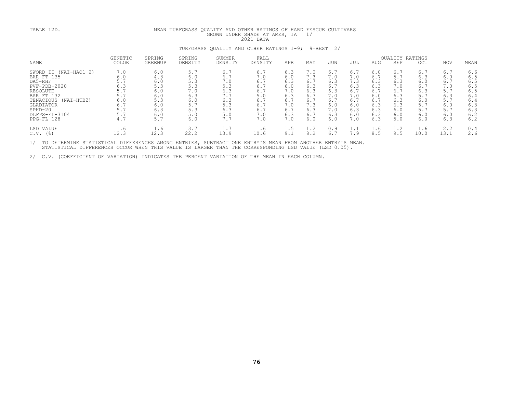| TABLE 12D.                                                                                                                                                                             | MEAN TURFGRASS QUALITY AND OTHER RATINGS OF HARD FESCUE CULTIVARS<br>GROWN UNDER SHADE AT AMES, IA<br>1/<br>2021 DATA |                                                                             |                                                                           |                                                                           |                                                                           |                                                                           |                                                                           |                                                                           |                                                                           |                                                                           |                                                                           |                                                                           |                                                                           |                                                                           |
|----------------------------------------------------------------------------------------------------------------------------------------------------------------------------------------|-----------------------------------------------------------------------------------------------------------------------|-----------------------------------------------------------------------------|---------------------------------------------------------------------------|---------------------------------------------------------------------------|---------------------------------------------------------------------------|---------------------------------------------------------------------------|---------------------------------------------------------------------------|---------------------------------------------------------------------------|---------------------------------------------------------------------------|---------------------------------------------------------------------------|---------------------------------------------------------------------------|---------------------------------------------------------------------------|---------------------------------------------------------------------------|---------------------------------------------------------------------------|
|                                                                                                                                                                                        |                                                                                                                       |                                                                             |                                                                           | TURFGRASS OUALITY AND OTHER RATINGS 1-9;                                  |                                                                           |                                                                           |                                                                           | $9 = BEST$ 2/                                                             |                                                                           |                                                                           |                                                                           |                                                                           |                                                                           |                                                                           |
| NAME                                                                                                                                                                                   | <b>GENETIC</b><br><b>COLOR</b>                                                                                        | SPRING<br>GREENUP                                                           | SPRING<br>DENSITY                                                         | SUMMER<br>DENSITY                                                         | FALL<br>DENSITY                                                           | APR                                                                       | MAY                                                                       | JUN                                                                       | JUL                                                                       | AUG                                                                       | <b>OUALITY RATINGS</b><br>SEP                                             | OCT                                                                       | <b>NOV</b>                                                                | MEAN                                                                      |
| SWORD II (NAI-HAO1+2)<br>BAR FT 135<br>DA5-RHF<br>$PVF - PDB - 2020$<br>RESOLUTE<br>BAR FT 132<br>TENACIOUS (NAI-HTB2)<br><b>GLADIATOR</b><br>$SPHD-20$<br>DLFPS-FL-3104<br>PPG-FL 128 | 7.0<br>6.0<br>5.7<br>6.3<br>5.7<br>5.7<br>6.0<br>6.7<br>5.7<br>5.7<br>4.7                                             | 6.0<br>4.3<br>$6.0$<br>5.3<br>6.0<br>6.0<br>5.3<br>6.0<br>6.3<br>6.0<br>5.7 | 5.7<br>6.0<br>5.3<br>5.3<br>7.0<br>6.3<br>6.0<br>5.7<br>5.3<br>5.0<br>6.0 | 6.7<br>6.7<br>7.0<br>5.3<br>6.3<br>7.7<br>6.3<br>5.3<br>6.3<br>5.0<br>7.7 | 6.7<br>7.0<br>6.7<br>6.7<br>6.7<br>5.0<br>6.7<br>6.7<br>6.7<br>7.0<br>7.0 | 6.3<br>6.0<br>6.3<br>6.0<br>7.0<br>6.3<br>6.7<br>7.0<br>6.7<br>6.3<br>7.0 | 7.0<br>7.3<br>6.7<br>6.3<br>6.3<br>6.7<br>6.7<br>7.3<br>6.3<br>6.7<br>6.0 | 6.7<br>7.0<br>6.3<br>6.7<br>6.3<br>7.0<br>6.7<br>6.0<br>7.0<br>6.3<br>6.0 | 6.7<br>7.0<br>7.3<br>6.3<br>6.7<br>7.0<br>6.7<br>6.0<br>6.3<br>6.0<br>7.0 | 6.0<br>6.7<br>6.3<br>6.3<br>6.7<br>6.0<br>6.7<br>6.3<br>6.3<br>6.3<br>6.3 | 6.7<br>5.7<br>6.3<br>7.0<br>6.7<br>6.3<br>6.3<br>6.3<br>6.0<br>6.0<br>5.0 | 6.7<br>6.3<br>6.0<br>6.7<br>6.3<br>5.7<br>6.0<br>5.7<br>5.7<br>6.0<br>6.0 | 6.7<br>6.0<br>6.7<br>7.0<br>5.7<br>6.3<br>5.7<br>6.0<br>5.7<br>6.0<br>6.3 | 6.6<br>6.5<br>6.5<br>6.5<br>6.5<br>6.4<br>6.4<br>6.3<br>6.3<br>6.2<br>6.2 |
| LSD VALUE<br>$C.V.$ (%)                                                                                                                                                                | 1.6<br>12.3                                                                                                           | 1.6<br>12.3                                                                 | 3.7<br>22.2                                                               | 1.7<br>13.9                                                               | 1.6<br>10.6                                                               | 1.5<br>9.1                                                                | 1.2<br>8.2                                                                | 0.9<br>6.7                                                                | 1.1<br>7.9                                                                | 1.6<br>8.5                                                                | 1.2<br>9.5                                                                | 1.6<br>10.0                                                               | 2.2<br>13.1                                                               | 0.4<br>2.6                                                                |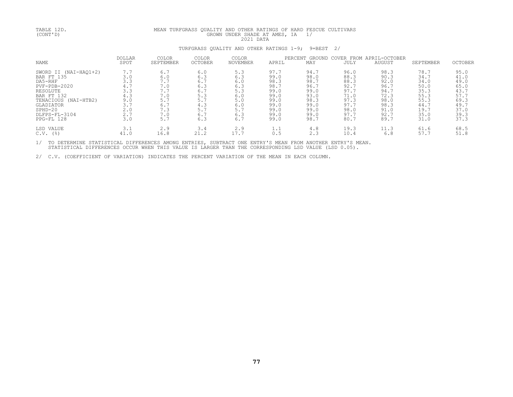| TABLE 12D.<br>(CONT' D)                                                                                                                                                   | MEAN TURFGRASS QUALITY AND OTHER RATINGS OF HARD FESCUE CULTIVARS<br>GROWN UNDER SHADE AT AMES, IA<br>1/<br>2021 DATA |                                                                           |                                                                           |                                                                           |                                                                                      |                                                                                      |                                                                                      |                                                                                      |                                                                                      |                                                                                      |
|---------------------------------------------------------------------------------------------------------------------------------------------------------------------------|-----------------------------------------------------------------------------------------------------------------------|---------------------------------------------------------------------------|---------------------------------------------------------------------------|---------------------------------------------------------------------------|--------------------------------------------------------------------------------------|--------------------------------------------------------------------------------------|--------------------------------------------------------------------------------------|--------------------------------------------------------------------------------------|--------------------------------------------------------------------------------------|--------------------------------------------------------------------------------------|
|                                                                                                                                                                           |                                                                                                                       |                                                                           |                                                                           | TURFGRASS QUALITY AND OTHER RATINGS 1-9;                                  |                                                                                      | 9=BEST                                                                               | 2/                                                                                   |                                                                                      |                                                                                      |                                                                                      |
| NAME                                                                                                                                                                      | <b>DOLLAR</b><br>SPOT                                                                                                 | COLOR<br>SEPTEMBER                                                        | COLOR<br><b>OCTOBER</b>                                                   | COLOR<br>NOVEMBER                                                         | APRIL                                                                                | PERCENT GROUND<br>MAY                                                                | <b>JULY</b>                                                                          | COVER FROM APRIL-OCTOBER<br>AUGUST                                                   | SEPTEMBER                                                                            | <b>OCTOBER</b>                                                                       |
| SWORD II (NAI-HAQ1+2)<br>BAR FT 135<br>DA5-RHF<br>PVF-PDB-2020<br>RESOLUTE<br>BAR FT 132<br>TENACIOUS (NAI-HTB2)<br>GLADIATOR<br>$SPHD-20$<br>DLFPS-FL-3104<br>PPG-FL 128 | 7.7<br>3.0<br>3.3<br>4.7<br>3.3<br>4.3<br>9.0<br>3.7<br>2.0<br>2.7<br>3.0                                             | 6.7<br>6.0<br>7.7<br>7.0<br>7.7<br>7.0<br>5.7<br>6.7<br>7.3<br>7.0<br>5.7 | 6.0<br>6.3<br>6.7<br>6.3<br>6.7<br>5.3<br>5.7<br>4.3<br>5.7<br>6.7<br>6.3 | 5.3<br>6.3<br>6.0<br>6.3<br>5.3<br>6.0<br>5.0<br>6.0<br>5.7<br>6.3<br>6.7 | 97.7<br>99.0<br>98.3<br>98.7<br>99.0<br>99.0<br>99.0<br>99.0<br>99.0<br>99.0<br>99.0 | 94.7<br>98.0<br>98.7<br>96.7<br>99.0<br>93.0<br>98.3<br>99.0<br>99.0<br>99.0<br>98.7 | 96.0<br>88.3<br>88.3<br>92.7<br>97.7<br>71.0<br>97.3<br>97.7<br>98.0<br>97.7<br>80.7 | 98.3<br>90.3<br>92.0<br>96.7<br>94.7<br>72.3<br>98.0<br>98.3<br>91.0<br>92.7<br>89.7 | 78.7<br>34.7<br>34.0<br>50.0<br>35.3<br>55.3<br>55.3<br>44.7<br>19.7<br>35.0<br>31.0 | 95.0<br>41.0<br>49.0<br>65.0<br>43.7<br>57.7<br>69.3<br>49.7<br>37.0<br>39.3<br>37.3 |
| LSD VALUE<br>$C.V.$ (%)                                                                                                                                                   | 3.1<br>41.0                                                                                                           | 2.9<br>16.8                                                               | 3.4<br>21.2                                                               | 2.9<br>17.7                                                               | 1.1<br>0.5                                                                           | 4.8<br>2.3                                                                           | 19.3<br>10.4                                                                         | 11.3<br>6.8                                                                          | 61.6<br>57.7                                                                         | 68.5<br>51.8                                                                         |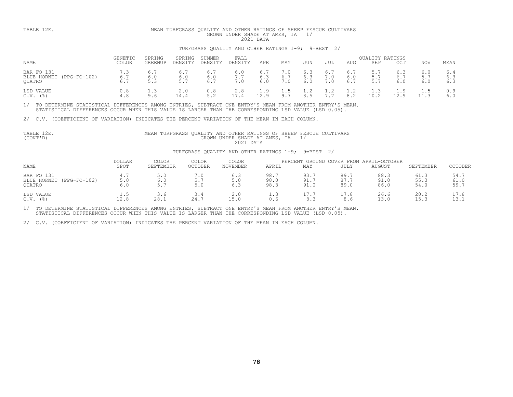### TABLE 12E. MEAN TURFGRASS QUALITY AND OTHER RATINGS OF SHEEP FESCUE CULTIVARS<br>GROWN UNDER SHADE AT AMES, IA 1/<br>TURFGRASS QUALITY AND OTHER RATINGS 1-9; 9=BEST 2/

| NAME                                                  | <b>GENETIC</b><br>COLOR | SPRING<br>GREENUP | SPRING<br>DENSITY | SUMMER<br>DENSITY | FALL<br>DENSITY                               | APR              | MAY        | JUN               | JUL             | AUG                 | <b>OUALITY RATINGS</b><br>SEP | OCT    | NOV               | MEAN              |
|-------------------------------------------------------|-------------------------|-------------------|-------------------|-------------------|-----------------------------------------------|------------------|------------|-------------------|-----------------|---------------------|-------------------------------|--------|-------------------|-------------------|
| BAR FO 131<br>BLUE HORNET<br>$(PPG-FO-102)$<br>OUATRO | 7.3<br>6.7<br>6.7       | 6.                | 6.<br>6.0<br>5.   |                   | 6.0<br>7.7<br>$\overline{\phantom{a}}$<br>7.0 | 6.<br>6.3<br>6.0 | 6.7<br>7.0 | 6.3<br>6.3<br>6.0 | 6.<br>$\cdot$ 0 | 6.<br>6.0<br>6.7    | <u>.</u><br>$-$<br>$-$<br>J . |        | 6.0<br>5.7<br>6.0 | 6.4<br>6.3<br>6.3 |
| LSD VALUE<br>C.V.<br>$($ $\frac{6}{6}$                | 0.8<br>4.8              | 9.6               | 2.0<br>14.4       | 0.8               | 2.8<br>17.4                                   | $\pm 0.9$<br>129 | 9.7        | 8.5               |                 | <b>. .</b> 4<br>8.2 | 1.3<br>10.2                   | $\sim$ | 1.5               | 0.9<br>6.0        |

1/ TO DETERMINE STATISTICAL DIFFERENCES AMONG ENTRIES, SUBTRACT ONE ENTRY'S MEAN FROM ANOTHER ENTRY'S MEAN.<br>STATISTICAL DIFFERENCES OCCUR WHEN THIS VALUE IS LARGER THAN THE CORRESPONDING LSD VALUE (LSD 0.05).

2/ C.V. (COEFFICIENT OF VARIATION) INDICATES THE PERCENT VARIATION OF THE MEAN IN EACH COLUMN.<br>TABLE 12E. MEAN TURFGRASS QUALITY AND OTHER RATINGS OF SHEEP FESCUE CULTIVARS (CONT'D)<br>2021 DATA 2021 DATA 2021 DATA

### TURFGRASS QUALITY AND OTHER RATINGS 1-9; 9=BEST 2/

| NAME                                                         | <b>DOLLAR</b><br>SPOT          | COLOR<br>SEPTEMBER | COLOR<br><b>OCTOBER</b> | COLOR<br><b>NOVEMBER</b> | APRIL               | GROUND<br>PERCENT<br>MAY | JULY                | COVER FROM APRIL-OCTOBER<br><b>AUGUST</b> | SEPTEMBER            | <b>OCTOBER</b>      |
|--------------------------------------------------------------|--------------------------------|--------------------|-------------------------|--------------------------|---------------------|--------------------------|---------------------|-------------------------------------------|----------------------|---------------------|
| BAR FO 131<br>BLUE HORNET<br>$(PPG-FO-102)$<br><b>OUATRO</b> | 4.<br><b>I</b> .<br>5.0<br>6.0 | 6.U<br><u>.</u>    | 7.0<br>5.0              | . ರ<br>6.3               | 98.<br>98.0<br>98.3 | 93.7<br>91.7<br>91.0     | 89.<br>87.7<br>89.0 | 88.3<br>91.0<br>86.0                      | 61.3<br>55.3<br>54.0 | 54.<br>61.0<br>59.7 |
| LSD VALUE<br>$C.V.$ (%)                                      | <b>1.</b><br>12.8              | 3.6<br>28.1        | 24.7                    | 2.0<br>15.0              | 1.3<br>U.6          | 17.7<br>8.3              | 17.8<br>8.6         | 26.6<br>13.0                              | 20.2<br>15.3         | 17.8<br>13.1        |

1/ TO DETERMINE STATISTICAL DIFFERENCES AMONG ENTRIES, SUBTRACT ONE ENTRY'S MEAN FROM ANOTHER ENTRY'S MEAN.<br>STATISTICAL DIFFERENCES OCCUR WHEN THIS VALUE IS LARGER THAN THE CORRESPONDING LSD VALUE (LSD 0.05).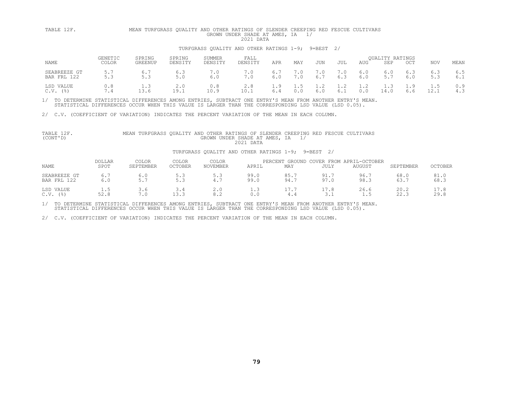# TABLE 12F. MEAN TURFGRASS QUALITY AND OTHER RATINGS OF SLENDER CREEPING RED FESCUE CULTIVARS<br>GROWN UNDER SHADE AT AMES, IA 1/<br>TURFGRASS OUALITY AND OTHER RATINGS 1-9; 9=BEST 2/

|                             | GENETIC | SPRING              | SPRING      | SUMMER       | FALL    |     |              |            |     |     | <b>OUALITY RATINGS</b> |            |                      |            |
|-----------------------------|---------|---------------------|-------------|--------------|---------|-----|--------------|------------|-----|-----|------------------------|------------|----------------------|------------|
| NAME                        | COLOR   | GREENUP             | DENSITY     | DENSITY      | DENSITY | APR | MAY          | <b>JUN</b> | JUL | AUG | SEP                    | OCT        | NOV                  | MEAN       |
| SEABREEZE GT<br>BAR FRL 122 | 5.3     | $\sqrt{2}$<br>ن . ب | 6.3<br>5.0  | . . 0<br>6.0 |         | 6.0 | 7.0          | 6.7        |     | 6.0 |                        | 6.3<br>6.0 | 6.3<br>5.3           | 6.5<br>6.1 |
| LSD VALUE<br>$C.V.$ (%)     |         | ن . ـ<br>$\prec$ h  | 2.0<br>19.1 | 0.8<br>10.9  | 10.1    | 1.9 | - 1.5<br>0.0 | 1.2<br>6.0 | 1.2 |     | .<br>14.0              | 1.9        | 1.5<br>$\sim$ $\sim$ | 0.9        |

1/ TO DETERMINE STATISTICAL DIFFERENCES AMONG ENTRIES, SUBTRACT ONE ENTRY'S MEAN FROM ANOTHER ENTRY'S MEAN.<br>STATISTICAL DIFFERENCES OCCUR WHEN THIS VALUE IS LARGER THAN THE CORRESPONDING LSD VALUE (LSD 0.05).

2/ C.V. (COEFFICIENT OF VARIATION) INDICATES THE PERCENT VARIATION OF THE MEAN IN EACH COLUMN.

### TURFGRASS QUALITY AND OTHER RATINGS 1-9; 9=BEST 2/

| <b>NAME</b>                              | <b>DOLLAR</b><br>SPOT | COLOR<br>SEPTEMBER | COLOR<br><b>OCTOBER</b> | COLOR<br><b>NOVEMBER</b> | APRIL        | GROUND<br>PERCENT<br>MAY | <b>JULY</b> | COVER FROM APRIL-OCTOBER<br><b>AUGUST</b> | SEPTEMBER    | <b>OCTOBER</b> |
|------------------------------------------|-----------------------|--------------------|-------------------------|--------------------------|--------------|--------------------------|-------------|-------------------------------------------|--------------|----------------|
| SEABREEZE GT<br>BAR FRL 122              | 6.0                   | Б. 5               |                         | 5.3<br>4.7               | 99.0<br>99.0 | 85.<br>94.               | 91.<br>97.0 | 96.7<br>98.3                              | 68.0<br>63.7 | 81.0<br>68.3   |
| LSD VALUE<br>$($ $\frac{6}{6}$ )<br>C.V. | 1.5<br>52.8           | 3.6<br>7.0         | 13.3                    | 2.0<br>8.2               |              |                          | ⊥ . ب       | 26.6<br><b>1.</b>                         | 20.2<br>22.3 | 29.8           |

1/ TO DETERMINE STATISTICAL DIFFERENCES AMONG ENTRIES, SUBTRACT ONE ENTRY'S MEAN FROM ANOTHER ENTRY'S MEAN.<br>STATISTICAL DIFFERENCES OCCUR WHEN THIS VALUE IS LARGER THAN THE CORRESPONDING LSD VALUE (LSD 0.05).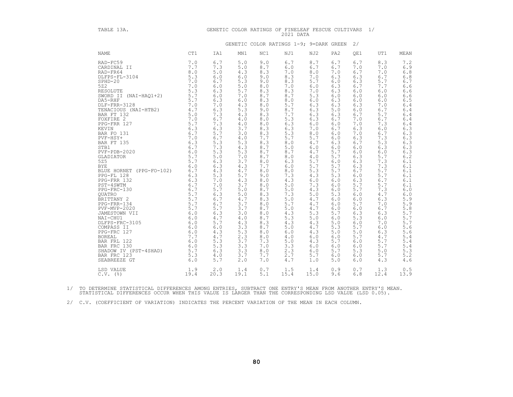| TABLE 13A.                                                                                                                                                                                                                                                                                                                                                                                                                                                                                                                                                                                                                                                                                                                                                                                                                                  |                                                                                                                                                    |                                                                                                                                                                                                                                                                                                           |                                                                                                                                                                                                                                                                                                           |                                                                                                                                                                                                                                                                                                           | GENETIC COLOR RATINGS OF FINELEAF FESCUE CULTIVARS<br>2021 DATA                                                                                                                                                                                                                                             |                                                                                                                                                                                                                                                                                                             |                                                                                                                                                                                                                                                                                                           |                                                                                                                                                                                                                                                                                                               | 1/                                                                                                                                                                                                                                                                                                        |                                                                                                                                                                                                                                                                                                                                                  |
|---------------------------------------------------------------------------------------------------------------------------------------------------------------------------------------------------------------------------------------------------------------------------------------------------------------------------------------------------------------------------------------------------------------------------------------------------------------------------------------------------------------------------------------------------------------------------------------------------------------------------------------------------------------------------------------------------------------------------------------------------------------------------------------------------------------------------------------------|----------------------------------------------------------------------------------------------------------------------------------------------------|-----------------------------------------------------------------------------------------------------------------------------------------------------------------------------------------------------------------------------------------------------------------------------------------------------------|-----------------------------------------------------------------------------------------------------------------------------------------------------------------------------------------------------------------------------------------------------------------------------------------------------------|-----------------------------------------------------------------------------------------------------------------------------------------------------------------------------------------------------------------------------------------------------------------------------------------------------------|-------------------------------------------------------------------------------------------------------------------------------------------------------------------------------------------------------------------------------------------------------------------------------------------------------------|-------------------------------------------------------------------------------------------------------------------------------------------------------------------------------------------------------------------------------------------------------------------------------------------------------------|-----------------------------------------------------------------------------------------------------------------------------------------------------------------------------------------------------------------------------------------------------------------------------------------------------------|---------------------------------------------------------------------------------------------------------------------------------------------------------------------------------------------------------------------------------------------------------------------------------------------------------------|-----------------------------------------------------------------------------------------------------------------------------------------------------------------------------------------------------------------------------------------------------------------------------------------------------------|--------------------------------------------------------------------------------------------------------------------------------------------------------------------------------------------------------------------------------------------------------------------------------------------------------------------------------------------------|
|                                                                                                                                                                                                                                                                                                                                                                                                                                                                                                                                                                                                                                                                                                                                                                                                                                             |                                                                                                                                                    |                                                                                                                                                                                                                                                                                                           |                                                                                                                                                                                                                                                                                                           |                                                                                                                                                                                                                                                                                                           | GENETIC COLOR RATINGS 1-9; 9=DARK GREEN                                                                                                                                                                                                                                                                     |                                                                                                                                                                                                                                                                                                             |                                                                                                                                                                                                                                                                                                           | 2/                                                                                                                                                                                                                                                                                                            |                                                                                                                                                                                                                                                                                                           |                                                                                                                                                                                                                                                                                                                                                  |
| <b>NAME</b>                                                                                                                                                                                                                                                                                                                                                                                                                                                                                                                                                                                                                                                                                                                                                                                                                                 | CT1                                                                                                                                                | IA1                                                                                                                                                                                                                                                                                                       | MN1                                                                                                                                                                                                                                                                                                       | NC1                                                                                                                                                                                                                                                                                                       | NJ1                                                                                                                                                                                                                                                                                                         | NJ2                                                                                                                                                                                                                                                                                                         | PA <sub>2</sub>                                                                                                                                                                                                                                                                                           | OE1                                                                                                                                                                                                                                                                                                           | UT1                                                                                                                                                                                                                                                                                                       | MEAN                                                                                                                                                                                                                                                                                                                                             |
| RAD-FC59<br>CARDINAL II<br>RAD-FR64<br>$\frac{1}{7}$ .<br>DLFPS-FL-3104<br>$SPHD-20$<br>522<br>5Z2<br>RESOLUTE (NAI-HAQ1+2) 5.3<br>DA5-RHF (NAI-HAQ1+2) 5.7<br>DLF-FRR-3128 7.0<br>DLF-FRR-3128 7.0<br>TENACIOUS (NAI-HTB2) 4.7<br>TENACIOUS (NAI-HTB2) 4.0<br>FOXFIRE 2 7.0<br>PC-FRR 127 5.7<br>REVIN 6.3<br>BAR FO 131 6.7<br>PUF-HEY+ 7.0<br>BAR<br>STB1<br>$PVF - PDB - 2020$<br>GLADIATOR<br>525<br><b>BYE</b><br>BYE<br>BLUE HORNET (PPG-FO-102) 6.7<br>PPG-FL 128 6.3<br>PPG-FRR 132 6.3<br>PST-4SWTM 6.7<br>PG-FRC-130 6.7<br>QUATRO 6.7<br>QUATRO 5.7<br>BRITTANY 2<br>PPG-FRR-134 5.7<br>PRG-FRR-134 5.7<br>JAMESTOWN VII 5.7<br>JAMESTOWN VII 6.0<br>NAI-CHU1<br>NAI-CHU1<br>DLFPS-FRC-3105<br>COMPASS II<br>PPG-FRC 127<br><b>BOREAL</b><br>BAR FRL 122<br>BAR FRC 130<br>SHADOW IV (PST-4SHAD)<br>BAR FRC 123<br>SEABREEZE GT | 7.0<br>7.7<br>6.7<br>6.0<br>5.7<br>5.7<br>6.0<br>$6.0$<br>$6.0$<br>$6.0$<br>$6.0$<br>$6.0$<br>7.7<br>6.0<br>6.0<br>$\frac{5.0}{2.7}$<br>5.3<br>6.0 | 6.7<br>7.3<br>5.0<br>6.0<br>6.7<br>6.0<br>6.3<br>6.0<br>6.3<br>7.0<br>6.3<br>7.3<br>6.7<br>7.3<br>6.3<br>5.7<br>6.7<br>5.3<br>7.3<br>5.3<br>5.0<br>6.3<br>6.3<br>4.3<br>5.3<br>7.0<br>7.0<br>5.7<br>6.3<br>6.7<br>6.7<br>5.7<br>6.3<br>4.7<br>5.7<br>6.0<br>4.3<br>4.7<br>5.3<br>5.3<br>6.3<br>4.0<br>5.7 | 5.0<br>5.0<br>4.3<br>6.0<br>5.3<br>5.0<br>5.7<br>7.0<br>6.0<br>4.3<br>5.3<br>4.3<br>4.0<br>4.0<br>3.7<br>3.0<br>4.0<br>5.3<br>4.3<br>5.3<br>7.0<br>3.7<br>4.3<br>4.7<br>5.7<br>4.3<br>3.7<br>5.0<br>5.0<br>4.7<br>3.7<br>3.7<br>3.0<br>4.0<br>4.3<br>3.3<br>5.3<br>2.3<br>3.7<br>3.3<br>3.3<br>3.7<br>2.0 | 9.0<br>8.7<br>8.3<br>9.0<br>9.0<br>8.0<br>8.3<br>8.7<br>8.3<br>8.0<br>9.0<br>8.3<br>8.0<br>8.0<br>8.3<br>8.3<br>7.7<br>8.3<br>8.7<br>8.7<br>8.7<br>8.0<br>7.7<br>8.0<br>9.0<br>8.0<br>8.0<br>8.7<br>8.3<br>8.3<br>8.0<br>8.7<br>8.0<br>8.7<br>8.3<br>8.7<br>8.0<br>8.0<br>7.3<br>7.0<br>8.0<br>7.7<br>7.0 | 6.7<br>6.0<br>7.0<br>8.3<br>8.3<br>7.0<br>8.3<br>8.7<br>8.0<br>5.7<br>8.7<br>7.7<br>5.3<br>6.3<br>6.3<br>5.3<br>5.7<br>8.0<br>5.0<br>8.7<br>8.0<br>6.3<br>6.0<br>8.0<br>7.3<br>4.3<br>5.0<br>5.0<br>7.3<br>5.0<br>5.7<br>5.0<br>4.3<br>5.3<br>4.3<br>$5.0$<br>6.0<br>4.0<br>5.0<br>3.3<br>2.3<br>2.7<br>4.7 | 8.7<br>6.7<br>8.0<br>7.0<br>5.7<br>6.0<br>7.0<br>5.3<br>$6.0$<br>6.3<br>6.3<br>6.3<br>6.3<br>6.0<br>7.0<br>8.0<br>5.7<br>4.7<br>6.0<br>4.7<br>4.0<br>5.7<br>5.7<br>5.3<br>4.3<br>6.0<br>7.3<br>4.3<br>5.0<br>4.7<br>4.7<br>4.7<br>5.3<br>5.0<br>4.3<br>4.7<br>4.3<br>6.0<br>4.3<br>6.0<br>6.0<br>5.7<br>1.0 | 6.7<br>6.7<br>7.0<br>6.3<br>6.0<br>6.3<br>6.3<br>6.0<br>6.3<br>6.3<br>5.0<br>6.3<br>6.7<br>6.0<br>6.7<br>6.0<br>6.0<br>6.3<br>6.0<br>5.7<br>5.7<br>6.0<br>5.7<br>5.7<br>5.3<br>6.0<br>6.0<br>6.0<br>5.3<br>6.0<br>6.0<br>6.0<br>5.7<br>6.0<br>5.0<br>5.3<br>5.0<br>6.0<br>5.7<br>6.0<br>5.7<br>6.0<br>5.0 | 6.7<br>7.0<br>6.7<br>6.3<br>6.3<br>6.7<br>6.0<br>6.0<br>$6.0$<br>6.3<br>6.0<br>6.7<br>7.0<br>7.0<br>6.3<br>7.0<br>6.3<br>6.7<br>6.0<br>6.0<br>6.3<br>6.3<br>6.3<br>6.7<br>6.0<br>6.3<br>5.7<br>5.7<br>6.0<br>6.0<br>5.7<br>6.0<br>6.3<br>5.3<br>$6.0$<br>5.7<br>5.0<br>5.7<br>6.0<br>6.0<br>5.3<br>6.0<br>6.0 | 8.3<br>7.0<br>7.0<br>6.7<br>5.7<br>7.7<br>6.0<br>6.0<br>6.0<br>7.0<br>6.7<br>5.7<br>6.7<br>7.3<br>6.0<br>6.7<br>7.3<br>5.3<br>6.3<br>6.0<br>5.7<br>7.3<br>7.3<br>5.7<br>5.7<br>6.7<br>5.7<br>7.3<br>4.7<br>6.3<br>7.0<br>6.7<br>6.3<br>6.0<br>7.0<br>6.0<br>6.3<br>4.7<br>5.7<br>5.7<br>5.0<br>5.7<br>4.3 | $7.2$<br>6.9<br>6.8<br>6.8<br>6.7<br>6.6<br>$6.6$<br>$6.6$<br>$6.5$<br>$6.4$<br>6.4<br>6.4<br>6.4<br>$6.4$<br>$6.3$<br>$6.3$<br>$6.3$<br>$6.3$<br>$6.6$<br>$6.6$<br>$6.1$<br>$6.1$<br>$6.1$<br>6.1<br>$6.1\,$<br>6.1<br>$6.0$<br>$6.09$<br>5.998<br>5.5.5.7<br>5.7<br>$5.7$<br>$\frac{5.6}{5.6}$<br>5.4<br>5.4<br>$5.4$<br>$5.3$<br>$5.2$<br>4.6 |
| LSD VALUE<br>$C.V.$ (%)                                                                                                                                                                                                                                                                                                                                                                                                                                                                                                                                                                                                                                                                                                                                                                                                                     | 1.9<br>19.4                                                                                                                                        | 2.0<br>20.3                                                                                                                                                                                                                                                                                               | 1.4<br>19.1                                                                                                                                                                                                                                                                                               | 0.7<br>5.1                                                                                                                                                                                                                                                                                                | 1.5<br>15.4                                                                                                                                                                                                                                                                                                 | 1.4<br>15.0                                                                                                                                                                                                                                                                                                 | 0.9<br>9.6                                                                                                                                                                                                                                                                                                | 0.7<br>6.8                                                                                                                                                                                                                                                                                                    | 1.3<br>12.4                                                                                                                                                                                                                                                                                               | $0.5$<br>13.9                                                                                                                                                                                                                                                                                                                                    |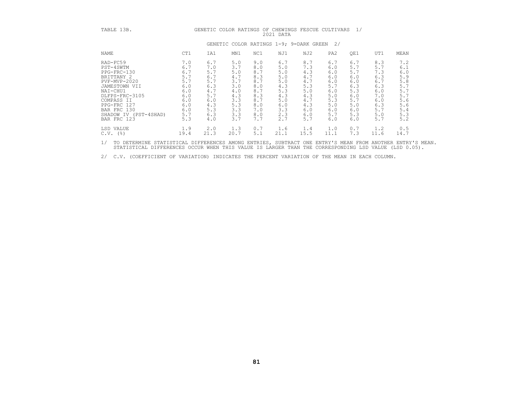| TABLE 13B.                                                                                                                                                                                                                       |                                                                                                        | GENETIC COLOR RATINGS OF CHEWINGS FESCUE CULTIVARS                                                     |                                                                                                        |                                                                                                       | 2021 DATA                                                                                              |                                                                                                        |                                                                                                        | 1/                                                                                                    |                                                                                                        |                                                                                                        |
|----------------------------------------------------------------------------------------------------------------------------------------------------------------------------------------------------------------------------------|--------------------------------------------------------------------------------------------------------|--------------------------------------------------------------------------------------------------------|--------------------------------------------------------------------------------------------------------|-------------------------------------------------------------------------------------------------------|--------------------------------------------------------------------------------------------------------|--------------------------------------------------------------------------------------------------------|--------------------------------------------------------------------------------------------------------|-------------------------------------------------------------------------------------------------------|--------------------------------------------------------------------------------------------------------|--------------------------------------------------------------------------------------------------------|
|                                                                                                                                                                                                                                  |                                                                                                        |                                                                                                        |                                                                                                        |                                                                                                       | GENETIC COLOR RATINGS 1-9; 9=DARK GREEN                                                                |                                                                                                        | 2/                                                                                                     |                                                                                                       |                                                                                                        |                                                                                                        |
| NAME                                                                                                                                                                                                                             | CT1                                                                                                    | IA1                                                                                                    | MN1                                                                                                    | NC1                                                                                                   | NJ1                                                                                                    | NJ2                                                                                                    | PA <sub>2</sub>                                                                                        | QE1                                                                                                   | UT1                                                                                                    | MEAN                                                                                                   |
| RAD-FC59<br>PST-4SWTM<br>PPG-FRC-130<br>BRITTANY 2<br>PVF-MVP-2020<br>JAMESTOWN VII<br>NAI-CHU1<br>DLFPS-FRC-3105<br>COMPASS II<br>PPG-FRC 127<br>BAR FRC 130<br>SHADOW IV (PST-4SHAD)<br>BAR FRC 123<br>LSD VALUE<br>$C.V.$ (%) | 7.0<br>6.7<br>6.7<br>5.7<br>5.7<br>6.0<br>6.0<br>6.0<br>6.0<br>6.0<br>6.0<br>5.7<br>5.3<br>1.9<br>19.4 | 6.7<br>7.0<br>5.7<br>6.7<br>5.7<br>6.3<br>4.7<br>5.7<br>6.0<br>4.3<br>5.3<br>6.3<br>4.0<br>2.0<br>21.3 | 5.0<br>3.7<br>5.0<br>4.7<br>3.7<br>3.0<br>4.0<br>4.3<br>3.3<br>5.3<br>3.3<br>3.3<br>3.7<br>1.3<br>20.7 | 9.0<br>8.0<br>8.7<br>8.3<br>8.7<br>8.0<br>8.7<br>8.3<br>8.7<br>8.0<br>7.0<br>8.0<br>7.7<br>0.7<br>5.1 | 6.7<br>5.0<br>5.0<br>5.0<br>5.0<br>4.3<br>5.3<br>4.3<br>5.0<br>6.0<br>3.3<br>2.3<br>2.7<br>1.6<br>21.1 | 8.7<br>7.3<br>4.3<br>4.7<br>4.7<br>5.3<br>5.0<br>4.3<br>4.7<br>4.3<br>6.0<br>6.0<br>5.7<br>1.4<br>15.5 | 6.7<br>6.0<br>6.0<br>6.0<br>6.0<br>5.7<br>6.0<br>5.0<br>5.3<br>5.0<br>6.0<br>5.7<br>6.0<br>1.0<br>11.1 | 6.7<br>5.7<br>5.7<br>6.0<br>6.0<br>6.3<br>5.3<br>6.0<br>5.7<br>5.0<br>6.0<br>5.3<br>6.0<br>0.7<br>7.3 | 8.3<br>5.7<br>7.3<br>6.3<br>6.7<br>6.3<br>6.0<br>7.0<br>6.0<br>6.3<br>5.7<br>5.0<br>5.7<br>1.2<br>11.6 | 7.2<br>6.1<br>6.0<br>5.9<br>5.8<br>5.7<br>5.7<br>5.7<br>5.6<br>5.6<br>5.4<br>5.3<br>5.2<br>0.5<br>14.7 |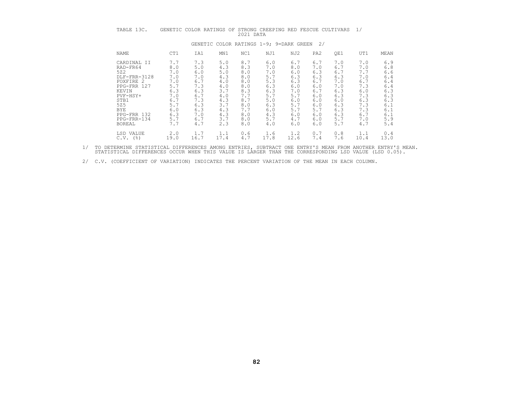| TABLE 13C.                                                                                                                                                                  |                                                                                                | GENETIC COLOR RATINGS OF                                                                       |                                                                                                | 2021 DATA                                                                                      |                                                                                                | STRONG CREEPING RED FESCUE CULTIVARS                                                           |                                                                                                |                                                                                                | 1/                                                                                             |                                                                                                |
|-----------------------------------------------------------------------------------------------------------------------------------------------------------------------------|------------------------------------------------------------------------------------------------|------------------------------------------------------------------------------------------------|------------------------------------------------------------------------------------------------|------------------------------------------------------------------------------------------------|------------------------------------------------------------------------------------------------|------------------------------------------------------------------------------------------------|------------------------------------------------------------------------------------------------|------------------------------------------------------------------------------------------------|------------------------------------------------------------------------------------------------|------------------------------------------------------------------------------------------------|
|                                                                                                                                                                             |                                                                                                |                                                                                                |                                                                                                |                                                                                                |                                                                                                | GENETIC COLOR RATINGS 1-9; 9=DARK GREEN                                                        | 2/                                                                                             |                                                                                                |                                                                                                |                                                                                                |
| NAME                                                                                                                                                                        | CT1                                                                                            | IA1                                                                                            | MN1                                                                                            | NC1                                                                                            | NJ1                                                                                            | NJ2                                                                                            | PA <sub>2</sub>                                                                                | QE1                                                                                            | UT1                                                                                            | MEAN                                                                                           |
| CARDINAL II<br>RAD-FR64<br>522<br>DLF-FRR-3128<br>FOXFIRE 2<br>PPG-FRR 127<br>KEVIN<br>PVF-HSY+<br>STB1<br>525<br><b>BYE</b><br>PPG-FRR 132<br>PPG-FRR-134<br><b>BOREAL</b> | 7.7<br>8.0<br>7.0<br>7.0<br>7.0<br>5.7<br>6.3<br>7.0<br>6.7<br>5.7<br>6.0<br>6.3<br>5.7<br>7.7 | 7.3<br>5.0<br>6.0<br>7.0<br>6.7<br>7.3<br>6.3<br>6.7<br>7.3<br>6.3<br>6.3<br>7.0<br>6.7<br>4.7 | 5.0<br>4.3<br>5.0<br>4.3<br>4.0<br>4.0<br>3.7<br>4.0<br>4.3<br>3.7<br>4.3<br>4.3<br>3.7<br>2.3 | 8.7<br>8.3<br>8.0<br>8.0<br>8.0<br>8.0<br>8.3<br>7.7<br>8.7<br>8.0<br>7.7<br>8.0<br>8.0<br>8.0 | 6.0<br>7.0<br>7.0<br>5.7<br>5.3<br>6.3<br>6.3<br>5.7<br>5.0<br>6.3<br>6.0<br>4.3<br>5.7<br>4.0 | 6.7<br>8.0<br>6.0<br>6.3<br>6.3<br>6.0<br>7.0<br>5.7<br>6.0<br>5.7<br>5.7<br>6.0<br>4.7<br>6.0 | 6.7<br>7.0<br>6.3<br>6.3<br>6.7<br>6.0<br>6.7<br>6.0<br>6.0<br>6.0<br>5.7<br>6.0<br>6.0<br>6.0 | 7.0<br>6.7<br>6.7<br>6.3<br>7.0<br>7.0<br>6.3<br>6.3<br>6.0<br>6.3<br>6.3<br>6.3<br>5.7<br>5.7 | 7.0<br>7.0<br>7.7<br>7.0<br>6.7<br>7.3<br>6.0<br>7.3<br>6.3<br>7.3<br>7.3<br>6.7<br>7.0<br>4.7 | 6.9<br>6.8<br>6.6<br>6.4<br>6.4<br>6.4<br>6.3<br>6.3<br>6.3<br>6.1<br>6.1<br>6.1<br>5.9<br>5.4 |
| LSD VALUE<br>$C.V.$ (%)                                                                                                                                                     | 2.0<br>19.0                                                                                    | 1.7<br>16.7                                                                                    | 1.1<br>17.4                                                                                    | 0.6<br>4.7                                                                                     | 1.6<br>17.8                                                                                    | 1.2<br>12.6                                                                                    | 0.7<br>7.4                                                                                     | 0.8<br>7.6                                                                                     | 1.1<br>10.4                                                                                    | 0.4<br>13.0                                                                                    |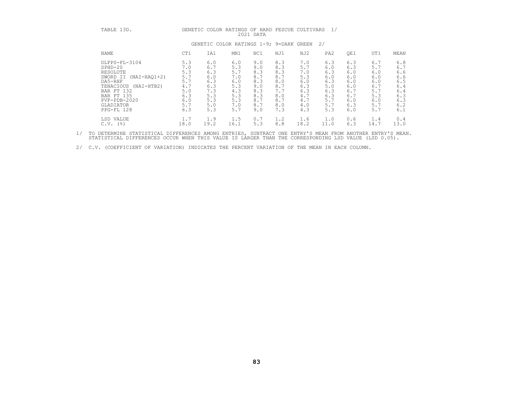| TABLE 13D.                                                                                                                                                                        |                                                                           |                                                                           |                                                                           | 2021 DATA                                                                 |                                                                           | GENETIC COLOR RATINGS OF HARD FESCUE CULTIVARS                            | 1/                                                                        |                                                                           |                                                                           |                                                                           |
|-----------------------------------------------------------------------------------------------------------------------------------------------------------------------------------|---------------------------------------------------------------------------|---------------------------------------------------------------------------|---------------------------------------------------------------------------|---------------------------------------------------------------------------|---------------------------------------------------------------------------|---------------------------------------------------------------------------|---------------------------------------------------------------------------|---------------------------------------------------------------------------|---------------------------------------------------------------------------|---------------------------------------------------------------------------|
|                                                                                                                                                                                   |                                                                           |                                                                           | GENETIC COLOR RATINGS 1-9; 9=DARK GREEN                                   |                                                                           |                                                                           |                                                                           | 2/                                                                        |                                                                           |                                                                           |                                                                           |
| NAME                                                                                                                                                                              | CT1                                                                       | IA1                                                                       | MN1                                                                       | NC1                                                                       | NJ1                                                                       | NJ2                                                                       | PA <sub>2</sub>                                                           | QE1                                                                       | UT1                                                                       | MEAN                                                                      |
| DLFPS-FL-3104<br>$SPHD-20$<br>RESOLUTE<br>$(NAI-HAQ1+2)$<br>SWORD II<br>DA5-RHF<br>TENACIOUS<br>(NAI-HTB2)<br>BAR FT 132<br>BAR FT 135<br>PVF-PDB-2020<br>GLADIATOR<br>PPG-FL 128 | 5.3<br>7.0<br>5.3<br>5.7<br>5.7<br>4.7<br>5.0<br>6.3<br>6.0<br>5.7<br>6.3 | 6.0<br>6.7<br>6.3<br>6.0<br>6.3<br>6.3<br>7.3<br>5.3<br>5.3<br>5.0<br>5.3 | 6.0<br>5.3<br>5.7<br>7.0<br>6.0<br>5.3<br>4.3<br>5.3<br>5.3<br>7.0<br>5.7 | 9.0<br>9.0<br>8.3<br>8.7<br>8.3<br>9.0<br>8.3<br>8.3<br>8.7<br>8.7<br>9.0 | 8.3<br>8.3<br>8.3<br>8.7<br>8.0<br>8.7<br>7.7<br>8.0<br>8.7<br>8.0<br>7.3 | 7.0<br>5.7<br>7.0<br>5.3<br>6.0<br>6.3<br>6.3<br>4.7<br>4.7<br>4.0<br>4.3 | 6.3<br>6.0<br>6.3<br>6.0<br>6.3<br>5.0<br>6.3<br>6.3<br>5.7<br>5.7<br>5.3 | 6.3<br>6.3<br>6.0<br>6.0<br>6.0<br>6.0<br>6.7<br>6.7<br>6.0<br>6.3<br>6.0 | 6.7<br>5.7<br>6.0<br>6.0<br>6.0<br>6.7<br>5.7<br>5.3<br>6.0<br>5.7<br>5.7 | 6.8<br>6.7<br>6.6<br>6.6<br>6.5<br>6.4<br>6.4<br>6.3<br>6.3<br>6.2<br>6.1 |
| LSD VALUE<br>$C.V.$ (%)                                                                                                                                                           | 1.7<br>18.0                                                               | 1.9<br>19.2                                                               | 1.5<br>16.1                                                               | 0.7<br>5.3                                                                | 1.2<br>8.8                                                                | 1.6<br>18.2                                                               | 1.0<br>11.0                                                               | 0.6<br>6.3                                                                | 1.4<br>14.7                                                               | 0.4<br>13.0                                                               |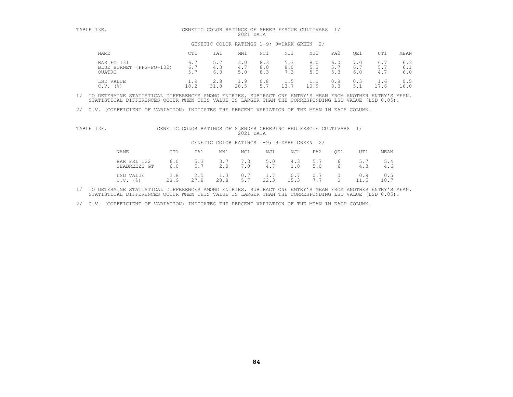| TABLE 13E.                                          |                           |                   | 2021 DATA         |                   | GENETIC COLOR RATINGS OF SHEEP FESCUE CULTIVARS |                   |                   |                   |                   |                   |
|-----------------------------------------------------|---------------------------|-------------------|-------------------|-------------------|-------------------------------------------------|-------------------|-------------------|-------------------|-------------------|-------------------|
|                                                     |                           |                   |                   |                   | GENETIC COLOR RATINGS 1-9; 9=DARK GREEN         | 2/                |                   |                   |                   |                   |
| NAME                                                | CT1                       | IA1               | MN1               | NC1               | NJ1                                             | NJ2               | PA2               | QE1               | UT1               | MEAN              |
| BAR FO 131<br>BLUE HORNET<br>(PPG-FO-102)<br>OUATRO | 6.7<br>6.7<br>5.7         | 5.7<br>4.3<br>6.3 | 3.0<br>4.7<br>5.0 | 8.3<br>8.0<br>8.3 | 5.3<br>8.0<br>7.3                               | 8.0<br>5.3<br>5.0 | 6.0<br>5.7<br>5.3 | 7.0<br>6.7<br>6.0 | 6.7<br>5.7<br>4.7 | 6.3<br>6.1<br>6.0 |
| LSD VALUE<br>$($ $\frac{6}{6}$ $)$<br>C.V.          | $\overline{1}$ .9<br>18.2 | 2.8<br>31.8       | 1.9<br>28.5       | 0.8<br>5.7        | 1.5<br>13.7                                     | 1.1<br>10.9       | 0.8<br>8.3        | 0.5<br>5.1        | 1.6<br>.7.6       | 0.5<br>16.0       |

2/ C.V. (COEFFICIENT OF VARIATION) INDICATES THE PERCENT VARIATION OF THE MEAN IN EACH COLUMN.

| TABLE 13F. |  |  |           |  | GENETIC COLOR RATINGS OF SLENDER CREEPING RED FESCUE CULTIVARS |  |
|------------|--|--|-----------|--|----------------------------------------------------------------|--|
|            |  |  | 2021 DATA |  |                                                                |  |

| TABLE 13F. |                                                 |             | GENETIC COLOR RATINGS OF SLENDER CREEPING RED FESCUE CULTIVARS 1/ |             | 2021 DATA  |                                            |             |                 |                      |            |             |
|------------|-------------------------------------------------|-------------|-------------------------------------------------------------------|-------------|------------|--------------------------------------------|-------------|-----------------|----------------------|------------|-------------|
|            |                                                 |             |                                                                   |             |            | GENETIC COLOR RATINGS 1-9; 9=DARK GREEN 2/ |             |                 |                      |            |             |
|            | NAME                                            | CT1         | IA1                                                               | MN1         | NC1        | NJ1                                        | NJ2         | PA <sub>2</sub> | OE1                  | UT1        | MEAN        |
|            | BAR FRL 122<br>SEABREEZE GT                     | 6.0<br>6.0  | 5.3<br>5.7                                                        | 3.7<br>2.0  | 7.3<br>7.0 | 5.0<br>4.7                                 | 4.3<br>1.0  | 5.7<br>5.0      | 6<br>$6\overline{6}$ | 5.7<br>4.3 | 5.4<br>4.6  |
|            | VALUE<br>T.SD.<br>$($ $\frac{6}{6}$ $)$<br>C.V. | 2.8<br>28.9 | 2.5<br>27.8                                                       | 1.3<br>28.8 | 0.7<br>5.7 | 1.7<br>22.3                                | 0.7<br>15.3 | 0.7             | 0<br>$\Omega$        | 0.9        | 0.5<br>18.7 |

1/ TO DETERMINE STATISTICAL DIFFERENCES AMONG ENTRIES, SUBTRACT ONE ENTRY'S MEAN FROM ANOTHER ENTRY'S MEAN.<br>STATISTICAL DIFFERENCES OCCUR WHEN THIS VALUE IS LARGER THAN THE CORRESPONDING LSD VALUE (LSD 0.05).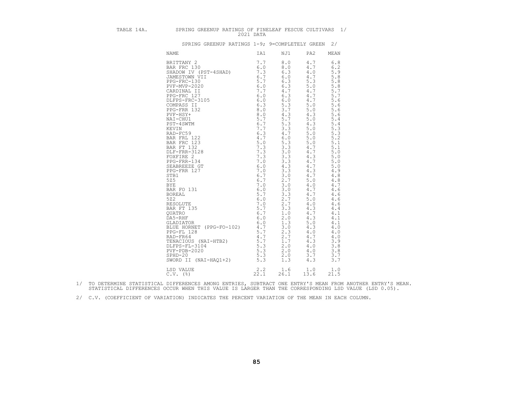| т<br>$\mathbf{z}$<br>ı<br>٦<br>ı<br>∍<br>i<br>г<br>٠<br>١<br>٠<br>. .<br>۱<br>z |
|---------------------------------------------------------------------------------|
|---------------------------------------------------------------------------------|

### SPRING GREENUP RATINGS OF FINELEAF FESCUE CULTIVARS 1/<br>2021 DATA 3PRING GREENUP RATINGS 1-9; 9=COMPLETELY GREEN 2/

| <b>NAME</b>                                                                                                                                                                                                                                                                                                                                                                                                                      | IA1 | NJ1  | PA <sub>2</sub>                                                                                                                                                                                                                                                                                              | MEAN                                                                                                                                                                                                                                                                                                                                      |
|----------------------------------------------------------------------------------------------------------------------------------------------------------------------------------------------------------------------------------------------------------------------------------------------------------------------------------------------------------------------------------------------------------------------------------|-----|------|--------------------------------------------------------------------------------------------------------------------------------------------------------------------------------------------------------------------------------------------------------------------------------------------------------------|-------------------------------------------------------------------------------------------------------------------------------------------------------------------------------------------------------------------------------------------------------------------------------------------------------------------------------------------|
| $\begin{tabular}{l c c c} \multicolumn{1}{l}{\textbf{NAME}} & \multicolumn{1}{l}{\textbf{1}} & \multicolumn{1}{l}{\textbf{NJ1}} \\ \multicolumn{1}{l}{\textbf{BAR FRC 130}} & 7,7 & 8,0 \\ \multicolumn{1}{l}{\textbf{SABADON IV IV (PST-4SHAD)}} & 7,3 & 6,0 \\ \multicolumn{1}{l}{\textbf{SADBON IV V (PST-4SHAD)}} & 7,3 & 6,0 \\ \multicolumn{1}{l}{\textbf{CSPG-FRC 127}} & 6,7 & 6,0 \\ \multicolumn{1}{l}{\$<br>LSD VALUE |     | 1.6  | 4.7<br>4.0<br>$4.730777700$<br>$4.4770030$<br>$4.55400300000$<br>$4.55400000$<br>$5.6000$<br>$\frac{4.7}{4.3}$<br>4.7<br>4.7<br>4.3<br>4.7<br>5.0<br>4.0<br>$4.7$<br>$4.7$<br>$5.0$<br>$4.0$<br>$4.3$<br>$4.7$<br>$4.3$<br>$5.0$<br>$4.3$<br>$4.0$<br>$4.7$<br>4.3<br>4.3<br>4.0<br>4.0<br>3.7<br>4.3<br>1.0 | 6.8<br>6.2<br>5.9<br>5.8<br>$5.8$<br>$5.8$<br>5.7<br>5.7<br>5.6<br>5.6<br>5.6<br>$5.6$<br>5.4<br>$5.4\,$<br>$\overline{5}$ . 3<br>5.3<br>5.2<br>5.1<br>5.1<br>5.0<br>5.0<br>5.0<br>5.0<br>4.9<br>4.8<br>4.8<br>4.7<br>4.6<br>4.6<br>4.6<br>4.6<br>4.4<br>4.1<br>4.1<br>4.1<br>4.0<br>4.0<br>4.0<br>3.9<br>3.8<br>3.8<br>3.7<br>3.7<br>1.0 |
| $\frac{2.2}{22.1}$<br>$C.V.$ (%)                                                                                                                                                                                                                                                                                                                                                                                                 |     | 26.1 | 13.6                                                                                                                                                                                                                                                                                                         | 21.5                                                                                                                                                                                                                                                                                                                                      |

1/ TO DETERMINE STATISTICAL DIFFERENCES AMONG ENTRIES, SUBTRACT ONE ENTRY'S MEAN FROM ANOTHER ENTRY'S MEAN.<br>STATISTICAL DIFFERENCES OCCUR WHEN THIS VALUE IS LARGER THAN THE CORRESPONDING LSD VALUE (LSD 0.05).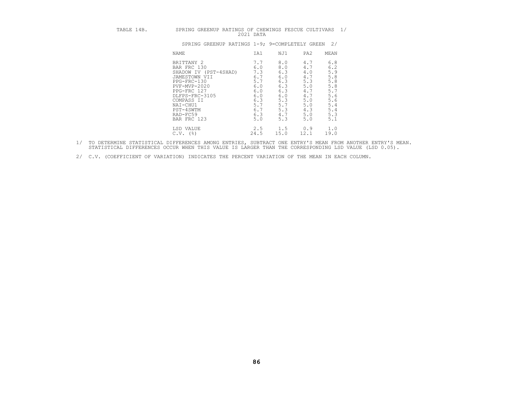| ABLE 14B. |  |  |             | SPRING GREENUP RATINGS OF CHEWINGS FESCUE CULTIVARS |  |
|-----------|--|--|-------------|-----------------------------------------------------|--|
|           |  |  | $2021$ DATA |                                                     |  |

| TABLE 14B. | SPRING GREENUP RATINGS OF CHEWINGS FESCUE CULTIVARS 1/                                                                                                                                                  | 2021 DATA                                                                               |                                                                                         |                                                                                         |                                                                                         |
|------------|---------------------------------------------------------------------------------------------------------------------------------------------------------------------------------------------------------|-----------------------------------------------------------------------------------------|-----------------------------------------------------------------------------------------|-----------------------------------------------------------------------------------------|-----------------------------------------------------------------------------------------|
|            | SPRING GREENUP RATINGS 1-9; 9=COMPLETELY GREEN                                                                                                                                                          |                                                                                         |                                                                                         |                                                                                         | 2.1                                                                                     |
|            | NAME                                                                                                                                                                                                    | IA1                                                                                     | NJ1                                                                                     | PA2                                                                                     | MEAN                                                                                    |
|            | BRITTANY 2<br>BAR FRC 130<br>SHADOW IV (PST-4SHAD)<br>JAMESTOWN VII<br>PPG-FRC-130<br>$PVF-MVP-2020$<br>PPG-FRC 127<br>DLFPS-FRC-3105<br>COMPASS II<br>NAI-CHU1<br>PST-4SWTM<br>RAD-FC59<br>BAR FRC 123 | 7.7<br>6.0<br>7.3<br>6.7<br>5.7<br>6.0<br>6.0<br>6.0<br>6.3<br>5.7<br>6.7<br>6.3<br>5.0 | 8.0<br>8.0<br>6.3<br>6.0<br>6.3<br>6.3<br>6.3<br>6.0<br>5.3<br>5.7<br>5.3<br>4.7<br>5.3 | 4.7<br>4.7<br>4.0<br>4.7<br>5.3<br>5.0<br>4.7<br>4.7<br>5.0<br>5.0<br>4.3<br>5.0<br>5.0 | 6.8<br>6.2<br>5.9<br>5.8<br>5.8<br>5.8<br>5.7<br>5.6<br>5.6<br>5.4<br>5.4<br>5.3<br>5.1 |
|            | LSD VALUE<br>$C.V.$ (%)                                                                                                                                                                                 | 2.5<br>24.5                                                                             | 1.5<br>15.0                                                                             | 0.9<br>12.1                                                                             | 1.0<br>19.0                                                                             |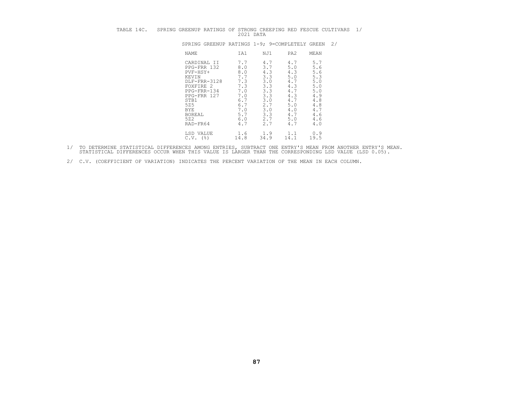| TABLE 14C. | SPRING GREENUP RATINGS OF STRONG CREEPING RED FESCUE CULTIVARS 1/                                                                                                             | 2021 DATA                                                                                                |                                                                                                |                                                                                                |                                                                                                |  |
|------------|-------------------------------------------------------------------------------------------------------------------------------------------------------------------------------|----------------------------------------------------------------------------------------------------------|------------------------------------------------------------------------------------------------|------------------------------------------------------------------------------------------------|------------------------------------------------------------------------------------------------|--|
|            | SPRING GREENUP RATINGS 1-9; 9=COMPLETELY GREEN 2/                                                                                                                             |                                                                                                          |                                                                                                |                                                                                                |                                                                                                |  |
|            | NAME                                                                                                                                                                          | IA1                                                                                                      | NJ1                                                                                            | PA <sub>2</sub>                                                                                | MEAN                                                                                           |  |
|            | CARDINAL II<br>PPG-FRR 132<br>$PVF-HSY+$<br>KEVIN<br>DLF-FRR-3128<br>FOXFIRE 2<br>PPG-FRR-134<br>PPG-FRR 127<br>STB1<br>525<br><b>BYE</b><br><b>BOREAL</b><br>522<br>RAD-FR64 | 7.7<br>8.0<br>8.0<br>$7.7$<br>7.3<br>7.3<br>7.0<br>7.0<br>6.7<br>6.7<br>$7 \cdot 0$<br>5.7<br>6.0<br>4.7 | 4.7<br>3.7<br>4.3<br>3.3<br>3.0<br>3.3<br>3.3<br>3.3<br>3.0<br>2.7<br>3.0<br>3.3<br>2.7<br>2.7 | 4.7<br>5.0<br>4.3<br>5.0<br>4.7<br>4.3<br>4.7<br>4.3<br>4.7<br>5.0<br>4.0<br>4.7<br>5.0<br>4.7 | 5.7<br>5.6<br>5.6<br>5.3<br>5.0<br>5.0<br>5.0<br>4.9<br>4.8<br>4.8<br>4.7<br>4.6<br>4.6<br>4.0 |  |
|            | LSD VALUE<br>$C.V.$ (%)                                                                                                                                                       | 1.6<br>14.8                                                                                              | 1.9<br>34.9                                                                                    | 1.1<br>14.1                                                                                    | 0.9<br>19.5                                                                                    |  |

- 1/ TO DETERMINE STATISTICAL DIFFERENCES AMONG ENTRIES, SUBTRACT ONE ENTRY'S MEAN FROM ANOTHER ENTRY'S MEAN.<br>STATISTICAL DIFFERENCES OCCUR WHEN THIS VALUE IS LARGER THAN THE CORRESPONDING LSD VALUE (LSD 0.05).
- 2/ C.V. (COEFFICIENT OF VARIATION) INDICATES THE PERCENT VARIATION OF THE MEAN IN EACH COLUMN.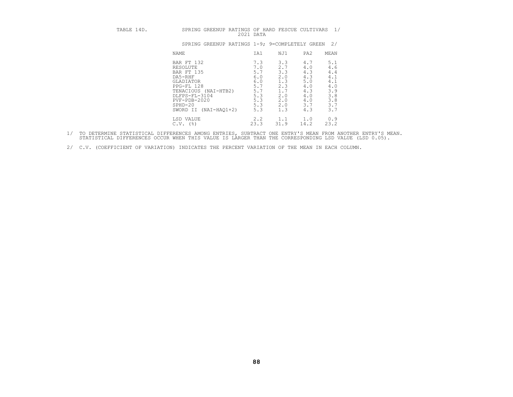| TABLE 14D. | SPRING GREENUP RATINGS OF HARD FESCUE CULTIVARS                                                                                                                                      | 2021 DATA                                                                 |                                                                                                                                                        | 1/                                                                                     |
|------------|--------------------------------------------------------------------------------------------------------------------------------------------------------------------------------------|---------------------------------------------------------------------------|--------------------------------------------------------------------------------------------------------------------------------------------------------|----------------------------------------------------------------------------------------|
|            | SPRING GREENUP RATINGS 1-9; 9=COMPLETELY GREEN                                                                                                                                       |                                                                           |                                                                                                                                                        | 2/                                                                                     |
|            | NAME                                                                                                                                                                                 | IA1                                                                       | PA <sub>2</sub><br>NJ1                                                                                                                                 | MEAN                                                                                   |
|            | BAR FT 132<br>RESOLUTE<br>BAR FT 135<br>DA5-RHF<br>GLADIATOR<br>PPG-FL 128<br>TENACIOUS (NAI-HTB2)<br>DLFPS-FL-3104<br>$PVF - PDB - 2020$<br>$SPHD-20$<br>$(NAI-HAO1+2)$<br>SWORD II | 7.3<br>7.0<br>5.7<br>6.0<br>6.0<br>5.7<br>5.7<br>5.3<br>5.3<br>5.3<br>5.3 | 3.3<br>4.7<br>2.7<br>4.0<br>3.3<br>4.3<br>4.3<br>2.0<br>5.0<br>1.3<br>2.3<br>4.0<br>1.7<br>4.3<br>2.0<br>4.0<br>2.0<br>4.0<br>3.7<br>2.0<br>1.3<br>4.3 | 5.1<br>$\frac{4.6}{4.4}$<br>4.1<br>4.1<br>4.0<br>3.9<br>$3.8$<br>$3.8$<br>$3.7$<br>3.7 |
|            | LSD VALUE<br>$C.V.$ (%)                                                                                                                                                              | 2.2<br>23.3                                                               | 1.1<br>1.0<br>31.9<br>14.2                                                                                                                             | 0.9<br>23.2                                                                            |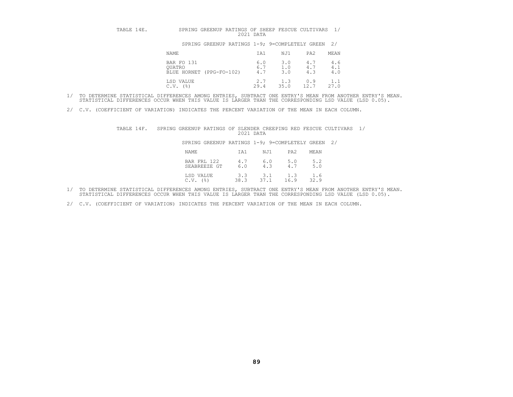| TABLE 14E. | SPRING GREENUP RATINGS OF SHEEP FESCUE CULTIVARS | 2021 DATA         |                   |                   |                   |
|------------|--------------------------------------------------|-------------------|-------------------|-------------------|-------------------|
|            | SPRING GREENUP RATINGS 1-9; 9=COMPLETELY GREEN   |                   |                   |                   | 2/                |
|            | NAME                                             | IA1               | NJ1               | PA <sub>2</sub>   | MEAN              |
|            | BAR FO 131<br>OUATRO<br>BLUE HORNET (PPG-FO-102) | 6.0<br>6.7<br>4.7 | 3.0<br>1.0<br>3.0 | 4.7<br>4.7<br>4.3 | 4.6<br>4.1<br>4.0 |
|            | LSD VALUE<br>C.V.<br>(%)                         | 2.7<br>29.4       | 1.3<br>35.0       | 0.9<br>12.7       | 1.1<br>27.0       |

- 1/ TO DETERMINE STATISTICAL DIFFERENCES AMONG ENTRIES, SUBTRACT ONE ENTRY'S MEAN FROM ANOTHER ENTRY'S MEAN.<br>STATISTICAL DIFFERENCES OCCUR WHEN THIS VALUE IS LARGER THAN THE CORRESPONDING LSD VALUE (LSD 0.05).
- 2/ C.V. (COEFFICIENT OF VARIATION) INDICATES THE PERCENT VARIATION OF THE MEAN IN EACH COLUMN.

| TABLE 14F. | SPRING GREENUP RATINGS OF SLENDER CREEPING RED FESCUE CULTIVARS 1/ | 2021 DATA   |                            |             |  |
|------------|--------------------------------------------------------------------|-------------|----------------------------|-------------|--|
|            | SPRING GREENUP RATINGS 1-9; 9=COMPLETELY GREEN 2/                  |             |                            |             |  |
|            | NAME                                                               | IA1         | NJ1<br>PA2                 | MEAN        |  |
|            | BAR FRL 122<br>SEABREEZE GT                                        | 4.7<br>6.0  | 6.0<br>5.0<br>4.3<br>4.7   | 5.2<br>5.0  |  |
|            | LSD VALUE<br>$C.V.$ ( $\frac{8}{3}$ )                              | 3.3<br>38.3 | 3.1<br>1.3<br>37.1<br>16.9 | 1.6<br>32.9 |  |

- 1/ TO DETERMINE STATISTICAL DIFFERENCES AMONG ENTRIES, SUBTRACT ONE ENTRY'S MEAN FROM ANOTHER ENTRY'S MEAN.<br>STATISTICAL DIFFERENCES OCCUR WHEN THIS VALUE IS LARGER THAN THE CORRESPONDING LSD VALUE (LSD 0.05).
- 2/ C.V. (COEFFICIENT OF VARIATION) INDICATES THE PERCENT VARIATION OF THE MEAN IN EACH COLUMN.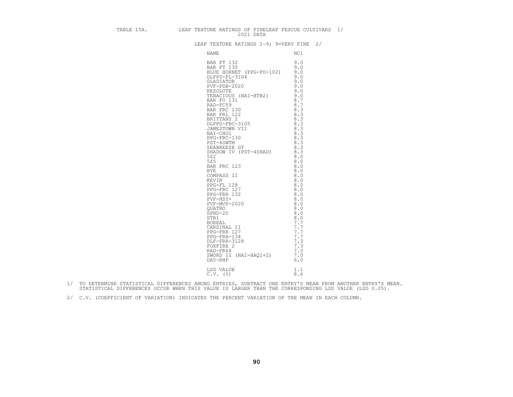|  | TABLE 15A. LEAF TEXTURE RATINGS OF FINELEAF FESCUE CULTIVARS 1/<br>2021 DATA                                                                                                                                                                             |     |  |
|--|----------------------------------------------------------------------------------------------------------------------------------------------------------------------------------------------------------------------------------------------------------|-----|--|
|  | LEAF TEXTURE RATINGS 1-9; 9=VERY FINE 2/                                                                                                                                                                                                                 |     |  |
|  | NAME                                                                                                                                                                                                                                                     | NC1 |  |
|  | NAME<br>BAR FT 132<br>9.0<br>BAR FT 135<br>9.0<br>DLEPS-FL-3104<br>GLADIATOR (PFG-FO-102) 9.0<br>CLADIATOR (NAI-HTB2) 9.0<br>RESOLUTE 9.0<br>RESOLUTE 9.0<br>RESOLUTE 9.0<br>RESOLUTE 9.0<br>BAR FRC 130 8.3<br>BAR FRC 130 8.3<br>BAR FRC 130 8.3<br>BA |     |  |
|  |                                                                                                                                                                                                                                                          |     |  |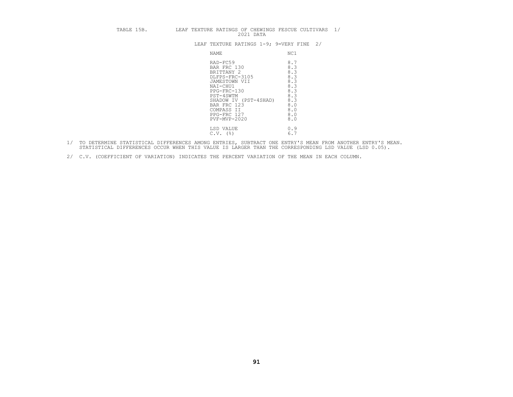| BLE 15B. |  |  |           | LEAF TEXTURE RATINGS OF CHEWINGS FESCUE CULTIVARS |  |
|----------|--|--|-----------|---------------------------------------------------|--|
|          |  |  | 2021 DATA |                                                   |  |

|  | 2021 DATA                                                                                                                                                                                             | TABLE 15B. TEAF TEXTURE RATINGS OF CHEWINGS FESCUE CULTIVARS 1/                         |
|--|-------------------------------------------------------------------------------------------------------------------------------------------------------------------------------------------------------|-----------------------------------------------------------------------------------------|
|  | LEAF TEXTURE RATINGS 1-9; 9=VERY FINE 2/                                                                                                                                                              |                                                                                         |
|  | NAME                                                                                                                                                                                                  | NC1                                                                                     |
|  | RAD-FC59<br>BAR FRC 130<br>BRITTANY 2<br>DLFPS-FRC-3105<br>JAMESTOWN VII<br>NAI-CHU1<br>PPG-FRC-130<br>PST-4SWTM<br>SHADOW IV (PST-4SHAD)<br>BAR FRC 123<br>COMPASS II<br>PPG-FRC 127<br>PVF-MVP-2020 | 8.7<br>8.3<br>8.3<br>8.3<br>8.3<br>8.3<br>8.3<br>8.3<br>8.3<br>8.0<br>8.0<br>8.0<br>8.0 |
|  | LSD VALUE<br>$C.V.$ (%)                                                                                                                                                                               | 0.9<br>6.7                                                                              |

- 1/ TO DETERMINE STATISTICAL DIFFERENCES AMONG ENTRIES, SUBTRACT ONE ENTRY'S MEAN FROM ANOTHER ENTRY'S MEAN.<br>STATISTICAL DIFFERENCES OCCUR WHEN THIS VALUE IS LARGER THAN THE CORRESPONDING LSD VALUE (LSD 0.05).
- 2/ C.V. (COEFFICIENT OF VARIATION) INDICATES THE PERCENT VARIATION OF THE MEAN IN EACH COLUMN.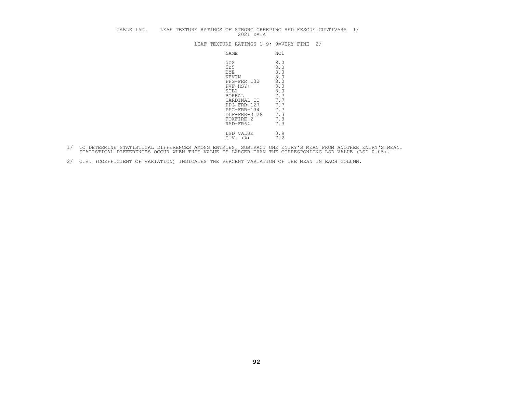| TABLE 15C. |  |  |                                           | 2021 DATA                                                                                                                      |                                                                                                | LEAF TEXTURE RATINGS OF STRONG CREEPING RED FESCUE CULTIVARS 1/ |  |
|------------|--|--|-------------------------------------------|--------------------------------------------------------------------------------------------------------------------------------|------------------------------------------------------------------------------------------------|-----------------------------------------------------------------|--|
|            |  |  |                                           | LEAF TEXTURE RATINGS 1-9; 9=VERY FINE                                                                                          |                                                                                                | 2/                                                              |  |
|            |  |  | <b>NAME</b>                               |                                                                                                                                | NC1                                                                                            |                                                                 |  |
|            |  |  | 522<br>525<br><b>BYE</b><br>KEVIN<br>STB1 | PPG-FRR 132<br>PVF-HSY+<br><b>BOREAL</b><br>CARDINAL II<br>PPG-FRR 127<br>PPG-FRR-134<br>DLF-FRR-3128<br>FOXFIRE 2<br>RAD-FR64 | 8.0<br>8.0<br>8.0<br>8.0<br>8.0<br>8.0<br>8.0<br>7.7<br>7.7<br>7.7<br>7.7<br>7.3<br>7.3<br>7.3 |                                                                 |  |
|            |  |  |                                           | LSD VALUE<br>$C.V.$ (%)                                                                                                        | 0.9<br>7.2                                                                                     |                                                                 |  |

- 1/ TO DETERMINE STATISTICAL DIFFERENCES AMONG ENTRIES, SUBTRACT ONE ENTRY'S MEAN FROM ANOTHER ENTRY'S MEAN.<br>STATISTICAL DIFFERENCES OCCUR WHEN THIS VALUE IS LARGER THAN THE CORRESPONDING LSD VALUE (LSD 0.05).
- 2/ C.V. (COEFFICIENT OF VARIATION) INDICATES THE PERCENT VARIATION OF THE MEAN IN EACH COLUMN.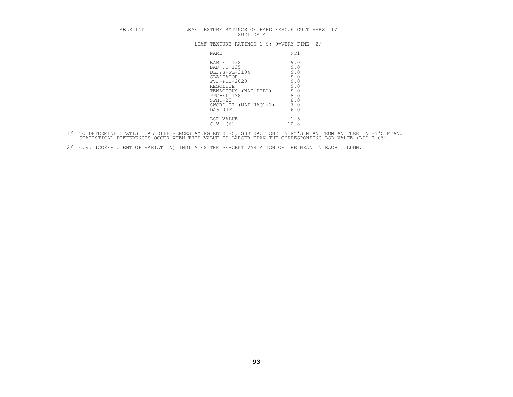| TABLE 15D. | LEAF TEXTURE RATINGS OF HARD FESCUE CULTIVARS<br>2021 DATA                                                                                                                                                                                                         | 1/ |
|------------|--------------------------------------------------------------------------------------------------------------------------------------------------------------------------------------------------------------------------------------------------------------------|----|
|            | 2/<br>LEAF TEXTURE RATINGS 1-9; 9=VERY FINE                                                                                                                                                                                                                        |    |
|            | <b>NAME</b><br>NC1                                                                                                                                                                                                                                                 |    |
|            | 9.0<br>BAR FT 132<br>9.0<br><b>BAR FT 135</b><br>9.0<br>DLFPS-FL-3104<br>9.0<br>GLADIATOR<br>9.0<br>PVF-PDB-2020<br>9.0<br>RESOLUTE<br>9.0<br>TENACIOUS (NAI-HTB2)<br>8.0<br>PPG-FL 128<br>8.0<br>$SPHD-20$<br>7.0<br>SWORD II<br>$(NAI-HAO1+2)$<br>6.0<br>DA5-RHF |    |
|            | 1.5<br>LSD VALUE<br>$C.V.$ (%)<br>10.8                                                                                                                                                                                                                             |    |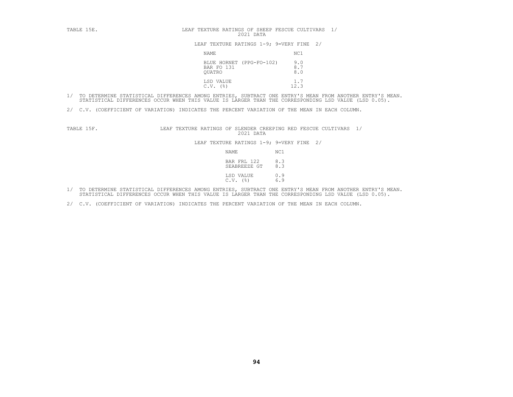| TABLE 15E. | LEAF TEXTURE RATINGS OF SHEEP FESCUE CULTIVARS 1/<br>2021 DATA |                   |  |
|------------|----------------------------------------------------------------|-------------------|--|
|            | LEAF TEXTURE RATINGS 1-9; 9=VERY FINE 2/                       |                   |  |
|            | NAME                                                           | NC1               |  |
|            | BLUE HORNET (PPG-FO-102)<br>BAR FO 131<br>OUATRO               | 9.0<br>8.7<br>8.0 |  |
|            | LSD VALUE<br>(응)<br>C.V.                                       | 12.3              |  |

- 1/ TO DETERMINE STATISTICAL DIFFERENCES AMONG ENTRIES, SUBTRACT ONE ENTRY'S MEAN FROM ANOTHER ENTRY'S MEAN.<br>STATISTICAL DIFFERENCES OCCUR WHEN THIS VALUE IS LARGER THAN THE CORRESPONDING LSD VALUE (LSD 0.05).
- 2/ C.V. (COEFFICIENT OF VARIATION) INDICATES THE PERCENT VARIATION OF THE MEAN IN EACH COLUMN.

TABLE 15F. LEAF TEXTURE RATINGS OF SLENDER CREEPING RED FESCUE CULTIVARS 1/<br>2021 DATA LEAF TEXTURE RATINGS 1-9; 9=VERY FINE 2/<br>NAME NC1 BAR FRL 122 8.3<br>SEABREEZE GT 8.3

| NAME                        | NC1        |
|-----------------------------|------------|
| BAR FRL 122<br>SEABREEZE GT | 8.3<br>8.3 |
| LSD VALUE<br>$C.V.$ (%)     | 0.9<br>6.9 |

- 1/ TO DETERMINE STATISTICAL DIFFERENCES AMONG ENTRIES, SUBTRACT ONE ENTRY'S MEAN FROM ANOTHER ENTRY'S MEAN.<br>STATISTICAL DIFFERENCES OCCUR WHEN THIS VALUE IS LARGER THAN THE CORRESPONDING LSD VALUE (LSD 0.05).
- 2/ C.V. (COEFFICIENT OF VARIATION) INDICATES THE PERCENT VARIATION OF THE MEAN IN EACH COLUMN.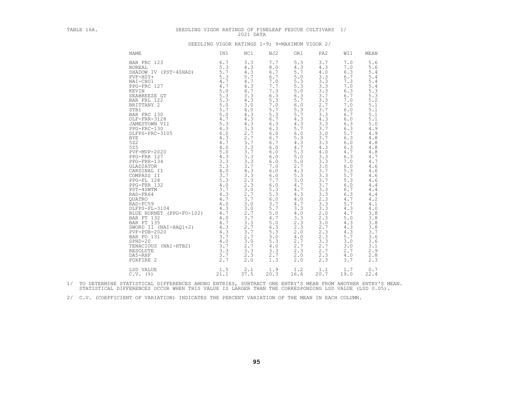# TABLE 16A. SEEDLING VIGOR RATINGS OF FINELEAF FESCUE CULTIVARS 1/<br>2021 DATA 2021 DATA SEEDLING VIGOR RATINGS 1-9; 9=MAXIMUM VIGOR 2/

| SEEDLING VIGOR RATINGS |  |  | 9=MAXIMUM VIGOR 2 |  |
|------------------------|--|--|-------------------|--|
|                        |  |  |                   |  |

| <b>NAME</b>                                                                                                                                                                                                                                                                                                                                                                                                                                                                                                                                                                                                                                                                    | IN1                                                                                                                                                                                                                                                                                                                                            | NC1                                                                                                                                                                                                                                                                                                                                                                                    | NJ2                                                                                                                                                                                                                                                                                                                                     | OR1                                                                                                                                                                                                                                                                                                              | PA <sub>2</sub>                                                                                                                                                                                                                                                                                                  | WI1                                                                                                                                                                                                                                                                                                              | MEAN                                                                                                                                                                                                                                                                                                             |
|--------------------------------------------------------------------------------------------------------------------------------------------------------------------------------------------------------------------------------------------------------------------------------------------------------------------------------------------------------------------------------------------------------------------------------------------------------------------------------------------------------------------------------------------------------------------------------------------------------------------------------------------------------------------------------|------------------------------------------------------------------------------------------------------------------------------------------------------------------------------------------------------------------------------------------------------------------------------------------------------------------------------------------------|----------------------------------------------------------------------------------------------------------------------------------------------------------------------------------------------------------------------------------------------------------------------------------------------------------------------------------------------------------------------------------------|-----------------------------------------------------------------------------------------------------------------------------------------------------------------------------------------------------------------------------------------------------------------------------------------------------------------------------------------|------------------------------------------------------------------------------------------------------------------------------------------------------------------------------------------------------------------------------------------------------------------------------------------------------------------|------------------------------------------------------------------------------------------------------------------------------------------------------------------------------------------------------------------------------------------------------------------------------------------------------------------|------------------------------------------------------------------------------------------------------------------------------------------------------------------------------------------------------------------------------------------------------------------------------------------------------------------|------------------------------------------------------------------------------------------------------------------------------------------------------------------------------------------------------------------------------------------------------------------------------------------------------------------|
| BAR FRC 123<br><b>BOREAL</b><br>SHADOW IV (PST-4SHAD)<br>PVF-HSY+<br>NAI-CHU1<br>PPG-FRC 127<br>KEVIN<br>SEABREEZE GT<br>BAR FRL 122<br>BRITTANY 2<br>STB1<br>BAR FRC 130<br>DLF-FRR-3128<br>JAMESTOWN VII<br>PPG-FRC-130<br>DLFPS-FRC-3105<br><b>BYE</b><br>522<br>525<br>PVF-MVP-2020<br>PPG-FRR 127<br>PPG-FRR-134<br>GLADIATOR<br>CARDINAL II<br>COMPASS II<br>PPG-FL 128<br>PPG-FRR 132<br>PST-4SWTM<br>RAD-FR64<br><b>OUATRO</b><br>RAD-FC59<br>DLFPS-FL-3104<br>BLUE HORNET (PPG-FO-102)<br>BAR FT 132<br>BAR FT 135<br>SWORD II (NAI-HAO1+2)<br>$PVF - PDB - 2020$<br>BAR FO 131<br>$SPHD-20$<br>TENACIOUS (NAI-HTB2)<br>RESOLUTE<br>DA5-RHF<br>FOXFIRE 2<br>LSD VALUE | 6.7<br>5.3<br>5.7<br>5.3<br>4.7<br>4.7<br>5.0<br>5.3<br>5.0<br>5.7<br>5.0<br>4.7<br>5.3<br>4.3<br>6.0<br>4.3<br>4.7<br>$4.0$<br>5.0<br>4.3<br>3.3<br>$\overline{5}$ . $\overline{3}$<br>4.0<br>3.7<br>5.3<br>4.0<br>3.7<br>4.3<br>4.7<br>4.0<br>4.3<br>4.7<br>$\frac{4}{4}$ . 7<br>4.3<br>4.3<br>3.7<br>4.0<br>3.7<br>3.3<br>3.7<br>2.7<br>1.5 | 3.3<br>4.3<br>4.3<br>5.7<br>4.7<br>4.3<br>4.7<br>3.3<br>4.3<br>3.0<br>$4\,.$ $0\,$<br>4.3<br>4.3<br>4.3<br>3.3<br>$2.7$<br>2.7<br>3.7<br>3.3<br>$3.\overline{7}$<br>3.3<br>$\overline{3}$ $\overline{3}$<br>3.7<br>4.3<br>3.3<br>2.3<br>2.3<br>3.0<br>$\frac{2.7}{3.7}$<br>3.0<br>3.0<br>2.7<br>3.7<br>3.3<br>2.7<br>$\overline{3.7}$<br>2.7<br>3.0<br>2.7<br>3.3<br>2.3<br>2.0<br>2.1 | 7.7<br>8.0<br>6.7<br>6.7<br>7.0<br>7.7<br>7.3<br>6.3<br>5.3<br>7.0<br>5.7<br>5.3<br>6.7<br>6.3<br>6.3<br>6.0<br>6.7<br>6.7<br>6.0<br>6.0<br>6.0<br>6.0<br>7.0<br>6.0<br>6.0<br>7.7<br>6.0<br>5.3<br>$\frac{5 \cdot 3}{6 \cdot 0}$<br>3.7<br>5.7<br>5.0<br>4.7<br>5.0<br>$6.3$<br>$5.3$<br>3.0<br>5.3<br>4.0<br>3.3<br>2.7<br>1.3<br>1.9 | 5.3<br>4.3<br>5.7<br>5.0<br>5.3<br>5.3<br>5.0<br>6.3<br>5.7<br>6.0<br>5.3<br>5.7<br>4.3<br>4.3<br>5.7<br>6.0<br>5.3<br>4.3<br>4.7<br>5.3<br>5.0<br>5.0<br>2.7<br>4.3<br>5.3<br>3.0<br>4.7<br>4.7<br>4.3<br>4.0<br>4.7<br>3.3<br>4.0<br>3.3<br>2.3<br>2.3<br>2.0<br>4.0<br>2.7<br>2.7<br>2.3<br>2.0<br>2.0<br>1.2 | 3.7<br>4.3<br>4.0<br>3.3<br>3.3<br>3.3<br>3.3<br>3.7<br>3.3<br>2.7<br>3.7<br>3.3<br>4.3<br>3.3<br>3.7<br>3.0<br>3.7<br>3.3<br>4.3<br>4.0<br>3.3<br>3.3<br>3.0<br>3.7<br>3.3<br>3.7<br>3.7<br>3.3<br>3.3<br>2.3<br>3.3<br>3.3<br>2.0<br>2.3<br>3.0<br>2.7<br>2.3<br>2.3<br>3.3<br>2.7<br>2.7<br>2.3<br>2.3<br>1.1 | 7.0<br>7.0<br>6.3<br>6.7<br>7.3<br>7.0<br>6.3<br>6.7<br>7.0<br>7.0<br>6.0<br>6.7<br>6.0<br>6.3<br>6.3<br>5.7<br>6.3<br>6.0<br>6.3<br>4.7<br>6.3<br>7.0<br>6.0<br>5.3<br>5.7<br>5.3<br>6.0<br>6.7<br>6.3<br>4.7<br>5.7<br>4.3<br>4.7<br>5.0<br>4.3<br>4.3<br>4.3<br>5.7<br>3.0<br>3.0<br>2.7<br>4.0<br>3.7<br>1.7 | 5.6<br>5.6<br>5.4<br>5.4<br>5.4<br>5.4<br>5.3<br>5.3<br>5.2<br>5.1<br>5.1<br>5.1<br>5.1<br>5.0<br>4.9<br>4.9<br>4.8<br>4.8<br>4.8<br>4.8<br>4.7<br>4.7<br>4.6<br>4.6<br>4.6<br>4.6<br>4.4<br>4.4<br>4.4<br>4.2<br>4.1<br>4.0<br>3.8<br>3.8<br>3.8<br>3.8<br>3.7<br>3.6<br>3.6<br>3.1<br>2.9<br>2.8<br>2.3<br>0.7 |
| $C.V.$ (%)                                                                                                                                                                                                                                                                                                                                                                                                                                                                                                                                                                                                                                                                     | 21.1                                                                                                                                                                                                                                                                                                                                           | 37.5                                                                                                                                                                                                                                                                                                                                                                                   | 20.3                                                                                                                                                                                                                                                                                                                                    | 16.6                                                                                                                                                                                                                                                                                                             | 20.7                                                                                                                                                                                                                                                                                                             | 19.0                                                                                                                                                                                                                                                                                                             | 22.4                                                                                                                                                                                                                                                                                                             |

1/ TO DETERMINE STATISTICAL DIFFERENCES AMONG ENTRIES, SUBTRACT ONE ENTRY'S MEAN FROM ANOTHER ENTRY'S MEAN.<br>STATISTICAL DIFFERENCES OCCUR WHEN THIS VALUE IS LARGER THAN THE CORRESPONDING LSD VALUE (LSD 0.05).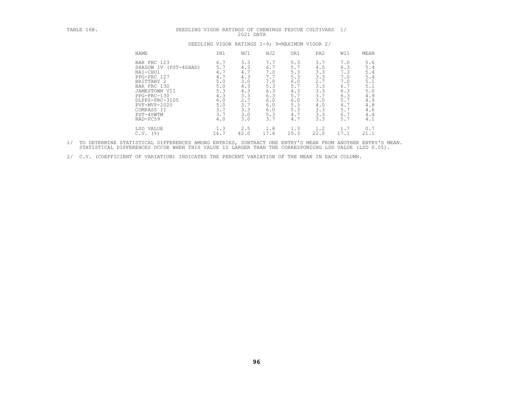| TABLE 16B. | SEEDLING VIGOR RATINGS OF CHEWINGS FESCUE CULTIVARS 1/                                                                                                                                                             |                                                                                         | 2021 DATA                                                                               |                                                                                         |                                                                                         |                                                                                         |                                                                                         |                                                                                         |
|------------|--------------------------------------------------------------------------------------------------------------------------------------------------------------------------------------------------------------------|-----------------------------------------------------------------------------------------|-----------------------------------------------------------------------------------------|-----------------------------------------------------------------------------------------|-----------------------------------------------------------------------------------------|-----------------------------------------------------------------------------------------|-----------------------------------------------------------------------------------------|-----------------------------------------------------------------------------------------|
|            |                                                                                                                                                                                                                    |                                                                                         |                                                                                         | SEEDLING VIGOR RATINGS 1-9; 9=MAXIMUM VIGOR 2/                                          |                                                                                         |                                                                                         |                                                                                         |                                                                                         |
|            | NAME                                                                                                                                                                                                               | IN1                                                                                     | NC1                                                                                     | NJ2                                                                                     | OR1                                                                                     | PA <sub>2</sub>                                                                         | WI1                                                                                     | MEAN                                                                                    |
|            | BAR FRC 123<br>SHADOW IV (PST-4SHAD)<br>NAI-CHU1<br>PPG-FRC 127<br>BRITTANY <sub>2</sub><br>BAR FRC 130<br>JAMESTOWN VII<br>PPG-FRC-130<br>DLFPS-FRC-3105<br>$PVF-MVP-2020$<br>COMPASS II<br>PST-4SWTM<br>RAD-FC59 | 6.7<br>5.7<br>4.7<br>4.7<br>5.0<br>5.0<br>5.3<br>4.3<br>6.0<br>5.0<br>3.7<br>3.7<br>4.0 | 3.3<br>4.3<br>4.7<br>4.3<br>3.0<br>4.3<br>4.3<br>3.3<br>2.7<br>3.7<br>3.3<br>3.0<br>3.0 | 7.7<br>6.7<br>7.0<br>7.7<br>7.0<br>5.3<br>6.3<br>6.3<br>6.0<br>6.0<br>6.0<br>5.3<br>3.7 | 5.3<br>5.7<br>5.3<br>5.3<br>6.0<br>5.7<br>4.3<br>5.7<br>6.0<br>5.3<br>5.3<br>4.7<br>4.7 | 3.7<br>4.0<br>3.3<br>3.3<br>2.7<br>3.3<br>3.3<br>3.7<br>3.0<br>4.0<br>3.3<br>3.3<br>3.3 | 7.0<br>6.3<br>7.3<br>7.0<br>7.0<br>6.7<br>6.3<br>6.3<br>5.7<br>4.7<br>5.7<br>6.7<br>5.7 | 5.6<br>5.4<br>5.4<br>5.4<br>5.1<br>5.1<br>5.0<br>4.9<br>4.9<br>4.8<br>4.6<br>4.4<br>4.1 |
|            | LSD VALUE<br>$C.V.$ (%)                                                                                                                                                                                            | 1.3<br>16.7                                                                             | 2.5<br>42.0                                                                             | 1.8<br>17.6                                                                             | 1.3<br>15.3                                                                             | 1.2<br>22.0                                                                             | 1.7<br>17.1                                                                             | 0.7<br>21.1                                                                             |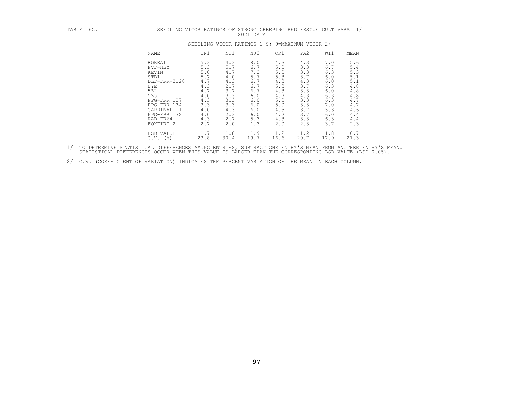| TABLE 16C. | SEEDLING VIGOR RATINGS OF                                                                                                                                            |                                                                                                |                                                                                                | STRONG CREEPING RED FESCUE CULTIVARS<br>2021 DATA                                              |                                                                                                |                                                                                                |                                                                                                | 1/                                                                                             |
|------------|----------------------------------------------------------------------------------------------------------------------------------------------------------------------|------------------------------------------------------------------------------------------------|------------------------------------------------------------------------------------------------|------------------------------------------------------------------------------------------------|------------------------------------------------------------------------------------------------|------------------------------------------------------------------------------------------------|------------------------------------------------------------------------------------------------|------------------------------------------------------------------------------------------------|
|            |                                                                                                                                                                      |                                                                                                |                                                                                                | SEEDLING VIGOR RATINGS 1-9; 9=MAXIMUM VIGOR 2/                                                 |                                                                                                |                                                                                                |                                                                                                |                                                                                                |
|            | NAME                                                                                                                                                                 | IN1                                                                                            | NC1                                                                                            | NJ2                                                                                            | OR1                                                                                            | PA <sub>2</sub>                                                                                | WI1                                                                                            | MEAN                                                                                           |
|            | <b>BOREAL</b><br>PVF-HSY+<br>KEVIN<br>STB1<br>DLF-FRR-3128<br>BYE<br>522<br>525<br>PPG-FRR 127<br>PPG-FRR-134<br>CARDINAL II<br>PPG-FRR 132<br>RAD-FR64<br>FOXFIRE 2 | 5.3<br>5.3<br>5.0<br>5.7<br>4.7<br>4.3<br>4.7<br>4.0<br>4.3<br>3.3<br>4.0<br>4.0<br>4.3<br>2.7 | 4.3<br>5.7<br>4.7<br>4.0<br>4.3<br>2.7<br>3.7<br>3.3<br>3.3<br>3.3<br>4.3<br>2.3<br>2.7<br>2.0 | 8.0<br>6.7<br>7.3<br>5.7<br>6.7<br>6.7<br>6.7<br>6.0<br>6.0<br>6.0<br>6.0<br>6.0<br>5.3<br>1.3 | 4.3<br>5.0<br>5.0<br>5.3<br>4.3<br>5.3<br>4.3<br>4.7<br>5.0<br>5.0<br>4.3<br>4.7<br>4.3<br>2.0 | 4.3<br>3.3<br>3.3<br>3.7<br>4.3<br>3.7<br>3.3<br>4.3<br>3.3<br>3.3<br>3.7<br>3.7<br>3.3<br>2.3 | 7.0<br>6.7<br>6.3<br>6.0<br>6.0<br>6.3<br>6.0<br>6.3<br>6.3<br>7.0<br>5.3<br>6.0<br>6.3<br>3.7 | 5.6<br>5.4<br>5.3<br>5.1<br>5.1<br>4.8<br>4.8<br>4.8<br>4.7<br>4.7<br>4.6<br>4.4<br>4.4<br>2.3 |
|            | LSD VALUE<br>$C.V.$ ( $\S$ )                                                                                                                                         | 1.7<br>23.8                                                                                    | 1.8<br>30.4                                                                                    | 1.9<br>19.7                                                                                    | 1.2<br>16.6                                                                                    | 1.2<br>20.7                                                                                    | 1.8<br>17.9                                                                                    | 0.7<br>21.3                                                                                    |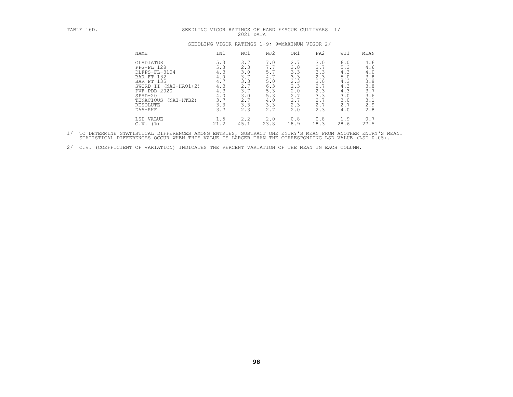| TABLE 16D. | 1/<br>SEEDLING VIGOR RATINGS OF HARD FESCUE CULTIVARS<br>2021 DATA                                                                                                                                        |                                                                           |                                                                           |                                                                             |                                                                           |                                                                           |                                                                           |                                                                           |  |
|------------|-----------------------------------------------------------------------------------------------------------------------------------------------------------------------------------------------------------|---------------------------------------------------------------------------|---------------------------------------------------------------------------|-----------------------------------------------------------------------------|---------------------------------------------------------------------------|---------------------------------------------------------------------------|---------------------------------------------------------------------------|---------------------------------------------------------------------------|--|
|            | SEEDLING VIGOR RATINGS 1-9; 9=MAXIMUM VIGOR 2/                                                                                                                                                            |                                                                           |                                                                           |                                                                             |                                                                           |                                                                           |                                                                           |                                                                           |  |
|            | <b>NAME</b>                                                                                                                                                                                               | IN1                                                                       | NC1                                                                       | NJ2                                                                         | OR1                                                                       | PA <sub>2</sub>                                                           | WI1                                                                       | MEAN                                                                      |  |
|            | <b>GLADIATOR</b><br>PPG-FL 128<br>DLFPS-FL-3104<br>BAR FT 132<br><b>BAR FT 135</b><br>SWORD II (NAI-HAQ1+2)<br>$PVF - PDB - 2020$<br>$SPHD-20$<br>TENACIOUS<br>$(NAI-HTB2)$<br><b>RESOLUTE</b><br>DA5-RHF | 5.3<br>5.3<br>4.3<br>4.0<br>4.7<br>4.3<br>4.3<br>4.0<br>3.7<br>3.3<br>3.7 | 3.7<br>2.3<br>3.0<br>3.7<br>3.3<br>2.7<br>3.7<br>3.0<br>2.7<br>3.3<br>2.3 | 7.0<br>7.7<br>5.7<br>4.7<br>$5.0$<br>6.3<br>5.3<br>5.3<br>4.0<br>3.3<br>2.7 | 2.7<br>3.0<br>3.3<br>3.3<br>2.3<br>2.3<br>2.0<br>2.7<br>2.7<br>2.3<br>2.0 | 3.0<br>3.7<br>3.3<br>2.3<br>3.0<br>2.7<br>2.3<br>3.3<br>2.7<br>2.7<br>2.3 | 6.0<br>5.3<br>4.3<br>5.0<br>4.3<br>4.3<br>4.3<br>3.0<br>3.0<br>2.7<br>4.0 | 4.6<br>4.6<br>4.0<br>3.8<br>3.8<br>3.8<br>3.7<br>3.6<br>3.1<br>2.9<br>2.8 |  |
|            | LSD VALUE<br>$C.V.$ (%)                                                                                                                                                                                   | 1.5<br>21.2                                                               | 2.2<br>45.1                                                               | 2.0<br>23.8                                                                 | 0.8<br>18.9                                                               | 0.8<br>18.3                                                               | 1.9<br>28.6                                                               | 0.7<br>27.5                                                               |  |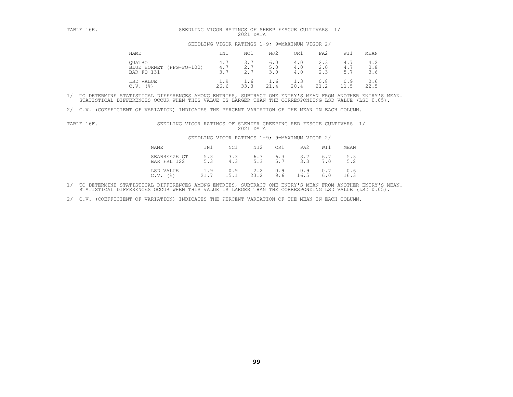| TABLE 16E. | SEEDLING VIGOR RATINGS OF SHEEP FESCUE CULTIVARS 1/<br>2021 DATA |                   |                   |                                                |                   |                   |                   |                   |  |
|------------|------------------------------------------------------------------|-------------------|-------------------|------------------------------------------------|-------------------|-------------------|-------------------|-------------------|--|
|            |                                                                  |                   |                   | SEEDLING VIGOR RATINGS 1-9; 9=MAXIMUM VIGOR 2/ |                   |                   |                   |                   |  |
|            | NAME                                                             | IN1               | NC1               | NJ2                                            | OR1               | PA <sub>2</sub>   | WI1               | MEAN              |  |
|            | <b>OUATRO</b><br>BLUE HORNET (PPG-FO-102)<br>BAR FO 131          | 4.7<br>4.7<br>3.7 | 3.7<br>2.7<br>2.7 | 6.0<br>5.0<br>3.0                              | 4.0<br>4.0<br>4.0 | 2.3<br>2.0<br>2.3 | 4.7<br>4.7<br>5.7 | 4.2<br>3.8<br>3.6 |  |
|            | LSD VALUE<br>$($ $\frac{6}{6}$ $)$<br>C.V.                       | 1.9<br>26.6       | 1.6<br>33.3       | 1.6<br>21.4                                    | 1.3<br>20.4       | 0.8<br>21.2       | 0.9<br>11.5       | 0.6<br>22.5       |  |

2/ C.V. (COEFFICIENT OF VARIATION) INDICATES THE PERCENT VARIATION OF THE MEAN IN EACH COLUMN.

| TABLE 16F. | SEEDLING VIGOR RATINGS OF SLENDER CREEPING RED FESCUE CULTIVARS |             |                                                | 2021 DATA   |            |             |            |             |  |
|------------|-----------------------------------------------------------------|-------------|------------------------------------------------|-------------|------------|-------------|------------|-------------|--|
|            |                                                                 |             | SEEDLING VIGOR RATINGS 1-9; 9=MAXIMUM VIGOR 2/ |             |            |             |            |             |  |
|            | <b>NAME</b>                                                     | IN1         | NC1                                            | NJ2         | OR1        | PA2         | WI1        | MEAN        |  |
|            | SEABREEZE GT<br>BAR FRL 122                                     | 5.3<br>5.3  | 3.3<br>4.3                                     | 6.3<br>5.3  | 6.3<br>5.7 | 3.7<br>3.3  | 6.7<br>7.0 | 5.3<br>5.2  |  |
|            | LSD VALUE<br>C.V.<br>(응)                                        | 1.9<br>21.7 | 0.9<br>15.1                                    | 2.2<br>23.2 | 0.9<br>9.6 | 0.9<br>16.5 | 0.7<br>6.0 | 0.6<br>16.3 |  |

1/ TO DETERMINE STATISTICAL DIFFERENCES AMONG ENTRIES, SUBTRACT ONE ENTRY'S MEAN FROM ANOTHER ENTRY'S MEAN.<br>STATISTICAL DIFFERENCES OCCUR WHEN THIS VALUE IS LARGER THAN THE CORRESPONDING LSD VALUE (LSD 0.05).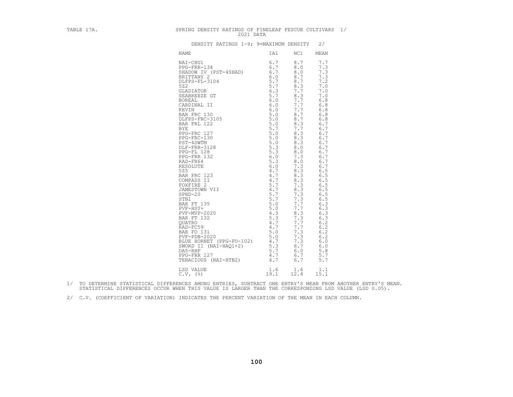| TABLE 17A. | SPRING DENSITY RATINGS OF FINELEAF FESCUE CULTIVARS 1/<br>2021 DATA |         |                                                                                                                                                                                                                                                                                                           |  |
|------------|---------------------------------------------------------------------|---------|-----------------------------------------------------------------------------------------------------------------------------------------------------------------------------------------------------------------------------------------------------------------------------------------------------------|--|
|            | DENSITY RATINGS 1-9; 9=MAXIMUM DENSITY 2/                           |         |                                                                                                                                                                                                                                                                                                           |  |
|            | NAME                                                                | IA1 NC1 | MEAN                                                                                                                                                                                                                                                                                                      |  |
|            |                                                                     |         | 7.7<br>7.3<br>7.3<br>7.3<br>7.2<br>7.0<br>7.0<br>7.0<br>6.8<br>6.8<br>6.8<br>6.8<br>6.8<br>6.7<br>6.7<br>6.7<br>6.7<br>6.7<br>6.7<br>6.7<br>6.7<br>6.7<br>6.7<br>6.5<br>6.5<br>6.5<br>6.5<br>6.5<br>6.5<br>6.5<br>6.3<br>6.3<br>6.3<br>6.3<br>6.2<br>6.2<br>6.2<br>6.2<br>6.0<br>6.0<br>5.8<br>5.7<br>5.7 |  |
|            | LSD VALUE<br>C.V. (%)<br>(3) 19.1 12.4 15.1                         |         |                                                                                                                                                                                                                                                                                                           |  |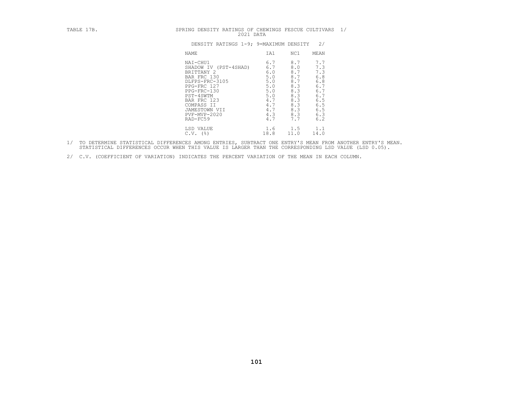| TABLE 17B. | SPRING DENSITY RATINGS OF CHEWINGS FESCUE CULTIVARS 1/<br>2021 DATA                                                                                                                                   |                                                                                           |                                                                                         |                                                                                               |
|------------|-------------------------------------------------------------------------------------------------------------------------------------------------------------------------------------------------------|-------------------------------------------------------------------------------------------|-----------------------------------------------------------------------------------------|-----------------------------------------------------------------------------------------------|
|            | DENSITY RATINGS 1-9; 9=MAXIMUM DENSITY                                                                                                                                                                |                                                                                           |                                                                                         | 2/                                                                                            |
|            | NAME                                                                                                                                                                                                  | IA1                                                                                       | NC1                                                                                     | MEAN                                                                                          |
|            | NAI-CHU1<br>SHADOW IV (PST-4SHAD)<br>BRITTANY 2<br>BAR FRC 130<br>DLFPS-FRC-3105<br>PPG-FRC 127<br>PPG-FRC-130<br>PST-4SWTM<br>BAR FRC 123<br>COMPASS II<br>JAMESTOWN VII<br>PVF-MVP-2020<br>RAD-FC59 | 6.7<br>6.7<br>6.0<br>5.0<br>$5.0$<br>5.0<br>5.0<br>5.0<br>4.7<br>4.7<br>4.7<br>4.3<br>4.7 | 8.7<br>8.0<br>8.7<br>8.7<br>8.7<br>8.3<br>8.3<br>8.3<br>8.3<br>8.3<br>8.3<br>8.3<br>7.7 | 7.7<br>7.3<br>7.3<br>$6.8$<br>$6.8$<br>$6.7$<br>6.7<br>6.7<br>6.5<br>6.5<br>6.5<br>6.3<br>6.2 |
|            | LSD VALUE<br>$C.V.$ (%)                                                                                                                                                                               | 1.6<br>18.8                                                                               | 1.5<br>11.0                                                                             | 1.1<br>14.0                                                                                   |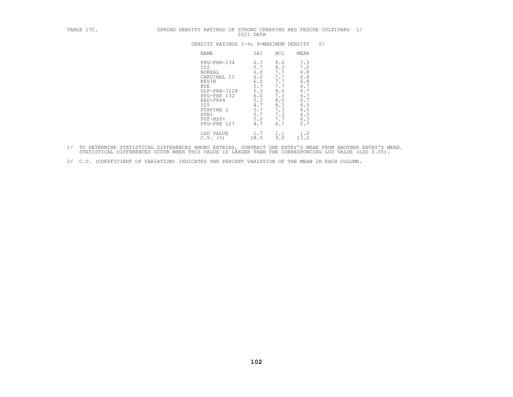|  |  |             |  | SPRING DENSITY RATINGS OF STRONG CREEPING RED FESCUE CULTIVARS |  |
|--|--|-------------|--|----------------------------------------------------------------|--|
|  |  | $2021$ DATA |  |                                                                |  |

| TABLE 17C. | SPRING DENSITY RATINGS OF STRONG CREEPING RED FESCUE CULTIVARS 1/<br>2021 DATA                                                                                                                                                                                                                                                                                                                                                                                        |
|------------|-----------------------------------------------------------------------------------------------------------------------------------------------------------------------------------------------------------------------------------------------------------------------------------------------------------------------------------------------------------------------------------------------------------------------------------------------------------------------|
|            | 2/<br>DENSITY RATINGS 1-9; 9=MAXIMUM DENSITY                                                                                                                                                                                                                                                                                                                                                                                                                          |
|            | NC1<br>NAME<br>IA1<br>MEAN                                                                                                                                                                                                                                                                                                                                                                                                                                            |
|            | 8.0<br>7.3<br>PPG-FRR-134<br>6.7<br>5.7<br>8.3<br>7.0<br>522<br>6.8<br>7.7<br>6.0<br>BOREAL<br>6.8<br>7.7<br>6.0<br>CARDINAL II<br>6.8<br>7.7<br>6.0<br>KEVIN<br>6.7<br>5.7<br>7.7<br>BYE<br>6.7<br>5.3<br>8.0<br>DLF-FRR-3128<br>6.7<br>6.0<br>7.3<br>PPG-FRR 132<br>6.7<br>5.3<br>8.0<br>RAD-FR64<br>8.3<br>4.7<br>6.5<br>525<br>7.3<br>5.7<br>6.5<br>FOXFIRE 2<br>6.5<br>5.7<br>7.3<br>STB1<br>7.7<br>6.3<br>5.0<br>$PVF-HSY+$<br>5.7<br>4.7<br>6.7<br>PPG-FRR 127 |
|            | 1.7<br>LSD VALUE<br>1.1<br>1.0<br>13.2<br>$C.V.$ (%)<br>18.5<br>9.0                                                                                                                                                                                                                                                                                                                                                                                                   |

- 1/ TO DETERMINE STATISTICAL DIFFERENCES AMONG ENTRIES, SUBTRACT ONE ENTRY'S MEAN FROM ANOTHER ENTRY'S MEAN.<br>STATISTICAL DIFFERENCES OCCUR WHEN THIS VALUE IS LARGER THAN THE CORRESPONDING LSD VALUE (LSD 0.05).
- 2/ C.V. (COEFFICIENT OF VARIATION) INDICATES THE PERCENT VARIATION OF THE MEAN IN EACH COLUMN.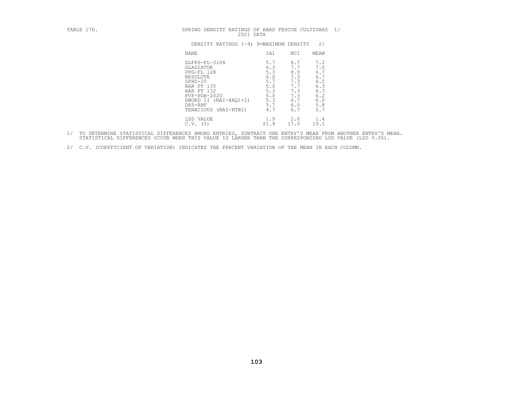|  | T<br>. אי<br>г<br>٩T<br>۹I<br>. . |  |
|--|-----------------------------------|--|
|--|-----------------------------------|--|

| TABLE 17D. | SPRING DENSITY RATINGS OF HARD FESCUE CULTIVARS<br>2021 DATA                                                                                                                                 |                                                                           |                                                                           |                                                                           | 1/ |
|------------|----------------------------------------------------------------------------------------------------------------------------------------------------------------------------------------------|---------------------------------------------------------------------------|---------------------------------------------------------------------------|---------------------------------------------------------------------------|----|
|            | DENSITY RATINGS 1-9; 9=MAXIMUM DENSITY                                                                                                                                                       |                                                                           |                                                                           | 2/                                                                        |    |
|            | NAME                                                                                                                                                                                         | IA1                                                                       | NC1                                                                       | MEAN                                                                      |    |
|            | DLFPS-FL-3104<br>GLADIATOR<br>PPG-FL 128<br>RESOLUTE<br>$SPHD-20$<br><b>BAR FT 135</b><br>BAR FT 132<br>$PVF - PDB - 2020$<br>(NAI-HAO1+2)<br>SWORD II<br>DA5-RHF<br>TENACIOUS<br>(NAI-HTB2) | 5.7<br>6.3<br>5.3<br>6.0<br>5.7<br>5.0<br>5.3<br>5.0<br>5.3<br>5.7<br>4.7 | 8.7<br>7.7<br>8.0<br>7.3<br>7.3<br>7.7<br>7.3<br>7.3<br>6.7<br>6.0<br>6.7 | 7.2<br>7.0<br>6.7<br>6.7<br>6.5<br>6.3<br>6.3<br>6.2<br>6.0<br>5.8<br>5.7 |    |
|            | LSD VALUE<br>$C.V.$ (%)                                                                                                                                                                      | 1.9<br>21.9                                                               | 2.0<br>17.0                                                               | 1.4<br>19.1                                                               |    |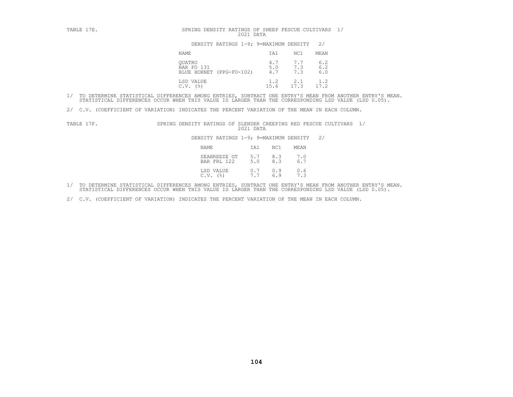| TABLE 17E. | SPRING DENSITY RATINGS OF SHEEP FESCUE CULTIVARS 1/<br>2021 DATA |                   |                   |                         |  |
|------------|------------------------------------------------------------------|-------------------|-------------------|-------------------------|--|
|            | DENSITY RATINGS 1-9; 9=MAXIMUM DENSITY                           |                   |                   | 2/                      |  |
|            | NAME                                                             | IA1               | NC1               | MEAN                    |  |
|            | OUATRO<br>BAR FO 131<br>BLUE HORNET (PPG-FO-102)                 | 4.7<br>5.0<br>4.7 | 7.7<br>7.3<br>7.3 | $6.2$<br>$6.2$<br>$6.0$ |  |
|            | LSD VALUE<br>(응)<br>C.V.                                         | 1.2<br>15.6       | 2.1<br>17.3       | 1.2<br>17.2             |  |

2/ C.V. (COEFFICIENT OF VARIATION) INDICATES THE PERCENT VARIATION OF THE MEAN IN EACH COLUMN.

TABLE 17F. SPRING DENSITY RATINGS OF SLENDER CREEPING RED FESCUE CULTIVARS 1/<br>2021 DATA DENSITY RATINGS 1-9; 9=MAXIMUM DENSITY 2/<br>NAME 1A1 NC1 MEAN SEABREEZE GT 5.7 8.3 7.0<br>BAR FRL 122 5.0 8.3 6.7

| NAME                                    | IA1              | NC1 | MEAN       |
|-----------------------------------------|------------------|-----|------------|
| SEABREEZE GT 5.7 8.3 7.0<br>BAR FRL 122 | 5.0              | 8.3 | 6.7        |
| LSD VALUE<br>$C.V.$ $(%)$               | $0.7$ 0.9<br>7.7 | 6.9 | 0.6<br>7.3 |

1/ TO DETERMINE STATISTICAL DIFFERENCES AMONG ENTRIES, SUBTRACT ONE ENTRY'S MEAN FROM ANOTHER ENTRY'S MEAN.<br>STATISTICAL DIFFERENCES OCCUR WHEN THIS VALUE IS LARGER THAN THE CORRESPONDING LSD VALUE (LSD 0.05).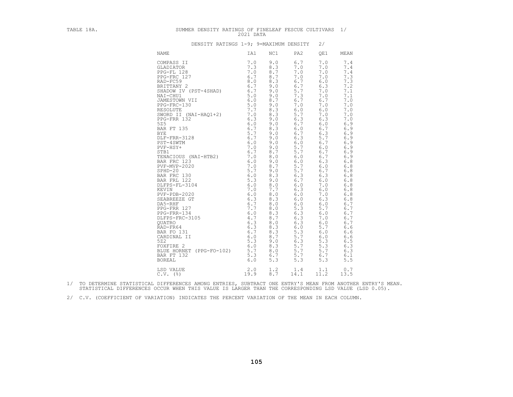| TABLE 18A. | SUMMER DENSITY RATINGS OF FINELEAF FESCUE CULTIVARS 1/ | 2021 DATA   |            |             |                                                                                                                                                                                                                                                                                                           |                                                                                                                                                                                                                                                                                                             |
|------------|--------------------------------------------------------|-------------|------------|-------------|-----------------------------------------------------------------------------------------------------------------------------------------------------------------------------------------------------------------------------------------------------------------------------------------------------------|-------------------------------------------------------------------------------------------------------------------------------------------------------------------------------------------------------------------------------------------------------------------------------------------------------------|
|            | DENSITY RATINGS 1-9; 9=MAXIMUM DENSITY                 |             |            |             | 2/                                                                                                                                                                                                                                                                                                        |                                                                                                                                                                                                                                                                                                             |
|            | NAME                                                   | IA1         | NC1        | PA2         | OE1                                                                                                                                                                                                                                                                                                       | MEAN                                                                                                                                                                                                                                                                                                        |
|            |                                                        |             |            |             | 7.0<br>7.0<br>7.0<br>7.0<br>6.0<br>6.3<br>7.0<br>7.0<br>6.7<br>7.0<br>6.0<br>7.0<br>6.3<br>6.0<br>6.7<br>6.3<br>5.7<br>6.7<br>6.0<br>6.7<br>6.7<br>6.3<br>6.0<br>6.7<br>6.3<br>6.0<br>7.0<br>6.0<br>7.0<br>6.3<br>6.0<br>5.7<br>6.0<br>7.0<br>6.0<br>5.7<br>6.0<br>6.0<br>5.3<br>5.3<br>5.7<br>6.7<br>5.3 | 7.4<br>7.4<br>7.4<br>7.3<br>7.3<br>7.2<br>7.1<br>7.1<br>7.0<br>7.0<br>7.0<br>7.0<br>7.0<br>6.9<br>6.9<br>6.9<br>6.9<br>6.9<br>6.9<br>6.9<br>6.9<br>6.8<br>$6.8$<br>6.8<br>6.8<br>6.8<br>6.8<br>6.8<br>6.8<br>6.8<br>6.7<br>6.7<br>6.7<br>6.7<br>6.7<br>6.6<br>6.6<br>6.6<br>6.5<br>6.3<br>6.3<br>6.1<br>5.5 |
|            | LSD VALUE<br>$C.V.$ (%)                                | 2.0<br>19.9 | 1.2<br>8.7 | 1.4<br>14.1 | 1.1<br>11.2                                                                                                                                                                                                                                                                                               | 0.7<br>13.5                                                                                                                                                                                                                                                                                                 |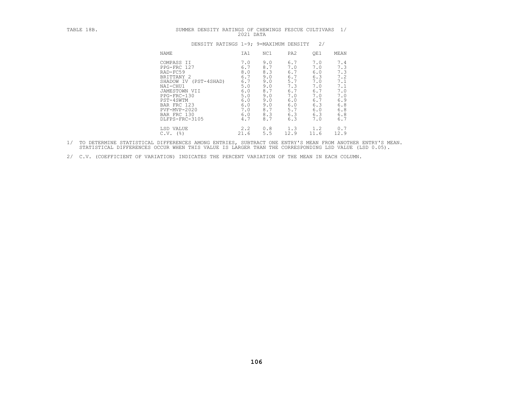| TABLE 18B. |                                                                                                                                                                                                       |  | 2021 DATA                                                                               | SUMMER DENSITY RATINGS OF CHEWINGS FESCUE CULTIVARS 1/                                  |                                                                                         |                                                                                         |                                                                                           |
|------------|-------------------------------------------------------------------------------------------------------------------------------------------------------------------------------------------------------|--|-----------------------------------------------------------------------------------------|-----------------------------------------------------------------------------------------|-----------------------------------------------------------------------------------------|-----------------------------------------------------------------------------------------|-------------------------------------------------------------------------------------------|
|            |                                                                                                                                                                                                       |  |                                                                                         | DENSITY RATINGS 1-9; 9=MAXIMUM DENSITY                                                  |                                                                                         | 2/                                                                                      |                                                                                           |
|            | NAME                                                                                                                                                                                                  |  | IA1                                                                                     | NC1                                                                                     | PA <sub>2</sub>                                                                         | QE1                                                                                     | MEAN                                                                                      |
|            | COMPASS II<br>PPG-FRC 127<br>RAD-FC59<br>BRITTANY 2<br>SHADOW IV (PST-4SHAD)<br>NAI-CHU1<br>JAMESTOWN VII<br>PPG-FRC-130<br>PST-4SWTM<br>BAR FRC 123<br>PVF-MVP-2020<br>BAR FRC 130<br>DLFPS-FRC-3105 |  | 7.0<br>6.7<br>8.0<br>6.7<br>6.7<br>5.0<br>6.0<br>5.0<br>6.0<br>6.0<br>7.0<br>6.0<br>4.7 | 9.0<br>8.7<br>8.3<br>9.0<br>9.0<br>9.0<br>8.7<br>9.0<br>9.0<br>9.0<br>8.7<br>8.3<br>8.7 | 6.7<br>7.0<br>6.7<br>6.7<br>5.7<br>7.3<br>6.7<br>7.0<br>6.0<br>6.0<br>5.7<br>6.3<br>6.3 | 7.0<br>7.0<br>6.0<br>6.3<br>7.0<br>7.0<br>6.7<br>7.0<br>6.7<br>6.3<br>6.0<br>6.3<br>7.0 | 7.4<br>7.3<br>7.3<br>7.2<br>7.1<br>7.1<br>7.0<br>7.0<br>6.9<br>$6.8$<br>6.8<br>6.8<br>6.7 |
|            | LSD VALUE<br>$C.V.$ (%)                                                                                                                                                                               |  | 2.2<br>21.6                                                                             | 0.8<br>5.5                                                                              | 1.3<br>12.9                                                                             | 1.2<br>11.6                                                                             | 0.7<br>12.9                                                                               |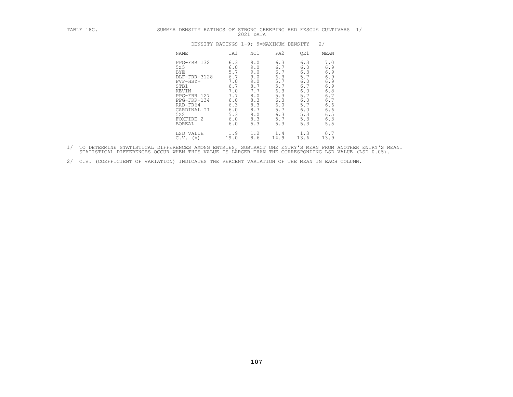| TABLE 18C. | SUMMER DENSITY RATINGS OF STRONG CREEPING RED FESCUE CULTIVARS 1/                                                                                                           |                                                                                                | 2021 DATA                                                                                      |                                                                                                |                                                                                                |                                                                                                |  |
|------------|-----------------------------------------------------------------------------------------------------------------------------------------------------------------------------|------------------------------------------------------------------------------------------------|------------------------------------------------------------------------------------------------|------------------------------------------------------------------------------------------------|------------------------------------------------------------------------------------------------|------------------------------------------------------------------------------------------------|--|
|            |                                                                                                                                                                             |                                                                                                | DENSITY RATINGS 1-9; 9=MAXIMUM DENSITY                                                         |                                                                                                |                                                                                                | 2/                                                                                             |  |
|            | NAME                                                                                                                                                                        | IA1                                                                                            | NC1                                                                                            | PA <sub>2</sub>                                                                                | QE1                                                                                            | <b>MEAN</b>                                                                                    |  |
|            | PPG-FRR 132<br>525<br><b>BYE</b><br>DLF-FRR-3128<br>PVF-HSY+<br>STB1<br>KEVIN<br>PPG-FRR 127<br>PPG-FRR-134<br>RAD-FR64<br>CARDINAL II<br>522<br>FOXFIRE 2<br><b>BOREAL</b> | 6.3<br>6.0<br>5.7<br>6.7<br>7.0<br>6.7<br>7.0<br>7.7<br>6.0<br>6.3<br>6.0<br>5.3<br>6.0<br>6.0 | 9.0<br>9.0<br>9.0<br>9.0<br>9.0<br>8.7<br>7.7<br>8.0<br>8.3<br>8.3<br>8.7<br>9.0<br>8.3<br>5.3 | 6.3<br>6.7<br>6.7<br>6.3<br>5.7<br>5.7<br>6.3<br>5.3<br>6.3<br>6.0<br>5.7<br>6.3<br>5.7<br>5.3 | 6.3<br>6.0<br>6.3<br>5.7<br>6.0<br>6.7<br>6.0<br>5.7<br>6.0<br>5.7<br>6.0<br>5.3<br>5.3<br>5.3 | 7.0<br>6.9<br>6.9<br>6.9<br>6.9<br>6.9<br>6.8<br>6.7<br>6.7<br>6.6<br>6.6<br>6.5<br>6.3<br>5.5 |  |
|            | LSD VALUE<br>$C.V.$ ( $\S$ )                                                                                                                                                | 1.9<br>19.0                                                                                    | 1.2<br>8.6                                                                                     | 1.4<br>14.9                                                                                    | 1.3<br>13.6                                                                                    | 0.7<br>13.9                                                                                    |  |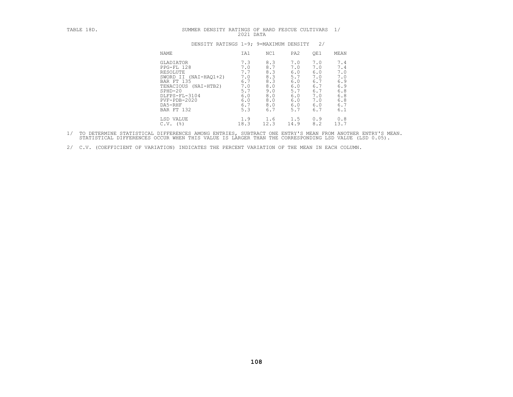| TABLE 18D. | SUMMER DENSITY RATINGS OF HARD FESCUE CULTIVARS                                                                                                                                      | 2021 DATA                                                                 |                                                                           |                                                                           |                                                                           | 1/                                                                        |
|------------|--------------------------------------------------------------------------------------------------------------------------------------------------------------------------------------|---------------------------------------------------------------------------|---------------------------------------------------------------------------|---------------------------------------------------------------------------|---------------------------------------------------------------------------|---------------------------------------------------------------------------|
|            | DENSITY RATINGS 1-9; 9=MAXIMUM DENSITY                                                                                                                                               |                                                                           |                                                                           |                                                                           | 2/                                                                        |                                                                           |
|            | NAME                                                                                                                                                                                 | IA1                                                                       | NC1                                                                       | PA <sub>2</sub>                                                           | QE1                                                                       | MEAN                                                                      |
|            | GLADIATOR<br>PPG-FL 128<br>RESOLUTE<br>$(NAI-HAO1+2)$<br>SWORD II<br>BAR FT 135<br>TENACIOUS (NAI-HTB2)<br>$SPHD-20$<br>DLFPS-FL-3104<br>$PVF - PDB - 2020$<br>DA5-RHF<br>BAR FT 132 | 7.3<br>7.0<br>7.7<br>7.0<br>6.7<br>7.0<br>5.7<br>6.0<br>6.0<br>6.7<br>5.3 | 8.3<br>8.7<br>8.3<br>8.3<br>8.3<br>8.0<br>9.0<br>8.0<br>8.0<br>8.0<br>6.7 | 7.0<br>7.0<br>6.0<br>5.7<br>6.0<br>6.0<br>5.7<br>6.0<br>6.0<br>6.0<br>5.7 | 7.0<br>7.0<br>6.0<br>7.0<br>6.7<br>6.7<br>6.7<br>7.0<br>7.0<br>6.0<br>6.7 | 7.4<br>7.4<br>7.0<br>7.0<br>6.9<br>6.9<br>6.8<br>6.8<br>6.8<br>6.7<br>6.1 |
|            | LSD VALUE<br>$C.V.$ (%)                                                                                                                                                              | 1.9<br>18.3                                                               | 1.6<br>12.3                                                               | 1.5<br>14.9                                                               | 0.9<br>8.2                                                                | 0.8<br>13.7                                                               |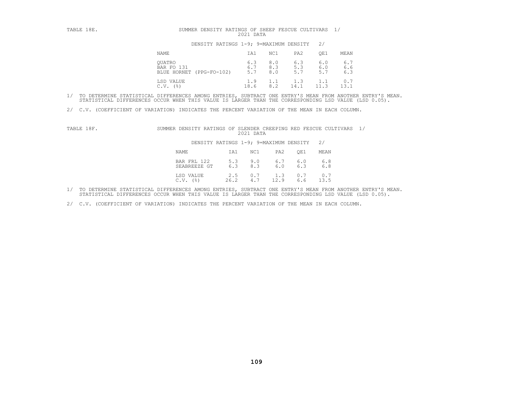| TABLE 18E. | DENSITY RATINGS OF SHEEP FESCUE CULTIVARS<br>SUMMER<br>2021 DATA |                   |                   |                   |                   |                   |
|------------|------------------------------------------------------------------|-------------------|-------------------|-------------------|-------------------|-------------------|
|            | DENSITY RATINGS 1-9; 9=MAXIMUM DENSITY                           |                   |                   |                   | 2/                |                   |
|            | NAME                                                             | IA1               | NC1               | PA2               | OE1               | MEAN              |
|            | <b>OUATRO</b><br>BAR FO 131<br>BLUE HORNET<br>$(PPG-FO-102)$     | 6.3<br>6.7<br>5.7 | 8.0<br>8.3<br>8.0 | 6.3<br>5.3<br>5.7 | 6.0<br>6.0<br>5.7 | 6.7<br>6.6<br>6.3 |
|            | LSD VALUE<br>(%)<br>C.V.                                         | 1.9<br>18.6       | 1.1<br>8.2        | 1.3<br>14.1       | 1.1               | 0.7<br>13.1       |

2/ C.V. (COEFFICIENT OF VARIATION) INDICATES THE PERCENT VARIATION OF THE MEAN IN EACH COLUMN.

| TABLE 18F. | SUMMER DENSITY RATINGS OF SLENDER CREEPING RED FESCUE CULTIVARS 1/ |             | 2021 DATA  |             |            |               |  |
|------------|--------------------------------------------------------------------|-------------|------------|-------------|------------|---------------|--|
|            | DENSITY RATINGS 1-9; 9=MAXIMUM DENSITY                             |             |            |             |            | $\frac{2}{3}$ |  |
|            | NAME                                                               | IA1         | NC1        | PA2         | OE1        | MEAN          |  |
|            | BAR FRL 122<br>SEABREEZE GT                                        | 5.3<br>6.3  | 9.0<br>8.3 | 6.7<br>6.0  | 6.0<br>6.3 | 6.8<br>6.8    |  |
|            | LSD VALUE<br>(응)<br>C.V.                                           | 2.5<br>26.2 | 0.7<br>4.7 | 1.3<br>12.9 | 0.7<br>6.6 | 0.7<br>13.5   |  |

1/ TO DETERMINE STATISTICAL DIFFERENCES AMONG ENTRIES, SUBTRACT ONE ENTRY'S MEAN FROM ANOTHER ENTRY'S MEAN.<br>STATISTICAL DIFFERENCES OCCUR WHEN THIS VALUE IS LARGER THAN THE CORRESPONDING LSD VALUE (LSD 0.05).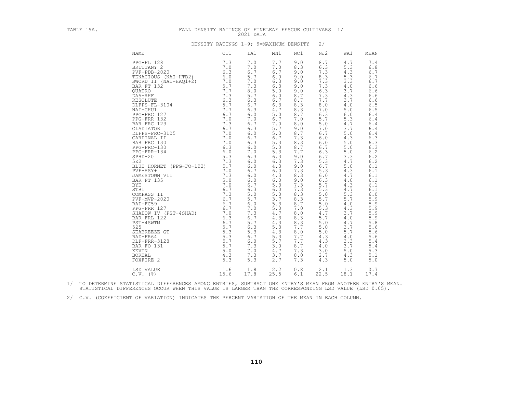| TABLE 19A. | FALL DENSITY RATINGS OF FINELEAF FESCUE CULTIVARS                                                                                                                                                                                                                                                                                                                                                                                                                                                                                                                                                                                                          |                                                                                                                                                                                                                                                                                                                         | 2021 DATA                                                                                                                                                                                                                                                                                                         |                                                                                                                                                                                                                                                                                                           |                                                                                                                                                                                                                                                                                                           |                                                                                                                                                                                                                                                                                                             | 1/                                                                                                                                                                                                                                                                                                          |                                                                                                                                                                                                                                                                                                                          |
|------------|------------------------------------------------------------------------------------------------------------------------------------------------------------------------------------------------------------------------------------------------------------------------------------------------------------------------------------------------------------------------------------------------------------------------------------------------------------------------------------------------------------------------------------------------------------------------------------------------------------------------------------------------------------|-------------------------------------------------------------------------------------------------------------------------------------------------------------------------------------------------------------------------------------------------------------------------------------------------------------------------|-------------------------------------------------------------------------------------------------------------------------------------------------------------------------------------------------------------------------------------------------------------------------------------------------------------------|-----------------------------------------------------------------------------------------------------------------------------------------------------------------------------------------------------------------------------------------------------------------------------------------------------------|-----------------------------------------------------------------------------------------------------------------------------------------------------------------------------------------------------------------------------------------------------------------------------------------------------------|-------------------------------------------------------------------------------------------------------------------------------------------------------------------------------------------------------------------------------------------------------------------------------------------------------------|-------------------------------------------------------------------------------------------------------------------------------------------------------------------------------------------------------------------------------------------------------------------------------------------------------------|--------------------------------------------------------------------------------------------------------------------------------------------------------------------------------------------------------------------------------------------------------------------------------------------------------------------------|
|            |                                                                                                                                                                                                                                                                                                                                                                                                                                                                                                                                                                                                                                                            | DENSITY RATINGS 1-9; 9=MAXIMUM DENSITY                                                                                                                                                                                                                                                                                  |                                                                                                                                                                                                                                                                                                                   |                                                                                                                                                                                                                                                                                                           |                                                                                                                                                                                                                                                                                                           | 2/                                                                                                                                                                                                                                                                                                          |                                                                                                                                                                                                                                                                                                             |                                                                                                                                                                                                                                                                                                                          |
|            | <b>NAME</b>                                                                                                                                                                                                                                                                                                                                                                                                                                                                                                                                                                                                                                                | CT1                                                                                                                                                                                                                                                                                                                     | IA1                                                                                                                                                                                                                                                                                                               | MN1                                                                                                                                                                                                                                                                                                       | NC1                                                                                                                                                                                                                                                                                                       | NJ2                                                                                                                                                                                                                                                                                                         | WA1                                                                                                                                                                                                                                                                                                         | MEAN                                                                                                                                                                                                                                                                                                                     |
|            | PPG-FL 128<br>BRITTANY 2<br>$PVF - PDB - 2020$<br>TENACIOUS (NAI-HTB2)<br>SWORD II (NAI-HAO1+2)<br>BAR FT 132<br>QUATRO<br>DA5-RHF<br>RESOLUTE<br>DLFPS-FL-3104<br>NAI-CHU1<br>PPG-FRC 127<br>PPG-FRR 132<br>BAR FRC 123<br>GLADIATOR<br>DLFPS-FRC-3105<br>CARDINAL II<br>BAR FRC 130<br>PPG-FRC-130<br>PPG-FRR-134<br>$SPHD-20$<br>522<br>BLUE HORNET (PPG-FO-102)<br>PVF-HSY+<br>JAMESTOWN VII<br>BAR FT 135<br><b>BYE</b><br>STB1<br>COMPASS II<br>PVF-MVP-2020<br>RAD-FC59<br>PPG-FRR 127<br>SHADOW IV (PST-4SHAD)<br>BAR FRL 122<br>PST-4SWTM<br>525<br>SEABREEZE GT<br>RAD-FR64<br>DLF-FRR-3128<br>BAR FO 131<br>KEVIN<br><b>BOREAL</b><br>FOXFIRE 2 | 7.3<br>7.0<br>6.3<br>6.0<br>7.0<br>5.7<br>7.7<br>7.3<br>6.3<br>5.7<br>7.7<br>6.7<br>7.0<br>7.3<br>6.7<br>7.0<br>7.0<br>7.0<br>6.3<br>6.0<br>5.3<br>7.3<br>5.7<br>7.0<br>7.3<br>5.0<br>7.0<br>6.7<br>7.3<br>6.7<br>6.7<br>6.7<br>$\frac{7.0}{6.3}$<br>6.3<br>6.7<br>5.7<br>5.3<br>5.3<br>5.7<br>5.7<br>5.0<br>4.3<br>5.3 | 7.0<br>7.0<br>6.7<br>5.7<br>7.0<br>7.3<br>8.0<br>5.7<br>6.3<br>$6.7$<br>6.3<br>$6.0$<br>7.0<br>6.7<br>6.3<br>$6.0$<br>6.7<br>6.3<br>6.0<br>7.0<br>6.3<br>6.0<br>6.0<br>6.7<br>6.0<br>6.0<br>6.7<br>6.3<br>$5.0$<br>5.7<br>6.0<br>7.0<br>7.3<br>6.7<br>5.7<br>6.3<br>5.3<br>6.7<br>6.0<br>7.3<br>7.0<br>7.3<br>5.3 | 7.7<br>7.0<br>6.7<br>6.0<br>6.3<br>6.3<br>5.0<br>6.0<br>6.7<br>6.3<br>4.7<br>5.0<br>6.7<br>7.0<br>5.7<br>5.0<br>6.7<br>5.3<br>5.0<br>5.3<br>6.3<br>6.3<br>4.3<br>6.0<br>4.3<br>6.0<br>5.3<br>6.0<br>5.0<br>3.7<br>5.3<br>5.0<br>4.7<br>4.3<br>4.3<br>5.3<br>4.3<br>5.3<br>5.7<br>3.0<br>4.7<br>3.7<br>2.7 | 9.0<br>8.3<br>9.0<br>9.0<br>9.0<br>9.0<br>9.0<br>8.7<br>8.7<br>8.3<br>8.3<br>8.7<br>7.0<br>8.0<br>9.0<br>8.7<br>7.3<br>8.3<br>8.7<br>7.7<br>9.0<br>7.3<br>9.0<br>7.3<br>8.3<br>9.0<br>7.3<br>7.3<br>8.3<br>8.3<br>8.7<br>7.0<br>8.0<br>8.3<br>8.3<br>7.7<br>8.0<br>7.7<br>7.7<br>8.7<br>7.3<br>8.0<br>7.3 | 8.7<br>6.3<br>7.3<br>8.3<br>7.3<br>7.3<br>6.3<br>7.3<br>7.7<br>8.0<br>7.0<br>6.3<br>5.7<br>5.0<br>7.0<br>6.7<br>6.0<br>6.0<br>6.7<br>6.3<br>6.7<br>5.3<br>6.7<br>5.3<br>6.0<br>6.3<br>5.7<br>5.3<br>5.0<br>5.7<br>5.0<br>5.3<br>4.7<br>5.7<br>5.0<br>5.0<br>$5.0$<br>4.3<br>4.3<br>4.0<br>3.0<br>2.7<br>4.3 | 4.7<br>5.3<br>4.3<br>5.3<br>3.3<br>4.0<br>3.7<br>4.3<br>3.7<br>4.0<br>5.0<br>6.0<br>5.3<br>4.7<br>3.7<br>5.0<br>4.3<br>5.0<br>5.0<br>5.0<br>3.3<br>4.7<br>5.0<br>4.3<br>4.7<br>$4.0$<br>4.3<br>4.7<br>5.3<br>5.7<br>4.0<br>4.3<br>3.7<br>4.0<br>4.7<br>3.7<br>5.7<br>4.0<br>3.3<br>3.7<br>5.0<br>4.3<br>5.0 | 7.4<br>6.8<br>6.7<br>6.7<br>6.7<br>6.6<br>6.6<br>6.6<br>6.6<br>6.5<br>6.5<br>6.4<br>$6.4$<br>6.4<br>6.4<br>6.4<br>6.3<br>6.3<br>6.3<br>6.2<br>$6.2\,$<br>6.2<br>6.1<br>6.1<br>6.1<br>6.1<br>6.1<br>6.1<br>6.0<br>5.9<br>5.9<br>5.9<br>$5.9$<br>$\frac{5.9}{5.8}$<br>5.6<br>5.6<br>5.6<br>5.4<br>5.4<br>5.3<br>5.1<br>5.0 |
|            | LSD VALUE<br>$C.V.$ ( $\S$ )                                                                                                                                                                                                                                                                                                                                                                                                                                                                                                                                                                                                                               | 1.6<br>15.6                                                                                                                                                                                                                                                                                                             | 1.8<br>17.8                                                                                                                                                                                                                                                                                                       | 2.2<br>25.5                                                                                                                                                                                                                                                                                               | 0.8<br>6.1                                                                                                                                                                                                                                                                                                | 2.1<br>22.5                                                                                                                                                                                                                                                                                                 | 1.3<br>18.1                                                                                                                                                                                                                                                                                                 | 0.7<br>17.4                                                                                                                                                                                                                                                                                                              |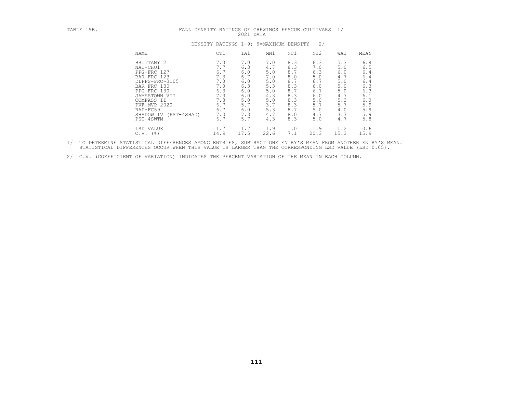| TABLE 19B. | FALL DENSITY RATINGS OF CHEWINGS FESCUE CULTIVARS 1/                                                                                                                                                  |                                                                                         | 2021 DATA                                                                               |                                                                                         |                                                                                         |                                                                                         |                                                                                         |                                                                                         |
|------------|-------------------------------------------------------------------------------------------------------------------------------------------------------------------------------------------------------|-----------------------------------------------------------------------------------------|-----------------------------------------------------------------------------------------|-----------------------------------------------------------------------------------------|-----------------------------------------------------------------------------------------|-----------------------------------------------------------------------------------------|-----------------------------------------------------------------------------------------|-----------------------------------------------------------------------------------------|
|            |                                                                                                                                                                                                       | DENSITY RATINGS 1-9; 9=MAXIMUM DENSITY                                                  |                                                                                         |                                                                                         |                                                                                         | 2/                                                                                      |                                                                                         |                                                                                         |
|            | <b>NAME</b>                                                                                                                                                                                           | CT1                                                                                     | IA1                                                                                     | MN1                                                                                     | NC1                                                                                     | NJ2                                                                                     | WA1                                                                                     | MEAN                                                                                    |
|            | BRITTANY 2<br>NAI-CHU1<br>PPG-FRC 127<br>BAR FRC 123<br>DLFPS-FRC-3105<br>BAR FRC 130<br>PPG-FRC-130<br>JAMESTOWN VII<br>COMPASS II<br>PVF-MVP-2020<br>RAD-FC59<br>SHADOW IV (PST-4SHAD)<br>PST-4SWTM | 7.0<br>7.7<br>6.7<br>7.3<br>7.0<br>7.0<br>6.3<br>7.3<br>7.3<br>6.7<br>6.7<br>7.0<br>6.7 | 7.0<br>6.3<br>6.0<br>6.7<br>6.0<br>6.3<br>6.0<br>6.0<br>5.0<br>5.7<br>6.0<br>7.3<br>5.7 | 7.0<br>4.7<br>5.0<br>7.0<br>5.0<br>5.3<br>5.0<br>4.3<br>5.0<br>3.7<br>5.3<br>4.7<br>4.3 | 8.3<br>8.3<br>8.7<br>8.0<br>8.7<br>8.3<br>8.7<br>8.3<br>8.3<br>8.3<br>8.7<br>8.0<br>8.3 | 6.3<br>7.0<br>6.3<br>5.0<br>6.7<br>6.0<br>6.7<br>6.0<br>5.0<br>5.7<br>5.0<br>4.7<br>5.0 | 5.3<br>5.0<br>6.0<br>4.7<br>5.0<br>5.0<br>5.0<br>4.7<br>5.3<br>5.7<br>4.0<br>3.7<br>4.7 | 6.8<br>6.5<br>6.4<br>6.4<br>6.4<br>6.3<br>6.3<br>6.1<br>6.0<br>5.9<br>5.9<br>5.9<br>5.8 |
|            | LSD VALUE<br>$C.V.$ (%)                                                                                                                                                                               | 1.7<br>14.9                                                                             | 1.7<br>17.5                                                                             | 1.9<br>22.6                                                                             | 1.0<br>7.1                                                                              | 1.9<br>20.3                                                                             | 1.2<br>15.3                                                                             | 0.6<br>15.9                                                                             |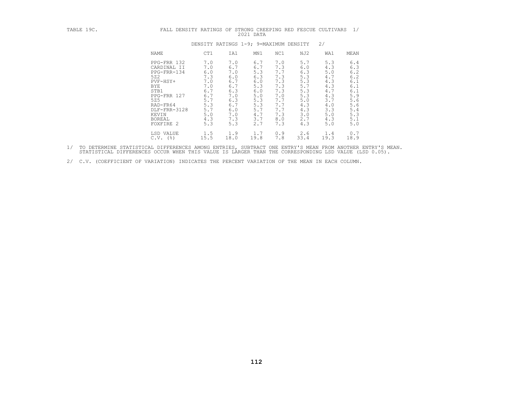| TABLE 19C. | FALL DENSITY RATINGS OF                                                                                                                                              |                                                                                                |                                                                                                | STRONG CREEPING RED FESCUE CULTIVARS<br>2021 DATA                                              |                                                                                                |                                                                                                |                                                                                                | $\frac{1}{2}$                                                                                      |
|------------|----------------------------------------------------------------------------------------------------------------------------------------------------------------------|------------------------------------------------------------------------------------------------|------------------------------------------------------------------------------------------------|------------------------------------------------------------------------------------------------|------------------------------------------------------------------------------------------------|------------------------------------------------------------------------------------------------|------------------------------------------------------------------------------------------------|----------------------------------------------------------------------------------------------------|
|            |                                                                                                                                                                      |                                                                                                |                                                                                                | DENSITY RATINGS 1-9; 9=MAXIMUM DENSITY                                                         |                                                                                                |                                                                                                | 2/                                                                                             |                                                                                                    |
|            | NAME                                                                                                                                                                 | CT1                                                                                            | IA1                                                                                            | MN1                                                                                            | NC1                                                                                            | NJ2                                                                                            | WA1                                                                                            | MEAN                                                                                               |
|            | PPG-FRR 132<br>CARDINAL II<br>PPG-FRR-134<br>522<br>PVF-HSY+<br>BYE<br>STB1<br>PPG-FRR 127<br>525<br>RAD-FR64<br>DLF-FRR-3128<br>KEVIN<br><b>BOREAL</b><br>FOXFIRE 2 | 7.0<br>7.0<br>6.0<br>7.3<br>7.0<br>7.0<br>6.7<br>6.7<br>5.7<br>5.3<br>5.7<br>5.0<br>4.3<br>5.3 | 7.0<br>6.7<br>7.0<br>6.0<br>6.7<br>6.7<br>6.3<br>7.0<br>6.3<br>6.7<br>6.0<br>7.0<br>7.3<br>5.3 | 6.7<br>6.7<br>5.3<br>6.3<br>6.0<br>5.3<br>6.0<br>5.0<br>5.3<br>5.3<br>5.7<br>4.7<br>3.7<br>2.7 | 7.0<br>7.3<br>7.7<br>7.3<br>7.3<br>7.3<br>7.3<br>7.0<br>7.7<br>7.7<br>7.7<br>7.3<br>8.0<br>7.3 | 5.7<br>6.0<br>6.3<br>5.3<br>5.3<br>5.7<br>5.3<br>5.3<br>5.0<br>4.3<br>4.3<br>3.0<br>2.7<br>4.3 | 5.3<br>4.3<br>5.0<br>4.7<br>4.3<br>4.3<br>4.7<br>4.3<br>3.7<br>4.0<br>3.3<br>5.0<br>4.3<br>5.0 | 6.4<br>6.3<br>6.2<br>6.2<br>6.1<br>6.1<br>6.1<br>5.9<br>5.6<br>5.6<br>$5.4\,$<br>5.3<br>5.1<br>5.0 |
|            | LSD VALUE<br>C.V.<br>(%)                                                                                                                                             | 1.5<br>15.5                                                                                    | 1.9<br>18.0                                                                                    | 1.7<br>19.8                                                                                    | 0.9<br>7.8                                                                                     | 2.6<br>33.4                                                                                    | 1.4<br>19.3                                                                                    | 0.7<br>18.9                                                                                        |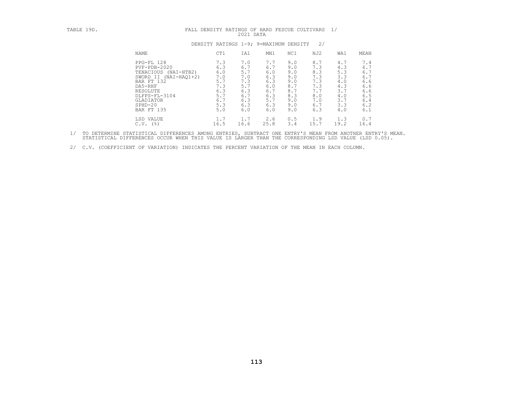| TABLE 19D. | FALL DENSITY RATINGS OF HARD FESCUE CULTIVARS 1/                                                                                                                                       |                                                                           | 2021 DATA                                                                 |                                                                           |                                                                           |                                                                           |                                                                           |                                                                           |
|------------|----------------------------------------------------------------------------------------------------------------------------------------------------------------------------------------|---------------------------------------------------------------------------|---------------------------------------------------------------------------|---------------------------------------------------------------------------|---------------------------------------------------------------------------|---------------------------------------------------------------------------|---------------------------------------------------------------------------|---------------------------------------------------------------------------|
|            | DENSITY RATINGS 1-9; 9=MAXIMUM DENSITY                                                                                                                                                 |                                                                           |                                                                           |                                                                           |                                                                           | 2/                                                                        |                                                                           |                                                                           |
|            | NAME                                                                                                                                                                                   | CT1                                                                       | IA1                                                                       | MN1                                                                       | NC1                                                                       | NJ2                                                                       | WA1                                                                       | MEAN                                                                      |
|            | PPG-FL 128<br>$PVF - PDB - 2020$<br>TENACIOUS (NAI-HTB2)<br>SWORD II (NAI-HAO1+2)<br>BAR FT 132<br>DA5-RHF<br>RESOLUTE<br>DLFPS-FL-3104<br>GLADIATOR<br>$SPHD-20$<br><b>BAR FT 135</b> | 7.3<br>6.3<br>6.0<br>7.0<br>5.7<br>7.3<br>6.3<br>5.7<br>6.7<br>5.3<br>5.0 | 7.0<br>6.7<br>5.7<br>7.0<br>7.3<br>5.7<br>6.3<br>6.7<br>6.3<br>6.3<br>6.0 | 7.7<br>6.7<br>6.0<br>6.3<br>6.3<br>6.0<br>6.7<br>6.3<br>5.7<br>6.3<br>6.0 | 9.0<br>9.0<br>9.0<br>9.0<br>9.0<br>8.7<br>8.7<br>8.3<br>9.0<br>9.0<br>9.0 | 8.7<br>7.3<br>8.3<br>7.3<br>7.3<br>7.3<br>7.7<br>8.0<br>7.0<br>6.7<br>6.3 | 4.7<br>4.3<br>5.3<br>3.3<br>4.0<br>4.3<br>3.7<br>4.0<br>3.7<br>3.3<br>4.0 | 7.4<br>6.7<br>6.7<br>6.7<br>6.6<br>6.6<br>6.6<br>6.5<br>6.4<br>6.2<br>6.1 |
|            | LSD VALUE<br>$C.V.$ (%)                                                                                                                                                                | 1.7<br>16.5                                                               | 1.7<br>16.6                                                               | 2.6<br>25.8                                                               | 0.5<br>3.4                                                                | 1.9<br>15.7                                                               | 1.3<br>19.2                                                               | 0.7<br>16.4                                                               |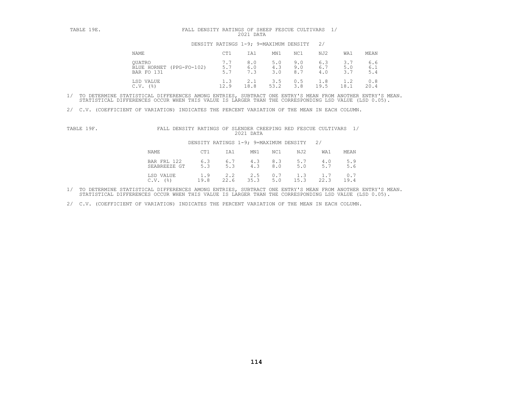| TABLE 19E. | FALL DENSITY RATINGS OF SHEEP FESCUE CULTIVARS 1/<br>2021 DATA |                   |                                        |                   |                   |                   |                   |                   |
|------------|----------------------------------------------------------------|-------------------|----------------------------------------|-------------------|-------------------|-------------------|-------------------|-------------------|
|            |                                                                |                   | DENSITY RATINGS 1-9; 9=MAXIMUM DENSITY |                   |                   | 2/                |                   |                   |
|            | NAME                                                           | CT1               | IA1                                    | MN1               | NC1               | NJ2               | WA1               | MEAN              |
|            | OUATRO<br>(PPG-FO-102)<br>BLUE HORNET<br>BAR FO 131            | 7.7<br>5.7<br>5.7 | 8.0<br>6.0<br>7.3                      | 5.0<br>4.3<br>3.0 | 9.0<br>9.0<br>8.7 | 6.3<br>6.7<br>4.0 | 3.7<br>5.0<br>3.7 | 6.6<br>6.1<br>5.4 |
|            | LSD VALUE<br>(응)<br>C.V.                                       | 1.3<br>12.9       | 2.1<br>18.8                            | 3.5<br>53.2       | 0.5<br>3.8        | 1.8<br>19.5       | 1.2<br>18.1       | 0.8<br>20.4       |

2/ C.V. (COEFFICIENT OF VARIATION) INDICATES THE PERCENT VARIATION OF THE MEAN IN EACH COLUMN.

| QF<br>-----<br>'ARI.<br>⊥പാലല<br>- - - - - | SLENDER<br>CREEPING<br>RED<br>FESCUE<br>CULTIVARS<br>RATINGS<br>OF<br>DENSITY<br>----<br>____ |  |
|--------------------------------------------|-----------------------------------------------------------------------------------------------|--|
|                                            | 2021<br>$\Gamma$ $\Delta$ T <sub>2</sub><br>-----                                             |  |

DENSITY RATINGS 1-9; 9=MAXIMUM DENSITY 2/

| NAME                        | CT1  | IA1                                               | MN1  | NC1 | NJ2  | WA1  | MEAN                                                   |
|-----------------------------|------|---------------------------------------------------|------|-----|------|------|--------------------------------------------------------|
| BAR FRL 122<br>SEABREEZE GT | 5.3  | $6.3$ $6.7$ $4.3$ $8.3$ $5.7$<br>5.3              | 4.3  | 8.0 | 5.0  |      | $\begin{array}{cc} 4.0 & 5.9 \\ 5.7 & 5.6 \end{array}$ |
| LSD VALUE<br>(응)<br>C.V.    | 19.8 | $1.9$ $2.2$ $2.5$ $0.7$ $1.3$ $1.7$ $0.7$<br>22.6 | 35.3 | 5.0 | 15.3 | 22.3 | 19.4                                                   |

1/ TO DETERMINE STATISTICAL DIFFERENCES AMONG ENTRIES, SUBTRACT ONE ENTRY'S MEAN FROM ANOTHER ENTRY'S MEAN.<br>STATISTICAL DIFFERENCES OCCUR WHEN THIS VALUE IS LARGER THAN THE CORRESPONDING LSD VALUE (LSD 0.05).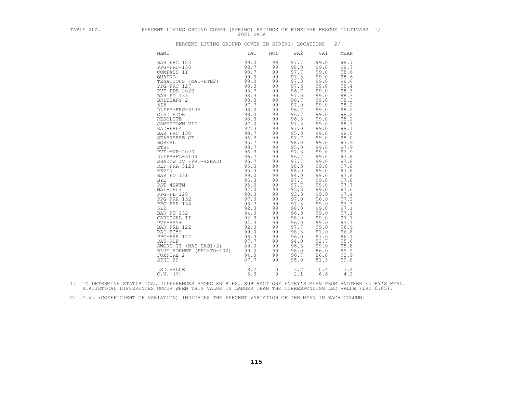| TABLE 20A. | PERCENT LIVING GROUND COVER (SPRING) RATINGS OF FINELEAF FESCUE CULTIVARS 1/                                                                                                                                                                                                                                                                                                                                                                                                                                                                                                                                                                                                                               | 2021 DATA                   |                                                                                                                                                                                                                                                                            |                                                                                                                                                                                                                                                                                                                                                             |                                                                                                                                                                                                                                                                                                                                                              |                                                                                                                                                                                                                                                                                                                                                             |  |
|------------|------------------------------------------------------------------------------------------------------------------------------------------------------------------------------------------------------------------------------------------------------------------------------------------------------------------------------------------------------------------------------------------------------------------------------------------------------------------------------------------------------------------------------------------------------------------------------------------------------------------------------------------------------------------------------------------------------------|-----------------------------|----------------------------------------------------------------------------------------------------------------------------------------------------------------------------------------------------------------------------------------------------------------------------|-------------------------------------------------------------------------------------------------------------------------------------------------------------------------------------------------------------------------------------------------------------------------------------------------------------------------------------------------------------|--------------------------------------------------------------------------------------------------------------------------------------------------------------------------------------------------------------------------------------------------------------------------------------------------------------------------------------------------------------|-------------------------------------------------------------------------------------------------------------------------------------------------------------------------------------------------------------------------------------------------------------------------------------------------------------------------------------------------------------|--|
|            | PERCENT LIVING GROUND COVER IN SPRING: LOCATIONS                                                                                                                                                                                                                                                                                                                                                                                                                                                                                                                                                                                                                                                           |                             |                                                                                                                                                                                                                                                                            |                                                                                                                                                                                                                                                                                                                                                             |                                                                                                                                                                                                                                                                                                                                                              | 2/                                                                                                                                                                                                                                                                                                                                                          |  |
|            | <b>NAME</b>                                                                                                                                                                                                                                                                                                                                                                                                                                                                                                                                                                                                                                                                                                | IA1                         | NC1                                                                                                                                                                                                                                                                        | PA2                                                                                                                                                                                                                                                                                                                                                         | VA1                                                                                                                                                                                                                                                                                                                                                          | MEAN                                                                                                                                                                                                                                                                                                                                                        |  |
|            | BAR FRC 123<br>PEG-FRC-130<br>COMPASS II 98.7<br>OUATRO 99.0<br>99.0<br>TENACIOUS (NAI-HTB2) 99.0<br>PEG-FRC 127<br>PVF-PDB-2020 98.3<br>BAR FT 135<br>BAR FT 135<br>SES<br>DLFPS-FRC-3105<br>GLADIATOR<br>GLADIATOR<br>JAMESTOWN VII 998.0<br>RASOLUTE<br>RABOLUTE<br>RAD-FR64<br>BAR FRC 130<br>BAR FRC 130<br>BAR FRC 130<br><br>JAMESTOWN VII<br>BAR FRE 130<br>SEABREEZE GT<br>STREAM PRE 130<br>STREAM PRE 130<br>STREAM PRE 130<br>STREAM PRE 130<br>PVF-MVP-2020<br>DLF-FRE 966.37<br>PTF-MVP-2020<br>DLF-FRE 986.37<br>DLF-FRE 312<br>BAR FO 131<br>BYE<br>BAR FO 131<br>BYE<br>PST-4SWTM<br>SWORD II (NAI-HAQ1+2) $89.0$<br>BLUE HORNET (PPG-FO-102) 99.0<br>FOXFIRE 2<br>$SPHD-20$<br>LSD VALUE | 99.0<br>94.0<br>87.7<br>8.2 | 99<br>99<br>99<br>99<br>99<br>99<br>99<br>99<br>99<br>99<br>99<br>99<br>99<br>99<br>99<br>99<br>99<br>99<br>99<br>99<br>99<br>99<br>99<br>99<br>99<br>99<br>99<br>99<br>99<br>99<br>99<br>99<br>99<br>99<br>99<br>99<br>99<br>99<br>99<br>99<br>99<br>99<br>99<br>$\Omega$ | 97.7<br>98.0<br>97.7<br>97.3<br>97.3<br>97.3<br>96.7<br>97.0<br>96.7<br>97.0<br>96.7<br>96.7<br>96.3<br>97.3<br>97.0<br>95.3<br>97.7<br>98.0<br>95.0<br>97.3<br>96.7<br>97.7<br>98.3<br>98.0<br>94.0<br>97.7<br>97.7<br>95.3<br>93.3<br>97.0<br>97.3<br>98.0<br>96.3<br>98.0<br>96.0<br>97.7<br>98.3<br>96.0<br>94.0<br>96.3<br>98.0<br>96.7<br>95.0<br>3.2 | 99.0<br>99.0<br>99.0<br>99.0<br>99.0<br>99.0<br>99.0<br>99.0<br>99.0<br>99.0<br>99.0<br>99.0<br>99.0<br>99.0<br>99.0<br>99.0<br>99.0<br>99.0<br>99.0<br>99.0<br>99.0<br>99.0<br>99.0<br>99.0<br>99.0<br>99.0<br>99.0<br>99.0<br>99.0<br>96.0<br>99.0<br>99.0<br>99.0<br>99.0<br>99.0<br>99.0<br>91.0<br>91.0<br>92.7<br>99.0<br>86.0<br>86.0<br>81.3<br>10.4 | 98.7<br>98.7<br>98.6<br>98.6<br>98.6<br>98.4<br>98.3<br>98.3<br>98.3<br>98.2<br>98.2<br>98.2<br>98.2<br>98.1<br>98.1<br>98.0<br>98.0<br>97.9<br>97.9<br>97.9<br>97.8<br>97.8<br>97.8<br>97.8<br>97.8<br>97.8<br>97.7<br>97.6<br>97.4<br>97.3<br>97.3<br>97.1<br>97.1<br>97.1<br>97.1<br>96.9<br>96.8<br>96.1<br>95.8<br>95.8<br>95.5<br>93.9<br>90.8<br>3.4 |  |
|            | $C.V.$ $(%)$                                                                                                                                                                                                                                                                                                                                                                                                                                                                                                                                                                                                                                                                                               | 5.3                         | $\Omega$                                                                                                                                                                                                                                                                   | 2.1                                                                                                                                                                                                                                                                                                                                                         | 6.6                                                                                                                                                                                                                                                                                                                                                          | 4.3                                                                                                                                                                                                                                                                                                                                                         |  |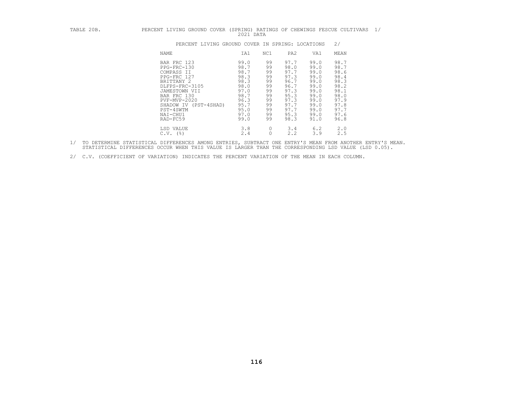| TABLE 20B. | PERCENT LIVING GROUND COVER (SPRING) RATINGS OF CHEWINGS FESCUE CULTIVARS                                                                                                                             | 2021 DATA                                                                                            |                                                                            |                                                                                                      |                                                                                                      |                                                                                                      | $\frac{1}{2}$ |
|------------|-------------------------------------------------------------------------------------------------------------------------------------------------------------------------------------------------------|------------------------------------------------------------------------------------------------------|----------------------------------------------------------------------------|------------------------------------------------------------------------------------------------------|------------------------------------------------------------------------------------------------------|------------------------------------------------------------------------------------------------------|---------------|
|            | PERCENT LIVING GROUND COVER IN SPRING: LOCATIONS                                                                                                                                                      |                                                                                                      |                                                                            |                                                                                                      |                                                                                                      | 2/                                                                                                   |               |
|            | NAME                                                                                                                                                                                                  | IA1                                                                                                  | NC1                                                                        | PA <sub>2</sub>                                                                                      | VA1                                                                                                  | MEAN                                                                                                 |               |
|            | BAR FRC 123<br>PPG-FRC-130<br>COMPASS II<br>PPG-FRC 127<br>BRITTANY 2<br>DLFPS-FRC-3105<br>JAMESTOWN VII<br>BAR FRC 130<br>PVF-MVP-2020<br>SHADOW IV (PST-4SHAD)<br>PST-4SWTM<br>NAI-CHU1<br>RAD-FC59 | 99.0<br>98.7<br>98.7<br>98.3<br>98.3<br>98.0<br>97.0<br>98.7<br>96.3<br>95.7<br>95.0<br>97.0<br>99.0 | 99<br>99<br>99<br>99<br>99<br>99<br>99<br>99<br>99<br>99<br>99<br>99<br>99 | 97.7<br>98.0<br>97.7<br>97.3<br>96.7<br>96.7<br>97.3<br>95.3<br>97.3<br>97.7<br>97.7<br>95.3<br>98.3 | 99.0<br>99.0<br>99.0<br>99.0<br>99.0<br>99.0<br>99.0<br>99.0<br>99.0<br>99.0<br>99.0<br>99.0<br>91.0 | 98.7<br>98.7<br>98.6<br>98.4<br>98.3<br>98.2<br>98.1<br>98.0<br>97.9<br>97.8<br>97.7<br>97.6<br>96.8 |               |
|            | LSD VALUE<br>$C.V.$ ( $\S$ )                                                                                                                                                                          | 3.8<br>2.4                                                                                           | 0<br>0                                                                     | 3.4<br>2.2                                                                                           | 6.2<br>3.9                                                                                           | 2.0<br>2.5                                                                                           |               |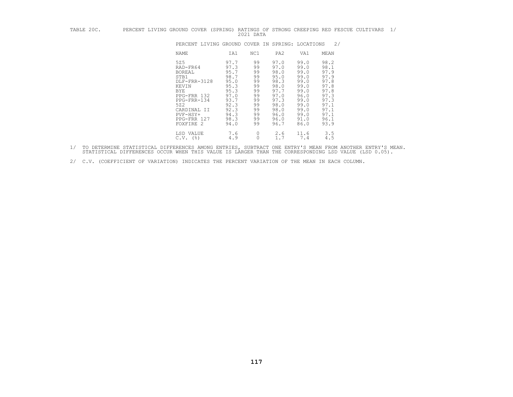| TABLE 20C. | PERCENT LIVING GROUND COVER (SPRING)                                                                                                                                        |                                                                                                              | 2021 DATA                                                                        |                                                                                                              |                                                                                                              | RATINGS OF STRONG CREEPING RED FESCUE CULTIVARS                                                              | 1/ |
|------------|-----------------------------------------------------------------------------------------------------------------------------------------------------------------------------|--------------------------------------------------------------------------------------------------------------|----------------------------------------------------------------------------------|--------------------------------------------------------------------------------------------------------------|--------------------------------------------------------------------------------------------------------------|--------------------------------------------------------------------------------------------------------------|----|
|            | PERCENT LIVING GROUND COVER IN SPRING: LOCATIONS                                                                                                                            |                                                                                                              |                                                                                  |                                                                                                              |                                                                                                              | 2/                                                                                                           |    |
|            | NAME                                                                                                                                                                        | IA1                                                                                                          | NC1                                                                              | PA <sub>2</sub>                                                                                              | VA1                                                                                                          | MEAN                                                                                                         |    |
|            | 525<br>RAD-FR64<br><b>BOREAL</b><br>STB1<br>DLF-FRR-3128<br>KEVIN<br><b>BYE</b><br>PPG-FRR 132<br>PPG-FRR-134<br>522<br>CARDINAL II<br>PVF-HSY+<br>PPG-FRR 127<br>FOXFIRE 2 | 97.7<br>97.3<br>95.7<br>98.7<br>95.0<br>95.3<br>95.3<br>97.0<br>93.7<br>92.3<br>92.3<br>94.3<br>98.3<br>94.0 | 99<br>99<br>99<br>99<br>99<br>99<br>99<br>99<br>99<br>99<br>99<br>99<br>99<br>99 | 97.0<br>97.0<br>98.0<br>95.0<br>98.3<br>98.0<br>97.7<br>97.0<br>97.3<br>98.0<br>98.0<br>96.0<br>96.0<br>96.7 | 99.0<br>99.0<br>99.0<br>99.0<br>99.0<br>99.0<br>99.0<br>96.0<br>99.0<br>99.0<br>99.0<br>99.0<br>91.0<br>86.0 | 98.2<br>98.1<br>97.9<br>97.9<br>97.8<br>97.8<br>97.8<br>97.3<br>97.3<br>97.1<br>97.1<br>97.1<br>96.1<br>93.9 |    |
|            | LSD VALUE<br>$C.V.$ (%)                                                                                                                                                     | 7.6<br>4.9                                                                                                   | 0<br>0                                                                           | 2.6<br>1.7                                                                                                   | 11.6<br>7.4                                                                                                  | 3.5<br>4.5                                                                                                   |    |

- 1/ TO DETERMINE STATISTICAL DIFFERENCES AMONG ENTRIES, SUBTRACT ONE ENTRY'S MEAN FROM ANOTHER ENTRY'S MEAN.<br>STATISTICAL DIFFERENCES OCCUR WHEN THIS VALUE IS LARGER THAN THE CORRESPONDING LSD VALUE (LSD 0.05).
- 2/ C.V. (COEFFICIENT OF VARIATION) INDICATES THE PERCENT VARIATION OF THE MEAN IN EACH COLUMN.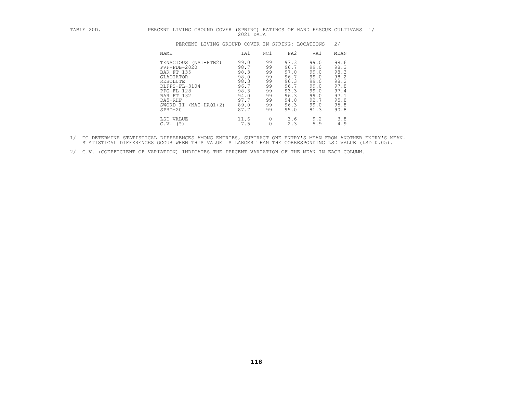| TABLE 20D. | PERCENT LIVING GROUND COVER                                                                                                                                                            | 2021 DATA                                                                            |                                                                |                                                                                      |                                                                                      | (SPRING) RATINGS OF HARD FESCUE CULTIVARS                                            | 1/ |
|------------|----------------------------------------------------------------------------------------------------------------------------------------------------------------------------------------|--------------------------------------------------------------------------------------|----------------------------------------------------------------|--------------------------------------------------------------------------------------|--------------------------------------------------------------------------------------|--------------------------------------------------------------------------------------|----|
|            | PERCENT LIVING GROUND COVER IN SPRING: LOCATIONS                                                                                                                                       |                                                                                      |                                                                |                                                                                      |                                                                                      | 2/                                                                                   |    |
|            | NAME                                                                                                                                                                                   | IA1                                                                                  | NC1                                                            | PA2                                                                                  | VA1                                                                                  | MEAN                                                                                 |    |
|            | TENACIOUS (NAI-HTB2)<br>$PVF - PDB - 2020$<br>BAR FT 135<br><b>GLADIATOR</b><br>RESOLUTE<br>DLFPS-FL-3104<br>PPG-FL 128<br>BAR FT 132<br>DA5-RHF<br>SWORD II (NAI-HAO1+2)<br>$SPHD-20$ | 99.0<br>98.7<br>98.3<br>98.0<br>98.3<br>96.7<br>98.3<br>94.0<br>97.7<br>89.0<br>87.7 | 99<br>99<br>99<br>99<br>99<br>99<br>99<br>99<br>99<br>99<br>99 | 97.3<br>96.7<br>97.0<br>96.7<br>96.3<br>96.7<br>93.3<br>96.3<br>94.0<br>96.3<br>95.0 | 99.0<br>99.0<br>99.0<br>99.0<br>99.0<br>99.0<br>99.0<br>99.0<br>92.7<br>99.0<br>81.3 | 98.6<br>98.3<br>98.3<br>98.2<br>98.2<br>97.8<br>97.4<br>97.1<br>95.8<br>95.8<br>90.8 |    |
|            | LSD VALUE<br>$C.V.$ (%)                                                                                                                                                                | 11.6<br>7.5                                                                          | 0                                                              | 3.6<br>2.3                                                                           | 9.2<br>5.9                                                                           | 3.8<br>4.9                                                                           |    |

- 1/ TO DETERMINE STATISTICAL DIFFERENCES AMONG ENTRIES, SUBTRACT ONE ENTRY'S MEAN FROM ANOTHER ENTRY'S MEAN.<br>STATISTICAL DIFFERENCES OCCUR WHEN THIS VALUE IS LARGER THAN THE CORRESPONDING LSD VALUE (LSD 0.05).
- 2/ C.V. (COEFFICIENT OF VARIATION) INDICATES THE PERCENT VARIATION OF THE MEAN IN EACH COLUMN.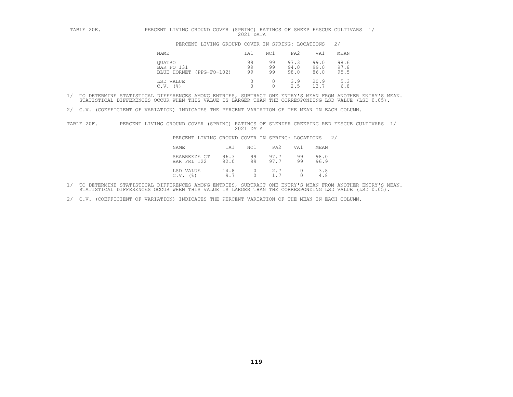| TABLE 20E. | PERCENT LIVING GROUND COVER (SPRING) RATINGS OF SHEEP FESCUE CULTIVARS | 2021 DATA      |                |                      |                      |                      |  |
|------------|------------------------------------------------------------------------|----------------|----------------|----------------------|----------------------|----------------------|--|
|            | PERCENT LIVING GROUND COVER IN SPRING: LOCATIONS                       |                |                |                      |                      | 2/                   |  |
|            | NAME                                                                   | IA1            | NC1            | PA2                  | VA1                  | MEAN                 |  |
|            | OUATRO<br>BAR FO 131<br>$(PPG-FO-102)$<br>BLUE HORNET                  | 99<br>99<br>99 | 99<br>99<br>99 | 97.3<br>94.0<br>98.0 | 99.0<br>99.0<br>86.0 | 98.6<br>97.8<br>95.5 |  |
|            | LSD VALUE<br>$($ $\frac{6}{6}$<br>C.V.                                 |                |                | 3.9<br>2.5           | 20.9<br>13.7         | 5.3<br>6.8           |  |

2/ C.V. (COEFFICIENT OF VARIATION) INDICATES THE PERCENT VARIATION OF THE MEAN IN EACH COLUMN.

TABLE 20F. PERCENT LIVING GROUND COVER (SPRING) RATINGS OF SLENDER CREEPING RED FESCUE CULTIVARS 1/ 2021 DATA

PERCENT LIVING GROUND COVER IN SPRING: LOCATIONS 2/

| NAME                        | IA1          | NC1               | PA <sub>2</sub> | VA1                       | MEAN         |
|-----------------------------|--------------|-------------------|-----------------|---------------------------|--------------|
| SEABREEZE GT<br>BAR FRL 122 | 96.3<br>92.0 | 99<br>99          | 97.7<br>97.7    | 99<br>99                  | 98.0<br>96.9 |
| LSD VALUE<br>C.V.<br>(응)    | 14.8<br>9.7  | $0 \qquad \qquad$ | 2.7             | $\overline{0}$<br>$\circ$ | 3.8<br>4.8   |

1/ TO DETERMINE STATISTICAL DIFFERENCES AMONG ENTRIES, SUBTRACT ONE ENTRY'S MEAN FROM ANOTHER ENTRY'S MEAN.<br>STATISTICAL DIFFERENCES OCCUR WHEN THIS VALUE IS LARGER THAN THE CORRESPONDING LSD VALUE (LSD 0.05).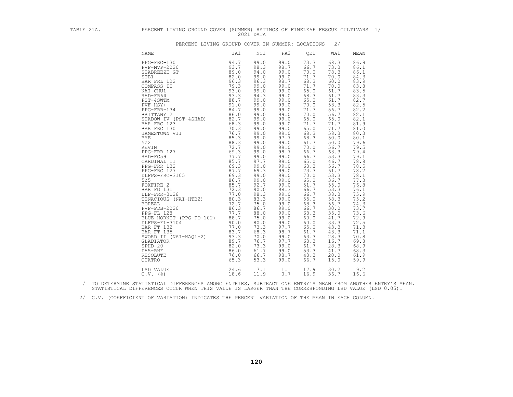| TABLE 21A. | PERCENT LIVING GROUND COVER (SUMMER) RATINGS OF FINELEAF FESCUE CULTIVARS 1/ | 2021 DATA                                                                                                                                                                                                                                                                                                                                    |                                                                                                                                                                                                                                                                                                                                                      |                                                                                                                                                                                                                                                                                                                                                          |                                                                                                                                                                                                                                                                                                                                                      |                                                                                                                                                                                                                                                                                                                                                      |  |
|------------|------------------------------------------------------------------------------|----------------------------------------------------------------------------------------------------------------------------------------------------------------------------------------------------------------------------------------------------------------------------------------------------------------------------------------------|------------------------------------------------------------------------------------------------------------------------------------------------------------------------------------------------------------------------------------------------------------------------------------------------------------------------------------------------------|----------------------------------------------------------------------------------------------------------------------------------------------------------------------------------------------------------------------------------------------------------------------------------------------------------------------------------------------------------|------------------------------------------------------------------------------------------------------------------------------------------------------------------------------------------------------------------------------------------------------------------------------------------------------------------------------------------------------|------------------------------------------------------------------------------------------------------------------------------------------------------------------------------------------------------------------------------------------------------------------------------------------------------------------------------------------------------|--|
|            | PERCENT LIVING GROUND COVER IN SUMMER: LOCATIONS                             |                                                                                                                                                                                                                                                                                                                                              |                                                                                                                                                                                                                                                                                                                                                      |                                                                                                                                                                                                                                                                                                                                                          | 2/                                                                                                                                                                                                                                                                                                                                                   |                                                                                                                                                                                                                                                                                                                                                      |  |
|            | NAME<br>IA1                                                                  | NC1                                                                                                                                                                                                                                                                                                                                          | PA2                                                                                                                                                                                                                                                                                                                                                  | QE1                                                                                                                                                                                                                                                                                                                                                      | WA1                                                                                                                                                                                                                                                                                                                                                  | MEAN                                                                                                                                                                                                                                                                                                                                                 |  |
|            |                                                                              | 99.0<br>98.3<br>94.0<br>99.0<br>96.3<br>99.0<br>99.0<br>94.3<br>99.0<br>99.0<br>99.0<br>99.0<br>99.0<br>99.0<br>99.0<br>99.0<br>99.0<br>99.0<br>99.0<br>99.0<br>99.0<br>97.7<br>99.0<br>69.3<br>99.0<br>99.0<br>92.7<br>90.0<br>98.3<br>83.3<br>75.0<br>86.7<br>88.0<br>75.0<br>80.0<br>73.3<br>70.0<br>76.7<br>73.3<br>61.7<br>66.7<br>53.3 | 99.0<br>98.7<br>99.0<br>99.0<br>98.7<br>99.0<br>99.0<br>99.0<br>99.0<br>99.0<br>99.0<br>99.0<br>99.0<br>99.0<br>99.0<br>99.0<br>97.7<br>99.0<br>99.0<br>98.7<br>99.0<br>99.0<br>99.0<br>99.0<br>99.0<br>99.0<br>99.0<br>98.3<br>99.0<br>99.0<br>99.0<br>99.0<br>99.0<br>99.0<br>99.0<br>97.7<br>98.7<br>99.0<br>97.7<br>99.0<br>99.0<br>98.7<br>99.0 | 73.3<br>66.7<br>70.0<br>71.7<br>68.3<br>71.7<br>65.0<br>68.3<br>65.0<br>70.0<br>71.7<br>70.0<br>65.0<br>71.7<br>65.0<br>68.3<br>68.3<br>61.7<br>70.0<br>66.7<br>66.7<br>65.0<br>68.3<br>$73.3$<br>$70.0$<br>65.0<br>51.7<br>66.7<br>66.7<br>55.0<br>68.3<br>66.7<br>68.3<br>60.0<br>60.0<br>65.0<br>61.7<br>63.3<br>68.3<br>61.7<br>53.3<br>48.3<br>66.7 | 68.3<br>73.3<br>78.3<br>70.0<br>60.0<br>70.0<br>61.7<br>61.7<br>61.7<br>53.3<br>56.7<br>56.7<br>65.0<br>71.7<br>71.7<br>58.3<br>50.0<br>50.0<br>56.7<br>63.3<br>53.3<br>46.7<br>56.7<br>61.7<br>53.3<br>36.7<br>55.0<br>53.3<br>38.3<br>58.3<br>56.7<br>30.0<br>35.0<br>41.7<br>33.3<br>43.3<br>43.3<br>28.3<br>16.7<br>28.3<br>41.7<br>20.0<br>15.0 | 86.9<br>86.1<br>86.1<br>84.3<br>83.9<br>83.8<br>83.5<br>83.3<br>82.7<br>82.5<br>82.2<br>82.1<br>82.1<br>81.9<br>81.0<br>80.3<br>80.1<br>79.6<br>79.5<br>79.4<br>79.1<br>78.8<br>78.5<br>78.2<br>78.1<br>77.3<br>76.8<br>76.1<br>75.9<br>75.2<br>74.3<br>73.7<br>73.6<br>72.9<br>72.5<br>71.3<br>71.1<br>70.8<br>69.8<br>68.9<br>68.3<br>61.9<br>59.9 |  |
|            | LSD VALUE 24.6<br>C.V. (%) 24.6                                              | 11.9                                                                                                                                                                                                                                                                                                                                         | $17.1$ 1.1<br>0.7                                                                                                                                                                                                                                                                                                                                    | 17.9<br>16.9                                                                                                                                                                                                                                                                                                                                             | 30.2<br>36.7                                                                                                                                                                                                                                                                                                                                         | 9.2<br>16.6                                                                                                                                                                                                                                                                                                                                          |  |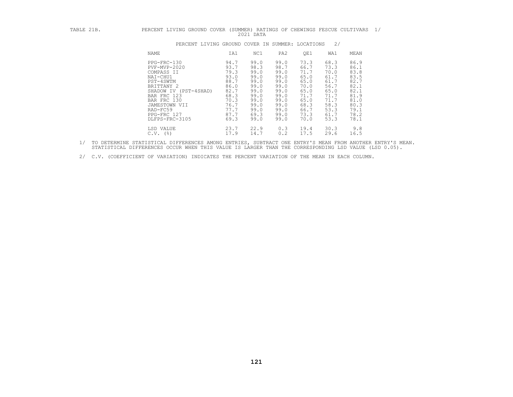| TABLE 21B. | PERCENT LIVING GROUND COVER (SUMMER) RATINGS OF CHEWINGS FESCUE CULTIVARS 1/                                                                                                                          |                                                                                                      | 2021 DATA                                                                                            |                                                                                                      |                                                                                                      |                                                                                                      |                                                                                                      |
|------------|-------------------------------------------------------------------------------------------------------------------------------------------------------------------------------------------------------|------------------------------------------------------------------------------------------------------|------------------------------------------------------------------------------------------------------|------------------------------------------------------------------------------------------------------|------------------------------------------------------------------------------------------------------|------------------------------------------------------------------------------------------------------|------------------------------------------------------------------------------------------------------|
|            | PERCENT LIVING GROUND COVER IN SUMMER: LOCATIONS                                                                                                                                                      |                                                                                                      |                                                                                                      |                                                                                                      |                                                                                                      | 2/                                                                                                   |                                                                                                      |
|            | NAME                                                                                                                                                                                                  | IA1                                                                                                  | NC1                                                                                                  | PA2                                                                                                  | QE1                                                                                                  | WA1                                                                                                  | MEAN                                                                                                 |
|            | PPG-FRC-130<br>PVF-MVP-2020<br>COMPASS II<br>NAI-CHU1<br>PST-4SWTM<br>BRITTANY 2<br>SHADOW IV (PST-4SHAD)<br>BAR FRC 123<br>BAR FRC 130<br>JAMESTOWN VII<br>RAD-FC59<br>PPG-FRC 127<br>DLFPS-FRC-3105 | 94.7<br>93.7<br>79.3<br>93.0<br>88.7<br>86.0<br>82.7<br>68.3<br>70.3<br>76.7<br>77.7<br>87.7<br>69.3 | 99.0<br>98.3<br>99.0<br>99.0<br>99.0<br>99.0<br>99.0<br>99.0<br>99.0<br>99.0<br>99.0<br>69.3<br>99.0 | 99.0<br>98.7<br>99.0<br>99.0<br>99.0<br>99.0<br>99.0<br>99.0<br>99.0<br>99.0<br>99.0<br>99.0<br>99.0 | 73.3<br>66.7<br>71.7<br>65.0<br>65.0<br>70.0<br>65.0<br>71.7<br>65.0<br>68.3<br>66.7<br>73.3<br>70.0 | 68.3<br>73.3<br>70.0<br>61.7<br>61.7<br>56.7<br>65.0<br>71.7<br>71.7<br>58.3<br>53.3<br>61.7<br>53.3 | 86.9<br>86.1<br>83.8<br>83.5<br>82.7<br>82.1<br>82.1<br>81.9<br>81.0<br>80.3<br>79.1<br>78.2<br>78.1 |
|            | LSD VALUE<br>$C.V.$ (%)                                                                                                                                                                               | 23.7<br>17.9                                                                                         | 22.9<br>14.7                                                                                         | 0.3<br>0.2                                                                                           | 19.4<br>17.5                                                                                         | 30.3<br>29.6                                                                                         | 9.8<br>16.5                                                                                          |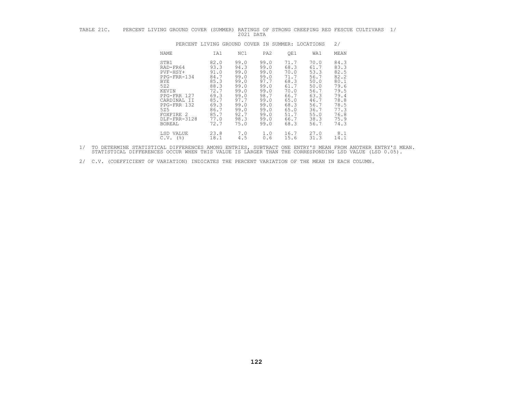| TABLE 21C. |  |  |              |  |  | PERCENT LIVING GROUND COVER (SUMMER) RATINGS OF STRONG CREEPING RED FESCUE CULTIVARS |  |
|------------|--|--|--------------|--|--|--------------------------------------------------------------------------------------|--|
|            |  |  | 2021<br>DATA |  |  |                                                                                      |  |

| TABLE 21C. | PERCENT LIVING GROUND COVER (SUMMER) RATINGS OF STRONG CREEPING RED FESCUE CULTIVARS                                                                            |                                                                                                              | 2021 DATA                                                                                                    |                                                                                                                                                                                                                              |                                                                                                              |                                                                                                              | 1/ |
|------------|-----------------------------------------------------------------------------------------------------------------------------------------------------------------|--------------------------------------------------------------------------------------------------------------|--------------------------------------------------------------------------------------------------------------|------------------------------------------------------------------------------------------------------------------------------------------------------------------------------------------------------------------------------|--------------------------------------------------------------------------------------------------------------|--------------------------------------------------------------------------------------------------------------|----|
|            |                                                                                                                                                                 | PERCENT LIVING GROUND COVER IN SUMMER: LOCATIONS                                                             |                                                                                                              |                                                                                                                                                                                                                              |                                                                                                              | 2/                                                                                                           |    |
|            | NAME                                                                                                                                                            | IA1                                                                                                          | NC1                                                                                                          | PA2<br>QE1                                                                                                                                                                                                                   | WA1                                                                                                          | MEAN                                                                                                         |    |
|            | STB1<br>RAD-FR64<br>$PVF-HSY+$<br>PPG-FRR-134<br>BYE<br>522<br>KEVIN<br>PPG-FRR 127<br>CARDINAL II<br>PPG-FRR 132<br>525<br>FOXFIRE 2<br>DLF-FRR-3128<br>BOREAL | 82.0<br>93.3<br>91.0<br>84.7<br>85.3<br>88.3<br>72.7<br>69.3<br>85.7<br>69.3<br>86.7<br>85.7<br>77.0<br>72.7 | 99.0<br>94.3<br>99.0<br>99.0<br>99.0<br>99.0<br>99.0<br>99.0<br>97.7<br>99.0<br>99.0<br>92.7<br>98.3<br>75.0 | 99.0<br>71.7<br>68.3<br>99.0<br>70.0<br>99.0<br>99.0<br>71.7<br>97.7<br>68.3<br>99.0<br>61.7<br>70.0<br>99.0<br>98.7<br>66.7<br>99.0<br>65.0<br>99.0<br>68.3<br>99.0<br>65.0<br>99.0<br>51.7<br>66.7<br>99.0<br>68.3<br>99.0 | 70.0<br>61.7<br>53.3<br>56.7<br>50.0<br>50.0<br>56.7<br>63.3<br>46.7<br>56.7<br>36.7<br>55.0<br>38.3<br>56.7 | 84.3<br>83.3<br>82.5<br>82.2<br>80.1<br>79.6<br>79.5<br>79.4<br>78.8<br>78.5<br>77.3<br>76.8<br>75.9<br>74.3 |    |
|            | LSD VALUE<br>$C.V.$ (%)                                                                                                                                         | 23.8<br>18.1                                                                                                 | 7.0<br>4.5                                                                                                   | 1.0<br>16.7<br>15.6<br>0.6                                                                                                                                                                                                   | 27.0<br>31.3                                                                                                 | 8.1<br>14.1                                                                                                  |    |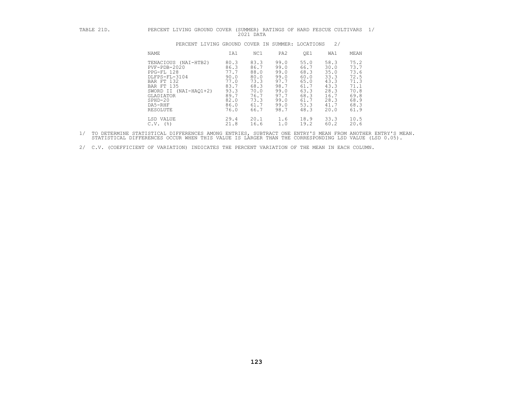|  |  |           |  |  | PERCENT LIVING GROUND COVER (SUMMER) RATINGS OF HARD FESCUE CULTIVARS |  |
|--|--|-----------|--|--|-----------------------------------------------------------------------|--|
|  |  | 2021 DATA |  |  |                                                                       |  |

| TABLE 21D. | LIVING GROUND COVER<br>PERCENT                                                                                                                                                     |                                                                                      | 2021 DATA                                                                            |                                                                                      | (SUMMER) RATINGS OF HARD FESCUE CULTIVARS                                            |                                                                                      | 1/                                                                                   |
|------------|------------------------------------------------------------------------------------------------------------------------------------------------------------------------------------|--------------------------------------------------------------------------------------|--------------------------------------------------------------------------------------|--------------------------------------------------------------------------------------|--------------------------------------------------------------------------------------|--------------------------------------------------------------------------------------|--------------------------------------------------------------------------------------|
|            | PERCENT LIVING GROUND COVER IN SUMMER: LOCATIONS                                                                                                                                   |                                                                                      |                                                                                      |                                                                                      |                                                                                      | 2/                                                                                   |                                                                                      |
|            | NAME                                                                                                                                                                               | IA1                                                                                  | NC1                                                                                  | PA <sub>2</sub>                                                                      | QE1                                                                                  | WA1                                                                                  | MEAN                                                                                 |
|            | TENACIOUS (NAI-HTB2)<br>$PVF - PDB - 2020$<br>PPG-FL 128<br>DLFPS-FL-3104<br>BAR FT 132<br>BAR FT 135<br>SWORD II<br>(NAI-HAO1+2)<br>GLADIATOR<br>$SPHD-20$<br>DA5-RHF<br>RESOLUTE | 80.3<br>86.3<br>77.7<br>90.0<br>77.0<br>83.7<br>93.3<br>89.7<br>82.0<br>86.0<br>76.0 | 83.3<br>86.7<br>88.0<br>80.0<br>73.3<br>68.3<br>70.0<br>76.7<br>73.3<br>61.7<br>66.7 | 99.0<br>99.0<br>99.0<br>99.0<br>97.7<br>98.7<br>99.0<br>97.7<br>99.0<br>99.0<br>98.7 | 55.0<br>66.7<br>68.3<br>60.0<br>65.0<br>61.7<br>63.3<br>68.3<br>61.7<br>53.3<br>48.3 | 58.3<br>30.0<br>35.0<br>33.3<br>43.3<br>43.3<br>28.3<br>16.7<br>28.3<br>41.7<br>20.0 | 75.2<br>73.7<br>73.6<br>72.5<br>71.3<br>71.1<br>70.8<br>69.8<br>68.9<br>68.3<br>61.9 |
|            | LSD VALUE<br>(응)<br>C.V.                                                                                                                                                           | 29.4<br>21.8                                                                         | 20.1<br>16.6                                                                         | 1.6<br>1.0                                                                           | 18.9<br>19.2                                                                         | 33.3<br>60.2                                                                         | 10.5<br>20.6                                                                         |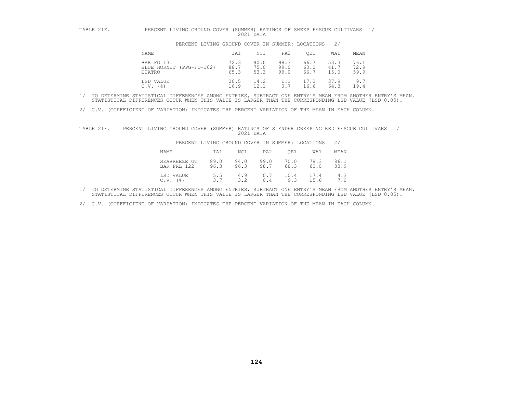| TABLE 21E. | PERCENT LIVING GROUND COVER                      |                      | 2021 DATA            |                      | (SUMMER) RATINGS OF SHEEP FESCUE CULTIVARS |                      |                      |
|------------|--------------------------------------------------|----------------------|----------------------|----------------------|--------------------------------------------|----------------------|----------------------|
|            | PERCENT LIVING GROUND COVER IN SUMMER: LOCATIONS |                      |                      |                      |                                            | 2/                   |                      |
|            | NAME                                             | IA1                  | NC1                  | PA2                  | OE1                                        | WA1                  | MEAN                 |
|            | BAR FO 131<br>BLUE HORNET (PPG-FO-102)<br>OUATRO | 72.3<br>88.7<br>65.3 | 90.0<br>75.0<br>53.3 | 98.3<br>99.0<br>99.0 | 66.7<br>60.0<br>66.7                       | 53.3<br>41.7<br>15.0 | 76.1<br>72.9<br>59.9 |
|            | LSD VALUE<br>$C.V.$ (%)                          | 20.5<br>16.9         | 14.2<br>12.1         | 1.1<br>0.7           | 17.2<br>16.6                               | 37.9<br>64.3         | 9.7<br>19.4          |

2/ C.V. (COEFFICIENT OF VARIATION) INDICATES THE PERCENT VARIATION OF THE MEAN IN EACH COLUMN.

| TABLE 21F. | PERCENT LIVING GROUND COVER (SUMMER) RATINGS OF SLENDER CREEPING RED FESCUE CULTIVARS 1/ |                                                  | 2021 DATA    |              |              |              |              |  |
|------------|------------------------------------------------------------------------------------------|--------------------------------------------------|--------------|--------------|--------------|--------------|--------------|--|
|            |                                                                                          | PERCENT LIVING GROUND COVER IN SUMMER: LOCATIONS |              |              |              |              | 2/           |  |
|            | NAME                                                                                     | IA1                                              | NC1          | PA2          | OE1          | WA1          | MEAN         |  |
|            | SEABREEZE GT<br>BAR FRL 122                                                              | 89.0<br>96.3                                     | 94.0<br>96.3 | 99.0<br>98.7 | 70.0<br>68.3 | 78.3<br>60.0 | 86.1<br>83.9 |  |
|            | LSD VALUE<br>$C.V.$ $(%)$                                                                | 5.5                                              | 4.9<br>3.2   | 0.7<br>0.4   | 10.4<br>9.3  | 17.4<br>15.6 | 4.3<br>7.0   |  |

1/ TO DETERMINE STATISTICAL DIFFERENCES AMONG ENTRIES, SUBTRACT ONE ENTRY'S MEAN FROM ANOTHER ENTRY'S MEAN.<br>STATISTICAL DIFFERENCES OCCUR WHEN THIS VALUE IS LARGER THAN THE CORRESPONDING LSD VALUE (LSD 0.05).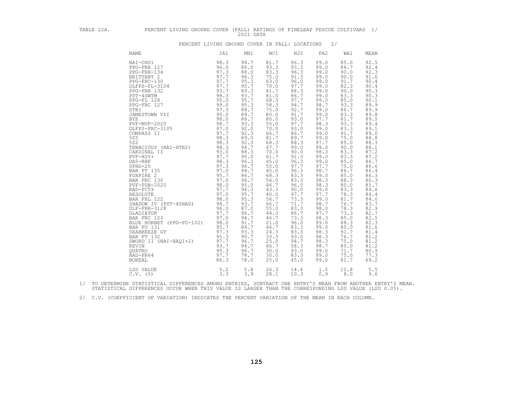| TABLE 22A. | PERCENT LIVING GROUND COVER (FALL) RATINGS OF FINELEAF FESCUE CULTIVARS 1/                                                                                                                                                                                       |      | 2021 DATA                                                                                                                                                                                                                                                                                                                                              |                                                                                                                                                                                                                                                                                                                                                      |                                                                                                                                                                                                                                                                                                                                                      |                                                                                                                                                                                                                                                                                                                                                      |                                                                                                                                                                                                                                                                                                                                                      |                                                                                                                                                                                                                                                                                                                                                      |
|------------|------------------------------------------------------------------------------------------------------------------------------------------------------------------------------------------------------------------------------------------------------------------|------|--------------------------------------------------------------------------------------------------------------------------------------------------------------------------------------------------------------------------------------------------------------------------------------------------------------------------------------------------------|------------------------------------------------------------------------------------------------------------------------------------------------------------------------------------------------------------------------------------------------------------------------------------------------------------------------------------------------------|------------------------------------------------------------------------------------------------------------------------------------------------------------------------------------------------------------------------------------------------------------------------------------------------------------------------------------------------------|------------------------------------------------------------------------------------------------------------------------------------------------------------------------------------------------------------------------------------------------------------------------------------------------------------------------------------------------------|------------------------------------------------------------------------------------------------------------------------------------------------------------------------------------------------------------------------------------------------------------------------------------------------------------------------------------------------------|------------------------------------------------------------------------------------------------------------------------------------------------------------------------------------------------------------------------------------------------------------------------------------------------------------------------------------------------------|
|            | PERCENT LIVING GROUND COVER IN FALL: LOCATIONS                                                                                                                                                                                                                   |      |                                                                                                                                                                                                                                                                                                                                                        |                                                                                                                                                                                                                                                                                                                                                      |                                                                                                                                                                                                                                                                                                                                                      | 2/                                                                                                                                                                                                                                                                                                                                                   |                                                                                                                                                                                                                                                                                                                                                      |                                                                                                                                                                                                                                                                                                                                                      |
|            | <b>NAME</b>                                                                                                                                                                                                                                                      | IA1  | MN1                                                                                                                                                                                                                                                                                                                                                    | NC1                                                                                                                                                                                                                                                                                                                                                  | NJ2                                                                                                                                                                                                                                                                                                                                                  | PA2                                                                                                                                                                                                                                                                                                                                                  | WA1                                                                                                                                                                                                                                                                                                                                                  | MEAN                                                                                                                                                                                                                                                                                                                                                 |
|            | NAI-CHU1<br>NAMIN' PROFINE 122<br>PROFINE 121 98.3<br>PROFINE 121 997.7<br>PROFINE 121 997.7<br>PROFINE 131 97.7<br>PROFINE 131 97.7<br>PROFINE 131 97.7<br>PROFINE 132 93.7<br>PROFINE 128 98.00<br>PROFINE 128 98.00<br>PROFINE 127 997.3<br>SESCONNES TRISPON | 98.3 | 94.7<br>86.0<br>88.0<br>96.3<br>$95.3$<br>95.7<br>89.3<br>93.7<br>95.7<br>95.3<br>88.7<br>89.7<br>86.7<br>93.3<br>92.0<br>92.3<br>89.0<br>92.3<br>94.7<br>88.3<br>90.0<br>96.3<br>96.7<br>94.7<br>86.7<br>94.7<br>95.0<br>94.3<br>95.7<br>95.3<br>93.7<br>87.0<br>96.7<br>94.7<br>91.7<br>84.7<br>93.3<br>90.7<br>96.7<br>84.7<br>96.7<br>78.7<br>78.0 | 81.7<br>93.3<br>83.3<br>75.0<br>63.0<br>70.0<br>81.7<br>81.0<br>68.3<br>58.3<br>75.0<br>80.0<br>80.0<br>55.0<br>70.0<br>66.7<br>81.7<br>68.3<br>47.7<br>70.0<br>61.7<br>45.0<br>55.0<br>45.0<br>68.3<br>56.0<br>46.7<br>43.3<br>40.0<br>56.7<br>66.7<br>55.0<br>44.3<br>46.7<br>21.0<br>46.7<br>24.3<br>33.3<br>25.0<br>66.7<br>30.0<br>30.0<br>25.0 | 96.3<br>93.3<br>96.3<br>91.3<br>96.0<br>97.7<br>88.3<br>86.7<br>97.7<br>94.7<br>92.7<br>91.7<br>93.0<br>97.7<br>93.0<br>86.7<br>89.7<br>88.3<br>99.0<br>90.0<br>91.3<br>96.3<br>97.7<br>96.3<br>83.3<br>83.3<br>96.0<br>90.0<br>97.7<br>73.3<br>71.7<br>83.3<br>86.7<br>73.3<br>96.0<br>83.3<br>83.3<br>93.0<br>94.7<br>58.3<br>93.0<br>83.3<br>45.0 | 99.0<br>99.0<br>99.0<br>99.0<br>99.0<br>99.0<br>99.0<br>99.0<br>99.0<br>98.7<br>99.0<br>99.0<br>97.7<br>98.3<br>99.0<br>99.0<br>99.0<br>97.7<br>99.0<br>98.3<br>99.0<br>99.0<br>97.7<br>98.7<br>99.0<br>98.3<br>98.3<br>99.0<br>97.7<br>99.0<br>98.7<br>98.0<br>97.7<br>98.3<br>99.0<br>99.0<br>98.3<br>98.3<br>98.3<br>98.7<br>99.0<br>99.0<br>99.0 | 85.0<br>86.7<br>90.0<br>90.0<br>91.7<br>82.3<br>90.0<br>83.3<br>85.0<br>93.3<br>86.7<br>83.3<br>81.7<br>93.3<br>83.3<br>91.7<br>75.0<br>85.0<br>90.0<br>83.3<br>83.3<br>85.0<br>75.0<br>86.7<br>85.0<br>88.3<br>80.0<br>83.3<br>78.3<br>81.7<br>76.7<br>78.3<br>73.3<br>85.0<br>88.3<br>80.0<br>91.7<br>76.7<br>75.0<br>85.0<br>71.7<br>75.0<br>81.7 | 92.5<br>92.4<br>92.3<br>91.6<br>90.4<br>90.4<br>90.3<br>90.3<br>90.1<br>89.9<br>89.9<br>89.8<br>89.5<br>89.4<br>89.1<br>89.0<br>88.8<br>88.3<br>88.1<br>87.2<br>87.2<br>86.7<br>86.6<br>86.4<br>86.3<br>86.3<br>85.7<br>84.6<br>84.4<br>84.0<br>83.7<br>82.9<br>82.7<br>82.5<br>82.3<br>81.6<br>81.4<br>81.2<br>81.2<br>81.2<br>80.9<br>77.3<br>69.2 |
|            | $5.2$<br>$3.3$<br>LSD VALUE<br>$C.V.$ $(\frac{6}{6})$                                                                                                                                                                                                            |      | 5.8<br>3.9                                                                                                                                                                                                                                                                                                                                             | 26.3<br>28.1                                                                                                                                                                                                                                                                                                                                         | 14.6<br>10.3                                                                                                                                                                                                                                                                                                                                         | 1.5<br>0.9                                                                                                                                                                                                                                                                                                                                           | 10.8<br>8.0                                                                                                                                                                                                                                                                                                                                          | 5.5<br>9.6                                                                                                                                                                                                                                                                                                                                           |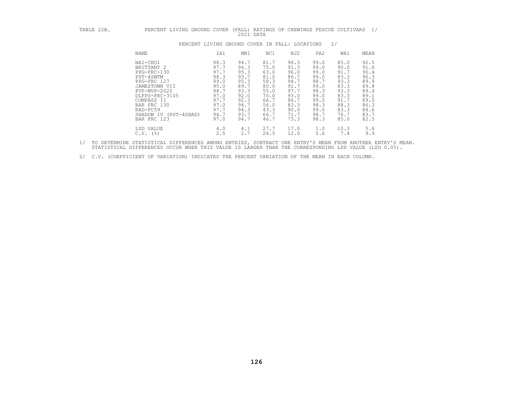| TABLE 22B. | PERCENT LIVING GROUND COVER                                                                                                                                                                           |                                                                                                      | (FALL)<br>2021 DATA                                                                                  |                                                                                                      |                                                                                                      |                                                                                                      | RATINGS OF CHEWINGS FESCUE CULTIVARS                                                                 | $\frac{1}{2}$                                                                                        |
|------------|-------------------------------------------------------------------------------------------------------------------------------------------------------------------------------------------------------|------------------------------------------------------------------------------------------------------|------------------------------------------------------------------------------------------------------|------------------------------------------------------------------------------------------------------|------------------------------------------------------------------------------------------------------|------------------------------------------------------------------------------------------------------|------------------------------------------------------------------------------------------------------|------------------------------------------------------------------------------------------------------|
|            | PERCENT LIVING GROUND COVER IN FALL: LOCATIONS                                                                                                                                                        |                                                                                                      |                                                                                                      |                                                                                                      |                                                                                                      |                                                                                                      | 2/                                                                                                   |                                                                                                      |
|            | NAME                                                                                                                                                                                                  | IA1                                                                                                  | MN1                                                                                                  | NC1                                                                                                  | NJ2                                                                                                  | PA2                                                                                                  | WA1                                                                                                  | MEAN                                                                                                 |
|            | NAI-CHU1<br>BRITTANY 2<br>PPG-FRC-130<br>PST-4SWTM<br>PPG-FRC 127<br>JAMESTOWN VII<br>PVF-MVP-2020<br>DLFPS-FRC-3105<br>COMPASS II<br>BAR FRC 130<br>RAD-FC59<br>SHADOW IV (PST-4SHAD)<br>BAR FRC 123 | 98.3<br>97.7<br>97.7<br>98.3<br>99.0<br>95.0<br>98.7<br>97.0<br>97.7<br>97.0<br>97.7<br>94.7<br>97.0 | 94.7<br>96.3<br>95.3<br>93.7<br>95.3<br>89.7<br>93.3<br>92.0<br>92.3<br>94.7<br>94.3<br>93.7<br>94.7 | 81.7<br>75.0<br>63.0<br>81.0<br>58.3<br>80.0<br>55.0<br>70.0<br>66.7<br>56.0<br>43.3<br>66.7<br>46.7 | 96.3<br>91.3<br>96.0<br>86.7<br>94.7<br>91.7<br>97.7<br>93.0<br>86.7<br>83.3<br>90.0<br>71.7<br>73.3 | 99.0<br>99.0<br>99.0<br>99.0<br>98.7<br>99.0<br>98.3<br>99.0<br>99.0<br>98.3<br>99.0<br>98.7<br>98.3 | 85.0<br>90.0<br>91.7<br>83.3<br>93.3<br>83.3<br>93.3<br>83.3<br>91.7<br>88.3<br>83.3<br>76.7<br>85.0 | 92.5<br>91.6<br>90.4<br>90.3<br>89.9<br>89.8<br>89.4<br>89.1<br>89.0<br>86.3<br>84.6<br>83.7<br>82.5 |
|            | LSD VALUE<br>$C.V.$ (%)                                                                                                                                                                               | 4.0<br>2.5                                                                                           | 4.1<br>2.7                                                                                           | 27.7<br>26.5                                                                                         | 17.0<br>12.0                                                                                         | 1.0<br>0.6                                                                                           | 10.3<br>7.4                                                                                          | 5.8<br>9.9                                                                                           |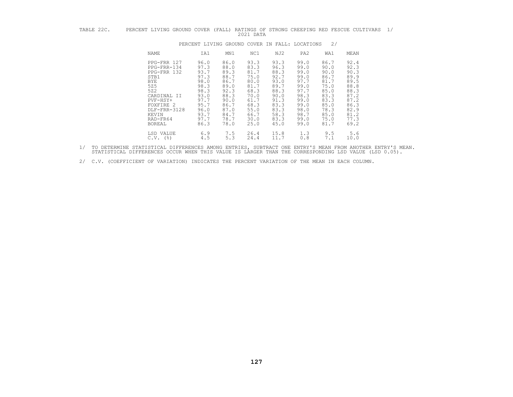| TABLE |  |  |      |      |  |  | PERCENT LIVING GROUND COVER (FALL) RATINGS OF STRONG CREEPING RED FESCUE CULTIVARS |  |
|-------|--|--|------|------|--|--|------------------------------------------------------------------------------------|--|
|       |  |  | 2021 | DATA |  |  |                                                                                    |  |

| TABLE 22C. | PERCENT LIVING GROUND COVER (FALL)                                                                                                                                   |                                                                                                              |                                                                                                              | 2021 DATA                                                                                                    |                                                                                                              |                                                                                                              |                                                                                                              | RATINGS OF STRONG CREEPING RED FESCUE CULTIVARS                                                              | $\frac{1}{2}$ |
|------------|----------------------------------------------------------------------------------------------------------------------------------------------------------------------|--------------------------------------------------------------------------------------------------------------|--------------------------------------------------------------------------------------------------------------|--------------------------------------------------------------------------------------------------------------|--------------------------------------------------------------------------------------------------------------|--------------------------------------------------------------------------------------------------------------|--------------------------------------------------------------------------------------------------------------|--------------------------------------------------------------------------------------------------------------|---------------|
|            |                                                                                                                                                                      |                                                                                                              | PERCENT LIVING GROUND COVER IN FALL: LOCATIONS                                                               |                                                                                                              |                                                                                                              |                                                                                                              | 2/                                                                                                           |                                                                                                              |               |
|            | NAME                                                                                                                                                                 | IA1                                                                                                          | MN1                                                                                                          | NC1                                                                                                          | NJ2                                                                                                          | PA <sub>2</sub>                                                                                              | WA1                                                                                                          | MEAN                                                                                                         |               |
|            | PPG-FRR 127<br>PPG-FRR-134<br>PPG-FRR 132<br>STB1<br><b>BYE</b><br>525<br>522<br>CARDINAL II<br>PVF-HSY+<br>FOXFIRE 2<br>DLF-FRR-3128<br>KEVIN<br>RAD-FR64<br>BOREAL | 96.0<br>97.3<br>93.7<br>97.3<br>98.0<br>98.3<br>98.3<br>93.0<br>97.7<br>95.7<br>96.0<br>93.7<br>97.7<br>86.3 | 86.0<br>88.0<br>89.3<br>88.7<br>86.7<br>89.0<br>92.3<br>88.3<br>90.0<br>86.7<br>87.0<br>84.7<br>78.7<br>78.0 | 93.3<br>83.3<br>81.7<br>75.0<br>80.0<br>81.7<br>68.3<br>70.0<br>61.7<br>68.3<br>55.0<br>66.7<br>30.0<br>25.0 | 93.3<br>96.3<br>88.3<br>92.7<br>93.0<br>89.7<br>88.3<br>90.0<br>91.3<br>83.3<br>83.3<br>58.3<br>83.3<br>45.0 | 99.0<br>99.0<br>99.0<br>99.0<br>97.7<br>99.0<br>97.7<br>98.3<br>99.0<br>99.0<br>98.0<br>98.7<br>99.0<br>99.0 | 86.7<br>90.0<br>90.0<br>86.7<br>81.7<br>75.0<br>85.0<br>83.3<br>83.3<br>85.0<br>78.3<br>85.0<br>75.0<br>81.7 | 92.4<br>92.3<br>90.3<br>89.9<br>89.5<br>88.8<br>88.3<br>87.2<br>87.2<br>86.3<br>82.9<br>81.2<br>77.3<br>69.2 |               |
|            | LSD VALUE<br>$C.V.$ (%)                                                                                                                                              | 6.9<br>4.5                                                                                                   | 7.5<br>5.3                                                                                                   | 26.4<br>24.4                                                                                                 | 15.8<br>11.7                                                                                                 | 1.3<br>0.8                                                                                                   | 9.5<br>7.1                                                                                                   | 5.6<br>10.0                                                                                                  |               |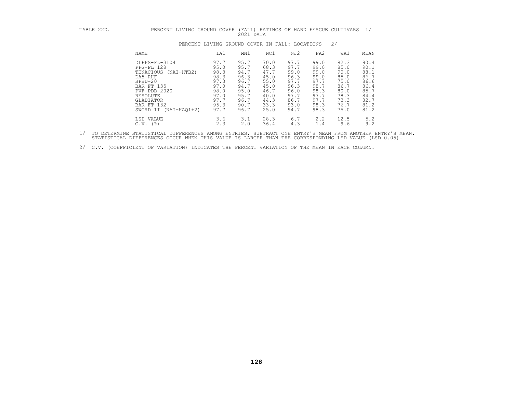| TABLE 22D. | PERCENT LIVING GROUND COVER                                                                                                                                                            |                                                                                      | 2021 DATA                                                                            |                                                                                      |                                                                                      |                                                                                      | (FALL) RATINGS OF HARD FESCUE CULTIVARS 1/                                           |                                                                                      |
|------------|----------------------------------------------------------------------------------------------------------------------------------------------------------------------------------------|--------------------------------------------------------------------------------------|--------------------------------------------------------------------------------------|--------------------------------------------------------------------------------------|--------------------------------------------------------------------------------------|--------------------------------------------------------------------------------------|--------------------------------------------------------------------------------------|--------------------------------------------------------------------------------------|
|            |                                                                                                                                                                                        | PERCENT LIVING GROUND COVER IN FALL: LOCATIONS                                       |                                                                                      |                                                                                      |                                                                                      |                                                                                      | 2/                                                                                   |                                                                                      |
|            | NAME                                                                                                                                                                                   | IA1                                                                                  | MN1                                                                                  | NC1                                                                                  | NJ2                                                                                  | PA <sub>2</sub>                                                                      | WA1                                                                                  | MEAN                                                                                 |
|            | DLFPS-FL-3104<br>PPG-FL 128<br>TENACIOUS (NAI-HTB2)<br>DA5-RHF<br>$SPHD-20$<br><b>BAR FT 135</b><br>$PVF - PDB - 2020$<br>RESOLUTE<br>GLADIATOR<br>BAR FT 132<br>SWORD II (NAI-HAO1+2) | 97.7<br>95.0<br>98.3<br>98.3<br>97.3<br>97.0<br>98.0<br>97.0<br>97.7<br>95.3<br>97.7 | 95.7<br>95.7<br>94.7<br>96.3<br>96.7<br>94.7<br>95.0<br>95.7<br>96.7<br>90.7<br>96.7 | 70.0<br>68.3<br>47.7<br>45.0<br>55.0<br>45.0<br>46.7<br>40.0<br>44.3<br>33.3<br>25.0 | 97.7<br>97.7<br>99.0<br>96.3<br>97.7<br>96.3<br>96.0<br>97.7<br>86.7<br>93.0<br>94.7 | 99.0<br>99.0<br>99.0<br>99.0<br>97.7<br>98.7<br>98.3<br>97.7<br>97.7<br>98.3<br>98.3 | 82.3<br>85.0<br>90.0<br>85.0<br>75.0<br>86.7<br>80.0<br>78.3<br>73.3<br>76.7<br>75.0 | 90.4<br>90.1<br>88.1<br>86.7<br>86.6<br>86.4<br>85.7<br>84.4<br>82.7<br>81.2<br>81.2 |
|            | LSD VALUE<br>$C.V.$ (%)                                                                                                                                                                | 3.6<br>2.3                                                                           | 3.1<br>2.0                                                                           | 28.3<br>36.4                                                                         | 6.7<br>4.3                                                                           | 2.2<br>1.4                                                                           | 12.5<br>9.6                                                                          | 5.2<br>9.2                                                                           |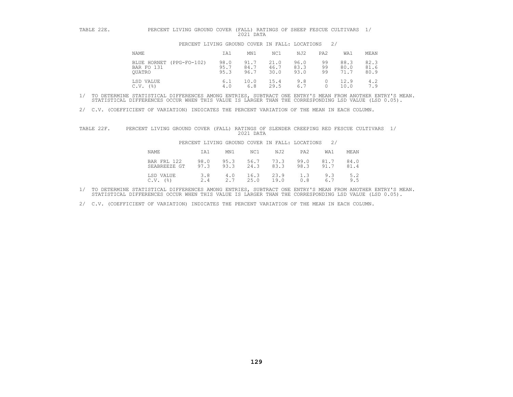| TABLE 22E. | PERCENT LIVING GROUND COVER                         |                      | 2021 DATA            |                      |                      |                 | (FALL) RATINGS OF SHEEP FESCUE CULTIVARS | 1/                   |
|------------|-----------------------------------------------------|----------------------|----------------------|----------------------|----------------------|-----------------|------------------------------------------|----------------------|
|            | PERCENT LIVING GROUND COVER IN FALL: LOCATIONS      |                      |                      |                      |                      |                 | 2/                                       |                      |
|            | NAME                                                | IA1                  | MN1                  | NC1                  | NJ2                  | PA <sub>2</sub> | WA1                                      | MEAN                 |
|            | (PPG-FO-102)<br>BLUE HORNET<br>BAR FO 131<br>OUATRO | 98.0<br>95.7<br>95.3 | 91.7<br>84.7<br>96.7 | 21.0<br>46.7<br>30.0 | 96.0<br>83.3<br>93.0 | 99<br>99<br>99  | 88.3<br>80.0<br>71.7                     | 82.3<br>81.6<br>80.9 |
|            | LSD VALUE<br>(응)<br>C.V.                            | 6.1<br>4.0           | 10.0<br>6.8          | 15.4<br>29.5         | 9.8<br>6.7           | 0               | 12.9<br>10.0                             | 4.2<br>7.9           |

2/ C.V. (COEFFICIENT OF VARIATION) INDICATES THE PERCENT VARIATION OF THE MEAN IN EACH COLUMN.

| TABLE 22F. | PERCENT LIVING GROUND COVER                 |              | 2021 DATA                                      |                              | (FALL) RATINGS OF SLENDER CREEPING RED FESCUE CULTIVARS |  |
|------------|---------------------------------------------|--------------|------------------------------------------------|------------------------------|---------------------------------------------------------|--|
|            |                                             |              | PERCENT LIVING GROUND COVER IN FALL: LOCATIONS | 2/                           |                                                         |  |
|            | NAME<br>IA1                                 | MN1          | NJ2<br>NC1                                     | PA <sub>2</sub><br>WA1       | MEAN                                                    |  |
|            | BAR FRL 122<br>98.0<br>97.3<br>SEABREEZE GT | 95.3<br>93.3 | 73.3<br>56.7<br>24.3<br>83.3                   | 99.0<br>81.7<br>98.3<br>91.7 | 84.0<br>81.4                                            |  |
|            | LSD VALUE<br>3.8<br>2.4<br>$C.V.$ ( $\})$ ) | 4.0<br>2.7   | 23.9<br>16.3<br>25.0<br>19.0                   | 1.3<br>9.3<br>0.8<br>6.7     | 5.2<br>9.5                                              |  |

1/ TO DETERMINE STATISTICAL DIFFERENCES AMONG ENTRIES, SUBTRACT ONE ENTRY'S MEAN FROM ANOTHER ENTRY'S MEAN.<br>STATISTICAL DIFFERENCES OCCUR WHEN THIS VALUE IS LARGER THAN THE CORRESPONDING LSD VALUE (LSD 0.05).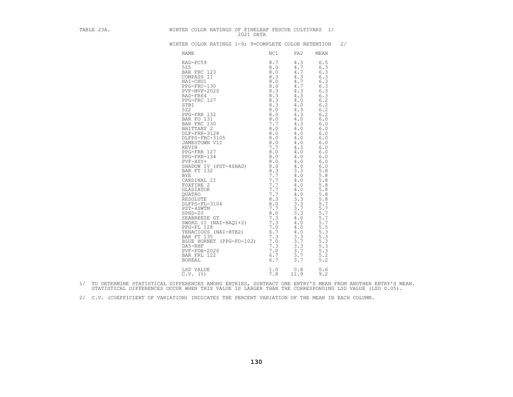| TABLE 23A. | WINTER COLOR RATINGS OF FINELEAF FESCUE CULTIVARS 1/<br>2021 DATA                                                                                                                                                              |            |                                                                                                                                                                                                                                                                                                           |
|------------|--------------------------------------------------------------------------------------------------------------------------------------------------------------------------------------------------------------------------------|------------|-----------------------------------------------------------------------------------------------------------------------------------------------------------------------------------------------------------------------------------------------------------------------------------------------------------|
|            | WINTER COLOR RATINGS 1-9; 9=COMPLETE COLOR RETENTION 2/                                                                                                                                                                        |            |                                                                                                                                                                                                                                                                                                           |
|            | NAME                                                                                                                                                                                                                           | NC1<br>PA2 | MEAN                                                                                                                                                                                                                                                                                                      |
|            | NAME NOT PROPISE SERVICE SERVICE SERVICE SERVICE SERVICE SERVICE SERVICE SERVICE SERVICE SERVICE SERVICE SERVICE SERVICE SERVICE SERVICE SERVICE SERVICE SERVICE SERVICE SERVICE SERVICE SERVICE SERVICE SERVICE SERVICE SERVI |            | 6.5<br>6.3<br>6.3<br>6.3<br>6.3<br>6.3<br>6.3<br>6.3<br>6.2<br>6.2<br>6.2<br>6.2<br>6.0<br>6.0<br>6.0<br>6.0<br>6.0<br>6.0<br>6.0<br>6.0<br>6.0<br>6.0<br>6.0<br>5.8<br>5.8<br>5.8<br>5.8<br>5.8<br>5.8<br>5.8<br>5.7<br>5.7<br>5.7<br>5.7<br>5.7<br>5.5<br>5.3<br>5.3<br>5.3<br>5.3<br>5.3<br>5.2<br>5.2 |
|            |                                                                                                                                                                                                                                |            | 0.6<br>9.2                                                                                                                                                                                                                                                                                                |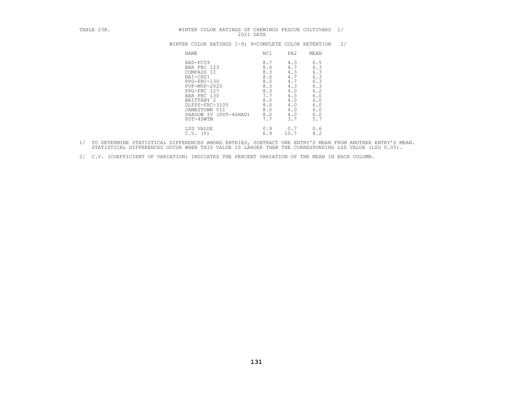| TABLE 23B. | WINTER COLOR RATINGS OF CHEWINGS FESCUE CULTIVARS                                                                                                                                                     | 2021 DATA                                                                               |                                                                                                                                                                                    | 1/ |
|------------|-------------------------------------------------------------------------------------------------------------------------------------------------------------------------------------------------------|-----------------------------------------------------------------------------------------|------------------------------------------------------------------------------------------------------------------------------------------------------------------------------------|----|
|            | WINTER COLOR RATINGS 1-9; 9=COMPLETE COLOR RETENTION                                                                                                                                                  |                                                                                         |                                                                                                                                                                                    | 2/ |
|            | NAME                                                                                                                                                                                                  | NC1                                                                                     | PA2<br>MEAN                                                                                                                                                                        |    |
|            | RAD-FC59<br>BAR FRC 123<br>COMPASS II<br>NAI-CHU1<br>PPG-FRC-130<br>PVF-MVP-2020<br>PPG-FRC 127<br>BAR FRC 130<br>BRITTANY 2<br>DLFPS-FRC-3105<br>JAMESTOWN VII<br>SHADOW IV (PST-4SHAD)<br>PST-4SWTM | 8.7<br>8.0<br>8.3<br>8.0<br>8.0<br>8.3<br>8.3<br>7.7<br>8.0<br>8.0<br>8.0<br>8.0<br>7.7 | 6.5<br>4.3<br>6.3<br>4.7<br>6.3<br>4.3<br>6.3<br>4.7<br>6.3<br>4.7<br>6.3<br>4.3<br>6.2<br>4.0<br>6.0<br>4.3<br>4.0<br>6.0<br>4.0<br>6.0<br>6.0<br>4.0<br>6.0<br>4.0<br>5.7<br>3.7 |    |
|            | LSD VALUE<br>$C.V.$ (%)                                                                                                                                                                               | 0.9<br>6.9                                                                              | 0.6<br>0.7<br>8.2<br>10.7                                                                                                                                                          |    |

- 1/ TO DETERMINE STATISTICAL DIFFERENCES AMONG ENTRIES, SUBTRACT ONE ENTRY'S MEAN FROM ANOTHER ENTRY'S MEAN.<br>STATISTICAL DIFFERENCES OCCUR WHEN THIS VALUE IS LARGER THAN THE CORRESPONDING LSD VALUE (LSD 0.05).
- 2/ C.V. (COEFFICIENT OF VARIATION) INDICATES THE PERCENT VARIATION OF THE MEAN IN EACH COLUMN.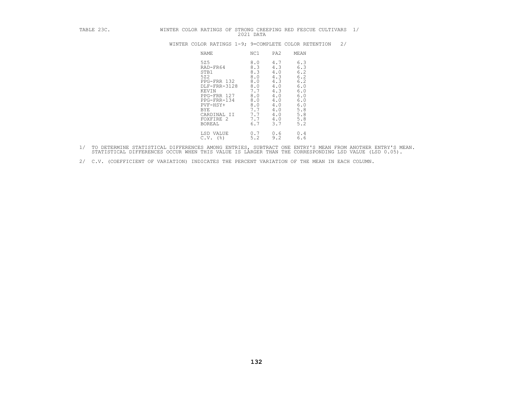| WINTER COLOR RATINGS 1-9; 9=COMPLETE COLOR RETENTION |  |  |
|------------------------------------------------------|--|--|
|------------------------------------------------------|--|--|

| TABLE 23C. | WINTER COLOR RATINGS OF STRONG CREEPING RED FESCUE CULTIVARS 1/ |                                                                                                                                                               | 2021 DATA                                                                                      |                                                                                                |                                                                                                |    |  |
|------------|-----------------------------------------------------------------|---------------------------------------------------------------------------------------------------------------------------------------------------------------|------------------------------------------------------------------------------------------------|------------------------------------------------------------------------------------------------|------------------------------------------------------------------------------------------------|----|--|
|            |                                                                 |                                                                                                                                                               |                                                                                                |                                                                                                | WINTER COLOR RATINGS 1-9; 9=COMPLETE COLOR RETENTION                                           | 2/ |  |
|            |                                                                 | NAME                                                                                                                                                          | NC1                                                                                            | PA2                                                                                            | MEAN                                                                                           |    |  |
|            |                                                                 | 525<br>RAD-FR64<br>STB1<br>522<br>PPG-FRR 132<br>DLF-FRR-3128<br>KEVIN<br>PPG-FRR 127<br>PPG-FRR-134<br>PVF-HSY+<br>BYE<br>CARDINAL II<br>FOXFIRE 2<br>BOREAL | 8.0<br>8.3<br>8.3<br>8.0<br>8.0<br>8.0<br>7.7<br>8.0<br>8.0<br>8.0<br>7.7<br>7.7<br>7.7<br>6.7 | 4.7<br>4.3<br>4.0<br>4.3<br>4.3<br>4.0<br>4.3<br>4.0<br>4.0<br>4.0<br>4.0<br>4.0<br>4.0<br>3.7 | 6.3<br>6.3<br>6.2<br>6.2<br>6.2<br>6.0<br>6.0<br>6.0<br>6.0<br>6.0<br>5.8<br>5.8<br>5.8<br>5.2 |    |  |
|            |                                                                 | LSD VALUE<br>$C.V.$ (%)                                                                                                                                       | 0.7<br>5.2                                                                                     | 0.6<br>9.2                                                                                     | 0.4<br>6.6                                                                                     |    |  |

- 1/ TO DETERMINE STATISTICAL DIFFERENCES AMONG ENTRIES, SUBTRACT ONE ENTRY'S MEAN FROM ANOTHER ENTRY'S MEAN.<br>STATISTICAL DIFFERENCES OCCUR WHEN THIS VALUE IS LARGER THAN THE CORRESPONDING LSD VALUE (LSD 0.05).
- 2/ C.V. (COEFFICIENT OF VARIATION) INDICATES THE PERCENT VARIATION OF THE MEAN IN EACH COLUMN.

**132**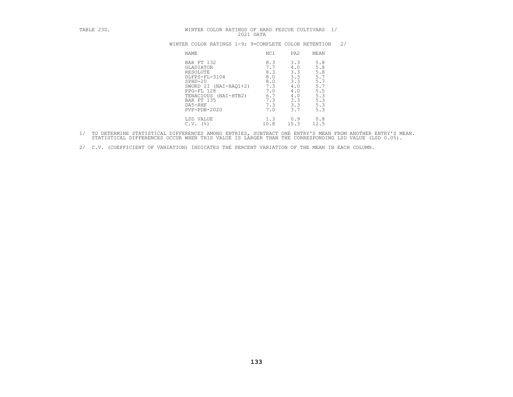|  |  | WINTER COLOR RATINGS 1-9; 9=COMPLETE COLOR RETENTION |  |  |
|--|--|------------------------------------------------------|--|--|
|  |  |                                                      |  |  |

| TABLE 23D. | WINTER COLOR RATINGS OF HARD FESCUE CULTIVARS<br>2021 DATA                                                                                                                      |                                                                           |                                                                           | 1/                                                                               |
|------------|---------------------------------------------------------------------------------------------------------------------------------------------------------------------------------|---------------------------------------------------------------------------|---------------------------------------------------------------------------|----------------------------------------------------------------------------------|
|            | WINTER COLOR RATINGS 1-9; 9=COMPLETE COLOR RETENTION                                                                                                                            |                                                                           |                                                                           | 2/                                                                               |
|            | <b>NAME</b>                                                                                                                                                                     | NC1                                                                       | PA <sub>2</sub><br>MEAN                                                   |                                                                                  |
|            | BAR FT 132<br>GLADIATOR<br>RESOLUTE<br>DLFPS-FL-3104<br>$SPHD-20$<br>SWORD II (NAI-HAQ1+2)<br>PPG-FL 128<br>TENACIOUS (NAI-HTB2)<br>BAR FT 135<br>DA5-RHF<br>$PVF - PDB - 2020$ | 8.3<br>7.7<br>8.3<br>8.0<br>8.0<br>7.3<br>7.0<br>6.7<br>7.3<br>7.3<br>7.0 | 3.3<br>4.0<br>3.3<br>3.3<br>3.3<br>4.0<br>4.0<br>4.0<br>3.3<br>3.3<br>3.7 | 5.8<br>$\frac{5.8}{5.8}$<br>5.7<br>5.7<br>5.7<br>5.5<br>5.3<br>5.3<br>5.3<br>5.3 |
|            | LSD VALUE<br>$C.V.$ (%)                                                                                                                                                         | 1.3<br>10.8                                                               | 0.9<br>15.3<br>12.5                                                       | 0.8                                                                              |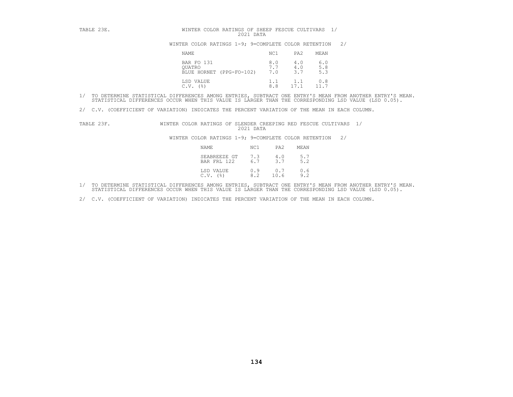| TABLE 23E. | WINTER COLOR RATINGS OF SHEEP FESCUE CULTIVARS<br>2021 DATA |            |                   |                   |    |  |
|------------|-------------------------------------------------------------|------------|-------------------|-------------------|----|--|
|            | WINTER COLOR RATINGS 1-9; 9=COMPLETE COLOR RETENTION        |            |                   |                   | 2/ |  |
|            | NAME                                                        | NC1        | PA <sub>2</sub>   | MEAN              |    |  |
|            | BAR FO 131<br>OUATRO<br>BLUE HORNET (PPG-FO-102)            | 8.0<br>7.0 | 4.0<br>4.0<br>3.7 | 6.0<br>5.8<br>5.3 |    |  |
|            | LSD VALUE<br>C.V.<br>(응)                                    | 1.1<br>8.8 | 1.1<br>17.1       | 0.8               |    |  |

2/ C.V. (COEFFICIENT OF VARIATION) INDICATES THE PERCENT VARIATION OF THE MEAN IN EACH COLUMN.

TABLE 23F. WINTER COLOR RATINGS OF SLENDER CREEPING RED FESCUE CULTIVARS 1/<br>2021 DATA 2021 DATA 2021 DATA WINTER COLOR RATINGS 1-9; 9=COMPLETE COLOR RETENTION

| NAME                                                | NC1 | PA2                   | MEAN |
|-----------------------------------------------------|-----|-----------------------|------|
| SEABREEZE GT 7.3 4.0 5.7<br>BAR FRL 122 6.7 3.7 5.2 |     |                       |      |
| LSD VALUE<br>$C.V.$ $(%)$                           | 8.2 | $0.9$ 0.7 0.6<br>10.6 | 9.2  |

- 1/ TO DETERMINE STATISTICAL DIFFERENCES AMONG ENTRIES, SUBTRACT ONE ENTRY'S MEAN FROM ANOTHER ENTRY'S MEAN.<br>STATISTICAL DIFFERENCES OCCUR WHEN THIS VALUE IS LARGER THAN THE CORRESPONDING LSD VALUE (LSD 0.05).
- 2/ C.V. (COEFFICIENT OF VARIATION) INDICATES THE PERCENT VARIATION OF THE MEAN IN EACH COLUMN.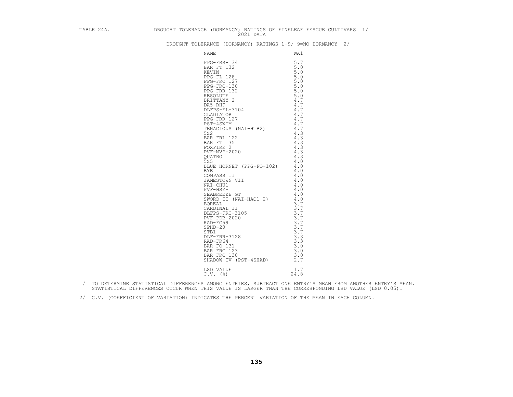| DROUGHT TOLERANCE (DORMANCY) RATINGS 1-9; 9=NO DORMANCY 2/ |  |  |  |  |  |  |  |
|------------------------------------------------------------|--|--|--|--|--|--|--|
|------------------------------------------------------------|--|--|--|--|--|--|--|

| TABLE 24A. DROUGHT TOLERANCE (DORMANCY) RATINGS OF FINELEAF FESCUE CULTIVARS 1/<br>2021 DATA |  |
|----------------------------------------------------------------------------------------------|--|
| DROUGHT TOLERANCE (DORMANCY) RATINGS 1-9; 9=NO DORMANCY 2/                                   |  |
|                                                                                              |  |
| LSD VALUE $1.7$<br>C.V. $(*)$ $24.8$                                                         |  |
|                                                                                              |  |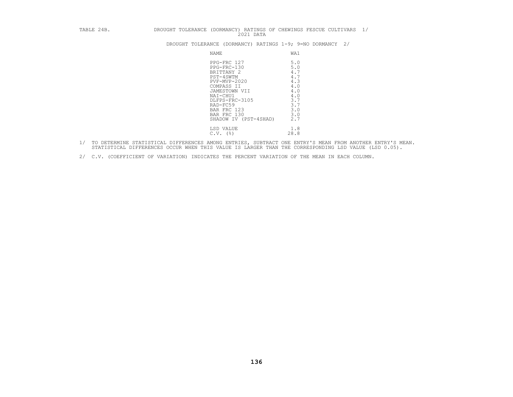| TABLE 24B. |                                                                                                                                                                                                       | DROUGHT TOLERANCE (DORMANCY) RATINGS OF CHEWINGS FESCUE CULTIVARS 1/<br>2021 DATA       |  |
|------------|-------------------------------------------------------------------------------------------------------------------------------------------------------------------------------------------------------|-----------------------------------------------------------------------------------------|--|
|            |                                                                                                                                                                                                       | DROUGHT TOLERANCE (DORMANCY) RATINGS 1-9; 9=NO DORMANCY<br>2/                           |  |
|            | NAME                                                                                                                                                                                                  | WA1                                                                                     |  |
|            | PPG-FRC 127<br>PPG-FRC-130<br>BRITTANY 2<br>PST-4SWTM<br>PVF-MVP-2020<br>COMPASS II<br>JAMESTOWN VII<br>NAI-CHU1<br>DLFPS-FRC-3105<br>RAD-FC59<br>BAR FRC 123<br>BAR FRC 130<br>SHADOW IV (PST-4SHAD) | 5.0<br>5.0<br>4.7<br>4.7<br>4.3<br>4.0<br>4.0<br>4.0<br>3.7<br>3.7<br>3.0<br>3.0<br>2.7 |  |
|            | LSD VALUE<br>$C.V.$ (%)                                                                                                                                                                               | 1.8<br>28.8                                                                             |  |

- 1/ TO DETERMINE STATISTICAL DIFFERENCES AMONG ENTRIES, SUBTRACT ONE ENTRY'S MEAN FROM ANOTHER ENTRY'S MEAN.<br>STATISTICAL DIFFERENCES OCCUR WHEN THIS VALUE IS LARGER THAN THE CORRESPONDING LSD VALUE (LSD 0.05).
- 2/ C.V. (COEFFICIENT OF VARIATION) INDICATES THE PERCENT VARIATION OF THE MEAN IN EACH COLUMN.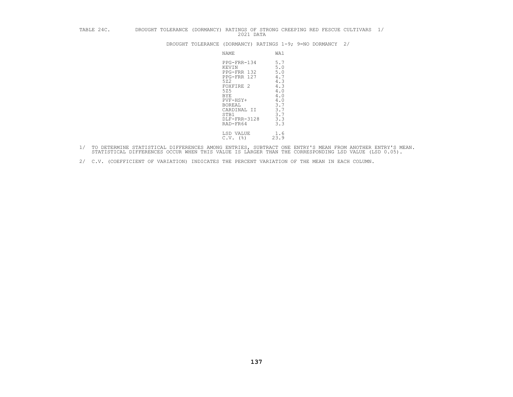| TABLE 24C. | DROUGHT TOLERANCE | (DORMANCY) RATINGS OF STRONG CREEPING RED FESCUE CULTIVARS 1/<br>2021 DATA                                                                                                                                                                                                                                       |    |
|------------|-------------------|------------------------------------------------------------------------------------------------------------------------------------------------------------------------------------------------------------------------------------------------------------------------------------------------------------------|----|
|            |                   | DROUGHT TOLERANCE (DORMANCY) RATINGS 1-9; 9=NO DORMANCY                                                                                                                                                                                                                                                          | 2/ |
|            |                   | WA1<br>NAME                                                                                                                                                                                                                                                                                                      |    |
|            |                   | 5.7<br>PPG-FRR-134<br>5.0<br>KEVIN<br>5.0<br>PPG-FRR 132<br>4.7<br>PPG-FRR 127<br>4.3<br>522<br>4.3<br>FOXFIRE 2<br>525<br>4.0<br>4.0<br><b>BYE</b><br>4.0<br>PVF-HSY+<br>3.7<br>BOREAL<br>3.7<br>CARDINAL II<br>3.7<br>STB1<br>3.3<br>DLF-FRR-3128<br>3.3<br>RAD-FR64<br>LSD VALUE<br>1.6<br>23.9<br>$C.V.$ (%) |    |

- 1/ TO DETERMINE STATISTICAL DIFFERENCES AMONG ENTRIES, SUBTRACT ONE ENTRY'S MEAN FROM ANOTHER ENTRY'S MEAN.<br>STATISTICAL DIFFERENCES OCCUR WHEN THIS VALUE IS LARGER THAN THE CORRESPONDING LSD VALUE (LSD 0.05).
- 2/ C.V. (COEFFICIENT OF VARIATION) INDICATES THE PERCENT VARIATION OF THE MEAN IN EACH COLUMN.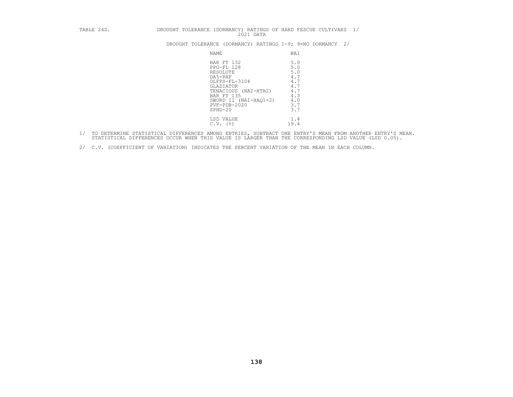| TABLE 24D. |  | DROUGHT TOLERANCE (DORMANCY) RATINGS OF HARD FESCUE CULTIVARS |           |  |  |  |
|------------|--|---------------------------------------------------------------|-----------|--|--|--|
|            |  |                                                               | 2021 DATA |  |  |  |

| TABLE 24D. | 2021 DATA                                                                                                                                                                       | DROUGHT TOLERANCE (DORMANCY) RATINGS OF HARD FESCUE CULTIVARS 1/          |
|------------|---------------------------------------------------------------------------------------------------------------------------------------------------------------------------------|---------------------------------------------------------------------------|
|            | DROUGHT TOLERANCE (DORMANCY) RATINGS 1-9; 9=NO DORMANCY                                                                                                                         | 2/                                                                        |
|            | NAME                                                                                                                                                                            | WA1                                                                       |
|            | BAR FT 132<br>PPG-FL 128<br>RESOLUTE<br>DA5-RHF<br>DLFPS-FL-3104<br>GLADIATOR<br>TENACIOUS (NAI-HTB2)<br>BAR FT 135<br>SWORD II (NAI-HAO1+2)<br>$PVF - PDB - 2020$<br>$SPHD-20$ | 5.0<br>5.0<br>5.0<br>4.7<br>4.7<br>4.7<br>4.7<br>4.3<br>4.0<br>3.7<br>3.7 |
|            | LSD VALUE<br>$C.V.$ (%)                                                                                                                                                         | 1.4<br>19.4                                                               |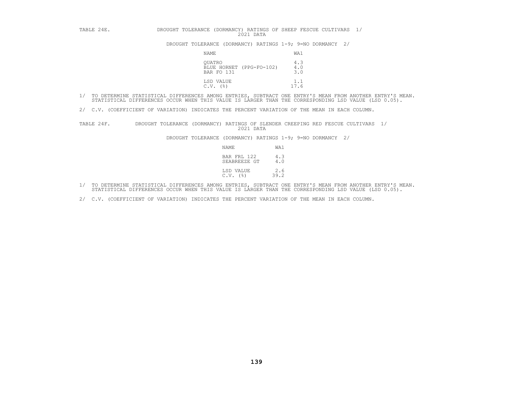| TABLE 24E. | DROUGHT TOLERANCE<br>2021 DATA                   | (DORMANCY) RATINGS OF SHEEP FESCUE CULTIVARS 1/            |
|------------|--------------------------------------------------|------------------------------------------------------------|
|            |                                                  | DROUGHT TOLERANCE (DORMANCY) RATINGS 1-9; 9=NO DORMANCY 2/ |
|            | NAME                                             | WA1                                                        |
|            | OUATRO<br>BLUE HORNET (PPG-FO-102)<br>BAR FO 131 | 4.3<br>$\frac{4}{3}$ .0                                    |
|            | LSD VALUE<br>(응)<br>C.V.                         | 1.1<br>17.6                                                |

2/ C.V. (COEFFICIENT OF VARIATION) INDICATES THE PERCENT VARIATION OF THE MEAN IN EACH COLUMN.

TABLE 24F. DROUGHT TOLERANCE (DORMANCY) RATINGS OF SLENDER CREEPING RED FESCUE CULTIVARS 1/<br>2021 DATA DROUGHT TOLERANCE (DORMANCY) RATINGS 1-9; 9=NO DORMANCY 2/<br>2021 NAME WA1<br>BAR FRL 122 4.3<br>SEABREEZE GT 4.0

| NAME                        | WA1         |
|-----------------------------|-------------|
| BAR FRL 122<br>SEABREEZE GT | 4.3<br>4.0  |
| LSD VALUE<br>(응)<br>C.V.    | 2.6<br>39.2 |

- 1/ TO DETERMINE STATISTICAL DIFFERENCES AMONG ENTRIES, SUBTRACT ONE ENTRY'S MEAN FROM ANOTHER ENTRY'S MEAN.<br>STATISTICAL DIFFERENCES OCCUR WHEN THIS VALUE IS LARGER THAN THE CORRESPONDING LSD VALUE (LSD 0.05).
- 2/ C.V. (COEFFICIENT OF VARIATION) INDICATES THE PERCENT VARIATION OF THE MEAN IN EACH COLUMN.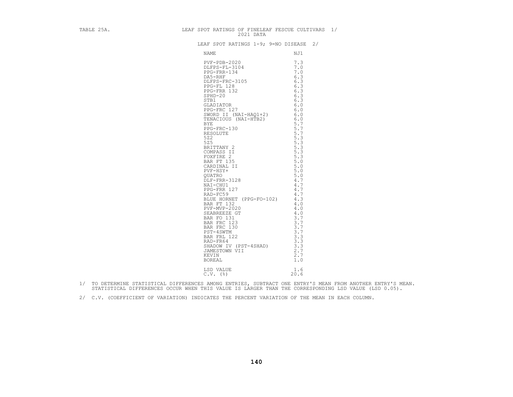| TABLE 25A. | LEAF SPOT RATINGS OF FINELEAF FESCUE CULTIVARS 1/<br>2021 DATA                                                                                                                                                                                                 |  |
|------------|----------------------------------------------------------------------------------------------------------------------------------------------------------------------------------------------------------------------------------------------------------------|--|
|            | LEAF SPOT RATINGS 1-9; 9=NO DISEASE 2/                                                                                                                                                                                                                         |  |
|            | NAME<br>NJ1                                                                                                                                                                                                                                                    |  |
|            | NAME<br>NJI<br>PVF-PDB-2020 7.3<br>DLFPS-FR-3104 7.0<br>DLFPS-FR-3104 7.0<br>DA5-RHF<br>DA5-RHF 3105 6.3<br>PFG-FR-132 6.3<br>FFG-FR-132 6.3<br>SPG-FR-132 6.3<br>SPG-FR-128 6.3<br>SPG-FR-132 6.3<br>SPG-FR-132 6.3<br>SHD-20<br>STADIATOR 96.3<br>SHD-20<br> |  |
|            |                                                                                                                                                                                                                                                                |  |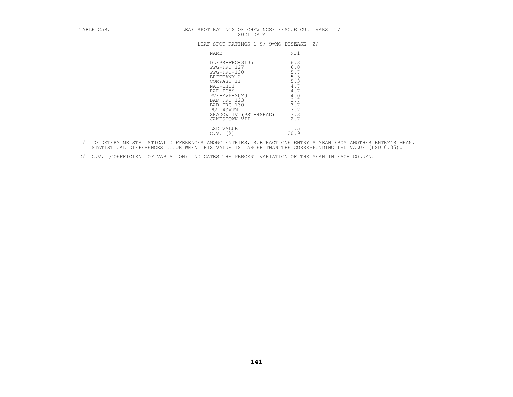| TABLE 25B. | LEAF SPOT RATINGS OF CHEWINGSF FESCUE CULTIVARS 1/<br>2021 DATA                                                                                                                                       |                                                                                         |
|------------|-------------------------------------------------------------------------------------------------------------------------------------------------------------------------------------------------------|-----------------------------------------------------------------------------------------|
|            | LEAF SPOT RATINGS 1-9; 9=NO DISEASE                                                                                                                                                                   | 2/                                                                                      |
|            | NAME                                                                                                                                                                                                  | NJ1                                                                                     |
|            | DLFPS-FRC-3105<br>PPG-FRC 127<br>PPG-FRC-130<br>BRITTANY 2<br>COMPASS II<br>NAI-CHU1<br>RAD-FC59<br>PVF-MVP-2020<br>BAR FRC 123<br>BAR FRC 130<br>PST-4SWTM<br>SHADOW IV (PST-4SHAD)<br>JAMESTOWN VII | 6.3<br>6.0<br>5.7<br>5.3<br>5.3<br>4.7<br>4.7<br>4.0<br>3.7<br>3.7<br>3.7<br>3.3<br>2.7 |
|            | LSD VALUE<br>$C.V.$ (%)                                                                                                                                                                               | 1.5<br>20.9                                                                             |

- 1/ TO DETERMINE STATISTICAL DIFFERENCES AMONG ENTRIES, SUBTRACT ONE ENTRY'S MEAN FROM ANOTHER ENTRY'S MEAN.<br>STATISTICAL DIFFERENCES OCCUR WHEN THIS VALUE IS LARGER THAN THE CORRESPONDING LSD VALUE (LSD 0.05).
- 2/ C.V. (COEFFICIENT OF VARIATION) INDICATES THE PERCENT VARIATION OF THE MEAN IN EACH COLUMN.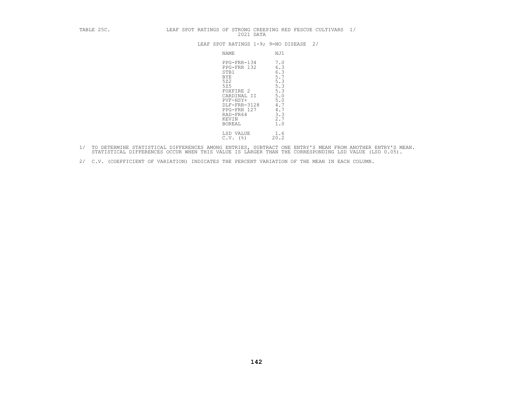| TABLE 25C. |  | 2021 DATA                                                                                                                                                                   | LEAF SPOT RATINGS OF STRONG CREEPING RED FESCUE CULTIVARS 1/                                   |  |
|------------|--|-----------------------------------------------------------------------------------------------------------------------------------------------------------------------------|------------------------------------------------------------------------------------------------|--|
|            |  |                                                                                                                                                                             | LEAF SPOT RATINGS 1-9; 9=NO DISEASE 2/                                                         |  |
|            |  | NAME                                                                                                                                                                        | NJ1                                                                                            |  |
|            |  | PPG-FRR-134<br>PPG-FRR 132<br>STB1<br><b>BYE</b><br>522<br>525<br>FOXFIRE 2<br>CARDINAL II<br>PVF-HSY+<br>DLF-FRR-3128<br>PPG-FRR 127<br>RAD-FR64<br>KEVIN<br><b>BOREAL</b> | 7.0<br>6.3<br>6.3<br>5.7<br>5.3<br>5.3<br>5.3<br>5.0<br>5.0<br>4.7<br>4.7<br>3.3<br>2.7<br>1.0 |  |
|            |  | LSD VALUE<br>$C.V.$ (%)                                                                                                                                                     | 1.6<br>20.2                                                                                    |  |

- 1/ TO DETERMINE STATISTICAL DIFFERENCES AMONG ENTRIES, SUBTRACT ONE ENTRY'S MEAN FROM ANOTHER ENTRY'S MEAN.<br>STATISTICAL DIFFERENCES OCCUR WHEN THIS VALUE IS LARGER THAN THE CORRESPONDING LSD VALUE (LSD 0.05).
- 2/ C.V. (COEFFICIENT OF VARIATION) INDICATES THE PERCENT VARIATION OF THE MEAN IN EACH COLUMN.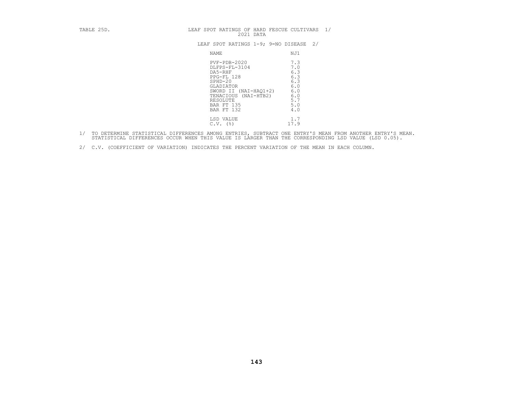| TABLE 25D. | LEAF SPOT RATINGS OF HARD FESCUE CULTIVARS 1/<br>2021 DATA                                                                                                                           |                                                                           |
|------------|--------------------------------------------------------------------------------------------------------------------------------------------------------------------------------------|---------------------------------------------------------------------------|
|            | LEAF SPOT RATINGS 1-9; 9=NO DISEASE                                                                                                                                                  | 2/                                                                        |
|            | NAME                                                                                                                                                                                 | NJ1                                                                       |
|            | $PVF - PDB - 2020$<br>DLFPS-FL-3104<br>DA5-RHF<br>PPG-FL 128<br>SPHD-20<br>GLADIATOR<br>SWORD II (NAI-HAQ1+2)<br>TENACIOUS (NAI-HTB2)<br>RESOLUTE<br><b>BAR FT 135</b><br>BAR FT 132 | 7.3<br>7.0<br>6.3<br>6.3<br>6.3<br>6.0<br>6.0<br>6.0<br>5.7<br>5.0<br>4.0 |
|            | LSD VALUE<br>$C.V.$ (%)                                                                                                                                                              | 1.7<br>17.9                                                               |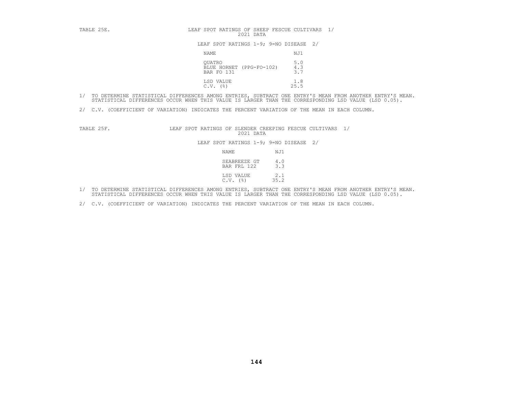TABLE 25E.<br>
LEAF SPOT RATINGS OF SHEEP FESCUE CULTIVARS 1/<br>
2021 DATA<br>
LEAF SPOT RATINGS 1-9; 9=NO DISEASE 2/<br>
NAME NJ1<br>
QUATRO 5.0<br>
BLUE HORNET (PPG-FO-102) 4.3<br>
BAR FO 131 3.7 LSD VALUE 1.8<br>C.V. (%) 25.5

- 1/ TO DETERMINE STATISTICAL DIFFERENCES AMONG ENTRIES, SUBTRACT ONE ENTRY'S MEAN FROM ANOTHER ENTRY'S MEAN.<br>STATISTICAL DIFFERENCES OCCUR WHEN THIS VALUE IS LARGER THAN THE CORRESPONDING LSD VALUE (LSD 0.05).
- 2/ C.V. (COEFFICIENT OF VARIATION) INDICATES THE PERCENT VARIATION OF THE MEAN IN EACH COLUMN.

TABLE 25F. LEAF SPOT RATINGS OF SLENDER CREEPING FESCUE CULTIVARS 1/<br>2021 DATA LEAF SPOT RATINGS 1-9; 9=NO DISEASE 2/<br>NAME NJ1 SEABREEZE GT 4.0<br>BAR FRL 122 3.3

| NAME                        | NJ1         |
|-----------------------------|-------------|
| SEABREEZE GT<br>BAR FRL 122 | 4.0<br>3.3  |
| LSD VALUE<br>$C.V.$ $(%)$   | 2.1<br>35.2 |

- 1/ TO DETERMINE STATISTICAL DIFFERENCES AMONG ENTRIES, SUBTRACT ONE ENTRY'S MEAN FROM ANOTHER ENTRY'S MEAN.<br>STATISTICAL DIFFERENCES OCCUR WHEN THIS VALUE IS LARGER THAN THE CORRESPONDING LSD VALUE (LSD 0.05).
- 2/ C.V. (COEFFICIENT OF VARIATION) INDICATES THE PERCENT VARIATION OF THE MEAN IN EACH COLUMN.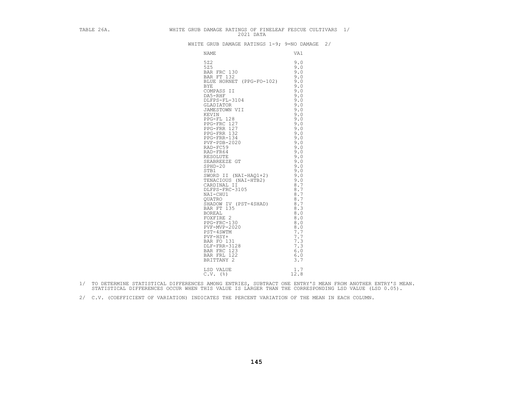|  | TABLE 26A. WHITE GRUB DAMAGE RATINGS OF FINELEAF FESCUE CULTIVARS $1/$                                                                                                                                                                                                |  |
|--|-----------------------------------------------------------------------------------------------------------------------------------------------------------------------------------------------------------------------------------------------------------------------|--|
|  | WHITE GRUB DAMAGE RATINGS 1-9; 9=NO DAMAGE 2/                                                                                                                                                                                                                         |  |
|  |                                                                                                                                                                                                                                                                       |  |
|  | E GRUB DAMAGE RATINGS 1-9; 9=NO DA<br>NAME<br>VAI<br>522<br>525<br>525<br>525<br>525<br>525<br>526 FRC 130<br>BAR FT 132<br>BUDE HORNET (PPG-FO-102)<br>9.0<br>COMPASS IT<br>DLEPS-FL-3104<br>JAMESTON VII<br>ENGENING MATER 9.0<br>JAD-FRS-FL-122<br>PPG-FRR 132<br> |  |
|  |                                                                                                                                                                                                                                                                       |  |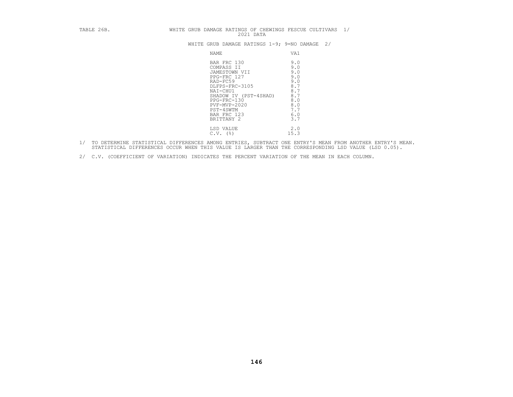| TABLE 26B. | 2021 DATA                                                                                                                                                                                             | WHITE GRUB DAMAGE RATINGS OF CHEWINGS FESCUE CULTIVARS 1/                               |  |
|------------|-------------------------------------------------------------------------------------------------------------------------------------------------------------------------------------------------------|-----------------------------------------------------------------------------------------|--|
|            |                                                                                                                                                                                                       | WHITE GRUB DAMAGE RATINGS $1-9$ ; 9=NO DAMAGE 2/                                        |  |
|            | NAME                                                                                                                                                                                                  | VA1                                                                                     |  |
|            | BAR FRC 130<br>COMPASS II<br>JAMESTOWN VII<br>PPG-FRC 127<br>RAD-FC59<br>DLFPS-FRC-3105<br>NAI-CHU1<br>SHADOW IV (PST-4SHAD)<br>PPG-FRC-130<br>PVF-MVP-2020<br>PST-4SWTM<br>BAR FRC 123<br>BRITTANY 2 | 9.0<br>9.0<br>9.0<br>9.0<br>9.0<br>8.7<br>8.7<br>8.7<br>8.0<br>8.0<br>7.7<br>6.0<br>3.7 |  |
|            | LSD VALUE<br>$C.V.$ (%)                                                                                                                                                                               | 2.0<br>15.3                                                                             |  |

- 1/ TO DETERMINE STATISTICAL DIFFERENCES AMONG ENTRIES, SUBTRACT ONE ENTRY'S MEAN FROM ANOTHER ENTRY'S MEAN.<br>STATISTICAL DIFFERENCES OCCUR WHEN THIS VALUE IS LARGER THAN THE CORRESPONDING LSD VALUE (LSD 0.05).
- 2/ C.V. (COEFFICIENT OF VARIATION) INDICATES THE PERCENT VARIATION OF THE MEAN IN EACH COLUMN.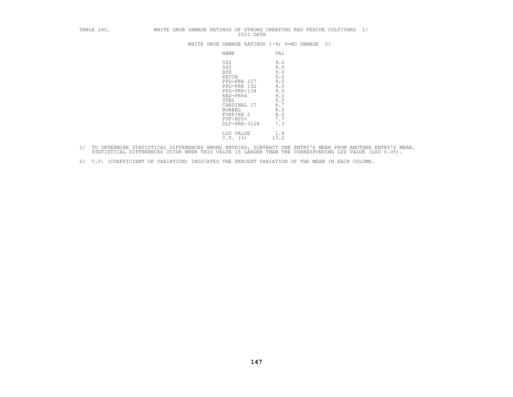| TABLE 26C. | WHITE GRUB DAMAGE RATINGS OF STRONG CREEPING RED FESCUE CULTIVARS<br>1/<br>2021 DATA                                                                                                                                                                                   |
|------------|------------------------------------------------------------------------------------------------------------------------------------------------------------------------------------------------------------------------------------------------------------------------|
|            | WHITE GRUB DAMAGE RATINGS 1-9; 9=NO DAMAGE<br>2/                                                                                                                                                                                                                       |
|            | VA1<br>NAME                                                                                                                                                                                                                                                            |
|            | 522<br>9.0<br>525<br>9.0<br>9.0<br><b>BYE</b><br>9.0<br>KEVIN<br>9.0<br>PPG-FRR 127<br>PPG-FRR 132<br>9.0<br>9.0<br>PPG-FRR-134<br>9.0<br>RAD-FR64<br>9.0<br>STB1<br>8.7<br>CARDINAL II<br>8.0<br>BOREAL<br>8.0<br>FOXFIRE 2<br>7.7<br>PVF-HSY+<br>7.3<br>DLF-FRR-3128 |
|            | 1.8<br>LSD VALUE<br>13.2<br>$C.V.$ ( $\frac{8}{3}$ )                                                                                                                                                                                                                   |

- 1/ TO DETERMINE STATISTICAL DIFFERENCES AMONG ENTRIES, SUBTRACT ONE ENTRY'S MEAN FROM ANOTHER ENTRY'S MEAN.<br>STATISTICAL DIFFERENCES OCCUR WHEN THIS VALUE IS LARGER THAN THE CORRESPONDING LSD VALUE (LSD 0.05).
- 2/ C.V. (COEFFICIENT OF VARIATION) INDICATES THE PERCENT VARIATION OF THE MEAN IN EACH COLUMN.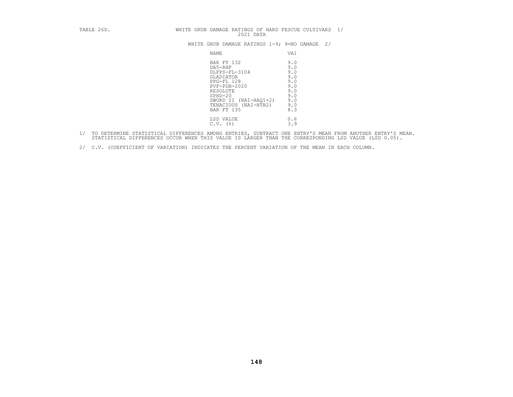# TABLE 26D. WHITE GRUB DAMAGE RATINGS OF HARD FESCUE CULTIVARS 1/<br>2021 DATA WHITE GRUB DAMAGE RATINGS 1-9; 9=NO DAMAGE 2/

| NAME                                                                                                                                                                                             | VA1                                                                       |
|--------------------------------------------------------------------------------------------------------------------------------------------------------------------------------------------------|---------------------------------------------------------------------------|
| BAR FT 132<br>DA5-RHF<br>DLFPS-FL-3104<br><b>GLADIATOR</b><br>PPG-FL 128<br>$PVF - PDB - 2020$<br>RESOLUTE<br>$SPHD-20$<br>$(NAI-HAQ1+2)$<br>SWORD II<br>$(NAI-HTB2)$<br>TENACIOUS<br>BAR FT 135 | 9.0<br>9.0<br>9.0<br>9.0<br>9.0<br>9.0<br>9.0<br>9.0<br>9.0<br>9.0<br>8.3 |
| LSD VALUE<br>$C.V.$ ( $\frac{8}{9}$ )                                                                                                                                                            | 0.6<br>3.9                                                                |

1/ TO DETERMINE STATISTICAL DIFFERENCES AMONG ENTRIES, SUBTRACT ONE ENTRY'S MEAN FROM ANOTHER ENTRY'S MEAN.<br>STATISTICAL DIFFERENCES OCCUR WHEN THIS VALUE IS LARGER THAN THE CORRESPONDING LSD VALUE (LSD 0.05).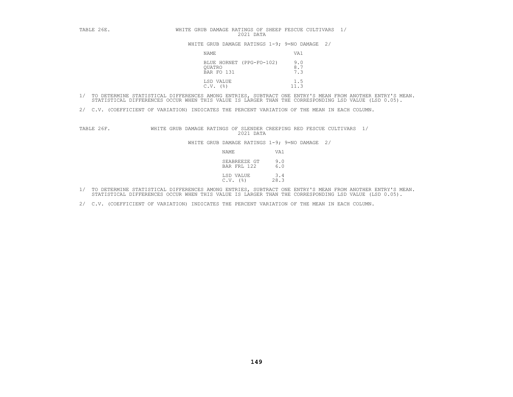| TABLE 26E. | WHITE GRUB DAMAGE RATINGS OF SHEEP FESCUE CULTIVARS 1/<br>2021 DATA |                   |
|------------|---------------------------------------------------------------------|-------------------|
|            | WHITE GRUB DAMAGE RATINGS $1-9$ ; 9=NO DAMAGE 2/                    |                   |
|            | NAMF.                                                               | VA1               |
|            | BLUE HORNET (PPG-FO-102)<br>QUATRO<br>BAR FO 131                    | 9.0<br>8.7<br>7.3 |
|            | LSD VALUE<br>$C.V.$ (%)                                             | 1.5               |

- 1/ TO DETERMINE STATISTICAL DIFFERENCES AMONG ENTRIES, SUBTRACT ONE ENTRY'S MEAN FROM ANOTHER ENTRY'S MEAN.<br>STATISTICAL DIFFERENCES OCCUR WHEN THIS VALUE IS LARGER THAN THE CORRESPONDING LSD VALUE (LSD 0.05).
- 2/ C.V. (COEFFICIENT OF VARIATION) INDICATES THE PERCENT VARIATION OF THE MEAN IN EACH COLUMN.

TABLE 26F. WHITE GRUB DAMAGE RATINGS OF SLENDER CREEPING RED FESCUE CULTIVARS 1/<br>2021 DATA<br>WHITE GRUB DAMAGE RATINGS 1-9; 9=NO DAMAGE 2/<br>NAME VA1<br>SEABREEZE GT 9.0<br>BAR FRL 122 6.0

| NAME                      | VA1                                       |
|---------------------------|-------------------------------------------|
|                           | SEABREEZE GT<br>9.0<br>6.0<br>BAR FRL 122 |
| LSD VALUE<br>$C.V.$ $(%)$ | 3.4<br>28.3                               |

- 1/ TO DETERMINE STATISTICAL DIFFERENCES AMONG ENTRIES, SUBTRACT ONE ENTRY'S MEAN FROM ANOTHER ENTRY'S MEAN.<br>STATISTICAL DIFFERENCES OCCUR WHEN THIS VALUE IS LARGER THAN THE CORRESPONDING LSD VALUE (LSD 0.05).
- 2/ C.V. (COEFFICIENT OF VARIATION) INDICATES THE PERCENT VARIATION OF THE MEAN IN EACH COLUMN.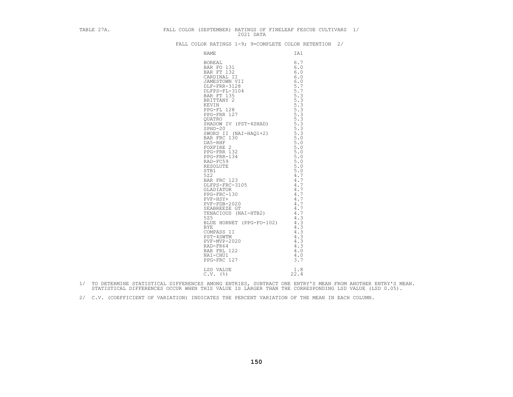|  |  |  |  |  |  | FALL COLOR RATINGS 1-9; 9=COMPLETE COLOR RETENTION |  |
|--|--|--|--|--|--|----------------------------------------------------|--|
|--|--|--|--|--|--|----------------------------------------------------|--|

| TABLE 27A. FALL COLOR (SEPTEMBER) RATINGS OF FINELEAF FESCUE CULTIVARS 1/ |  |                                                       |  |
|---------------------------------------------------------------------------|--|-------------------------------------------------------|--|
|                                                                           |  | FALL COLOR RATINGS 1-9; 9=COMPLETE COLOR RETENTION 2/ |  |
|                                                                           |  |                                                       |  |
|                                                                           |  |                                                       |  |
|                                                                           |  |                                                       |  |
|                                                                           |  |                                                       |  |
|                                                                           |  |                                                       |  |
|                                                                           |  |                                                       |  |
|                                                                           |  |                                                       |  |
|                                                                           |  |                                                       |  |
|                                                                           |  |                                                       |  |
|                                                                           |  |                                                       |  |
|                                                                           |  |                                                       |  |
|                                                                           |  |                                                       |  |
|                                                                           |  |                                                       |  |
|                                                                           |  |                                                       |  |
|                                                                           |  |                                                       |  |
|                                                                           |  |                                                       |  |
|                                                                           |  |                                                       |  |
|                                                                           |  |                                                       |  |
|                                                                           |  |                                                       |  |
|                                                                           |  |                                                       |  |
|                                                                           |  |                                                       |  |
|                                                                           |  |                                                       |  |
|                                                                           |  |                                                       |  |
|                                                                           |  |                                                       |  |
|                                                                           |  |                                                       |  |
|                                                                           |  |                                                       |  |
|                                                                           |  |                                                       |  |
|                                                                           |  |                                                       |  |
|                                                                           |  |                                                       |  |
|                                                                           |  |                                                       |  |
|                                                                           |  |                                                       |  |
|                                                                           |  |                                                       |  |
|                                                                           |  |                                                       |  |
|                                                                           |  |                                                       |  |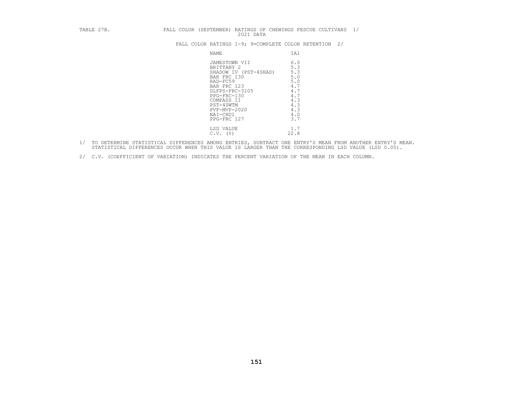|  | FALL COLOR (SEPTEMBER) RATINGS OF CHEWINGS FESCUE CULTIVARS 1/ |           |  |  |  |
|--|----------------------------------------------------------------|-----------|--|--|--|
|  |                                                                | 2021 DATA |  |  |  |

| TABLE 27B. | FALL COLOR (SEPTEMBER) RATINGS OF CHEWINGS FESCUE CULTIVARS 1/<br>2021 DATA                                                                                                                           |                                                                                         |
|------------|-------------------------------------------------------------------------------------------------------------------------------------------------------------------------------------------------------|-----------------------------------------------------------------------------------------|
|            | FALL COLOR RATINGS 1-9; 9=COMPLETE COLOR RETENTION 2/                                                                                                                                                 |                                                                                         |
|            | NAME                                                                                                                                                                                                  | IA1                                                                                     |
|            | JAMESTOWN VII<br>BRITTANY 2<br>SHADOW IV (PST-4SHAD)<br>BAR FRC 130<br>RAD-FC59<br>BAR FRC 123<br>DLFPS-FRC-3105<br>PPG-FRC-130<br>COMPASS II<br>PST-4SWTM<br>PVF-MVP-2020<br>NAI-CHU1<br>PPG-FRC 127 | 6.0<br>5.3<br>5.3<br>5.0<br>5.0<br>4.7<br>4.7<br>4.7<br>4.3<br>4.3<br>4.3<br>4.0<br>3.7 |
|            | LSD VALUE<br>$C.V.$ (%)                                                                                                                                                                               | 1.7<br>22.8                                                                             |

- 1/ TO DETERMINE STATISTICAL DIFFERENCES AMONG ENTRIES, SUBTRACT ONE ENTRY'S MEAN FROM ANOTHER ENTRY'S MEAN.<br>STATISTICAL DIFFERENCES OCCUR WHEN THIS VALUE IS LARGER THAN THE CORRESPONDING LSD VALUE (LSD 0.05).
- 2/ C.V. (COEFFICIENT OF VARIATION) INDICATES THE PERCENT VARIATION OF THE MEAN IN EACH COLUMN.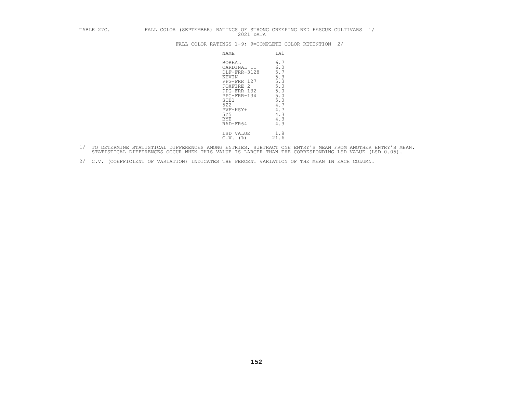| TABLE 27C. |                                                                                                                                                               | 2021 DATA                                                                                      | FALL COLOR (SEPTEMBER) RATINGS OF STRONG CREEPING RED FESCUE CULTIVARS 1/ |  |
|------------|---------------------------------------------------------------------------------------------------------------------------------------------------------------|------------------------------------------------------------------------------------------------|---------------------------------------------------------------------------|--|
|            | FALL COLOR RATINGS 1-9; 9=COMPLETE COLOR RETENTION 2/                                                                                                         |                                                                                                |                                                                           |  |
|            | NAME                                                                                                                                                          | IA1                                                                                            |                                                                           |  |
|            | BOREAL<br>CARDINAL II<br>DLF-FRR-3128<br>KEVIN<br>PPG-FRR 127<br>FOXFIRE 2<br>PPG-FRR 132<br>PPG-FRR-134<br>STB1<br>522<br>PVF-HSY+<br>525<br>BYE<br>RAD-FR64 | 6.7<br>6.0<br>5.7<br>5.3<br>5.3<br>5.0<br>5.0<br>5.0<br>5.0<br>4.7<br>4.7<br>4.3<br>4.3<br>4.3 |                                                                           |  |
|            | LSD VALUE<br>$C.V.$ (%)                                                                                                                                       | 1.8<br>21.6                                                                                    |                                                                           |  |

- 1/ TO DETERMINE STATISTICAL DIFFERENCES AMONG ENTRIES, SUBTRACT ONE ENTRY'S MEAN FROM ANOTHER ENTRY'S MEAN.<br>STATISTICAL DIFFERENCES OCCUR WHEN THIS VALUE IS LARGER THAN THE CORRESPONDING LSD VALUE (LSD 0.05).
- 2/ C.V. (COEFFICIENT OF VARIATION) INDICATES THE PERCENT VARIATION OF THE MEAN IN EACH COLUMN.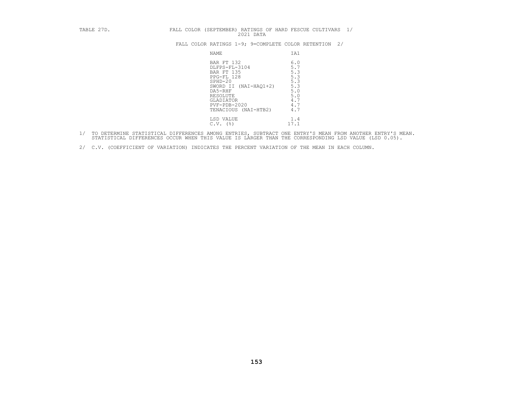| TABLE 27D. | FALL COLOR (SEPTEMBER) RATINGS OF HARD FESCUE CULTIVARS 1/<br>2021 DATA                                                                                                                |                                                                           |
|------------|----------------------------------------------------------------------------------------------------------------------------------------------------------------------------------------|---------------------------------------------------------------------------|
|            | FALL COLOR RATINGS 1-9; 9=COMPLETE COLOR RETENTION                                                                                                                                     | 2/                                                                        |
|            | NAME                                                                                                                                                                                   | IA1                                                                       |
|            | BAR FT 132<br>DLFPS-FL-3104<br><b>BAR FT 135</b><br>PPG-FL 128<br>$SPHD-20$<br>SWORD II (NAI-HAO1+2)<br>DA5-RHF<br>RESOLUTE<br>GLADIATOR<br>$PVF - PDB - 2020$<br>TENACIOUS (NAI-HTB2) | 6.0<br>5.7<br>5.3<br>5.3<br>5.3<br>5.3<br>5.0<br>5.0<br>4.7<br>4.7<br>4.7 |
|            | LSD VALUE<br>$C.V.$ (%)                                                                                                                                                                | 1.4<br>17.1                                                               |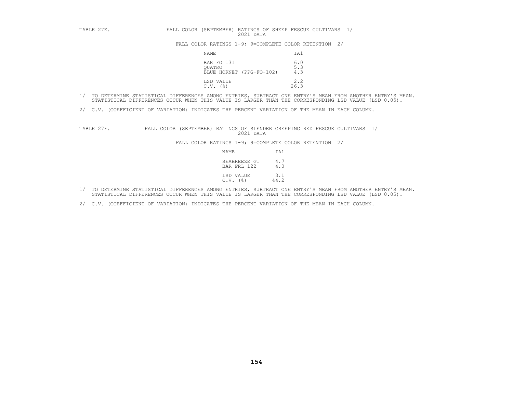| TABLE 27E. | FALL COLOR (SEPTEMBER) RATINGS OF SHEEP FESCUE CULTIVARS 1/<br>2021 DATA |                   |
|------------|--------------------------------------------------------------------------|-------------------|
|            | FALL COLOR RATINGS 1-9; 9=COMPLETE COLOR RETENTION 2/                    |                   |
|            | NAME                                                                     | IA1               |
|            | BAR FO 131<br>OUATRO<br>BLUE HORNET (PPG-FO-102)                         | 6.0<br>5.3<br>4.3 |
|            | LSD VALUE<br>C.V.<br>(응)                                                 | 2.2<br>26.3       |

- 1/ TO DETERMINE STATISTICAL DIFFERENCES AMONG ENTRIES, SUBTRACT ONE ENTRY'S MEAN FROM ANOTHER ENTRY'S MEAN.<br>STATISTICAL DIFFERENCES OCCUR WHEN THIS VALUE IS LARGER THAN THE CORRESPONDING LSD VALUE (LSD 0.05).
- 2/ C.V. (COEFFICIENT OF VARIATION) INDICATES THE PERCENT VARIATION OF THE MEAN IN EACH COLUMN.

TABLE 27F. FALL COLOR (SEPTEMBER) RATINGS OF SLENDER CREEPING RED FESCUE CULTIVARS 1/<br>2021 DATA<br>FALL COLOR RATINGS 1-9; 9=COMPLETE COLOR RETENTION 2/<br>NAME 11<br>SEABREEZE GT 4.7<br>BAR FRL 122 4.0

| NAME         | IA1                                       |
|--------------|-------------------------------------------|
|              | SEABREEZE GT<br>4.7<br>BAR FRL 122<br>4.0 |
| $C.V.$ $(%)$ | LSD VALUE<br>3.1<br>44.2                  |

- 1/ TO DETERMINE STATISTICAL DIFFERENCES AMONG ENTRIES, SUBTRACT ONE ENTRY'S MEAN FROM ANOTHER ENTRY'S MEAN.<br>STATISTICAL DIFFERENCES OCCUR WHEN THIS VALUE IS LARGER THAN THE CORRESPONDING LSD VALUE (LSD 0.05).
- 2/ C.V. (COEFFICIENT OF VARIATION) INDICATES THE PERCENT VARIATION OF THE MEAN IN EACH COLUMN.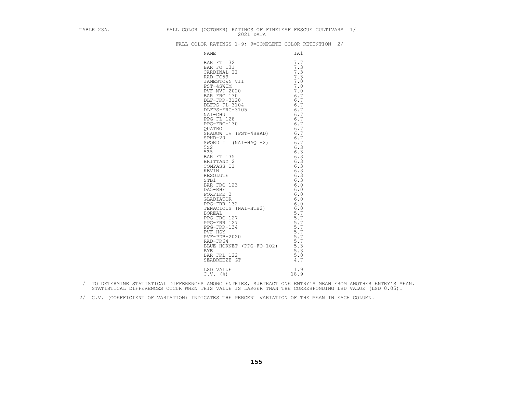| TABLE 28A.<br>FALL COLOR (OCTOBER) RATINGS OF FINELEAF FESCUE CULTIVARS 1/ |  |
|----------------------------------------------------------------------------|--|
| FALL COLOR RATINGS 1-9; 9=COMPLETE COLOR RETENTION 2/                      |  |
|                                                                            |  |
|                                                                            |  |
|                                                                            |  |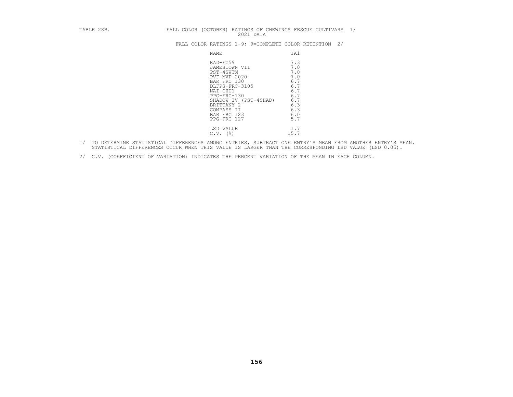| TABLE 28B. | FALL COLOR (OCTOBER) RATINGS OF CHEWINGS FESCUE CULTIVARS 1/<br>2021 DATA                                                                                                                               |                                                                                         |
|------------|---------------------------------------------------------------------------------------------------------------------------------------------------------------------------------------------------------|-----------------------------------------------------------------------------------------|
|            | FALL COLOR RATINGS 1-9; 9=COMPLETE COLOR RETENTION 2/                                                                                                                                                   |                                                                                         |
|            | NAME                                                                                                                                                                                                    | IA1                                                                                     |
|            | RAD-FC59<br>JAMESTOWN VII<br>PST-4SWTM<br>PVF-MVP-2020<br>BAR FRC 130<br>DLFPS-FRC-3105<br>NAI-CHU1<br>$PPG-FRC-130$<br>SHADOW IV (PST-4SHAD)<br>BRITTANY 2<br>COMPASS II<br>BAR FRC 123<br>PPG-FRC 127 | 7.3<br>7.0<br>7.0<br>7.0<br>6.7<br>6.7<br>6.7<br>6.7<br>6.7<br>6.3<br>6.3<br>6.0<br>5.7 |
|            | LSD VALUE<br>$C.V.$ (%)                                                                                                                                                                                 | 1.7<br>15.7                                                                             |

- 1/ TO DETERMINE STATISTICAL DIFFERENCES AMONG ENTRIES, SUBTRACT ONE ENTRY'S MEAN FROM ANOTHER ENTRY'S MEAN.<br>STATISTICAL DIFFERENCES OCCUR WHEN THIS VALUE IS LARGER THAN THE CORRESPONDING LSD VALUE (LSD 0.05).
- 2/ C.V. (COEFFICIENT OF VARIATION) INDICATES THE PERCENT VARIATION OF THE MEAN IN EACH COLUMN.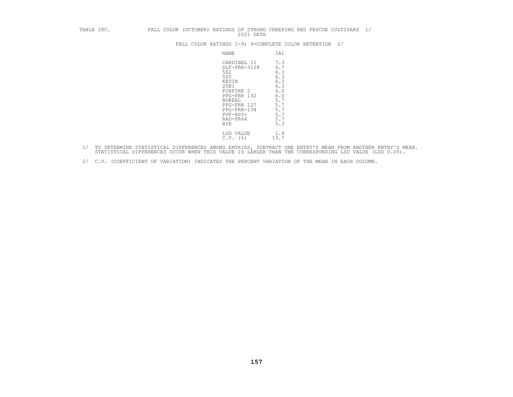| TABLE 28C. |  |                                                                             | 2021 DATA                                                                             | FALL COLOR (OCTOBER) RATINGS OF STRONG CREEPING RED FESCUE CULTIVARS 1/                          |  |  |
|------------|--|-----------------------------------------------------------------------------|---------------------------------------------------------------------------------------|--------------------------------------------------------------------------------------------------|--|--|
|            |  |                                                                             |                                                                                       | FALL COLOR RATINGS 1-9; 9=COMPLETE COLOR RETENTION 2/                                            |  |  |
|            |  | NAME                                                                        |                                                                                       | IA1                                                                                              |  |  |
|            |  | 522<br>525<br>KEVIN<br>STB1<br><b>BOREAL</b><br>PVF-HSY+<br>RAD-FR64<br>BYE | CARDINAL II<br>DLF-FRR-3128<br>FOXFIRE 2<br>PPG-FRR 132<br>PPG-FRR 127<br>PPG-FRR-134 | 7.3<br>6.7<br>6.3<br>6.3<br>6.3<br>6.3<br>6.0<br>6.0<br>5.7<br>$5.7$<br>5.7<br>5.7<br>5.7<br>5.3 |  |  |
|            |  | LSD VALUE<br>$C.V.$ (%)                                                     |                                                                                       | 1.9<br>19.7                                                                                      |  |  |

- 1/ TO DETERMINE STATISTICAL DIFFERENCES AMONG ENTRIES, SUBTRACT ONE ENTRY'S MEAN FROM ANOTHER ENTRY'S MEAN.<br>STATISTICAL DIFFERENCES OCCUR WHEN THIS VALUE IS LARGER THAN THE CORRESPONDING LSD VALUE (LSD 0.05).
- 2/ C.V. (COEFFICIENT OF VARIATION) INDICATES THE PERCENT VARIATION OF THE MEAN IN EACH COLUMN.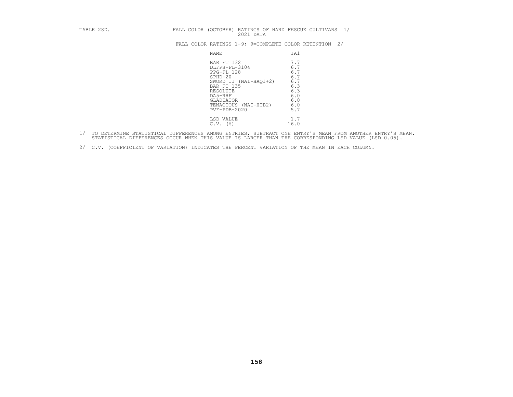| TABLE 28D. |  |                                                                                                                                                                                 | 2021 DATA |  |                                                                           | FALL COLOR (OCTOBER) RATINGS OF HARD FESCUE CULTIVARS | 1/ |
|------------|--|---------------------------------------------------------------------------------------------------------------------------------------------------------------------------------|-----------|--|---------------------------------------------------------------------------|-------------------------------------------------------|----|
|            |  |                                                                                                                                                                                 |           |  |                                                                           | FALL COLOR RATINGS 1-9; 9=COMPLETE COLOR RETENTION    | 2/ |
|            |  | <b>NAME</b>                                                                                                                                                                     |           |  | IA1                                                                       |                                                       |    |
|            |  | BAR FT 132<br>DLFPS-FL-3104<br>PPG-FL 128<br>$SPHD-20$<br>SWORD II (NAI-HAQ1+2)<br>BAR FT 135<br>RESOLUTE<br>DA5-RHF<br>GLADIATOR<br>TENACIOUS (NAI-HTB2)<br>$PVF - PDB - 2020$ |           |  | 7.7<br>6.7<br>6.7<br>6.7<br>6.7<br>6.3<br>6.3<br>6.0<br>6.0<br>6.0<br>5.7 |                                                       |    |
|            |  | LSD VALUE<br>$C.V.$ (%)                                                                                                                                                         |           |  | 1.7<br>16.0                                                               |                                                       |    |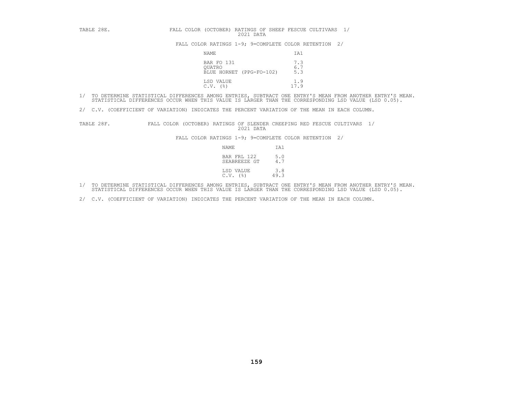| TABLE 28E. | FALL COLOR (OCTOBER) RATINGS OF SHEEP FESCUE CULTIVARS 1/<br>2021 DATA |                   |
|------------|------------------------------------------------------------------------|-------------------|
|            | FALL COLOR RATINGS 1-9; 9=COMPLETE COLOR RETENTION 2/                  |                   |
|            | NAME                                                                   | IA1               |
|            | BAR FO 131<br>OUATRO<br>BLUE HORNET (PPG-FO-102)                       | 7.3<br>6.7<br>5.3 |
|            | LSD VALUE<br>$C.V.$ (%)                                                | 1.9<br>17.9       |

2/ C.V. (COEFFICIENT OF VARIATION) INDICATES THE PERCENT VARIATION OF THE MEAN IN EACH COLUMN.

TABLE 28F. FALL COLOR (OCTOBER) RATINGS OF SLENDER CREEPING RED FESCUE CULTIVARS 1/<br>2021 DATA<br>FALL COLOR RATINGS 1-9; 9=COMPLETE COLOR RETENTION 2/<br>NAME IA1<br>BAR FRL 122 5.0<br>SEABREEZE GT 4.7

| NAME                                  | IA1         |
|---------------------------------------|-------------|
| BAR FRL 122<br>SEABREEZE GT           | 5.0<br>4.7  |
| LSD VALUE<br>$C.V.$ ( $\frac{8}{3}$ ) | 3.8<br>49.3 |

- 1/ TO DETERMINE STATISTICAL DIFFERENCES AMONG ENTRIES, SUBTRACT ONE ENTRY'S MEAN FROM ANOTHER ENTRY'S MEAN.<br>STATISTICAL DIFFERENCES OCCUR WHEN THIS VALUE IS LARGER THAN THE CORRESPONDING LSD VALUE (LSD 0.05).
- 2/ C.V. (COEFFICIENT OF VARIATION) INDICATES THE PERCENT VARIATION OF THE MEAN IN EACH COLUMN.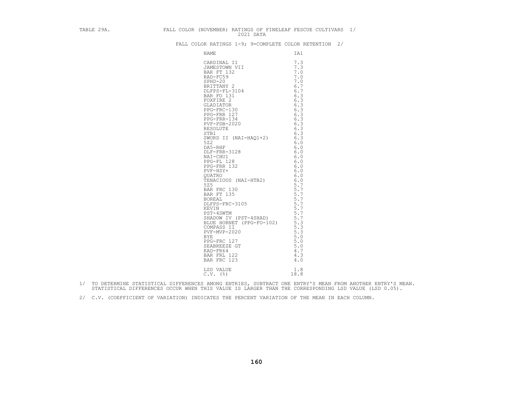| TABLE 29A. FALL COLOR (NOVEMBER) RATINGS OF FINELEAF FESCUE CULTIVARS 1/ |  |                                                                                                                                                                                                                                                              |  |  |
|--------------------------------------------------------------------------|--|--------------------------------------------------------------------------------------------------------------------------------------------------------------------------------------------------------------------------------------------------------------|--|--|
|                                                                          |  | FALL COLOR RATINGS 1-9; 9=COMPLETE COLOR RETENTION 2/                                                                                                                                                                                                        |  |  |
|                                                                          |  |                                                                                                                                                                                                                                                              |  |  |
|                                                                          |  | CONFRATINGS 1-9; 9=COMPLETE COLOR R<br>NAME<br>CARDINAL II 7.3<br>CARDINAL II 7.3<br>DAMESTOWN VII 7.3<br>BAD FCS<br>SERIPT20<br>SERIPTANY 2<br>DLEPS-FL-3104<br>FOC-INC 131<br>FOXFIRE 2<br>CARDINTRE 2<br>CARDINAL 7.3<br>FOXFIRE 2<br>TRIPTANY 6.13<br>FO |  |  |
|                                                                          |  |                                                                                                                                                                                                                                                              |  |  |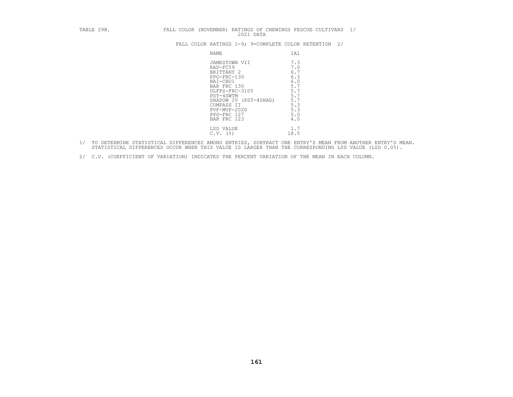| TABLE 29B. | FALL COLOR (NOVEMBER) RATINGS OF CHEWINGS FESCUE CULTIVARS 1/<br>2021 DATA                                                                                                                            |                                                                                                |
|------------|-------------------------------------------------------------------------------------------------------------------------------------------------------------------------------------------------------|------------------------------------------------------------------------------------------------|
|            | FALL COLOR RATINGS 1-9; 9=COMPLETE COLOR RETENTION 2/                                                                                                                                                 |                                                                                                |
|            | NAME                                                                                                                                                                                                  | IA1                                                                                            |
|            | JAMESTOWN VII<br>RAD-FC59<br>BRITTANY 2<br>PPG-FRC-130<br>NAI-CHU1<br>BAR FRC 130<br>DLFPS-FRC-3105<br>PST-4SWTM<br>SHADOW IV (PST-4SHAD)<br>COMPASS II<br>PVF-MVP-2020<br>PPG-FRC 127<br>BAR FRC 123 | 7.3<br>7.0<br>6.7<br>6.3<br>6.0<br>5.7<br>5.7<br>5.7<br>$\frac{5.7}{5.3}$<br>5.3<br>5.0<br>4.0 |
|            | LSD VALUE<br>$C.V.$ (%)                                                                                                                                                                               | 1.7<br>18.5                                                                                    |

- 1/ TO DETERMINE STATISTICAL DIFFERENCES AMONG ENTRIES, SUBTRACT ONE ENTRY'S MEAN FROM ANOTHER ENTRY'S MEAN.<br>STATISTICAL DIFFERENCES OCCUR WHEN THIS VALUE IS LARGER THAN THE CORRESPONDING LSD VALUE (LSD 0.05).
- 2/ C.V. (COEFFICIENT OF VARIATION) INDICATES THE PERCENT VARIATION OF THE MEAN IN EACH COLUMN.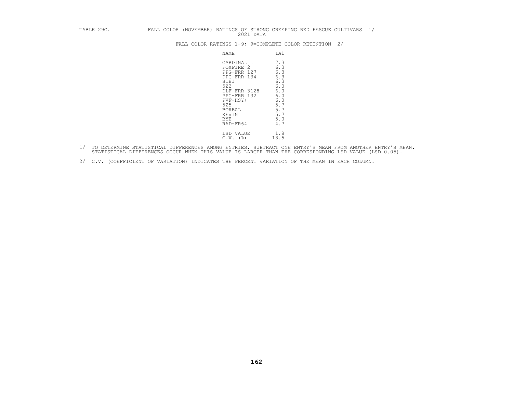# TABLE 29C. FALL COLOR (NOVEMBER) RATINGS OF STRONG CREEPING RED FESCUE CULTIVARS 1/<br>2021 DATA<br>FALL COLOR RATINGS 1-9; 9=COMPLETE COLOR RETENTION 2/

| NAME                                                                                                                                                                        | IA1                                                                                                |
|-----------------------------------------------------------------------------------------------------------------------------------------------------------------------------|----------------------------------------------------------------------------------------------------|
| CARDINAL II<br>FOXFIRE 2<br>PPG-FRR 127<br>PPG-FRR-134<br>STB1<br>522<br>DLF-FRR-3128<br>PPG-FRR 132<br>PVF-HSY+<br>525<br><b>BOREAL</b><br>KEVIN<br><b>BYE</b><br>RAD-FR64 | 7.3<br>6.3<br>6.3<br>6.3<br>6.3<br>$6.0$<br>$6.0$<br>6.0<br>6.0<br>5.7<br>5.7<br>5.7<br>5.0<br>4.7 |
| LSD VALUE<br>(%)<br>C.V.                                                                                                                                                    | 1.8<br>18.5                                                                                        |

- 1/ TO DETERMINE STATISTICAL DIFFERENCES AMONG ENTRIES, SUBTRACT ONE ENTRY'S MEAN FROM ANOTHER ENTRY'S MEAN.<br>STATISTICAL DIFFERENCES OCCUR WHEN THIS VALUE IS LARGER THAN THE CORRESPONDING LSD VALUE (LSD 0.05).
- 2/ C.V. (COEFFICIENT OF VARIATION) INDICATES THE PERCENT VARIATION OF THE MEAN IN EACH COLUMN.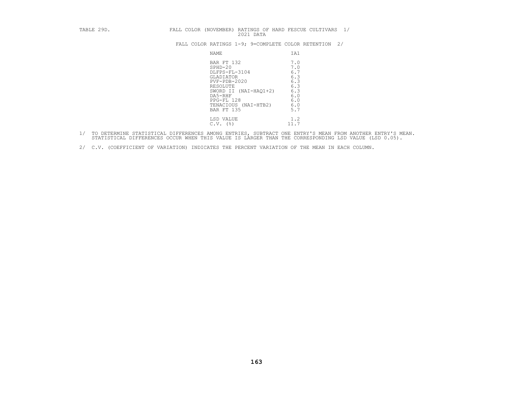| TABLE 29D. | FALL COLOR (NOVEMBER) RATINGS OF HARD FESCUE CULTIVARS<br>2021 DATA                                                                                                                                |                                                                           | 1/ |
|------------|----------------------------------------------------------------------------------------------------------------------------------------------------------------------------------------------------|---------------------------------------------------------------------------|----|
|            | FALL COLOR RATINGS 1-9; 9=COMPLETE COLOR RETENTION                                                                                                                                                 |                                                                           | 2/ |
|            | NAME                                                                                                                                                                                               | IA1                                                                       |    |
|            | BAR FT 132<br>$SPHD-20$<br>DLFPS-FL-3104<br><b>GLADIATOR</b><br>$PVF - PDB - 2020$<br>RESOLUTE<br>$(NAI-HAO1+2)$<br>SWORD II<br>DA5-RHF<br>PPG-FL 128<br>TENACIOUS (NAI-HTB2)<br><b>BAR FT 135</b> | 7.0<br>7.0<br>6.7<br>6.3<br>6.3<br>6.3<br>6.3<br>6.0<br>6.0<br>6.0<br>5.7 |    |
|            | LSD VALUE<br>$C.V.$ (%)                                                                                                                                                                            | 1.2<br>11.7                                                               |    |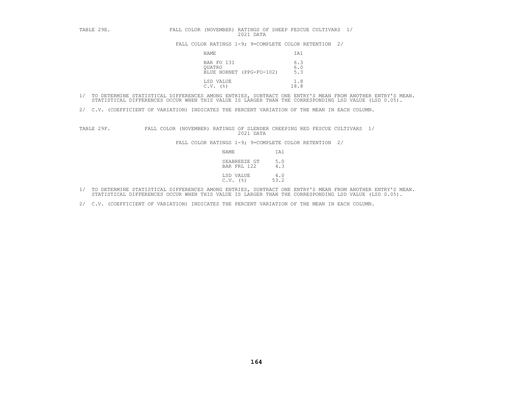| TABLE 29E. | FALL COLOR (NOVEMBER) RATINGS OF SHEEP FESCUE CULTIVARS 1/<br>2021 DATA |                     |
|------------|-------------------------------------------------------------------------|---------------------|
|            | FALL COLOR RATINGS 1-9; 9=COMPLETE COLOR RETENTION 2/                   |                     |
|            | NAME                                                                    | IA1                 |
|            | BAR FO 131<br>OUATRO<br>BLUE HORNET (PPG-FO-102)                        | 6.3<br>$6.0$<br>5.3 |
|            | LSD VALUE<br>C.V.<br>(응)                                                | 1.8<br>18.8         |

- 1/ TO DETERMINE STATISTICAL DIFFERENCES AMONG ENTRIES, SUBTRACT ONE ENTRY'S MEAN FROM ANOTHER ENTRY'S MEAN.<br>STATISTICAL DIFFERENCES OCCUR WHEN THIS VALUE IS LARGER THAN THE CORRESPONDING LSD VALUE (LSD 0.05).
- 2/ C.V. (COEFFICIENT OF VARIATION) INDICATES THE PERCENT VARIATION OF THE MEAN IN EACH COLUMN.

TABLE 29F. FALL COLOR (NOVEMBER) RATINGS OF SLENDER CREEPING RED FESCUE CULTIVARS 1/<br>2021 DATA<br>FALL COLOR RATINGS 1-9; 9=COMPLETE COLOR RETENTION 2/<br>NAME IA1<br>SEABREEZE GT 5.0<br>BAR FRL 122 4.3

| NAME                        | IAl         |
|-----------------------------|-------------|
| SEABREEZE GT<br>BAR FRL 122 | 5.0<br>4.3  |
| LSD VALUE<br>$C.V.$ (%)     | 4.0<br>53.2 |

- 1/ TO DETERMINE STATISTICAL DIFFERENCES AMONG ENTRIES, SUBTRACT ONE ENTRY'S MEAN FROM ANOTHER ENTRY'S MEAN.<br>STATISTICAL DIFFERENCES OCCUR WHEN THIS VALUE IS LARGER THAN THE CORRESPONDING LSD VALUE (LSD 0.05).
- 2/ C.V. (COEFFICIENT OF VARIATION) INDICATES THE PERCENT VARIATION OF THE MEAN IN EACH COLUMN.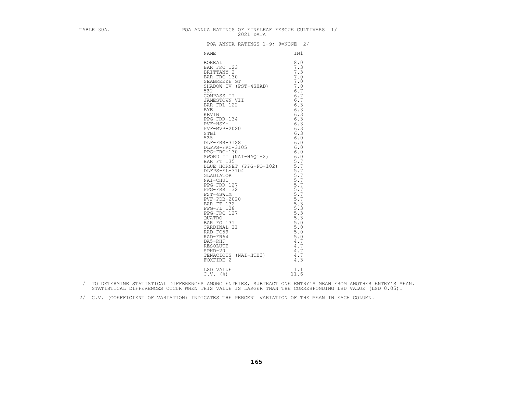| TABLE 30A. | POA ANNUA RATINGS OF FINELEAF FESCUE CULTIVARS 1/<br>2021 DATA                                                                                                                                                                                                                                |             |  |
|------------|-----------------------------------------------------------------------------------------------------------------------------------------------------------------------------------------------------------------------------------------------------------------------------------------------|-------------|--|
|            | POA ANNUA RATINGS 1-9; 9=NONE 2/                                                                                                                                                                                                                                                              |             |  |
|            | NAME                                                                                                                                                                                                                                                                                          | IN1         |  |
|            | SWORD 11 (NA1-HAQ1+2)<br>BAR FT 135<br>BLUE HORNET (PPG-FO-102)<br>5.7<br>DLFPS-FL-3104<br>5.7<br>CLADIATOR<br>PT 132<br>PPG-FRR 127<br>PPG-FRR 132<br>PST-45WTM<br>PVF-PDB-2020<br>BAR FT 132<br>PST-45WTM<br>PVF-PDB-2020<br>BAR FT 132<br>PST-45WTM<br>PVF-PD<br>LSD VALUE<br>$C.V.$ $(%)$ | 1.1<br>11.6 |  |
|            |                                                                                                                                                                                                                                                                                               |             |  |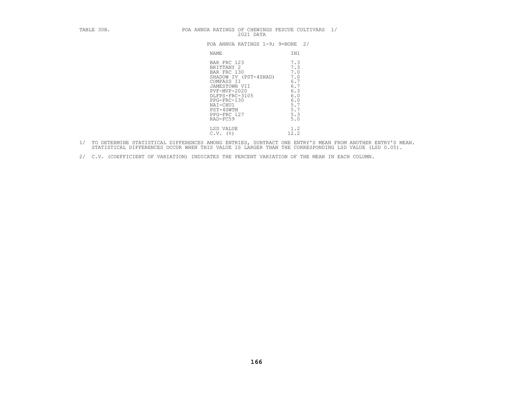|       | PUA ANNUA KAIINGS 1-9; 9=NUNE 27 |     |  |
|-------|----------------------------------|-----|--|
| NAME. |                                  | TN1 |  |

| TABLE 30B. | POA ANNUA RATINGS OF CHEWINGS FESCUE CULTIVARS 1/<br>2021 DATA                                                                                                                                        |                                                                                         |
|------------|-------------------------------------------------------------------------------------------------------------------------------------------------------------------------------------------------------|-----------------------------------------------------------------------------------------|
|            | POA ANNUA RATINGS 1-9; 9=NONE 2/                                                                                                                                                                      |                                                                                         |
|            | NAME                                                                                                                                                                                                  | IN1                                                                                     |
|            | BAR FRC 123<br>BRITTANY 2<br>BAR FRC 130<br>SHADOW IV (PST-4SHAD)<br>COMPASS II<br>JAMESTOWN VII<br>PVF-MVP-2020<br>DLFPS-FRC-3105<br>PPG-FRC-130<br>NAI-CHU1<br>PST-4SWTM<br>PPG-FRC 127<br>RAD-FC59 | 7.3<br>7.3<br>7.0<br>7.0<br>6.7<br>6.7<br>6.3<br>6.0<br>6.0<br>5.7<br>5.7<br>5.3<br>5.0 |
|            | LSD VALUE<br>$C.V.$ ( $\frac{8}{9}$ )                                                                                                                                                                 | 1.2<br>12.2                                                                             |

- 1/ TO DETERMINE STATISTICAL DIFFERENCES AMONG ENTRIES, SUBTRACT ONE ENTRY'S MEAN FROM ANOTHER ENTRY'S MEAN.<br>STATISTICAL DIFFERENCES OCCUR WHEN THIS VALUE IS LARGER THAN THE CORRESPONDING LSD VALUE (LSD 0.05).
- 2/ C.V. (COEFFICIENT OF VARIATION) INDICATES THE PERCENT VARIATION OF THE MEAN IN EACH COLUMN.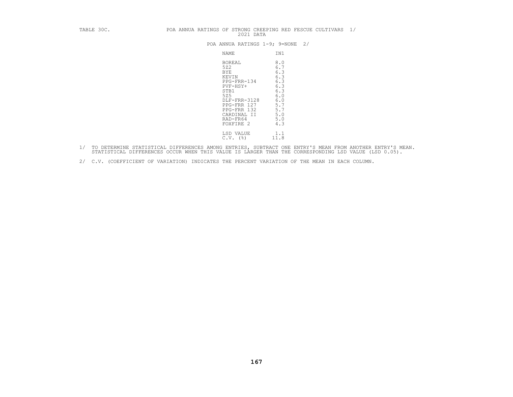| TABLE 30C. | POA ANNUA RATINGS OF STRONG CREEPING RED FESCUE CULTIVARS 1/<br>2021 DATA                                                                                                                                                                                                |
|------------|--------------------------------------------------------------------------------------------------------------------------------------------------------------------------------------------------------------------------------------------------------------------------|
|            | POA ANNUA RATINGS 1-9; 9=NONE<br>2/                                                                                                                                                                                                                                      |
|            | NAME<br>IN1                                                                                                                                                                                                                                                              |
|            | 8.0<br>BOREAL<br>522<br>6.7<br>6.3<br><b>BYE</b><br>6.3<br>KEVIN<br>6.3<br>PPG-FRR-134<br>6.3<br>$PVF-HSY+$<br>6.3<br>STB1<br>525<br>6.0<br>6.0<br>DLF-FRR-3128<br>5.7<br>PPG-FRR 127<br>5.7<br>PPG-FRR 132<br>5.0<br>CARDINAL II<br>5.0<br>RAD-FR64<br>4.3<br>FOXFIRE 2 |
|            | 1.1<br>LSD VALUE<br>11.8<br>$C.V.$ ( $\S$ )                                                                                                                                                                                                                              |

- 1/ TO DETERMINE STATISTICAL DIFFERENCES AMONG ENTRIES, SUBTRACT ONE ENTRY'S MEAN FROM ANOTHER ENTRY'S MEAN.<br>STATISTICAL DIFFERENCES OCCUR WHEN THIS VALUE IS LARGER THAN THE CORRESPONDING LSD VALUE (LSD 0.05).
- 2/ C.V. (COEFFICIENT OF VARIATION) INDICATES THE PERCENT VARIATION OF THE MEAN IN EACH COLUMN.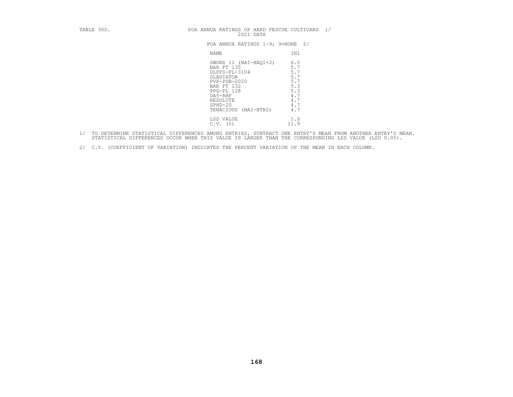| TABLE 30D. | POA ANNUA RATINGS OF HARD FESCUE CULTIVARS<br>2021 DATA                                                                                                                        | 1/                                                                        |
|------------|--------------------------------------------------------------------------------------------------------------------------------------------------------------------------------|---------------------------------------------------------------------------|
|            | POA ANNUA RATINGS 1-9; 9=NONE 2/                                                                                                                                               |                                                                           |
|            | NAME                                                                                                                                                                           | IN1                                                                       |
|            | SWORD II (NAI-HAO1+2)<br>BAR FT 135<br>DLFPS-FL-3104<br>GLADIATOR<br>PVF-PDB-2020<br>BAR FT 132<br>PPG-FL 128<br>DA5-RHF<br>RESOLUTE<br>$SPHD-20$<br>$(NAI-HTB2)$<br>TENACIOUS | 6.0<br>5.7<br>5.7<br>5.7<br>5.7<br>5.3<br>5.3<br>4.7<br>4.7<br>4.7<br>4.7 |
|            | LSD VALUE<br>$C.V.$ (%)                                                                                                                                                        | 1.0<br>11.9                                                               |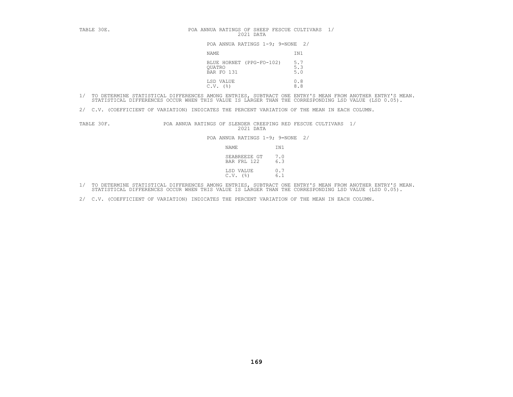| TABLE 30E. | POA ANNUA RATINGS OF SHEEP FESCUE CULTIVARS 1/<br>2021 DATA |                          |
|------------|-------------------------------------------------------------|--------------------------|
|            | POA ANNUA RATINGS 1-9; 9=NONE 2/                            |                          |
|            | NAME                                                        | IN1                      |
|            | BLUE HORNET (PPG-FO-102)<br>QUATRO<br>BAR FO 131            | $\frac{5.7}{5.3}$<br>5.0 |
|            | LSD VALUE<br>C.V.<br>(응)                                    | 0.8<br>8.8               |

- 1/ TO DETERMINE STATISTICAL DIFFERENCES AMONG ENTRIES, SUBTRACT ONE ENTRY'S MEAN FROM ANOTHER ENTRY'S MEAN.<br>STATISTICAL DIFFERENCES OCCUR WHEN THIS VALUE IS LARGER THAN THE CORRESPONDING LSD VALUE (LSD 0.05).
- 2/ C.V. (COEFFICIENT OF VARIATION) INDICATES THE PERCENT VARIATION OF THE MEAN IN EACH COLUMN.

TABLE 30F. POA ANNUA RATINGS OF SLENDER CREEPING RED FESCUE CULTIVARS 1/<br>2021 DATA POA ANNUA RATINGS 1-9; 9=NONE 2/<br>NAME IN1 SEABREEZE GT 7.0<br>BAR FRL 122 6.3

| NAME                            | IN1        |
|---------------------------------|------------|
| SEABREEZE GT 7.0<br>BAR FRL 122 | 6.3        |
| LSD VALUE<br>$C.V.$ $(%)$       | 0.7<br>6.1 |

- 1/ TO DETERMINE STATISTICAL DIFFERENCES AMONG ENTRIES, SUBTRACT ONE ENTRY'S MEAN FROM ANOTHER ENTRY'S MEAN.<br>STATISTICAL DIFFERENCES OCCUR WHEN THIS VALUE IS LARGER THAN THE CORRESPONDING LSD VALUE (LSD 0.05).
- 2/ C.V. (COEFFICIENT OF VARIATION) INDICATES THE PERCENT VARIATION OF THE MEAN IN EACH COLUMN.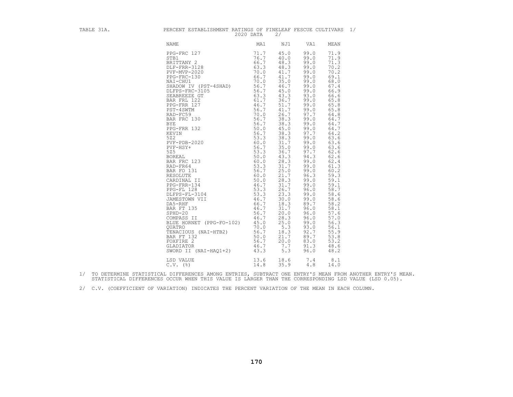| . .<br>ı<br>٦<br>ш | ۰ |
|--------------------|---|
|--------------------|---|

| TABLE 31A. | PERCENT ESTABLISHMENT RATINGS OF FINELEAF FESCUE CULTIVARS 1/                                                                                                                                                                                                                                                                                                                                | 2020 DATA                                            | 2/                                                                                                                                                                                                                                                                                                                                                  |                                                                                                                                                                                                                                                                                                                                                                                                                                                                                                                                                                                                                                                                                                              |  |
|------------|----------------------------------------------------------------------------------------------------------------------------------------------------------------------------------------------------------------------------------------------------------------------------------------------------------------------------------------------------------------------------------------------|------------------------------------------------------|-----------------------------------------------------------------------------------------------------------------------------------------------------------------------------------------------------------------------------------------------------------------------------------------------------------------------------------------------------|--------------------------------------------------------------------------------------------------------------------------------------------------------------------------------------------------------------------------------------------------------------------------------------------------------------------------------------------------------------------------------------------------------------------------------------------------------------------------------------------------------------------------------------------------------------------------------------------------------------------------------------------------------------------------------------------------------------|--|
|            | NAME                                                                                                                                                                                                                                                                                                                                                                                         | MA1                                                  | NJ1                                                                                                                                                                                                                                                                                                                                                 | VA1<br>MEAN                                                                                                                                                                                                                                                                                                                                                                                                                                                                                                                                                                                                                                                                                                  |  |
|            | PPG-FRC 127<br>STB1<br>BRITTANY 2<br>DLF-FRR-3128<br>PVF-MVP-2020<br>PPG-FRC-130<br>NAI-CHU1<br>NAI-CHU1<br>NAI-CHU1<br>NAI-CHU1<br>PRG-FRC-130 66.7<br>NAI-CHUI 66.7<br>NAI-CHUI 705<br>DLFPS-FRC-3105 66.7<br>DLFPS-FRC-3105 56.7<br>DLFPS-FRC-3105 56.7<br>BAR FRL 122 63.3<br>BAR FRL 122<br>PPG-FRR 122<br>PRG-FRR 122<br>PRG-FRR 122<br>PRG-FRR 132<br>BAR FRC 130 56.7<br>DLFPS-FRR 1 | 71.7<br>76.7<br>66.7<br>63.3<br>70.0<br>66.7<br>70.0 | 45.0<br>40.0<br>48.3<br>48.3<br>41.7<br>41.7<br>35.0<br>46.7<br>45.0<br>43.3<br>36.7<br>51.7<br>41.7<br>26.7<br>38.3<br>38.3<br>45.0<br>38.3<br>38.3<br>31.7<br>35.0<br>36.7<br>43.3<br>28.3<br>31.7<br>25.0<br>21.7<br>28.3<br>31.7<br>26.7<br>23.3<br>30.0<br>18.3<br>31.7<br>20.0<br>28.3<br>25.0<br>$5.3$<br>18.3<br>21.7<br>20.0<br>7.7<br>5.3 | 99.0<br>71.9<br>71.9<br>99.0<br>99.0<br>71.3<br>99.0<br>70.2<br>99.0<br>70.2<br>99.0<br>69.1<br>99.0<br>68.0<br>99.0<br>67.4<br>99.0<br>66.9<br>93.0<br>66.6<br>99.0<br>65.8<br>65.8<br>99.0<br>99.0<br>65.8<br>97.7<br>64.8<br>99.0<br>64.7<br>99.0<br>64.7<br>99.0<br>64.7<br>97.7<br>64.2<br>99.0<br>63.6<br>99.0<br>63.6<br>99.0<br>63.6<br>97.7<br>62.6<br>94.3<br>62.6<br>99.0<br>62.4<br>99.0<br>61.3<br>99.0<br>60.2<br>96.3<br>59.3<br>99.0<br>59.1<br>99.0<br>59.1<br>58.7<br>96.0<br>99.0<br>58.6<br>99.0<br>58.6<br>89.7<br>58.2<br>96.0<br>58.1<br>57.6<br>96.0<br>96.0<br>57.0<br>99.0<br>56.3<br>93.0<br>56.1<br>55.9<br>92.7<br>53.8<br>89.7<br>53.2<br>83.0<br>91.3<br>48.6<br>96.0<br>48.2 |  |
|            | LSD VALUE<br>$C.V.$ (%)                                                                                                                                                                                                                                                                                                                                                                      | 13.6<br>14.8                                         | 18.6<br>35.9                                                                                                                                                                                                                                                                                                                                        | 7.4<br>8.1<br>4.8<br>14.0                                                                                                                                                                                                                                                                                                                                                                                                                                                                                                                                                                                                                                                                                    |  |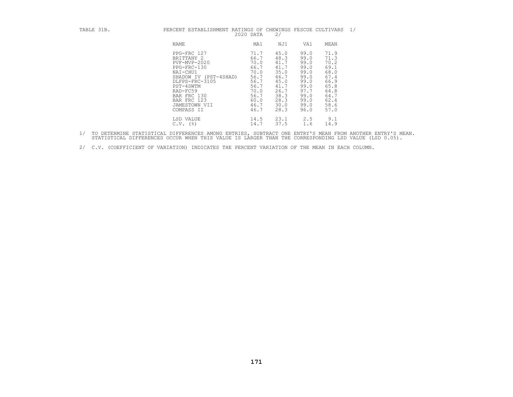| TABLE 31B. | PERCENT ESTABLISHMENT RATINGS OF CHEWINGS FESCUE CULTIVARS<br>2020 DATA                                                                                                                               | 2/                                                                                                                                                                                                           |                                                                                                      |                                                                                                      | 1/ |
|------------|-------------------------------------------------------------------------------------------------------------------------------------------------------------------------------------------------------|--------------------------------------------------------------------------------------------------------------------------------------------------------------------------------------------------------------|------------------------------------------------------------------------------------------------------|------------------------------------------------------------------------------------------------------|----|
|            | NAME                                                                                                                                                                                                  | MA1<br>NJ1                                                                                                                                                                                                   | VA1                                                                                                  | MEAN                                                                                                 |    |
|            | PPG-FRC 127<br>BRITTANY 2<br>PVF-MVP-2020<br>PPG-FRC-130<br>NAI-CHU1<br>SHADOW IV (PST-4SHAD)<br>DLFPS-FRC-3105<br>PST-4SWTM<br>RAD-FC59<br>BAR FRC 130<br>BAR FRC 123<br>JAMESTOWN VII<br>COMPASS II | 71.7<br>45.0<br>48.3<br>66.7<br>41.7<br>70.0<br>41.7<br>66.7<br>35.0<br>70.0<br>46.7<br>56.7<br>56.7<br>45.0<br>56.7<br>41.7<br>26.7<br>70.0<br>38.3<br>56.7<br>28.3<br>60.0<br>30.0<br>46.7<br>28.3<br>46.7 | 99.0<br>99.0<br>99.0<br>99.0<br>99.0<br>99.0<br>99.0<br>99.0<br>97.7<br>99.0<br>99.0<br>99.0<br>96.0 | 71.9<br>71.3<br>70.2<br>69.1<br>68.0<br>67.4<br>66.9<br>65.8<br>64.8<br>64.7<br>62.4<br>58.6<br>57.0 |    |
|            | LSD VALUE<br>$C.V.$ (%)                                                                                                                                                                               | 23.1<br>14.5<br>37.5<br>14.7                                                                                                                                                                                 | 2.5<br>1.6                                                                                           | 9.1<br>14.9                                                                                          |    |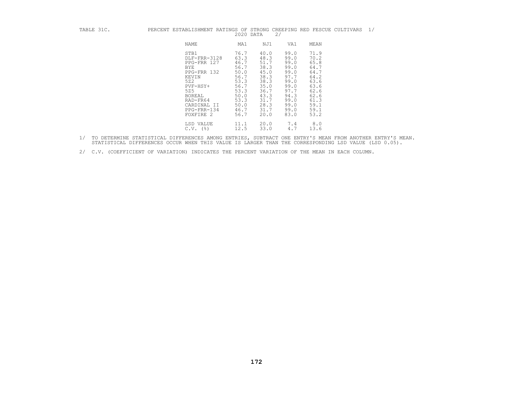| TABLE 31C. | PERCENT ESTABLISHMENT RATINGS OF STRONG CREEPING RED FESCUE CULTIVARS                                                                                           | 2020 DATA                                                                                                    |                                                                                                              | 2/                                                                                                           |                                                                                                              | 1/ |
|------------|-----------------------------------------------------------------------------------------------------------------------------------------------------------------|--------------------------------------------------------------------------------------------------------------|--------------------------------------------------------------------------------------------------------------|--------------------------------------------------------------------------------------------------------------|--------------------------------------------------------------------------------------------------------------|----|
|            | NAME                                                                                                                                                            | MA1                                                                                                          | NJ1                                                                                                          | VA1                                                                                                          | MEAN                                                                                                         |    |
|            | STB1<br>DLF-FRR-3128<br>PPG-FRR 127<br>BYE<br>PPG-FRR 132<br>KEVIN<br>522<br>$PVF-HSY+$<br>525<br>BOREAL<br>RAD-FR64<br>CARDINAL II<br>PPG-FRR-134<br>FOXFIRE 2 | 76.7<br>63.3<br>46.7<br>56.7<br>50.0<br>56.7<br>53.3<br>56.7<br>53.3<br>50.0<br>53.3<br>50.0<br>46.7<br>56.7 | 40.0<br>48.3<br>51.7<br>38.3<br>45.0<br>38.3<br>38.3<br>35.0<br>36.7<br>43.3<br>31.7<br>28.3<br>31.7<br>20.0 | 99.0<br>99.0<br>99.0<br>99.0<br>99.0<br>97.7<br>99.0<br>99.0<br>97.7<br>94.3<br>99.0<br>99.0<br>99.0<br>83.0 | 71.9<br>70.2<br>65.8<br>64.7<br>64.7<br>64.2<br>63.6<br>63.6<br>62.6<br>62.6<br>61.3<br>59.1<br>59.1<br>53.2 |    |
|            | LSD VALUE<br>$C.V.$ (%)                                                                                                                                         | 11.1<br>12.5                                                                                                 | 20.0<br>33.0                                                                                                 | 7.4<br>4.7                                                                                                   | 8.0<br>13.6                                                                                                  |    |

- 1/ TO DETERMINE STATISTICAL DIFFERENCES AMONG ENTRIES, SUBTRACT ONE ENTRY'S MEAN FROM ANOTHER ENTRY'S MEAN.<br>STATISTICAL DIFFERENCES OCCUR WHEN THIS VALUE IS LARGER THAN THE CORRESPONDING LSD VALUE (LSD 0.05).
- 2/ C.V. (COEFFICIENT OF VARIATION) INDICATES THE PERCENT VARIATION OF THE MEAN IN EACH COLUMN.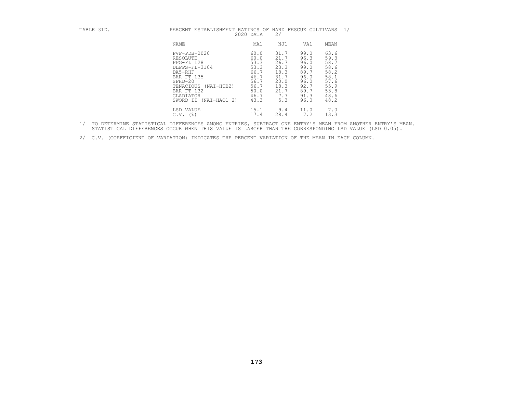| TABLE 31D. | PERCENT ESTABLISHMENT RATINGS OF                                                                                                                                                        | 2020 DATA                                                                            | 2/                                                                                 | HARD FESCUE CULTIVARS                                                                |                                                                                      | 1/ |
|------------|-----------------------------------------------------------------------------------------------------------------------------------------------------------------------------------------|--------------------------------------------------------------------------------------|------------------------------------------------------------------------------------|--------------------------------------------------------------------------------------|--------------------------------------------------------------------------------------|----|
|            | NAME                                                                                                                                                                                    | MA1                                                                                  | NJ1                                                                                | VA1                                                                                  | MEAN                                                                                 |    |
|            | $PVF - PDB - 2020$<br>RESOLUTE<br>PPG-FL 128<br>DLFPS-FL-3104<br>DA5-RHF<br>BAR FT 135<br>$SPHD-20$<br>TENACIOUS<br>(NAI-HTB2)<br>BAR FT 132<br>GLADIATOR<br>SWORD II<br>$(NAI-HAO1+2)$ | 60.0<br>60.0<br>53.3<br>53.3<br>66.7<br>46.7<br>56.7<br>56.7<br>50.0<br>46.7<br>43.3 | 31.7<br>21.7<br>26.7<br>23.3<br>18.3<br>31.7<br>20.0<br>18.3<br>21.7<br>7.7<br>5.3 | 99.0<br>96.3<br>96.0<br>99.0<br>89.7<br>96.0<br>96.0<br>92.7<br>89.7<br>91.3<br>96.0 | 63.6<br>59.3<br>58.7<br>58.6<br>58.2<br>58.1<br>57.6<br>55.9<br>53.8<br>48.6<br>48.2 |    |
|            | LSD VALUE<br>$($ $\frac{6}{6}$<br>C.V.                                                                                                                                                  | 15.1<br>17.4                                                                         | 9.4<br>28.4                                                                        | 11.0<br>7.2                                                                          | 7.0<br>13.3                                                                          |    |

- 1/ TO DETERMINE STATISTICAL DIFFERENCES AMONG ENTRIES, SUBTRACT ONE ENTRY'S MEAN FROM ANOTHER ENTRY'S MEAN.<br>STATISTICAL DIFFERENCES OCCUR WHEN THIS VALUE IS LARGER THAN THE CORRESPONDING LSD VALUE (LSD 0.05).
- 2/ C.V. (COEFFICIENT OF VARIATION) INDICATES THE PERCENT VARIATION OF THE MEAN IN EACH COLUMN.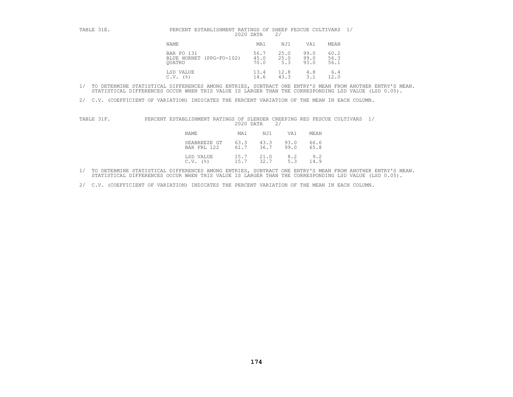| TABLE 31E. | PERCENT ESTABLISHMENT RATINGS OF SHEEP FESCUE CULTIVARS 1/<br>2020 DATA |                      | 2/                  |                      |                      |  |
|------------|-------------------------------------------------------------------------|----------------------|---------------------|----------------------|----------------------|--|
|            | NAME                                                                    | MA1                  | NJ1                 | VA1                  | MEAN                 |  |
|            | BAR FO 131<br>BLUE HORNET (PPG-FO-102)<br>OUATRO                        | 56.7<br>45.0<br>70.0 | 25.0<br>25.0<br>5.3 | 99.0<br>99.0<br>93.0 | 60.2<br>56.3<br>56.1 |  |
|            | LSD VALUE<br>(응)<br>C.V.                                                | 13.4<br>14.6         | 12.8<br>43.3        | 4.8<br>$3 \cdot 7$   | 6.4<br>12.0          |  |

2/ C.V. (COEFFICIENT OF VARIATION) INDICATES THE PERCENT VARIATION OF THE MEAN IN EACH COLUMN.

| TABLE 31F. | PERCENT ESTABLISHMENT RATINGS OF SLENDER CREEPING RED FESCUE CULTIVARS | 2020 DATA                    | 2/           |              |  |
|------------|------------------------------------------------------------------------|------------------------------|--------------|--------------|--|
|            | NAME                                                                   | MA1<br>NJ1                   | VA1          | MEAN         |  |
|            | SEABREEZE GT<br>BAR FRL 122                                            | 63.3<br>43.3<br>61.7<br>36.7 | 93.0<br>99.0 | 66.6<br>65.8 |  |
|            | LSD VALUE<br>C.V.<br>(응)                                               | 15.7<br>21.0<br>32.7<br>15.7 | 8.2<br>5.3   | 9.2<br>14.9  |  |

1/ TO DETERMINE STATISTICAL DIFFERENCES AMONG ENTRIES, SUBTRACT ONE ENTRY'S MEAN FROM ANOTHER ENTRY'S MEAN.<br>STATISTICAL DIFFERENCES OCCUR WHEN THIS VALUE IS LARGER THAN THE CORRESPONDING LSD VALUE (LSD 0.05).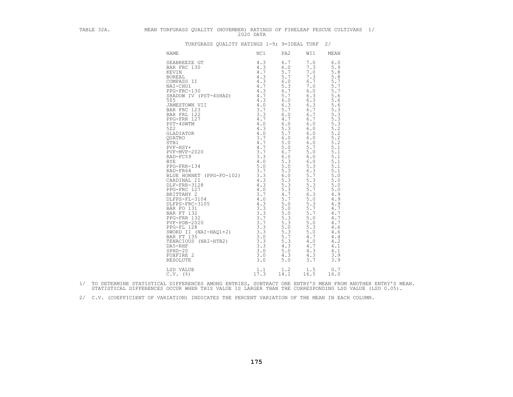TABLE SIA.<br>
MEAN TUREORRASS QUELTY (NOVIMBER DETERMINES OF TINILEAS PESCUD CULTURAL 1/<br>
VENUES CONFIDENT DETERMINES OF TINILEAS (1990)<br>
VENUES CONFIDENT DETERMINES CONFIDENT DETERMINES OF TINILEAS PESCUD CULTURAL 1<br>
VENUE LSD VALUE 1.1 1.2 1.5 0.7<br>C.V. (%) 17.3 14.1 16.5 16.0

1/ TO DETERMINE STATISTICAL DIFFERENCES AMONG ENTRIES, SUBTRACT ONE ENTRY'S MEAN FROM ANOTHER ENTRY'S MEAN.<br>STATISTICAL DIFFERENCES OCCUR WHEN THIS VALUE IS LARGER THAN THE CORRESPONDING LSD VALUE (LSD 0.05).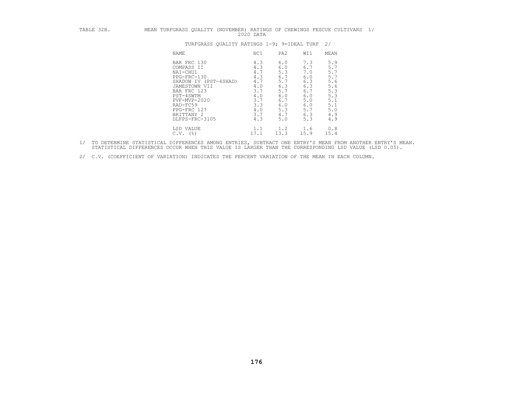# TABLE 32B. MEAN TURFGRASS QUALITY (NOVEMBER) RATINGS OF CHEWINGS FESCUE CULTIVARS 1/<br>2020 DATA<br>TURFGRASS QUALITY RATINGS 1-9; 9=IDEAL TURF 2/

| <b>NAME</b>                                              | NC1                | PA <sub>2</sub>    | WI1                | MEAN               |
|----------------------------------------------------------|--------------------|--------------------|--------------------|--------------------|
| BAR FRC 130                                              | 4.3                | 6.0                | 7.3                | 5.9                |
| COMPASS II                                               | 4.3                | 6.0                | 6.7                | 5.7                |
| NAI-CHU1                                                 | 4.7                | 5.3                | 7.0                | 5.7                |
| PPG-FRC-130                                              | 4.3                | 6.7                | 6.0                | 5.7                |
| SHADOW IV (PST-4SHAD)                                    | 4.7                | 5.7                | 6.3                | 5.6                |
| JAMESTOWN VII                                            | 4.0                | 6.3                | 6.3                | 5.6                |
| BAR FRC 123                                              | 3.7                | 5.7                | 6.7                | 5.3                |
| PST-4SWTM                                                | 4.0                | 6.0                | 6.0                | 5.3                |
| PVF-MVP-2020                                             | 3.7                | 6.7                | 5.0                | 5.1                |
| RAD-FC59                                                 | 3.3                | 6.0                | 6.0                | 5.1                |
| PPG-FRC 127                                              | 4.0                | 5.3                | 5.7                | 5.0                |
| BRITTANY 2                                               | 3.7                | 4.7                | 6.3                | 4.9                |
| DLFPS-FRC-3105<br>LSD VALUE<br>$($ $\frac{6}{6}$<br>C.V. | 4.3<br>1.1<br>17.1 | 5.0<br>1.2<br>13.3 | 5.3<br>1.6<br>15.9 | 4.9<br>0.8<br>15.4 |

1/ TO DETERMINE STATISTICAL DIFFERENCES AMONG ENTRIES, SUBTRACT ONE ENTRY'S MEAN FROM ANOTHER ENTRY'S MEAN.<br>STATISTICAL DIFFERENCES OCCUR WHEN THIS VALUE IS LARGER THAN THE CORRESPONDING LSD VALUE (LSD 0.05).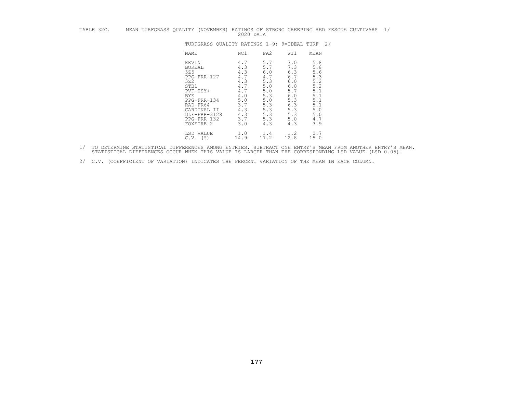| TABLE 32C. |  |                   | MEAN TURFGRASS QUALITY (NOVEMBER) RATINGS OF STRONG CREEPING RED FESCUE CULTIVARS                                                               | 2020 DATA                                                                                        |                                                                                                |                                                                                                |                                                                                                |  | 1/ |
|------------|--|-------------------|-------------------------------------------------------------------------------------------------------------------------------------------------|--------------------------------------------------------------------------------------------------|------------------------------------------------------------------------------------------------|------------------------------------------------------------------------------------------------|------------------------------------------------------------------------------------------------|--|----|
|            |  |                   | TURFGRASS OUALITY RATINGS 1-9; 9=IDEAL TURF 2/                                                                                                  |                                                                                                  |                                                                                                |                                                                                                |                                                                                                |  |    |
|            |  |                   | NAME                                                                                                                                            | NC1                                                                                              | PA2                                                                                            | WI1                                                                                            | MEAN                                                                                           |  |    |
|            |  | 525<br>522<br>BYE | KEVIN<br><b>BOREAL</b><br>PPG-FRR 127<br>STB1<br>PVF-HSY+<br>PPG-FRR-134<br>RAD-FR64<br>CARDINAL II<br>DLF-FRR-3128<br>PPG-FRR 132<br>FOXFIRE 2 | 4.7<br>4.3<br>4.3<br>4.7<br>4.3<br>4.7<br>4.7<br>4.0<br>$5.0$<br>3.7<br>4.3<br>4.3<br>3.7<br>3.0 | 5.7<br>5.7<br>6.0<br>4.7<br>5.3<br>5.0<br>5.0<br>5.3<br>5.0<br>5.3<br>5.3<br>5.3<br>5.3<br>4.3 | 7.0<br>7.3<br>6.3<br>6.7<br>6.0<br>6.0<br>5.7<br>6.0<br>5.3<br>6.3<br>5.3<br>5.3<br>5.0<br>4.3 | 5.8<br>5.8<br>5.6<br>5.3<br>5.2<br>5.2<br>5.1<br>5.1<br>5.1<br>5.1<br>5.0<br>5.0<br>4.7<br>3.9 |  |    |
|            |  |                   | LSD VALUE<br>$C.V.$ (%)                                                                                                                         | 1.0<br>14.9                                                                                      | 1.4<br>17.2                                                                                    | 1.2<br>12.8                                                                                    | 0.7<br>15.0                                                                                    |  |    |

- 1/ TO DETERMINE STATISTICAL DIFFERENCES AMONG ENTRIES, SUBTRACT ONE ENTRY'S MEAN FROM ANOTHER ENTRY'S MEAN.<br>STATISTICAL DIFFERENCES OCCUR WHEN THIS VALUE IS LARGER THAN THE CORRESPONDING LSD VALUE (LSD 0.05).
- 2/ C.V. (COEFFICIENT OF VARIATION) INDICATES THE PERCENT VARIATION OF THE MEAN IN EACH COLUMN.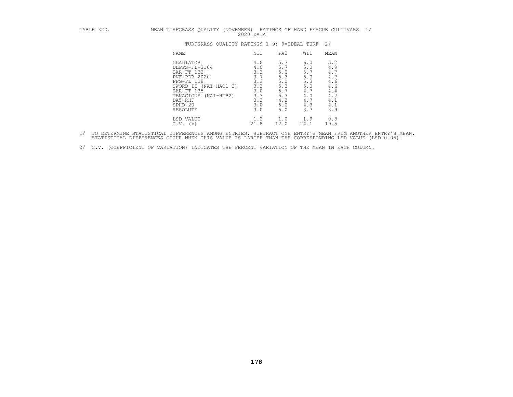| TABLE 32D. | MEAN TURFGRASS QUALITY (NOVEMBER) RATINGS OF HARD FESCUE CULTIVARS                                                                                                                 | 2020 DATA                                                                       |                                                                           |                                                                           |                                                                           | 1/ |
|------------|------------------------------------------------------------------------------------------------------------------------------------------------------------------------------------|---------------------------------------------------------------------------------|---------------------------------------------------------------------------|---------------------------------------------------------------------------|---------------------------------------------------------------------------|----|
|            | TURFGRASS QUALITY RATINGS 1-9; 9=IDEAL TURF                                                                                                                                        |                                                                                 |                                                                           |                                                                           | 2/                                                                        |    |
|            | NAME                                                                                                                                                                               | NC1                                                                             | PA2                                                                       | WI1                                                                       | MEAN                                                                      |    |
|            | GLADIATOR<br>DLFPS-FL-3104<br>BAR FT 132<br>$PVF - PDB - 2020$<br>PPG-FL 128<br>SWORD II (NAI-HAQ1+2)<br>BAR FT 135<br>TENACIOUS<br>(NAI-HTB2)<br>DA5-RHF<br>$SPHD-20$<br>RESOLUTE | 4.0<br>$4\ .\ 0$<br>3.3<br>3.7<br>3.3<br>3.3<br>3.0<br>3.3<br>3.3<br>3.0<br>3.0 | 5.7<br>5.7<br>5.0<br>5.3<br>5.0<br>5.3<br>5.7<br>5.3<br>4.3<br>5.0<br>5.0 | 6.0<br>5.0<br>5.7<br>5.0<br>5.3<br>5.0<br>4.7<br>4.0<br>4.7<br>4.3<br>3.7 | 5.2<br>4.9<br>4.7<br>4.7<br>4.6<br>4.6<br>4.4<br>4.2<br>4.1<br>4.1<br>3.9 |    |
|            | LSD VALUE<br>$C.V.$ (%)                                                                                                                                                            | 1.2<br>21.8                                                                     | 1.0<br>12.0                                                               | 1.9<br>24.1                                                               | 0.8<br>19.5                                                               |    |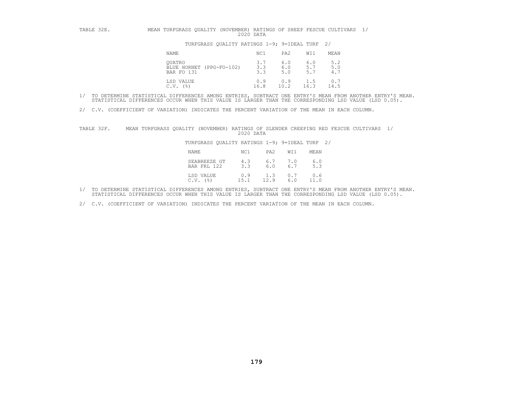## TABLE 32E. MEAN TURFGRASS QUALITY (NOVEMBER) RATINGS OF SHEEP FESCUE CULTIVARS 1/<br>2020 DATA<br>TURFGRASS QUALITY RATINGS 1-9; 9=IDEAL TURF 2/

| NAME                                             | NC1               | PA <sub>2</sub>   | WI1               | MEAN              |
|--------------------------------------------------|-------------------|-------------------|-------------------|-------------------|
| OUATRO<br>BLUE HORNET (PPG-FO-102)<br>BAR FO 131 | 3.7<br>3.3<br>3.3 | 6.0<br>6.0<br>5.0 | 6.0<br>5.7<br>5.7 | 5.2<br>5.0<br>4.7 |
| LSD VALUE<br>C.V.<br>$($ $\frac{6}{6}$ $)$       | 0.9<br>16.8       | 0.9<br>10.2       | 1.5<br>16.3       | 0.7<br>14.5       |

- 1/ TO DETERMINE STATISTICAL DIFFERENCES AMONG ENTRIES, SUBTRACT ONE ENTRY'S MEAN FROM ANOTHER ENTRY'S MEAN.<br>STATISTICAL DIFFERENCES OCCUR WHEN THIS VALUE IS LARGER THAN THE CORRESPONDING LSD VALUE (LSD 0.05).
- 2/ C.V. (COEFFICIENT OF VARIATION) INDICATES THE PERCENT VARIATION OF THE MEAN IN EACH COLUMN.

| TABLE 32F. | MEAN TURFGRASS QUALITY (NOVEMBER) RATINGS OF SLENDER CREEPING RED FESCUE CULTIVARS |      |                             | 2020 DATA                                      |             |            |             |  |  |
|------------|------------------------------------------------------------------------------------|------|-----------------------------|------------------------------------------------|-------------|------------|-------------|--|--|
|            |                                                                                    |      |                             | TURFGRASS OUALITY RATINGS 1-9; 9=IDEAL TURF 2/ |             |            |             |  |  |
|            |                                                                                    | NAME |                             | NC1                                            | PA2         | WI1        | MEAN        |  |  |
|            |                                                                                    |      | SEABREEZE GT<br>BAR FRL 122 | 4.3<br>3.3                                     | 6.7<br>6.0  | 7.0<br>6.7 | 6.0<br>5.3  |  |  |
|            |                                                                                    | C.V. | LSD VALUE<br>(응)            | 0.9<br>151                                     | 1.3<br>12.9 | 0.7<br>6.0 | 0.6<br>11.0 |  |  |

- 1/ TO DETERMINE STATISTICAL DIFFERENCES AMONG ENTRIES, SUBTRACT ONE ENTRY'S MEAN FROM ANOTHER ENTRY'S MEAN.<br>STATISTICAL DIFFERENCES OCCUR WHEN THIS VALUE IS LARGER THAN THE CORRESPONDING LSD VALUE (LSD 0.05).
- 2/ C.V. (COEFFICIENT OF VARIATION) INDICATES THE PERCENT VARIATION OF THE MEAN IN EACH COLUMN.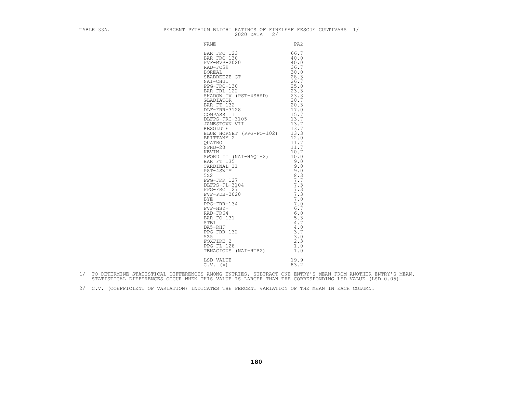|  | $2020$ DATA $2/$                | TABLE 33A. PERCENT PYTHIUM BLIGHT RATINGS OF FINELEAF FESCUE CULTIVARS $1/$ 2020 DATA $2/$ |  |
|--|---------------------------------|--------------------------------------------------------------------------------------------|--|
|  |                                 |                                                                                            |  |
|  |                                 |                                                                                            |  |
|  | LSD VALUE 19.9<br>C.V. (%) 83.2 |                                                                                            |  |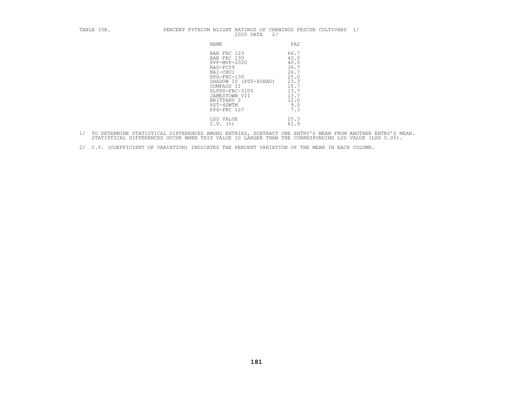| BLE 33B. |  | PERCENT PYTHI |  |
|----------|--|---------------|--|
|          |  |               |  |

| TABLE 33B. | PERCENT PYTHIUM BLIGHT RATINGS OF CHEWINGS FESCUE CULTIVARS<br>2020 DATA<br>2/                                                                                                                          | 1/                                                                                                 |
|------------|---------------------------------------------------------------------------------------------------------------------------------------------------------------------------------------------------------|----------------------------------------------------------------------------------------------------|
|            | NAME                                                                                                                                                                                                    | PA <sub>2</sub>                                                                                    |
|            | BAR FRC 123<br>BAR FRC 130<br>$PVF-MVP-2020$<br>RAD-FC59<br>NAI-CHU1<br>PPG-FRC-130<br>SHADOW IV (PST-4SHAD)<br>COMPASS II<br>DLFPS-FRC-3105<br>JAMESTOWN VII<br>BRITTANY 2<br>PST-4SWTM<br>PPG-FRC 127 | 66.7<br>40.0<br>40.0<br>36.7<br>26.7<br>25.0<br>23.3<br>15.7<br>13.7<br>13.7<br>12.0<br>9.0<br>7.3 |
|            | LSD VALUE<br>$C.V.$ (%)                                                                                                                                                                                 | 25.3<br>61.9                                                                                       |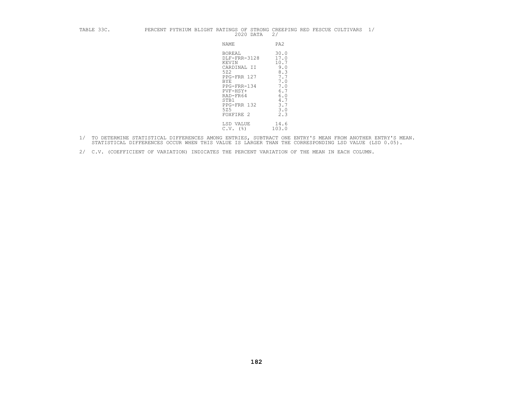### TABLE 33C. PERCENT PYTHIUM BLIGHT RATINGS OF STRONG CREEPING RED FESCUE CULTIVARS 1/<br>2020 DATA 2/

| NAME                                                                                                                                                                 | PA2                                                                                               |
|----------------------------------------------------------------------------------------------------------------------------------------------------------------------|---------------------------------------------------------------------------------------------------|
| <b>BOREAL</b><br>DLF-FRR-3128<br>KEVIN<br>CARDINAL II<br>522<br>PPG-FRR 127<br>BYE<br>PPG-FRR-134<br>PVF-HSY+<br>RAD-FR64<br>STB1<br>PPG-FRR 132<br>525<br>FOXFIRE 2 | 30.0<br>17.0<br>10.7<br>9.0<br>8.3<br>7.7<br>7.0<br>7.0<br>6.7<br>6.0<br>4.7<br>3.7<br>3.0<br>2.3 |
| LSD VALUE<br>(%)<br>C.V.                                                                                                                                             | 14.6<br>103.0                                                                                     |

- 1/ TO DETERMINE STATISTICAL DIFFERENCES AMONG ENTRIES, SUBTRACT ONE ENTRY'S MEAN FROM ANOTHER ENTRY'S MEAN.<br>STATISTICAL DIFFERENCES OCCUR WHEN THIS VALUE IS LARGER THAN THE CORRESPONDING LSD VALUE (LSD 0.05).
- 2/ C.V. (COEFFICIENT OF VARIATION) INDICATES THE PERCENT VARIATION OF THE MEAN IN EACH COLUMN.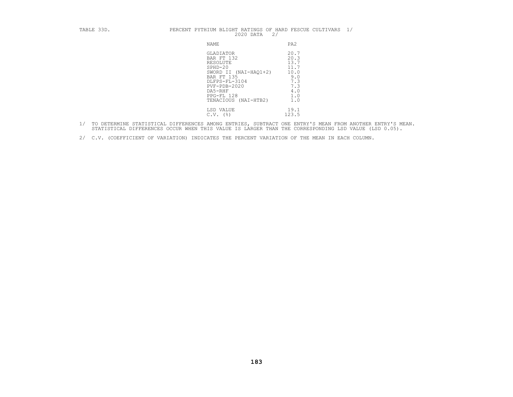## TABLE 33D. PERCENT PYTHIUM BLIGHT RATINGS OF HARD FESCUE CULTIVARS  $1/$  2020 DATA  $2/$

| NAME                                                                                                                                                                                        | PA2                                                                            |
|---------------------------------------------------------------------------------------------------------------------------------------------------------------------------------------------|--------------------------------------------------------------------------------|
| GLADIATOR<br>BAR FT 132<br>RESOLUTE<br>$SPHD-20$<br>SWORD II (NAI-HAO1+2)<br><b>BAR FT 135</b><br>DLFPS-FL-3104<br>$PVF - PDB - 2020$<br>DA5-RHF<br>PPG-FL 128<br>TENACIOUS<br>$(NAI-HTB2)$ | 20.7<br>20.3<br>13.7<br>11.7<br>10.0<br>9.0<br>7.3<br>7.3<br>4.0<br>1.0<br>1.0 |
| LSD VALUE<br>( % )<br>C.V.                                                                                                                                                                  | 19.1<br>123.5                                                                  |

1/ TO DETERMINE STATISTICAL DIFFERENCES AMONG ENTRIES, SUBTRACT ONE ENTRY'S MEAN FROM ANOTHER ENTRY'S MEAN.<br>STATISTICAL DIFFERENCES OCCUR WHEN THIS VALUE IS LARGER THAN THE CORRESPONDING LSD VALUE (LSD 0.05).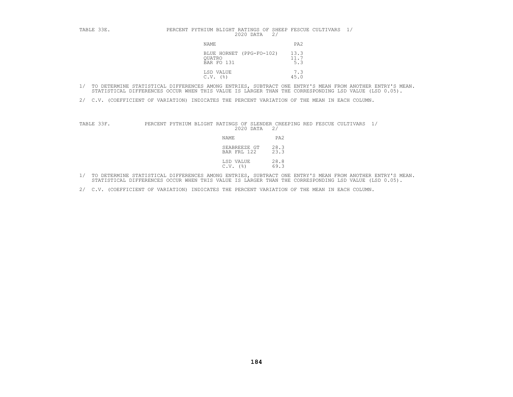### TABLE 33E. PERCENT PYTHIUM BLIGHT RATINGS OF SHEEP FESCUE CULTIVARS 1/

| NAME                                             | PA <sub>2</sub>     |
|--------------------------------------------------|---------------------|
| BLUE HORNET (PPG-FO-102)<br>OUATRO<br>BAR FO 131 | 13.3<br>11.7<br>5.3 |
| LSD VALUE<br>C.V.<br>$($ $\frac{6}{6}$           | 7.3<br>45.0         |

- 1/ TO DETERMINE STATISTICAL DIFFERENCES AMONG ENTRIES, SUBTRACT ONE ENTRY'S MEAN FROM ANOTHER ENTRY'S MEAN.<br>STATISTICAL DIFFERENCES OCCUR WHEN THIS VALUE IS LARGER THAN THE CORRESPONDING LSD VALUE (LSD 0.05).
- 2/ C.V. (COEFFICIENT OF VARIATION) INDICATES THE PERCENT VARIATION OF THE MEAN IN EACH COLUMN.

TABLE 33F. PERCENT PYTHIUM BLIGHT RATINGS OF SLENDER CREEPING RED FESCUE CULTIVARS 1/<br>2020 DATA 2/<br>NAME PA2<br>SEABREEZE GT 28.3<br>BAR FRL 122 23.3

| NAME                        | PA2            |
|-----------------------------|----------------|
| SEABREEZE GT<br>BAR FRL 122 | 28.3<br>23.3   |
| LSD VALUE<br>$C.V.$ (%)     | $28.8$<br>69.3 |

- 1/ TO DETERMINE STATISTICAL DIFFERENCES AMONG ENTRIES, SUBTRACT ONE ENTRY'S MEAN FROM ANOTHER ENTRY'S MEAN.<br>STATISTICAL DIFFERENCES OCCUR WHEN THIS VALUE IS LARGER THAN THE CORRESPONDING LSD VALUE (LSD 0.05).
- 2/ C.V. (COEFFICIENT OF VARIATION) INDICATES THE PERCENT VARIATION OF THE MEAN IN EACH COLUMN.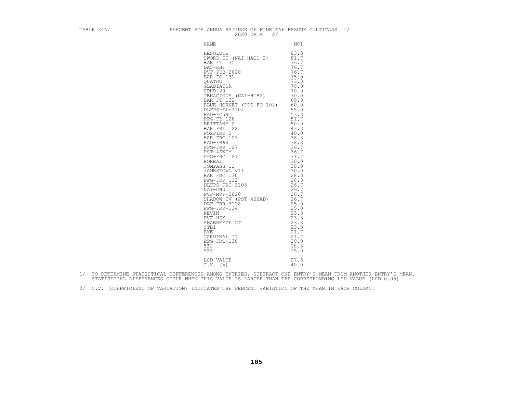| TABLE 34A. PERCENT POA ANNUA RATINGS OF FINELEAF FESCUE CULTIVARS $1/$ 2020 DATA 2/ |  |
|-------------------------------------------------------------------------------------|--|
|                                                                                     |  |
|                                                                                     |  |
|                                                                                     |  |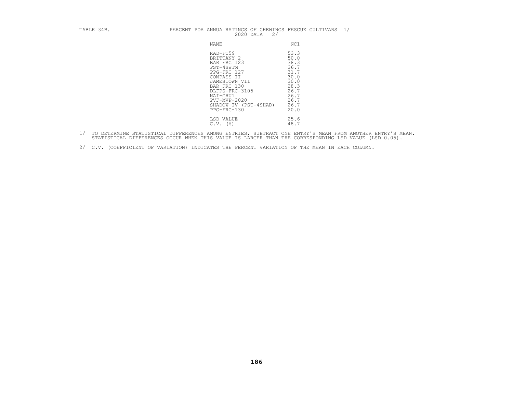### TABLE 34B. PERCENT POA ANNUA RATINGS OF CHEWINGS FESCUE CULTIVARS  $1/$  2020 DATA  $2/$

| NAME                                                                                                                                                                                                  | NC1                                                                                                  |
|-------------------------------------------------------------------------------------------------------------------------------------------------------------------------------------------------------|------------------------------------------------------------------------------------------------------|
| RAD-FC59<br>BRITTANY 2<br>BAR FRC 123<br>PST-4SWTM<br>PPG-FRC 127<br>COMPASS II<br>JAMESTOWN VII<br>BAR FRC 130<br>DLFPS-FRC-3105<br>NAI-CHU1<br>PVF-MVP-2020<br>SHADOW IV (PST-4SHAD)<br>PPG-FRC-130 | 53.3<br>50.0<br>38.3<br>36.7<br>31.7<br>30.0<br>30.0<br>28.3<br>26.7<br>26.7<br>26.7<br>26.7<br>20.0 |
| LSD VALUE<br>(%)<br>C.V.                                                                                                                                                                              | 25.6<br>48.7                                                                                         |

1/ TO DETERMINE STATISTICAL DIFFERENCES AMONG ENTRIES, SUBTRACT ONE ENTRY'S MEAN FROM ANOTHER ENTRY'S MEAN.<br>STATISTICAL DIFFERENCES OCCUR WHEN THIS VALUE IS LARGER THAN THE CORRESPONDING LSD VALUE (LSD 0.05).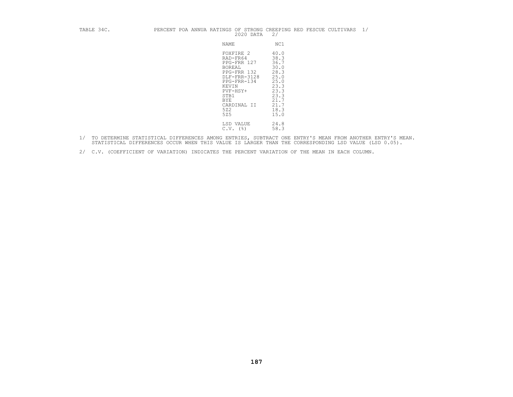### TABLE 34C. PERCENT POA ANNUA RATINGS OF STRONG CREEPING RED FESCUE CULTIVARS  $1/$  2020 DATA 2/

| NAME                                                                                                                                                                        | NC1                                                                                                          |
|-----------------------------------------------------------------------------------------------------------------------------------------------------------------------------|--------------------------------------------------------------------------------------------------------------|
| FOXFIRE 2<br>RAD-FR64<br>PPG-FRR 127<br><b>BOREAL</b><br>PPG-FRR 132<br>DLF-FRR-3128<br>PPG-FRR-134<br>KEVIN<br>PVF-HSY+<br>STB1<br><b>BYE</b><br>CARDINAL II<br>522<br>525 | 40.0<br>38.3<br>36.7<br>30.0<br>28.3<br>25.0<br>25.0<br>23.3<br>23.3<br>23.3<br>21.7<br>21.7<br>18.3<br>15.0 |
| LSD VALUE<br>$($ %)<br>C.V.                                                                                                                                                 | 24.8<br>58.3                                                                                                 |

- 1/ TO DETERMINE STATISTICAL DIFFERENCES AMONG ENTRIES, SUBTRACT ONE ENTRY'S MEAN FROM ANOTHER ENTRY'S MEAN.<br>STATISTICAL DIFFERENCES OCCUR WHEN THIS VALUE IS LARGER THAN THE CORRESPONDING LSD VALUE (LSD 0.05).
- 2/ C.V. (COEFFICIENT OF VARIATION) INDICATES THE PERCENT VARIATION OF THE MEAN IN EACH COLUMN.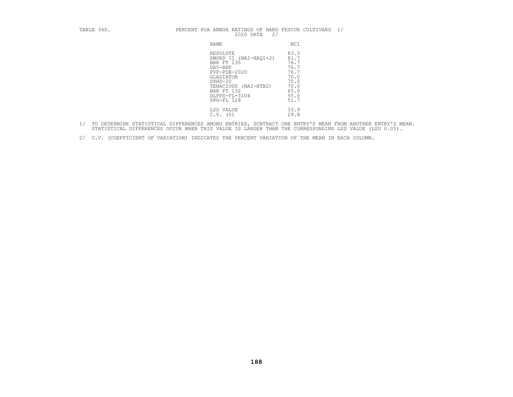| TABLE 34D. | PERCENT POA ANNUA RATINGS OF HARD FESCUE CULTIVARS 1/<br>2/<br>2020 DATA                                                                                                        |                                                                                      |
|------------|---------------------------------------------------------------------------------------------------------------------------------------------------------------------------------|--------------------------------------------------------------------------------------|
|            | NAME                                                                                                                                                                            | NC1                                                                                  |
|            | RESOLUTE<br>SWORD II (NAI-HAQ1+2)<br>BAR FT 135<br>DA5-RHF<br>$PVF - PDB - 2020$<br>GLADIATOR<br>$SPHD-20$<br>TENACIOUS (NAI-HTB2)<br>BAR FT 132<br>DLFPS-FL-3104<br>PPG-FL 128 | 83.3<br>81.7<br>76.7<br>76.7<br>76.7<br>70.0<br>70.0<br>70.0<br>65.0<br>55.0<br>51.7 |
|            | LSD VALUE<br>$C.V.$ (%)                                                                                                                                                         | 33.9<br>29.8                                                                         |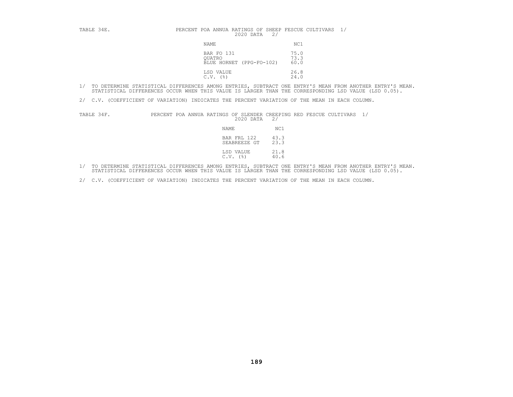| TABLE 34E. | PERCENT POA ANNUA RATINGS OF SHEEP FESCUE CULTIVARS 1/<br>2020 DATA<br>2/ |                      |
|------------|---------------------------------------------------------------------------|----------------------|
|            | NAME                                                                      | NC1                  |
|            | BAR FO 131<br>OUATRO<br>BLUE HORNET (PPG-FO-102)                          | 75.0<br>73.3<br>60.0 |
|            | LSD VALUE<br>$C.V.$ (%)                                                   | 26.8<br>24.0         |

2/ C.V. (COEFFICIENT OF VARIATION) INDICATES THE PERCENT VARIATION OF THE MEAN IN EACH COLUMN.

TABLE 34F. PERCENT POA ANNUA RATINGS OF SLENDER CREEPING RED FESCUE CULTIVARS 1/

| NAME                        | NC 1         |
|-----------------------------|--------------|
| BAR FRL 122<br>SEABREEZE GT | 43.3<br>23.3 |
| LSD VALUE<br>$C.V.$ (%)     | 21.8<br>40.6 |

1/ TO DETERMINE STATISTICAL DIFFERENCES AMONG ENTRIES, SUBTRACT ONE ENTRY'S MEAN FROM ANOTHER ENTRY'S MEAN.<br>STATISTICAL DIFFERENCES OCCUR WHEN THIS VALUE IS LARGER THAN THE CORRESPONDING LSD VALUE (LSD 0.05).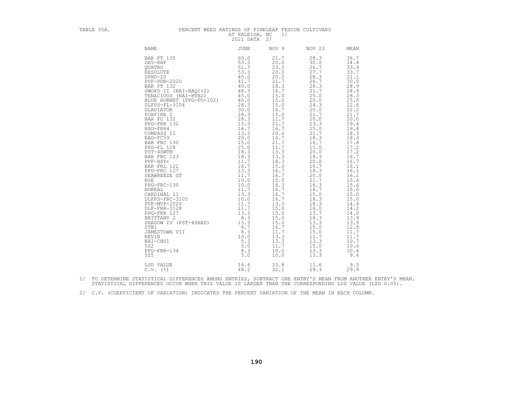## TABLE 35A. PERCENT WEED RATINGS OF FINELEAF FESCUE CULTIVARS AT RALEIGH, NC 1/ 2021 DATA 2/

| <b>NAME</b>                                                                                                                                                                                                                                                                                                                                                                                                                                                           | <b>JUNE</b>                                                                                                            | NOV 9                                                                                                                                                                                                                                                                                                                                                        | NOV 23                                                                                                                                                                                                                                                                                                                                                       | MEAN                                                                                                                                                                                                                                                                                                                                                       |
|-----------------------------------------------------------------------------------------------------------------------------------------------------------------------------------------------------------------------------------------------------------------------------------------------------------------------------------------------------------------------------------------------------------------------------------------------------------------------|------------------------------------------------------------------------------------------------------------------------|--------------------------------------------------------------------------------------------------------------------------------------------------------------------------------------------------------------------------------------------------------------------------------------------------------------------------------------------------------------|--------------------------------------------------------------------------------------------------------------------------------------------------------------------------------------------------------------------------------------------------------------------------------------------------------------------------------------------------------------|------------------------------------------------------------------------------------------------------------------------------------------------------------------------------------------------------------------------------------------------------------------------------------------------------------------------------------------------------------|
| BAR FT 135<br>DA5-RHF<br>QUATRO<br>RESOLUTE<br>$SPHD-20$<br>$PVF - PDB - 2020$<br>BAR FT 132<br>PVF-PDB-2020 41.7<br>BAR FT 132 40.0<br>TENACIOUS (NAI-HTB2) 46.3<br>TENACIOUS (NAI-HTB2) 45.0<br>BLUE HORNET (PEG-FO-102) 40.0<br>OLLFPS-FL-3104 28.3<br>GLADIATOR<br>FOXFIRE 2 30.0<br>FOXFIRE 2 30.0<br>FOXFIRE 2 30.0<br>PAR FC 131 28.3<br>PPG-<br>SHADOW IV (PST-4SHAD)<br>STB1<br>JAMESTOWN VII<br>KEVIN<br>NAI-CHU1<br>522<br>PPG-FRR-134<br>525<br>LSD VALUE | 60.0<br>53.3<br>51.7<br>53.3<br>45.0<br>41.7<br>40.0<br>13.3<br>6.7<br>8.3<br>10.0<br>5.3<br>5.0<br>8.3<br>5.0<br>16.6 | 21.7<br>20.0<br>23.3<br>20.0<br>20.0<br>21.7<br>18.3<br>16.7<br>15.0<br>15.0<br>15.0<br>16.7<br>15.0<br>11.7<br>21.7<br>16.7<br>20.0<br>16.7<br>21.7<br>11.7<br>13.3<br>13.3<br>18.3<br>15.0<br>16.7<br>16.7<br>15.0<br>18.3<br>16.7<br>16.7<br>16.7<br>13.3<br>15.0<br>15.0<br>15.0<br>15.0<br>16.7<br>11.7<br>13.3<br>13.3<br>11.7<br>10.0<br>10.0<br>15.8 | 28.3<br>30.0<br>26.7<br>27.7<br>28.3<br>26.7<br>28.3<br>21.7<br>25.0<br>20.0<br>24.3<br>20.0<br>21.7<br>20.0<br>23.3<br>25.0<br>21.7<br>18.3<br>16.7<br>15.0<br>20.0<br>18.3<br>20.0<br>16.7<br>18.3<br>20.0<br>21.7<br>18.3<br>16.7<br>15.0<br>18.3<br>18.3<br>16.0<br>13.7<br>18.3<br>13.3<br>15.0<br>15.0<br>11.7<br>13.3<br>15.0<br>13.3<br>13.3<br>11.6 | 36.7<br>34.4<br>33.9<br>33.7<br>31.1<br>30.0<br>28.9<br>28.9<br>28.3<br>25.0<br>22.6<br>22.2<br>21.7<br>20.0<br>19.4<br>19.4<br>18.3<br>18.3<br>17.8<br>17.2<br>17.2<br>16.7<br>16.7<br>16.1<br>16.1<br>16.1<br>15.6<br>15.6<br>15.0<br>15.0<br>15.0<br>14.4<br>14.2<br>14.0<br>13.9<br>13.9<br>12.8<br>11.7<br>11.7<br>10.7<br>10.6<br>10.6<br>9.4<br>9.3 |
| $C.V.$ (%)                                                                                                                                                                                                                                                                                                                                                                                                                                                            | 48.2                                                                                                                   | 32.1                                                                                                                                                                                                                                                                                                                                                         | 29.3                                                                                                                                                                                                                                                                                                                                                         | 29.9                                                                                                                                                                                                                                                                                                                                                       |

1/ TO DETERMINE STATISTICAL DIFFERENCES AMONG ENTRIES, SUBTRACT ONE ENTRY'S MEAN FROM ANOTHER ENTRY'S MEAN.<br>STATISTICAL DIFFERENCES OCCUR WHEN THIS VALUE IS LARGER THAN THE CORRESPONDING LSD VALUE (LSD 0.05).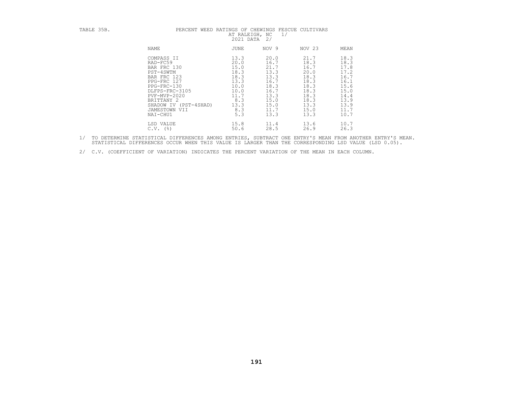| TABLE 35B. | PERCENT                                                                                                                                                                                               | WEED RATINGS OF CHEWINGS FESCUE CULTIVARS<br>AT RALEIGH, NC<br>2021 DATA                          | 1/<br>2/                                                                                             |                                                                                                      |                                                                                                      |
|------------|-------------------------------------------------------------------------------------------------------------------------------------------------------------------------------------------------------|---------------------------------------------------------------------------------------------------|------------------------------------------------------------------------------------------------------|------------------------------------------------------------------------------------------------------|------------------------------------------------------------------------------------------------------|
|            | NAME                                                                                                                                                                                                  | JUNE                                                                                              | NOV 9                                                                                                | NOV 23                                                                                               | MEAN                                                                                                 |
|            | COMPASS II<br>RAD-FC59<br>BAR FRC 130<br>PST-4SWTM<br>BAR FRC 123<br>PPG-FRC 127<br>PPG-FRC-130<br>DLFPS-FRC-3105<br>PVF-MVP-2020<br>BRITTANY 2<br>SHADOW IV (PST-4SHAD)<br>JAMESTOWN VII<br>NAI-CHU1 | 13.3<br>20.0<br>15.0<br>18.3<br>18.3<br>13.3<br>10.0<br>10.0<br>11.7<br>8.3<br>13.3<br>8.3<br>5.3 | 20.0<br>16.7<br>21.7<br>13.3<br>13.3<br>16.7<br>18.3<br>16.7<br>13.3<br>15.0<br>15.0<br>11.7<br>13.3 | 21.7<br>18.3<br>16.7<br>20.0<br>18.3<br>18.3<br>18.3<br>18.3<br>18.3<br>18.3<br>13.3<br>15.0<br>13.3 | 18.3<br>18.3<br>17.8<br>17.2<br>16.7<br>16.1<br>15.6<br>15.0<br>14.4<br>13.9<br>13.9<br>11.7<br>10.7 |
|            | LSD VALUE<br>(응)<br>C.V.                                                                                                                                                                              | 15.8<br>50.6                                                                                      | 11.4<br>28.5                                                                                         | 13.6<br>26.9                                                                                         | 10.7<br>26.3                                                                                         |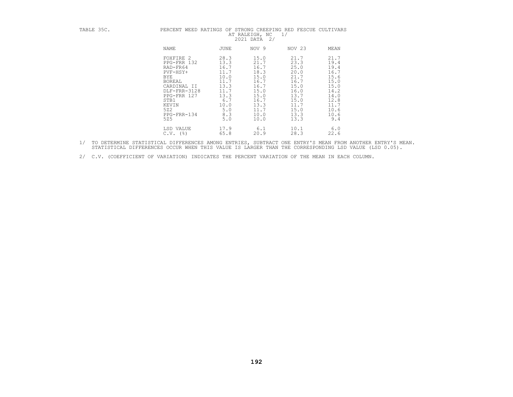| TABLE 35C. | PERCENT WEED RATINGS OF STRONG CREEPING RED FESCUE CULTIVARS                                                                                                         |                                                                                                          | AT RALEIGH, NC<br>2021 DATA<br>2/                                                                            | 1/                                                                                                           |                                                                                                             |
|------------|----------------------------------------------------------------------------------------------------------------------------------------------------------------------|----------------------------------------------------------------------------------------------------------|--------------------------------------------------------------------------------------------------------------|--------------------------------------------------------------------------------------------------------------|-------------------------------------------------------------------------------------------------------------|
|            | NAME                                                                                                                                                                 | JUNE                                                                                                     | NOV 9                                                                                                        | NOV 23                                                                                                       | MEAN                                                                                                        |
|            | FOXFIRE 2<br>PPG-FRR 132<br>RAD-FR64<br>PVF-HSY+<br>BYE<br><b>BOREAL</b><br>CARDINAL II<br>DLF-FRR-3128<br>PPG-FRR 127<br>STB1<br>KEVIN<br>522<br>PPG-FRR-134<br>525 | 28.3<br>13.3<br>16.7<br>11.7<br>10.0<br>11.7<br>13.3<br>11.7<br>13.3<br>6.7<br>10.0<br>5.0<br>8.3<br>5.0 | 15.0<br>21.7<br>16.7<br>18.3<br>15.0<br>16.7<br>16.7<br>15.0<br>15.0<br>16.7<br>13.3<br>11.7<br>10.0<br>10.0 | 21.7<br>23.3<br>25.0<br>20.0<br>21.7<br>16.7<br>15.0<br>16.0<br>13.7<br>15.0<br>11.7<br>15.0<br>13.3<br>13.3 | 21.7<br>19.4<br>19.4<br>16.7<br>15.6<br>15.0<br>15.0<br>14.2<br>14.0<br>12.8<br>11.7<br>10.6<br>10.6<br>9.4 |
|            | LSD VALUE<br>C.V.<br>(응)                                                                                                                                             | 17.9<br>65.8                                                                                             | 6.1<br>20.9                                                                                                  | 10.1<br>28.3                                                                                                 | 6.0<br>22.6                                                                                                 |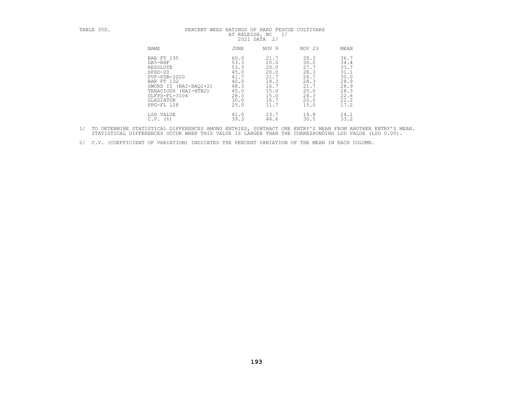| TABLE 35D. | PERCENT WEED                                                                                                                                                                    | AT RALEIGH, NC<br>2021 DATA 2/                                                       | RATINGS OF HARD FESCUE CULTIVARS<br>1/                                               |                                                                                      |                                                                                      |
|------------|---------------------------------------------------------------------------------------------------------------------------------------------------------------------------------|--------------------------------------------------------------------------------------|--------------------------------------------------------------------------------------|--------------------------------------------------------------------------------------|--------------------------------------------------------------------------------------|
|            | NAME                                                                                                                                                                            | <b>JUNE</b>                                                                          | NOV 9                                                                                | NOV 23                                                                               | MEAN                                                                                 |
|            | BAR FT 135<br>DA5-RHF<br>RESOLUTE<br>$SPHD-20$<br>$PVF - PDB - 2020$<br>BAR FT 132<br>SWORD II (NAI-HAO1+2)<br>TENACIOUS (NAI-HTB2)<br>DLFPS-FL-3104<br>GLADIATOR<br>PPG-FL 128 | 60.0<br>53.3<br>53.3<br>45.0<br>41.7<br>40.0<br>48.3<br>45.0<br>28.3<br>30.0<br>25.0 | 21.7<br>20.0<br>20.0<br>20.0<br>21.7<br>18.3<br>16.7<br>15.0<br>15.0<br>16.7<br>11.7 | 28.3<br>30.0<br>27.7<br>28.3<br>26.7<br>28.3<br>21.7<br>25.0<br>24.3<br>20.0<br>15.0 | 36.7<br>34.4<br>33.7<br>31.1<br>30.0<br>28.9<br>28.9<br>28.3<br>22.6<br>22.2<br>17.2 |
|            | LSD VALUE<br>(응)<br>C.V.                                                                                                                                                        | 41.0<br>39.3                                                                         | 23.7<br>44.6                                                                         | 19.8<br>30.5                                                                         | 24.1<br>33.2                                                                         |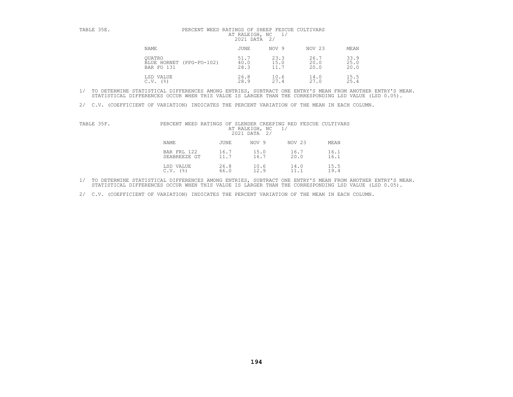| TABLE 35E.                  | PERCENT WEED RATINGS OF SHEEP FESCUE CULTIVARS<br>AT RALEIGH, NC<br>2021 DATA | 2/                   |                      |                      |
|-----------------------------|-------------------------------------------------------------------------------|----------------------|----------------------|----------------------|
| NAME                        | JUNE                                                                          | NOV 9                | NOV 23               | MEAN                 |
| <b>OUATRO</b><br>BAR FO 131 | 51.7<br>40.0<br>BLUE HORNET (PPG-FO-102)<br>28.3                              | 23.3<br>15.0<br>11.7 | 26.7<br>20.0<br>20.0 | 33.9<br>25.0<br>20.0 |
| LSD VALUE<br>C.V.<br>(응)    | 26.8<br>28.9                                                                  | 10.6<br>27.4         | 14.0<br>27.0         | 15.5<br>25.4         |

2/ C.V. (COEFFICIENT OF VARIATION) INDICATES THE PERCENT VARIATION OF THE MEAN IN EACH COLUMN.

| TABLE 35F. | PERCENT WEED RATINGS OF SLENDER CREEPING RED FESCUE CULTIVARS |      | AT RALEIGH, NC<br>2021 DATA 2/ | 1/     |      |
|------------|---------------------------------------------------------------|------|--------------------------------|--------|------|
|            | NAME                                                          | JUNE | NOV 9                          | NOV 23 | MEAN |
|            | BAR FRL 122                                                   | 16.7 | 15.0                           | 16.7   | 16.1 |
|            | SEABREEZE GT                                                  | 11.7 | 16.7                           | 20.0   | 16.1 |
|            | LSD VALUE                                                     | 26.8 | 10.6                           | 14.0   | 15.5 |
|            | $C.V.$ (%)                                                    | 66.0 | 12.9                           | 11.1   | 19.4 |

1/ TO DETERMINE STATISTICAL DIFFERENCES AMONG ENTRIES, SUBTRACT ONE ENTRY'S MEAN FROM ANOTHER ENTRY'S MEAN.<br>STATISTICAL DIFFERENCES OCCUR WHEN THIS VALUE IS LARGER THAN THE CORRESPONDING LSD VALUE (LSD 0.05).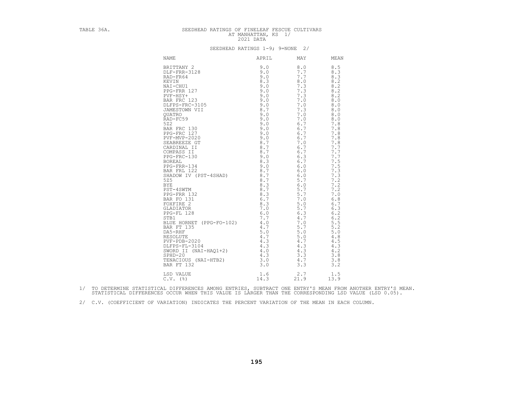| TABLE 36A. | SEEDHEAD RATINGS OF FINELEAF FESCUE CULTIVARS                        | AT MANHATTAN, KS 1/<br>2021 DATA |                |  |
|------------|----------------------------------------------------------------------|----------------------------------|----------------|--|
|            |                                                                      | SEEDHEAD RATINGS 1-9; 9=NONE 2/  |                |  |
|            | NAME                                                                 |                                  | APRIL MAY MEAN |  |
|            |                                                                      |                                  |                |  |
|            | $1.6$ $2.7$ $1.5$<br>$14.3$ $21.9$ $13.9$<br>LSD VALUE<br>$C.V.$ (%) |                                  |                |  |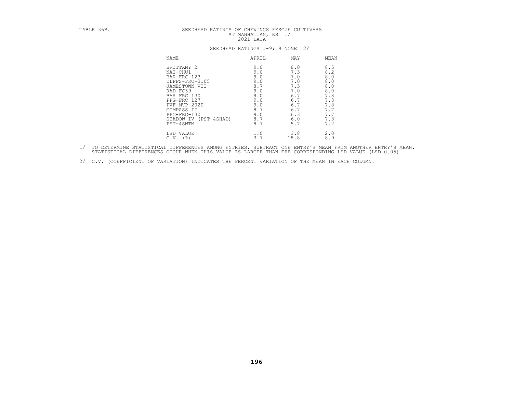| TABLE 36B. | SEEDHEAD RATINGS OF CHEWINGS FESCUE CULTIVARS<br>AT MANHATTAN, KS 1/<br>2021 DATA<br>SEEDHEAD RATINGS 1-9; 9=NONE<br>2/                                                                                 |                                                                                         |                                                                                         |                                                                                                         |  |
|------------|---------------------------------------------------------------------------------------------------------------------------------------------------------------------------------------------------------|-----------------------------------------------------------------------------------------|-----------------------------------------------------------------------------------------|---------------------------------------------------------------------------------------------------------|--|
|            |                                                                                                                                                                                                         |                                                                                         |                                                                                         |                                                                                                         |  |
|            | <b>NAME</b>                                                                                                                                                                                             | APRIL                                                                                   | MAY                                                                                     | MEAN                                                                                                    |  |
|            | BRITTANY 2<br>NAI-CHU1<br>BAR FRC 123<br>DLFPS-FRC-3105<br>JAMESTOWN VII<br>RAD-FC59<br>BAR FRC 130<br>PPG-FRC 127<br>$PVF-MVP-2020$<br>COMPASS II<br>PPG-FRC-130<br>SHADOW IV (PST-4SHAD)<br>PST-4SWTM | 9.0<br>9.0<br>9.0<br>9.0<br>8.7<br>9.0<br>9.0<br>9.0<br>9.0<br>8.7<br>9.0<br>8.7<br>8.7 | 8.0<br>7.3<br>7.0<br>7.0<br>7.3<br>7.0<br>6.7<br>6.7<br>6.7<br>6.7<br>6.3<br>6.0<br>5.7 | 8.5<br>8.2<br>$8.0\,$<br>$8.0\,$<br>$8.0\,$<br>$8.0\,$<br>7.8<br>7.8<br>7.8<br>7.7<br>7.7<br>7.3<br>7.2 |  |
|            | LSD VALUE<br>$C.V.$ (%)                                                                                                                                                                                 | 1.0<br>3.7                                                                              | 3.8<br>18.8                                                                             | 2.0<br>8.9                                                                                              |  |

- 1/ TO DETERMINE STATISTICAL DIFFERENCES AMONG ENTRIES, SUBTRACT ONE ENTRY'S MEAN FROM ANOTHER ENTRY'S MEAN.<br>STATISTICAL DIFFERENCES OCCUR WHEN THIS VALUE IS LARGER THAN THE CORRESPONDING LSD VALUE (LSD 0.05).
- 2/ C.V. (COEFFICIENT OF VARIATION) INDICATES THE PERCENT VARIATION OF THE MEAN IN EACH COLUMN.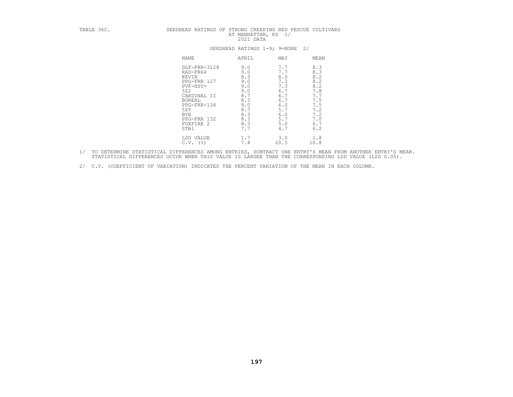| TABLE 36C. | SEEDHEAD RATINGS OF STRONG CREEPING RED FESCUE CULTIVARS                                                                                                                      | AT MANHATTAN, KS 1/<br>2021 DATA                                                                   |                                                                                                       |                                                                                                    |
|------------|-------------------------------------------------------------------------------------------------------------------------------------------------------------------------------|----------------------------------------------------------------------------------------------------|-------------------------------------------------------------------------------------------------------|----------------------------------------------------------------------------------------------------|
|            |                                                                                                                                                                               | SEEDHEAD RATINGS 1-9; 9=NONE                                                                       | 2/                                                                                                    |                                                                                                    |
|            | <b>NAME</b>                                                                                                                                                                   | APRIL                                                                                              | MAY                                                                                                   | MEAN                                                                                               |
|            | DLF-FRR-3128<br>RAD-FR64<br>KEVIN<br>PPG-FRR 127<br>$PVF-HSY+$<br>522<br>CARDINAL II<br><b>BOREAL</b><br>PPG-FRR-134<br>525<br><b>BYE</b><br>PPG-FRR 132<br>FOXFIRE 2<br>STB1 | 9.0<br>9.0<br>8.3<br>9.0<br>9.0<br>9.0<br>8.7<br>8.3<br>9.0<br>8.7<br>8.3<br>$8.3\,$<br>8.3<br>7.7 | 7.7<br>7.7<br>$\frac{8.0}{7.3}$<br>7.3<br>6.7<br>6.7<br>6.7<br>6.0<br>5.7<br>6.0<br>5.7<br>5.0<br>4.7 | 8.3<br>8.3<br>$8.2$<br>$8.2$<br>8.2<br>7.8<br>7.7<br>7.5<br>7.5<br>7.2<br>7.2<br>7.0<br>6.7<br>6.2 |
|            | LSD VALUE<br>$C.V.$ (%)                                                                                                                                                       | 1.7<br>7.4                                                                                         | 3.0<br>20.5                                                                                           | 1.8<br>10.8                                                                                        |

- 1/ TO DETERMINE STATISTICAL DIFFERENCES AMONG ENTRIES, SUBTRACT ONE ENTRY'S MEAN FROM ANOTHER ENTRY'S MEAN.<br>STATISTICAL DIFFERENCES OCCUR WHEN THIS VALUE IS LARGER THAN THE CORRESPONDING LSD VALUE (LSD 0.05).
- 2/ C.V. (COEFFICIENT OF VARIATION) INDICATES THE PERCENT VARIATION OF THE MEAN IN EACH COLUMN.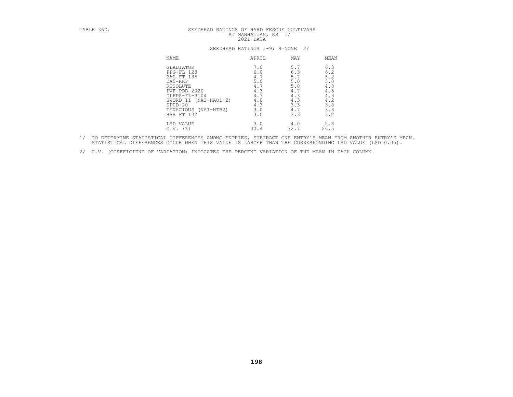| TABLE 36D. | SEEDHEAD RATINGS OF HARD FESCUE CULTIVARS<br>AT MANHATTAN, KS 1/<br>2021 DATA<br>SEEDHEAD RATINGS 1-9; 9=NONE 2/                                                                              |                                                                           |                                                                           |                                                                                                |  |
|------------|-----------------------------------------------------------------------------------------------------------------------------------------------------------------------------------------------|---------------------------------------------------------------------------|---------------------------------------------------------------------------|------------------------------------------------------------------------------------------------|--|
|            |                                                                                                                                                                                               |                                                                           |                                                                           |                                                                                                |  |
|            | NAME                                                                                                                                                                                          | APRIL                                                                     | MAY                                                                       | MEAN                                                                                           |  |
|            | <b>GLADIATOR</b><br>PPG-FL 128<br><b>BAR FT 135</b><br>DA5-RHF<br>RESOLUTE<br>$PVF - PDB - 2020$<br>DLFPS-FL-3104<br>SWORD II (NAI-HAO1+2)<br>$SPHD-20$<br>TENACIOUS (NAI-HTB2)<br>BAR FT 132 | 7.0<br>6.0<br>4.7<br>5.0<br>4.7<br>4.3<br>4.3<br>4.0<br>4.3<br>3.0<br>3.0 | 5.7<br>6.3<br>5.7<br>5.0<br>5.0<br>4.7<br>4.3<br>4.3<br>3.3<br>4.7<br>3.3 | 6.3<br>$6.2\,$<br>5.2<br>$5.0$<br>$\frac{4}{4}$ . 8<br>4.3<br>$4.2$<br>$3.8$<br>$3.8$<br>$3.2$ |  |
|            | LSD VALUE<br>$C.V.$ (%)                                                                                                                                                                       | 3.0<br>30.4                                                               | 4.0<br>32.7                                                               | 2.8<br>26.5                                                                                    |  |

- 1/ TO DETERMINE STATISTICAL DIFFERENCES AMONG ENTRIES, SUBTRACT ONE ENTRY'S MEAN FROM ANOTHER ENTRY'S MEAN.<br>STATISTICAL DIFFERENCES OCCUR WHEN THIS VALUE IS LARGER THAN THE CORRESPONDING LSD VALUE (LSD 0.05).
- 2/ C.V. (COEFFICIENT OF VARIATION) INDICATES THE PERCENT VARIATION OF THE MEAN IN EACH COLUMN.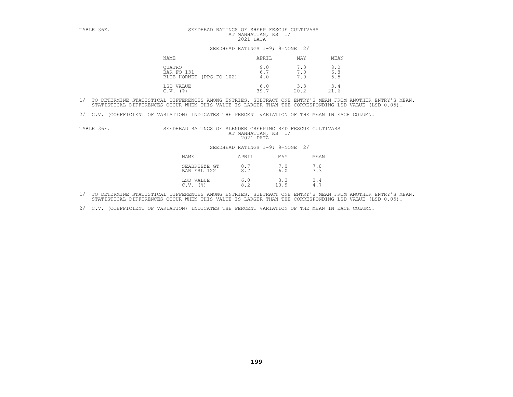| TABLE 36E. |                                                  | SEEDHEAD RATINGS OF SHEEP FESCUE CULTIVARS<br>AT MANHATTAN, KS 1/<br>2021 DATA |                   |                                                               |
|------------|--------------------------------------------------|--------------------------------------------------------------------------------|-------------------|---------------------------------------------------------------|
|            | SEEDHEAD RATINGS 1-9; 9=NONE 2/                  |                                                                                |                   |                                                               |
|            | NAME                                             | APRIL                                                                          | MAY               | MEAN                                                          |
|            | OUATRO<br>BAR FO 131<br>BLUE HORNET (PPG-FO-102) | 9.0<br>6.7<br>4.0                                                              | 7.0<br>7.0<br>7.0 | $\begin{smallmatrix} 8 & 0 \\ 6 & 8 \end{smallmatrix}$<br>5.5 |
|            | LSD VALUE<br>(응)<br>C.V.                         | 6.0<br>39.7                                                                    | 3.3<br>20.2       | 3.4<br>21.6                                                   |

2/ C.V. (COEFFICIENT OF VARIATION) INDICATES THE PERCENT VARIATION OF THE MEAN IN EACH COLUMN.

| TABLE 36F. | SEEDHEAD RATINGS OF SLENDER CREEPING RED FESCUE CULTIVARS | AT MANHATTAN, KS 1/<br>2021 DATA |            |      |
|------------|-----------------------------------------------------------|----------------------------------|------------|------|
|            |                                                           | SEEDHEAD RATINGS 1-9; 9=NONE 2/  |            |      |
|            | NAME                                                      | APRIL                            | MAY        | MEAN |
|            | SEABREEZE GT<br><b>BAR FRI. 122</b>                       | 8.7<br>8.7                       | 7.0<br>6.0 | 7.8  |

| <b>NAME</b>                 | APRIL      | MAY         | MEAN       |
|-----------------------------|------------|-------------|------------|
| SEABREEZE GT<br>BAR FRL 122 | 8.7<br>8.7 | 7.0<br>6.0  | 7.8<br>7.3 |
| LSD VALUE<br>' 응 )<br>C.V.  | 6.0<br>8.2 | 3.3<br>10.9 | 3.4<br>4.7 |

1/ TO DETERMINE STATISTICAL DIFFERENCES AMONG ENTRIES, SUBTRACT ONE ENTRY'S MEAN FROM ANOTHER ENTRY'S MEAN.<br>STATISTICAL DIFFERENCES OCCUR WHEN THIS VALUE IS LARGER THAN THE CORRESPONDING LSD VALUE (LSD 0.05).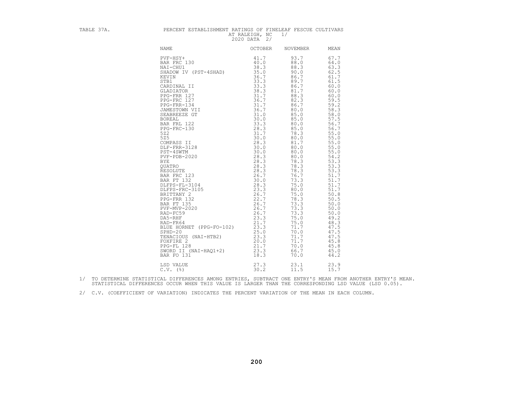| TABLE 37A. | PERCENT ESTABLISHMENT RATINGS OF FINELEAF FESCUE CULTIVARS                                                                                                                                                                                                                                                                                                                   | AT RALEIGH, NC<br>2020 DATA 2/ | 1/ |  |
|------------|------------------------------------------------------------------------------------------------------------------------------------------------------------------------------------------------------------------------------------------------------------------------------------------------------------------------------------------------------------------------------|--------------------------------|----|--|
|            |                                                                                                                                                                                                                                                                                                                                                                              |                                |    |  |
|            | $\begin{tabular}{l c c} & $A \texttt{RDE} & $R \texttt{RDE} \texttt{H} & $R \texttt{ADIE} \texttt{H} & $0$ & $0$ & $0$ & $0$ & $0$ & $0$ & $0$ \\ \hline \texttt{RDE} & $0$ & $0$ & $0$ & $0$ & $0$ & $0$ & $0$ & $0$ & $0$ \\ \hline \texttt{RAR} & $\texttt{FRU} \texttt{130} & 41.7 & 93.7 & 67.7 & 67.7 \\ \texttt{BAR} & $\texttt{FRU} \texttt{130} & 38.1 & 88.0 & 64$ |                                |    |  |
|            |                                                                                                                                                                                                                                                                                                                                                                              |                                |    |  |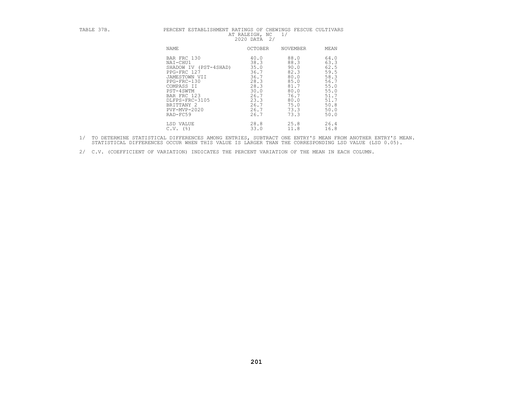| TABLE 37B. | PERCENT ESTABLISHMENT RATINGS OF CHEWINGS FESCUE CULTIVARS | AT RALEIGH, NC<br>$\frac{2}{3}$<br>2020 DATA | 1/       |      |
|------------|------------------------------------------------------------|----------------------------------------------|----------|------|
|            | NAME                                                       | OCTOBER                                      | NOVEMBER | MEAN |
|            | BAR FRC 130                                                | 40.0                                         | 88.0     | 64.0 |
|            | NAI-CHU1                                                   | 38.3                                         | 88.3     | 63.3 |
|            | SHADOW IV (PST-4SHAD)                                      | 35.0                                         | 90.0     | 62.5 |
|            | PPG-FRC 127                                                | 36.7                                         | 82.3     | 59.5 |
|            | JAMESTOWN VII                                              | 36.7                                         | 80.0     | 58.3 |
|            | $PPG-FRC-130$                                              | 28.3                                         | 85.0     | 56.7 |
|            | COMPASS II                                                 | 28.3                                         | 81.7     | 55.0 |
|            | PST-4SWTM                                                  | 30.0                                         | 80.0     | 55.0 |
|            | BAR FRC 123                                                | 26.7                                         | 76.7     | 51.7 |
|            | DLFPS-FRC-3105                                             | 23.3                                         | 80.0     | 51.7 |
|            | BRITTANY 2                                                 | 26.7                                         | 75.0     | 50.8 |
|            | PVF-MVP-2020                                               | 26.7                                         | 73.3     | 50.0 |
|            | RAD-FC59                                                   | 26.7                                         | 73.3     | 50.0 |
|            | LSD VALUE                                                  | 28.8                                         | 25.8     | 26.4 |
|            | $C.V.$ (%)                                                 | 33.0                                         | 11.8     | 16.8 |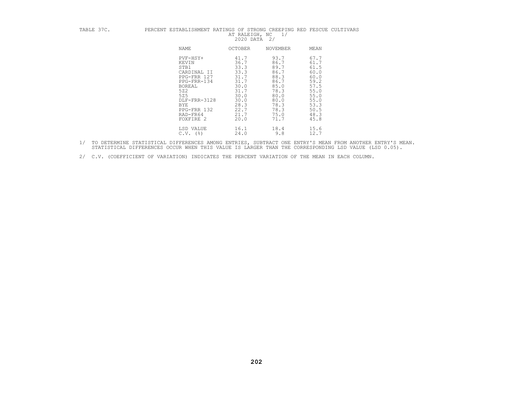| TABLE 37C. | PERCENT ESTABLISHMENT RATINGS OF STRONG CREEPING RED FESCUE CULTIVARS | AT RALEIGH, NC<br>2020 DATA | 1/<br>2/ |      |
|------------|-----------------------------------------------------------------------|-----------------------------|----------|------|
|            | NAME                                                                  | <b>OCTOBER</b>              | NOVEMBER | MEAN |
|            | PVF-HSY+                                                              | 41.7                        | 93.7     | 67.7 |
|            | KEVIN                                                                 | 36.7                        | 86.7     | 61.7 |
|            | STB1                                                                  | 33.3                        | 89.7     | 61.5 |
|            | CARDINAL II                                                           | 33.3                        | 86.7     | 60.0 |
|            | PPG-FRR 127                                                           | 31.7                        | 88.3     | 60.0 |
|            | PPG-FRR-134                                                           | 31.7                        | 86.7     | 59.2 |
|            | BOREAL                                                                | 30.0                        | 85.0     | 57.5 |
|            | 522                                                                   | 31.7                        | 78.3     | 55.0 |
|            | 525                                                                   | 30.0                        | 80.0     | 55.0 |
|            | DLF-FRR-3128                                                          | 30.0                        | 80.0     | 55.0 |
|            | BYE                                                                   | 28.3                        | 78.3     | 53.3 |
|            | PPG-FRR 132                                                           | 22.7                        | 78.3     | 50.5 |
|            | RAD-FR64                                                              | 21.7                        | 75.0     | 48.3 |
|            | FOXFIRE 2                                                             | 20.0                        | 71.7     | 45.8 |
|            | LSD VALUE                                                             | 16.1                        | 18.4     | 15.6 |
|            | $C.V.$ (%)                                                            | 24.0                        | 9.8      | 12.7 |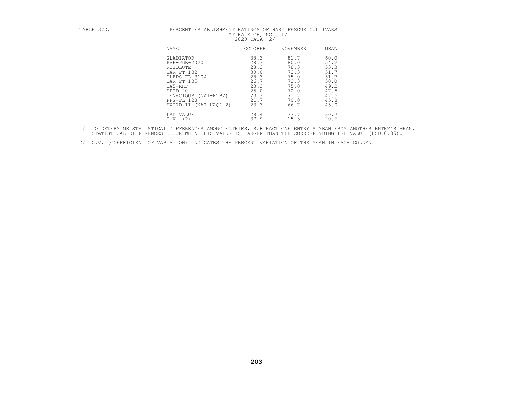## TABLE 37D. PERCENT ESTABLISHMENT RATINGS OF HARD FESCUE CULTIVARS PERCENT ESTABLISHMENT RATINGS OF HARD FESCUE CULTIVARS AT RALEIGH, NC 1/

| <b>NAME</b>                                                                                                                                                                 | <b>OCTOBER</b>                                                                       | <b>NOVEMBER</b>                                                                      | MEAN                                                                                 |
|-----------------------------------------------------------------------------------------------------------------------------------------------------------------------------|--------------------------------------------------------------------------------------|--------------------------------------------------------------------------------------|--------------------------------------------------------------------------------------|
| GLADIATOR<br>$PVF - PDB - 2020$<br>RESOLUTE<br>BAR FT 132<br>DLFPS-FL-3104<br>BAR FT 135<br>DA5-RHF<br>$SPHD-20$<br>TENACIOUS<br>(NAI-HTB2)<br>PPG-FL 128<br>$(NAI-HAO1+2)$ | 38.3<br>28.3<br>28.3<br>30.0<br>28.3<br>26.7<br>23.3<br>25.0<br>23.3<br>21.7<br>23.3 | 81.7<br>80.0<br>78.3<br>73.3<br>75.0<br>73.3<br>75.0<br>70.0<br>71.7<br>70.0<br>66.7 | 60.0<br>54.2<br>53.3<br>51.7<br>51.7<br>50.0<br>49.2<br>47.5<br>47.5<br>45.8<br>45.0 |
| SWORD II<br>LSD VALUE                                                                                                                                                       | 29.4                                                                                 | 33.7                                                                                 | 30.7                                                                                 |
| $($ $\mathcal{E}$<br>C.V.                                                                                                                                                   | 37.9                                                                                 | 15.3                                                                                 | 20.6                                                                                 |

- 1/ TO DETERMINE STATISTICAL DIFFERENCES AMONG ENTRIES, SUBTRACT ONE ENTRY'S MEAN FROM ANOTHER ENTRY'S MEAN.<br>STATISTICAL DIFFERENCES OCCUR WHEN THIS VALUE IS LARGER THAN THE CORRESPONDING LSD VALUE (LSD 0.05).
- 2/ C.V. (COEFFICIENT OF VARIATION) INDICATES THE PERCENT VARIATION OF THE MEAN IN EACH COLUMN.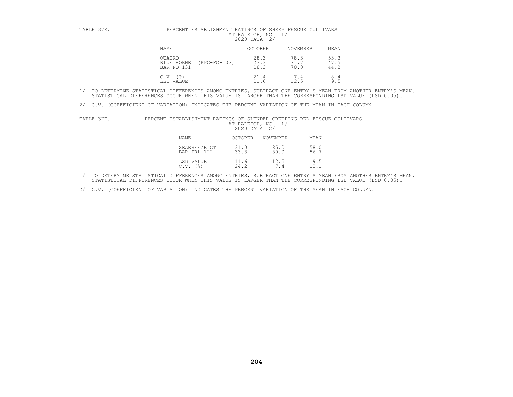| TABLE 37E. | PERCENT ESTABLISHMENT RATINGS OF SHEEP FESCUE CULTIVARS | AT RALEIGH, NC<br>2020 DATA 2/ | 1/              |      |
|------------|---------------------------------------------------------|--------------------------------|-----------------|------|
|            | <b>NAME</b>                                             | <b>OCTOBER</b>                 | <b>NOVEMBER</b> | MEAN |
|            | OUATRO                                                  | 28.3                           | 78.3            | 53.3 |
|            | BLUE HORNET (PPG-FO-102)                                | 23.3                           | 71.7            | 47.5 |
|            | BAR FO 131                                              | 18.3                           | 70.0            | 44.2 |
|            | $C.V.$ (%)                                              | 21.4                           | 7.4             | 8.4  |
|            | LSD VALUE                                               | 11.6                           | 12.5            | 9.5  |

2/ C.V. (COEFFICIENT OF VARIATION) INDICATES THE PERCENT VARIATION OF THE MEAN IN EACH COLUMN.

| TABLE 37F. | PERCENT ESTABLISHMENT RATINGS OF SLENDER CREEPING RED FESCUE CULTIVARS | AT RALEIGH, NC<br>2020 DATA | $\frac{2}{3}$ |              |
|------------|------------------------------------------------------------------------|-----------------------------|---------------|--------------|
|            | <b>NAME</b>                                                            | <b>OCTOBER</b>              | NOVEMBER      | MEAN         |
|            | SEABREEZE GT<br>BAR FRL 122                                            | 31.0<br>33.3                | 85.0<br>80.0  | 58.0<br>56.7 |
|            | LSD VALUE<br>C.V.<br>(응)                                               | 11.6<br>24.2                | 12.5<br>7.4   | 9.5<br>12.1  |

1/ TO DETERMINE STATISTICAL DIFFERENCES AMONG ENTRIES, SUBTRACT ONE ENTRY'S MEAN FROM ANOTHER ENTRY'S MEAN.<br>STATISTICAL DIFFERENCES OCCUR WHEN THIS VALUE IS LARGER THAN THE CORRESPONDING LSD VALUE (LSD 0.05).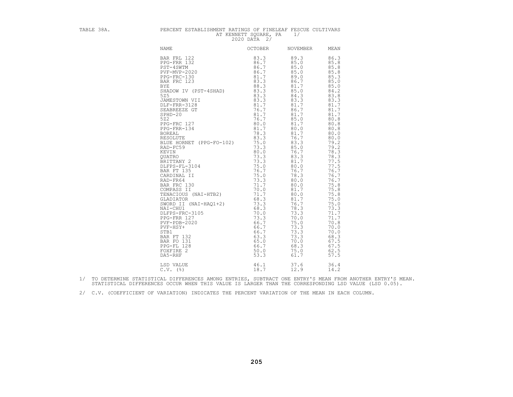| TABLE 38A. | PERCENT ESTABLISHMENT RATINGS OF FINELEAF FESCUE CULTIVARS                                                                                                                                                                                                                                                                                                                                                                                                                                                                      | AT KENNETT SOUARE, PA<br>2020 DATA 2/ | 1/                                                                                                   |                                                                                                                                                                                                                                                                                                                                                              |
|------------|---------------------------------------------------------------------------------------------------------------------------------------------------------------------------------------------------------------------------------------------------------------------------------------------------------------------------------------------------------------------------------------------------------------------------------------------------------------------------------------------------------------------------------|---------------------------------------|------------------------------------------------------------------------------------------------------|--------------------------------------------------------------------------------------------------------------------------------------------------------------------------------------------------------------------------------------------------------------------------------------------------------------------------------------------------------------|
|            | NAME                                                                                                                                                                                                                                                                                                                                                                                                                                                                                                                            | OCTOBER                               | NOVEMBER                                                                                             | MEAN                                                                                                                                                                                                                                                                                                                                                         |
|            | NAME<br>PRE FRL 122<br>PRE FRL 122<br>PRE FRL 132<br>PRE FRL 132<br>PRE FRE 132<br>PRE FRE 132<br>PRE FRC 123<br>BAR FRC 123<br>BAR FRC 123<br>BAR FRC 123<br>BAR FRC 123<br>BAR FRC 123<br>BAR FRC 123<br>S3.3<br>S4.7<br>88.3<br>S4.7<br>S4.7<br>S525<br>DRESTON VI<br>GLADIATOR (68.3)<br>SWORD II (NAI-HAQ1+2) 73.3<br>NAI-CHU1 (181-HAQ1+2) 73.3<br>PLFPS-FRC-3105 70.0<br>PPG-FRR 127 73.3<br>PVF-HBY+ 66.7<br>FVF-HBY+ 66.7<br>STB1 66.7<br>BAR FT 132 63.3<br>BAR FT 132 63.3<br>PPG-FL 128 65.0<br>FOXFIRE 2 50.0<br>D |                                       | 76.7<br>78.3<br>73.3<br>70.0<br>75.0<br>73.3<br>73.3<br>73.3<br>70.0<br>68.3<br>75.0<br>61.7<br>37.6 | 86.3<br>85.8<br>85.8<br>85.8<br>85.3<br>85.0<br>85.0<br>84.2<br>83.8<br>83.3<br>81.7<br>81.7<br>81.7<br>80.8<br>80.8<br>80.8<br>80.0<br>80.0<br>79.2<br>79.2<br>78.3<br>78.3<br>77.5<br>77.5<br>76.7<br>76.7<br>76.7<br>75.8<br>75.8<br>75.8<br>75.0<br>75.0<br>73.3<br>71.7<br>71.7<br>70.8<br>70.0<br>70.0<br>68.3<br>67.5<br>67.5<br>62.5<br>57.5<br>36.4 |
|            |                                                                                                                                                                                                                                                                                                                                                                                                                                                                                                                                 |                                       | 12.9                                                                                                 | 14.2                                                                                                                                                                                                                                                                                                                                                         |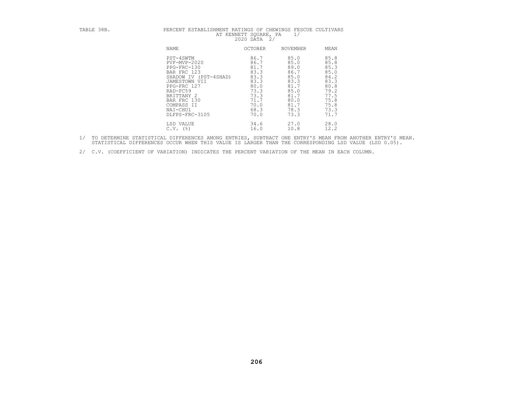# TABLE 38B. PERCENT ESTABLISHMENT RATINGS OF CHEWINGS FESCUE CULTIVARS<br>AT KENNETT SQUARE, PA 1/<br>2020 DATA 2/<br>NAME OCTOBER NOVEMBER MEAN

| NAME                                                                                                                                                                                                          | <b>OCTOBER</b>                                                                                       | NOVEMBER                                                                                             | MEAN                                                                                                 |
|---------------------------------------------------------------------------------------------------------------------------------------------------------------------------------------------------------------|------------------------------------------------------------------------------------------------------|------------------------------------------------------------------------------------------------------|------------------------------------------------------------------------------------------------------|
| PST-4SWTM<br>$PVF-MVP-2020$<br>PPG-FRC-130<br>BAR FRC 123<br>(PST-4SHAD)<br>SHADOW IV<br>JAMESTOWN<br>VII<br>PPG-FRC 127<br>RAD-FC59<br>BRITTANY 2<br>BAR FRC 130<br>COMPASS II<br>NAI-CHU1<br>DLFPS-FRC-3105 | 86.7<br>86.7<br>81.7<br>83.3<br>83.3<br>83.3<br>80.0<br>73.3<br>73.3<br>71.7<br>70.0<br>68.3<br>70.0 | 85.0<br>85.0<br>89.0<br>86.7<br>85.0<br>83.3<br>81.7<br>85.0<br>81.7<br>80.0<br>81.7<br>78.3<br>73.3 | 85.8<br>85.8<br>85.3<br>85.0<br>84.2<br>83.3<br>80.8<br>79.2<br>77.5<br>75.8<br>75.8<br>73.3<br>71.7 |
| LSD VALUE<br>$($ $\frac{6}{6}$<br>C.V.                                                                                                                                                                        | 34.6<br>16.0                                                                                         | 27.0<br>10.8                                                                                         | 28.0<br>12.2                                                                                         |

1/ TO DETERMINE STATISTICAL DIFFERENCES AMONG ENTRIES, SUBTRACT ONE ENTRY'S MEAN FROM ANOTHER ENTRY'S MEAN.<br>STATISTICAL DIFFERENCES OCCUR WHEN THIS VALUE IS LARGER THAN THE CORRESPONDING LSD VALUE (LSD 0.05).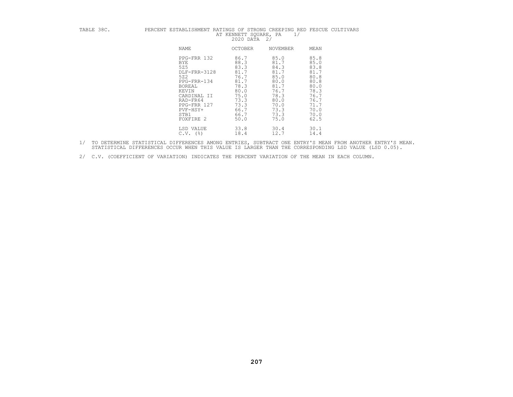## TABLE 38C. PERCENT ESTABLISHMENT RATINGS OF STRONG CREEPING RED FESCUE CULTIVARS AT KENNETT SQUARE, PA  $1/$  2020 DATA 2/ NAME OCTOBER NOVEMBER MEAN

| NAME          | <b>OCTOBER</b> | <b>NOVEMBER</b> | MEAN |
|---------------|----------------|-----------------|------|
| PPG-FRR 132   | 86.7           | 85.0            | 85.8 |
| <b>BYE</b>    | 88.3           | 81.7            | 85.0 |
| 525           | 83.3           | 84.3            | 83.8 |
| DLF-FRR-3128  | 81.7           | 81.7            | 81.7 |
| 522           | 76.7           | 85.0            | 80.8 |
| PPG-FRR-134   | 81.7           | 80.0            | 80.8 |
| <b>BOREAL</b> | 78.3           | 81.7            | 80.0 |
| KEVIN         | 80.0           | 76.7            | 78.3 |
| CARDINAL II   | 75.0           | 78.3            | 76.7 |
| RAD-FR64      | 73.3           | 80.0            | 76.7 |
| PPG-FRR 127   | 73.3           | 70.0            | 71.7 |
| PVF-HSY+      | 66.7           | 73.3            | 70.0 |
| STB1          | 66.7           | 73.3            | 70.0 |
| FOXFIRE 2     | 50.0           | 75.0            | 62.5 |
| LSD VALUE     | 33.8           | 30.4            | 30.1 |
| $C.V.$ (%)    | 18.4           | 12.7            | 14.4 |

1/ TO DETERMINE STATISTICAL DIFFERENCES AMONG ENTRIES, SUBTRACT ONE ENTRY'S MEAN FROM ANOTHER ENTRY'S MEAN.<br>STATISTICAL DIFFERENCES OCCUR WHEN THIS VALUE IS LARGER THAN THE CORRESPONDING LSD VALUE (LSD 0.05).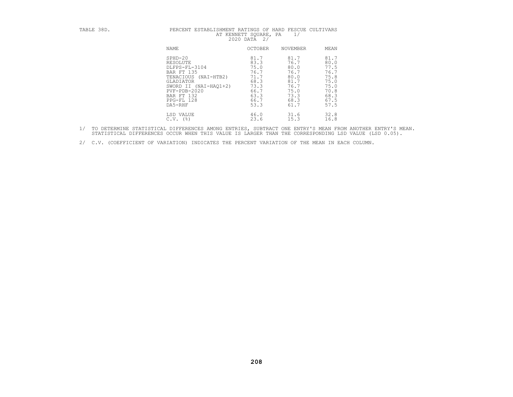## TABLE 38D. PERCENT ESTABLISHMENT RATINGS OF HARD FESCUE CULTIVARS AT KENNETT SQUARE, PA 1/ 2020 DATA 2/ NAME OCTOBER NOVEMBER MEAN SPHD-20 81.7 81.7 81.7 RESOLUTE 83.3 76.7 80.0 DLFPS-FL-3104 75.0 80.0 77.5 BAR FT 135 76.7 76.7 76.7 TENACIOUS (NAI-HTB2) 71.7 80.0 75.8 GLADIATOR 68.3 81.7 75.0 SWORD II (NAI-HAQ1+2) 73.3 76.7 75.0 PVF-PDB-2020 66.7 75.0 70.8 BAR FT 132 63.3 73.3 68.3 PPG-FL 128 66.7 68.3 67.5 DA5-RHF 53.3 61.7 57.5

| <b>NAME</b>                                                                                                                                                               | OCTOBER                                                                      | <b>NOVEMBER</b>                                                              | MEAN                                                                         |
|---------------------------------------------------------------------------------------------------------------------------------------------------------------------------|------------------------------------------------------------------------------|------------------------------------------------------------------------------|------------------------------------------------------------------------------|
| $SPHD-20$<br>RESOLUTE<br>DLFPS-FL-3104<br>BAR FT 135<br>TENACIOUS<br>$(NAI-HTB2)$<br>GLADIATOR<br>SWORD II (NAI-HAO1+2)<br>$PVF - PDB - 2020$<br>BAR FT 132<br>PPG-FL 128 | 81.7<br>83.3<br>75.0<br>76.7<br>71.7<br>68.3<br>73.3<br>66.7<br>63.3<br>66.7 | 81.7<br>76.7<br>80.0<br>76.7<br>80.0<br>81.7<br>76.7<br>75.0<br>73.3<br>68.3 | 81.7<br>80.0<br>77.5<br>76.7<br>75.8<br>75.0<br>75.0<br>70.8<br>68.3<br>67.5 |
| DA5-RHF                                                                                                                                                                   | 53.3                                                                         | 61.7                                                                         | 57.5                                                                         |
| LSD VALUE<br>$($ $\mathcal{E}$<br>C.V.                                                                                                                                    | 46.0<br>23.6                                                                 | 31.6<br>15.3                                                                 | 32.8<br>16.8                                                                 |

- 1/ TO DETERMINE STATISTICAL DIFFERENCES AMONG ENTRIES, SUBTRACT ONE ENTRY'S MEAN FROM ANOTHER ENTRY'S MEAN.<br>STATISTICAL DIFFERENCES OCCUR WHEN THIS VALUE IS LARGER THAN THE CORRESPONDING LSD VALUE (LSD 0.05).
- 2/ C.V. (COEFFICIENT OF VARIATION) INDICATES THE PERCENT VARIATION OF THE MEAN IN EACH COLUMN.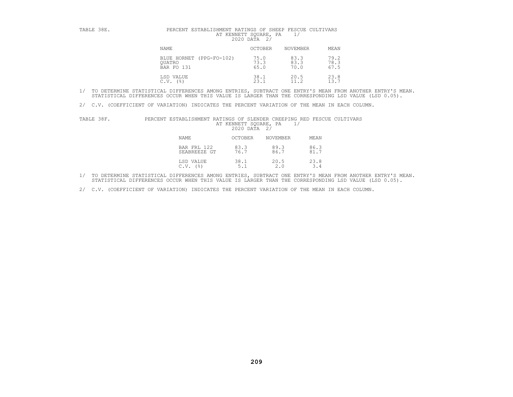| TABLE 38E. | PERCENT ESTABLISHMENT RATINGS OF SHEEP FESCUE CULTIVARS | AT KENNETT SOUARE,<br>2020 DATA<br>2/ | PA                   |                      |
|------------|---------------------------------------------------------|---------------------------------------|----------------------|----------------------|
|            | NAME                                                    | <b>OCTOBER</b>                        | NOVEMBER             | MEAN                 |
|            | BLUE HORNET (PPG-FO-102)<br>OUATRO<br>BAR FO 131        | 75.0<br>73.3<br>65.0                  | 83.3<br>83.3<br>70.0 | 79.2<br>78.3<br>67.5 |
|            | LSD VALUE<br>C.V.<br>(응)                                | 38.1<br>23.1                          | 20.5                 | 23.8<br>13.7         |

2/ C.V. (COEFFICIENT OF VARIATION) INDICATES THE PERCENT VARIATION OF THE MEAN IN EACH COLUMN.

| TABLE 38F. | PERCENT ESTABLISHMENT RATINGS OF SLENDER CREEPING RED FESCUE CULTIVARS | AT KENNETT SQUARE, PA<br>2020 DATA 2/ |                 |              |  |
|------------|------------------------------------------------------------------------|---------------------------------------|-----------------|--------------|--|
|            | <b>NAME</b>                                                            | <b>OCTOBER</b>                        | <b>NOVEMBER</b> | MEAN         |  |
|            | BAR FRL 122<br>SEABREEZE GT                                            | 83.3<br>76.7                          | 89.3<br>86.7    | 86.3<br>81.7 |  |
|            | LSD VALUE<br>C.V.<br>(응)                                               | 38.1<br>5.1                           | 20.5<br>2.0     | 23.8<br>3.4  |  |

1/ TO DETERMINE STATISTICAL DIFFERENCES AMONG ENTRIES, SUBTRACT ONE ENTRY'S MEAN FROM ANOTHER ENTRY'S MEAN.<br>STATISTICAL DIFFERENCES OCCUR WHEN THIS VALUE IS LARGER THAN THE CORRESPONDING LSD VALUE (LSD 0.05).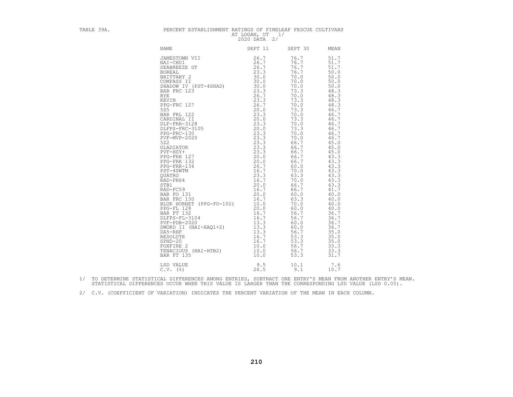| TABLE 39A. | PERCENT ESTABLISHMENT RATINGS OF FINELEAF FESCUE CULTIVARS                                                                                                                                                                                                                     | AT LOGAN, UT 1/<br>2020 DATA 2/ |                                                                              |                                                                                                                                                                                                                                                                                                                                                      |
|------------|--------------------------------------------------------------------------------------------------------------------------------------------------------------------------------------------------------------------------------------------------------------------------------|---------------------------------|------------------------------------------------------------------------------|------------------------------------------------------------------------------------------------------------------------------------------------------------------------------------------------------------------------------------------------------------------------------------------------------------------------------------------------------|
|            | <b>NAME</b>                                                                                                                                                                                                                                                                    | SEPT 11                         | SEPT 30                                                                      | MEAN                                                                                                                                                                                                                                                                                                                                                 |
|            | JAMESTOWN VII<br>BLUE HORNET (PPG-FO-102)<br>PEG-FL 128<br>DELUE HORNET (128<br>DELTPS-FL 32<br>DELTPS-FL 3104<br>PEG-FL 3104<br>PEG-REF<br>PEG-REF 132<br>16.7<br>PEG-REF 13.3<br>SWORD II (NAI-HAQ1+2)<br>13.3<br>DAS-REF 13.3<br>RESOLUTE<br>16.7<br>FOXFIRE 2<br>TENACIOUS | 26.7                            | 76.7<br>56.7<br>60.0<br>60.0<br>56.7<br>53.3<br>53.3<br>56.7<br>56.7<br>53.3 | 51.7<br>51.7<br>51.7<br>50.0<br>50.0<br>50.0<br>50.0<br>48.3<br>48.3<br>48.3<br>48.3<br>46.7<br>46.7<br>46.7<br>46.7<br>46.7<br>46.7<br>46.7<br>45.0<br>45.0<br>45.0<br>43.3<br>43.3<br>43.3<br>43.3<br>43.3<br>43.3<br>43.3<br>41.7<br>40.0<br>40.0<br>40.0<br>40.0<br>36.7<br>36.7<br>36.7<br>36.7<br>35.0<br>35.0<br>35.0<br>33.3<br>33.3<br>31.7 |
|            | LSD VALUE<br>$C.V.$ ( $\S$ )                                                                                                                                                                                                                                                   | 9.5<br>26.5                     | 10.1<br>9.1                                                                  | 7.6<br>10.7                                                                                                                                                                                                                                                                                                                                          |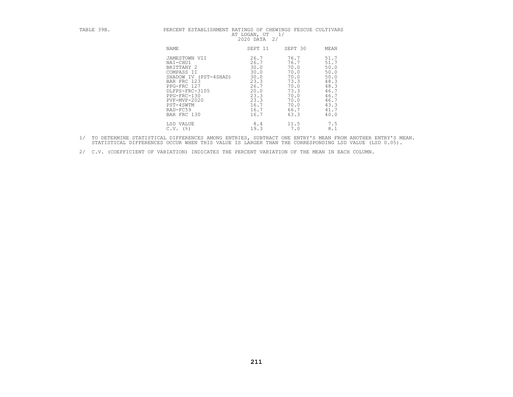| TABLE 39B. | PERCENT ESTABLISHMENT RATINGS OF CHEWINGS FESCUE CULTIVARS | 1/<br>AT LOGAN, UT<br>2020 DATA 2/ |         |      |
|------------|------------------------------------------------------------|------------------------------------|---------|------|
|            | <b>NAME</b>                                                | SEPT 11                            | SEPT 30 | MEAN |
|            | JAMESTOWN VII                                              | 26.7                               | 76.7    | 51.7 |
|            | NAI-CHU1                                                   | 26.7                               | 76.7    | 51.7 |
|            | BRITTANY 2                                                 | 30.0                               | 70.0    | 50.0 |
|            | COMPASS II                                                 | 30.0                               | 70.0    | 50.0 |
|            | SHADOW IV (PST-4SHAD)                                      | 30.0                               | 70.0    | 50.0 |
|            | BAR FRC 123                                                | 23.3                               | 73.3    | 48.3 |
|            | PPG-FRC 127                                                | 26.7                               | 70.0    | 48.3 |
|            | DLFPS-FRC-3105                                             | 20.0                               | 73.3    | 46.7 |
|            | PPG-FRC-130                                                | 23.3                               | 70.0    | 46.7 |
|            | $PVF-MVP-2020$                                             | 23.3                               | 70.0    | 46.7 |
|            | PST-4SWTM                                                  | 16.7                               | 70.0    | 43.3 |
|            | RAD-FC59                                                   | 16.7                               | 66.7    | 41.7 |
|            | BAR FRC 130                                                | 16.7                               | 63.3    | 40.0 |
|            | LSD VALUE                                                  | 8.4                                | 11.5    | 7.5  |
|            | $C.V.$ (%)                                                 | 19.3                               | 7.0     | 8.1  |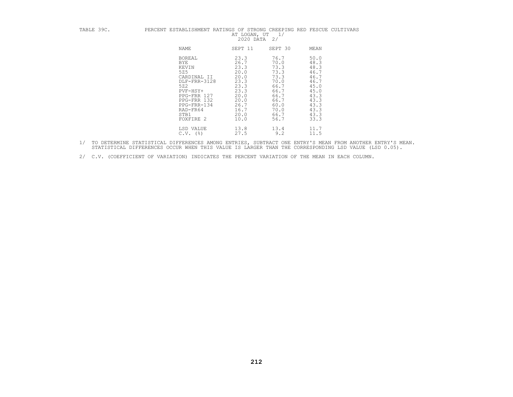## TABLE 39C. PERCENT ESTABLISHMENT RATINGS OF STRONG CREEPING RED FESCUE CULTIVARS AT LOGAN, UT 1/ 2020 DATA 2/

| NAME                                                                                                                                                                        | SEPT 11                                                                                                      | SEPT 30                                                                                                      | MEAN                                                                                                         |
|-----------------------------------------------------------------------------------------------------------------------------------------------------------------------------|--------------------------------------------------------------------------------------------------------------|--------------------------------------------------------------------------------------------------------------|--------------------------------------------------------------------------------------------------------------|
| <b>BOREAL</b><br><b>BYE</b><br>KEVIN<br>525<br>CARDINAL II<br>DLF-FRR-3128<br>522<br>PVF-HSY+<br>PPG-FRR 127<br>PPG-FRR 132<br>PPG-FRR-134<br>RAD-FR64<br>STB1<br>FOXFIRE 2 | 23.3<br>26.7<br>23.3<br>20.0<br>20.0<br>23.3<br>23.3<br>23.3<br>20.0<br>20.0<br>26.7<br>16.7<br>20.0<br>10.0 | 76.7<br>70.0<br>73.3<br>73.3<br>73.3<br>70.0<br>66.7<br>66.7<br>66.7<br>66.7<br>60.0<br>70.0<br>66.7<br>56.7 | 50.0<br>48.3<br>48.3<br>46.7<br>46.7<br>46.7<br>45.0<br>45.0<br>43.3<br>43.3<br>43.3<br>43.3<br>43.3<br>33.3 |
| LSD VALUE<br>C.V.<br>(%)                                                                                                                                                    | 13.8<br>27.5                                                                                                 | 13.4<br>9.2                                                                                                  | 11.7<br>11.5                                                                                                 |

1/ TO DETERMINE STATISTICAL DIFFERENCES AMONG ENTRIES, SUBTRACT ONE ENTRY'S MEAN FROM ANOTHER ENTRY'S MEAN.<br>STATISTICAL DIFFERENCES OCCUR WHEN THIS VALUE IS LARGER THAN THE CORRESPONDING LSD VALUE (LSD 0.05).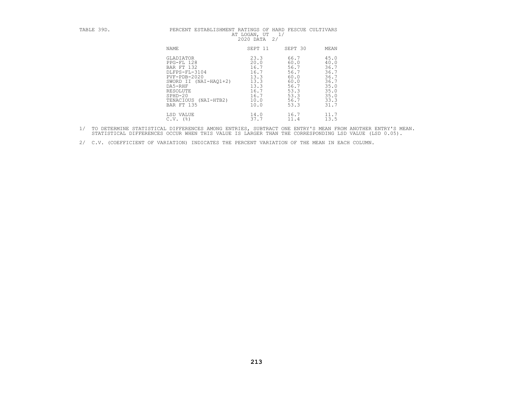## TABLE 39D. PERCENT ESTABLISHMENT RATINGS OF HARD FESCUE CULTIVARS AT LOGAN, UT 1/<br>AT LOGAN, UT 1/2020 DATA 2/

| NAME                                                                                                                                                                                                    | SEPT 11                                                                              | SEPT 30                                                                              | MEAN                                                                                 |
|---------------------------------------------------------------------------------------------------------------------------------------------------------------------------------------------------------|--------------------------------------------------------------------------------------|--------------------------------------------------------------------------------------|--------------------------------------------------------------------------------------|
| <b>GLADIATOR</b><br>PPG-FL 128<br>BAR FT 132<br>DLFPS-FL-3104<br>$PVF - PDB - 2020$<br>$(NAI-HAO1+2)$<br>SWORD II<br>DA5-RHF<br>RESOLUTE<br>$SPHD-20$<br>TENACIOUS<br>$(NAI-HTB2)$<br><b>BAR FT 135</b> | 23.3<br>20.0<br>16.7<br>16.7<br>13.3<br>13.3<br>13.3<br>16.7<br>16.7<br>10.0<br>10.0 | 66.7<br>60.0<br>56.7<br>56.7<br>60.0<br>60.0<br>56.7<br>53.3<br>53.3<br>56.7<br>53.3 | 45.0<br>40.0<br>36.7<br>36.7<br>36.7<br>36.7<br>35.0<br>35.0<br>35.0<br>33.3<br>31.7 |
| LSD VALUE<br>$($ %)<br>C.V.                                                                                                                                                                             | 14.0<br>37.7                                                                         | 16.7<br>11.4                                                                         | 11.7<br>13.5                                                                         |

1/ TO DETERMINE STATISTICAL DIFFERENCES AMONG ENTRIES, SUBTRACT ONE ENTRY'S MEAN FROM ANOTHER ENTRY'S MEAN.<br>STATISTICAL DIFFERENCES OCCUR WHEN THIS VALUE IS LARGER THAN THE CORRESPONDING LSD VALUE (LSD 0.05).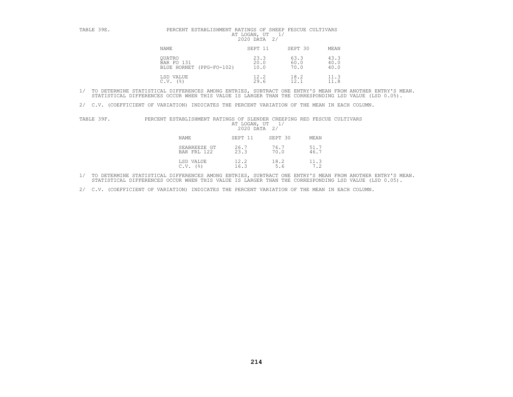| TABLE 39E. | PERCENT ESTABLISHMENT RATINGS OF SHEEP FESCUE CULTIVARS<br>AT LOGAN, UT<br>2020 DATA<br>2/ |                      |                      |                      |  |
|------------|--------------------------------------------------------------------------------------------|----------------------|----------------------|----------------------|--|
|            | <b>NAME</b>                                                                                | SEPT 11              | SEPT 30              | MEAN                 |  |
|            | OUATRO<br>BAR FO 131<br>BLUE HORNET (PPG-FO-102)                                           | 23.3<br>20.0<br>10.0 | 63.3<br>60.0<br>70.0 | 43.3<br>40.0<br>40.0 |  |
|            | LSD VALUE<br>(응)<br>C.V.                                                                   | 12.2<br>29.6         | 18.2<br>12.1         | 11.3                 |  |

2/ C.V. (COEFFICIENT OF VARIATION) INDICATES THE PERCENT VARIATION OF THE MEAN IN EACH COLUMN.

| TABLE 39F. | PERCENT ESTABLISHMENT RATINGS OF SLE |  |          |
|------------|--------------------------------------|--|----------|
|            |                                      |  | AT LOGAN |

| TABLE 39F. | PERCENT ESTABLISHMENT RATINGS OF SLENDER CREEPING RED FESCUE CULTIVARS | AT LOGAN, UT<br>2020 DATA | 2/           |              |  |
|------------|------------------------------------------------------------------------|---------------------------|--------------|--------------|--|
|            | <b>NAME</b>                                                            | SEPT 11                   | SEPT 30      | MEAN         |  |
|            | SEABREEZE GT<br>BAR FRL 122                                            | 26.7<br>23.3              | 76.7<br>70.0 | 51.7<br>46.7 |  |
|            | LSD VALUE<br>C.V.<br>(응)                                               | 12.2<br>16.3              | 18.2<br>5.6  | 11.3         |  |

1/ TO DETERMINE STATISTICAL DIFFERENCES AMONG ENTRIES, SUBTRACT ONE ENTRY'S MEAN FROM ANOTHER ENTRY'S MEAN.<br>STATISTICAL DIFFERENCES OCCUR WHEN THIS VALUE IS LARGER THAN THE CORRESPONDING LSD VALUE (LSD 0.05).